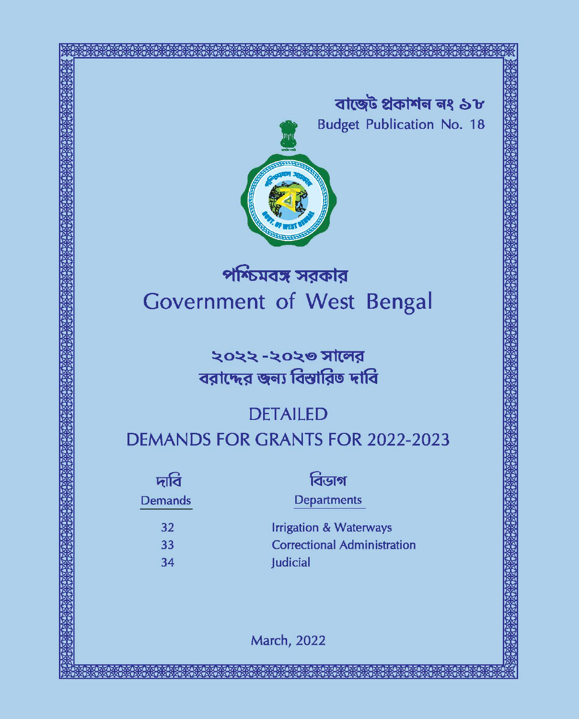



# পশ্চিমবঙ্গ সরকার Government of West Bengal

# ২০২২ -২০২৩ সালের বরাদ্দের জন্য বিস্তারিত দাবি

# **DETAILED**

# **DEMANDS FOR GRANTS FOR 2022-2023**

| দাবি           | বিডাগ                              |
|----------------|------------------------------------|
| <b>Demands</b> | <b>Departments</b>                 |
| 32             | <b>Irrigation &amp; Waterways</b>  |
| 33             | <b>Correctional Administration</b> |
| 34             | Judicial                           |
|                |                                    |

**March, 2022**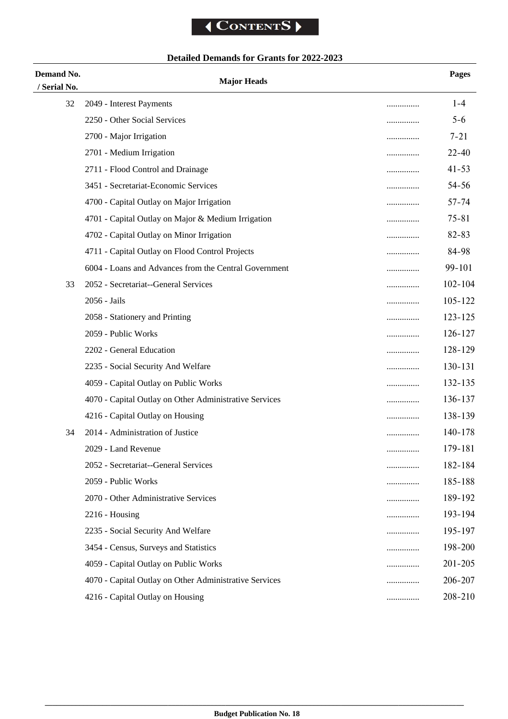# **Detailed Demands for Grants for 2022-2023**

| Demand No.<br>/ Serial No. | <b>Major Heads</b>                                     |   | <b>Pages</b> |
|----------------------------|--------------------------------------------------------|---|--------------|
| 32                         | 2049 - Interest Payments                               | . | $1 - 4$      |
|                            | 2250 - Other Social Services                           | . | $5 - 6$      |
|                            | 2700 - Major Irrigation                                | . | $7 - 21$     |
|                            | 2701 - Medium Irrigation                               |   | $22 - 40$    |
|                            | 2711 - Flood Control and Drainage                      | . | $41 - 53$    |
|                            | 3451 - Secretariat-Economic Services                   |   | $54 - 56$    |
|                            | 4700 - Capital Outlay on Major Irrigation              | . | $57 - 74$    |
|                            | 4701 - Capital Outlay on Major & Medium Irrigation     |   | $75 - 81$    |
|                            | 4702 - Capital Outlay on Minor Irrigation              |   | $82 - 83$    |
|                            | 4711 - Capital Outlay on Flood Control Projects        |   | 84-98        |
|                            | 6004 - Loans and Advances from the Central Government  | . | 99-101       |
| 33                         | 2052 - Secretariat--General Services                   |   | $102 - 104$  |
|                            | 2056 - Jails                                           |   | 105-122      |
|                            | 2058 - Stationery and Printing                         |   | 123-125      |
|                            | 2059 - Public Works                                    |   | 126-127      |
|                            | 2202 - General Education                               | . | 128-129      |
|                            | 2235 - Social Security And Welfare                     | . | 130-131      |
|                            | 4059 - Capital Outlay on Public Works                  | . | 132-135      |
|                            | 4070 - Capital Outlay on Other Administrative Services | . | 136-137      |
|                            | 4216 - Capital Outlay on Housing                       | . | 138-139      |
| 34                         | 2014 - Administration of Justice                       | . | 140-178      |
|                            | 2029 - Land Revenue                                    |   | 179-181      |
|                            | 2052 - Secretariat--General Services                   | . | 182-184      |
|                            | 2059 - Public Works                                    | . | 185-188      |
|                            | 2070 - Other Administrative Services                   | . | 189-192      |
|                            | $2216$ - Housing                                       | . | 193-194      |
|                            | 2235 - Social Security And Welfare                     |   | 195-197      |
|                            | 3454 - Census, Surveys and Statistics                  | . | 198-200      |
|                            | 4059 - Capital Outlay on Public Works                  | . | 201-205      |
|                            | 4070 - Capital Outlay on Other Administrative Services | . | 206-207      |
|                            | 4216 - Capital Outlay on Housing                       | . | 208-210      |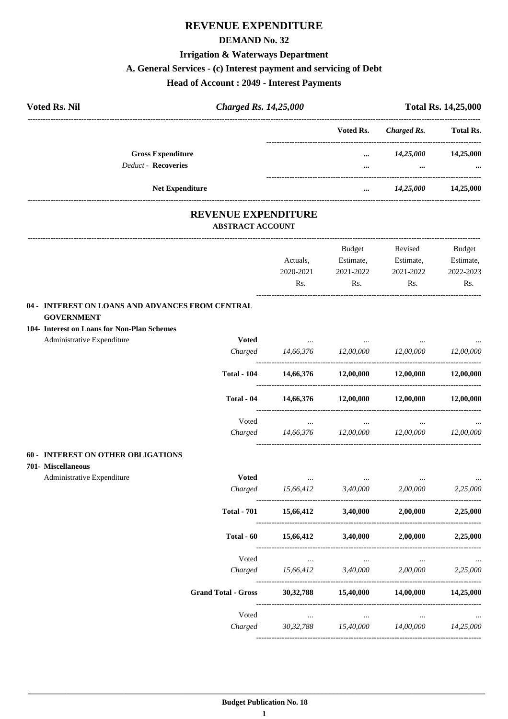# **REVENUE EXPENDITURE**

#### **DEMAND No. 32**

# **Irrigation & Waterways Department**

# **A. General Services - (c) Interest payment and servicing of Debt**

|                                                                                                | <b>Head of Account: 2049 - Interest Payments</b>      |                                                                  |                                                                                            |                         |                            |  |
|------------------------------------------------------------------------------------------------|-------------------------------------------------------|------------------------------------------------------------------|--------------------------------------------------------------------------------------------|-------------------------|----------------------------|--|
| <b>Voted Rs. Nil</b>                                                                           |                                                       | <b>Charged Rs. 14,25,000</b>                                     |                                                                                            |                         | <b>Total Rs. 14,25,000</b> |  |
|                                                                                                |                                                       |                                                                  | Voted Rs.                                                                                  | Charged Rs.             | <b>Total Rs.</b>           |  |
| <b>Gross Expenditure</b>                                                                       |                                                       |                                                                  |                                                                                            | $14,25,000$ $14,25,000$ |                            |  |
| <b>Deduct - Recoveries</b>                                                                     |                                                       |                                                                  | $\cdots$                                                                                   | $\cdots$                |                            |  |
| Net Expenditure                                                                                |                                                       |                                                                  | $\cdots$                                                                                   | 14,25,000 14,25,000     |                            |  |
|                                                                                                | <b>REVENUE EXPENDITURE</b><br><b>ABSTRACT ACCOUNT</b> |                                                                  |                                                                                            |                         |                            |  |
|                                                                                                |                                                       |                                                                  | Budget                                                                                     | Revised                 | Budget                     |  |
|                                                                                                |                                                       | Actuals,                                                         | Estimate,                                                                                  | Estimate,               | Estimate,                  |  |
|                                                                                                |                                                       | 2020-2021                                                        | 2021-2022                                                                                  | 2021-2022               | 2022-2023                  |  |
|                                                                                                |                                                       | Rs.                                                              | Rs.                                                                                        | Rs.                     | Rs.                        |  |
| <b>GOVERNMENT</b><br>104- Interest on Loans for Non-Plan Schemes<br>Administrative Expenditure | <b>Voted</b><br><b>Total - 104</b>                    | and the contract of the<br>Charged 14,66,376 12,00,000 12,00,000 | $\mathcal{L}_{\text{max}}$ and $\mathcal{L}_{\text{max}}$<br>14,66,376 12,00,000 12,00,000 |                         | 12,00,000<br>12,00,000     |  |
|                                                                                                |                                                       |                                                                  |                                                                                            |                         |                            |  |
|                                                                                                | Total - 04                                            | 14,66,376 12,00,000 12,00,000                                    |                                                                                            |                         | 12,00,000                  |  |
|                                                                                                | Voted                                                 | $\cdots$                                                         | $\sim$ $\sim$                                                                              | $\cdots$                |                            |  |
|                                                                                                | Charged                                               | 14,66,376                                                        | $12,00,000$ $12,00,000$                                                                    |                         | 12,00,000                  |  |
| 60 - INTEREST ON OTHER OBLIGATIONS<br>701- Miscellaneous                                       |                                                       |                                                                  |                                                                                            |                         |                            |  |
| Administrative Expenditure                                                                     | <b>Voted</b>                                          | $\ldots$                                                         | $\cdots$                                                                                   | $\cdots$                |                            |  |
|                                                                                                | Charged                                               | 15,66,412                                                        | 3,40,000                                                                                   | 2,00,000                | 2,25,000                   |  |
|                                                                                                | <b>Total - 701</b>                                    | 15,66,412                                                        | 3,40,000                                                                                   | 2,00,000                | 2,25,000                   |  |
|                                                                                                | Total - 60                                            | 15,66,412                                                        | 3,40,000                                                                                   | 2,00,000                | 2,25,000                   |  |
|                                                                                                | Voted                                                 | $\ddotsc$                                                        | $\cdots$                                                                                   |                         |                            |  |

| Charged                    | 15,66,412   | 3.40,000  | 2,00,000  | 2,25,000  |
|----------------------------|-------------|-----------|-----------|-----------|
| <b>Grand Total - Gross</b> | 30, 32, 788 | 15,40,000 | 14,00,000 | 14,25,000 |
| Voted                      | $\cdots$    | $\cdots$  | $\cdots$  | $\cdots$  |
| Charged                    | 30.32.788   | 15,40,000 | 14,00,000 | 14.25.000 |
|                            |             |           |           |           |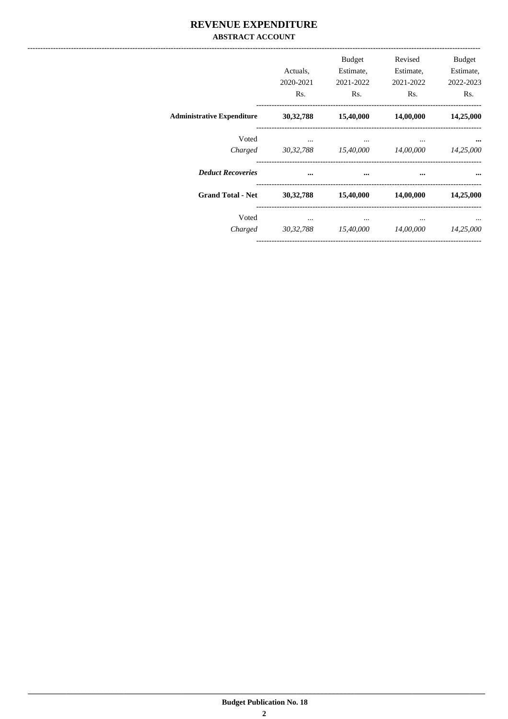### REVENUE EXPENDITURE **ABSTRACT ACCOUNT**

|                                   | Actuals.<br>2020-2021<br>Rs. | Budget<br>Estimate,<br>2021-2022<br>Rs. | Revised<br>Estimate,<br>2021-2022<br>Rs. | <b>Budget</b><br>Estimate,<br>2022-2023<br>Rs. |
|-----------------------------------|------------------------------|-----------------------------------------|------------------------------------------|------------------------------------------------|
| <b>Administrative Expenditure</b> | 30, 32, 788                  | 15,40,000                               | 14,00,000                                | 14,25,000                                      |
| Voted<br>Charged                  | $\cdots$                     | $\cdots$<br>30,32,788 15,40,000         | $\cdots$<br>14,00,000                    | 14,25,000                                      |
| <b>Deduct Recoveries</b>          |                              | $\cdots$                                | $\cdots$                                 |                                                |
| <b>Grand Total - Net</b>          | 30, 32, 788                  | 15,40,000                               | 14,00,000                                | 14,25,000                                      |
| Voted<br>Charged                  | $\cdots$<br>30, 32, 788      | $\cdots$<br>15,40,000                   | $\cdots$<br>14,00,000                    | 14,25,000                                      |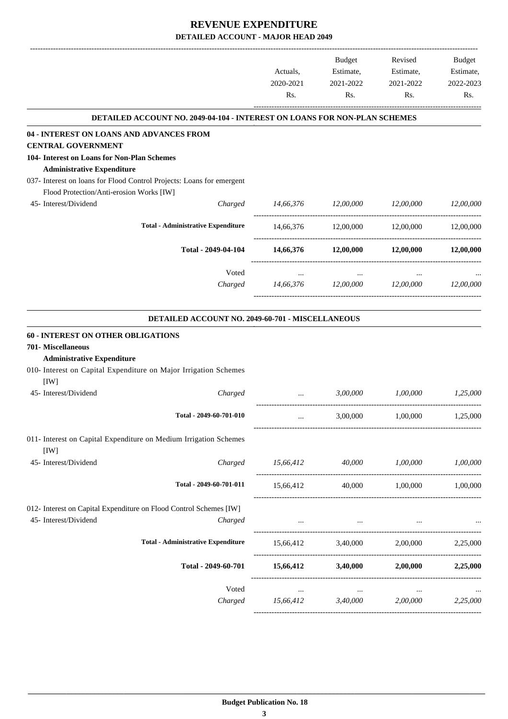| DETAILED ACCOUNT NO. 2049-04-104 - INTEREST ON LOANS FOR NON-PLAN SCHEMES<br>04 - INTEREST ON LOANS AND ADVANCES FROM<br><b>CENTRAL GOVERNMENT</b><br>104- Interest on Loans for Non-Plan Schemes<br><b>Administrative Expenditure</b><br>037- Interest on loans for Flood Control Projects: Loans for emergent |                                              |
|-----------------------------------------------------------------------------------------------------------------------------------------------------------------------------------------------------------------------------------------------------------------------------------------------------------------|----------------------------------------------|
|                                                                                                                                                                                                                                                                                                                 |                                              |
|                                                                                                                                                                                                                                                                                                                 |                                              |
|                                                                                                                                                                                                                                                                                                                 |                                              |
|                                                                                                                                                                                                                                                                                                                 |                                              |
|                                                                                                                                                                                                                                                                                                                 |                                              |
|                                                                                                                                                                                                                                                                                                                 |                                              |
| Flood Protection/Anti-erosion Works [IW]                                                                                                                                                                                                                                                                        |                                              |
| 45- Interest/Dividend<br>Charged<br>14,66,376 12,00,000 12,00,000                                                                                                                                                                                                                                               | 12,00,000                                    |
| <b>Total - Administrative Expenditure</b><br>14,66,376 12,00,000 12,00,000 12,00,000                                                                                                                                                                                                                            |                                              |
| Total - 2049-04-104<br>$14,66,376$ $12,00,000$ $12,00,000$                                                                                                                                                                                                                                                      | 12,00,000                                    |
| Voted                                                                                                                                                                                                                                                                                                           |                                              |
| $\cdots$<br>14,66,376 12,00,000 12,00,000 12,00,000<br>Charged                                                                                                                                                                                                                                                  |                                              |
|                                                                                                                                                                                                                                                                                                                 |                                              |
| DETAILED ACCOUNT NO. 2049-60-701 - MISCELLANEOUS                                                                                                                                                                                                                                                                |                                              |
| <b>60 - INTEREST ON OTHER OBLIGATIONS</b>                                                                                                                                                                                                                                                                       |                                              |
| 701- Miscellaneous                                                                                                                                                                                                                                                                                              |                                              |
| <b>Administrative Expenditure</b>                                                                                                                                                                                                                                                                               |                                              |
| 010- Interest on Capital Expenditure on Major Irrigation Schemes                                                                                                                                                                                                                                                |                                              |
| [IW]                                                                                                                                                                                                                                                                                                            |                                              |
| 1,00,000<br>45- Interest/Dividend<br>3,00,000<br>Charged<br>$\cdots$                                                                                                                                                                                                                                            | 1,25,000                                     |
| Total - 2049-60-701-010<br>3,00,000<br>1,00,000<br>$\cdots$                                                                                                                                                                                                                                                     | 1,25,000                                     |
| 011- Interest on Capital Expenditure on Medium Irrigation Schemes                                                                                                                                                                                                                                               |                                              |
| [IW]                                                                                                                                                                                                                                                                                                            |                                              |
| 45- Interest/Dividend<br>Charged<br>15,66,412 40,000 1,00,000 1,00,000                                                                                                                                                                                                                                          |                                              |
| Total - 2049-60-701-011<br>15,66,412<br>40,000 1,00,000 1,00,000                                                                                                                                                                                                                                                |                                              |
| 012- Interest on Capital Expenditure on Flood Control Schemes [IW]                                                                                                                                                                                                                                              |                                              |
| 45- Interest/Dividend<br>Charged<br>the contract of the contract of the contract of the<br>$\cdots$                                                                                                                                                                                                             | $\cdots$                                     |
|                                                                                                                                                                                                                                                                                                                 |                                              |
| <b>Total - Administrative Expenditure</b><br>15,66,412 3,40,000 2,00,000 2,25,000                                                                                                                                                                                                                               |                                              |
| Total - 2049-60-701<br>$15,66,412$ $3,40,000$ $2,00,000$                                                                                                                                                                                                                                                        | 2,25,000                                     |
| Voted<br>$\ldots$                                                                                                                                                                                                                                                                                               | $\ldots$                                     |
|                                                                                                                                                                                                                                                                                                                 | $15,66,412$ $3,40,000$ $2,00,000$ $2,25,000$ |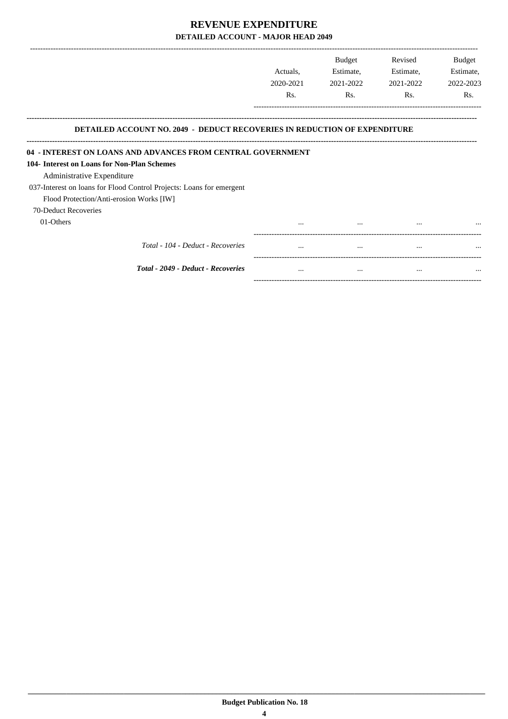|                                                                                                                                                 | Actuals.<br>2020-2021 | <b>Budget</b><br>Estimate,<br>2021-2022 | Revised<br>Estimate,<br>2021-2022 | <b>Budget</b><br>Estimate,<br>2022-2023 |
|-------------------------------------------------------------------------------------------------------------------------------------------------|-----------------------|-----------------------------------------|-----------------------------------|-----------------------------------------|
|                                                                                                                                                 | Rs.                   | Rs.                                     | Rs.                               | Rs.                                     |
| <b>DETAILED ACCOUNT NO. 2049 - DEDUCT RECOVERIES IN REDUCTION OF EXPENDITURE</b><br>04 - INTEREST ON LOANS AND ADVANCES FROM CENTRAL GOVERNMENT |                       |                                         |                                   |                                         |
| 104- Interest on Loans for Non-Plan Schemes                                                                                                     |                       |                                         |                                   |                                         |
| Administrative Expenditure                                                                                                                      |                       |                                         |                                   |                                         |
| 037-Interest on loans for Flood Control Projects: Loans for emergent                                                                            |                       |                                         |                                   |                                         |
| Flood Protection/Anti-erosion Works [IW]                                                                                                        |                       |                                         |                                   |                                         |
|                                                                                                                                                 |                       |                                         |                                   |                                         |
| 70-Deduct Recoveries                                                                                                                            |                       |                                         |                                   |                                         |
| 01-Others                                                                                                                                       | $\ddotsc$             |                                         |                                   |                                         |
| Total - 104 - Deduct - Recoveries                                                                                                               |                       |                                         |                                   |                                         |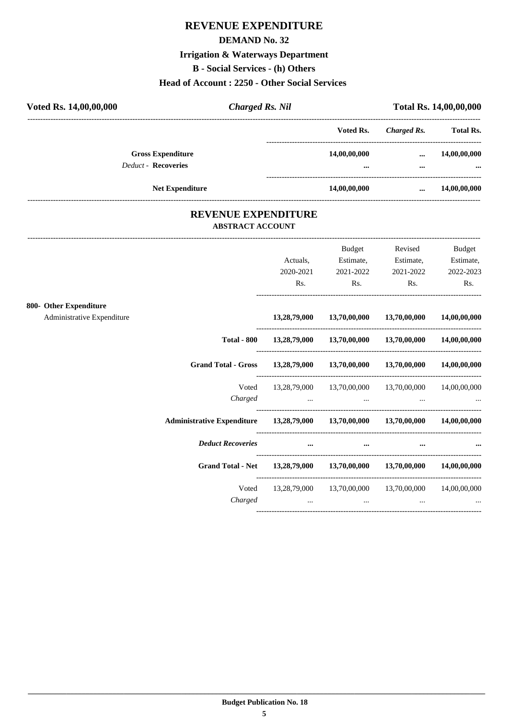# **REVENUE EXPENDITURE**

#### **DEMAND No. 32**

# **Irrigation & Waterways Department**

**B - Social Services - (h) Others**

### **Head of Account : 2250 - Other Social Services**

| Voted Rs. 14,00,00,000     | <b>Charged Rs. Nil</b>     |              |             | <b>Total Rs. 14,00,00,000</b> |
|----------------------------|----------------------------|--------------|-------------|-------------------------------|
|                            |                            | Voted Rs.    | Charged Rs. | <b>Total Rs.</b>              |
| <b>Gross Expenditure</b>   |                            | 14,00,00,000 | $\cdots$    | 14,00,00,000                  |
| <b>Deduct - Recoveries</b> |                            | $\ddotsc$    |             | $\ddotsc$                     |
| <b>Net Expenditure</b>     |                            | 14,00,00,000 | $\cdots$    | 14,00,00,000                  |
|                            | <b>REVENUE EXPENDITURE</b> |              |             |                               |

# **ABSTRACT ACCOUNT**

---------------------------------------------------------------------------------------------------------------------------------------------------------------------------------

|                            |                                                                                | Actuals,                                            | Budget<br>Estimate,             | Revised<br>Estimate,                                                                                                                                       | <b>Budget</b><br>Estimate, |
|----------------------------|--------------------------------------------------------------------------------|-----------------------------------------------------|---------------------------------|------------------------------------------------------------------------------------------------------------------------------------------------------------|----------------------------|
|                            |                                                                                | 2020-2021                                           | 2021-2022                       | 2021-2022                                                                                                                                                  | 2022-2023                  |
|                            |                                                                                | Rs.                                                 | $\mathbf{Rs.}$                  | Rs.                                                                                                                                                        | Rs.                        |
| 800- Other Expenditure     |                                                                                |                                                     |                                 |                                                                                                                                                            |                            |
| Administrative Expenditure |                                                                                |                                                     |                                 | 13,28,79,000 13,70,00,000 13,70,00,000                                                                                                                     | 14,00,00,000               |
|                            |                                                                                |                                                     |                                 | Total - 800 13,28,79,000 13,70,00,000 13,70,00,000 14,00,00,000                                                                                            |                            |
|                            | Grand Total - Gross 13,28,79,000 13,70,00,000 13,70,00,000 14,00,00,000        |                                                     |                                 |                                                                                                                                                            |                            |
|                            | Voted<br>Charged                                                               |                                                     |                                 | 13,28,79,000 13,70,00,000 13,70,00,000 14,00,00,000<br>the contract of the contract of the contract of the contract of the contract of the contract of the |                            |
|                            | Administrative Expenditure 13,28,79,000 13,70,00,000 13,70,00,000 14,00,00,000 |                                                     |                                 |                                                                                                                                                            |                            |
|                            | <b>Deduct Recoveries</b>                                                       | <b><i>Contractor Committee Committee States</i></b> | $\cdots$                        | $\cdots$                                                                                                                                                   |                            |
|                            | Grand Total - Net 13,28,79,000 13,70,00,000 13,70,00,000 14,00,00,000          |                                                     |                                 |                                                                                                                                                            |                            |
|                            | Voted<br>Charged                                                               | and the contract of the contract of                 | the contract of the contract of | 13,28,79,000 13,70,00,000 13,70,00,000 14,00,00,000                                                                                                        |                            |
|                            |                                                                                |                                                     |                                 |                                                                                                                                                            |                            |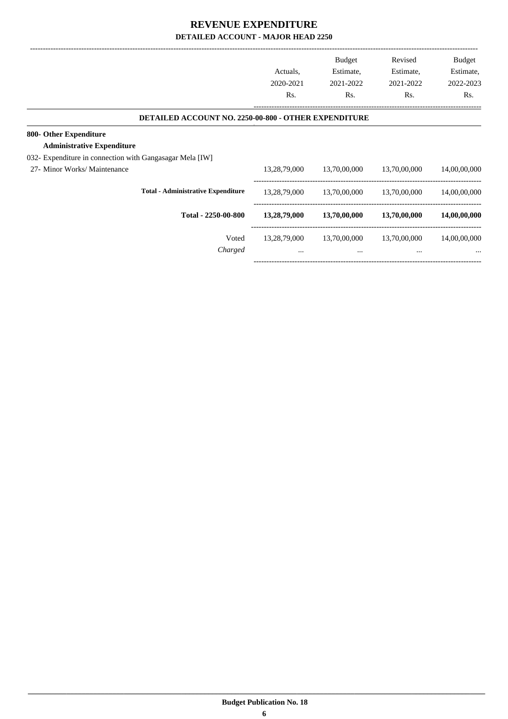| Actuals,<br>2020-2021<br>Rs. | <b>Budget</b><br>Estimate,<br>2021-2022<br>Rs. | Revised<br>Estimate,<br>2021-2022<br>Rs.                    | <b>Budget</b><br>Estimate,<br>2022-2023<br>Rs. |
|------------------------------|------------------------------------------------|-------------------------------------------------------------|------------------------------------------------|
|                              |                                                |                                                             |                                                |
|                              |                                                |                                                             |                                                |
|                              |                                                |                                                             |                                                |
|                              |                                                |                                                             |                                                |
| 13,28,79,000                 | 13,70,00,000                                   | 13,70,00,000                                                | 14,00,00,000                                   |
| 13,28,79,000                 | 13,70,00,000                                   | 13,70,00,000                                                | 14,00,00,000                                   |
| 13,28,79,000                 | 13,70,00,000                                   | 13,70,00,000                                                | 14,00,00,000                                   |
| 13,28,79,000                 | 13,70,00,000                                   | 13,70,00,000                                                | 14,00,00,000                                   |
| $\cdots$                     | $\cdots$                                       | $\cdots$                                                    | $\cdots$                                       |
|                              |                                                | <b>DETAILED ACCOUNT NO. 2250-00-800 - OTHER EXPENDITURE</b> |                                                |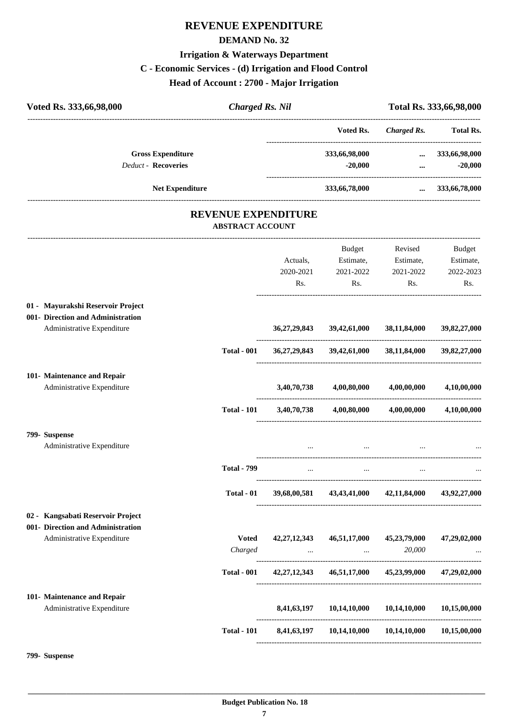# **REVENUE EXPENDITURE**

#### **DEMAND No. 32**

### **Irrigation & Waterways Department**

# **C - Economic Services - (d) Irrigation and Flood Control**

**Head of Account : 2700 - Major Irrigation**

| <b>Charged Rs. Nil</b> |                                                                                                                                                                                                         | Total Rs. 333,66,98,000                                                                                                         |                                                                                                                                                                                                                                                                                                                                                                                      |
|------------------------|---------------------------------------------------------------------------------------------------------------------------------------------------------------------------------------------------------|---------------------------------------------------------------------------------------------------------------------------------|--------------------------------------------------------------------------------------------------------------------------------------------------------------------------------------------------------------------------------------------------------------------------------------------------------------------------------------------------------------------------------------|
|                        | Voted Rs.                                                                                                                                                                                               | <b>Charged Rs.</b>                                                                                                              | <b>Total Rs.</b>                                                                                                                                                                                                                                                                                                                                                                     |
|                        | 333,66,98,000<br>$-20,000$                                                                                                                                                                              | $\cdots$<br>$\cdots$                                                                                                            | 333,66,98,000<br>$-20,000$                                                                                                                                                                                                                                                                                                                                                           |
|                        | 333,66,78,000                                                                                                                                                                                           |                                                                                                                                 | 333,66,78,000                                                                                                                                                                                                                                                                                                                                                                        |
|                        |                                                                                                                                                                                                         |                                                                                                                                 |                                                                                                                                                                                                                                                                                                                                                                                      |
|                        |                                                                                                                                                                                                         |                                                                                                                                 |                                                                                                                                                                                                                                                                                                                                                                                      |
|                        |                                                                                                                                                                                                         |                                                                                                                                 | Budget                                                                                                                                                                                                                                                                                                                                                                               |
|                        |                                                                                                                                                                                                         |                                                                                                                                 | Estimate,<br>2022-2023                                                                                                                                                                                                                                                                                                                                                               |
| Rs.                    | Rs.                                                                                                                                                                                                     | Rs.                                                                                                                             | Rs.                                                                                                                                                                                                                                                                                                                                                                                  |
|                        |                                                                                                                                                                                                         |                                                                                                                                 |                                                                                                                                                                                                                                                                                                                                                                                      |
| 36, 27, 29, 843        | 39,42,61,000                                                                                                                                                                                            | 38,11,84,000                                                                                                                    | 39,82,27,000                                                                                                                                                                                                                                                                                                                                                                         |
|                        |                                                                                                                                                                                                         |                                                                                                                                 | 39,82,27,000                                                                                                                                                                                                                                                                                                                                                                         |
|                        |                                                                                                                                                                                                         |                                                                                                                                 |                                                                                                                                                                                                                                                                                                                                                                                      |
|                        |                                                                                                                                                                                                         | 4,00,00,000                                                                                                                     | 4,10,00,000                                                                                                                                                                                                                                                                                                                                                                          |
|                        |                                                                                                                                                                                                         |                                                                                                                                 | 4,10,00,000                                                                                                                                                                                                                                                                                                                                                                          |
|                        |                                                                                                                                                                                                         |                                                                                                                                 |                                                                                                                                                                                                                                                                                                                                                                                      |
|                        |                                                                                                                                                                                                         |                                                                                                                                 |                                                                                                                                                                                                                                                                                                                                                                                      |
| $\cdots$               | $\cdots$                                                                                                                                                                                                | $\cdots$                                                                                                                        |                                                                                                                                                                                                                                                                                                                                                                                      |
|                        | 43,43,41,000                                                                                                                                                                                            |                                                                                                                                 | 43,92,27,000                                                                                                                                                                                                                                                                                                                                                                         |
|                        |                                                                                                                                                                                                         |                                                                                                                                 |                                                                                                                                                                                                                                                                                                                                                                                      |
|                        |                                                                                                                                                                                                         |                                                                                                                                 |                                                                                                                                                                                                                                                                                                                                                                                      |
|                        |                                                                                                                                                                                                         |                                                                                                                                 | 47,29,02,000                                                                                                                                                                                                                                                                                                                                                                         |
|                        |                                                                                                                                                                                                         | 20,000                                                                                                                          |                                                                                                                                                                                                                                                                                                                                                                                      |
|                        |                                                                                                                                                                                                         |                                                                                                                                 |                                                                                                                                                                                                                                                                                                                                                                                      |
|                        |                                                                                                                                                                                                         |                                                                                                                                 |                                                                                                                                                                                                                                                                                                                                                                                      |
|                        | 10,14,10,000                                                                                                                                                                                            | 10,14,10,000                                                                                                                    | 10,15,00,000                                                                                                                                                                                                                                                                                                                                                                         |
|                        |                                                                                                                                                                                                         |                                                                                                                                 |                                                                                                                                                                                                                                                                                                                                                                                      |
|                        | <b>ABSTRACT ACCOUNT</b><br>Actuals,<br>2020-2021<br><b>Total - 001</b><br><b>Total - 101</b><br><b>Total - 799</b><br>Total - 01<br><b>Voted</b><br>Charged<br><b>Total - 001</b><br><b>Total - 101</b> | <b>REVENUE EXPENDITURE</b><br>Budget<br>Estimate,<br>2021-2022<br>3,40,70,738<br>39,68,00,581<br>42, 27, 12, 343<br>8,41,63,197 | -------------------------<br>$\cdots$<br>Revised<br>Estimate,<br>2021-2022<br>36,27,29,843 39,42,61,000 38,11,84,000<br>3,40,70,738 4,00,80,000<br>$4,00,80,000$ $4,00,00,000$<br>42,11,84,000<br>46,51,17,000 45,23,79,000<br>and the company of the company of the<br>42,27,12,343 46,51,17,000 45,23,99,000 47,29,02,000<br>8,41,63,197  10,14,10,000  10,14,10,000  10,15,00,000 |

**799- Suspense**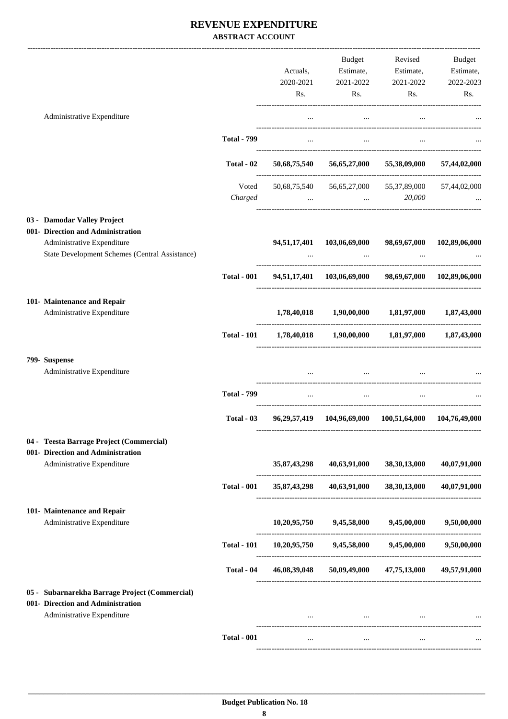### **REVENUE EXPENDITURE ABSTRACT ACCOUNT**

|                                                                                                                   |                    | Actuals,<br>2020-2021 | Budget<br>Estimate,<br>2021-2022           | Revised<br>Estimate,<br>2021-2022                                              | Budget<br>Estimate,<br>2022-2023 |
|-------------------------------------------------------------------------------------------------------------------|--------------------|-----------------------|--------------------------------------------|--------------------------------------------------------------------------------|----------------------------------|
|                                                                                                                   |                    | Rs.                   | Rs.                                        | Rs.                                                                            | Rs.                              |
| Administrative Expenditure                                                                                        |                    | $\cdots$              | $\cdots$                                   |                                                                                |                                  |
|                                                                                                                   | <b>Total - 799</b> | $\cdots$              | $\ddots$                                   |                                                                                |                                  |
|                                                                                                                   | Total - 02         |                       |                                            | 50,68,75,540 56,65,27,000 55,38,09,000                                         | 57,44,02,000                     |
|                                                                                                                   | Voted<br>Charged   |                       |                                            | 50,68,75,540   56,65,27,000   55,37,89,000<br>20,000<br>and the company of the | 57,44,02,000                     |
| 03 - Damodar Valley Project                                                                                       |                    |                       |                                            |                                                                                |                                  |
| 001- Direction and Administration<br>Administrative Expenditure<br>State Development Schemes (Central Assistance) |                    | 94,51,17,401          | 103,06,69,000                              | 98,69,67,000                                                                   | 102,89,06,000                    |
|                                                                                                                   | <b>Total - 001</b> |                       |                                            | 94,51,17,401 103,06,69,000 98,69,67,000 102,89,06,000                          |                                  |
| 101- Maintenance and Repair                                                                                       |                    |                       |                                            |                                                                                |                                  |
| Administrative Expenditure                                                                                        |                    |                       |                                            | $1,78,40,018$ $1,90,00,000$ $1,81,97,000$ $1,87,43,000$                        |                                  |
|                                                                                                                   | <b>Total - 101</b> |                       |                                            | $1,78,40,018$ $1,90,00,000$ $1,81,97,000$ $1,87,43,000$                        |                                  |
| 799- Suspense<br>Administrative Expenditure                                                                       |                    | $\cdots$              | $\cdots$                                   | <b>Contract Contract Contract</b>                                              |                                  |
|                                                                                                                   | <b>Total - 799</b> | $\cdots$              | $\cdots$                                   |                                                                                |                                  |
|                                                                                                                   | Total $-03$        |                       |                                            | 96,29,57,419 104,96,69,000 100,51,64,000 104,76,49,000                         |                                  |
| 04 - Teesta Barrage Project (Commercial)                                                                          |                    |                       |                                            |                                                                                |                                  |
| 001- Direction and Administration<br>Administrative Expenditure                                                   |                    | 35,87,43,298          | 40,63,91,000                               | 38, 30, 13, 000                                                                | 40,07,91,000                     |
|                                                                                                                   | <b>Total - 001</b> |                       |                                            | 35,87,43,298 40,63,91,000 38,30,13,000                                         | 40,07,91,000                     |
| 101- Maintenance and Repair<br>Administrative Expenditure                                                         |                    |                       | $10,20,95,750$ $9,45,58,000$ $9,45,00,000$ |                                                                                | 9,50,00,000                      |
|                                                                                                                   |                    |                       |                                            |                                                                                |                                  |
|                                                                                                                   | <b>Total - 101</b> |                       |                                            | $10,20,95,750$ $9,45,58,000$ $9,45,00,000$ $9,50,00,000$                       |                                  |
|                                                                                                                   | Total - 04         |                       |                                            | 46,08,39,048 50,09,49,000 47,75,13,000 49,57,91,000                            |                                  |
| 05 - Subarnarekha Barrage Project (Commercial)<br>001- Direction and Administration<br>Administrative Expenditure |                    |                       |                                            | and the state of the state of the state of the state of the state of the       |                                  |
|                                                                                                                   | <b>Total - 001</b> | $\ddotsc$             | $\cdots$                                   |                                                                                |                                  |
|                                                                                                                   |                    |                       |                                            |                                                                                |                                  |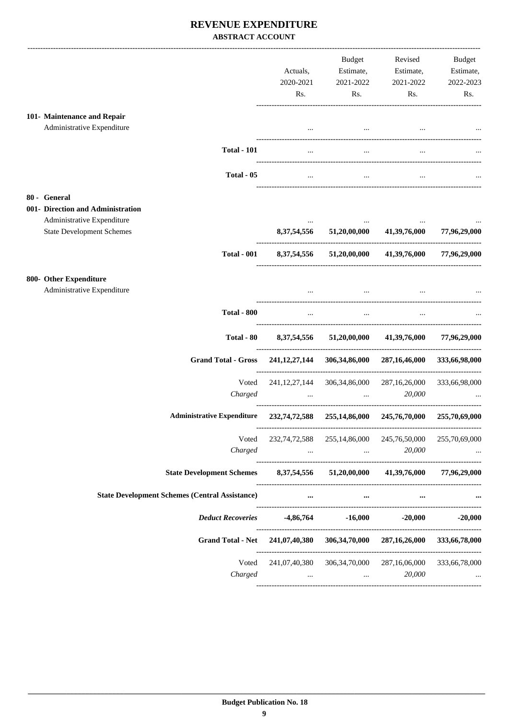### **REVENUE EXPENDITURE ABSTRACT ACCOUNT**

|                                                                              | Actuals,<br>2020-2021<br>Rs. | Budget<br>Estimate,<br>2021-2022<br>Rs.                                         | Revised<br>Estimate,<br>2021-2022<br>Rs.  | <b>Budget</b><br>Estimate,<br>2022-2023<br>Rs. |
|------------------------------------------------------------------------------|------------------------------|---------------------------------------------------------------------------------|-------------------------------------------|------------------------------------------------|
|                                                                              |                              |                                                                                 |                                           |                                                |
| 101- Maintenance and Repair<br>Administrative Expenditure                    |                              |                                                                                 |                                           |                                                |
|                                                                              |                              | $\cdots$                                                                        |                                           |                                                |
| <b>Total - 101</b>                                                           | $\cdots$                     | $\cdots$                                                                        |                                           |                                                |
| Total - 05                                                                   |                              |                                                                                 |                                           |                                                |
| 80 - General                                                                 |                              |                                                                                 |                                           |                                                |
| 001- Direction and Administration                                            |                              |                                                                                 |                                           |                                                |
| Administrative Expenditure<br><b>State Development Schemes</b>               |                              | 8,37,54,556 51,20,00,000 41,39,76,000                                           |                                           | 77,96,29,000                                   |
| <b>Total - 001</b>                                                           |                              |                                                                                 | 8,37,54,556 51,20,00,000 41,39,76,000     | 77,96,29,000                                   |
|                                                                              |                              |                                                                                 |                                           |                                                |
| 800- Other Expenditure<br>Administrative Expenditure                         |                              |                                                                                 |                                           |                                                |
|                                                                              |                              | $\cdots$                                                                        |                                           |                                                |
| <b>Total - 800</b>                                                           | $\cdots$                     | $\ddots$                                                                        | $\cdots$                                  |                                                |
| Total - 80                                                                   |                              | 8,37,54,556 51,20,00,000                                                        | 41,39,76,000                              | 77,96,29,000                                   |
| <b>Grand Total - Gross</b>                                                   |                              |                                                                                 | 241,12,27,144 306,34,86,000 287,16,46,000 | 333,66,98,000                                  |
| Voted                                                                        | 241, 12, 27, 144             | 306, 34, 86, 000                                                                | 287, 16, 26, 000                          | 333,66,98,000                                  |
| Charged                                                                      | $\cdots$                     | $\cdots$                                                                        | 20,000                                    |                                                |
| <b>Administrative Expenditure</b>                                            |                              | 232,74,72,588 255,14,86,000 245,76,70,000                                       |                                           | 255,70,69,000                                  |
| Voted                                                                        |                              | 232,74,72,588 255,14,86,000 245,76,50,000                                       |                                           | 255,70,69,000                                  |
| Charged                                                                      |                              | the contract of the contract of the contract of the contract of the contract of | 20,000                                    |                                                |
| State Development Schemes 8,37,54,556 51,20,00,000 41,39,76,000 77,96,29,000 |                              |                                                                                 |                                           |                                                |
| <b>State Development Schemes (Central Assistance)</b>                        |                              | $\cdots$<br>$\cdots$                                                            | $\cdots$                                  |                                                |
| <b>Deduct Recoveries</b>                                                     |                              | $-4,86,764$ $-16,000$                                                           |                                           | $-20,000$ $-20,000$                            |
| Grand Total - Net 241,07,40,380 306,34,70,000 287,16,26,000 333,66,78,000    |                              |                                                                                 |                                           |                                                |
| Voted                                                                        |                              | 241,07,40,380 306,34,70,000 287,16,06,000                                       |                                           | 333,66,78,000                                  |
| Charged                                                                      |                              | the contract of the contract of the contract of the contract of the             | 20,000                                    |                                                |
|                                                                              |                              |                                                                                 |                                           |                                                |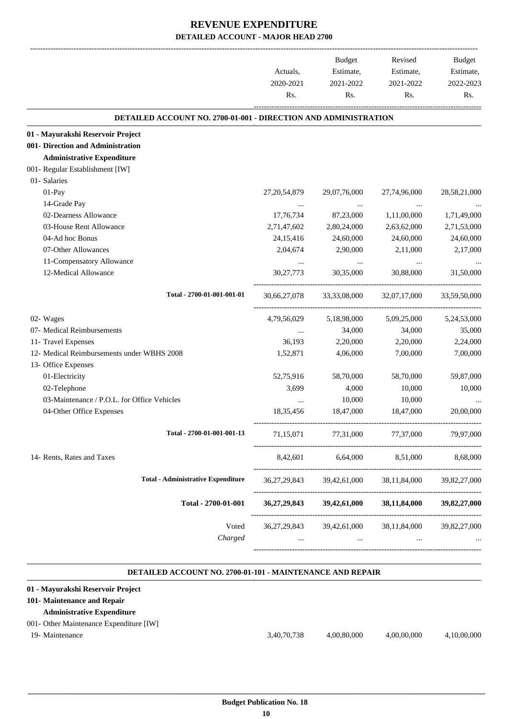|                                                                        | Actuals,        | Budget<br>Estimate, | Revised<br>Estimate,                   | Budget<br>Estimate, |
|------------------------------------------------------------------------|-----------------|---------------------|----------------------------------------|---------------------|
|                                                                        | 2020-2021       | 2021-2022           | 2021-2022                              | 2022-2023           |
|                                                                        | Rs.             | Rs.                 | Rs.                                    | Rs.                 |
| <b>DETAILED ACCOUNT NO. 2700-01-001 - DIRECTION AND ADMINISTRATION</b> |                 |                     |                                        |                     |
| 01 - Mayurakshi Reservoir Project                                      |                 |                     |                                        |                     |
| 001- Direction and Administration                                      |                 |                     |                                        |                     |
| <b>Administrative Expenditure</b>                                      |                 |                     |                                        |                     |
| 001- Regular Establishment [IW]                                        |                 |                     |                                        |                     |
| 01- Salaries                                                           |                 |                     |                                        |                     |
| 01-Pay                                                                 | 27, 20, 54, 879 | 29,07,76,000        | 27,74,96,000                           | 28,58,21,000        |
| 14-Grade Pay                                                           |                 |                     |                                        |                     |
| 02-Dearness Allowance                                                  | 17,76,734       | 87,23,000           | 1,11,00,000                            | 1,71,49,000         |
| 03-House Rent Allowance                                                | 2,71,47,602     | 2,80,24,000         | 2,63,62,000                            | 2,71,53,000         |
| 04-Ad hoc Bonus                                                        | 24, 15, 416     | 24,60,000           | 24,60,000                              | 24,60,000           |
| 07-Other Allowances                                                    | 2,04,674        | 2,90,000            | 2,11,000                               | 2,17,000            |
| 11-Compensatory Allowance                                              |                 | $\cdots$            |                                        |                     |
| 12-Medical Allowance                                                   | 30,27,773       | 30,35,000           | 30,88,000                              | 31,50,000           |
| Total - 2700-01-001-001-01                                             | 30,66,27,078    | 33, 33, 08, 000     | 32,07,17,000                           | 33,59,50,000        |
| 02- Wages                                                              | 4,79,56,029     | 5,18,98,000         | 5,09,25,000                            | 5,24,53,000         |
| 07- Medical Reimbursements                                             | $\cdots$        | 34,000              | 34,000                                 | 35,000              |
| 11- Travel Expenses                                                    | 36,193          | 2,20,000            | 2,20,000                               | 2,24,000            |
| 12- Medical Reimbursements under WBHS 2008                             | 1,52,871        | 4,06,000            | 7,00,000                               | 7,00,000            |
| 13- Office Expenses                                                    |                 |                     |                                        |                     |
| 01-Electricity                                                         | 52,75,916       | 58,70,000           | 58,70,000                              | 59,87,000           |
| 02-Telephone                                                           | 3,699           | 4,000               | 10,000                                 | 10,000              |
| 03-Maintenance / P.O.L. for Office Vehicles                            |                 | 10,000              | 10,000                                 |                     |
| 04-Other Office Expenses                                               | 18,35,456       | 18,47,000           | 18,47,000                              | 20,00,000           |
| Total - 2700-01-001-001-13                                             | 71,15,071       | 77,31,000           | 77,37,000                              | 79,97,000           |
| 14- Rents, Rates and Taxes                                             |                 |                     | 8,42,601 6,64,000 8,51,000             | 8,68,000            |
| <b>Total - Administrative Expenditure</b>                              | 36, 27, 29, 843 | 39,42,61,000        | 38,11,84,000                           | 39,82,27,000        |
| Total - 2700-01-001                                                    | 36, 27, 29, 843 | 39,42,61,000        | 38,11,84,000                           | 39,82,27,000        |
| Voted                                                                  |                 |                     | 36,27,29,843 39,42,61,000 38,11,84,000 | 39,82,27,000        |
| Charged                                                                |                 |                     | and the state of the state<br>$\cdots$ |                     |

#### **DETAILED ACCOUNT NO. 2700-01-101 - MAINTENANCE AND REPAIR .**

.

#### **01 - Mayurakshi Reservoir Project**

#### **101- Maintenance and Repair**

**Administrative Expenditure**

### 001- Other Maintenance Expenditure [IW]

19- Maintenance 3,40,70,738 4,00,80,000 4,00,00,000 4,10,00,000

 **Budget Publication No. 18 10**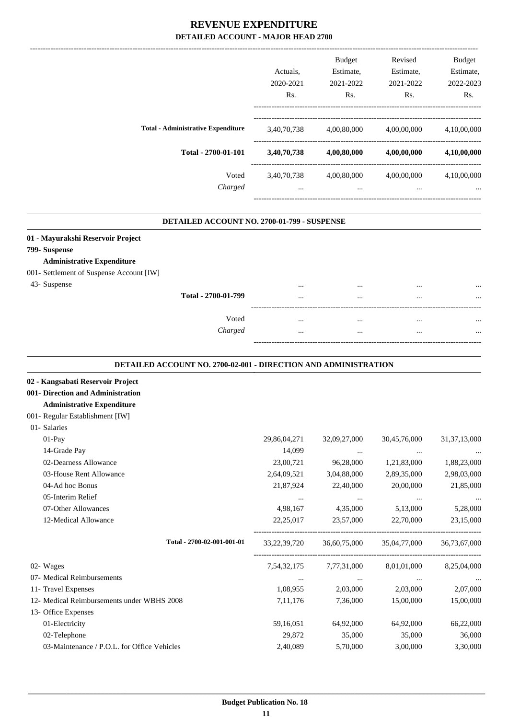|                                           | Actuals.    | <b>Budget</b><br>Estimate, | Revised<br>Estimate, | Budget<br>Estimate, |
|-------------------------------------------|-------------|----------------------------|----------------------|---------------------|
|                                           | 2020-2021   | 2021-2022                  | 2021-2022            | 2022-2023           |
|                                           | Rs.         | Rs.                        | Rs.                  | Rs.                 |
| <b>Total - Administrative Expenditure</b> | 3,40,70,738 | 4,00,80,000                | 4,00,00,000          | 4,10,00,000         |
| Total - 2700-01-101                       | 3,40,70,738 | 4,00,80,000                | 4,00,00,000          | 4,10,00,000         |
| Voted                                     | 3,40,70,738 | 4,00,80,000                | 4,00,00,000          | 4,10,00,000         |
| Charged                                   | $\cdots$    | $\cdots$                   | $\cdots$             |                     |

#### **DETAILED ACCOUNT NO. 2700-01-799 - SUSPENSE .**

|  |  | 01 - Mayurakshi Reservoir Project |  |  |
|--|--|-----------------------------------|--|--|
|--|--|-----------------------------------|--|--|

**799- Suspense**

#### **Administrative Expenditure**

- 001- Settlement of Suspense Account [IW]
- 

| 43- Suspense | Total - 2700-01-799 | <br><br>---                  | <br><br><br> | <br> |
|--------------|---------------------|------------------------------|--------------|------|
|              | Voted<br>Charged    | <br>                         | <br><br><br> | <br> |
|              |                     | ---------------------------- |              |      |

#### **DETAILED ACCOUNT NO. 2700-02-001 - DIRECTION AND ADMINISTRATION .**

.

#### **02 - Kangsabati Reservoir Project**

**001- Direction and Administration**

#### **Administrative Expenditure**

001- Regular Establishment [IW]

| 01- Salaries                                |                 |              |              |                 |
|---------------------------------------------|-----------------|--------------|--------------|-----------------|
| $01-Pay$                                    | 29,86,04,271    | 32,09,27,000 | 30,45,76,000 | 31, 37, 13, 000 |
| 14-Grade Pay                                | 14,099          | $\cdots$     | $\cdots$     | $\cdots$        |
| 02-Dearness Allowance                       | 23,00,721       | 96,28,000    | 1,21,83,000  | 1,88,23,000     |
| 03-House Rent Allowance                     | 2,64,09,521     | 3,04,88,000  | 2,89,35,000  | 2,98,03,000     |
| 04-Ad hoc Bonus                             | 21,87,924       | 22,40,000    | 20,00,000    | 21,85,000       |
| 05-Interim Relief                           | $\cdots$        | $\cdots$     | $\cdots$     |                 |
| 07-Other Allowances                         | 4,98,167        | 4,35,000     | 5,13,000     | 5,28,000        |
| 12-Medical Allowance                        | 22,25,017       | 23,57,000    | 22,70,000    | 23,15,000       |
| Total - 2700-02-001-001-01                  | 33, 22, 39, 720 | 36,60,75,000 | 35,04,77,000 | 36,73,67,000    |
| 02- Wages                                   | 7,54,32,175     | 7,77,31,000  | 8,01,01,000  | 8,25,04,000     |
| 07- Medical Reimbursements                  | $\cdots$        | $\cdots$     | $\cdots$     | $\cdots$        |
| 11- Travel Expenses                         | 1,08,955        | 2,03,000     | 2,03,000     | 2,07,000        |
| 12- Medical Reimbursements under WBHS 2008  | 7, 11, 176      | 7,36,000     | 15,00,000    | 15,00,000       |
| 13- Office Expenses                         |                 |              |              |                 |
| 01-Electricity                              | 59,16,051       | 64,92,000    | 64,92,000    | 66,22,000       |
| 02-Telephone                                | 29,872          | 35,000       | 35,000       | 36,000          |
| 03-Maintenance / P.O.L. for Office Vehicles | 2,40,089        | 5,70,000     | 3,00,000     | 3,30,000        |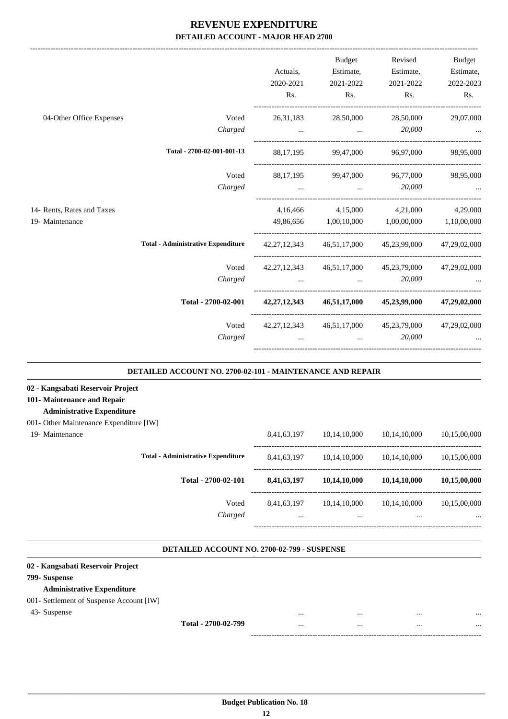|                                                                  | Actuals,<br>2020-2021 | Budget<br>Estimate,<br>2021-2022      | Revised<br>Estimate,<br>2021-2022                                       | Budget<br>Estimate,<br>2022-2023 |
|------------------------------------------------------------------|-----------------------|---------------------------------------|-------------------------------------------------------------------------|----------------------------------|
|                                                                  | Rs.                   | Rs.                                   | Rs.                                                                     | Rs.                              |
| 04-Other Office Expenses<br>Voted                                | 26, 31, 183           | 28,50,000                             | 28,50,000                                                               | 29,07,000                        |
| Charged                                                          | $\cdots$              | $\ddotsc$                             | 20,000                                                                  |                                  |
| Total - 2700-02-001-001-13                                       |                       |                                       | 88.17.195 99.47.000 96.97.000                                           | 98,95,000                        |
| Voted                                                            |                       | 88,17,195 99,47,000 96,77,000         |                                                                         | 98,95,000                        |
| Charged                                                          |                       | and the control of the control of the | 20,000                                                                  |                                  |
| 14- Rents, Rates and Taxes                                       |                       |                                       | 4,16,466 4,15,000 4,21,000                                              | 4,29,000                         |
| 19- Maintenance                                                  |                       | 49,86,656 1,00,10,000 1,00,00,000     |                                                                         | 1,10,00,000                      |
| <b>Total - Administrative Expenditure</b>                        |                       |                                       | 42,27,12,343 46,51,17,000 45,23,99,000                                  | 47,29,02,000                     |
| Voted                                                            |                       |                                       | 42,27,12,343 46,51,17,000 45,23,79,000                                  | 47,29,02,000                     |
| Charged                                                          |                       |                                       | 20,000<br>$\mathbf{r}$ and $\mathbf{r}$ are all the set of $\mathbf{r}$ |                                  |
| Total - 2700-02-001                                              |                       |                                       | 42,27,12,343 46,51,17,000 45,23,99,000                                  | 47,29,02,000                     |
| Voted                                                            | 42, 27, 12, 343       |                                       | 46,51,17,000 45,23,79,000                                               | 47,29,02,000                     |
| Charged                                                          |                       |                                       | 20,000<br>$\mathbf{r}$ and $\mathbf{r}$ are all $\mathbf{r}$            |                                  |
| <b>DETAILED ACCOUNT NO. 2700-02-101 - MAINTENANCE AND REPAIR</b> |                       |                                       |                                                                         |                                  |

### **101- Maintenance and Repair**

#### **Administrative Expenditure**

#### 001- Other Maintenance Expenditure [IW]

| 19- Maintenance |
|-----------------|
|-----------------|

| 19- Maintenance |                                           | 8,41,63,197             | 10,14,10,000     | 10,14,10,000     | 10,15,00,000             |
|-----------------|-------------------------------------------|-------------------------|------------------|------------------|--------------------------|
|                 | <b>Total - Administrative Expenditure</b> | 8,41,63,197             | 10,14,10,000     | 10,14,10,000     | 10,15,00,000             |
|                 | Total - 2700-02-101                       | 8,41,63,197             | 10,14,10,000     | 10,14,10,000     | 10,15,00,000             |
|                 | Voted<br>Charged                          | 8,41,63,197<br>$\cdots$ | 10.14.10.000<br> | 10,14,10,000<br> | 10,15,00,000<br>$\cdots$ |
|                 |                                           |                         |                  |                  |                          |

.

#### **DETAILED ACCOUNT NO. 2700-02-799 - SUSPENSE**

| 02 - Kangsabati Reservoir Project        |                     |      |              |
|------------------------------------------|---------------------|------|--------------|
| 799- Suspense                            |                     |      |              |
| <b>Administrative Expenditure</b>        |                     |      |              |
| 001- Settlement of Suspense Account [IW] |                     |      |              |
| 43- Suspense                             |                     | <br> | <br>$\cdots$ |
|                                          | Total - 2700-02-799 | <br> | <br>$\cdots$ |
|                                          |                     |      |              |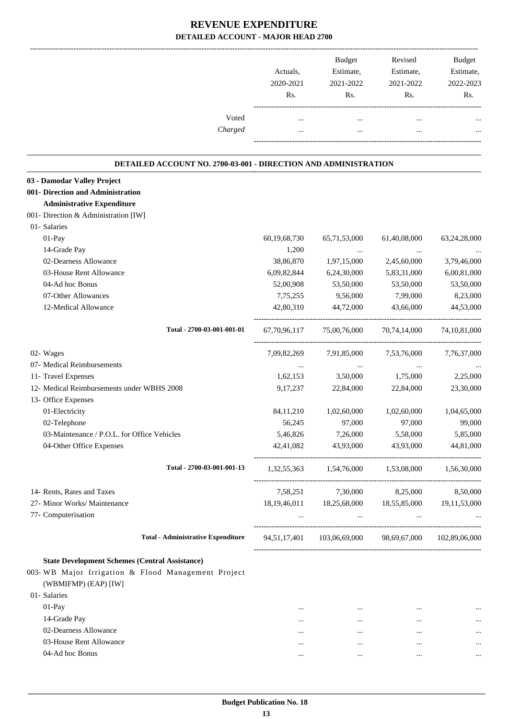|                                                                            | Actuals,<br>2020-2021<br>Rs. | Budget<br>Estimate,<br>2021-2022<br>Rs.                                                                                                                                                                                                     | Revised<br>Estimate,<br>2021-2022<br>Rs. | <b>Budget</b><br>Estimate,<br>2022-2023<br>Rs. |
|----------------------------------------------------------------------------|------------------------------|---------------------------------------------------------------------------------------------------------------------------------------------------------------------------------------------------------------------------------------------|------------------------------------------|------------------------------------------------|
|                                                                            |                              |                                                                                                                                                                                                                                             |                                          |                                                |
| Voted                                                                      | $\cdots$                     | $\cdots$                                                                                                                                                                                                                                    | $\cdots$                                 |                                                |
| Charged                                                                    |                              | $\cdots$                                                                                                                                                                                                                                    |                                          |                                                |
| <b>DETAILED ACCOUNT NO. 2700-03-001 - DIRECTION AND ADMINISTRATION</b>     |                              |                                                                                                                                                                                                                                             |                                          |                                                |
| 03 - Damodar Valley Project                                                |                              |                                                                                                                                                                                                                                             |                                          |                                                |
| 001- Direction and Administration                                          |                              |                                                                                                                                                                                                                                             |                                          |                                                |
| <b>Administrative Expenditure</b>                                          |                              |                                                                                                                                                                                                                                             |                                          |                                                |
| 001- Direction & Administration [IW]                                       |                              |                                                                                                                                                                                                                                             |                                          |                                                |
| 01- Salaries                                                               |                              |                                                                                                                                                                                                                                             |                                          |                                                |
| 01-Pay                                                                     | 60,19,68,730                 | 65,71,53,000                                                                                                                                                                                                                                | 61,40,08,000                             | 63,24,28,000                                   |
| 14-Grade Pay                                                               | 1,200                        | $\cdots$                                                                                                                                                                                                                                    | $\cdots$                                 |                                                |
| 02-Dearness Allowance                                                      | 38,86,870                    | 1,97,15,000                                                                                                                                                                                                                                 | 2,45,60,000                              | 3,79,46,000                                    |
| 03-House Rent Allowance                                                    | 6,09,82,844                  | 6,24,30,000                                                                                                                                                                                                                                 | 5,83,31,000                              | 6,00,81,000                                    |
| 04-Ad hoc Bonus                                                            | 52,00,908                    | 53,50,000                                                                                                                                                                                                                                   | 53,50,000                                | 53,50,000                                      |
| 07-Other Allowances                                                        | 7,75,255                     | 9,56,000                                                                                                                                                                                                                                    | 7,99,000                                 | 8,23,000                                       |
| 12-Medical Allowance                                                       | 42,80,310                    | 44,72,000                                                                                                                                                                                                                                   | 43,66,000                                | 44,53,000                                      |
| Total - 2700-03-001-001-01                                                 | 67,70,96,117                 | 75,00,76,000                                                                                                                                                                                                                                | 70,74,14,000                             | 74, 10, 81, 000                                |
| 02- Wages                                                                  | 7,09,82,269                  | 7,91,85,000                                                                                                                                                                                                                                 | 7,53,76,000                              | 7,76,37,000                                    |
| 07- Medical Reimbursements                                                 | $\cdots$                     | $\ldots$                                                                                                                                                                                                                                    | $\cdots$                                 |                                                |
| 11- Travel Expenses                                                        | 1,62,153                     | 3,50,000                                                                                                                                                                                                                                    | 1,75,000                                 | 2,25,000                                       |
| 12- Medical Reimbursements under WBHS 2008                                 | 9, 17, 237                   | 22,84,000                                                                                                                                                                                                                                   | 22,84,000                                | 23,30,000                                      |
| 13- Office Expenses                                                        |                              |                                                                                                                                                                                                                                             |                                          |                                                |
| 01-Electricity                                                             | 84,11,210                    | 1,02,60,000                                                                                                                                                                                                                                 | 1,02,60,000                              | 1,04,65,000                                    |
| 02-Telephone                                                               | 56.245                       | 97,000                                                                                                                                                                                                                                      | 97,000                                   | 99,000                                         |
| 03-Maintenance / P.O.L. for Office Vehicles                                | 5,46,826                     | 7,26,000                                                                                                                                                                                                                                    | 5,58,000                                 | 5,85,000                                       |
| 04-Other Office Expenses                                                   |                              | 42,41,082 43,93,000 43,93,000                                                                                                                                                                                                               |                                          | 44,81,000                                      |
| Total - 2700-03-001-001-13                                                 |                              | $1,32,55,363$ $1,54,76,000$ $1,53,08,000$ $1,56,30,000$                                                                                                                                                                                     |                                          |                                                |
| 14- Rents, Rates and Taxes                                                 |                              | 7,58,251 7,30,000 8,25,000                                                                                                                                                                                                                  |                                          | 8,50,000                                       |
| 27- Minor Works/ Maintenance                                               |                              | 18, 19, 46, 011 18, 25, 68, 000 18, 55, 85, 000 19, 11, 53, 000                                                                                                                                                                             |                                          |                                                |
| 77- Computerisation                                                        |                              | $\mathbf{m}_{\mathrm{eff}}$ , and the state of the state of the state of the state of the state of the state of the state of the state of the state of the state of the state of the state of the state of the state of the state of the st |                                          |                                                |
| <b>Total - Administrative Expenditure</b>                                  |                              | 94,51,17,401 103,06,69,000 98,69,67,000 102,89,06,000                                                                                                                                                                                       |                                          |                                                |
|                                                                            |                              |                                                                                                                                                                                                                                             |                                          |                                                |
| <b>State Development Schemes (Central Assistance)</b>                      |                              |                                                                                                                                                                                                                                             |                                          |                                                |
| 003-WB Major Irrigation & Flood Management Project<br>(WBMIFMP) (EAP) [IW] |                              |                                                                                                                                                                                                                                             |                                          |                                                |
| 01- Salaries                                                               |                              |                                                                                                                                                                                                                                             |                                          |                                                |
| 01-Pay                                                                     | $\cdots$                     | $\cdots$                                                                                                                                                                                                                                    | $\cdots$                                 |                                                |
| 14-Grade Pay                                                               | $\cdots$                     | $\cdots$                                                                                                                                                                                                                                    | $\cdots$                                 |                                                |
| 02-Dearness Allowance                                                      |                              | $\cdots$                                                                                                                                                                                                                                    | $\cdots$                                 |                                                |
| 03-House Rent Allowance                                                    | $\cdots$                     | $\cdots$                                                                                                                                                                                                                                    | $\ddotsc$                                |                                                |
| 04-Ad hoc Bonus                                                            | $\cdots$                     | $\cdots$                                                                                                                                                                                                                                    | $\cdots$                                 | $\ldots$                                       |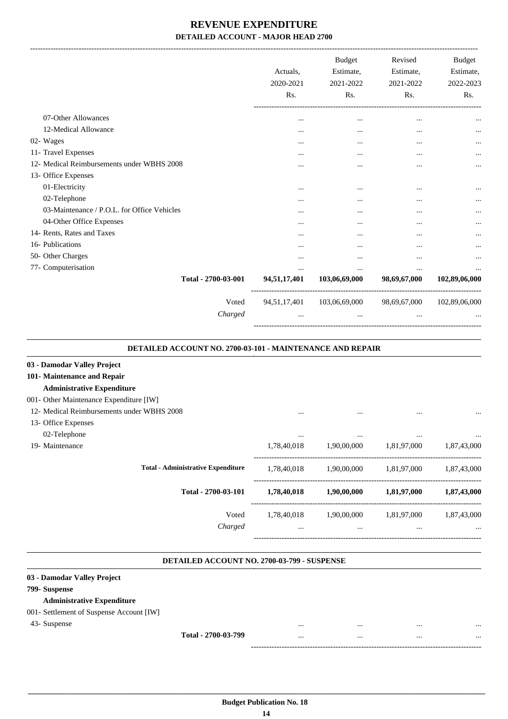|                                             | Actuals.<br>2020-2021<br>Rs. | <b>Budget</b><br>Estimate,<br>2021-2022<br>Rs. | Revised<br>Estimate,<br>2021-2022<br>Rs. | <b>Budget</b><br>Estimate,<br>2022-2023<br>Rs. |
|---------------------------------------------|------------------------------|------------------------------------------------|------------------------------------------|------------------------------------------------|
| 07-Other Allowances                         | $\cdots$                     | $\cdots$                                       |                                          |                                                |
| 12-Medical Allowance                        | $\cdots$                     | $\cdots$                                       |                                          |                                                |
| 02- Wages                                   | $\cdots$                     | $\cdots$                                       |                                          |                                                |
| 11- Travel Expenses                         | $\cdots$                     | $\cdots$                                       | $\cdots$                                 | $\cdots$                                       |
| 12- Medical Reimbursements under WBHS 2008  | $\cdots$                     |                                                | $\cdots$                                 |                                                |
| 13- Office Expenses                         |                              |                                                |                                          |                                                |
| 01-Electricity                              |                              |                                                | $\cdots$                                 |                                                |
| 02-Telephone                                |                              |                                                |                                          |                                                |
| 03-Maintenance / P.O.L. for Office Vehicles |                              |                                                |                                          |                                                |
| 04-Other Office Expenses                    | $\cdots$                     |                                                |                                          |                                                |
| 14- Rents, Rates and Taxes                  | $\cdots$                     | $\ddotsc$                                      |                                          |                                                |
| 16- Publications                            |                              |                                                |                                          | $\cdots$                                       |
| 50- Other Charges                           |                              |                                                | $\cdots$                                 |                                                |
| 77- Computerisation                         | $\cdots$                     | $\cdots$                                       | $\cdots$                                 |                                                |
| Total - 2700-03-001                         | 94,51,17,401                 | 103,06,69,000                                  | 98,69,67,000                             | 102,89,06,000                                  |
| Voted                                       | 94,51,17,401                 | 103,06,69,000                                  | 98,69,67,000                             | 102,89,06,000                                  |
| Charged                                     |                              |                                                |                                          |                                                |

#### **DETAILED ACCOUNT NO. 2700-03-101 - MAINTENANCE AND REPAIR .**

.

.

| 03 - Damodar Valley Project                |             |             |             |             |
|--------------------------------------------|-------------|-------------|-------------|-------------|
| 101- Maintenance and Repair                |             |             |             |             |
| <b>Administrative Expenditure</b>          |             |             |             |             |
| 001- Other Maintenance Expenditure [IW]    |             |             |             |             |
| 12- Medical Reimbursements under WBHS 2008 | $\cdots$    | $\cdots$    | $\cdots$    | $\cdots$    |
| 13- Office Expenses                        |             |             |             |             |
| 02-Telephone                               | $\cdots$    | $\cdots$    | $\cdots$    | $\cdots$    |
| 19- Maintenance                            | 1,78,40,018 | 1,90,00,000 | 1,81,97,000 | 1,87,43,000 |
| <b>Total - Administrative Expenditure</b>  | 1,78,40,018 | 1,90,00,000 | 1,81,97,000 | 1,87,43,000 |
| Total - 2700-03-101                        | 1,78,40,018 | 1,90,00,000 | 1,81,97,000 | 1,87,43,000 |
| Voted                                      | 1,78,40,018 | 1,90,00,000 | 1,81,97,000 | 1,87,43,000 |
| Charged                                    | $\cdots$    | $\cdots$    | $\cdots$    | $\cdots$    |
|                                            |             |             |             |             |

#### **DETAILED ACCOUNT NO. 2700-03-799 - SUSPENSE .**

#### **03 - Damodar Valley Project**

#### **799- Suspense**

#### **Administrative Expenditure**

### 001- Settlement of Suspense Account [IW]

43- Suspense ... ... ... ...

**Total - 2700-03-799** ... ... ... ...

------------------------------------------------------------------------------------------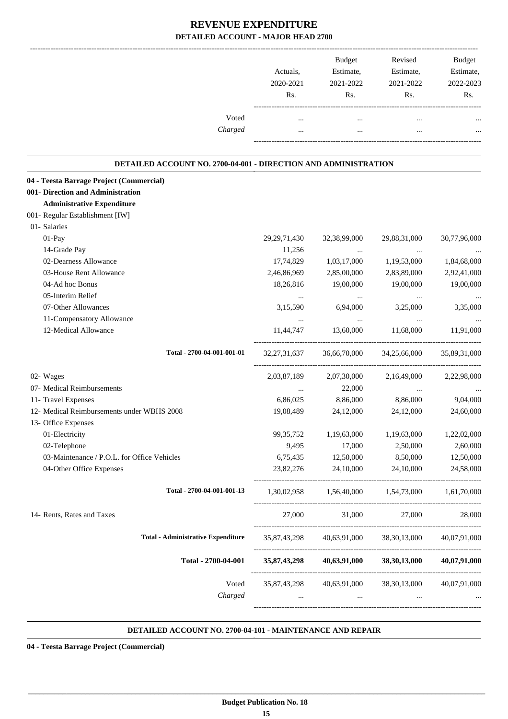|                                                                 | Actuals,<br>2020-2021<br>Rs. | Budget<br>Estimate,<br>2021-2022<br>Rs. | Revised<br>Estimate,<br>2021-2022<br>Rs.            | <b>Budget</b><br>Estimate,<br>2022-2023<br>Rs. |
|-----------------------------------------------------------------|------------------------------|-----------------------------------------|-----------------------------------------------------|------------------------------------------------|
| Voted<br>Charged                                                | $\cdots$                     | $\cdots$                                | $\cdots$                                            |                                                |
| DETAILED ACCOUNT NO. 2700-04-001 - DIRECTION AND ADMINISTRATION |                              |                                         |                                                     |                                                |
| 04 - Teesta Barrage Project (Commercial)                        |                              |                                         |                                                     |                                                |
| 001- Direction and Administration                               |                              |                                         |                                                     |                                                |
| <b>Administrative Expenditure</b>                               |                              |                                         |                                                     |                                                |
| 001- Regular Establishment [IW]                                 |                              |                                         |                                                     |                                                |
| 01- Salaries                                                    |                              |                                         |                                                     |                                                |
| 01-Pay                                                          | 29, 29, 71, 430              | 32, 38, 99, 000                         | 29,88,31,000                                        | 30,77,96,000                                   |
| 14-Grade Pay                                                    | 11,256                       |                                         |                                                     |                                                |
| 02-Dearness Allowance                                           | 17,74,829                    | 1,03,17,000                             | 1,19,53,000                                         | 1,84,68,000                                    |
| 03-House Rent Allowance                                         | 2,46,86,969                  | 2,85,00,000                             | 2,83,89,000                                         | 2,92,41,000                                    |
| 04-Ad hoc Bonus                                                 | 18,26,816                    | 19,00,000                               | 19,00,000                                           | 19,00,000                                      |
| 05-Interim Relief                                               | $\ldots$                     |                                         |                                                     |                                                |
| 07-Other Allowances                                             | 3,15,590                     | 6,94,000                                | 3,25,000                                            | 3,35,000                                       |
| 11-Compensatory Allowance                                       | $\cdots$                     | $\cdots$                                | $\cdots$                                            |                                                |
| 12-Medical Allowance                                            | 11,44,747                    | 13,60,000                               | 11,68,000                                           | 11,91,000                                      |
| Total - 2700-04-001-001-01                                      | 32, 27, 31, 637              | 36,66,70,000                            | 34,25,66,000                                        | 35,89,31,000                                   |
| 02- Wages                                                       | 2,03,87,189                  | 2,07,30,000                             | 2,16,49,000                                         | 2,22,98,000                                    |
| 07- Medical Reimbursements                                      |                              | 22,000                                  | $\cdots$                                            |                                                |
| 11- Travel Expenses                                             | 6,86,025                     | 8,86,000                                | 8,86,000                                            | 9,04,000                                       |
| 12- Medical Reimbursements under WBHS 2008                      | 19,08,489                    | 24,12,000                               | 24,12,000                                           | 24,60,000                                      |
| 13- Office Expenses                                             |                              |                                         |                                                     |                                                |
| 01-Electricity                                                  | 99, 35, 752                  | 1,19,63,000                             | 1,19,63,000                                         | 1,22,02,000                                    |
| 02-Telephone                                                    | 9,495                        | 17,000                                  | 2,50,000                                            | 2,60,000                                       |
| 03-Maintenance / P.O.L. for Office Vehicles                     | 6,75,435                     | 12,50,000                               | 8,50,000                                            | 12,50,000                                      |
| 04-Other Office Expenses                                        | 23,82,276                    | 24,10,000                               | 24,10,000                                           | 24,58,000                                      |
| Total - 2700-04-001-001-13                                      |                              |                                         | 1,30,02,958 1,56,40,000 1,54,73,000 1,61,70,000     |                                                |
| 14- Rents, Rates and Taxes                                      |                              |                                         | 27,000 31,000 27,000 28,000                         |                                                |
| <b>Total - Administrative Expenditure</b>                       |                              |                                         | 35,87,43,298 40,63,91,000 38,30,13,000 40,07,91,000 |                                                |
| Total - 2700-04-001                                             | 35,87,43,298                 |                                         | 40,63,91,000 38,30,13,000                           | 40,07,91,000                                   |
| Voted                                                           |                              |                                         | 35,87,43,298 40,63,91,000 38,30,13,000              | 40,07,91,000                                   |
| Charged                                                         | $\cdots$                     | $\mathbf{1}$                            | $\mathbf{r}$                                        |                                                |
|                                                                 |                              |                                         |                                                     |                                                |

#### **DETAILED ACCOUNT NO. 2700-04-101 - MAINTENANCE AND REPAIR .**

.

**04 - Teesta Barrage Project (Commercial)**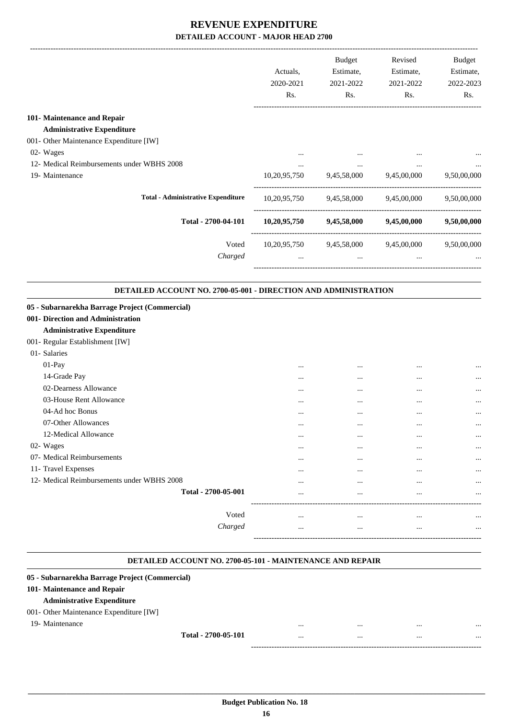|                                                                                                                        | Actuals,<br>2020-2021<br>Rs. | Budget<br>Estimate,<br>2021-2022<br>Rs. | Revised<br>Estimate,<br>2021-2022<br>Rs.                 | Budget<br>Estimate,<br>2022-2023<br>Rs. |
|------------------------------------------------------------------------------------------------------------------------|------------------------------|-----------------------------------------|----------------------------------------------------------|-----------------------------------------|
| 101- Maintenance and Repair                                                                                            |                              |                                         |                                                          |                                         |
| <b>Administrative Expenditure</b>                                                                                      |                              |                                         |                                                          |                                         |
| 001- Other Maintenance Expenditure [IW]                                                                                |                              |                                         |                                                          |                                         |
| 02- Wages                                                                                                              | $\cdots$                     |                                         |                                                          |                                         |
| 12- Medical Reimbursements under WBHS 2008                                                                             | $\cdots$                     | $\cdots$                                | $\cdots$                                                 |                                         |
| 19- Maintenance                                                                                                        |                              |                                         | 10,20,95,750 9,45,58,000 9,45,00,000                     | 9,50,00,000                             |
| <b>Total - Administrative Expenditure</b>                                                                              |                              |                                         | $10,20,95,750$ $9,45,58,000$ $9,45,00,000$ $9,50,00,000$ |                                         |
| Total - 2700-04-101                                                                                                    |                              |                                         | $10,20,95,750$ $9,45,58,000$ $9,45,00,000$               | 9,50,00,000                             |
| Voted                                                                                                                  |                              |                                         | 10,20,95,750 9,45,58,000 9,45,00,000 9,50,00,000         |                                         |
| Charged                                                                                                                |                              | and the state of the                    | and the state of the state<br>$\cdots$                   |                                         |
| DETAILED ACCOUNT NO. 2700-05-001 - DIRECTION AND ADMINISTRATION                                                        |                              |                                         |                                                          |                                         |
| <b>Administrative Expenditure</b>                                                                                      |                              |                                         |                                                          |                                         |
| 05 - Subarnarekha Barrage Project (Commercial)<br>001- Direction and Administration<br>001- Regular Establishment [IW] |                              |                                         |                                                          |                                         |
| 01- Salaries                                                                                                           |                              |                                         |                                                          |                                         |
| 01-Pay                                                                                                                 | $\cdots$                     |                                         | $\cdots$                                                 |                                         |
| 14-Grade Pay                                                                                                           |                              |                                         |                                                          |                                         |
| 02-Dearness Allowance                                                                                                  |                              |                                         | $\cdots$                                                 |                                         |
| 03-House Rent Allowance                                                                                                |                              |                                         |                                                          |                                         |
| 04-Ad hoc Bonus                                                                                                        |                              |                                         |                                                          |                                         |
| 07-Other Allowances                                                                                                    |                              | $\ddotsc$                               |                                                          |                                         |
| 12-Medical Allowance                                                                                                   |                              | $\cdots$                                |                                                          |                                         |
| 02- Wages                                                                                                              |                              | $\cdots$                                |                                                          |                                         |
| 07- Medical Reimbursements                                                                                             |                              |                                         |                                                          |                                         |
| 11- Travel Expenses                                                                                                    |                              |                                         |                                                          |                                         |
| 12- Medical Reimbursements under WBHS 2008                                                                             |                              | $\ddotsc$                               |                                                          |                                         |
| Total - 2700-05-001                                                                                                    |                              | $\ddotsc$                               |                                                          |                                         |
| Voted                                                                                                                  |                              | $\ddotsc$                               |                                                          |                                         |

#### **DETAILED ACCOUNT NO. 2700-05-101 - MAINTENANCE AND REPAIR .**

.

### **05 - Subarnarekha Barrage Project (Commercial) 101- Maintenance and Repair Administrative Expenditure** 001- Other Maintenance Expenditure [IW] 19- Maintenance ... ... ... ... **Total - 2700-05-101** ... ... ... ... ------------------------------------------------------------------------------------------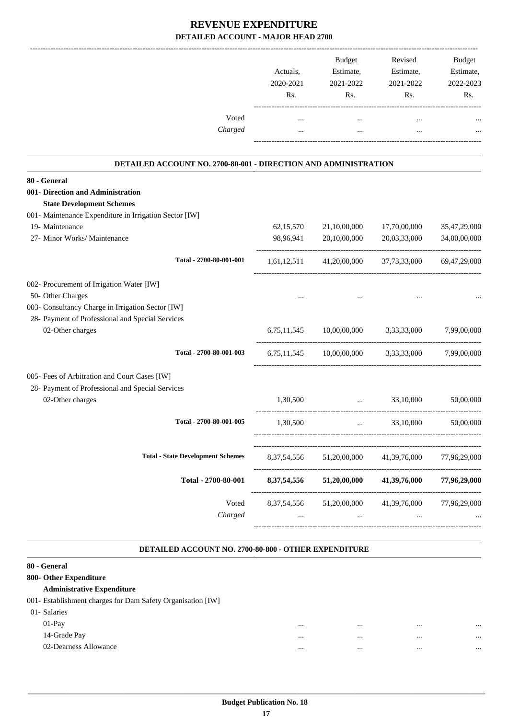| Voted                                                                                                 | Actuals,<br>2020-2021<br>Rs.<br>$\cdots$ | <b>Budget</b><br>Estimate,<br>2021-2022<br>Rs.<br>$\cdots$ | Revised<br>Estimate,<br>2021-2022<br>Rs.<br>$\cdots$ | Budget<br>Estimate,<br>2022-2023<br>Rs. |
|-------------------------------------------------------------------------------------------------------|------------------------------------------|------------------------------------------------------------|------------------------------------------------------|-----------------------------------------|
| Charged                                                                                               | $\ddotsc$                                | $\cdots$                                                   | $\ddotsc$                                            |                                         |
| DETAILED ACCOUNT NO. 2700-80-001 - DIRECTION AND ADMINISTRATION                                       |                                          |                                                            |                                                      |                                         |
| 80 - General                                                                                          |                                          |                                                            |                                                      |                                         |
| 001- Direction and Administration<br><b>State Development Schemes</b>                                 |                                          |                                                            |                                                      |                                         |
| 001- Maintenance Expenditure in Irrigation Sector [IW]<br>19- Maintenance                             | 62,15,570                                | 21,10,00,000                                               | 17,70,00,000                                         | 35,47,29,000                            |
| 27- Minor Works/ Maintenance                                                                          | 98,96,941                                | 20,10,00,000                                               | 20,03,33,000                                         | 34,00,00,000                            |
| Total - 2700-80-001-001                                                                               | 1,61,12,511                              |                                                            | 41,20,00,000 37,73,33,000                            | 69.47.29.000                            |
| 002- Procurement of Irrigation Water [IW]                                                             |                                          |                                                            |                                                      |                                         |
| 50- Other Charges                                                                                     |                                          |                                                            |                                                      |                                         |
| 003- Consultancy Charge in Irrigation Sector [IW]<br>28- Payment of Professional and Special Services |                                          |                                                            |                                                      |                                         |
| 02-Other charges                                                                                      | 6,75,11,545                              |                                                            | 10,00,00,000 3,33,33,000                             | 7,99,00,000                             |
| Total - 2700-80-001-003                                                                               |                                          | 6,75,11,545 10,00,00,000                                   | 3,33,33,000                                          | 7,99,00,000                             |
| 005- Fees of Arbitration and Court Cases [IW]                                                         |                                          |                                                            |                                                      |                                         |
| 28- Payment of Professional and Special Services<br>02-Other charges                                  | 1,30,500                                 | $\cdots$                                                   | 33,10,000                                            | 50,00,000                               |
| Total - 2700-80-001-005                                                                               | 1,30,500                                 | ----------------------------<br>$\cdots$                   | 33,10,000                                            | 50,00,000                               |
| <b>Total - State Development Schemes</b>                                                              | 8, 37, 54, 556                           | 51,20,00,000                                               | 41,39,76,000                                         | 77,96,29,000                            |
| Total - 2700-80-001                                                                                   | 8,37,54,556                              | -------------------<br>51,20,00,000                        | 41,39,76,000                                         | 77,96,29,000                            |
| Voted<br>Charged                                                                                      |                                          | 8,37,54,556 51,20,00,000<br>$\cdots$                       | 41,39,76,000                                         | 77,96,29,000                            |

#### **DETAILED ACCOUNT NO. 2700-80-800 - OTHER EXPENDITURE .**

.

| 80 - General                                                |              |              |
|-------------------------------------------------------------|--------------|--------------|
| 800- Other Expenditure                                      |              |              |
| <b>Administrative Expenditure</b>                           |              |              |
| 001- Establishment charges for Dam Safety Organisation [IW] |              |              |
| 01- Salaries                                                |              |              |
| $01-Pav$                                                    | <br>$\cdots$ | <br>$\cdots$ |
| 14-Grade Pay                                                | <br>$\cdots$ | <br>$\cdots$ |
| 02-Dearness Allowance                                       | <br>$\cdots$ | <br>$\cdots$ |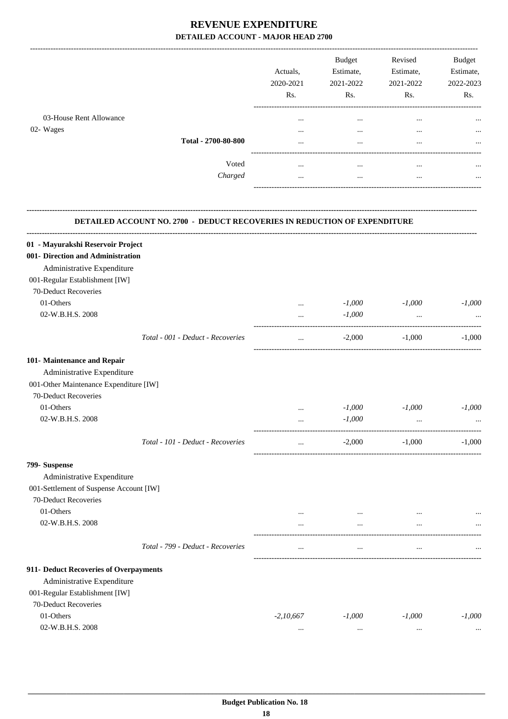-------------------------------------------------------------------------------------------------------------------------------------------------------------------------------

|                                      |                     | Actuals,<br>2020-2021<br>Rs.     | <b>Budget</b><br>Estimate,<br>2021-2022<br>Rs. | Revised<br>Estimate,<br>2021-2022<br>Rs. | <b>Budget</b><br>Estimate,<br>2022-2023<br>Rs. |
|--------------------------------------|---------------------|----------------------------------|------------------------------------------------|------------------------------------------|------------------------------------------------|
| 03-House Rent Allowance<br>02- Wages | Total - 2700-80-800 | $\cdots$<br>$\cdots$<br>$\cdots$ | $\cdots$<br>$\cdots$<br>$\cdots$               | $\cdots$<br>$\cdots$<br>$\cdots$         | $\cdots$<br>$\cdots$<br>$\cdots$               |
|                                      | Voted<br>Charged    | $\cdots$<br>$\cdots$             | $\cdots$<br>$\cdots$                           | $\cdots$<br>$\cdots$                     | $\cdots$<br>$\cdots$                           |

| <b>DETAILED ACCOUNT NO. 2700 - DEDUCT RECOVERIES IN REDUCTION OF EXPENDITURE</b> |                                    |             |                          |           |          |  |
|----------------------------------------------------------------------------------|------------------------------------|-------------|--------------------------|-----------|----------|--|
| 01 - Mayurakshi Reservoir Project                                                | ---------------------------------- |             |                          |           |          |  |
| 001- Direction and Administration                                                |                                    |             |                          |           |          |  |
| Administrative Expenditure                                                       |                                    |             |                          |           |          |  |
| 001-Regular Establishment [IW]                                                   |                                    |             |                          |           |          |  |
| 70-Deduct Recoveries                                                             |                                    |             |                          |           |          |  |
| 01-Others                                                                        |                                    | $\cdots$    | $-1,000$                 | $-1,000$  | $-1.000$ |  |
| 02-W.B.H.S. 2008                                                                 |                                    | $\cdots$    | $-1,000$                 | $\ddots$  |          |  |
|                                                                                  | Total - 001 - Deduct - Recoveries  | $\cdots$    | $-2,000$                 | -1,000    | $-1,000$ |  |
| 101- Maintenance and Repair                                                      |                                    |             |                          |           |          |  |
| Administrative Expenditure                                                       |                                    |             |                          |           |          |  |
| 001-Other Maintenance Expenditure [IW]                                           |                                    |             |                          |           |          |  |
| 70-Deduct Recoveries                                                             |                                    |             |                          |           |          |  |
| 01-Others                                                                        |                                    | $\cdots$    | $-1,000$                 | $-1,000$  | $-1,000$ |  |
| 02-W.B.H.S. 2008                                                                 |                                    | $\cdots$    | $-1,000$                 | $\ddots$  |          |  |
|                                                                                  | Total - 101 - Deduct - Recoveries  | $\cdots$    | $-2,000$                 | $-1,000$  | $-1,000$ |  |
| 799- Suspense                                                                    |                                    |             |                          |           |          |  |
| Administrative Expenditure                                                       |                                    |             |                          |           |          |  |
| 001-Settlement of Suspense Account [IW]                                          |                                    |             |                          |           |          |  |
| 70-Deduct Recoveries                                                             |                                    |             |                          |           |          |  |
| 01-Others                                                                        |                                    | $\cdots$    | $\cdots$                 | $\cdots$  |          |  |
| 02-W.B.H.S. 2008                                                                 |                                    | $\cdots$    | $\overline{\phantom{a}}$ | $\ddotsc$ |          |  |
|                                                                                  | Total - 799 - Deduct - Recoveries  | $\ldots$    | $\cdots$                 | $\ddotsc$ |          |  |
| 911- Deduct Recoveries of Overpayments                                           |                                    |             |                          |           |          |  |
| Administrative Expenditure                                                       |                                    |             |                          |           |          |  |
| 001-Regular Establishment [IW]                                                   |                                    |             |                          |           |          |  |
| 70-Deduct Recoveries                                                             |                                    |             |                          |           |          |  |
| 01-Others                                                                        |                                    | $-2,10,667$ | $-1,000$                 | $-1,000$  | $-1,000$ |  |
| 02-W.B.H.S. 2008                                                                 |                                    | $\cdots$    |                          | $\cdots$  |          |  |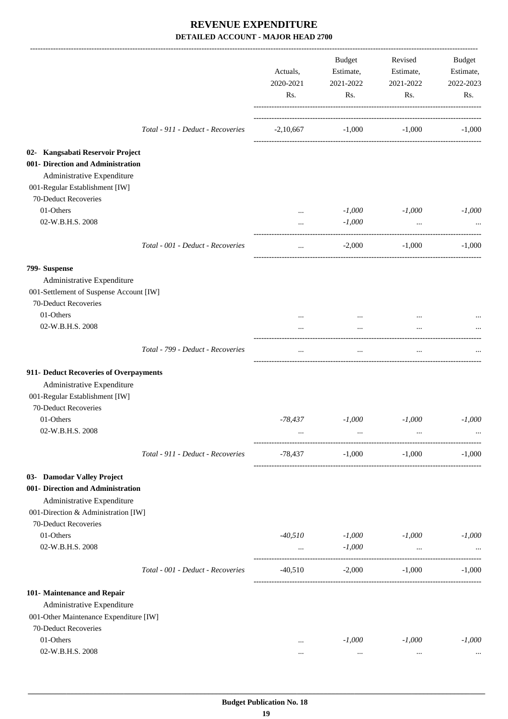|                                                                                                                                       |                                   | Actuals,<br>2020-2021<br>Rs. | Budget<br>Estimate,<br>2021-2022<br>Rs. | Revised<br>Estimate,<br>2021-2022<br>Rs. | Budget<br>Estimate,<br>2022-2023<br>Rs. |
|---------------------------------------------------------------------------------------------------------------------------------------|-----------------------------------|------------------------------|-----------------------------------------|------------------------------------------|-----------------------------------------|
|                                                                                                                                       | Total - 911 - Deduct - Recoveries | $-2,10,667$                  | $-1,000$                                | $-1,000$                                 | $-1,000$                                |
| 02- Kangsabati Reservoir Project<br>001- Direction and Administration<br>Administrative Expenditure<br>001-Regular Establishment [IW] |                                   |                              |                                         |                                          |                                         |
| 70-Deduct Recoveries                                                                                                                  |                                   |                              |                                         |                                          |                                         |
| 01-Others<br>02-W.B.H.S. 2008                                                                                                         |                                   | $\cdots$<br>$\cdots$         | $-1,000$<br>$-1,000$                    | $-1,000$<br>$\ldots$                     | $-1,000$                                |
|                                                                                                                                       | Total - 001 - Deduct - Recoveries | $\cdots$                     | $-2,000$                                | $-1,000$                                 | $-1.000$                                |
| 799- Suspense                                                                                                                         |                                   |                              |                                         |                                          |                                         |
| Administrative Expenditure                                                                                                            |                                   |                              |                                         |                                          |                                         |
| 001-Settlement of Suspense Account [IW]                                                                                               |                                   |                              |                                         |                                          |                                         |
| 70-Deduct Recoveries                                                                                                                  |                                   |                              |                                         |                                          |                                         |
| 01-Others                                                                                                                             |                                   | $\cdots$                     | $\cdots$                                | $\cdots$                                 |                                         |
| 02-W.B.H.S. 2008                                                                                                                      |                                   |                              | $\cdots$                                |                                          |                                         |
|                                                                                                                                       | Total - 799 - Deduct - Recoveries | $\cdots$                     | $\cdots$                                | $\cdots$                                 |                                         |
| 911- Deduct Recoveries of Overpayments                                                                                                |                                   |                              |                                         |                                          |                                         |
| Administrative Expenditure                                                                                                            |                                   |                              |                                         |                                          |                                         |
| 001-Regular Establishment [IW]                                                                                                        |                                   |                              |                                         |                                          |                                         |
| 70-Deduct Recoveries                                                                                                                  |                                   |                              |                                         |                                          |                                         |
| 01-Others                                                                                                                             |                                   | -78,437                      | $-1,000$                                | $-1,000$                                 | $-1,000$                                |
| 02-W.B.H.S. 2008                                                                                                                      |                                   | $\cdots$                     |                                         |                                          |                                         |
|                                                                                                                                       | Total - 911 - Deduct - Recoveries | -78,437                      | $-1,000$                                | $-1,000$                                 | $-1,000$                                |
| 03- Damodar Valley Project                                                                                                            |                                   |                              |                                         |                                          |                                         |
| 001- Direction and Administration<br>Administrative Expenditure                                                                       |                                   |                              |                                         |                                          |                                         |
| 001-Direction & Administration [IW]                                                                                                   |                                   |                              |                                         |                                          |                                         |
| 70-Deduct Recoveries                                                                                                                  |                                   |                              |                                         |                                          |                                         |
| 01-Others                                                                                                                             |                                   | $-40,510$                    | $-1,000$                                | $-1,000$                                 | $-1,000$                                |
| 02-W.B.H.S. 2008                                                                                                                      |                                   | $\cdots$                     | $-1,000$                                | $\cdots$                                 |                                         |
|                                                                                                                                       | Total - 001 - Deduct - Recoveries | $-40,510$                    | $-2,000$                                | $-1,000$                                 | $-1,000$                                |
| 101- Maintenance and Repair                                                                                                           |                                   |                              |                                         |                                          |                                         |
| Administrative Expenditure                                                                                                            |                                   |                              |                                         |                                          |                                         |
| 001-Other Maintenance Expenditure [IW]                                                                                                |                                   |                              |                                         |                                          |                                         |
| 70-Deduct Recoveries                                                                                                                  |                                   |                              |                                         |                                          |                                         |
| 01-Others                                                                                                                             |                                   |                              | $-1,000$                                | $-1,000$                                 | $-1,000$                                |
| 02-W.B.H.S. 2008                                                                                                                      |                                   |                              | $\cdots$                                | $\cdots$                                 |                                         |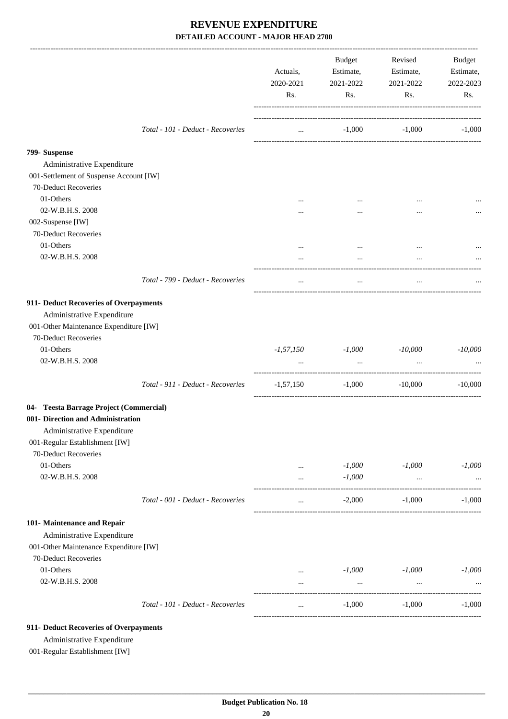|                                                                                                                                                                         |                                   | Actuals,<br>2020-2021<br>Rs. | Budget<br>Estimate,<br>2021-2022<br>Rs. | Revised<br>Estimate,<br>2021-2022<br>Rs. | <b>Budget</b><br>Estimate,<br>2022-2023<br>Rs. |
|-------------------------------------------------------------------------------------------------------------------------------------------------------------------------|-----------------------------------|------------------------------|-----------------------------------------|------------------------------------------|------------------------------------------------|
|                                                                                                                                                                         | Total - 101 - Deduct - Recoveries | $\cdots$                     | $-1,000$                                | $-1,000$                                 | $-1,000$                                       |
| 799- Suspense                                                                                                                                                           |                                   |                              |                                         |                                          |                                                |
| Administrative Expenditure                                                                                                                                              |                                   |                              |                                         |                                          |                                                |
| 001-Settlement of Suspense Account [IW]                                                                                                                                 |                                   |                              |                                         |                                          |                                                |
| 70-Deduct Recoveries                                                                                                                                                    |                                   |                              |                                         |                                          |                                                |
| 01-Others                                                                                                                                                               |                                   |                              |                                         |                                          |                                                |
| 02-W.B.H.S. 2008                                                                                                                                                        |                                   |                              | $\cdots$                                |                                          |                                                |
| 002-Suspense [IW]                                                                                                                                                       |                                   |                              |                                         |                                          |                                                |
| 70-Deduct Recoveries                                                                                                                                                    |                                   |                              |                                         |                                          |                                                |
| 01-Others                                                                                                                                                               |                                   | $\cdots$                     | $\cdots$                                |                                          |                                                |
| 02-W.B.H.S. 2008                                                                                                                                                        |                                   |                              | $\cdots$                                |                                          |                                                |
|                                                                                                                                                                         | Total - 799 - Deduct - Recoveries | $\cdots$                     | $\cdots$                                | $\ldots$                                 |                                                |
| 911- Deduct Recoveries of Overpayments<br>Administrative Expenditure<br>001-Other Maintenance Expenditure [IW]<br>70-Deduct Recoveries<br>01-Others<br>02-W.B.H.S. 2008 |                                   |                              | $-1,57,150$ $-1,000$                    | $-10,000$                                | $-10,000$                                      |
|                                                                                                                                                                         |                                   | $\cdots$                     | $\cdots$                                | $\ddots$                                 |                                                |
|                                                                                                                                                                         | Total - 911 - Deduct - Recoveries | $-1,57,150$                  | $-1,000$                                | $-10,000$                                | $-10,000$                                      |
| 04- Teesta Barrage Project (Commercial)<br>001- Direction and Administration<br>Administrative Expenditure<br>001-Regular Establishment [IW]<br>70-Deduct Recoveries    |                                   |                              |                                         |                                          |                                                |
| 01-Others                                                                                                                                                               |                                   |                              | $-1,000$                                | $-1,000$                                 | $-1,000$                                       |
| 02-W.B.H.S. 2008                                                                                                                                                        |                                   | $\ldots$                     | $-1,000$                                |                                          |                                                |
|                                                                                                                                                                         |                                   | $\cdots$                     |                                         | $\cdots$                                 |                                                |
|                                                                                                                                                                         | Total - 001 - Deduct - Recoveries | $\cdots$                     | $-2,000$                                | $-1,000$                                 | $-1,000$                                       |
| 101- Maintenance and Repair<br>Administrative Expenditure<br>001-Other Maintenance Expenditure [IW]<br>70-Deduct Recoveries                                             |                                   |                              |                                         |                                          |                                                |
| 01-Others                                                                                                                                                               |                                   | $\ldots$                     | $-1,000$                                | $-1,000$                                 | $-1,000$                                       |
| 02-W.B.H.S. 2008                                                                                                                                                        |                                   | $\cdots$                     | $\cdots$                                | $\cdots$                                 |                                                |
|                                                                                                                                                                         | Total - 101 - Deduct - Recoveries | $\cdots$                     | $-1,000$                                | $-1,000$                                 | $-1,000$                                       |
| 911- Deduct Recoveries of Overpayments<br>Administrative Expenditure                                                                                                    |                                   |                              |                                         |                                          |                                                |

001-Regular Establishment [IW]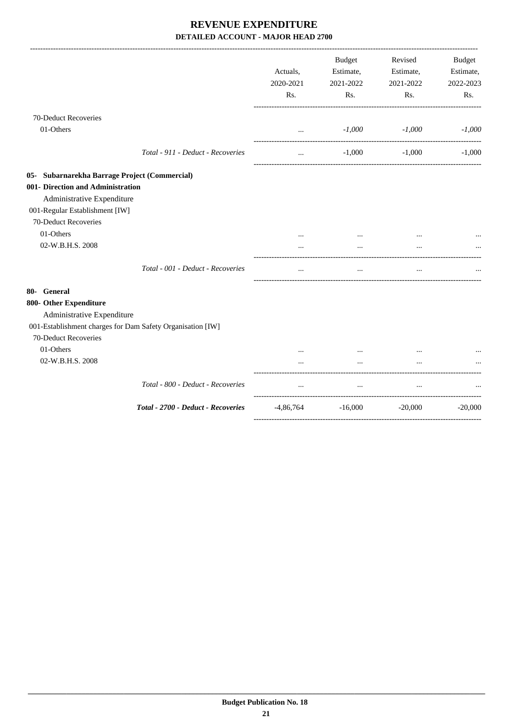|                                                                                    |                                    | Actuals,<br>2020-2021<br>Rs. | <b>Budget</b><br>Estimate,<br>2021-2022<br>Rs. | Revised<br>Estimate,<br>2021-2022<br>Rs. | Budget<br>Estimate,<br>2022-2023<br>Rs. |
|------------------------------------------------------------------------------------|------------------------------------|------------------------------|------------------------------------------------|------------------------------------------|-----------------------------------------|
| 70-Deduct Recoveries                                                               |                                    |                              |                                                |                                          |                                         |
| 01-Others                                                                          |                                    | $\cdots$                     | $-1,000$                                       | $-1,000$                                 | $-1,000$                                |
|                                                                                    | Total - 911 - Deduct - Recoveries  | $\cdots$                     | $-1,000$                                       | $-1,000$                                 | $-1,000$                                |
| 05- Subarnarekha Barrage Project (Commercial)                                      |                                    |                              |                                                |                                          |                                         |
| 001- Direction and Administration<br>Administrative Expenditure                    |                                    |                              |                                                |                                          |                                         |
| 001-Regular Establishment [IW]                                                     |                                    |                              |                                                |                                          |                                         |
| 70-Deduct Recoveries                                                               |                                    |                              |                                                |                                          |                                         |
| 01-Others                                                                          |                                    |                              |                                                |                                          |                                         |
| 02-W.B.H.S. 2008                                                                   |                                    |                              | $\cdots$                                       | $\cdots$                                 |                                         |
|                                                                                    | Total - 001 - Deduct - Recoveries  | $\cdots$                     | $\cdots$                                       | $\cdots$                                 |                                         |
| 80- General                                                                        |                                    |                              |                                                |                                          |                                         |
| 800- Other Expenditure<br>Administrative Expenditure                               |                                    |                              |                                                |                                          |                                         |
| 001-Establishment charges for Dam Safety Organisation [IW]<br>70-Deduct Recoveries |                                    |                              |                                                |                                          |                                         |
| 01-Others                                                                          |                                    |                              |                                                | $\ddotsc$                                |                                         |
| 02-W.B.H.S. 2008                                                                   |                                    |                              | $\cdots$                                       | $\cdots$                                 |                                         |
|                                                                                    | Total - 800 - Deduct - Recoveries  |                              | $\cdots$                                       |                                          |                                         |
|                                                                                    | Total - 2700 - Deduct - Recoveries | $-4,86,764$                  | $-16,000$                                      | $-20,000$                                | $-20,000$                               |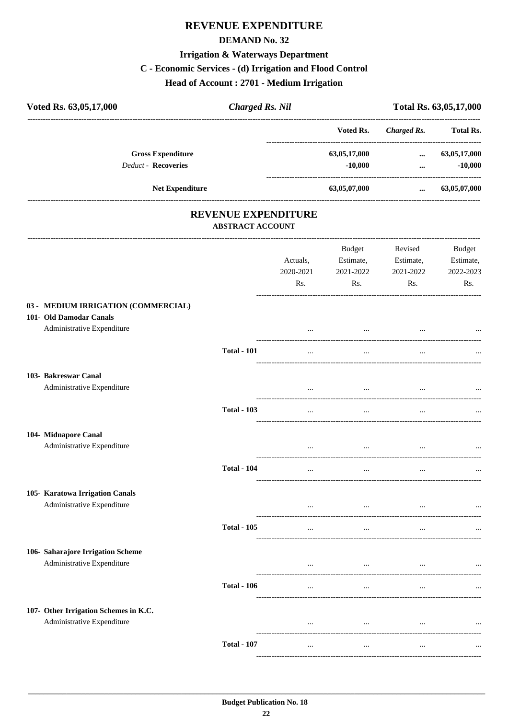# **REVENUE EXPENDITURE**

#### **DEMAND No. 32**

# **Irrigation & Waterways Department**

# C - Economic Services - (d) Irrigation and Flood Control

Head of Account: 2701 - Medium Irrigation

| Voted Rs. 63,05,17,000                                                                       | <b>Charged Rs. Nil</b>  |                              |                                                 | Total Rs. 63,05,17,000                            |                                         |
|----------------------------------------------------------------------------------------------|-------------------------|------------------------------|-------------------------------------------------|---------------------------------------------------|-----------------------------------------|
|                                                                                              |                         |                              | Voted Rs.                                       | ---------------------------<br><b>Charged Rs.</b> | <b>Total Rs.</b>                        |
| <b>Gross Expenditure</b>                                                                     |                         |                              | 63,05,17,000                                    | $\cdots$                                          | 63,05,17,000                            |
| <b>Deduct - Recoveries</b>                                                                   |                         |                              | $-10,000$                                       | $\cdots$                                          | $-10,000$                               |
| Net Expenditure                                                                              |                         |                              | 63,05,07,000                                    | $\cdots$                                          | 63,05,07,000                            |
|                                                                                              | <b>ABSTRACT ACCOUNT</b> | <b>REVENUE EXPENDITURE</b>   |                                                 |                                                   |                                         |
|                                                                                              |                         | Actuals,<br>2020-2021<br>Rs. | Budget<br>Estimate,<br>2021-2022<br>Rs.         | Revised<br>Estimate,<br>2021-2022<br>Rs.          | Budget<br>Estimate,<br>2022-2023<br>Rs. |
| 03 - MEDIUM IRRIGATION (COMMERCIAL)<br>101- Old Damodar Canals<br>Administrative Expenditure |                         |                              |                                                 |                                                   |                                         |
|                                                                                              | <b>Total - 101</b>      | $\cdots$                     | $\cdots$                                        |                                                   |                                         |
| 103- Bakreswar Canal<br>Administrative Expenditure                                           |                         |                              | $\sim$                                          |                                                   |                                         |
|                                                                                              | <b>Total - 103</b>      | $\cdots$                     | $\cdots$                                        | $\ddotsc$                                         |                                         |
| 104- Midnapore Canal<br>Administrative Expenditure                                           |                         |                              | $\cdots$                                        |                                                   |                                         |
|                                                                                              | <b>Total - 104</b>      | $\cdots$                     | $\cdots$                                        | $\cdots$                                          |                                         |
| 105- Karatowa Irrigation Canals<br>Administrative Expenditure                                |                         | $\cdots$                     | the contract of the contract of the contract of | $\ldots$                                          | $\cdots$                                |
|                                                                                              | <b>Total - 105</b>      | $\cdots$                     | $\cdots$                                        | $\cdots$                                          | $\cdots$                                |
| 106- Saharajore Irrigation Scheme<br>Administrative Expenditure                              |                         | $\cdots$                     | $\cdots$                                        | $\cdots$                                          | $\cdots$                                |
|                                                                                              | <b>Total - 106</b>      | $\ldots$                     | $\cdots$                                        | $\ldots$                                          | $\cdots$                                |
| 107- Other Irrigation Schemes in K.C.<br>Administrative Expenditure                          |                         | $\cdots$                     | $\cdots$                                        | $\cdots$                                          | $\cdots$                                |
|                                                                                              | <b>Total - 107</b>      | $\cdots$                     | $\cdots$                                        | $\ldots$                                          | $\cdots$                                |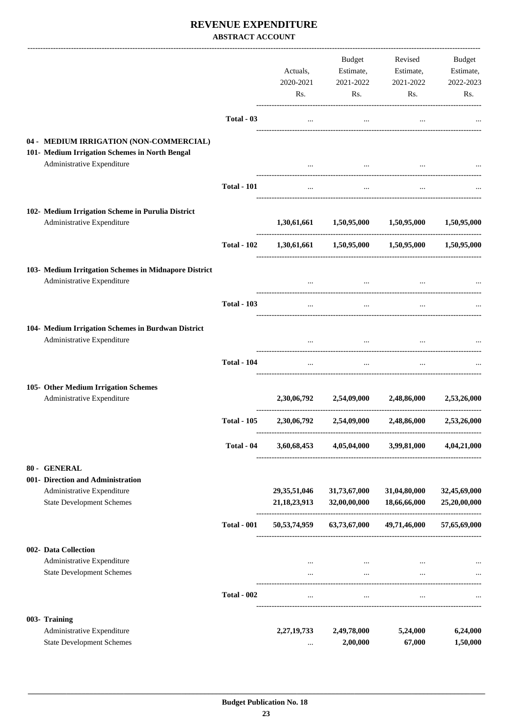### **REVENUE EXPENDITURE ABSTRACT ACCOUNT**

|                                                                                           |                    | Actuals,<br>2020-2021<br>Rs.       | Budget<br>Estimate,<br>2021-2022<br>Rs. | Revised<br>Estimate,<br>2021-2022<br>Rs.            | <b>Budget</b><br>Estimate,<br>2022-2023<br>Rs. |
|-------------------------------------------------------------------------------------------|--------------------|------------------------------------|-----------------------------------------|-----------------------------------------------------|------------------------------------------------|
|                                                                                           | Total - 03         | $\cdots$                           | $\cdots$                                | $\cdots$                                            |                                                |
| 04 - MEDIUM IRRIGATION (NON-COMMERCIAL)<br>101- Medium Irrigation Schemes in North Bengal |                    |                                    |                                         |                                                     |                                                |
| Administrative Expenditure                                                                |                    |                                    | $\cdots$                                |                                                     |                                                |
|                                                                                           | <b>Total - 101</b> | $\cdots$                           | $\cdots$                                |                                                     |                                                |
| 102- Medium Irrigation Scheme in Purulia District<br>Administrative Expenditure           |                    |                                    | 1,30,61,661 1,50,95,000 1,50,95,000     |                                                     | 1,50,95,000                                    |
|                                                                                           | <b>Total - 102</b> |                                    |                                         | 1,30,61,661 1,50,95,000 1,50,95,000 1,50,95,000     |                                                |
| 103- Medium Irritgation Schemes in Midnapore District<br>Administrative Expenditure       |                    |                                    | $\cdots$                                |                                                     |                                                |
|                                                                                           | <b>Total - 103</b> | $\cdots$                           | $\ddotsc$                               |                                                     |                                                |
| 104- Medium Irrigation Schemes in Burdwan District<br>Administrative Expenditure          |                    | $\cdots$                           | $\cdots$                                |                                                     |                                                |
|                                                                                           | <b>Total - 104</b> | $\cdots$                           | $\ddots$                                | $\cdots$                                            |                                                |
| 105- Other Medium Irrigation Schemes<br>Administrative Expenditure                        |                    | 2,30,06,792                        | 2,54,09,000                             | 2,48,86,000                                         | 2,53,26,000                                    |
|                                                                                           | <b>Total - 105</b> | 2,30,06,792                        | 2,54,09,000                             | 2,48,86,000                                         | 2,53,26,000                                    |
|                                                                                           | Total - 04         |                                    |                                         | 3,60,68,453 4,05,04,000 3,99,81,000 4,04,21,000     |                                                |
| 80 - GENERAL                                                                              |                    |                                    |                                         |                                                     |                                                |
| 001- Direction and Administration                                                         |                    |                                    |                                         |                                                     |                                                |
| Administrative Expenditure<br><b>State Development Schemes</b>                            |                    | 29, 35, 51, 046<br>21, 18, 23, 913 | 31,73,67,000<br>32,00,00,000            | 31,04,80,000<br>18,66,66,000                        | 32,45,69,000<br>25,20,00,000                   |
|                                                                                           | <b>Total - 001</b> |                                    |                                         | 50,53,74,959 63,73,67,000 49,71,46,000 57,65,69,000 |                                                |
| 002- Data Collection<br>Administrative Expenditure<br><b>State Development Schemes</b>    |                    | $\cdots$                           | $\sim$                                  | $\cdots$                                            |                                                |
|                                                                                           |                    | $\cdots$                           | $\cdots$                                | $\cdots$                                            |                                                |
|                                                                                           | <b>Total - 002</b> | $\cdots$                           | $\cdots$                                | $\cdots$                                            |                                                |
| 003- Training<br>Administrative Expenditure<br><b>State Development Schemes</b>           |                    | 2, 27, 19, 733<br>$\cdots$         | 2,49,78,000<br>2,00,000                 | 5,24,000<br>67,000                                  | 6,24,000<br>1,50,000                           |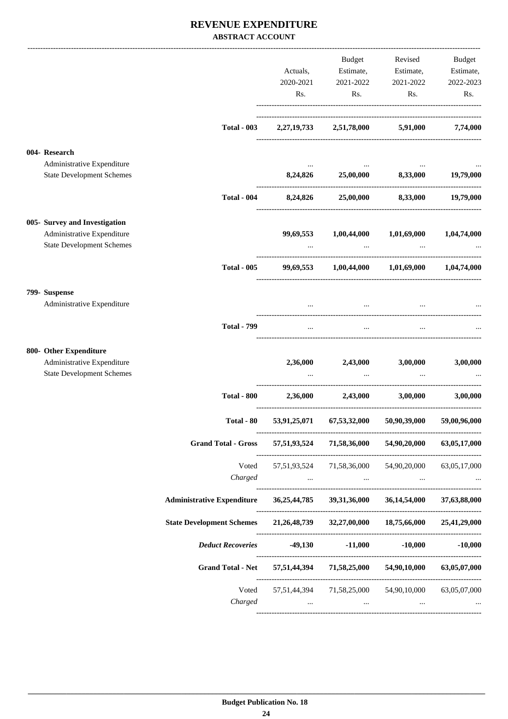### **REVENUE EXPENDITURE ABSTRACT ACCOUNT**

|                                                                                                 |                                                                       |                | Budget                                                                          |                                                                                                                     | Revised Budget |
|-------------------------------------------------------------------------------------------------|-----------------------------------------------------------------------|----------------|---------------------------------------------------------------------------------|---------------------------------------------------------------------------------------------------------------------|----------------|
|                                                                                                 |                                                                       | Actuals,       |                                                                                 | Estimate, Estimate, Estimate,                                                                                       |                |
|                                                                                                 |                                                                       | 2020-2021      | 2021-2022                                                                       | 2021-2022                                                                                                           | 2022-2023      |
|                                                                                                 |                                                                       | Rs.            | Rs.                                                                             | Rs.                                                                                                                 | Rs.            |
|                                                                                                 | <b>Total - 003</b>                                                    |                | 2,27,19,733 2,51,78,000 5,91,000                                                |                                                                                                                     | 7,74,000       |
| 004- Research<br>Administrative Expenditure                                                     |                                                                       |                |                                                                                 |                                                                                                                     |                |
| <b>State Development Schemes</b>                                                                |                                                                       |                |                                                                                 | 8,24,826 25,00,000 8,33,000 19,79,000                                                                               |                |
|                                                                                                 | <b>Total - 004</b>                                                    | 8,24,826       |                                                                                 | 25,00,000 8,33,000 19,79,000                                                                                        |                |
| 005- Survey and Investigation<br>Administrative Expenditure<br><b>State Development Schemes</b> |                                                                       |                |                                                                                 | 99,69,553 1,00,44,000 1,01,69,000 1,04,74,000<br>and the state of the state of the state                            |                |
|                                                                                                 | <b>Total - 005</b>                                                    |                |                                                                                 | 99,69,553 1,00,44,000 1,01,69,000 1,04,74,000                                                                       |                |
| 799- Suspense                                                                                   |                                                                       |                |                                                                                 |                                                                                                                     |                |
| Administrative Expenditure                                                                      |                                                                       | $\overline{a}$ |                                                                                 | and the contract of the contract of the contract of the contract of the contract of the contract of the contract of |                |
|                                                                                                 | <b>Total - 799</b>                                                    |                |                                                                                 |                                                                                                                     |                |
| 800- Other Expenditure                                                                          |                                                                       |                |                                                                                 |                                                                                                                     |                |
| Administrative Expenditure<br><b>State Development Schemes</b>                                  |                                                                       |                | 2,36,000 2,43,000                                                               | 3,00,000                                                                                                            | 3,00,000       |
|                                                                                                 | <b>Total - 800</b>                                                    |                |                                                                                 | 2.36.000 2.43.000 3.00.000                                                                                          | 3.00.000       |
|                                                                                                 | Total - 80                                                            | 53,91,25,071   | 67,53,32,000                                                                    | 50,90,39,000                                                                                                        | 59,00,96,000   |
|                                                                                                 | <b>Grand Total - Gross</b>                                            |                | 57,51,93,524 71,58,36,000                                                       | 54,90,20,000                                                                                                        | 63,05,17,000   |
|                                                                                                 |                                                                       |                |                                                                                 | Voted 57,51,93,524 71,58,36,000 54,90,20,000 63,05,17,000                                                           |                |
|                                                                                                 | Charged                                                               |                | the contract of the contract of the contract of the contract of the contract of | <b>Section</b>                                                                                                      |                |
|                                                                                                 | <b>Administrative Expenditure</b>                                     |                | 36,25,44,785 39,31,36,000                                                       | 36, 14, 54, 000                                                                                                     | 37,63,88,000   |
|                                                                                                 | <b>State Development Schemes</b>                                      |                |                                                                                 | 21,26,48,739 32,27,00,000 18,75,66,000                                                                              | 25,41,29,000   |
|                                                                                                 | Deduct Recoveries -49,130                                             |                | $-11,000$                                                                       | $-10,000$                                                                                                           | $-10,000$      |
|                                                                                                 | Grand Total - Net 57,51,44,394 71,58,25,000 54,90,10,000 63,05,07,000 |                |                                                                                 |                                                                                                                     |                |
|                                                                                                 | Voted                                                                 |                |                                                                                 | 57,51,44,394 71,58,25,000 54,90,10,000                                                                              | 63,05,07,000   |
|                                                                                                 | Charged                                                               | $\cdots$       | $\cdots$                                                                        | $\cdots$                                                                                                            |                |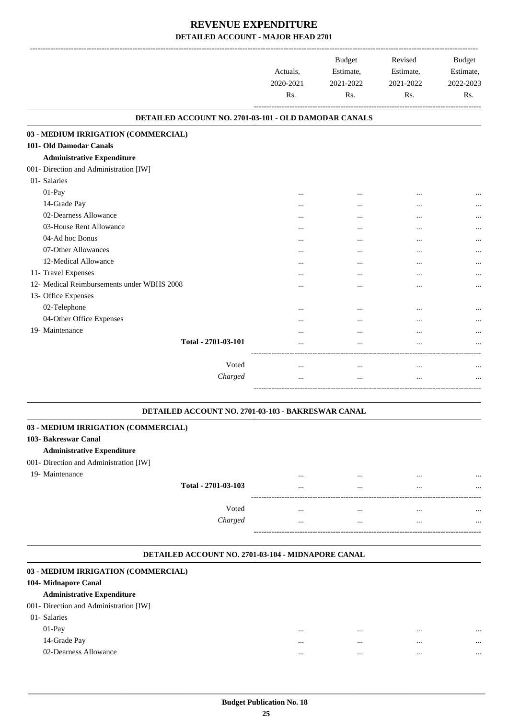|                                                       | Actuals,<br>2020-2021<br>R <sub>s</sub> . | <b>Budget</b><br>Estimate,<br>2021-2022<br>Rs. | Revised<br>Estimate,<br>2021-2022<br>Rs. | <b>Budget</b><br>Estimate,<br>2022-2023<br>Rs. |
|-------------------------------------------------------|-------------------------------------------|------------------------------------------------|------------------------------------------|------------------------------------------------|
| DETAILED ACCOUNT NO. 2701-03-101 - OLD DAMODAR CANALS |                                           |                                                |                                          |                                                |
| 03 - MEDIUM IRRIGATION (COMMERCIAL)                   |                                           |                                                |                                          |                                                |
| 101- Old Damodar Canals                               |                                           |                                                |                                          |                                                |
| <b>Administrative Expenditure</b>                     |                                           |                                                |                                          |                                                |
| 001- Direction and Administration [IW]                |                                           |                                                |                                          |                                                |
| 01- Salaries                                          |                                           |                                                |                                          |                                                |
| 01-Pay                                                |                                           |                                                | $\ddotsc$                                |                                                |
| 14-Grade Pay                                          |                                           |                                                |                                          |                                                |
| 02-Dearness Allowance                                 |                                           |                                                |                                          |                                                |
| 03-House Rent Allowance                               |                                           |                                                |                                          |                                                |
| 04-Ad hoc Bonus                                       |                                           |                                                |                                          |                                                |
| 07-Other Allowances                                   | $\cdots$                                  |                                                |                                          |                                                |
| 12-Medical Allowance                                  |                                           |                                                |                                          |                                                |
| 11- Travel Expenses                                   |                                           |                                                |                                          | $\cdots$                                       |
| 12- Medical Reimbursements under WBHS 2008            |                                           |                                                |                                          | $\cdots$                                       |
| 13- Office Expenses                                   |                                           |                                                |                                          |                                                |
| 02-Telephone                                          | $\cdots$                                  |                                                |                                          |                                                |
| 04-Other Office Expenses                              |                                           |                                                |                                          |                                                |
| 19- Maintenance                                       |                                           |                                                | $\ddotsc$                                |                                                |
| Total - 2701-03-101                                   |                                           |                                                | $\ddotsc$                                |                                                |
| Voted                                                 | $\cdots$                                  | $\cdots$                                       | $\cdots$                                 |                                                |
| Charged                                               | $\cdots$                                  | $\cdots$                                       | $\cdots$                                 |                                                |
|                                                       |                                           |                                                |                                          |                                                |

#### **DETAILED ACCOUNT NO. 2701-03-103 - BAKRESWAR CANAL .**

.

.

#### **03 - MEDIUM IRRIGATION (COMMERCIAL)**

#### **103- Bakreswar Canal**

#### **Administrative Expenditure**

#### 001- Direction and Administration [IW]

19- Maintenance

|                     | <br>. | . | .        |
|---------------------|-------|---|----------|
| Total - 2701-03-103 | <br>  |   | $\cdots$ |
|                     |       |   |          |
| Voted               | <br>  |   |          |
| Charged             | <br>  |   |          |
|                     |       |   |          |

#### **DETAILED ACCOUNT NO. 2701-03-104 - MIDNAPORE CANAL .**

| 03 - MEDIUM IRRIGATION (COMMERCIAL)    |              |              |
|----------------------------------------|--------------|--------------|
| 104- Midnapore Canal                   |              |              |
| <b>Administrative Expenditure</b>      |              |              |
| 001- Direction and Administration [IW] |              |              |
| 01- Salaries                           |              |              |
| $01-Pav$                               | <br>$\cdots$ | <br>$\cdots$ |
| 14-Grade Pay                           | <br>$\cdots$ | <br>         |
| 02-Dearness Allowance                  | <br>         | <br>         |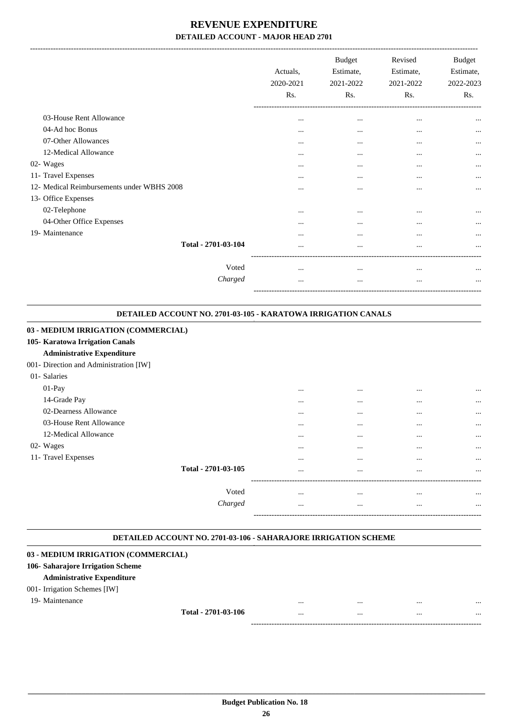|                                            | Actuals,<br>2020-2021<br>Rs. | <b>Budget</b><br>Estimate,<br>2021-2022<br>Rs. | Revised<br>Estimate,<br>2021-2022<br>Rs. | <b>Budget</b><br>Estimate,<br>2022-2023<br>Rs. |
|--------------------------------------------|------------------------------|------------------------------------------------|------------------------------------------|------------------------------------------------|
| 03-House Rent Allowance                    | $\cdots$                     | $\cdots$                                       | $\cdots$                                 | $\cdots$                                       |
| 04-Ad hoc Bonus                            | $\cdots$                     | $\cdots$                                       | $\cdots$                                 | $\cdots$                                       |
| 07-Other Allowances                        |                              | $\cdots$                                       | $\cdots$                                 | $\cdots$                                       |
| 12-Medical Allowance                       | $\cdots$                     | $\cdots$                                       | $\cdots$                                 | $\cdots$                                       |
| 02- Wages                                  | $\cdots$                     | $\cdots$                                       |                                          | $\cdots$                                       |
| 11- Travel Expenses                        | $\cdots$                     | $\cdots$                                       | $\cdots$                                 | $\cdots$                                       |
| 12- Medical Reimbursements under WBHS 2008 |                              | $\cdots$                                       | $\cdots$                                 | $\cdots$                                       |
| 13- Office Expenses                        |                              |                                                |                                          |                                                |
| 02-Telephone                               | $\cdots$                     | $\cdots$                                       | $\cdots$                                 | $\cdots$                                       |
| 04-Other Office Expenses                   |                              | $\cdots$                                       | $\cdots$                                 | $\cdots$                                       |
| 19- Maintenance                            |                              |                                                | $\cdots$                                 | $\cdots$                                       |
| Total - 2701-03-104                        |                              | $\cdots$                                       |                                          | $\cdots$                                       |
| Voted                                      | $\cdots$                     | $\cdots$                                       | $\cdots$                                 | $\cdots$                                       |
| Charged                                    | $\cdots$                     | $\cdots$                                       | $\cdots$                                 | $\cdots$                                       |
|                                            |                              |                                                |                                          |                                                |

| DETAILED ACCOUNT NO. 2701-03-105 - KARATOWA IRRIGATION CANALS |  |
|---------------------------------------------------------------|--|
|                                                               |  |

| 03 - MEDIUM IRRIGATION (COMMERCIAL)    |          |          |          |          |
|----------------------------------------|----------|----------|----------|----------|
| 105- Karatowa Irrigation Canals        |          |          |          |          |
| <b>Administrative Expenditure</b>      |          |          |          |          |
| 001- Direction and Administration [IW] |          |          |          |          |
| 01- Salaries                           |          |          |          |          |
| $01-Pay$                               | $\cdots$ | $\cdots$ | $\cdots$ | $\cdots$ |
| 14-Grade Pay                           | $\cdots$ | $\cdots$ | $\cdots$ | $\cdots$ |
| 02-Dearness Allowance                  | $\cdots$ | $\cdots$ | $\cdots$ | $\cdots$ |
| 03-House Rent Allowance                | $\cdots$ | $\cdots$ | $\cdots$ | $\cdots$ |
| 12-Medical Allowance                   | $\cdots$ | $\cdots$ | $\cdots$ | $\cdots$ |
| 02- Wages                              | $\cdots$ | $\cdots$ | $\cdots$ | $\cdots$ |
| 11- Travel Expenses                    | $\cdots$ | $\cdots$ | $\cdots$ | $\cdots$ |
| Total - 2701-03-105                    | $\cdots$ | $\cdots$ | $\cdots$ | $\cdots$ |
| Voted                                  | $\cdots$ | $\cdots$ | $\cdots$ | $\cdots$ |
| Charged                                | $\cdots$ | $\cdots$ | $\cdots$ | $\cdots$ |
|                                        |          |          |          |          |

#### **DETAILED ACCOUNT NO. 2701-03-106 - SAHARAJORE IRRIGATION SCHEME .**

#### **03 - MEDIUM IRRIGATION (COMMERCIAL)**

#### **106- Saharajore Irrigation Scheme**

#### **Administrative Expenditure**

#### 001- Irrigation Schemes [IW]

 19- Maintenance ... ... ... ... **Total - 2701-03-106** ... ... ... ... ------------------------------------------------------------------------------------------

.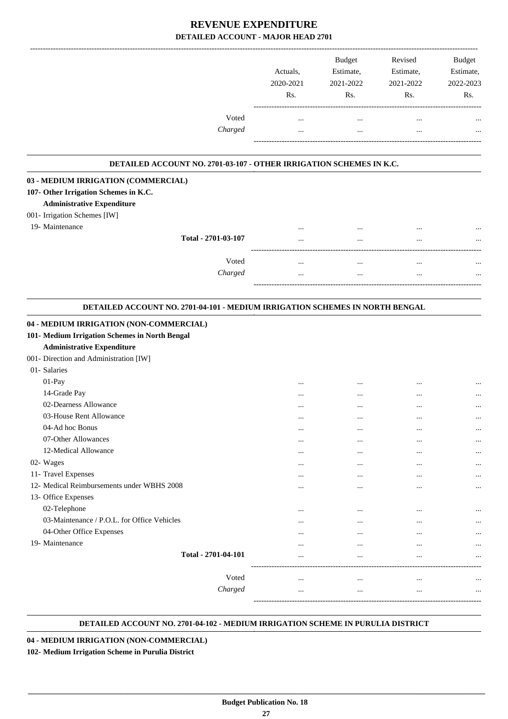|                                                                                                                         | Actuals,<br>2020-2021<br>Rs. | <b>Budget</b><br>Estimate,<br>2021-2022<br>Rs. | Revised<br>Estimate,<br>2021-2022<br>Rs. | <b>Budget</b><br>Estimate,<br>2022-2023<br>Rs. |
|-------------------------------------------------------------------------------------------------------------------------|------------------------------|------------------------------------------------|------------------------------------------|------------------------------------------------|
| Voted<br>Charged                                                                                                        | <br>$\cdots$                 | $\cdots$<br>$\cdots$                           | $\ddotsc$<br>$\cdots$                    |                                                |
| DETAILED ACCOUNT NO. 2701-03-107 - OTHER IRRIGATION SCHEMES IN K.C.                                                     |                              |                                                |                                          |                                                |
| 03 - MEDIUM IRRIGATION (COMMERCIAL)                                                                                     |                              |                                                |                                          |                                                |
| 107- Other Irrigation Schemes in K.C.<br><b>Administrative Expenditure</b><br>001- Irrigation Schemes [IW]              |                              |                                                |                                          |                                                |
| 19- Maintenance<br>Total - 2701-03-107                                                                                  |                              |                                                |                                          |                                                |
|                                                                                                                         | $\cdots$                     | $\cdots$                                       | $\cdots$                                 | $\cdots$                                       |
| Voted<br>Charged                                                                                                        | $\cdots$<br>$\cdots$         | $\cdots$<br>$\cdots$                           | $\cdots$<br>$\cdots$                     |                                                |
| DETAILED ACCOUNT NO. 2701-04-101 - MEDIUM IRRIGATION SCHEMES IN NORTH BENGAL<br>04 - MEDIUM IRRIGATION (NON-COMMERCIAL) |                              |                                                |                                          |                                                |
| 101- Medium Irrigation Schemes in North Bengal<br><b>Administrative Expenditure</b>                                     |                              |                                                |                                          |                                                |
| 001- Direction and Administration [IW]<br>01- Salaries                                                                  |                              |                                                |                                          |                                                |
| 01-Pay<br>14-Grade Pay                                                                                                  |                              | $\cdots$                                       |                                          |                                                |
| 02-Dearness Allowance                                                                                                   |                              |                                                | <br>                                     |                                                |
| 03-House Rent Allowance                                                                                                 | .                            | $\cdots$                                       |                                          |                                                |
| 04-Ad hoc Bonus                                                                                                         | $\cdots$                     |                                                |                                          | $\cdots$                                       |
| 07-Other Allowances                                                                                                     | $\cdots$                     | $\cdots$                                       |                                          | $\cdots$                                       |
| 12-Medical Allowance                                                                                                    |                              |                                                |                                          | $\cdots$                                       |
| 02- Wages                                                                                                               |                              |                                                |                                          |                                                |
| 11- Travel Expenses                                                                                                     | $\cdots$                     |                                                |                                          | $\cdots$                                       |
| 12- Medical Reimbursements under WBHS 2008                                                                              |                              | $\cdots$                                       |                                          |                                                |
| 13- Office Expenses                                                                                                     |                              |                                                |                                          |                                                |
| 02-Telephone                                                                                                            |                              |                                                |                                          |                                                |
| 03-Maintenance / P.O.L. for Office Vehicles                                                                             |                              |                                                |                                          | $\cdots$                                       |
| 04-Other Office Expenses                                                                                                |                              |                                                |                                          |                                                |
| 19- Maintenance                                                                                                         |                              |                                                |                                          |                                                |
| Total - 2701-04-101                                                                                                     |                              | $\cdots$                                       | $\cdots$                                 | $\cdots$                                       |
| Voted                                                                                                                   |                              | $\cdots$                                       | $\cdots$                                 |                                                |
| Charged                                                                                                                 |                              |                                                |                                          |                                                |
|                                                                                                                         |                              |                                                |                                          |                                                |

#### **DETAILED ACCOUNT NO. 2701-04-102 - MEDIUM IRRIGATION SCHEME IN PURULIA DISTRICT .**

.

**04 - MEDIUM IRRIGATION (NON-COMMERCIAL)**

**102- Medium Irrigation Scheme in Purulia District**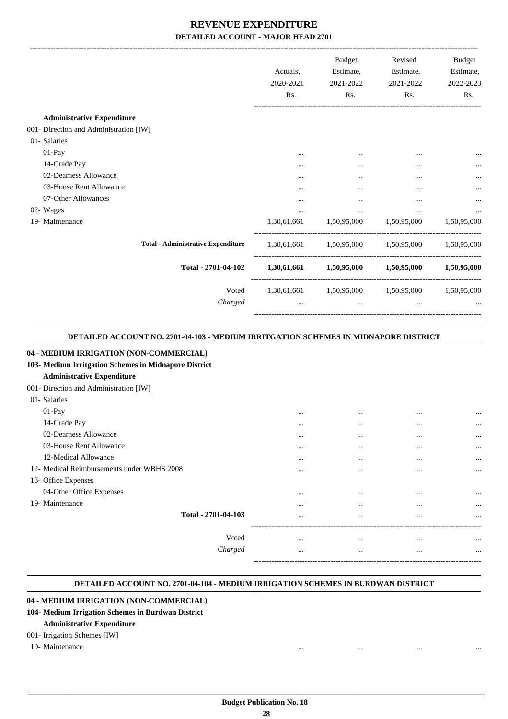|                                           | Actuals,<br>2020-2021<br>Rs. | Budget<br>Estimate,<br>2021-2022<br>Rs.         | Revised<br>Estimate,<br>2021-2022<br>Rs. | Budget<br>Estimate,<br>2022-2023<br>Rs. |
|-------------------------------------------|------------------------------|-------------------------------------------------|------------------------------------------|-----------------------------------------|
| <b>Administrative Expenditure</b>         |                              |                                                 |                                          |                                         |
| 001- Direction and Administration [IW]    |                              |                                                 |                                          |                                         |
| 01- Salaries                              |                              |                                                 |                                          |                                         |
| 01-Pay                                    |                              |                                                 |                                          | $\cdots$                                |
| 14-Grade Pay                              | $\cdots$                     | $\cdots$                                        | $\cdots$                                 |                                         |
| 02-Dearness Allowance                     |                              |                                                 |                                          |                                         |
| 03-House Rent Allowance                   |                              |                                                 |                                          |                                         |
| 07-Other Allowances                       | $\cdots$                     | $\cdots$                                        | $\cdots$                                 |                                         |
| 02- Wages                                 |                              | $\cdots$                                        | $\cdots$                                 |                                         |
| 19- Maintenance                           | 1,30,61,661                  |                                                 | 1,50,95,000 1,50,95,000                  | 1,50,95,000                             |
| <b>Total - Administrative Expenditure</b> |                              | 1,30,61,661 1,50,95,000 1,50,95,000 1,50,95,000 |                                          |                                         |
| Total - 2701-04-102                       |                              | 1,30,61,661 1,50,95,000 1,50,95,000 1,50,95,000 |                                          |                                         |
| Voted                                     |                              | 1,30,61,661 1,50,95,000 1,50,95,000 1,50,95,000 |                                          |                                         |
| Charged                                   | $\cdots$                     | $\cdots$                                        | $\cdots$                                 |                                         |

#### **DETAILED ACCOUNT NO. 2701-04-103 - MEDIUM IRRITGATION SCHEMES IN MIDNAPORE DISTRICT .**

.

.

#### **04 - MEDIUM IRRIGATION (NON-COMMERCIAL)**

#### **103- Medium Irritgation Schemes in Midnapore District**

#### **Administrative Expenditure**

#### 001- Direction and Administration [IW]

| 01- Salaries                               |          |          |          |           |
|--------------------------------------------|----------|----------|----------|-----------|
| $01-Pay$                                   | $\cdots$ | $\cdots$ | $\cdots$ | $\cdots$  |
| 14-Grade Pay                               | $\cdots$ | $\cdots$ | $\cdots$ | $\cdots$  |
| 02-Dearness Allowance                      | $\cdots$ | $\cdots$ | $\cdots$ | $\cdots$  |
| 03-House Rent Allowance                    |          |          | $\cdots$ | $\cdots$  |
| 12-Medical Allowance                       |          |          |          |           |
| 12- Medical Reimbursements under WBHS 2008 | $\cdots$ | $\cdots$ | $\cdots$ | $\cdots$  |
| 13- Office Expenses                        | $\cdots$ | $\cdots$ | $\cdots$ | $\ddotsc$ |
| 04-Other Office Expenses                   |          |          |          |           |
| 19- Maintenance                            | $\cdots$ | $\cdots$ | $\cdots$ | $\ddotsc$ |
| Total - 2701-04-103                        | $\cdots$ | $\cdots$ | $\cdots$ | $\cdots$  |
|                                            | $\cdots$ | $\cdots$ | $\cdots$ | $\cdots$  |
|                                            |          |          |          |           |
| Voted                                      | $\cdots$ |          |          | $\ddotsc$ |
| Charged                                    | $\cdots$ |          |          | $\ddotsc$ |
|                                            |          |          |          |           |

#### **DETAILED ACCOUNT NO. 2701-04-104 - MEDIUM IRRIGATION SCHEMES IN BURDWAN DISTRICT .**

### **04 - MEDIUM IRRIGATION (NON-COMMERCIAL)**

### **104- Medium Irrigation Schemes in Burdwan District**

#### **Administrative Expenditure**

#### 001- Irrigation Schemes [IW]

#### 19- Maintenance ... ... ... ...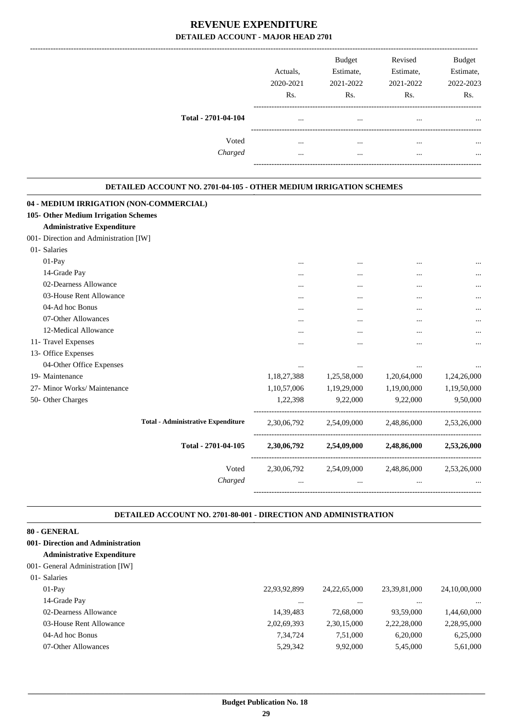|                     | Actuals,<br>2020-2021<br>Rs. | <b>Budget</b><br>Estimate,<br>2021-2022<br>Rs. | Revised<br>Estimate,<br>2021-2022<br>Rs. | <b>Budget</b><br>Estimate,<br>2022-2023<br>Rs. |
|---------------------|------------------------------|------------------------------------------------|------------------------------------------|------------------------------------------------|
| Total - 2701-04-104 | $\cdots$                     |                                                | $\cdots$                                 | $\cdots$                                       |
| Voted<br>Charged    | <br>                         | $\cdots$<br>                                   | $\cdots$<br>                             | $\cdots$<br>$\cdots$                           |
|                     |                              |                                                |                                          |                                                |

#### **DETAILED ACCOUNT NO. 2701-04-105 - OTHER MEDIUM IRRIGATION SCHEMES .**

.

.

| $\cdots$                                                      |
|---------------------------------------------------------------|
|                                                               |
|                                                               |
| $\cdots$                                                      |
|                                                               |
| $\cdots$                                                      |
|                                                               |
|                                                               |
|                                                               |
| $\cdots$                                                      |
| 1,20,64,000<br>1,24,26,000                                    |
| 1,19,00,000<br>1,19,50,000                                    |
| 9,22,000<br>9,50,000                                          |
| 2,54,09,000 2,48,86,000 2,53,26,000                           |
| 2,30,06,792 2,54,09,000 2,48,86,000 2,53,26,000               |
| 2,30,06,792 2,54,09,000 2,48,86,000 2,53,26,000               |
|                                                               |
| <br><br><br>$\cdots$<br><br>$\cdots$<br>$\cdots$<br>$\ddotsc$ |

#### **DETAILED ACCOUNT NO. 2701-80-001 - DIRECTION AND ADMINISTRATION**

| 80 - GENERAL                      |              |                 |              |              |
|-----------------------------------|--------------|-----------------|--------------|--------------|
| 001- Direction and Administration |              |                 |              |              |
| <b>Administrative Expenditure</b> |              |                 |              |              |
| 001- General Administration [IW]  |              |                 |              |              |
| 01- Salaries                      |              |                 |              |              |
| $01-Pav$                          | 22,93,92,899 | 24, 22, 65, 000 | 23,39,81,000 | 24,10,00,000 |
| 14-Grade Pay                      | $\cdots$     |                 | $\cdots$     | $\cdots$     |
| 02-Dearness Allowance             | 14,39,483    | 72,68,000       | 93,59,000    | 1,44,60,000  |
| 03-House Rent Allowance           | 2,02,69,393  | 2,30,15,000     | 2,22,28,000  | 2,28,95,000  |
| 04-Ad hoc Bonus                   | 7,34,724     | 7.51.000        | 6.20.000     | 6,25,000     |
| 07-Other Allowances               | 5,29,342     | 9,92,000        | 5,45,000     | 5,61,000     |
|                                   |              |                 |              |              |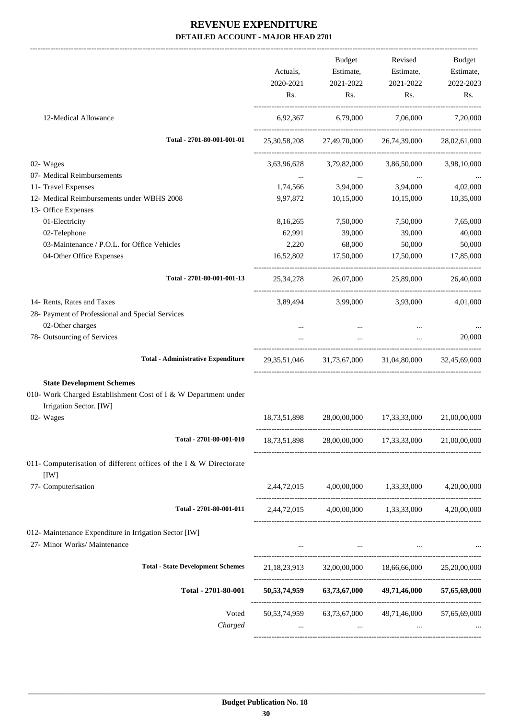-------------------------------------------------------------------------------------------------------------------------------------------------------------------------------

|                                                                            | Actuals,<br>2020-2021 | <b>Budget</b><br>Estimate,<br>2021-2022 | Revised<br>Estimate,<br>2021-2022                               | Budget<br>Estimate,<br>2022-2023 |
|----------------------------------------------------------------------------|-----------------------|-----------------------------------------|-----------------------------------------------------------------|----------------------------------|
|                                                                            | Rs.                   | $\mathbf{Rs.}$                          | Rs.                                                             | Rs.                              |
| 12-Medical Allowance                                                       |                       |                                         | 6,92,367 6,79,000 7,06,000 7,20,000                             |                                  |
| Total - 2701-80-001-001-01                                                 |                       |                                         | 25, 30, 58, 208 27, 49, 70, 000 26, 74, 39, 000 28, 02, 61, 000 |                                  |
| 02- Wages                                                                  |                       |                                         | 3,63,96,628 3,79,82,000 3,86,50,000 3,98,10,000                 |                                  |
| 07- Medical Reimbursements                                                 |                       | the company of the company              |                                                                 |                                  |
| 11- Travel Expenses                                                        |                       |                                         | 1,74,566 3,94,000 3,94,000                                      | 4,02,000                         |
| 12- Medical Reimbursements under WBHS 2008                                 | 9,97,872              | 10,15,000                               | 10,15,000                                                       | 10,35,000                        |
| 13- Office Expenses                                                        |                       |                                         |                                                                 |                                  |
| 01-Electricity                                                             | 8,16,265              | 7,50,000                                | 7,50,000                                                        | 7,65,000                         |
| 02-Telephone                                                               | 62,991                | 39,000                                  | 39,000                                                          | 40,000                           |
| 03-Maintenance / P.O.L. for Office Vehicles                                | 2,220                 | 68,000                                  | 50,000                                                          | 50,000                           |
| 04-Other Office Expenses                                                   | 16,52,802             | 17,50,000 17,50,000                     |                                                                 | 17,85,000                        |
| Total - 2701-80-001-001-13                                                 |                       |                                         | 25,34,278 26,07,000 25,89,000 26,40,000                         |                                  |
| 14- Rents, Rates and Taxes                                                 |                       |                                         | 3,89,494 3,99,000 3,93,000                                      | 4,01,000                         |
| 28- Payment of Professional and Special Services                           |                       |                                         |                                                                 |                                  |
| 02-Other charges                                                           |                       |                                         |                                                                 |                                  |
| 78- Outsourcing of Services                                                |                       | $\mathbf{r}$ and $\mathbf{r}$           | $\sim 10^{-10}$                                                 | 20,000                           |
| <b>Total - Administrative Expenditure</b>                                  |                       |                                         | 29,35,51,046 31,73,67,000 31,04,80,000 32,45,69,000             |                                  |
| <b>State Development Schemes</b>                                           |                       |                                         |                                                                 |                                  |
| 010- Work Charged Establishment Cost of I & W Department under             |                       |                                         |                                                                 |                                  |
| Irrigation Sector. [IW]                                                    |                       |                                         |                                                                 |                                  |
| 02- Wages                                                                  |                       |                                         | 18,73,51,898 28,00,00,000 17,33,33,000                          | 21,00,00,000                     |
| Total - 2701-80-001-010                                                    | 18,73,51,898          |                                         | 28,00,00,000 17,33,33,000 21,00,00,000                          |                                  |
|                                                                            |                       |                                         |                                                                 |                                  |
| 011- Computerisation of different offices of the I & W Directorate<br>[IW] |                       |                                         |                                                                 |                                  |
| 77- Computerisation                                                        |                       |                                         | $2,44,72,015$ $4,00,00,000$ $1,33,33,000$ $4,20,00,000$         |                                  |
| Total - 2701-80-001-011                                                    |                       |                                         | 2,44,72,015 4,00,00,000 1,33,33,000 4,20,00,000                 |                                  |
| 012- Maintenance Expenditure in Irrigation Sector [IW]                     |                       |                                         |                                                                 |                                  |
| 27- Minor Works/ Maintenance                                               |                       |                                         |                                                                 |                                  |
| <b>Total - State Development Schemes</b>                                   |                       |                                         | 21,18,23,913 32,00,00,000 18,66,66,000 25,20,00,000             |                                  |
| Total - 2701-80-001                                                        |                       |                                         | 50,53,74,959 63,73,67,000 49,71,46,000 57,65,69,000             |                                  |
| Voted                                                                      |                       |                                         | 50,53,74,959 63,73,67,000 49,71,46,000 57,65,69,000             |                                  |
| Charged                                                                    |                       |                                         | and the state of the state<br>$\cdots$                          |                                  |
|                                                                            |                       |                                         |                                                                 |                                  |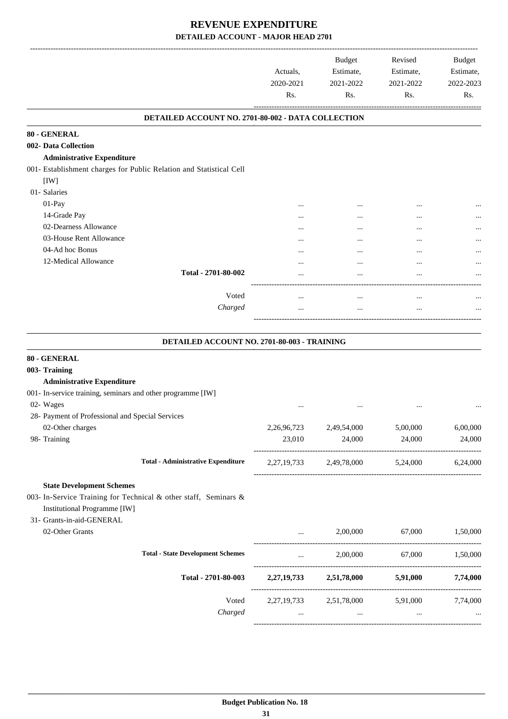|                                                                     | Actuals,<br>2020-2021<br>Rs. | <b>Budget</b><br>Estimate,<br>2021-2022<br>Rs. | Revised<br>Estimate,<br>2021-2022<br>Rs. | <b>Budget</b><br>Estimate,<br>2022-2023<br>Rs. |
|---------------------------------------------------------------------|------------------------------|------------------------------------------------|------------------------------------------|------------------------------------------------|
| DETAILED ACCOUNT NO. 2701-80-002 - DATA COLLECTION                  |                              |                                                |                                          |                                                |
| 80 - GENERAL                                                        |                              |                                                |                                          |                                                |
| 002- Data Collection                                                |                              |                                                |                                          |                                                |
| <b>Administrative Expenditure</b>                                   |                              |                                                |                                          |                                                |
| 001- Establishment charges for Public Relation and Statistical Cell |                              |                                                |                                          |                                                |
| [IW]                                                                |                              |                                                |                                          |                                                |
| 01- Salaries                                                        |                              |                                                |                                          |                                                |
| 01-Pay                                                              |                              |                                                |                                          |                                                |
| 14-Grade Pay                                                        |                              |                                                |                                          |                                                |
| 02-Dearness Allowance                                               |                              |                                                |                                          |                                                |
| 03-House Rent Allowance                                             |                              |                                                |                                          |                                                |
| 04-Ad hoc Bonus                                                     |                              |                                                |                                          |                                                |
| 12-Medical Allowance                                                |                              |                                                |                                          |                                                |
| Total - 2701-80-002                                                 |                              |                                                |                                          |                                                |
| Voted                                                               |                              |                                                |                                          |                                                |
| Charged                                                             |                              | $\cdots$<br>                                   | $\ddotsc$<br>$\ddotsc$                   |                                                |
|                                                                     |                              |                                                |                                          |                                                |
| DETAILED ACCOUNT NO. 2701-80-003 - TRAINING                         |                              |                                                |                                          |                                                |
| 80 - GENERAL                                                        |                              |                                                |                                          |                                                |
| 003- Training                                                       |                              |                                                |                                          |                                                |
| <b>Administrative Expenditure</b>                                   |                              |                                                |                                          |                                                |
| 001- In-service training, seminars and other programme [IW]         |                              |                                                |                                          |                                                |
| 02- Wages                                                           |                              |                                                |                                          |                                                |
| 28- Payment of Professional and Special Services                    |                              |                                                |                                          |                                                |
| 02-Other charges                                                    | 2,26,96,723                  | 2,49,54,000                                    | 5,00,000                                 | 6,00,000                                       |
| 98- Training                                                        | 23,010                       | 24,000                                         | 24,000                                   | 24,000                                         |
| <b>Total - Administrative Expenditure</b>                           |                              | 2,27,19,733 2,49,78,000 5,24,000 6,24,000      |                                          |                                                |
| <b>State Development Schemes</b>                                    |                              |                                                |                                          |                                                |
| 003- In-Service Training for Technical & other staff, Seminars &    |                              |                                                |                                          |                                                |
| <b>Institutional Programme [IW]</b>                                 |                              |                                                |                                          |                                                |
| 31- Grants-in-aid-GENERAL                                           |                              |                                                |                                          |                                                |
| 02-Other Grants                                                     | $\cdots$                     | 2,00,000                                       | 67,000                                   | 1,50,000                                       |
|                                                                     |                              |                                                |                                          |                                                |
| <b>Total - State Development Schemes</b>                            | $\cdots$                     |                                                | 2,00,000 67,000 1,50,000                 |                                                |
| Total - 2701-80-003                                                 |                              | 2,27,19,733 2,51,78,000 5,91,000 7,74,000      |                                          |                                                |
| Voted                                                               |                              | 2,27,19,733 2,51,78,000 5,91,000 7,74,000      |                                          |                                                |
| Charged                                                             |                              | $\ldots$                                       | $\cdots$                                 |                                                |
|                                                                     |                              |                                                |                                          |                                                |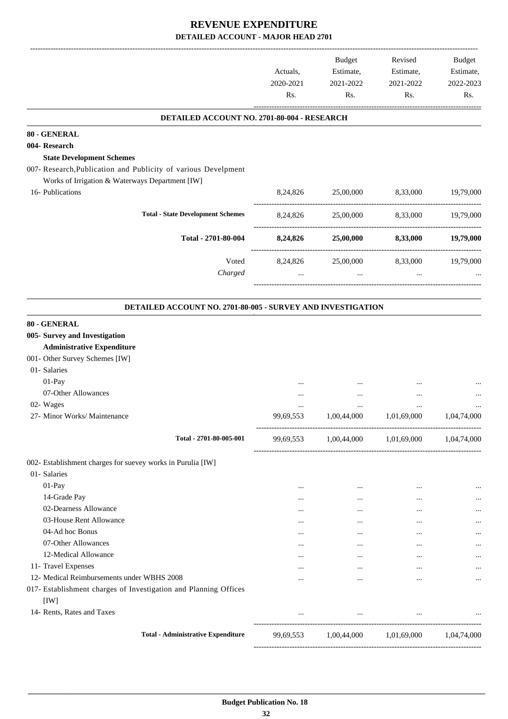|                                                                    | Actuals,<br>2020-2021<br>Rs. | Budget<br>Estimate,<br>2021-2022<br>Rs. | Revised<br>Estimate,<br>2021-2022<br>Rs. | Budget<br>Estimate,<br>2022-2023<br>Rs. |
|--------------------------------------------------------------------|------------------------------|-----------------------------------------|------------------------------------------|-----------------------------------------|
| DETAILED ACCOUNT NO. 2701-80-004 - RESEARCH                        |                              |                                         |                                          |                                         |
| 80 - GENERAL                                                       |                              |                                         |                                          |                                         |
| 004- Research                                                      |                              |                                         |                                          |                                         |
| <b>State Development Schemes</b>                                   |                              |                                         |                                          |                                         |
| 007- Research, Publication and Publicity of various Develpment     |                              |                                         |                                          |                                         |
| Works of Irrigation & Waterways Department [IW]                    |                              |                                         |                                          |                                         |
| 16- Publications                                                   | 8,24,826                     | 25,00,000                               | 8,33,000                                 | 19,79,000                               |
| <b>Total - State Development Schemes</b>                           | 8,24,826                     | 25,00,000                               | 8,33,000                                 | 19,79,000                               |
| Total - 2701-80-004                                                | 8,24,826                     | 25,00,000                               | 8,33,000                                 | 19,79,000                               |
| Voted                                                              | 8,24,826                     | 25,00,000                               | 8,33,000                                 | 19,79,000                               |
| Charged                                                            |                              | $\cdots$                                | $\cdots$                                 |                                         |
|                                                                    |                              |                                         |                                          |                                         |
| <b>DETAILED ACCOUNT NO. 2701-80-005 - SURVEY AND INVESTIGATION</b> |                              |                                         |                                          |                                         |
| 80 - GENERAL                                                       |                              |                                         |                                          |                                         |
| 005- Survey and Investigation                                      |                              |                                         |                                          |                                         |
| <b>Administrative Expenditure</b>                                  |                              |                                         |                                          |                                         |
| 001- Other Survey Schemes [IW]                                     |                              |                                         |                                          |                                         |
| 01- Salaries                                                       |                              |                                         |                                          |                                         |
| 01-Pay                                                             |                              |                                         |                                          |                                         |
| 07-Other Allowances                                                | $\cdots$                     | $\ddotsc$                               | $\ddotsc$                                |                                         |
| 02- Wages                                                          |                              | $\cdots$                                | $\ddotsc$                                |                                         |
| 27- Minor Works/ Maintenance                                       | 99,69,553                    | 1,00,44,000                             | 1,01,69,000                              | 1,04,74,000                             |
| Total - 2701-80-005-001                                            | 99,69,553                    | 1,00,44,000 1,01,69,000                 |                                          | 1,04,74,000                             |
| 002- Establishment charges for suevey works in Purulia [IW]        |                              |                                         |                                          |                                         |
| 01- Salaries                                                       |                              |                                         |                                          |                                         |
| 01-Pay                                                             | $\cdots$                     | $\ldots$                                | $\cdots$                                 |                                         |
| 14-Grade Pay                                                       | $\cdots$                     | $\cdots$                                | $\cdots$                                 |                                         |
| 02-Dearness Allowance                                              | $\cdots$                     | $\cdots$                                | $\cdots$                                 |                                         |
| 03-House Rent Allowance                                            | $\cdots$                     | $\cdots$                                | $\cdots$                                 | $\ddotsc$                               |
| 04-Ad hoc Bonus                                                    | $\cdots$                     | $\cdots$                                | $\cdots$                                 |                                         |
|                                                                    |                              | $\cdots$                                | $\cdots$                                 |                                         |
| 07-Other Allowances                                                | $\cdots$                     |                                         |                                          |                                         |
| 12-Medical Allowance                                               | $\cdots$                     | $\cdots$                                | $\cdots$                                 |                                         |
| 11- Travel Expenses                                                | $\cdots$                     | $\cdots$                                | $\cdots$                                 |                                         |
| 12- Medical Reimbursements under WBHS 2008                         | $\cdots$                     | $\cdots$                                | $\cdots$                                 |                                         |
| 017- Establishment charges of Investigation and Planning Offices   |                              |                                         |                                          |                                         |
| [IW]<br>14- Rents, Rates and Taxes                                 | $\cdots$                     | $\sim$ $\sim$                           | and the control of the con-              |                                         |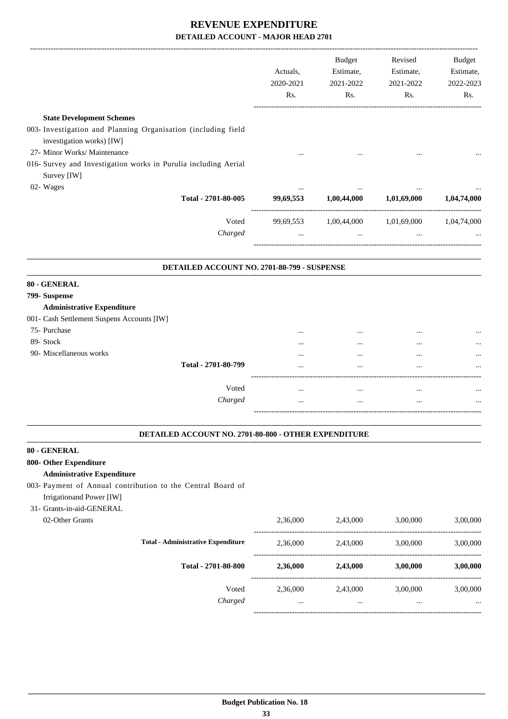|                                                                                            | Actuals,<br>2020-2021<br>Rs. | <b>Budget</b><br>Estimate,<br>2021-2022<br>Rs. | Revised<br>Estimate,<br>2021-2022<br>Rs. | Budget<br>Estimate,<br>2022-2023<br>Rs. |
|--------------------------------------------------------------------------------------------|------------------------------|------------------------------------------------|------------------------------------------|-----------------------------------------|
| <b>State Development Schemes</b>                                                           |                              |                                                |                                          |                                         |
| 003- Investigation and Planning Organisation (including field<br>investigation works) [IW] |                              |                                                |                                          |                                         |
| 27- Minor Works/ Maintenance                                                               |                              |                                                |                                          |                                         |
| 016- Survey and Investigation works in Purulia including Aerial<br>Survey [IW]             |                              |                                                |                                          |                                         |
| 02- Wages                                                                                  | $\cdots$                     |                                                | $\ddotsc$                                |                                         |
| Total - 2701-80-005                                                                        | 99,69,553                    | 1,00,44,000                                    | 1,01,69,000                              | 1,04,74,000                             |
| Voted                                                                                      | 99,69,553                    | 1,00,44,000                                    | 1,01,69,000                              | 1,04,74,000                             |
| Charged                                                                                    | $\cdots$                     | $\cdots$                                       | $\ddotsc$                                |                                         |
| 80 - GENERAL<br>799- Suspense                                                              |                              |                                                |                                          |                                         |
|                                                                                            |                              |                                                |                                          |                                         |
|                                                                                            |                              |                                                |                                          |                                         |
| <b>Administrative Expenditure</b>                                                          |                              |                                                |                                          |                                         |
| 001- Cash Settlement Suspens Accounts [IW]                                                 |                              |                                                |                                          |                                         |
| 75- Purchase                                                                               |                              |                                                |                                          |                                         |
| 89- Stock                                                                                  |                              |                                                |                                          |                                         |
| 90- Miscellaneous works<br>Total - 2701-80-799                                             |                              |                                                | $\ddotsc$<br>$\ddotsc$                   |                                         |
|                                                                                            |                              |                                                |                                          |                                         |
| Voted                                                                                      | $\cdots$                     | $\cdots$                                       | $\cdots$                                 |                                         |
| Charged                                                                                    |                              | $\cdots$                                       | $\ddotsc$                                |                                         |

#### **800- Other Expenditure Administrative Expenditure**

003- Payment of Annual contribution to the Central Board of Irrigationand Power [IW]

# 31- Grants-in-aid-GENERAL

| 02-Other Grants |                                           | 2,36,000 | 2,43,000 | 3,00,000 | 3,00,000 |
|-----------------|-------------------------------------------|----------|----------|----------|----------|
|                 | <b>Total - Administrative Expenditure</b> | 2,36,000 | 2,43,000 | 3,00,000 | 3,00,000 |
|                 | Total - 2701-80-800                       | 2,36,000 | 2,43,000 | 3,00,000 | 3,00,000 |
|                 | Voted<br>Charged                          | 2,36,000 | 2,43,000 | 3,00,000 | 3,00,000 |
|                 |                                           |          | $\cdots$ |          | $\cdots$ |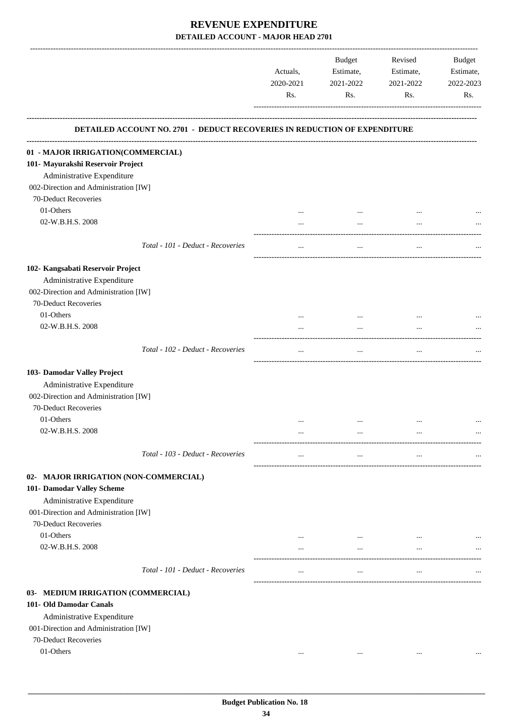|                                                                           | Actuals,<br>2020-2021<br>Rs. | Budget<br>Estimate,<br>2021-2022<br>Rs. | Revised<br>Estimate,<br>2021-2022<br>Rs. | <b>Budget</b><br>Estimate,<br>2022-2023<br>Rs. |
|---------------------------------------------------------------------------|------------------------------|-----------------------------------------|------------------------------------------|------------------------------------------------|
| DETAILED ACCOUNT NO. 2701 - DEDUCT RECOVERIES IN REDUCTION OF EXPENDITURE |                              |                                         |                                          |                                                |
| 01 - MAJOR IRRIGATION(COMMERCIAL)                                         |                              |                                         |                                          |                                                |
| 101- Mayurakshi Reservoir Project                                         |                              |                                         |                                          |                                                |
| Administrative Expenditure                                                |                              |                                         |                                          |                                                |
| 002-Direction and Administration [IW]                                     |                              |                                         |                                          |                                                |
| 70-Deduct Recoveries                                                      |                              |                                         |                                          |                                                |
| 01-Others                                                                 | $\cdots$                     | $\cdots$                                |                                          |                                                |
| 02-W.B.H.S. 2008                                                          | $\cdots$                     | $\cdots$                                | $\cdots$                                 |                                                |
| Total - 101 - Deduct - Recoveries                                         | $\cdots$                     | $\cdots$                                | $\cdots$                                 |                                                |
|                                                                           |                              |                                         |                                          |                                                |
| 102- Kangsabati Reservoir Project                                         |                              |                                         |                                          |                                                |
| Administrative Expenditure                                                |                              |                                         |                                          |                                                |
| 002-Direction and Administration [IW]<br>70-Deduct Recoveries             |                              |                                         |                                          |                                                |
| 01-Others                                                                 |                              |                                         |                                          |                                                |
| 02-W.B.H.S. 2008                                                          | $\cdots$                     | $\cdots$<br>$\ddotsc$                   | $\cdots$                                 |                                                |
|                                                                           |                              |                                         |                                          |                                                |
| Total - 102 - Deduct - Recoveries                                         | $\cdots$                     | $\ldots$                                | $\cdots$                                 |                                                |
| 103- Damodar Valley Project                                               |                              |                                         |                                          |                                                |
| Administrative Expenditure                                                |                              |                                         |                                          |                                                |
| 002-Direction and Administration [IW]                                     |                              |                                         |                                          |                                                |
| 70-Deduct Recoveries                                                      |                              |                                         |                                          |                                                |
| 01-Others                                                                 | $\cdots$                     | $\cdots$                                |                                          |                                                |
| 02-W.B.H.S. 2008                                                          | $\cdots$                     | $\cdots$                                |                                          |                                                |
|                                                                           |                              |                                         |                                          |                                                |
| Total - 103 - Deduct - Recoveries                                         | $\cdots$                     | $\cdots$                                | $\cdots$                                 | $\cdots$                                       |
| 02- MAJOR IRRIGATION (NON-COMMERCIAL)                                     |                              |                                         |                                          |                                                |
| 101- Damodar Valley Scheme                                                |                              |                                         |                                          |                                                |
| Administrative Expenditure                                                |                              |                                         |                                          |                                                |
| 001-Direction and Administration [IW]                                     |                              |                                         |                                          |                                                |
| 70-Deduct Recoveries                                                      |                              |                                         |                                          |                                                |
| 01-Others                                                                 | $\cdots$                     | $\cdots$                                | $\cdots$                                 |                                                |
| 02-W.B.H.S. 2008                                                          | $\cdots$                     | $\ddotsc$                               | $\cdots$                                 |                                                |
|                                                                           |                              |                                         |                                          |                                                |
| Total - 101 - Deduct - Recoveries                                         | $\cdots$                     | $\cdots$                                | $\cdots$                                 |                                                |
| 03- MEDIUM IRRIGATION (COMMERCIAL)                                        |                              |                                         |                                          |                                                |
| 101- Old Damodar Canals                                                   |                              |                                         |                                          |                                                |
| Administrative Expenditure                                                |                              |                                         |                                          |                                                |
| 001-Direction and Administration [IW]                                     |                              |                                         |                                          |                                                |
| 70-Deduct Recoveries                                                      |                              |                                         |                                          |                                                |
| 01-Others                                                                 | $\cdots$                     | $\cdots$                                | $\cdots$                                 |                                                |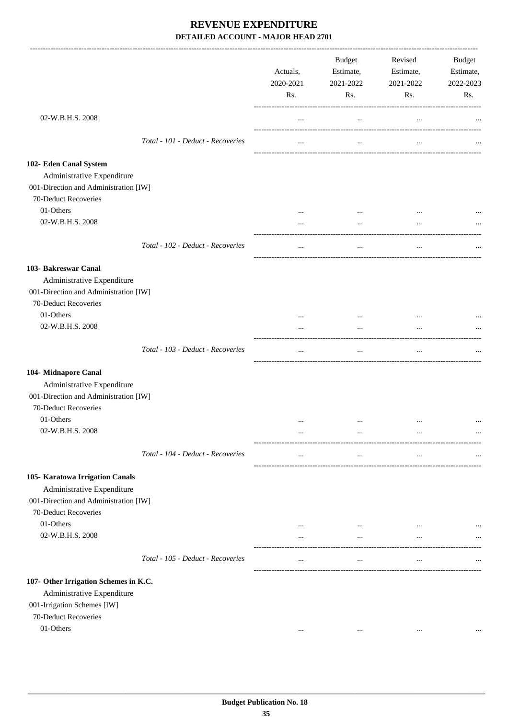|                                                                                                                                                      |                                   | Actuals,<br>2020-2021<br>Rs. | Budget<br>Estimate,<br>2021-2022<br>Rs. | Revised<br>Estimate,<br>2021-2022<br>Rs. | Budget<br>Estimate,<br>2022-2023<br>Rs. |
|------------------------------------------------------------------------------------------------------------------------------------------------------|-----------------------------------|------------------------------|-----------------------------------------|------------------------------------------|-----------------------------------------|
| 02-W.B.H.S. 2008                                                                                                                                     |                                   | $\cdots$                     | $\ddotsc$                               | $\ldots$                                 |                                         |
|                                                                                                                                                      | Total - 101 - Deduct - Recoveries | $\cdots$                     | $\cdots$                                | $\cdots$                                 |                                         |
| 102- Eden Canal System<br>Administrative Expenditure<br>001-Direction and Administration [IW]                                                        |                                   |                              |                                         |                                          |                                         |
| 70-Deduct Recoveries<br>01-Others<br>02-W.B.H.S. 2008                                                                                                |                                   | $\cdots$<br>$\cdots$         | $\cdots$<br>$\cdots$                    | $\cdots$                                 |                                         |
|                                                                                                                                                      | Total - 102 - Deduct - Recoveries | $\cdots$                     | $\cdots$                                | $\cdots$                                 |                                         |
| 103- Bakreswar Canal<br>Administrative Expenditure<br>001-Direction and Administration [IW]<br>70-Deduct Recoveries<br>01-Others<br>02-W.B.H.S. 2008 |                                   | $\cdots$                     | $\cdots$<br>$\cdots$                    | $\cdots$                                 |                                         |
|                                                                                                                                                      | Total - 103 - Deduct - Recoveries | $\cdots$                     | $\ddotsc$                               | $\cdots$                                 |                                         |
| 104- Midnapore Canal<br>Administrative Expenditure<br>001-Direction and Administration [IW]<br>70-Deduct Recoveries<br>01-Others<br>02-W.B.H.S. 2008 |                                   | $\cdots$<br>$\cdots$         | $\cdots$<br>$\cdots$                    | $\ddotsc$<br>$\ddotsc$                   |                                         |
|                                                                                                                                                      | Total - 104 - Deduct - Recoveries | $\cdots$                     | $\cdots$                                | $\cdots$                                 | $\cdots$                                |
| 105- Karatowa Irrigation Canals<br>Administrative Expenditure<br>001-Direction and Administration [IW]<br>70-Deduct Recoveries<br>01-Others          |                                   | $\cdots$                     | $\cdots$                                |                                          |                                         |
| 02-W.B.H.S. 2008                                                                                                                                     |                                   | $\cdots$                     | $\cdots$                                | $\cdots$                                 |                                         |
|                                                                                                                                                      | Total - 105 - Deduct - Recoveries | $\cdots$                     | $\cdots$                                | $\cdots$                                 |                                         |
| 107- Other Irrigation Schemes in K.C.<br>Administrative Expenditure<br>001-Irrigation Schemes [IW]<br>70-Deduct Recoveries<br>01-Others              |                                   | $\cdots$                     | $\cdots$                                | $\cdots$                                 |                                         |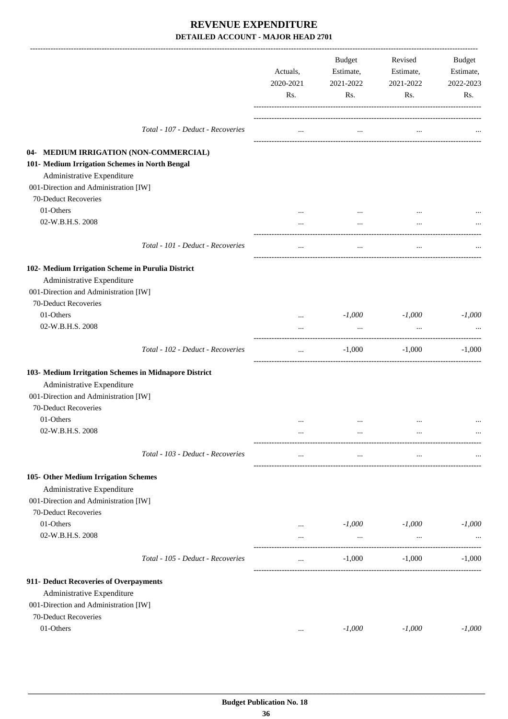|                                                       | Actuals,<br>2020-2021<br>Rs. | Budget<br>Estimate,<br>2021-2022<br>Rs. | Revised<br>Estimate,<br>2021-2022<br>Rs. | Budget<br>Estimate,<br>2022-2023<br>Rs. |
|-------------------------------------------------------|------------------------------|-----------------------------------------|------------------------------------------|-----------------------------------------|
| Total - 107 - Deduct - Recoveries                     | $\cdots$                     | $\cdots$                                | $\cdots$                                 |                                         |
| 04- MEDIUM IRRIGATION (NON-COMMERCIAL)                |                              |                                         |                                          |                                         |
| 101- Medium Irrigation Schemes in North Bengal        |                              |                                         |                                          |                                         |
| Administrative Expenditure                            |                              |                                         |                                          |                                         |
| 001-Direction and Administration [IW]                 |                              |                                         |                                          |                                         |
| 70-Deduct Recoveries                                  |                              |                                         |                                          |                                         |
| 01-Others                                             |                              | $\cdots$                                |                                          |                                         |
| 02-W.B.H.S. 2008                                      | $\cdots$                     | $\cdots$                                |                                          |                                         |
| Total - 101 - Deduct - Recoveries                     | $\cdots$                     | $\cdots$                                |                                          |                                         |
| 102- Medium Irrigation Scheme in Purulia District     |                              |                                         |                                          |                                         |
| Administrative Expenditure                            |                              |                                         |                                          |                                         |
| 001-Direction and Administration [IW]                 |                              |                                         |                                          |                                         |
| 70-Deduct Recoveries                                  |                              |                                         |                                          |                                         |
| 01-Others                                             | $\cdots$                     | $-1,000$                                | $-1,000$                                 | $-1,000$                                |
| 02-W.B.H.S. 2008                                      |                              |                                         |                                          |                                         |
| Total - 102 - Deduct - Recoveries                     | $\cdots$                     | $-1,000$                                | $-1,000$                                 | $-1,000$                                |
| 103- Medium Irritgation Schemes in Midnapore District |                              |                                         |                                          |                                         |
| Administrative Expenditure                            |                              |                                         |                                          |                                         |
| 001-Direction and Administration [IW]                 |                              |                                         |                                          |                                         |
| 70-Deduct Recoveries                                  |                              |                                         |                                          |                                         |
| 01-Others                                             | $\cdots$                     | $\ddotsc$                               |                                          |                                         |
| 02-W.B.H.S. 2008                                      | $\cdots$                     | $\ldots$                                |                                          |                                         |
| Total - 103 - Deduct - Recoveries                     | $\cdots$                     | $\cdots$                                | $\cdots$                                 |                                         |
| 105- Other Medium Irrigation Schemes                  |                              |                                         |                                          |                                         |
| Administrative Expenditure                            |                              |                                         |                                          |                                         |
| 001-Direction and Administration [IW]                 |                              |                                         |                                          |                                         |
| 70-Deduct Recoveries                                  |                              |                                         |                                          |                                         |
| 01-Others                                             | $\cdots$                     | $-1,000$                                | $-1,000$                                 | $-1,000$                                |
| 02-W.B.H.S. 2008                                      | $\cdots$                     | $\cdots$                                | $\cdots$                                 |                                         |
| Total - 105 - Deduct - Recoveries                     | $\cdots$                     | $-1,000$                                | $-1,000$                                 | $-1,000$                                |
| 911- Deduct Recoveries of Overpayments                |                              |                                         |                                          |                                         |
| Administrative Expenditure                            |                              |                                         |                                          |                                         |
| 001-Direction and Administration [IW]                 |                              |                                         |                                          |                                         |
| 70-Deduct Recoveries                                  |                              |                                         |                                          |                                         |
| 01-Others                                             | $\cdots$                     | $-1,000$                                | $-1,000$                                 | $-1,000$                                |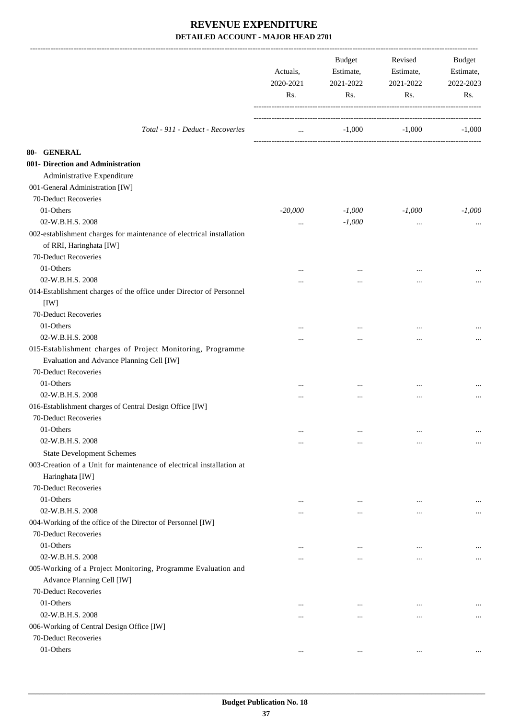|                                                                      | Actuals,<br>2020-2021<br>Rs. | Budget<br>Estimate,<br>2021-2022<br>Rs. | Revised<br>Estimate,<br>2021-2022<br>Rs. | Budget<br>Estimate,<br>2022-2023<br>Rs. |
|----------------------------------------------------------------------|------------------------------|-----------------------------------------|------------------------------------------|-----------------------------------------|
| Total - 911 - Deduct - Recoveries                                    | $\cdots$                     | $-1,000$                                | $-1,000$                                 | $-1,000$                                |
| 80- GENERAL                                                          |                              |                                         |                                          |                                         |
| 001- Direction and Administration                                    |                              |                                         |                                          |                                         |
| Administrative Expenditure                                           |                              |                                         |                                          |                                         |
| 001-General Administration [IW]                                      |                              |                                         |                                          |                                         |
| 70-Deduct Recoveries                                                 |                              |                                         |                                          |                                         |
| 01-Others                                                            | $-20,000$                    | $-1,000$                                | $-1,000$                                 | $-1,000$                                |
| 02-W.B.H.S. 2008                                                     | $\cdots$                     | $-1,000$                                | $\cdots$                                 |                                         |
| 002-establishment charges for maintenance of electrical installation |                              |                                         |                                          |                                         |
| of RRI, Haringhata [IW]                                              |                              |                                         |                                          |                                         |
| 70-Deduct Recoveries                                                 |                              |                                         |                                          |                                         |
| 01-Others                                                            |                              | $\cdots$                                |                                          |                                         |
| 02-W.B.H.S. 2008                                                     | .                            |                                         | $\ddotsc$                                |                                         |
| 014-Establishment charges of the office under Director of Personnel  |                              |                                         |                                          |                                         |
| [IW]                                                                 |                              |                                         |                                          |                                         |
| 70-Deduct Recoveries                                                 |                              |                                         |                                          |                                         |
| 01-Others                                                            | $\cdots$                     | $\cdots$                                | $\ddotsc$                                |                                         |
| 02-W.B.H.S. 2008                                                     | .                            |                                         |                                          |                                         |
| 015-Establishment charges of Project Monitoring, Programme           |                              |                                         |                                          |                                         |
| Evaluation and Advance Planning Cell [IW]                            |                              |                                         |                                          |                                         |
| 70-Deduct Recoveries                                                 |                              |                                         |                                          |                                         |
| 01-Others                                                            |                              |                                         |                                          |                                         |
| 02-W.B.H.S. 2008                                                     |                              | $\cdots$                                | $\ddotsc$                                |                                         |
| 016-Establishment charges of Central Design Office [IW]              | $\cdots$                     | $\cdots$                                | $\ddotsc$                                |                                         |
| 70-Deduct Recoveries                                                 |                              |                                         |                                          |                                         |
| 01-Others                                                            |                              |                                         |                                          |                                         |
| 02-W.B.H.S. 2008                                                     | $\cdots$                     | $\cdots$                                | $\cdots$                                 | $\cdots$                                |
| <b>State Development Schemes</b>                                     |                              | $\cdots$                                | $\cdots$                                 | $\cdots$                                |
| 003-Creation of a Unit for maintenance of electrical installation at |                              |                                         |                                          |                                         |
| Haringhata [IW]                                                      |                              |                                         |                                          |                                         |
| 70-Deduct Recoveries                                                 |                              |                                         |                                          |                                         |
| 01-Others                                                            |                              |                                         |                                          |                                         |
| 02-W.B.H.S. 2008                                                     | $\cdots$                     | $\cdots$                                | $\cdots$                                 | $\cdots$                                |
| 004-Working of the office of the Director of Personnel [IW]          |                              | $\cdots$                                | $\ddotsc$                                | $\cdots$                                |
| 70-Deduct Recoveries                                                 |                              |                                         |                                          |                                         |
| 01-Others                                                            |                              |                                         |                                          |                                         |
| 02-W.B.H.S. 2008                                                     | $\cdots$                     | $\cdots$                                | $\cdots$                                 | $\cdots$                                |
|                                                                      |                              | $\cdots$                                | $\ddotsc$                                | $\cdots$                                |
| 005-Working of a Project Monitoring, Programme Evaluation and        |                              |                                         |                                          |                                         |
| Advance Planning Cell [IW]<br>70-Deduct Recoveries                   |                              |                                         |                                          |                                         |
|                                                                      |                              |                                         |                                          |                                         |
| 01-Others                                                            | $\cdots$                     | $\cdots$                                | $\ddotsc$                                |                                         |
| 02-W.B.H.S. 2008                                                     | $\cdots$                     | $\cdots$                                | $\cdots$                                 | $\cdots$                                |
| 006-Working of Central Design Office [IW]                            |                              |                                         |                                          |                                         |
| 70-Deduct Recoveries                                                 |                              |                                         |                                          |                                         |
| 01-Others                                                            | $\cdots$                     | $\cdots$                                | $\cdots$                                 | $\cdots$                                |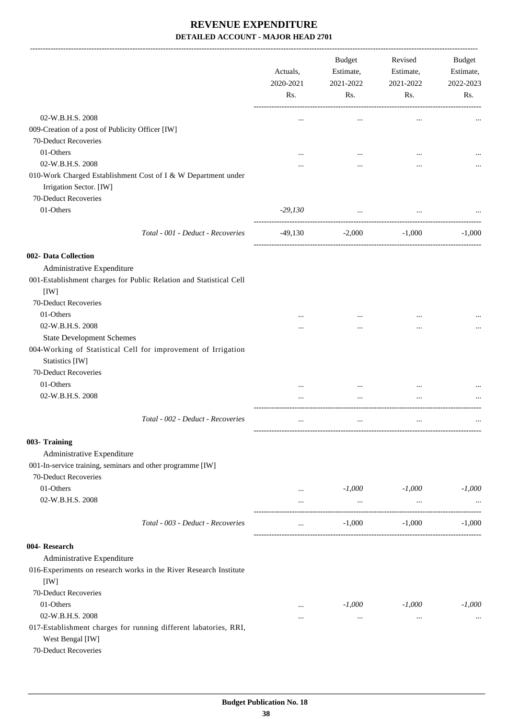-------------------------------------------------------------------------------------------------------------------------------------------------------------------------------

|                                                                                                                  | Actuals,<br>2020-2021<br>Rs. | <b>Budget</b><br>Estimate,<br>2021-2022<br>Rs. | Revised<br>Estimate,<br>2021-2022<br>Rs. | <b>Budget</b><br>Estimate,<br>2022-2023<br>Rs. |
|------------------------------------------------------------------------------------------------------------------|------------------------------|------------------------------------------------|------------------------------------------|------------------------------------------------|
| 02-W.B.H.S. 2008                                                                                                 | $\cdots$                     | $\cdots$                                       | $\cdots$                                 |                                                |
| 009-Creation of a post of Publicity Officer [IW]<br>70-Deduct Recoveries                                         |                              |                                                |                                          |                                                |
| 01-Others                                                                                                        |                              | $\ddotsc$                                      |                                          |                                                |
| 02-W.B.H.S. 2008                                                                                                 |                              | $\cdots$                                       |                                          |                                                |
| 010-Work Charged Establishment Cost of I & W Department under<br>Irrigation Sector. [IW]<br>70-Deduct Recoveries |                              |                                                |                                          |                                                |
| 01-Others                                                                                                        | $-29,130$                    | $\ddotsc$                                      | $\cdots$                                 |                                                |
|                                                                                                                  |                              |                                                |                                          |                                                |
| Total - 001 - Deduct - Recoveries                                                                                | $-49,130$                    | $-2,000$                                       | $-1,000$                                 | $-1.000$                                       |
| 002- Data Collection<br>Administrative Expenditure                                                               |                              |                                                |                                          |                                                |
| 001-Establishment charges for Public Relation and Statistical Cell<br>[IW]                                       |                              |                                                |                                          |                                                |
| 70-Deduct Recoveries                                                                                             |                              |                                                |                                          |                                                |
| 01-Others                                                                                                        | $\cdots$                     |                                                |                                          |                                                |
| 02-W.B.H.S. 2008                                                                                                 | $\cdots$                     | $\cdots$                                       |                                          | $\cdots$                                       |
| <b>State Development Schemes</b>                                                                                 |                              |                                                |                                          |                                                |
| 004-Working of Statistical Cell for improvement of Irrigation<br>Statistics [IW]                                 |                              |                                                |                                          |                                                |
| 70-Deduct Recoveries                                                                                             |                              |                                                |                                          |                                                |
| 01-Others                                                                                                        | $\cdots$                     | $\cdots$                                       |                                          |                                                |
| 02-W.B.H.S. 2008                                                                                                 | $\cdots$                     | $\cdots$                                       | $\ddotsc$                                |                                                |
| Total - 002 - Deduct - Recoveries                                                                                | $\cdots$                     | $\ldots$                                       | $\cdots$                                 |                                                |
| 003- Training                                                                                                    |                              |                                                |                                          |                                                |
| Administrative Expenditure                                                                                       |                              |                                                |                                          |                                                |
| 001-In-service training, seminars and other programme [IW]                                                       |                              |                                                |                                          |                                                |
| 70-Deduct Recoveries                                                                                             |                              |                                                |                                          |                                                |
| 01-Others                                                                                                        | $\cdots$                     | $-1,000$                                       | $-1,000$                                 | $-1,000$                                       |
| 02-W.B.H.S. 2008                                                                                                 | $\cdots$                     | $\cdots$                                       | $\cdots$                                 |                                                |
| Total - 003 - Deduct - Recoveries                                                                                | $\cdots$                     | $-1,000$                                       | $-1,000$                                 | $-1,000$                                       |
| 004- Research                                                                                                    |                              |                                                |                                          |                                                |
| Administrative Expenditure                                                                                       |                              |                                                |                                          |                                                |
| 016-Experiments on research works in the River Research Institute<br>[IW]                                        |                              |                                                |                                          |                                                |
| 70-Deduct Recoveries                                                                                             |                              |                                                |                                          |                                                |
| 01-Others                                                                                                        | $\cdots$                     | $-1,000$                                       | $-1,000$                                 | $-1,000$                                       |
| 02-W.B.H.S. 2008                                                                                                 |                              | $\cdots$                                       | $\cdots$                                 |                                                |
| 017-Establishment charges for running different labatories, RRI,<br>West Bengal [IW]                             |                              |                                                |                                          |                                                |
| 70-Deduct Recoveries                                                                                             |                              |                                                |                                          |                                                |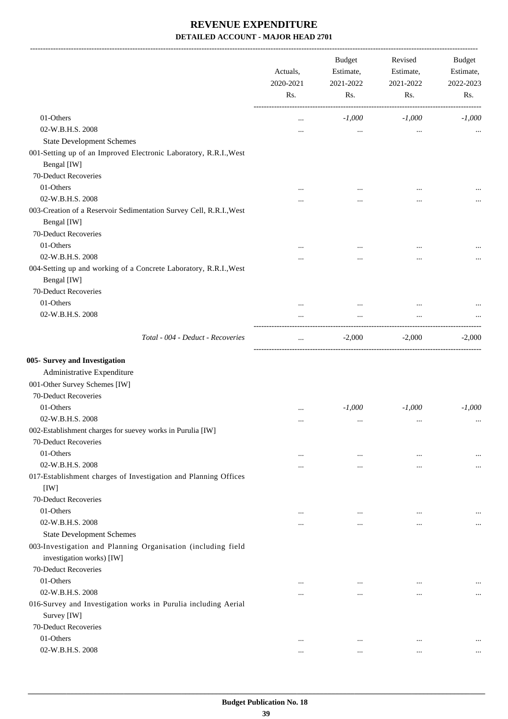-------------------------------------------------------------------------------------------------------------------------------------------------------------------------------

|                                                                     | Actuals,<br>2020-2021<br>Rs. | <b>Budget</b><br>Estimate,<br>2021-2022<br>Rs. | Revised<br>Estimate,<br>2021-2022<br>Rs. | <b>Budget</b><br>Estimate,<br>2022-2023<br>Rs. |
|---------------------------------------------------------------------|------------------------------|------------------------------------------------|------------------------------------------|------------------------------------------------|
| 01-Others                                                           |                              | $-1,000$                                       | $-1,000$                                 | $-1,000$                                       |
| 02-W.B.H.S. 2008                                                    |                              | $\cdots$                                       | $\cdots$                                 |                                                |
| <b>State Development Schemes</b>                                    |                              |                                                |                                          |                                                |
| 001-Setting up of an Improved Electronic Laboratory, R.R.I., West   |                              |                                                |                                          |                                                |
| Bengal [IW]                                                         |                              |                                                |                                          |                                                |
| 70-Deduct Recoveries                                                |                              |                                                |                                          |                                                |
| 01-Others                                                           |                              |                                                | $\cdots$                                 |                                                |
| 02-W.B.H.S. 2008                                                    |                              |                                                |                                          |                                                |
| 003-Creation of a Reservoir Sedimentation Survey Cell, R.R.I., West |                              |                                                |                                          |                                                |
| Bengal [IW]                                                         |                              |                                                |                                          |                                                |
| 70-Deduct Recoveries                                                |                              |                                                |                                          |                                                |
| 01-Others                                                           |                              |                                                |                                          |                                                |
| 02-W.B.H.S. 2008                                                    | .                            |                                                |                                          | $\cdots$                                       |
| 004-Setting up and working of a Concrete Laboratory, R.R.I., West   |                              |                                                |                                          |                                                |
| Bengal [IW]                                                         |                              |                                                |                                          |                                                |
| 70-Deduct Recoveries                                                |                              |                                                |                                          |                                                |
| 01-Others                                                           |                              | $\cdots$                                       |                                          |                                                |
| 02-W.B.H.S. 2008                                                    |                              |                                                |                                          |                                                |
|                                                                     |                              |                                                |                                          |                                                |
| Total - 004 - Deduct - Recoveries                                   | $\cdots$                     | $-2,000$                                       | $-2,000$                                 | $-2,000$                                       |
| 005- Survey and Investigation                                       |                              |                                                |                                          |                                                |
| Administrative Expenditure                                          |                              |                                                |                                          |                                                |
| 001-Other Survey Schemes [IW]                                       |                              |                                                |                                          |                                                |
| 70-Deduct Recoveries                                                |                              |                                                |                                          |                                                |
| 01-Others                                                           |                              | $-1,000$                                       | $-1,000$                                 | $-1,000$                                       |
| 02-W.B.H.S. 2008                                                    | $\cdots$                     |                                                |                                          |                                                |
| 002-Establishment charges for suevey works in Purulia [IW]          |                              |                                                |                                          |                                                |
| 70-Deduct Recoveries                                                |                              |                                                |                                          |                                                |
| 01-Others                                                           |                              |                                                |                                          |                                                |
| 02-W.B.H.S. 2008                                                    | $\cdots$                     | $\cdots$                                       | $\cdots$                                 |                                                |
| 017-Establishment charges of Investigation and Planning Offices     |                              | $\cdots$                                       |                                          | $\cdots$                                       |
| [IW]                                                                |                              |                                                |                                          |                                                |
| 70-Deduct Recoveries                                                |                              |                                                |                                          |                                                |
| 01-Others                                                           |                              |                                                |                                          |                                                |
| 02-W.B.H.S. 2008                                                    |                              | $\cdots$                                       | $\cdots$                                 |                                                |
| <b>State Development Schemes</b>                                    |                              | $\cdots$                                       | $\cdots$                                 | $\cdots$                                       |
|                                                                     |                              |                                                |                                          |                                                |
| 003-Investigation and Planning Organisation (including field        |                              |                                                |                                          |                                                |
| investigation works) [IW]                                           |                              |                                                |                                          |                                                |
| 70-Deduct Recoveries                                                |                              |                                                |                                          |                                                |
| 01-Others                                                           |                              |                                                |                                          |                                                |
| 02-W.B.H.S. 2008                                                    |                              | $\ddotsc$                                      | $\ddotsc$                                | $\cdots$                                       |
| 016-Survey and Investigation works in Purulia including Aerial      |                              |                                                |                                          |                                                |
| Survey [IW]                                                         |                              |                                                |                                          |                                                |
| 70-Deduct Recoveries                                                |                              |                                                |                                          |                                                |
| 01-Others                                                           |                              | $\cdots$                                       | $\ddotsc$                                |                                                |
| 02-W.B.H.S. 2008                                                    | $\cdots$                     | $\cdots$                                       | $\ldots$                                 | $\cdots$                                       |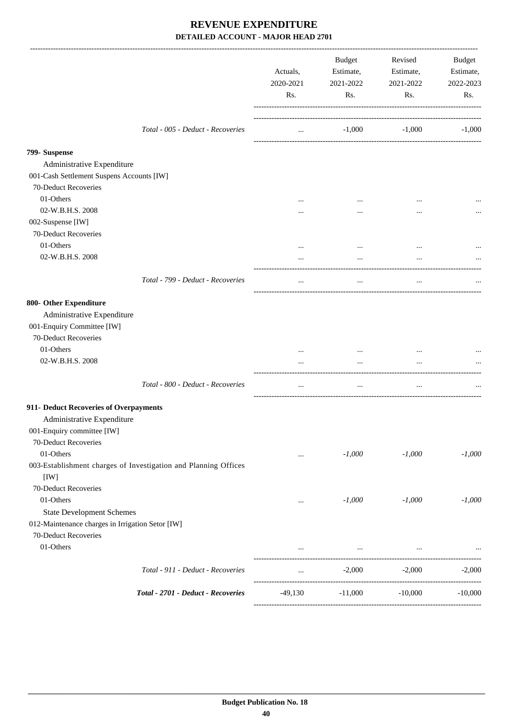|                                                                                          | Actuals,<br>2020-2021<br>Rs. | Budget<br>Estimate,<br>2021-2022<br>Rs. | Revised<br>Estimate,<br>2021-2022<br>Rs. | <b>Budget</b><br>Estimate,<br>2022-2023<br>Rs. |
|------------------------------------------------------------------------------------------|------------------------------|-----------------------------------------|------------------------------------------|------------------------------------------------|
| Total - 005 - Deduct - Recoveries                                                        | $\cdots$                     | $-1,000$                                | $-1,000$                                 | $-1,000$                                       |
| 799- Suspense<br>Administrative Expenditure<br>001-Cash Settlement Suspens Accounts [IW] |                              |                                         |                                          |                                                |
| 70-Deduct Recoveries                                                                     |                              |                                         |                                          |                                                |
| 01-Others                                                                                |                              | $\ddotsc$                               |                                          |                                                |
| 02-W.B.H.S. 2008                                                                         |                              | $\cdots$                                |                                          |                                                |
| 002-Suspense [IW]                                                                        |                              |                                         |                                          |                                                |
| 70-Deduct Recoveries                                                                     |                              |                                         |                                          |                                                |
| 01-Others                                                                                | $\ddotsc$                    |                                         |                                          |                                                |
| 02-W.B.H.S. 2008                                                                         |                              | $\cdots$                                |                                          |                                                |
| Total - 799 - Deduct - Recoveries                                                        | $\cdots$                     | $\cdots$                                | $\cdots$                                 |                                                |
| 800- Other Expenditure                                                                   |                              |                                         |                                          |                                                |
| Administrative Expenditure<br>001-Enquiry Committee [IW]<br>70-Deduct Recoveries         |                              |                                         |                                          |                                                |
| 01-Others                                                                                |                              |                                         |                                          |                                                |
| 02-W.B.H.S. 2008                                                                         | $\cdots$                     | $\cdots$                                | $\cdots$                                 |                                                |
| Total - 800 - Deduct - Recoveries                                                        | $\cdots$                     | $\cdots$                                | $\cdots$                                 |                                                |
| 911- Deduct Recoveries of Overpayments                                                   |                              |                                         |                                          |                                                |
| Administrative Expenditure                                                               |                              |                                         |                                          |                                                |
| 001-Enquiry committee [IW]                                                               |                              |                                         |                                          |                                                |
| 70-Deduct Recoveries                                                                     |                              |                                         |                                          |                                                |
| 01-Others                                                                                | $\cdots$                     | $-1,000$                                | $-1,000$                                 | $-1,000$                                       |
| 003-Establishment charges of Investigation and Planning Offices<br>[IW]                  |                              |                                         |                                          |                                                |
| 70-Deduct Recoveries                                                                     |                              |                                         |                                          |                                                |
| 01-Others                                                                                | $\cdots$                     | $-1,000$                                | $-1,000$                                 | $-1,000$                                       |
| <b>State Development Schemes</b><br>012-Maintenance charges in Irrigation Setor [IW]     |                              |                                         |                                          |                                                |
| 70-Deduct Recoveries                                                                     |                              |                                         |                                          |                                                |
| 01-Others                                                                                | $\cdots$                     | $\cdots$                                |                                          |                                                |
|                                                                                          |                              |                                         | -------------------                      |                                                |
| Total - 911 - Deduct - Recoveries                                                        | $\cdots$                     | $-2,000$                                | $-2,000$                                 | $-2,000$                                       |
| Total - 2701 - Deduct - Recoveries                                                       | $-49,130$                    | $-11,000$                               | $-10,000$                                | $-10,000$                                      |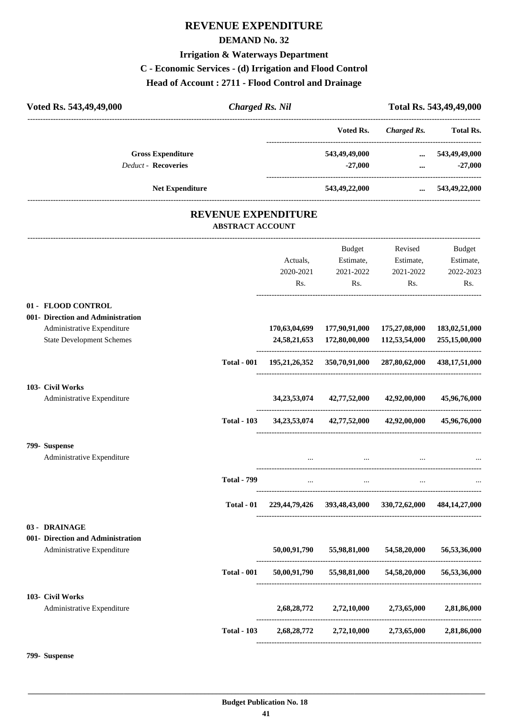# **REVENUE EXPENDITURE**

#### **DEMAND No. 32**

#### **Irrigation & Waterways Department**

## **C - Economic Services - (d) Irrigation and Flood Control**

**Head of Account : 2711 - Flood Control and Drainage**

| Voted Rs. 543,49,49,000           | <b>Charged Rs. Nil</b>                         |               |                                                 |                                                         | Total Rs. 543,49,49,000 |
|-----------------------------------|------------------------------------------------|---------------|-------------------------------------------------|---------------------------------------------------------|-------------------------|
|                                   |                                                |               | Voted Rs.                                       | ---------------------<br><b>Charged Rs.</b>             | <b>Total Rs.</b>        |
| <b>Gross Expenditure</b>          |                                                |               | 543,49,49,000                                   | ----------------------------------<br>$\cdots$          | 543,49,49,000           |
| <b>Deduct - Recoveries</b>        |                                                |               | $-27,000$                                       | $\cdots$                                                | $-27,000$               |
| <b>Net Expenditure</b>            |                                                |               | 543,49,22,000                                   |                                                         | $\dots$ 543,49,22,000   |
|                                   | REVENUE EXPENDITURE<br><b>ABSTRACT ACCOUNT</b> |               |                                                 |                                                         |                         |
|                                   |                                                |               | Budget                                          | Revised                                                 | Budget                  |
|                                   |                                                | Actuals,      | Estimate,                                       | Estimate,                                               | Estimate,               |
|                                   |                                                | 2020-2021     | 2021-2022                                       | 2021-2022                                               | 2022-2023               |
|                                   |                                                | Rs.           | Rs.                                             | Rs.                                                     | Rs.                     |
| 01 - FLOOD CONTROL                |                                                |               |                                                 |                                                         |                         |
| 001- Direction and Administration |                                                |               |                                                 |                                                         |                         |
| Administrative Expenditure        |                                                | 170,63,04,699 | 177,90,91,000                                   | 175,27,08,000                                           | 183,02,51,000           |
| <b>State Development Schemes</b>  |                                                | 24,58,21,653  | 172,80,00,000                                   | 112,53,54,000                                           | 255,15,00,000           |
|                                   | <b>Total - 001</b>                             |               |                                                 | 195,21,26,352 350,70,91,000 287,80,62,000 438,17,51,000 |                         |
| 103- Civil Works                  |                                                |               |                                                 |                                                         |                         |
| Administrative Expenditure        |                                                |               | 34, 23, 53, 074 42, 77, 52, 000 42, 92, 00, 000 |                                                         | 45,96,76,000            |
|                                   | <b>Total - 103</b>                             |               | 34, 23, 53, 074 42, 77, 52, 000                 | 42,92,00,000                                            | 45,96,76,000            |
| 799- Suspense                     |                                                |               |                                                 |                                                         |                         |
| Administrative Expenditure        |                                                | $\cdots$      | $\cdots$                                        | $\cdots$                                                |                         |
|                                   | <b>Total - 799</b>                             |               |                                                 |                                                         |                         |
|                                   | Total - 01                                     |               |                                                 | 229,44,79,426 393,48,43,000 330,72,62,000 484,14,27,000 |                         |
| 03 - DRAINAGE                     |                                                |               |                                                 |                                                         |                         |
| 001- Direction and Administration |                                                |               |                                                 |                                                         |                         |
| Administrative Expenditure        |                                                |               |                                                 | 50,00,91,790 55,98,81,000 54,58,20,000 56,53,36,000     |                         |
|                                   | <b>Total - 001</b>                             |               |                                                 | 50,00,91,790 55,98,81,000 54,58,20,000 56,53,36,000     |                         |
| 103- Civil Works                  |                                                |               |                                                 |                                                         |                         |
| Administrative Expenditure        |                                                |               | 2,68,28,772 2,72,10,000 2,73,65,000             |                                                         | 2,81,86,000             |
|                                   | <b>Total - 103</b>                             |               |                                                 | 2,68,28,772 2,72,10,000 2,73,65,000 2,81,86,000         |                         |
|                                   |                                                |               |                                                 |                                                         |                         |

**799- Suspense**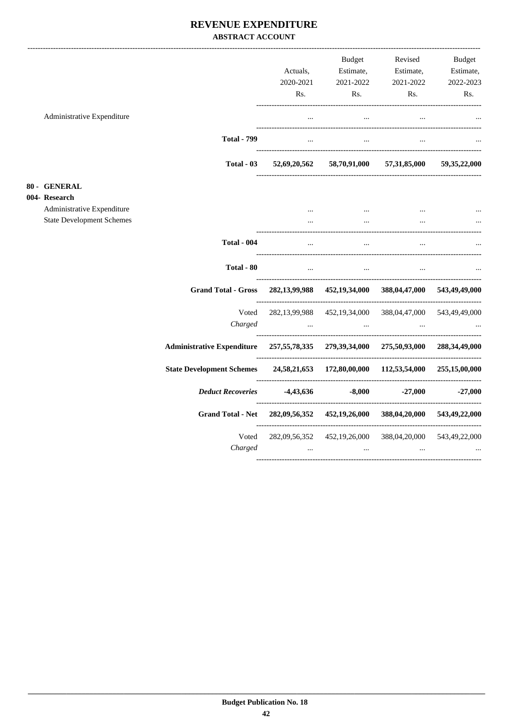#### REVENUE EXPENDITURE **ABSTRACT ACCOUNT**

|                                  |                                                                                    | Actuals,                          | Budget<br>Estimate,                                                                         | Revised<br>Estimate,                           | <b>Budget</b><br>Estimate, |
|----------------------------------|------------------------------------------------------------------------------------|-----------------------------------|---------------------------------------------------------------------------------------------|------------------------------------------------|----------------------------|
|                                  |                                                                                    | 2020-2021                         | 2021-2022                                                                                   | 2021-2022                                      | 2022-2023                  |
|                                  |                                                                                    | Rs.                               | Rs.                                                                                         | Rs.                                            | Rs.                        |
| Administrative Expenditure       |                                                                                    | $\cdots$                          | $\ldots$                                                                                    |                                                |                            |
|                                  | <b>Total - 799</b>                                                                 |                                   | $\Delta \mathbf{m}$ and $\Delta \mathbf{m}$ and $\Delta \mathbf{m}$<br>$\sim$ $\sim$ $\sim$ | $\ddotsc$                                      |                            |
|                                  | Total - 03                                                                         |                                   | 52,69,20,562 58,70,91,000 57,31,85,000 59,35,22,000                                         |                                                |                            |
| 80 - GENERAL                     |                                                                                    |                                   |                                                                                             |                                                |                            |
| 004- Research                    |                                                                                    |                                   |                                                                                             |                                                |                            |
| Administrative Expenditure       |                                                                                    | $\cdots$                          | $\sim 10^{-10}$ and $\sim 10^{-10}$                                                         | $\cdots$                                       | $\ddotsc$                  |
| <b>State Development Schemes</b> |                                                                                    | $\cdots$                          | $\mathbf{r}$ , $\mathbf{r}$ , $\mathbf{r}$                                                  | $\cdots$                                       |                            |
|                                  | <b>Total - 004</b>                                                                 | $\cdots$                          | $\cdots$                                                                                    | $\ddotsc$                                      |                            |
|                                  | Total - 80                                                                         |                                   | $\mathbf{r}$ and $\mathbf{r}$ are the set of $\mathbf{r}$ and $\mathbf{r}$                  |                                                |                            |
|                                  | <b>Grand Total - Gross</b>                                                         |                                   | 282,13,99,988 452,19,34,000 388,04,47,000 543,49,49,000                                     |                                                |                            |
|                                  | Voted                                                                              |                                   | 282,13,99,988 452,19,34,000 388,04,47,000 543,49,49,000                                     |                                                |                            |
|                                  | Charged                                                                            | <b>Contract Contract Contract</b> | and the contract of the contract of                                                         | $\mathbf{r}$ and $\mathbf{r}$ and $\mathbf{r}$ |                            |
|                                  | Administrative Expenditure 257,55,78,335 279,39,34,000 275,50,93,000 288,34,49,000 |                                   |                                                                                             |                                                |                            |
|                                  | State Development Schemes 24,58,21,653 172,80,00,000 112,53,54,000 255,15,00,000   |                                   |                                                                                             |                                                |                            |
|                                  | Deduct Recoveries -4,43,636                                                        |                                   |                                                                                             | $-8,000$ $-27,000$ $-27,000$                   |                            |
|                                  | <b>Grand Total - Net</b>                                                           |                                   | 282,09,56,352 452,19,26,000 388,04,20,000 543,49,22,000                                     |                                                |                            |
|                                  | Voted<br>Charged                                                                   | $\sim 100$                        | 282,09,56,352 452,19,26,000 388,04,20,000 543,49,22,000<br>$\sim 100$ and $\sim 100$        | $\cdots$                                       |                            |
|                                  |                                                                                    |                                   |                                                                                             |                                                |                            |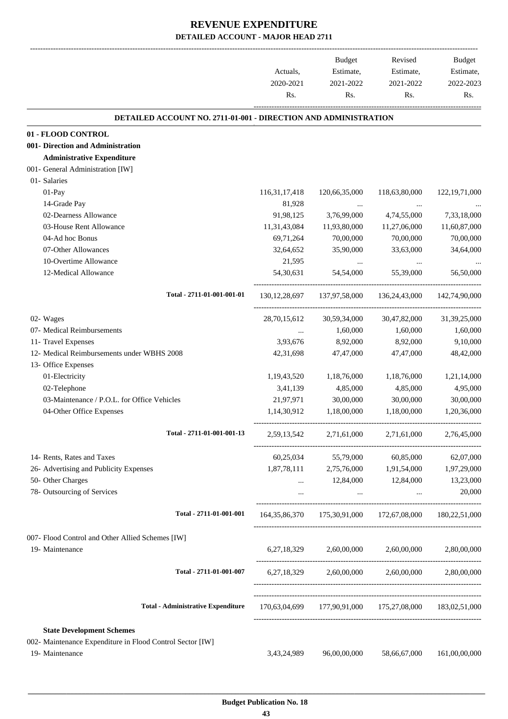|                                                                 | Actuals,<br>2020-2021<br>Rs. | Budget<br>Estimate,<br>2021-2022<br>Rs. | Revised<br>Estimate,<br>2021-2022<br>Rs.                            | <b>Budget</b><br>Estimate,<br>2022-2023<br>Rs. |
|-----------------------------------------------------------------|------------------------------|-----------------------------------------|---------------------------------------------------------------------|------------------------------------------------|
| DETAILED ACCOUNT NO. 2711-01-001 - DIRECTION AND ADMINISTRATION |                              |                                         |                                                                     |                                                |
| 01 - FLOOD CONTROL                                              |                              |                                         |                                                                     |                                                |
| 001- Direction and Administration                               |                              |                                         |                                                                     |                                                |
| <b>Administrative Expenditure</b>                               |                              |                                         |                                                                     |                                                |
| 001- General Administration [IW]                                |                              |                                         |                                                                     |                                                |
| 01- Salaries                                                    |                              |                                         |                                                                     |                                                |
| 01-Pay                                                          | 116, 31, 17, 418             | 120,66,35,000                           | 118,63,80,000                                                       | 122, 19, 71, 000                               |
| 14-Grade Pay                                                    | 81,928                       | $\cdots$                                |                                                                     |                                                |
| 02-Dearness Allowance                                           | 91,98,125                    | 3,76,99,000                             | 4,74,55,000                                                         | 7,33,18,000                                    |
| 03-House Rent Allowance                                         | 11,31,43,084                 | 11,93,80,000                            | 11,27,06,000                                                        | 11,60,87,000                                   |
| 04-Ad hoc Bonus                                                 | 69,71,264                    | 70,00,000                               | 70,00,000                                                           | 70,00,000                                      |
| 07-Other Allowances                                             | 32,64,652                    | 35,90,000                               | 33,63,000                                                           | 34,64,000                                      |
| 10-Overtime Allowance                                           | 21,595                       | $\cdots$                                | $\cdots$                                                            |                                                |
| 12-Medical Allowance                                            | 54,30,631                    | 54,54,000                               | 55,39,000                                                           | 56,50,000                                      |
| Total - 2711-01-001-001-01                                      |                              | 130, 12, 28, 697 137, 97, 58, 000       | 136, 24, 43, 000 142, 74, 90, 000                                   |                                                |
| 02- Wages                                                       | 28,70,15,612                 | 30,59,34,000                            | 30,47,82,000                                                        | 31,39,25,000                                   |
| 07- Medical Reimbursements                                      | $\cdots$                     | 1,60,000                                | 1,60,000                                                            | 1,60,000                                       |
| 11- Travel Expenses                                             | 3,93,676                     | 8,92,000                                | 8,92,000                                                            | 9,10,000                                       |
| 12- Medical Reimbursements under WBHS 2008                      | 42, 31, 698                  | 47,47,000                               | 47,47,000                                                           | 48,42,000                                      |
| 13- Office Expenses                                             |                              |                                         |                                                                     |                                                |
| 01-Electricity                                                  | 1,19,43,520                  | 1,18,76,000                             | 1,18,76,000                                                         | 1,21,14,000                                    |
| 02-Telephone                                                    | 3,41,139                     | 4,85,000                                | 4,85,000                                                            | 4,95,000                                       |
| 03-Maintenance / P.O.L. for Office Vehicles                     | 21,97,971                    | 30,00,000                               | 30,00,000                                                           | 30,00,000                                      |
| 04-Other Office Expenses                                        | 1,14,30,912                  | 1,18,00,000                             | 1,18,00,000                                                         | 1,20,36,000                                    |
| Total - 2711-01-001-001-13                                      |                              | 2,59,13,542 2,71,61,000                 | 2,71,61,000                                                         | 2,76,45,000                                    |
| 14- Rents, Rates and Taxes                                      |                              |                                         | 60,25,034 55,79,000 60,85,000                                       | 62,07,000                                      |
| 26- Advertising and Publicity Expenses                          |                              |                                         | 1,87,78,111 2,75,76,000 1,91,54,000 1,97,29,000                     |                                                |
| 50- Other Charges                                               |                              | 12,84,000                               | 12,84,000                                                           | 13,23,000                                      |
| 78- Outsourcing of Services                                     | $\cdots$                     | $\ldots$ .                              | $\sim 10^{-10}$                                                     | 20,000                                         |
| Total - 2711-01-001-001                                         |                              |                                         | 164, 35, 86, 370 175, 30, 91, 000 172, 67, 08, 000 180, 22, 51, 000 |                                                |
| 007- Flood Control and Other Allied Schemes [IW]                |                              |                                         |                                                                     |                                                |
| 19- Maintenance                                                 |                              |                                         | 6,27,18,329 2,60,00,000 2,60,00,000 2,80,00,000                     |                                                |
| Total - 2711-01-001-007                                         | 6,27,18,329                  |                                         | 2,60,00,000 2,60,00,000                                             | 2,80,00,000                                    |
| <b>Total - Administrative Expenditure</b>                       |                              |                                         | 170,63,04,699 177,90,91,000 175,27,08,000 183,02,51,000             |                                                |
| <b>State Development Schemes</b>                                |                              |                                         |                                                                     |                                                |
| 002- Maintenance Expenditure in Flood Control Sector [IW]       |                              |                                         |                                                                     |                                                |
| 19- Maintenance                                                 | 3,43,24,989                  | 96,00,00,000                            | 58,66,67,000                                                        | 161,00,00,000                                  |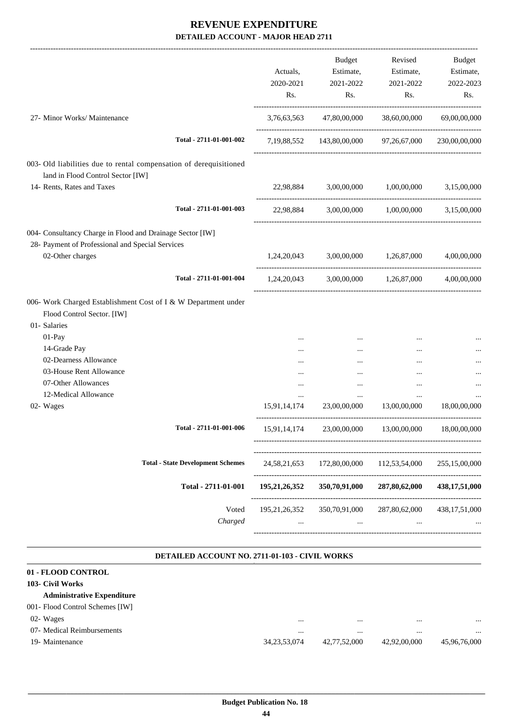-------------------------------------------------------------------------------------------------------------------------------------------------------------------------------

|                                                                                                                                       |                         | Actuals,<br>2020-2021<br>Rs. | <b>Budget</b><br>Estimate,<br>2021-2022<br>Rs. | Revised<br>Estimate,<br>2021-2022<br>Rs.      | <b>Budget</b><br>Estimate,<br>2022-2023<br>Rs. |
|---------------------------------------------------------------------------------------------------------------------------------------|-------------------------|------------------------------|------------------------------------------------|-----------------------------------------------|------------------------------------------------|
| 27- Minor Works/ Maintenance                                                                                                          |                         | 3,76,63,563                  | 47,80,00,000                                   | 38,60,00,000                                  | 69,00,00,000                                   |
|                                                                                                                                       | Total - 2711-01-001-002 |                              |                                                | 7,19,88,552 143,80,00,000 97,26,67,000        | 230,00,00,000                                  |
| 003- Old liabilities due to rental compensation of derequisitioned<br>land in Flood Control Sector [IW]<br>14- Rents, Rates and Taxes |                         |                              |                                                |                                               |                                                |
|                                                                                                                                       |                         |                              |                                                | 22,98,884 3,00,00,000 1,00,00,000             | 3,15,00,000                                    |
|                                                                                                                                       | Total - 2711-01-001-003 |                              |                                                | 22,98,884 3,00,00,000 1,00,00,000 3,15,00,000 |                                                |
| 004- Consultancy Charge in Flood and Drainage Sector [IW]<br>28- Payment of Professional and Special Services<br>02-Other charges     |                         |                              | 1,24,20,043 3,00,00,000 1,26,87,000            |                                               | 4,00,00,000                                    |
|                                                                                                                                       | Total - 2711-01-001-004 |                              |                                                | $1,24,20,043$ $3,00,00,000$ $1,26,87,000$     | 4,00,00,000                                    |
| 006- Work Charged Establishment Cost of I & W Department under<br>Flood Control Sector. [IW]<br>01- Salaries                          |                         |                              |                                                |                                               |                                                |
| 01-Pay                                                                                                                                |                         |                              | $\cdots$                                       |                                               |                                                |
| 14-Grade Pay                                                                                                                          |                         | $\cdots$                     |                                                |                                               |                                                |
| 02-Dearness Allowance<br>03-House Rent Allowance                                                                                      |                         |                              |                                                | $\cdots$                                      |                                                |
| 07-Other Allowances                                                                                                                   |                         | <br>                         | <br>$\cdots$                                   | <br>                                          |                                                |
| 12-Medical Allowance                                                                                                                  |                         | $\cdots$                     | $\cdots$                                       | $\cdots$                                      |                                                |
| 02- Wages                                                                                                                             |                         | 15,91,14,174                 | 23,00,00,000                                   | 13,00,00,000                                  | 18,00,00,000                                   |
|                                                                                                                                       | Total - 2711-01-001-006 | 15,91,14,174                 | 23,00,00,000                                   | 13,00,00,000                                  | 18,00,00,000                                   |
| <b>Total - State Development Schemes</b>                                                                                              |                         | 24, 58, 21, 653              | 172,80,00,000                                  | 112,53,54,000                                 | 255,15,00,000                                  |
|                                                                                                                                       | Total - 2711-01-001     | 195,21,26,352                | 350,70,91,000                                  | 287,80,62,000                                 | 438, 17, 51, 000                               |
|                                                                                                                                       | Voted<br>Charged        | 195, 21, 26, 352<br>$\cdots$ | 350,70,91,000<br>$\cdots$                      | 287,80,62,000<br>$\cdots$                     | 438, 17, 51, 000                               |
|                                                                                                                                       |                         |                              |                                                |                                               |                                                |

#### **DETAILED ACCOUNT NO. 2711-01-103 - CIVIL WORKS .**

| 01 - FLOOD CONTROL                |                 |              |              |              |
|-----------------------------------|-----------------|--------------|--------------|--------------|
| 103- Civil Works                  |                 |              |              |              |
| <b>Administrative Expenditure</b> |                 |              |              |              |
| 001- Flood Control Schemes [IW]   |                 |              |              |              |
| 02- Wages                         |                 |              |              |              |
| 07- Medical Reimbursements        | $\cdots$        | $\cdots$     | $\cdots$     |              |
| 19- Maintenance                   | 34, 23, 53, 074 | 42,77,52,000 | 42,92,00,000 | 45,96,76,000 |
|                                   |                 |              |              |              |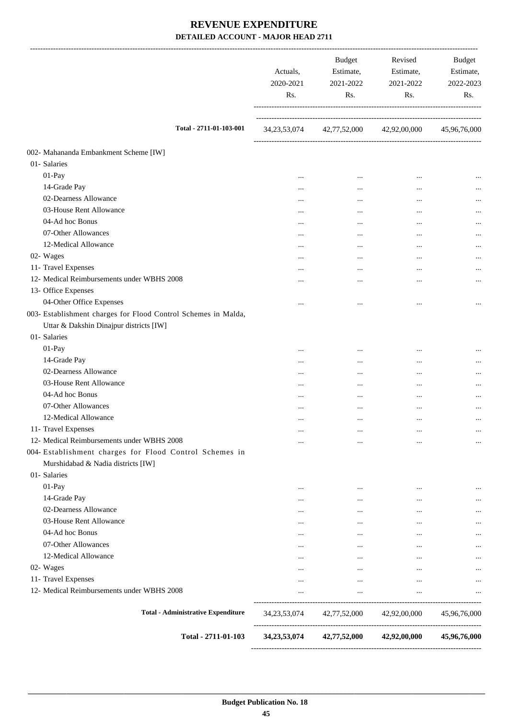|                                                                | Actuals,<br>2020-2021<br>Rs. | <b>Budget</b><br>Estimate,<br>2021-2022<br>Rs. | Revised<br>Estimate,<br>2021-2022<br>Rs.        | Budget<br>Estimate,<br>2022-2023<br>Rs. |
|----------------------------------------------------------------|------------------------------|------------------------------------------------|-------------------------------------------------|-----------------------------------------|
| Total - 2711-01-103-001                                        | 34, 23, 53, 074              |                                                | 42,77,52,000 42,92,00,000                       | 45,96,76,000                            |
| 002- Mahananda Embankment Scheme [IW]                          |                              |                                                |                                                 |                                         |
| 01- Salaries                                                   |                              |                                                |                                                 |                                         |
| $01-Pay$                                                       |                              | $\cdots$                                       |                                                 |                                         |
| 14-Grade Pay                                                   |                              | $\cdots$                                       |                                                 | $\cdots$                                |
| 02-Dearness Allowance                                          |                              |                                                | $\ddotsc$                                       |                                         |
| 03-House Rent Allowance                                        |                              |                                                |                                                 | $\cdots$                                |
| 04-Ad hoc Bonus                                                |                              |                                                |                                                 |                                         |
| 07-Other Allowances                                            |                              | $\cdots$                                       |                                                 |                                         |
| 12-Medical Allowance                                           |                              | $\cdots$                                       |                                                 |                                         |
| 02- Wages                                                      |                              |                                                |                                                 |                                         |
| 11- Travel Expenses                                            |                              |                                                |                                                 |                                         |
| 12- Medical Reimbursements under WBHS 2008                     |                              |                                                |                                                 | $\cdots$                                |
| 13- Office Expenses                                            |                              |                                                |                                                 |                                         |
| 04-Other Office Expenses                                       |                              |                                                | $\ddotsc$                                       | $\cdots$                                |
| 003- Establishment charges for Flood Control Schemes in Malda, |                              |                                                |                                                 |                                         |
| Uttar & Dakshin Dinajpur districts [IW]                        |                              |                                                |                                                 |                                         |
| 01- Salaries                                                   |                              |                                                |                                                 |                                         |
| 01-Pay                                                         | $\cdots$                     |                                                | $\cdots$                                        | $\cdots$                                |
| 14-Grade Pay                                                   |                              | $\cdots$                                       |                                                 |                                         |
| 02-Dearness Allowance                                          |                              | $\cdots$                                       |                                                 |                                         |
| 03-House Rent Allowance                                        |                              |                                                | $\ddotsc$                                       |                                         |
| 04-Ad hoc Bonus                                                |                              |                                                |                                                 |                                         |
| 07-Other Allowances                                            |                              |                                                |                                                 |                                         |
| 12-Medical Allowance                                           | $\cdots$                     | $\cdots$                                       | $\cdots$                                        |                                         |
| 11- Travel Expenses                                            |                              |                                                |                                                 | $\cdots$                                |
| 12- Medical Reimbursements under WBHS 2008                     | $\cdots$                     | $\cdots$                                       |                                                 |                                         |
| 004- Establishment charges for Flood Control Schemes in        |                              | $\cdots$                                       |                                                 | $\cdots$                                |
|                                                                |                              |                                                |                                                 |                                         |
| Murshidabad & Nadia districts [IW]                             |                              |                                                |                                                 |                                         |
| 01- Salaries                                                   |                              |                                                |                                                 |                                         |
| 01-Pay                                                         | $\ddotsc$                    | $\cdots$                                       | $\cdots$                                        | $\cdots$                                |
| 14-Grade Pay                                                   | $\cdots$                     | $\cdots$                                       |                                                 |                                         |
| 02-Dearness Allowance<br>03-House Rent Allowance               | $\cdots$                     | $\cdots$                                       | $\cdots$                                        | $\cdots$                                |
| 04-Ad hoc Bonus                                                | $\ddotsc$                    | $\cdots$                                       | $\cdots$                                        | $\cdots$                                |
|                                                                | $\cdots$                     | $\cdots$                                       | $\cdots$                                        | $\cdots$                                |
| 07-Other Allowances                                            | $\cdots$                     | $\cdots$                                       | $\cdots$                                        |                                         |
| 12-Medical Allowance                                           | $\cdots$                     | $\cdots$                                       | $\cdots$                                        | $\cdots$                                |
| 02- Wages                                                      | $\cdots$                     | $\cdots$                                       |                                                 |                                         |
| 11- Travel Expenses                                            | $\cdots$                     | $\cdots$                                       | $\cdots$                                        |                                         |
| 12- Medical Reimbursements under WBHS 2008                     |                              | $\ddots$                                       | $\cdots$                                        |                                         |
| <b>Total - Administrative Expenditure</b>                      | 34, 23, 53, 074              |                                                | 42,77,52,000 42,92,00,000                       | 45,96,76,000                            |
| Total - 2711-01-103                                            |                              |                                                | 34, 23, 53, 074 42, 77, 52, 000 42, 92, 00, 000 | 45,96,76,000                            |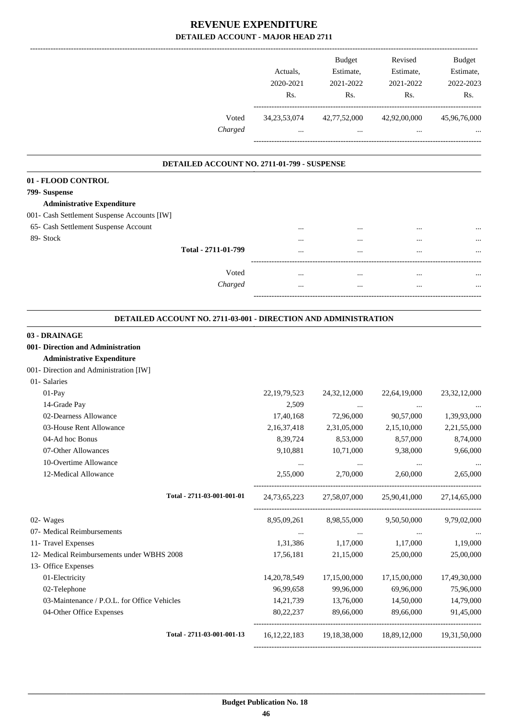|                                                                 | Actuals,<br>2020-2021<br>Rs. | <b>Budget</b><br>Estimate,<br>2021-2022<br>Rs. | Revised<br>Estimate,<br>2021-2022<br>Rs.            | <b>Budget</b><br>Estimate,<br>2022-2023<br>Rs. |
|-----------------------------------------------------------------|------------------------------|------------------------------------------------|-----------------------------------------------------|------------------------------------------------|
| Voted<br>Charged                                                | 34, 23, 53, 074              | 42,77,52,000                                   | 42,92,00,000                                        | 45,96,76,000                                   |
|                                                                 |                              |                                                |                                                     |                                                |
| DETAILED ACCOUNT NO. 2711-01-799 - SUSPENSE                     |                              |                                                |                                                     |                                                |
| 01 - FLOOD CONTROL                                              |                              |                                                |                                                     |                                                |
| 799- Suspense<br><b>Administrative Expenditure</b>              |                              |                                                |                                                     |                                                |
| 001- Cash Settlement Suspense Accounts [IW]                     |                              |                                                |                                                     |                                                |
| 65- Cash Settlement Suspense Account                            |                              |                                                |                                                     |                                                |
| 89- Stock                                                       |                              |                                                |                                                     |                                                |
| Total - 2711-01-799                                             |                              |                                                |                                                     |                                                |
| Voted                                                           |                              |                                                |                                                     |                                                |
| Charged                                                         |                              |                                                |                                                     |                                                |
|                                                                 |                              |                                                |                                                     |                                                |
| DETAILED ACCOUNT NO. 2711-03-001 - DIRECTION AND ADMINISTRATION |                              |                                                |                                                     |                                                |
| 03 - DRAINAGE                                                   |                              |                                                |                                                     |                                                |
| 001- Direction and Administration                               |                              |                                                |                                                     |                                                |
| <b>Administrative Expenditure</b>                               |                              |                                                |                                                     |                                                |
| 001- Direction and Administration [IW]                          |                              |                                                |                                                     |                                                |
| 01- Salaries                                                    |                              |                                                |                                                     |                                                |
| 01-Pay                                                          | 22, 19, 79, 523              | 24, 32, 12, 000                                | 22,64,19,000                                        | 23, 32, 12, 000                                |
| 14-Grade Pay                                                    | 2,509                        |                                                |                                                     |                                                |
| 02-Dearness Allowance                                           | 17,40,168                    | 72,96,000                                      | 90,57,000                                           | 1,39,93,000                                    |
| 03-House Rent Allowance                                         | 2,16,37,418                  | 2,31,05,000                                    | 2,15,10,000                                         | 2,21,55,000                                    |
| 04-Ad hoc Bonus                                                 | 8,39,724                     | 8,53,000                                       | 8,57,000                                            | 8,74,000                                       |
| 07-Other Allowances                                             | 9,10,881                     | 10,71,000                                      | 9,38,000                                            | 9,66,000                                       |
| 10-Overtime Allowance                                           | $\cdots$                     | $\cdots$                                       | $\ddots$                                            |                                                |
| 12-Medical Allowance                                            | 2,55,000                     | 2,70,000                                       | 2,60,000                                            | 2,65,000                                       |
| Total - 2711-03-001-001-01                                      | 24, 73, 65, 223              | 27,58,07,000                                   | 25,90,41,000                                        | 27,14,65,000                                   |
| 02- Wages                                                       | 8,95,09,261                  | 8,98,55,000                                    | 9,50,50,000                                         | 9,79,02,000                                    |
| 07- Medical Reimbursements                                      | $\sim$ $\sim$                | <b>Contract Contract</b>                       | $\sim$ $\sim$ $\sim$                                |                                                |
| 11- Travel Expenses                                             | 1,31,386                     | 1,17,000                                       | 1,17,000                                            | 1,19,000                                       |
| 12- Medical Reimbursements under WBHS 2008                      | 17,56,181                    | 21,15,000                                      | 25,00,000                                           | 25,00,000                                      |
| 13- Office Expenses                                             |                              |                                                |                                                     |                                                |
| 01-Electricity                                                  | 14, 20, 78, 549              | 17,15,00,000                                   | 17,15,00,000                                        | 17,49,30,000                                   |
| 02-Telephone                                                    | 96,99,658                    | 99,96,000                                      | 69,96,000                                           | 75,96,000                                      |
| 03-Maintenance / P.O.L. for Office Vehicles                     | 14,21,739                    | 13,76,000                                      | 14,50,000                                           | 14,79,000                                      |
| 04-Other Office Expenses                                        | 80,22,237                    | 89,66,000                                      | 89,66,000                                           | 91,45,000                                      |
| Total - 2711-03-001-001-13                                      |                              |                                                | 16,12,22,183 19,18,38,000 18,89,12,000 19,31,50,000 |                                                |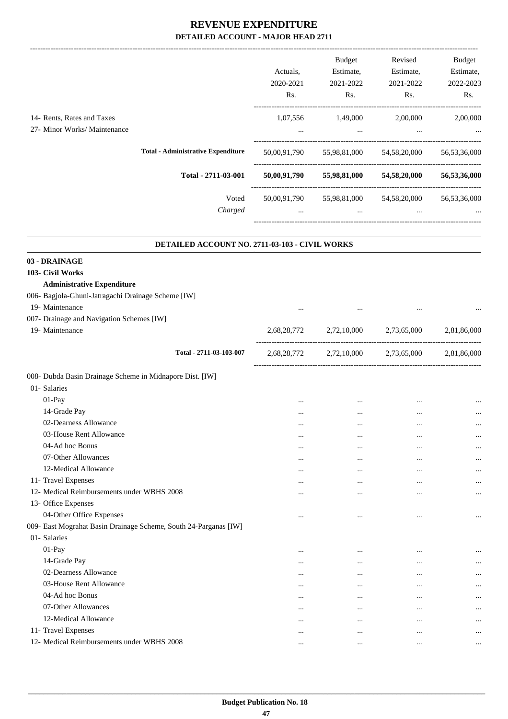-------------------------------------------------------------------------------------------------------------------------------------------------------------------------------

|                                                            |                                           | Actuals.<br>2020-2021<br>Rs. | <b>Budget</b><br>Estimate,<br>2021-2022<br>Rs. | Revised<br>Estimate,<br>2021-2022<br>Rs. | <b>Budget</b><br>Estimate,<br>2022-2023<br>Rs. |
|------------------------------------------------------------|-------------------------------------------|------------------------------|------------------------------------------------|------------------------------------------|------------------------------------------------|
| 14- Rents, Rates and Taxes<br>27- Minor Works/ Maintenance |                                           | 1,07,556<br>$\cdots$         | 1,49,000<br>$\cdots$                           | 2,00,000<br>$\cdots$                     | 2,00,000<br>$\cdots$                           |
|                                                            | <b>Total - Administrative Expenditure</b> | 50,00,91,790                 | 55,98,81,000                                   | 54, 58, 20, 000                          | 56,53,36,000                                   |
|                                                            | Total - 2711-03-001                       | 50,00,91,790                 | 55,98,81,000                                   | 54,58,20,000                             | 56,53,36,000                                   |
|                                                            | Voted<br>Charged                          | 50,00,91,790<br>$\cdots$     | 55,98,81,000<br>$\cdots$                       | 54, 58, 20, 000<br>$\cdots$              | 56,53,36,000<br>$\cdots$                       |
|                                                            |                                           |                              |                                                |                                          |                                                |

| DETAILED ACCOUNT NO. 2711-03-103 - CIVIL WORKS                   |             |                                   |             |             |
|------------------------------------------------------------------|-------------|-----------------------------------|-------------|-------------|
| 03 - DRAINAGE                                                    |             |                                   |             |             |
| 103- Civil Works                                                 |             |                                   |             |             |
| <b>Administrative Expenditure</b>                                |             |                                   |             |             |
| 006- Bagjola-Ghuni-Jatragachi Drainage Scheme [IW]               |             |                                   |             |             |
| 19- Maintenance                                                  |             |                                   |             |             |
| 007- Drainage and Navigation Schemes [IW]                        |             |                                   |             |             |
| 19- Maintenance                                                  | 2,68,28,772 | 2,72,10,000                       | 2,73,65,000 | 2,81,86,000 |
| Total - 2711-03-103-007                                          | 2,68,28,772 | ------------------<br>2,72,10,000 | 2,73,65,000 | 2,81,86,000 |
| 008- Dubda Basin Drainage Scheme in Midnapore Dist. [IW]         |             |                                   |             |             |
| 01- Salaries                                                     |             |                                   |             |             |
| 01-Pay                                                           |             |                                   |             | $\cdots$    |
| 14-Grade Pay                                                     |             |                                   |             | $\cdots$    |
| 02-Dearness Allowance                                            | $\cdots$    |                                   |             | $\cdots$    |
| 03-House Rent Allowance                                          |             |                                   |             | $\cdots$    |
| 04-Ad hoc Bonus                                                  | $\cdots$    | $\cdots$                          | $\cdots$    | $\cdots$    |
| 07-Other Allowances                                              |             |                                   |             | $\cdots$    |
| 12-Medical Allowance                                             | $\ddotsc$   | $\cdots$                          |             | $\cdots$    |
| 11- Travel Expenses                                              |             |                                   |             | $\cdots$    |
| 12- Medical Reimbursements under WBHS 2008                       | $\cdots$    | $\cdots$                          | $\cdots$    | $\cdots$    |
| 13- Office Expenses                                              |             |                                   |             |             |
| 04-Other Office Expenses                                         | $\cdots$    | $\cdots$                          | $\cdots$    | $\cdots$    |
| 009- East Mograhat Basin Drainage Scheme, South 24-Parganas [IW] |             |                                   |             |             |
| 01- Salaries                                                     |             |                                   |             |             |
| 01-Pay                                                           | $\cdots$    |                                   | $\cdots$    |             |
| 14-Grade Pay                                                     |             |                                   |             | $\cdots$    |
| 02-Dearness Allowance                                            |             | $\cdots$                          |             |             |
| 03-House Rent Allowance                                          |             | $\cdots$                          | $\ddotsc$   | $\cdots$    |
| 04-Ad hoc Bonus                                                  |             | $\cdots$                          |             | $\cdots$    |
| 07-Other Allowances                                              |             | $\cdots$                          | $\ddotsc$   |             |
| 12-Medical Allowance                                             | $\cdots$    |                                   |             | $\cdots$    |
| 11- Travel Expenses                                              |             |                                   |             | $\cdots$    |
| 12- Medical Reimbursements under WBHS 2008                       | $\cdots$    | $\cdots$                          |             | $\cdots$    |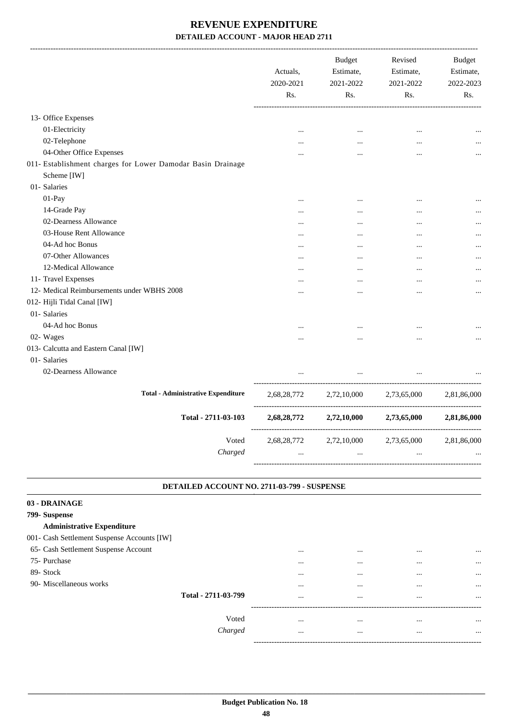|                                                             | Actuals,<br>2020-2021<br>Rs. | <b>Budget</b><br>Estimate,<br>2021-2022<br>Rs. | Revised<br>Estimate,<br>2021-2022<br>Rs. | <b>Budget</b><br>Estimate,<br>2022-2023<br>Rs. |
|-------------------------------------------------------------|------------------------------|------------------------------------------------|------------------------------------------|------------------------------------------------|
| 13- Office Expenses                                         |                              |                                                |                                          |                                                |
| 01-Electricity                                              |                              | $\ddots$                                       | $\ddotsc$                                |                                                |
| 02-Telephone                                                |                              |                                                | $\cdots$                                 |                                                |
| 04-Other Office Expenses                                    |                              |                                                | $\cdots$                                 |                                                |
| 011- Establishment charges for Lower Damodar Basin Drainage |                              |                                                |                                          |                                                |
| Scheme [IW]                                                 |                              |                                                |                                          |                                                |
| 01- Salaries                                                |                              |                                                |                                          |                                                |
| 01-Pay                                                      |                              |                                                |                                          |                                                |
| 14-Grade Pay                                                |                              |                                                | $\ddotsc$                                |                                                |
| 02-Dearness Allowance                                       |                              |                                                | $\ddotsc$                                |                                                |
| 03-House Rent Allowance                                     |                              |                                                |                                          |                                                |
| 04-Ad hoc Bonus                                             |                              |                                                |                                          |                                                |
| 07-Other Allowances                                         |                              |                                                |                                          |                                                |
| 12-Medical Allowance                                        |                              |                                                |                                          |                                                |
| 11- Travel Expenses                                         |                              |                                                |                                          |                                                |
| 12- Medical Reimbursements under WBHS 2008                  |                              |                                                | $\cdots$                                 |                                                |
| 012- Hijli Tidal Canal [IW]                                 |                              |                                                |                                          |                                                |
| 01- Salaries                                                |                              |                                                |                                          |                                                |
| 04-Ad hoc Bonus                                             |                              |                                                |                                          |                                                |
| 02- Wages                                                   |                              |                                                |                                          |                                                |
| 013- Calcutta and Eastern Canal [IW]                        |                              |                                                |                                          |                                                |
| 01- Salaries                                                |                              |                                                |                                          |                                                |
| 02-Dearness Allowance                                       |                              | $\cdots$                                       | $\ddotsc$                                |                                                |
| <b>Total - Administrative Expenditure</b>                   | 2,68,28,772                  | 2,72,10,000                                    | 2,73,65,000                              | 2,81,86,000                                    |
| Total - 2711-03-103                                         |                              | 2,68,28,772 2,72,10,000                        | 2,73,65,000                              | 2,81,86,000                                    |
| Voted                                                       |                              | 2,68,28,772 2,72,10,000                        | 2,73,65,000                              | 2,81,86,000                                    |
| Charged                                                     |                              | $\cdots$                                       |                                          |                                                |

#### **DETAILED ACCOUNT NO. 2711-03-799 - SUSPENSE**

| 03 - DRAINAGE                               |         |          |          |          |           |
|---------------------------------------------|---------|----------|----------|----------|-----------|
| 799- Suspense                               |         |          |          |          |           |
| <b>Administrative Expenditure</b>           |         |          |          |          |           |
| 001- Cash Settlement Suspense Accounts [IW] |         |          |          |          |           |
| 65- Cash Settlement Suspense Account        |         | $\cdots$ | $\cdots$ | $\cdots$ | $\cdots$  |
| 75- Purchase                                |         |          |          |          | $\cdots$  |
| 89- Stock                                   |         |          |          | $\cdots$ | $\ddotsc$ |
| 90- Miscellaneous works                     |         |          | $\cdots$ | $\cdots$ | $\cdots$  |
| Total - 2711-03-799                         |         | $\cdots$ | $\cdots$ | $\cdots$ | $\cdots$  |
|                                             |         |          |          |          |           |
|                                             | Voted   | $\cdots$ | $\cdots$ | $\cdots$ | $\cdots$  |
|                                             | Charged | $\cdots$ | $\cdots$ | $\cdots$ | $\cdots$  |
|                                             |         |          |          |          |           |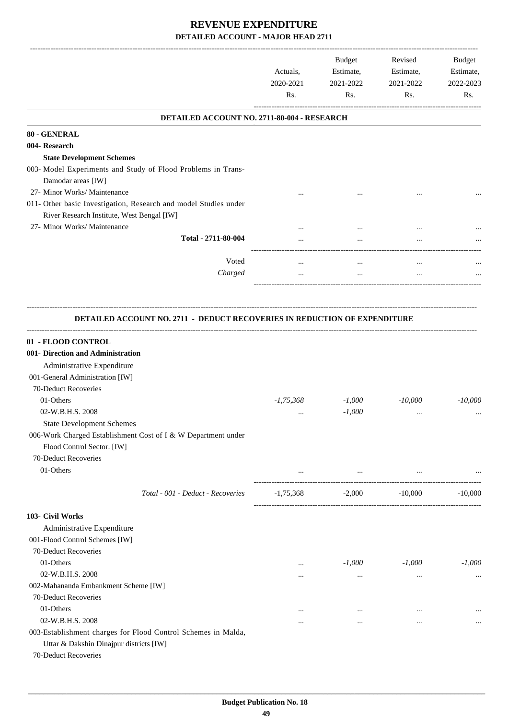|                                                                                  | Actuals,<br>2020-2021<br>Rs. | Budget<br>Estimate,<br>2021-2022<br>Rs. | Revised<br>Estimate,<br>2021-2022<br>Rs. | Budget<br>Estimate,<br>2022-2023<br>Rs. |
|----------------------------------------------------------------------------------|------------------------------|-----------------------------------------|------------------------------------------|-----------------------------------------|
| DETAILED ACCOUNT NO. 2711-80-004 - RESEARCH                                      |                              |                                         |                                          |                                         |
| 80 - GENERAL                                                                     |                              |                                         |                                          |                                         |
| 004- Research                                                                    |                              |                                         |                                          |                                         |
| <b>State Development Schemes</b>                                                 |                              |                                         |                                          |                                         |
| 003- Model Experiments and Study of Flood Problems in Trans-                     |                              |                                         |                                          |                                         |
| Damodar areas [IW]                                                               |                              |                                         |                                          |                                         |
| 27- Minor Works/ Maintenance                                                     |                              |                                         |                                          |                                         |
| 011- Other basic Investigation, Research and model Studies under                 |                              |                                         |                                          |                                         |
| River Research Institute, West Bengal [IW]                                       |                              |                                         |                                          |                                         |
| 27- Minor Works/ Maintenance                                                     |                              |                                         |                                          |                                         |
| Total - 2711-80-004                                                              |                              | $\cdots$                                |                                          |                                         |
|                                                                                  |                              |                                         |                                          |                                         |
| Voted                                                                            | $\cdots$                     | $\cdots$                                | $\cdots$                                 |                                         |
| Charged                                                                          |                              | $\cdots$                                |                                          |                                         |
|                                                                                  |                              |                                         |                                          |                                         |
|                                                                                  |                              |                                         |                                          |                                         |
| <b>DETAILED ACCOUNT NO. 2711 - DEDUCT RECOVERIES IN REDUCTION OF EXPENDITURE</b> |                              |                                         |                                          |                                         |
|                                                                                  |                              |                                         |                                          |                                         |
| 01 - FLOOD CONTROL<br>001- Direction and Administration                          |                              |                                         |                                          |                                         |
| Administrative Expenditure                                                       |                              |                                         |                                          |                                         |
| 001-General Administration [IW]                                                  |                              |                                         |                                          |                                         |
| 70-Deduct Recoveries                                                             |                              |                                         |                                          |                                         |
| 01-Others                                                                        | $-1,75,368$                  | $-1,000$                                | $-10,000$                                | $-10,000$                               |
| 02-W.B.H.S. 2008                                                                 |                              | $-1,000$                                |                                          |                                         |
| <b>State Development Schemes</b>                                                 |                              |                                         |                                          |                                         |
| 006-Work Charged Establishment Cost of I & W Department under                    |                              |                                         |                                          |                                         |
| Flood Control Sector. [IW]                                                       |                              |                                         |                                          |                                         |
| 70-Deduct Recoveries                                                             |                              |                                         |                                          |                                         |
| 01-Others                                                                        |                              |                                         | $\cdots$                                 |                                         |
|                                                                                  | $\cdots$                     | $\cdots$                                |                                          |                                         |
| Total - 001 - Deduct - Recoveries                                                | $-1,75,368$                  | $-2,000$                                | $-10,000$                                | $-10,000$                               |
| 103- Civil Works                                                                 |                              |                                         |                                          |                                         |
| Administrative Expenditure                                                       |                              |                                         |                                          |                                         |
| 001-Flood Control Schemes [IW]                                                   |                              |                                         |                                          |                                         |
| 70-Deduct Recoveries                                                             |                              |                                         |                                          |                                         |
| 01-Others                                                                        |                              | $-1,000$                                | $-1,000$                                 | $-1,000$                                |
| 02-W.B.H.S. 2008                                                                 | $\cdots$                     |                                         |                                          |                                         |
| 002-Mahananda Embankment Scheme [IW]                                             | $\cdots$                     | $\cdots$                                | $\cdots$                                 | $\cdots$                                |
| 70-Deduct Recoveries                                                             |                              |                                         |                                          |                                         |
| 01-Others                                                                        |                              |                                         |                                          |                                         |
| 02-W.B.H.S. 2008                                                                 |                              | $\cdots$                                | $\cdots$                                 |                                         |
| 003-Establishment charges for Flood Control Schemes in Malda,                    |                              | $\cdots$                                |                                          | $\cdots$                                |
| Uttar & Dakshin Dinajpur districts [IW]                                          |                              |                                         |                                          |                                         |
| 70-Deduct Recoveries                                                             |                              |                                         |                                          |                                         |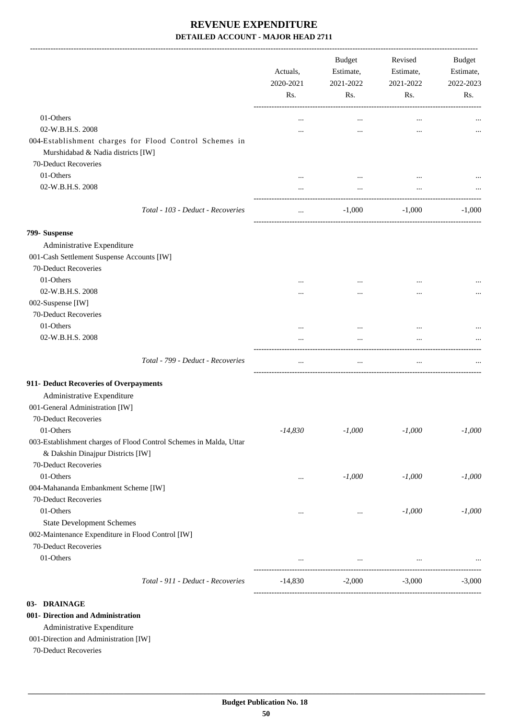|                                                                                                         | Actuals,<br>2020-2021<br>Rs. | <b>Budget</b><br>Estimate,<br>2021-2022<br>Rs.  | Revised<br>Estimate,<br>2021-2022<br>Rs. | Budget<br>Estimate,<br>2022-2023<br>Rs. |
|---------------------------------------------------------------------------------------------------------|------------------------------|-------------------------------------------------|------------------------------------------|-----------------------------------------|
| 01-Others                                                                                               | $\ddotsc$                    | $\cdots$                                        | $\cdots$                                 |                                         |
| 02-W.B.H.S. 2008                                                                                        |                              | $\ddotsc$                                       | $\ddotsc$                                |                                         |
| 004-Establishment charges for Flood Control Schemes in<br>Murshidabad & Nadia districts [IW]            |                              |                                                 |                                          |                                         |
| 70-Deduct Recoveries                                                                                    |                              |                                                 |                                          |                                         |
| 01-Others                                                                                               |                              |                                                 |                                          |                                         |
| 02-W.B.H.S. 2008                                                                                        |                              | $\ldots$                                        | $\cdots$                                 |                                         |
| Total - 103 - Deduct - Recoveries                                                                       | $\cdots$                     | $-1,000$                                        | $-1,000$                                 | $-1,000$                                |
| 799- Suspense                                                                                           |                              |                                                 |                                          |                                         |
| Administrative Expenditure                                                                              |                              |                                                 |                                          |                                         |
| 001-Cash Settlement Suspense Accounts [IW]                                                              |                              |                                                 |                                          |                                         |
| 70-Deduct Recoveries                                                                                    |                              |                                                 |                                          |                                         |
| 01-Others                                                                                               | $\cdots$                     | $\cdots$                                        |                                          |                                         |
| 02-W.B.H.S. 2008                                                                                        |                              |                                                 |                                          |                                         |
| 002-Suspense [IW]                                                                                       |                              |                                                 |                                          |                                         |
| 70-Deduct Recoveries                                                                                    |                              |                                                 |                                          |                                         |
| 01-Others                                                                                               | $\cdots$                     | $\cdots$                                        |                                          |                                         |
| 02-W.B.H.S. 2008                                                                                        |                              | $\cdots$                                        | $\ddotsc$                                |                                         |
| Total - 799 - Deduct - Recoveries                                                                       | $\ldots$                     | $\ldots$                                        | $\ldots$                                 |                                         |
| 911- Deduct Recoveries of Overpayments                                                                  |                              |                                                 |                                          |                                         |
| Administrative Expenditure                                                                              |                              |                                                 |                                          |                                         |
| 001-General Administration [IW]                                                                         |                              |                                                 |                                          |                                         |
| 70-Deduct Recoveries                                                                                    |                              |                                                 |                                          |                                         |
| 01-Others                                                                                               | $-14,830$                    | $-1,000$                                        | $-1,000$                                 | $-1,000$                                |
| 003-Establishment charges of Flood Control Schemes in Malda, Uttar<br>& Dakshin Dinajpur Districts [IW] |                              |                                                 |                                          |                                         |
| 70-Deduct Recoveries                                                                                    |                              |                                                 |                                          |                                         |
| 01-Others                                                                                               |                              | $-1,000$                                        | $-1,000$                                 | $-1,000$                                |
| 004-Mahananda Embankment Scheme [IW]                                                                    | $\cdots$                     |                                                 |                                          |                                         |
| 70-Deduct Recoveries                                                                                    |                              |                                                 |                                          |                                         |
| 01-Others                                                                                               | $\cdots$                     | $\ldots$                                        | $-1,000$                                 | $-1,000$                                |
| <b>State Development Schemes</b>                                                                        |                              |                                                 |                                          |                                         |
| 002-Maintenance Expenditure in Flood Control [IW]                                                       |                              |                                                 |                                          |                                         |
| 70-Deduct Recoveries                                                                                    |                              |                                                 |                                          |                                         |
| 01-Others                                                                                               |                              |                                                 |                                          |                                         |
|                                                                                                         |                              | the contract of the contract of the contract of | $\cdots$                                 |                                         |
| Total - 911 - Deduct - Recoveries                                                                       | $-14,830$                    | $-2,000$                                        | $-3,000$                                 | $-3,000$                                |
| 03- DRAINAGE                                                                                            |                              |                                                 |                                          |                                         |

#### **001- Direction and Administration**

Administrative Expenditure

#### 001-Direction and Administration [IW]

70-Deduct Recoveries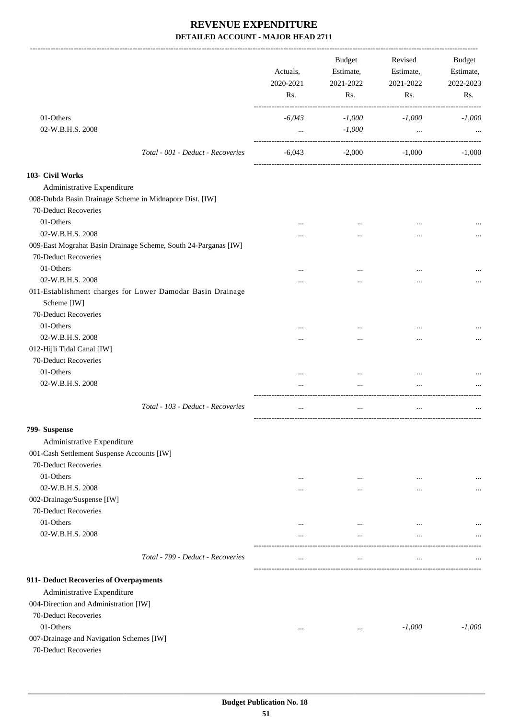|                                                                           | Actuals,<br>2020-2021<br>Rs. | <b>Budget</b><br>Estimate,<br>2021-2022<br>Rs. | Revised<br>Estimate,<br>2021-2022<br>Rs. | Budget<br>Estimate,<br>2022-2023<br>Rs. |
|---------------------------------------------------------------------------|------------------------------|------------------------------------------------|------------------------------------------|-----------------------------------------|
| 01-Others                                                                 | $-6,043$                     | $-1,000$                                       | $-1,000$                                 | $-1,000$                                |
| 02-W.B.H.S. 2008                                                          | $\cdots$                     | $-1,000$                                       | $\cdots$                                 |                                         |
| Total - 001 - Deduct - Recoveries                                         | $-6,043$                     | $-2,000$                                       | $-1,000$                                 | $-1,000$                                |
| 103- Civil Works                                                          |                              |                                                |                                          |                                         |
| Administrative Expenditure                                                |                              |                                                |                                          |                                         |
| 008-Dubda Basin Drainage Scheme in Midnapore Dist. [IW]                   |                              |                                                |                                          |                                         |
| 70-Deduct Recoveries                                                      |                              |                                                |                                          |                                         |
| 01-Others                                                                 |                              |                                                |                                          |                                         |
| 02-W.B.H.S. 2008                                                          |                              |                                                |                                          |                                         |
|                                                                           |                              | $\cdots$                                       |                                          |                                         |
| 009-East Mograhat Basin Drainage Scheme, South 24-Parganas [IW]           |                              |                                                |                                          |                                         |
| 70-Deduct Recoveries                                                      |                              |                                                |                                          |                                         |
| 01-Others                                                                 |                              |                                                |                                          |                                         |
| 02-W.B.H.S. 2008                                                          | .                            |                                                | $\cdots$                                 |                                         |
| 011-Establishment charges for Lower Damodar Basin Drainage<br>Scheme [IW] |                              |                                                |                                          |                                         |
| 70-Deduct Recoveries                                                      |                              |                                                |                                          |                                         |
| 01-Others                                                                 | $\cdots$                     | $\cdots$                                       |                                          |                                         |
| 02-W.B.H.S. 2008                                                          |                              |                                                |                                          |                                         |
| 012-Hijli Tidal Canal [IW]                                                |                              |                                                |                                          |                                         |
| 70-Deduct Recoveries                                                      |                              |                                                |                                          |                                         |
| 01-Others                                                                 | $\cdots$                     | $\cdots$                                       |                                          |                                         |
| 02-W.B.H.S. 2008                                                          | $\cdots$                     | $\cdots$                                       | $\ddotsc$                                |                                         |
| Total - 103 - Deduct - Recoveries                                         | $\cdots$                     | $\cdots$                                       | $\ddotsc$                                |                                         |
| 799- Suspense                                                             |                              |                                                |                                          |                                         |
| Administrative Expenditure                                                |                              |                                                |                                          |                                         |
| 001-Cash Settlement Suspense Accounts [IW]                                |                              |                                                |                                          |                                         |
| 70-Deduct Recoveries                                                      |                              |                                                |                                          |                                         |
| 01-Others                                                                 | $\cdots$                     | $\cdots$                                       | $\cdots$                                 | $\cdots$                                |
| 02-W.B.H.S. 2008                                                          | $\cdots$                     | $\cdots$                                       | $\cdots$                                 |                                         |
| 002-Drainage/Suspense [IW]                                                |                              |                                                |                                          |                                         |
| 70-Deduct Recoveries                                                      |                              |                                                |                                          |                                         |
| 01-Others                                                                 | $\cdots$                     | $\cdots$                                       | $\cdots$                                 |                                         |
| 02-W.B.H.S. 2008                                                          | $\cdots$                     | $\cdots$                                       | $\cdots$                                 |                                         |
|                                                                           |                              |                                                |                                          |                                         |
| Total - 799 - Deduct - Recoveries                                         | $\cdots$                     | $\cdots$                                       | $\ddotsc$                                |                                         |
| 911- Deduct Recoveries of Overpayments                                    |                              |                                                |                                          |                                         |
| Administrative Expenditure                                                |                              |                                                |                                          |                                         |
| 004-Direction and Administration [IW]                                     |                              |                                                |                                          |                                         |
| 70-Deduct Recoveries                                                      |                              |                                                |                                          |                                         |
| 01-Others                                                                 | $\cdots$                     | $\cdots$                                       | $-1,000$                                 | $-1,000$                                |
| 007-Drainage and Navigation Schemes [IW]<br>70-Deduct Recoveries          |                              |                                                |                                          |                                         |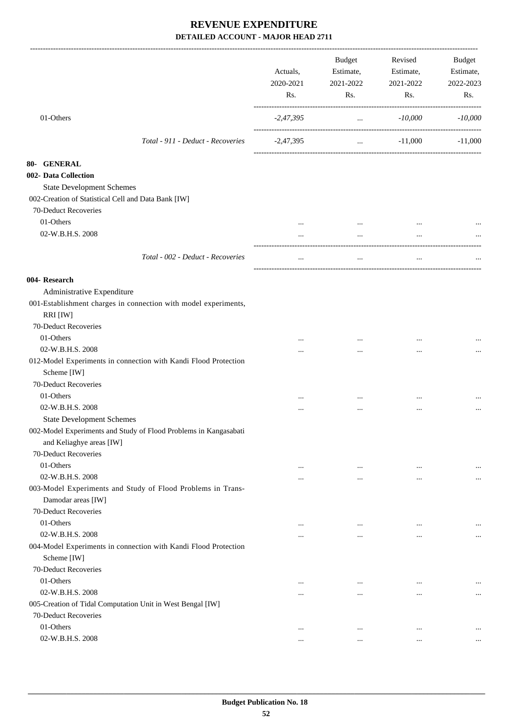|                                                                                              | Actuals,<br>2020-2021<br>Rs. | <b>Budget</b><br>Estimate,<br>2021-2022<br>Rs. | Revised<br>Estimate,<br>2021-2022<br>Rs. | Budget<br>Estimate,<br>2022-2023<br>Rs. |
|----------------------------------------------------------------------------------------------|------------------------------|------------------------------------------------|------------------------------------------|-----------------------------------------|
| 01-Others                                                                                    | $-2,47,395$                  | $\sim$ $\sim$                                  | -10,000                                  | $-10,000$                               |
| Total - 911 - Deduct - Recoveries                                                            | $-2,47,395$                  |                                                | $-11,000$<br>and the state of            | $-11,000$                               |
| 80- GENERAL                                                                                  |                              |                                                |                                          |                                         |
| 002- Data Collection                                                                         |                              |                                                |                                          |                                         |
| <b>State Development Schemes</b>                                                             |                              |                                                |                                          |                                         |
| 002-Creation of Statistical Cell and Data Bank [IW]                                          |                              |                                                |                                          |                                         |
| 70-Deduct Recoveries                                                                         |                              |                                                |                                          |                                         |
| 01-Others                                                                                    |                              | $\cdots$                                       |                                          |                                         |
| 02-W.B.H.S. 2008                                                                             | $\cdots$                     | $\cdots$                                       | $\ddotsc$                                |                                         |
| Total - 002 - Deduct - Recoveries                                                            | $\cdots$                     | $\ddotsc$                                      | $\ddotsc$                                |                                         |
|                                                                                              |                              |                                                |                                          |                                         |
| 004- Research                                                                                |                              |                                                |                                          |                                         |
| Administrative Expenditure                                                                   |                              |                                                |                                          |                                         |
| 001-Establishment charges in connection with model experiments,                              |                              |                                                |                                          |                                         |
| RRI [IW]                                                                                     |                              |                                                |                                          |                                         |
| 70-Deduct Recoveries                                                                         |                              |                                                |                                          |                                         |
| 01-Others                                                                                    |                              |                                                |                                          |                                         |
| 02-W.B.H.S. 2008                                                                             |                              |                                                |                                          |                                         |
| 012-Model Experiments in connection with Kandi Flood Protection<br>Scheme [IW]               |                              |                                                |                                          |                                         |
| 70-Deduct Recoveries                                                                         |                              |                                                |                                          |                                         |
| 01-Others                                                                                    |                              | $\cdots$                                       | $\cdots$                                 |                                         |
| 02-W.B.H.S. 2008                                                                             | $\cdots$                     |                                                | $\ddotsc$                                |                                         |
| <b>State Development Schemes</b>                                                             |                              |                                                |                                          |                                         |
| 002-Model Experiments and Study of Flood Problems in Kangasabati<br>and Keliaghye areas [IW] |                              |                                                |                                          |                                         |
| 70-Deduct Recoveries                                                                         |                              |                                                |                                          |                                         |
| 01-Others                                                                                    | $\ddotsc$                    | $\cdots$                                       | $\ddotsc$                                | $\ddotsc$                               |
| 02-W.B.H.S. 2008                                                                             |                              | $\cdots$                                       | $\ddotsc$                                | $\cdots$                                |
| 003-Model Experiments and Study of Flood Problems in Trans-                                  |                              |                                                |                                          |                                         |
| Damodar areas [IW]                                                                           |                              |                                                |                                          |                                         |
| 70-Deduct Recoveries                                                                         |                              |                                                |                                          |                                         |
| 01-Others                                                                                    | $\cdots$                     | $\ddotsc$                                      |                                          |                                         |
| 02-W.B.H.S. 2008                                                                             |                              | $\cdots$                                       | $\ddotsc$                                | $\cdots$                                |
| 004-Model Experiments in connection with Kandi Flood Protection                              |                              |                                                |                                          |                                         |
| Scheme [IW]                                                                                  |                              |                                                |                                          |                                         |
| 70-Deduct Recoveries                                                                         |                              |                                                |                                          |                                         |
| 01-Others                                                                                    | $\cdots$                     | $\cdots$                                       | $\ddotsc$                                | $\cdots$                                |
| 02-W.B.H.S. 2008                                                                             |                              | $\cdots$                                       |                                          |                                         |
| 005-Creation of Tidal Computation Unit in West Bengal [IW]                                   |                              |                                                |                                          |                                         |
| 70-Deduct Recoveries                                                                         |                              |                                                |                                          |                                         |
| 01-Others                                                                                    | $\ddotsc$                    | $\ddotsc$                                      | $\ddotsc$                                |                                         |
| 02-W.B.H.S. 2008                                                                             | $\cdots$                     | $\cdots$                                       | $\cdots$                                 |                                         |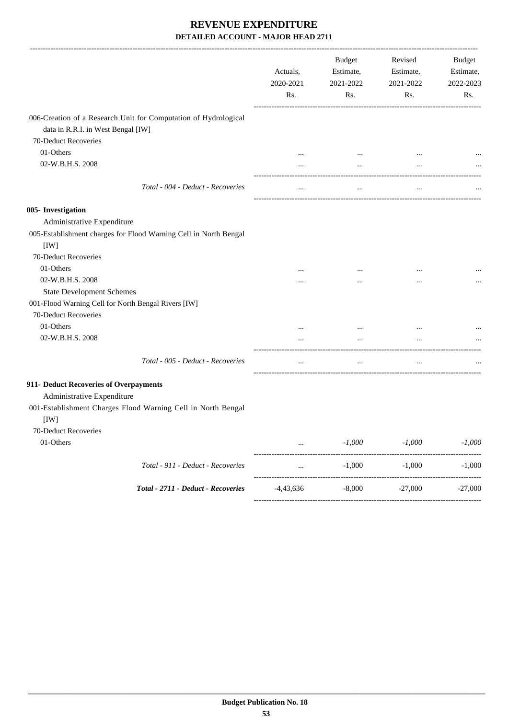|                                                                                                       | Actuals,<br>2020-2021<br>Rs. | <b>Budget</b><br>Estimate,<br>2021-2022<br>Rs. | Revised<br>Estimate,<br>2021-2022<br>Rs. | Budget<br>Estimate,<br>2022-2023<br>Rs. |
|-------------------------------------------------------------------------------------------------------|------------------------------|------------------------------------------------|------------------------------------------|-----------------------------------------|
| 006-Creation of a Research Unit for Computation of Hydrological<br>data in R.R.I. in West Bengal [IW] |                              |                                                |                                          |                                         |
| 70-Deduct Recoveries                                                                                  |                              |                                                |                                          |                                         |
| 01-Others<br>02-W.B.H.S. 2008                                                                         | $\cdots$                     | $\cdots$<br>$\cdots$                           |                                          |                                         |
| Total - 004 - Deduct - Recoveries                                                                     | $\cdots$                     | $\cdots$                                       | $\ldots$                                 |                                         |
| 005- Investigation                                                                                    |                              |                                                |                                          |                                         |
| Administrative Expenditure<br>005-Establishment charges for Flood Warning Cell in North Bengal        |                              |                                                |                                          |                                         |
| [IW]<br>70-Deduct Recoveries                                                                          |                              |                                                |                                          |                                         |
| 01-Others                                                                                             |                              |                                                |                                          |                                         |
| 02-W.B.H.S. 2008                                                                                      |                              | $\cdots$                                       |                                          |                                         |
| <b>State Development Schemes</b><br>001-Flood Warning Cell for North Bengal Rivers [IW]               |                              |                                                |                                          |                                         |
| 70-Deduct Recoveries                                                                                  |                              |                                                |                                          |                                         |
| 01-Others                                                                                             | $\cdots$                     | $\cdots$                                       | $\cdots$                                 |                                         |
| 02-W.B.H.S. 2008                                                                                      |                              |                                                |                                          |                                         |
| Total - 005 - Deduct - Recoveries                                                                     | $\cdots$                     | $\cdots$                                       | $\ldots$                                 |                                         |
| 911- Deduct Recoveries of Overpayments<br>Administrative Expenditure                                  |                              |                                                |                                          |                                         |
| 001-Establishment Charges Flood Warning Cell in North Bengal<br>[IW]                                  |                              |                                                |                                          |                                         |
| 70-Deduct Recoveries                                                                                  |                              |                                                |                                          |                                         |
| 01-Others                                                                                             |                              | $-1,000$                                       | $-1,000$                                 | $-1,000$                                |
| Total - 911 - Deduct - Recoveries                                                                     |                              | $-1,000$                                       | $-1,000$                                 | $-1,000$                                |
| Total - 2711 - Deduct - Recoveries                                                                    | $-4,43,636$                  | $-8,000$                                       | $-27,000$                                | $-27,000$                               |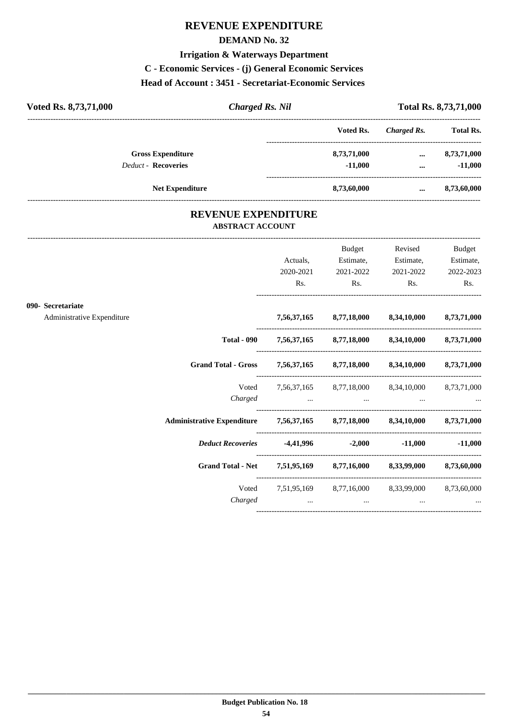# **REVENUE EXPENDITURE**

#### **DEMAND No. 32**

#### **Irrigation & Waterways Department**

**C - Economic Services - (j) General Economic Services**

#### **Head of Account : 3451 - Secretariat-Economic Services**

| Voted Rs. 8,73,71,000      | <b>Charged Rs. Nil</b> |             |             | <b>Total Rs. 8,73,71,000</b> |
|----------------------------|------------------------|-------------|-------------|------------------------------|
|                            |                        | Voted Rs.   | Charged Rs. | <b>Total Rs.</b>             |
| <b>Gross Expenditure</b>   |                        | 8,73,71,000 | $\cdots$    | 8,73,71,000                  |
| <b>Deduct - Recoveries</b> |                        | $-11.000$   | $\cdots$    | $-11,000$                    |
| <b>Net Expenditure</b>     |                        | 8,73,60,000 | $\cdots$    | 8,73,60,000                  |

#### **REVENUE EXPENDITURE ABSTRACT ACCOUNT**

---------------------------------------------------------------------------------------------------------------------------------------------------------------------------------

|                            |                                                                            |           | Budget         | Revised                                                                                             | <b>Budget</b> |
|----------------------------|----------------------------------------------------------------------------|-----------|----------------|-----------------------------------------------------------------------------------------------------|---------------|
|                            |                                                                            | Actuals,  | Estimate,      | Estimate,                                                                                           | Estimate,     |
|                            |                                                                            | 2020-2021 | 2021-2022      | 2021-2022                                                                                           | 2022-2023     |
|                            |                                                                            | Rs.       | $\mathbf{Rs.}$ | $\mathbf{Rs.}$                                                                                      | Rs.           |
| 090- Secretariate          |                                                                            |           |                |                                                                                                     |               |
| Administrative Expenditure |                                                                            |           |                | 7,56,37,165 8,77,18,000 8,34,10,000 8,73,71,000                                                     |               |
|                            |                                                                            |           |                | Total - 090 7,56,37,165 8,77,18,000 8,34,10,000 8,73,71,000                                         |               |
|                            | Grand Total - Gross 7,56,37,165 8,77,18,000 8,34,10,000 8,73,71,000        |           |                |                                                                                                     |               |
|                            | Voted                                                                      |           |                | 7,56,37,165 8,77,18,000 8,34,10,000 8,73,71,000                                                     |               |
|                            |                                                                            |           |                | Charged                                                                                             |               |
|                            | Administrative Expenditure 7,56,37,165 8,77,18,000 8,34,10,000 8,73,71,000 |           |                |                                                                                                     |               |
|                            | <i>Deduct Recoveries</i> 4,41,996 -2,000 -11,000 -11,000                   |           |                |                                                                                                     |               |
|                            | Grand Total - Net 7,51,95,169 8,77,16,000 8,33,99,000 8,73,60,000          |           |                |                                                                                                     |               |
|                            |                                                                            |           |                | Voted 7,51,95,169 8,77,16,000 8,33,99,000 8,73,60,000                                               |               |
|                            | Charged                                                                    |           |                | the contract of the contract of the contract of the contract of the contract of the contract of the |               |
|                            |                                                                            |           |                |                                                                                                     |               |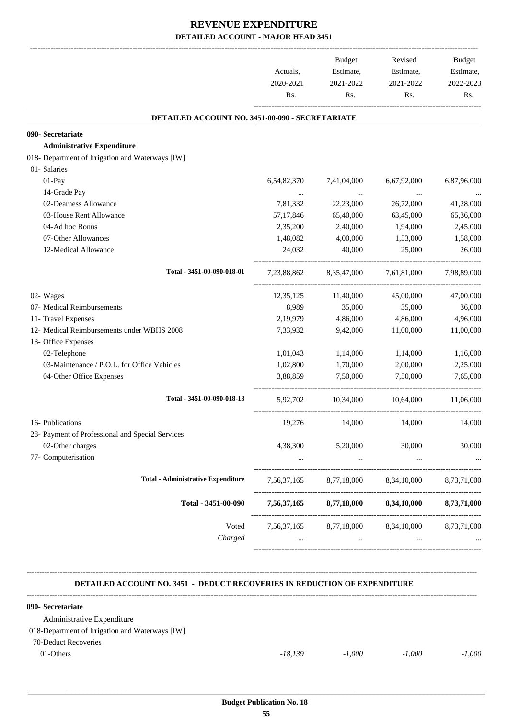| 2020-2021<br>Rs.<br>DETAILED ACCOUNT NO. 3451-00-090 - SECRETARIATE<br>090- Secretariate<br><b>Administrative Expenditure</b><br>01- Salaries<br>01-Pay<br>6,54,82,370 | 2021-2022<br>Rs.<br>7,41,04,000<br>$\ldots$<br>22,23,000<br>65,40,000<br>2,40,000<br>4,00,000 | 2021-2022<br>Rs.<br>6,67,92,000<br>$\cdots$<br>26,72,000<br>63,45,000<br>1,94,000 | 2022-2023<br>Rs.<br>6,87,96,000<br>41,28,000 |
|------------------------------------------------------------------------------------------------------------------------------------------------------------------------|-----------------------------------------------------------------------------------------------|-----------------------------------------------------------------------------------|----------------------------------------------|
|                                                                                                                                                                        |                                                                                               |                                                                                   |                                              |
|                                                                                                                                                                        |                                                                                               |                                                                                   |                                              |
| 018- Department of Irrigation and Waterways [IW]                                                                                                                       |                                                                                               |                                                                                   |                                              |
|                                                                                                                                                                        |                                                                                               |                                                                                   |                                              |
|                                                                                                                                                                        |                                                                                               |                                                                                   |                                              |
|                                                                                                                                                                        |                                                                                               |                                                                                   |                                              |
|                                                                                                                                                                        |                                                                                               |                                                                                   |                                              |
|                                                                                                                                                                        |                                                                                               |                                                                                   |                                              |
| 14-Grade Pay<br>$\cdots$                                                                                                                                               |                                                                                               |                                                                                   |                                              |
| 02-Dearness Allowance<br>7,81,332                                                                                                                                      |                                                                                               |                                                                                   |                                              |
| 03-House Rent Allowance<br>57,17,846                                                                                                                                   |                                                                                               |                                                                                   | 65,36,000                                    |
| 04-Ad hoc Bonus<br>2,35,200                                                                                                                                            |                                                                                               |                                                                                   | 2,45,000                                     |
| 07-Other Allowances<br>1,48,082                                                                                                                                        |                                                                                               | 1,53,000                                                                          | 1,58,000                                     |
| 12-Medical Allowance<br>24,032                                                                                                                                         | 40,000                                                                                        | 25,000                                                                            | 26,000                                       |
| Total - 3451-00-090-018-01                                                                                                                                             | 7,23,88,862 8,35,47,000                                                                       | 7,61,81,000                                                                       | 7,98,89,000                                  |
| 02- Wages<br>12,35,125                                                                                                                                                 | 11,40,000                                                                                     | 45,00,000                                                                         | 47,00,000                                    |
| 07- Medical Reimbursements<br>8,989                                                                                                                                    | 35,000                                                                                        | 35,000                                                                            | 36,000                                       |
| 11- Travel Expenses<br>2,19,979                                                                                                                                        | 4,86,000                                                                                      | 4,86,000                                                                          | 4,96,000                                     |
| 12- Medical Reimbursements under WBHS 2008<br>7,33,932                                                                                                                 | 9,42,000                                                                                      | 11,00,000                                                                         | 11,00,000                                    |
| 13- Office Expenses                                                                                                                                                    |                                                                                               |                                                                                   |                                              |
| 02-Telephone<br>1,01,043                                                                                                                                               | 1,14,000                                                                                      | 1,14,000                                                                          | 1,16,000                                     |
| 03-Maintenance / P.O.L. for Office Vehicles<br>1,02,800                                                                                                                | 1,70,000                                                                                      | 2,00,000                                                                          | 2,25,000                                     |
| 04-Other Office Expenses<br>3,88,859                                                                                                                                   | 7,50,000                                                                                      | 7,50,000                                                                          | 7,65,000                                     |
| Total - 3451-00-090-018-13<br>5,92,702                                                                                                                                 | 10,34,000                                                                                     | 10,64,000                                                                         | 11,06,000                                    |
| 16- Publications<br>19,276                                                                                                                                             | 14,000                                                                                        | 14,000                                                                            | 14,000                                       |
| 28- Payment of Professional and Special Services                                                                                                                       |                                                                                               |                                                                                   |                                              |
| 02-Other charges<br>4,38,300                                                                                                                                           | 5,20,000                                                                                      | 30,000                                                                            | 30,000                                       |
| 77- Computerisation<br>$\cdots$                                                                                                                                        | $\ddots$                                                                                      | $\ddots$                                                                          |                                              |
| <b>Total - Administrative Expenditure</b><br>7,56,37,165                                                                                                               | 8,77,18,000                                                                                   | 8,34,10,000                                                                       | 8,73,71,000                                  |
| Total - 3451-00-090                                                                                                                                                    | 7,56,37,165 8,77,18,000                                                                       | 8,34,10,000                                                                       | 8,73,71,000                                  |
| Voted                                                                                                                                                                  |                                                                                               | 7,56,37,165 8,77,18,000 8,34,10,000 8,73,71,000                                   |                                              |
| Charged                                                                                                                                                                |                                                                                               | and the state of the<br>$\cdots$                                                  |                                              |

#### **DETAILED ACCOUNT NO. 3451 - DEDUCT RECOVERIES IN REDUCTION OF EXPENDITURE**

**--------------------------------------------------------------------------------------------------------------------------------------------------------------------------------**

| 090- Secretariate                               |           |          |          |          |
|-------------------------------------------------|-----------|----------|----------|----------|
| Administrative Expenditure                      |           |          |          |          |
| 018-Department of Irrigation and Waterways [IW] |           |          |          |          |
| 70-Deduct Recoveries                            |           |          |          |          |
| $01$ -Others                                    | $-18.139$ | $-1.000$ | $-1.000$ | $-1.000$ |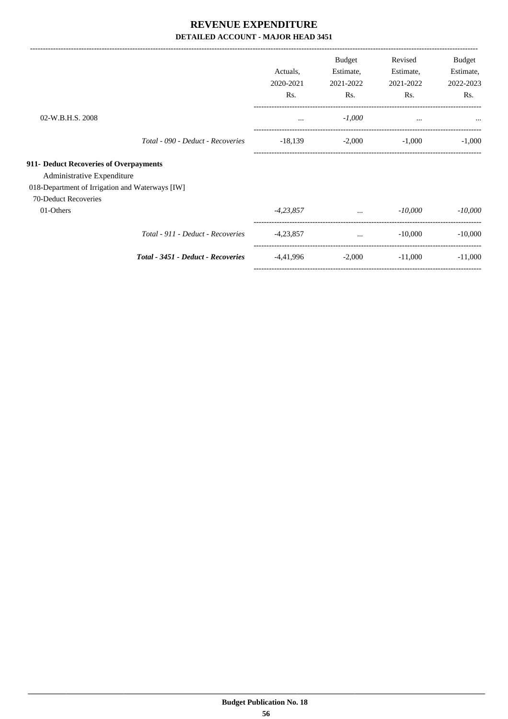|                                                 |                                    | Actuals,<br>2020-2021<br>Rs. | <b>Budget</b><br>Estimate,<br>2021-2022<br>Rs. | Revised<br>Estimate,<br>2021-2022<br>Rs. | Budget<br>Estimate,<br>2022-2023<br>Rs. |
|-------------------------------------------------|------------------------------------|------------------------------|------------------------------------------------|------------------------------------------|-----------------------------------------|
| 02-W.B.H.S. 2008                                |                                    | $\cdots$                     | $-1,000$                                       | $\cdots$                                 | $\cdots$                                |
|                                                 | Total - 090 - Deduct - Recoveries  | $-18,139$                    | $-2,000$                                       | $-1,000$                                 | $-1,000$                                |
| 911- Deduct Recoveries of Overpayments          |                                    |                              |                                                |                                          |                                         |
| Administrative Expenditure                      |                                    |                              |                                                |                                          |                                         |
| 018-Department of Irrigation and Waterways [IW] |                                    |                              |                                                |                                          |                                         |
| 70-Deduct Recoveries                            |                                    |                              |                                                |                                          |                                         |
| 01-Others                                       |                                    | $-4,23,857$                  | $\cdots$                                       | $-10,000$                                | $-10,000$                               |
|                                                 | Total - 911 - Deduct - Recoveries  | $-4,23,857$                  | $\cdots$                                       | $-10,000$                                | $-10,000$                               |
|                                                 | Total - 3451 - Deduct - Recoveries | -4,41,996                    | $-2,000$                                       | $-11,000$                                | $-11,000$                               |
|                                                 |                                    |                              |                                                |                                          |                                         |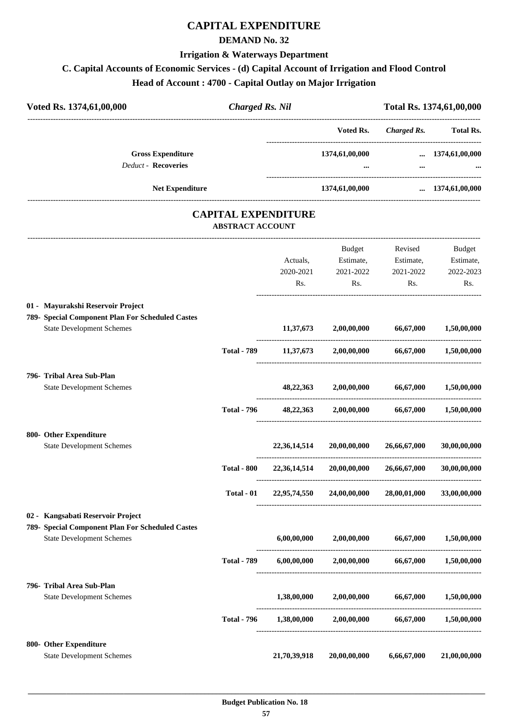# **CAPITAL EXPENDITURE**

#### **DEMAND No. 32**

#### **Irrigation & Waterways Department**

## **C. Capital Accounts of Economic Services - (d) Capital Account of Irrigation and Flood Control**

**Head of Account : 4700 - Capital Outlay on Major Irrigation**

| Voted Rs. 1374,61,00,000                         | <b>Charged Rs. Nil</b>     |              | Total Rs. 1374,61,00,000                              |                       |                        |  |
|--------------------------------------------------|----------------------------|--------------|-------------------------------------------------------|-----------------------|------------------------|--|
|                                                  |                            |              | Voted Rs.                                             |                       | Charged Rs. Total Rs.  |  |
| <b>Gross Expenditure</b>                         |                            |              | 1374,61,00,000                                        |                       | $\dots$ 1374,61,00,000 |  |
| <b>Deduct - Recoveries</b>                       |                            |              |                                                       |                       |                        |  |
| Net Expenditure                                  |                            |              | 1374,61,00,000                                        |                       | $\dots$ 1374,61,00,000 |  |
|                                                  | <b>CAPITAL EXPENDITURE</b> |              |                                                       |                       |                        |  |
|                                                  | <b>ABSTRACT ACCOUNT</b>    |              |                                                       |                       |                        |  |
|                                                  |                            |              | <b>Budget</b>                                         | Revised               | <b>Budget</b>          |  |
|                                                  |                            | Actuals,     | Estimate,                                             | Estimate,             | Estimate,              |  |
|                                                  |                            | 2020-2021    | 2021-2022                                             | 2021-2022             | 2022-2023              |  |
|                                                  |                            | Rs.          | Rs.                                                   | Rs.                   | Rs.                    |  |
| 01 - Mayurakshi Reservoir Project                |                            |              |                                                       |                       |                        |  |
| 789- Special Component Plan For Scheduled Castes |                            |              |                                                       |                       |                        |  |
| <b>State Development Schemes</b>                 |                            |              | $11,37,673$ $2,00,00,000$ $66,67,000$ $1,50,00,000$   |                       |                        |  |
|                                                  | <b>Total - 789</b>         |              | $11,37,673$ $2,00,00,000$ $66,67,000$                 |                       | 1,50,00,000            |  |
| 796- Tribal Area Sub-Plan                        |                            |              |                                                       |                       |                        |  |
| <b>State Development Schemes</b>                 |                            | 48, 22, 363  |                                                       | 2,00,00,000 66,67,000 | 1,50,00,000            |  |
|                                                  | <b>Total - 796</b>         |              | 48,22,363 2,00,00,000 66,67,000 1,50,00,000           |                       |                        |  |
| 800- Other Expenditure                           |                            |              |                                                       |                       |                        |  |
| <b>State Development Schemes</b>                 |                            | 22,36,14,514 | 20,00,00,000                                          | 26,66,67,000          | 30,00,00,000           |  |
|                                                  | <b>Total - 800</b>         | 22,36,14,514 | 20,00,00,000                                          | 26,66,67,000          | 30,00,00,000           |  |
|                                                  | Total - 01                 | 22,95,74,550 | 24,00,00,000                                          | 28,00,01,000          | 33,00,00,000           |  |
| 02 - Kangsabati Reservoir Project                |                            |              |                                                       |                       |                        |  |
| 789- Special Component Plan For Scheduled Castes |                            |              |                                                       |                       |                        |  |
| <b>State Development Schemes</b>                 |                            | 6,00,00,000  | 2,00,00,000                                           | 66,67,000             | 1,50,00,000            |  |
|                                                  | <b>Total - 789</b>         |              | $6,00,00,000$ $2,00,00,000$ $66,67,000$               |                       | 1,50,00,000            |  |
| 796- Tribal Area Sub-Plan                        |                            |              |                                                       |                       |                        |  |
| <b>State Development Schemes</b>                 |                            | 1,38,00,000  | 2,00,00,000                                           | 66,67,000             | 1,50,00,000            |  |
|                                                  | <b>Total - 796</b>         |              | $1,38,00,000$ $2,00,00,000$ $66,67,000$ $1,50,00,000$ |                       |                        |  |
| 800- Other Expenditure                           |                            |              |                                                       |                       |                        |  |
| <b>State Development Schemes</b>                 |                            | 21,70,39,918 | 20,00,00,000                                          | 6,66,67,000           | 21,00,00,000           |  |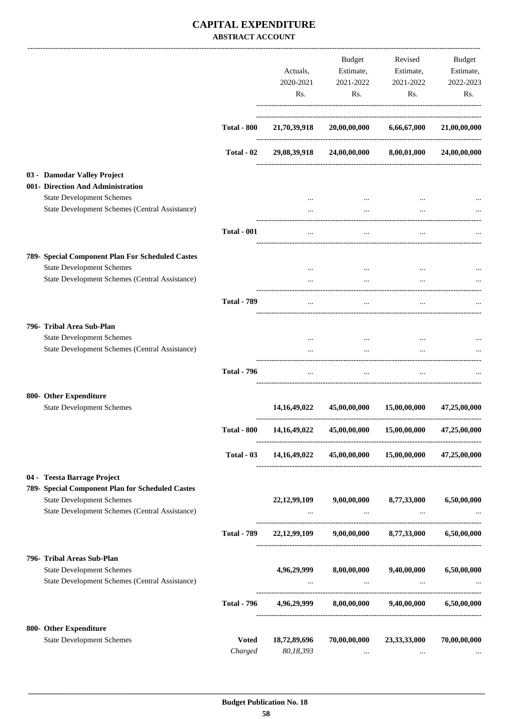|                                                                                                                                                                       |                         | Actuals,<br>2020-2021<br>Rs.                                   | Budget<br>Estimate,<br>2021-2022<br>Rs.                                         | Revised<br>Estimate,<br>2021-2022<br>Rs. | Budget<br>Estimate,<br>2022-2023<br>Rs. |
|-----------------------------------------------------------------------------------------------------------------------------------------------------------------------|-------------------------|----------------------------------------------------------------|---------------------------------------------------------------------------------|------------------------------------------|-----------------------------------------|
|                                                                                                                                                                       | <b>Total - 800</b>      | 21,70,39,918                                                   | 20,00,00,000                                                                    | 6,66,67,000                              | 21,00,00,000                            |
|                                                                                                                                                                       | Total - 02              |                                                                | 29,08,39,918 24,00,00,000 8,00,01,000                                           |                                          | 24,00,00,000                            |
| 03 - Damodar Valley Project<br>001- Direction And Administration<br><b>State Development Schemes</b>                                                                  |                         |                                                                |                                                                                 |                                          |                                         |
| State Development Schemes (Central Assistance)                                                                                                                        |                         |                                                                | $\cdots$                                                                        |                                          |                                         |
|                                                                                                                                                                       | <b>Total - 001</b>      | $\cdots$                                                       | $\cdots$                                                                        |                                          |                                         |
| 789- Special Component Plan For Scheduled Castes<br><b>State Development Schemes</b><br>State Development Schemes (Central Assistance)                                |                         | $\cdots$<br>$\cdots$                                           | $\cdots$<br>$\cdots$                                                            |                                          |                                         |
|                                                                                                                                                                       | <b>Total - 789</b>      | $\cdots$                                                       | $\cdots$                                                                        | $\cdots$                                 |                                         |
| 796- Tribal Area Sub-Plan<br><b>State Development Schemes</b><br>State Development Schemes (Central Assistance)                                                       |                         |                                                                | $\ddotsc$                                                                       |                                          |                                         |
|                                                                                                                                                                       | <b>Total - 796</b>      | $\cdots$                                                       | $\cdots$                                                                        | $\cdots$                                 |                                         |
| 800- Other Expenditure<br><b>State Development Schemes</b>                                                                                                            |                         | 14, 16, 49, 022                                                | 45,00,00,000                                                                    | 15,00,00,000                             | 47,25,00,000                            |
|                                                                                                                                                                       | <b>Total - 800</b>      | 14, 16, 49, 022                                                | 45,00,00,000                                                                    | 15,00,00,000                             | 47,25,00,000                            |
|                                                                                                                                                                       |                         | Total - 03 14,16,49,022 45,00,00,000 15,00,00,000 47,25,00,000 |                                                                                 |                                          |                                         |
| 04 - Teesta Barrage Project<br>789- Special Component Plan for Scheduled Castes<br><b>State Development Schemes</b><br>State Development Schemes (Central Assistance) |                         | $\cdots$                                                       | 22,12,99,109 9,00,00,000 8,77,33,000<br>and the contract of the con-            | and the contract of the season           | 6,50,00,000                             |
|                                                                                                                                                                       | <b>Total - 789</b>      |                                                                | 22,12,99,109 9,00,00,000 8,77,33,000 6,50,00,000                                |                                          |                                         |
| 796- Tribal Areas Sub-Plan<br><b>State Development Schemes</b><br>State Development Schemes (Central Assistance)                                                      |                         |                                                                | 4,96,29,999 8,00,00,000 9,40,00,000 6,50,00,000<br>and the contract of the con- | <b>Contract Contract</b>                 |                                         |
|                                                                                                                                                                       | <b>Total - 796</b>      |                                                                | 4,96,29,999 8,00,00,000 9,40,00,000                                             |                                          | 6,50,00,000                             |
| 800- Other Expenditure<br><b>State Development Schemes</b>                                                                                                            | <b>Voted</b><br>Charged | 18,72,89,696<br>80,18,393                                      | 70,00,00,000<br>$\cdots$                                                        | 23,33,33,000<br>$\cdots$                 | 70,00,00,000                            |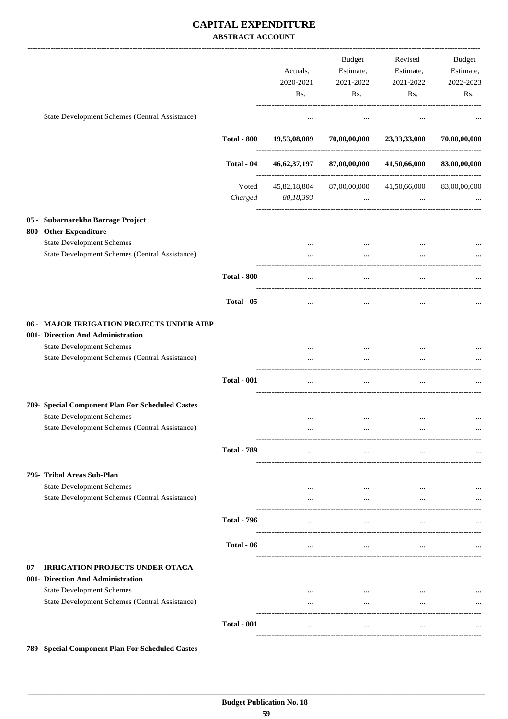|                                                                                    |                    |              | <b>Budget</b>        | Revised              | Budget       |
|------------------------------------------------------------------------------------|--------------------|--------------|----------------------|----------------------|--------------|
|                                                                                    |                    | Actuals,     | Estimate,            | Estimate,            | Estimate,    |
|                                                                                    |                    | 2020-2021    | 2021-2022            | 2021-2022            | 2022-2023    |
|                                                                                    |                    | Rs.          | Rs.                  | Rs.                  | Rs.          |
| State Development Schemes (Central Assistance)                                     |                    | $\cdots$     | $\cdots$             | $\cdots$             |              |
|                                                                                    | <b>Total - 800</b> | 19,53,08,089 | 70,00,00,000         | 23,33,33,000         | 70,00,00,000 |
|                                                                                    | Total - 04         | 46,62,37,197 | 87,00,00,000         | 41,50,66,000         | 83,00,00,000 |
|                                                                                    |                    |              |                      |                      |              |
|                                                                                    | Voted              | 45,82,18,804 | 87,00,00,000         | 41,50,66,000         | 83,00,00,000 |
|                                                                                    | Charged            | 80,18,393    | $\ddotsc$            |                      |              |
| 05 - Subarnarekha Barrage Project                                                  |                    |              |                      |                      |              |
| 800- Other Expenditure                                                             |                    |              |                      |                      |              |
| <b>State Development Schemes</b>                                                   |                    |              | $\cdots$             |                      |              |
| State Development Schemes (Central Assistance)                                     |                    |              |                      |                      |              |
|                                                                                    | <b>Total - 800</b> |              |                      |                      |              |
|                                                                                    | Total - 05         | $\cdots$     | $\ldots$             | $\cdots$             |              |
|                                                                                    |                    |              |                      |                      |              |
| 06 - MAJOR IRRIGATION PROJECTS UNDER AIBP                                          |                    |              |                      |                      |              |
| 001- Direction And Administration                                                  |                    |              |                      |                      |              |
| <b>State Development Schemes</b><br>State Development Schemes (Central Assistance) |                    |              |                      |                      |              |
|                                                                                    |                    |              |                      |                      |              |
|                                                                                    | <b>Total - 001</b> | $\ldots$     | $\cdots$             | $\cdots$             |              |
| 789- Special Component Plan For Scheduled Castes                                   |                    |              |                      |                      |              |
| <b>State Development Schemes</b>                                                   |                    |              | $\ddotsc$            | $\cdots$             |              |
| State Development Schemes (Central Assistance)                                     |                    |              |                      |                      |              |
|                                                                                    | <b>Total - 789</b> | $\cdots$     | $\ldots$             | $\cdots$             |              |
|                                                                                    |                    |              |                      |                      |              |
| 796- Tribal Areas Sub-Plan<br><b>State Development Schemes</b>                     |                    |              |                      |                      |              |
| State Development Schemes (Central Assistance)                                     |                    | <br>$\cdots$ | $\cdots$<br>$\cdots$ | $\cdots$<br>$\cdots$ |              |
|                                                                                    |                    |              |                      |                      |              |
|                                                                                    | <b>Total - 796</b> | $\cdots$     | $\cdots$             | $\cdots$             |              |
|                                                                                    | Total - 06         | $\cdots$     | $\cdots$             | $\cdots$             |              |
| 07 - IRRIGATION PROJECTS UNDER OTACA                                               |                    |              |                      |                      |              |
| 001- Direction And Administration                                                  |                    |              |                      |                      |              |
| <b>State Development Schemes</b>                                                   |                    |              | $\cdots$             |                      | $\ldots$     |
| State Development Schemes (Central Assistance)                                     |                    | $\cdots$     | $\cdots$             | $\cdots$             | $\cdots$     |
|                                                                                    | <b>Total - 001</b> | $\cdots$     | $\ldots$             | $\cdots$             | $\cdots$     |
|                                                                                    |                    |              |                      |                      |              |

**789- Special Component Plan For Scheduled Castes**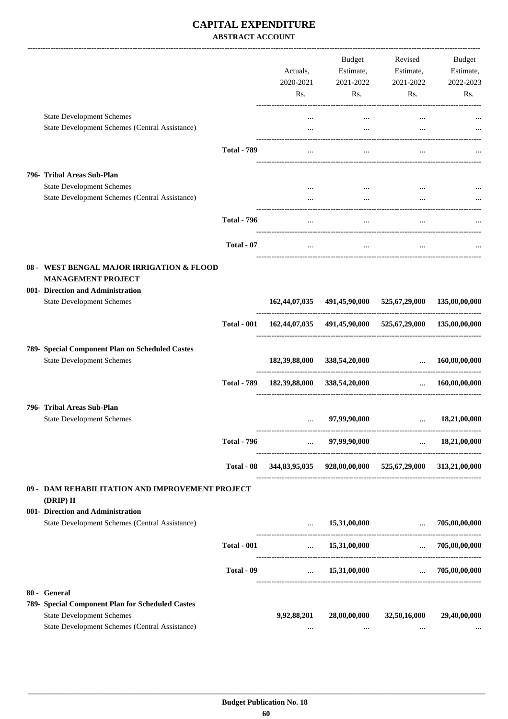|                                                                                                                                                        |                    | Actuals,<br>2020-2021<br>Rs. | Budget<br>Estimate,<br>2021-2022<br>Rs.                 | Revised<br>Estimate,<br>2021-2022<br>Rs. | Budget<br>Estimate,<br>2022-2023<br>Rs. |
|--------------------------------------------------------------------------------------------------------------------------------------------------------|--------------------|------------------------------|---------------------------------------------------------|------------------------------------------|-----------------------------------------|
| <b>State Development Schemes</b>                                                                                                                       |                    | $\cdots$                     | $\cdots$                                                |                                          |                                         |
| State Development Schemes (Central Assistance)                                                                                                         |                    | $\cdots$                     | $\cdots$                                                |                                          |                                         |
|                                                                                                                                                        | <b>Total - 789</b> | $\cdots$                     | $\cdots$                                                | $\ddotsc$                                |                                         |
| 796- Tribal Areas Sub-Plan<br><b>State Development Schemes</b>                                                                                         |                    | $\cdots$                     |                                                         |                                          |                                         |
| State Development Schemes (Central Assistance)                                                                                                         |                    |                              | $\cdots$                                                |                                          |                                         |
|                                                                                                                                                        | <b>Total - 796</b> | $\cdots$                     | $\cdots$                                                | $\cdots$                                 |                                         |
|                                                                                                                                                        | Total - 07         | $\cdots$                     | $\cdots$                                                |                                          |                                         |
| 08 - WEST BENGAL MAJOR IRRIGATION & FLOOD<br><b>MANAGEMENT PROJECT</b>                                                                                 |                    |                              |                                                         |                                          |                                         |
| 001- Direction and Administration<br><b>State Development Schemes</b>                                                                                  |                    |                              | 162,44,07,035 491,45,90,000 525,67,29,000               |                                          | 135,00,00,000                           |
|                                                                                                                                                        | <b>Total - 001</b> |                              | 162,44,07,035 491,45,90,000 525,67,29,000 135,00,00,000 |                                          |                                         |
| 789- Special Component Plan on Scheduled Castes<br><b>State Development Schemes</b>                                                                    |                    |                              | 182,39,88,000 338,54,20,000                             | $\mathbf{r}$ .                           | 160,00,00,000                           |
|                                                                                                                                                        | <b>Total - 789</b> |                              | 182,39,88,000 338,54,20,000                             | $\ddotsc$                                | 160,00,00,000                           |
| 796- Tribal Areas Sub-Plan<br><b>State Development Schemes</b>                                                                                         |                    | $\cdots$                     | 97,99,90,000                                            | $\cdots$<br>_________________            | 18,21,00,000                            |
|                                                                                                                                                        | <b>Total - 796</b> |                              | $\ldots$ 97,99,90,000                                   | $\ldots$ 18,21,00,000                    |                                         |
|                                                                                                                                                        | Total - 08         |                              | 344,83,95,035 928,00,00,000 525,67,29,000 313,21,00,000 |                                          |                                         |
| 09 - DAM REHABILITATION AND IMPROVEMENT PROJECT<br>(DRIP) II                                                                                           |                    |                              |                                                         |                                          |                                         |
| 001- Direction and Administration<br>State Development Schemes (Central Assistance)                                                                    |                    | $\cdots$                     | 15,31,00,000                                            | <b>Section</b>                           | 705,00,00,000                           |
|                                                                                                                                                        | <b>Total - 001</b> |                              | $\dots$ 15,31,00,000                                    | $\mathbf{r}$ and $\mathbf{r}$            | 705,00,00,000                           |
|                                                                                                                                                        | Total - 09         | $\cdots$                     | 15,31,00,000                                            | $\mathbf{r}$                             | 705,00,00,000                           |
| 80 - General<br>789- Special Component Plan for Scheduled Castes<br><b>State Development Schemes</b><br>State Development Schemes (Central Assistance) |                    | 9,92,88,201<br>$\cdots$      | 28,00,00,000<br>$\cdots$                                | 32,50,16,000<br>$\cdots$                 | 29,40,00,000                            |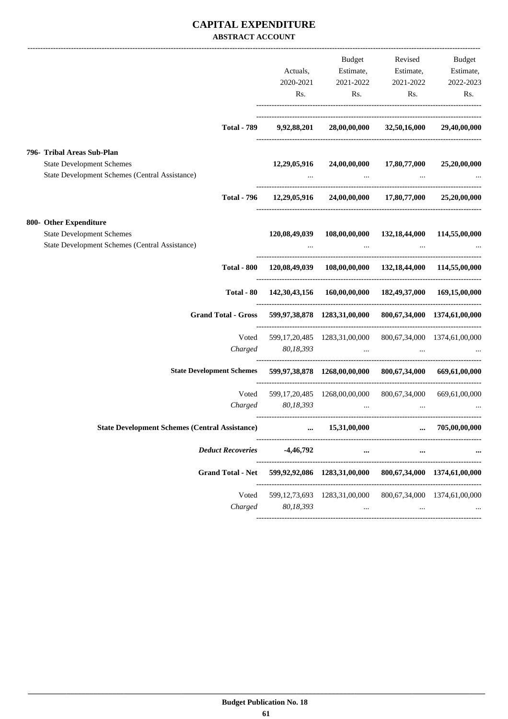|                                                                                                                  | Actuals,<br>2020-2021<br>Rs.                                    | Budget<br>Estimate,<br>2021-2022<br>Rs.                                                          | Estimate,<br>2021-2022<br>Rs.          | Revised Budget<br>Estimate,<br>2022-2023<br>Rs.    |
|------------------------------------------------------------------------------------------------------------------|-----------------------------------------------------------------|--------------------------------------------------------------------------------------------------|----------------------------------------|----------------------------------------------------|
| <b>Total - 789</b>                                                                                               | 9,92,88,201                                                     |                                                                                                  | 28,00,00,000 32,50,16,000 29,40,00,000 |                                                    |
| 796- Tribal Areas Sub-Plan<br><b>State Development Schemes</b><br>State Development Schemes (Central Assistance) |                                                                 | $12,29,05,916$ $24,00,00,000$ $17,80,77,000$ $25,20,00,000$<br>and the company of the company of |                                        |                                                    |
| <b>Total - 796</b>                                                                                               |                                                                 | 12,29,05,916 24,00,00,000 17,80,77,000 25,20,00,000                                              |                                        |                                                    |
| 800- Other Expenditure<br><b>State Development Schemes</b><br>State Development Schemes (Central Assistance)     |                                                                 | 120,08,49,039 108,00,00,000 132,18,44,000 114,55,00,000                                          | and the state of the state             | $\mathbf{r}$ and $\mathbf{r}$ are all $\mathbf{r}$ |
| Total - 800                                                                                                      |                                                                 | 120,08,49,039 108,00,00,000 132,18,44,000 114,55,00,000                                          |                                        |                                                    |
| Total - 80                                                                                                       |                                                                 | 142,30,43,156 160,00,00,000 182,49,37,000 169,15,00,000                                          |                                        |                                                    |
| Grand Total - Gross 599,97,38,878 1283,31,00,000 800,67,34,000 1374,61,00,000                                    |                                                                 |                                                                                                  |                                        |                                                    |
| Charged                                                                                                          | Voted 599,17,20,485 1283,31,00,000 800,67,34,000 1374,61,00,000 | 80,18,393                                                                                        |                                        |                                                    |
| State Development Schemes 599,97,38,878 1268,00,00,000 800,67,34,000 669,61,00,000                               |                                                                 |                                                                                                  |                                        |                                                    |
| Voted<br>Charged                                                                                                 | 80,18,393                                                       | 599,17,20,485 1268,00,00,000 800,67,34,000 669,61,00,000<br>$\sim$ $\sim$ $\sim$                 |                                        |                                                    |
| State Development Schemes (Central Assistance) $\ldots$ 15,31,00,000 $\ldots$                                    |                                                                 |                                                                                                  |                                        | 705,00,00,000                                      |
| <b>Deduct Recoveries</b>                                                                                         | $-4,46,792$                                                     | $\cdots$                                                                                         |                                        |                                                    |
| <b>Grand Total - Net</b>                                                                                         |                                                                 | 599,92,92,086 1283,31,00,000                                                                     |                                        | 800,67,34,000 1374,61,00,000                       |
| Voted<br>Charged                                                                                                 | 80,18,393                                                       | 599, 12, 73, 693 1283, 31, 00, 000 800, 67, 34, 000 1374, 61, 00, 000<br>$\cdots$                | ----------------                       |                                                    |
|                                                                                                                  |                                                                 | ---------------------                                                                            |                                        |                                                    |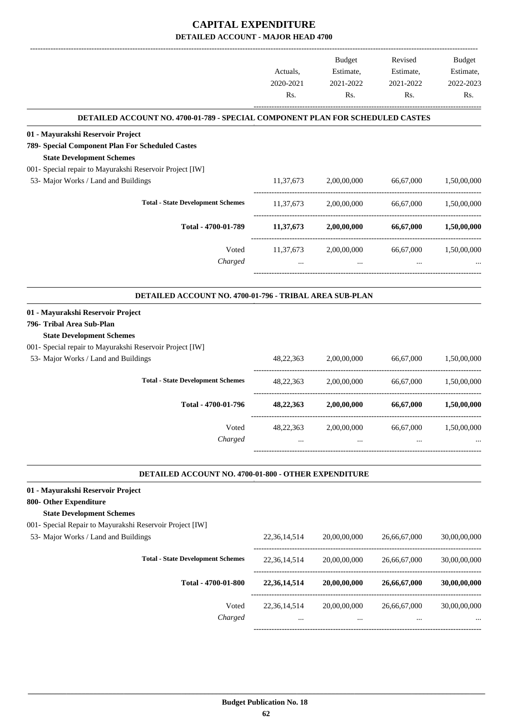|                                                                                                                           |                  | <b>Budget</b>    | Revised          | <b>Budget</b>    |
|---------------------------------------------------------------------------------------------------------------------------|------------------|------------------|------------------|------------------|
|                                                                                                                           | Actuals,         | Estimate,        | Estimate,        | Estimate,        |
|                                                                                                                           | 2020-2021<br>Rs. | 2021-2022<br>Rs. | 2021-2022<br>Rs. | 2022-2023<br>Rs. |
|                                                                                                                           |                  |                  |                  |                  |
| DETAILED ACCOUNT NO. 4700-01-789 - SPECIAL COMPONENT PLAN FOR SCHEDULED CASTES                                            |                  |                  |                  |                  |
| 01 - Mayurakshi Reservoir Project<br>789- Special Component Plan For Scheduled Castes<br><b>State Development Schemes</b> |                  |                  |                  |                  |
| 001- Special repair to Mayurakshi Reservoir Project [IW]                                                                  |                  |                  |                  |                  |
| 53- Major Works / Land and Buildings                                                                                      | 11,37,673        | 2,00,00,000      | 66,67,000        | 1,50,00,000      |
| <b>Total - State Development Schemes</b>                                                                                  | 11,37,673        | 2,00,00,000      | 66,67,000        | 1,50,00,000      |
| Total - 4700-01-789                                                                                                       | 11,37,673        | 2,00,00,000      | 66,67,000        | 1,50,00,000      |
| Voted                                                                                                                     | 11,37,673        | 2,00,00,000      | 66,67,000        | 1,50,00,000      |
| Charged                                                                                                                   | $\ddots$         | $\ddotsc$        |                  |                  |
| DETAILED ACCOUNT NO. 4700-01-796 - TRIBAL AREA SUB-PLAN                                                                   |                  |                  |                  |                  |
|                                                                                                                           |                  |                  |                  |                  |
| 01 - Mayurakshi Reservoir Project<br>796- Tribal Area Sub-Plan<br><b>State Development Schemes</b>                        |                  |                  |                  |                  |
| 001- Special repair to Mayurakshi Reservoir Project [IW]                                                                  |                  |                  |                  |                  |
| 53- Major Works / Land and Buildings                                                                                      | 48, 22, 363      | 2,00,00,000      | 66,67,000        | 1,50,00,000      |
| <b>Total - State Development Schemes</b>                                                                                  | 48, 22, 363      | 2,00,00,000      | 66,67,000        | 1,50,00,000      |
| Total - 4700-01-796                                                                                                       | 48,22,363        | 2,00,00,000      | 66,67,000        | 1,50,00,000      |
| Voted                                                                                                                     | 48,22,363        | 2,00,00,000      | 66,67,000        | 1,50,00,000      |
| Charged                                                                                                                   |                  |                  |                  |                  |
| DETAILED ACCOUNT NO. 4700-01-800 - OTHER EXPENDITURE                                                                      |                  |                  |                  |                  |
| 01 - Mayurakshi Reservoir Project                                                                                         |                  |                  |                  |                  |
| 800- Other Expenditure                                                                                                    |                  |                  |                  |                  |
| <b>State Development Schemes</b><br>001- Special Repair to Mayurakshi Reservoir Project [IW]                              |                  |                  |                  |                  |
| 53- Major Works / Land and Buildings                                                                                      | 22, 36, 14, 514  | 20,00,00,000     | 26,66,67,000     | 30,00,00,000     |
|                                                                                                                           |                  |                  |                  |                  |
| <b>Total - State Development Schemes</b>                                                                                  | 22,36,14,514     | 20,00,00,000     | 26,66,67,000     | 30,00,00,000     |
| Total - 4700-01-800                                                                                                       | 22,36,14,514     | 20,00,00,000     | 26,66,67,000     | 30,00,00,000     |
| Voted                                                                                                                     | 22, 36, 14, 514  | 20,00,00,000     | 26,66,67,000     | 30,00,00,000     |
| Charged                                                                                                                   |                  |                  |                  |                  |
|                                                                                                                           |                  |                  |                  |                  |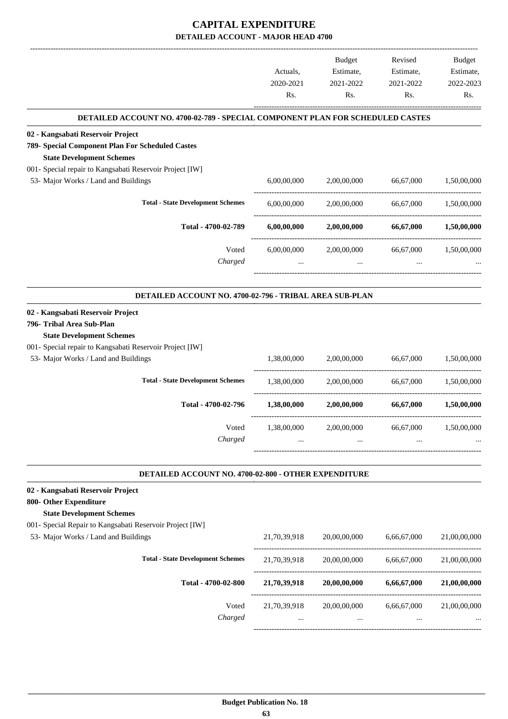|                                                                                                    |              | Budget       | Revised     | Budget       |
|----------------------------------------------------------------------------------------------------|--------------|--------------|-------------|--------------|
|                                                                                                    | Actuals,     | Estimate,    | Estimate,   | Estimate,    |
|                                                                                                    | 2020-2021    | 2021-2022    | 2021-2022   | 2022-2023    |
|                                                                                                    | Rs.          | Rs.          | Rs.         | Rs.          |
| DETAILED ACCOUNT NO. 4700-02-789 - SPECIAL COMPONENT PLAN FOR SCHEDULED CASTES                     |              |              |             |              |
| 02 - Kangsabati Reservoir Project                                                                  |              |              |             |              |
| 789- Special Component Plan For Scheduled Castes                                                   |              |              |             |              |
| <b>State Development Schemes</b><br>001- Special repair to Kangsabati Reservoir Project [IW]       |              |              |             |              |
| 53- Major Works / Land and Buildings                                                               | 6,00,00,000  | 2,00,00,000  | 66,67,000   | 1,50,00,000  |
|                                                                                                    |              |              |             |              |
| <b>Total - State Development Schemes</b>                                                           | 6,00,00,000  | 2,00,00,000  | 66,67,000   | 1,50,00,000  |
| Total - 4700-02-789                                                                                | 6,00,00,000  | 2,00,00,000  | 66,67,000   | 1,50,00,000  |
| Voted                                                                                              | 6,00,00,000  | 2,00,00,000  | 66,67,000   | 1,50,00,000  |
| Charged                                                                                            |              |              |             |              |
|                                                                                                    |              |              |             |              |
| DETAILED ACCOUNT NO. 4700-02-796 - TRIBAL AREA SUB-PLAN                                            |              |              |             |              |
| 02 - Kangsabati Reservoir Project<br>796- Tribal Area Sub-Plan<br><b>State Development Schemes</b> |              |              |             |              |
| 001- Special repair to Kangsabati Reservoir Project [IW]                                           |              |              |             |              |
| 53- Major Works / Land and Buildings                                                               | 1,38,00,000  | 2,00,00,000  | 66,67,000   | 1,50,00,000  |
| <b>Total - State Development Schemes</b>                                                           | 1,38,00,000  | 2,00,00,000  | 66,67,000   | 1,50,00,000  |
| Total - 4700-02-796                                                                                | 1,38,00,000  | 2,00,00,000  | 66,67,000   | 1,50,00,000  |
| Voted                                                                                              | 1,38,00,000  | 2,00,00,000  | 66,67,000   | 1,50,00,000  |
| Charged                                                                                            |              |              |             |              |
|                                                                                                    |              |              |             |              |
| DETAILED ACCOUNT NO. 4700-02-800 - OTHER EXPENDITURE                                               |              |              |             |              |
| 02 - Kangsabati Reservoir Project                                                                  |              |              |             |              |
| 800- Other Expenditure<br><b>State Development Schemes</b>                                         |              |              |             |              |
| 001- Special Repair to Kangsabati Reservoir Project [IW]                                           |              |              |             |              |
| 53- Major Works / Land and Buildings                                                               | 21,70,39,918 | 20,00,00,000 | 6,66,67,000 | 21,00,00,000 |
|                                                                                                    |              |              |             |              |
| <b>Total - State Development Schemes</b>                                                           | 21,70,39,918 | 20,00,00,000 | 6,66,67,000 | 21,00,00,000 |
| Total - 4700-02-800                                                                                | 21,70,39,918 | 20,00,00,000 | 6,66,67,000 | 21,00,00,000 |
| Voted                                                                                              | 21,70,39,918 | 20,00,00,000 | 6,66,67,000 | 21,00,00,000 |
| Charged                                                                                            |              |              |             |              |
|                                                                                                    |              |              |             |              |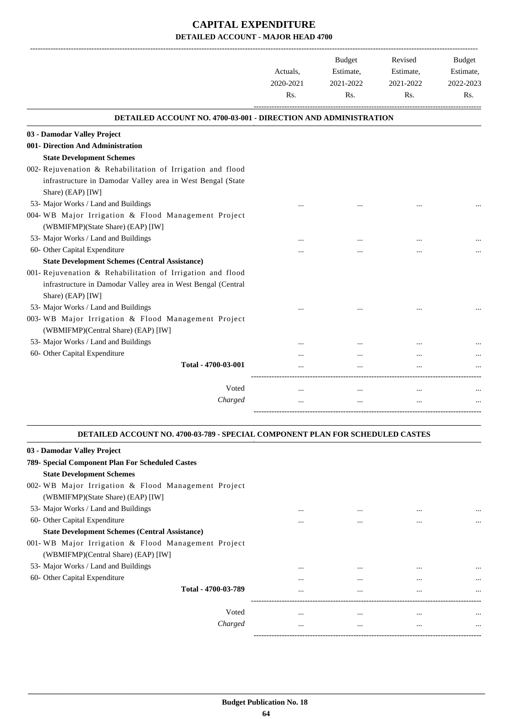| <b>DETAILED ACCOUNT NO. 4700-03-001 - DIRECTION AND ADMINISTRATION</b>                                                                           |          |  |
|--------------------------------------------------------------------------------------------------------------------------------------------------|----------|--|
|                                                                                                                                                  |          |  |
| 03 - Damodar Valley Project                                                                                                                      |          |  |
| 001- Direction And Administration                                                                                                                |          |  |
| <b>State Development Schemes</b>                                                                                                                 |          |  |
| 002- Rejuvenation & Rehabilitation of Irrigation and flood                                                                                       |          |  |
| infrastructure in Damodar Valley area in West Bengal (State<br>Share) (EAP) [IW]                                                                 |          |  |
| 53- Major Works / Land and Buildings                                                                                                             |          |  |
| 004-WB Major Irrigation & Flood Management Project                                                                                               |          |  |
| (WBMIFMP)(State Share) (EAP) [IW]                                                                                                                |          |  |
| 53- Major Works / Land and Buildings                                                                                                             |          |  |
| 60- Other Capital Expenditure                                                                                                                    |          |  |
| <b>State Development Schemes (Central Assistance)</b>                                                                                            |          |  |
| 001- Rejuvenation & Rehabilitation of Irrigation and flood<br>infrastructure in Damodar Valley area in West Bengal (Central<br>Share) (EAP) [IW] |          |  |
| 53- Major Works / Land and Buildings                                                                                                             |          |  |
| 003-WB Major Irrigation & Flood Management Project<br>(WBMIFMP)(Central Share) (EAP) [IW]                                                        |          |  |
| 53- Major Works / Land and Buildings                                                                                                             |          |  |
| 60- Other Capital Expenditure                                                                                                                    |          |  |
| Total - 4700-03-001                                                                                                                              |          |  |
| Voted                                                                                                                                            | $\cdots$ |  |
| Charged                                                                                                                                          |          |  |

#### **DETAILED ACCOUNT NO. 4700-03-789 - SPECIAL COMPONENT PLAN FOR SCHEDULED CASTES .**

.

| 03 - Damodar Valley Project                           |          |          |          |          |
|-------------------------------------------------------|----------|----------|----------|----------|
| 789- Special Component Plan For Scheduled Castes      |          |          |          |          |
| <b>State Development Schemes</b>                      |          |          |          |          |
| 002-WB Major Irrigation & Flood Management Project    |          |          |          |          |
| (WBMIFMP)(State Share) (EAP) [IW]                     |          |          |          |          |
| 53- Major Works / Land and Buildings                  | $\cdots$ | $\cdots$ |          | $\cdots$ |
| 60- Other Capital Expenditure                         | $\cdots$ | $\cdots$ | $\cdots$ | $\cdots$ |
| <b>State Development Schemes (Central Assistance)</b> |          |          |          |          |
| 001-WB Major Irrigation & Flood Management Project    |          |          |          |          |
| (WBMIFMP)(Central Share) (EAP) [IW]                   |          |          |          |          |
| 53- Major Works / Land and Buildings                  | $\cdots$ | $\cdots$ | $\cdots$ | $\cdots$ |
| 60- Other Capital Expenditure                         | $\cdots$ | $\cdots$ | $\cdots$ | $\cdots$ |
| Total - 4700-03-789                                   | $\cdots$ | $\cdots$ | $\cdots$ |          |
|                                                       |          |          |          |          |
| Voted                                                 | $\cdots$ | $\cdots$ | $\cdots$ | $\cdots$ |
| Charged                                               | $\cdots$ | $\cdots$ | $\cdots$ | $\cdots$ |
|                                                       |          |          |          |          |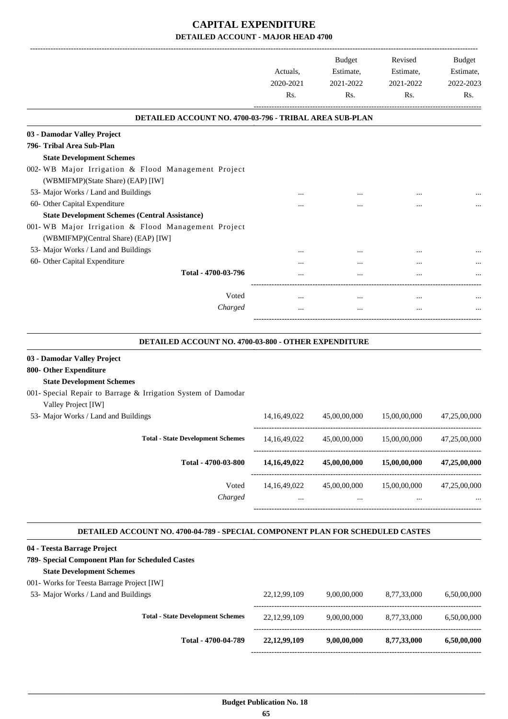| <b>Budget</b><br>Estimate,<br>2021-2022<br>Rs.          | Revised<br>Estimate,<br>2021-2022<br>Rs. | <b>Budget</b><br>Estimate,<br>2022-2023<br>Rs. |
|---------------------------------------------------------|------------------------------------------|------------------------------------------------|
| DETAILED ACCOUNT NO. 4700-03-796 - TRIBAL AREA SUB-PLAN |                                          |                                                |
|                                                         |                                          |                                                |
|                                                         |                                          |                                                |
|                                                         |                                          |                                                |
|                                                         |                                          |                                                |
|                                                         |                                          |                                                |
|                                                         |                                          |                                                |
|                                                         |                                          |                                                |
|                                                         |                                          |                                                |
|                                                         |                                          |                                                |
|                                                         |                                          |                                                |
|                                                         |                                          |                                                |
|                                                         | $\ddotsc$                                |                                                |
|                                                         |                                          |                                                |
| $\cdots$                                                | $\ddotsc$                                |                                                |
| $\cdots$                                                | $\ddotsc$                                |                                                |
| DETAILED ACCOUNT NO. 4700-03-800 - OTHER EXPENDITURE    |                                          |                                                |
|                                                         |                                          |                                                |
|                                                         |                                          |                                                |
|                                                         |                                          |                                                |
|                                                         |                                          |                                                |
|                                                         |                                          |                                                |
| 45,00,00,000                                            | 15,00,00,000                             | 47,25,00,000                                   |
| 45,00,00,000                                            | 15,00,00,000                             | 47,25,00,000                                   |
| 45,00,00,000                                            | 15,00,00,000                             | 47,25,00,000                                   |
|                                                         |                                          | 47,25,00,000                                   |
| $\cdots$                                                | $\cdots$                                 |                                                |
|                                                         | 45,00,00,000                             | 15,00,00,000                                   |

#### **DETAILED ACCOUNT NO. 4700-04-789 - SPECIAL COMPONENT PLAN FOR SCHEDULED CASTES .**

| 04 - Teesta Barrage Project                      |                 |             |             |             |
|--------------------------------------------------|-----------------|-------------|-------------|-------------|
| 789- Special Component Plan for Scheduled Castes |                 |             |             |             |
| <b>State Development Schemes</b>                 |                 |             |             |             |
| 001- Works for Teesta Barrage Project [IW]       |                 |             |             |             |
| 53- Major Works / Land and Buildings             | 22, 12, 99, 109 | 9,00,00,000 | 8.77.33,000 | 6.50,00,000 |
|                                                  |                 |             |             |             |
| <b>Total - State Development Schemes</b>         | 22, 12, 99, 109 | 9,00,00,000 | 8.77.33.000 | 6.50,00,000 |
|                                                  |                 |             |             |             |
| Total - 4700-04-789                              | 22, 12, 99, 109 | 9,00,00,000 | 8,77,33,000 | 6,50,00,000 |
|                                                  |                 |             |             |             |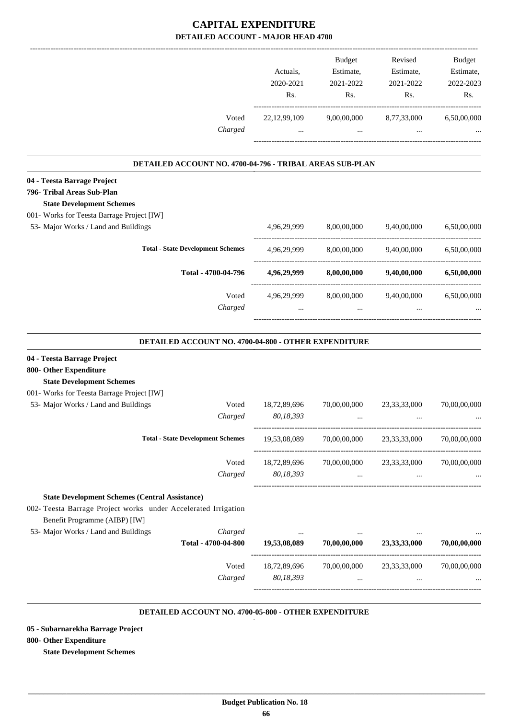|                                                                |                                                          |                           | Budget                    | Revised                                                   | <b>Budget</b> |
|----------------------------------------------------------------|----------------------------------------------------------|---------------------------|---------------------------|-----------------------------------------------------------|---------------|
|                                                                |                                                          | Actuals,                  | Estimate,                 | Estimate,                                                 | Estimate,     |
|                                                                |                                                          | 2020-2021                 | 2021-2022                 | 2021-2022                                                 | 2022-2023     |
|                                                                |                                                          | Rs.                       | Rs.                       | Rs.                                                       | Rs.           |
|                                                                | Voted                                                    | 22, 12, 99, 109           | 9,00,00,000               | 8,77,33,000                                               | 6,50,00,000   |
|                                                                | Charged                                                  |                           | $\cdots$                  |                                                           |               |
|                                                                | DETAILED ACCOUNT NO. 4700-04-796 - TRIBAL AREAS SUB-PLAN |                           |                           |                                                           |               |
| 04 - Teesta Barrage Project                                    |                                                          |                           |                           |                                                           |               |
| 796- Tribal Areas Sub-Plan                                     |                                                          |                           |                           |                                                           |               |
| <b>State Development Schemes</b>                               |                                                          |                           |                           |                                                           |               |
| 001- Works for Teesta Barrage Project [IW]                     |                                                          |                           |                           |                                                           |               |
| 53- Major Works / Land and Buildings                           |                                                          | 4,96,29,999               | 8,00,00,000               | 9,40,00,000                                               | 6,50,00,000   |
|                                                                | <b>Total - State Development Schemes</b>                 | 4,96,29,999               | 8,00,00,000               | 9,40,00,000                                               | 6,50,00,000   |
|                                                                | Total - 4700-04-796                                      | 4,96,29,999               | 8,00,00,000               | 9,40,00,000                                               | 6,50,00,000   |
|                                                                | Voted                                                    | 4,96,29,999               | 8,00,00,000               | 9,40,00,000                                               | 6,50,00,000   |
|                                                                | Charged                                                  |                           |                           |                                                           |               |
|                                                                | DETAILED ACCOUNT NO. 4700-04-800 - OTHER EXPENDITURE     |                           |                           |                                                           |               |
| 04 - Teesta Barrage Project                                    |                                                          |                           |                           |                                                           |               |
| 800- Other Expenditure                                         |                                                          |                           |                           |                                                           |               |
| <b>State Development Schemes</b>                               |                                                          |                           |                           |                                                           |               |
| 001- Works for Teesta Barrage Project [IW]                     |                                                          |                           |                           |                                                           |               |
| 53- Major Works / Land and Buildings                           | Voted<br>Charged                                         | 18,72,89,696<br>80,18,393 | 70,00,00,000<br>$\cdots$  | 23, 33, 33, 000<br>                                       | 70,00,00,000  |
|                                                                | <b>Total - State Development Schemes</b>                 |                           |                           | 19,53,08,089 70,00,00,000 23,33,33,000 70,00,00,000       |               |
|                                                                |                                                          |                           |                           |                                                           |               |
|                                                                | Voted                                                    |                           |                           | 18,72,89,696 70,00,00,000 23,33,33,000 70,00,00,000       |               |
|                                                                | Charged                                                  | 80,18,393                 |                           | and the state of the state<br>$\Delta\Delta\sim 10^{-11}$ |               |
| <b>State Development Schemes (Central Assistance)</b>          |                                                          |                           |                           |                                                           |               |
| 002- Teesta Barrage Project works under Accelerated Irrigation |                                                          |                           |                           |                                                           |               |
| Benefit Programme (AIBP) [IW]                                  |                                                          |                           |                           |                                                           |               |
| 53- Major Works / Land and Buildings                           | Charged                                                  |                           |                           |                                                           |               |
|                                                                | Total - 4700-04-800                                      | 19,53,08,089              | 70,00,00,000 23,33,33,000 |                                                           | 70,00,00,000  |
|                                                                | Voted                                                    |                           |                           | 18,72,89,696 70,00,00,000 23,33,33,000                    | 70,00,00,000  |
|                                                                | Charged                                                  | 80,18,393                 | $\ddotsc$                 | $\ddotsc$                                                 |               |
|                                                                |                                                          |                           |                           |                                                           |               |
|                                                                |                                                          |                           |                           |                                                           |               |

#### **DETAILED ACCOUNT NO. 4700-05-800 - OTHER EXPENDITURE .**

**05 - Subarnarekha Barrage Project**

#### **800- Other Expenditure**

**State Development Schemes**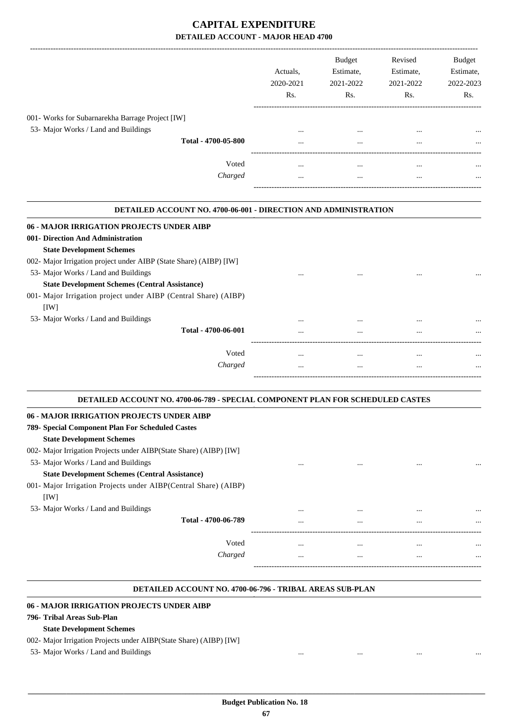|                                                  | Actuals.<br>2020-2021<br>Rs. | <b>Budget</b><br>Estimate,<br>2021-2022<br>Rs. | Revised<br>Estimate,<br>2021-2022<br>Rs. | <b>Budget</b><br>Estimate,<br>2022-2023<br>Rs. |
|--------------------------------------------------|------------------------------|------------------------------------------------|------------------------------------------|------------------------------------------------|
| 001- Works for Subarnarekha Barrage Project [IW] |                              |                                                |                                          |                                                |
| 53- Major Works / Land and Buildings             | $\cdots$                     | $\cdots$                                       | $\cdots$                                 | $\cdots$                                       |
| Total - 4700-05-800                              | $\cdots$                     |                                                | $\cdots$                                 | $\cdots$                                       |
| Voted<br>Charged                                 | $\cdots$<br>$\cdots$         | $\cdots$<br>                                   | $\cdots$<br>$\cdots$                     | $\cdots$<br>$\cdots$                           |
|                                                  |                              |                                                |                                          |                                                |

#### **DETAILED ACCOUNT NO. 4700-06-001 - DIRECTION AND ADMINISTRATION . 06 - MAJOR IRRIGATION PROJECTS UNDER AIBP 001- Direction And Administration State Development Schemes** 002- Major Irrigation project under AIBP (State Share) (AIBP) [IW] 53- Major Works / Land and Buildings ... ... ... ... **State Development Schemes (Central Assistance)** 001- Major Irrigation project under AIBP (Central Share) (AIBP) [IW] 53- Major Works / Land and Buildings ... ... ... ...

| <br> | <br>         | Total - 4700-06-001 |
|------|--------------|---------------------|
| <br> | <br>         | Voted               |
| <br> | <br>$\cdots$ | Charged             |
|      |              |                     |

.

.

| DETAILED ACCOUNT NO. 4700-06-789 - SPECIAL COMPONENT PLAN FOR SCHEDULED CASTES |          |          |          |          |  |
|--------------------------------------------------------------------------------|----------|----------|----------|----------|--|
| 06 - MAJOR IRRIGATION PROJECTS UNDER AIBP                                      |          |          |          |          |  |
| 789- Special Component Plan For Scheduled Castes                               |          |          |          |          |  |
| <b>State Development Schemes</b>                                               |          |          |          |          |  |
| 002- Major Irrigation Projects under AIBP (State Share) (AIBP) [IW]            |          |          |          |          |  |
| 53- Major Works / Land and Buildings                                           | $\cdots$ | $\cdots$ | $\cdots$ | $\cdots$ |  |
| <b>State Development Schemes (Central Assistance)</b>                          |          |          |          |          |  |
| 001- Major Irrigation Projects under AIBP (Central Share) (AIBP)               |          |          |          |          |  |
| [1W]                                                                           |          |          |          |          |  |
| 53- Major Works / Land and Buildings                                           | $\cdots$ | $\cdots$ |          |          |  |
| Total - 4700-06-789                                                            | $\cdots$ | $\cdots$ | $\cdots$ | $\cdots$ |  |
|                                                                                |          |          |          |          |  |
| Voted                                                                          | $\cdots$ | $\cdots$ | $\cdots$ | $\cdots$ |  |
| Charged                                                                        | $\cdots$ |          |          |          |  |
|                                                                                |          |          |          |          |  |

#### **DETAILED ACCOUNT NO. 4700-06-796 - TRIBAL AREAS SUB-PLAN .**

#### **06 - MAJOR IRRIGATION PROJECTS UNDER AIBP**

#### **796- Tribal Areas Sub-Plan**

#### **State Development Schemes**

- 002- Major Irrigation Projects under AIBP(State Share) (AIBP) [IW]
- 53- Major Works / Land and Buildings ... ... ...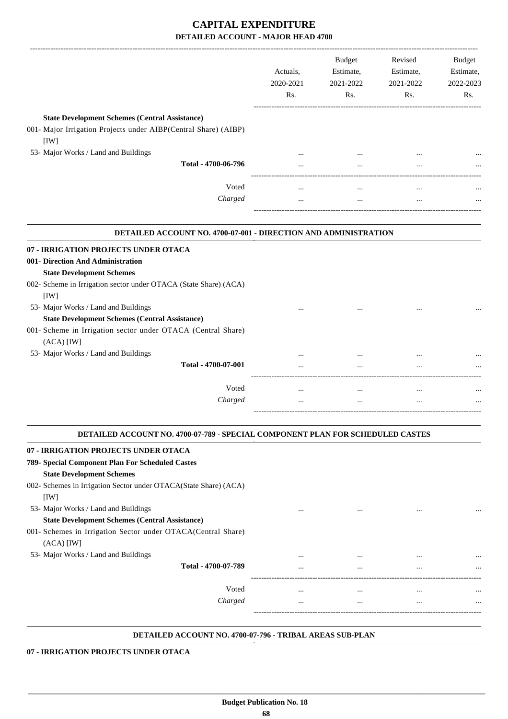|                                                                                                                                                                                                                                                       | Actuals,<br>2020-2021<br>Rs. | <b>Budget</b><br>Estimate,<br>2021-2022<br>Rs. | Revised<br>Estimate,<br>2021-2022<br>Rs. | <b>Budget</b><br>Estimate,<br>2022-2023<br>Rs. |
|-------------------------------------------------------------------------------------------------------------------------------------------------------------------------------------------------------------------------------------------------------|------------------------------|------------------------------------------------|------------------------------------------|------------------------------------------------|
| <b>State Development Schemes (Central Assistance)</b><br>001- Major Irrigation Projects under AIBP(Central Share) (AIBP)<br>[IW]                                                                                                                      |                              |                                                |                                          |                                                |
| 53- Major Works / Land and Buildings                                                                                                                                                                                                                  |                              |                                                |                                          |                                                |
| Total - 4700-06-796                                                                                                                                                                                                                                   | $\cdots$                     | $\cdots$                                       | $\cdots$                                 |                                                |
| Voted                                                                                                                                                                                                                                                 | $\ddotsc$                    |                                                | $\ddotsc$                                |                                                |
| Charged                                                                                                                                                                                                                                               | $\ddotsc$                    | $\ddotsc$                                      |                                          |                                                |
| DETAILED ACCOUNT NO. 4700-07-001 - DIRECTION AND ADMINISTRATION                                                                                                                                                                                       |                              |                                                |                                          |                                                |
| <b>State Development Schemes</b>                                                                                                                                                                                                                      |                              |                                                |                                          |                                                |
| [IW]<br>53- Major Works / Land and Buildings                                                                                                                                                                                                          |                              |                                                |                                          |                                                |
| <b>State Development Schemes (Central Assistance)</b><br>$(ACA)$ [IW]                                                                                                                                                                                 |                              |                                                |                                          |                                                |
| 07 - IRRIGATION PROJECTS UNDER OTACA<br>001- Direction And Administration<br>002- Scheme in Irrigation sector under OTACA (State Share) (ACA)<br>001- Scheme in Irrigation sector under OTACA (Central Share)<br>53- Major Works / Land and Buildings | .                            |                                                | $\cdots$                                 |                                                |
| Total - 4700-07-001                                                                                                                                                                                                                                   |                              |                                                |                                          |                                                |
| Voted                                                                                                                                                                                                                                                 |                              | $\ddotsc$                                      | $\ddotsc$                                |                                                |

| <b>DETAILED ACCOUNT NO. 4700-07-789 - SPECIAL COMPONENT PLAN FOR SCHEDULED CASTES</b> |          |          |          |           |  |
|---------------------------------------------------------------------------------------|----------|----------|----------|-----------|--|
| 07 - IRRIGATION PROJECTS UNDER OTACA                                                  |          |          |          |           |  |
| 789- Special Component Plan For Scheduled Castes                                      |          |          |          |           |  |
| <b>State Development Schemes</b>                                                      |          |          |          |           |  |
| 002- Schemes in Irrigation Sector under OTACA(State Share) (ACA)                      |          |          |          |           |  |
| [1W]                                                                                  |          |          |          |           |  |
| 53- Major Works / Land and Buildings                                                  | $\cdots$ | $\cdots$ | $\cdots$ |           |  |
| <b>State Development Schemes (Central Assistance)</b>                                 |          |          |          |           |  |
| 001- Schemes in Irrigation Sector under OTACA(Central Share)                          |          |          |          |           |  |
| $(ACA)$ $[IW]$                                                                        |          |          |          |           |  |
| 53- Major Works / Land and Buildings                                                  |          | $\cdots$ | $\cdots$ |           |  |
| Total - 4700-07-789                                                                   | $\cdots$ | $\cdots$ | $\cdots$ |           |  |
| Voted                                                                                 | $\cdots$ | $\cdots$ |          |           |  |
| Charged                                                                               |          |          |          | $\ddotsc$ |  |
|                                                                                       | $\cdots$ | $\cdots$ | $\cdots$ |           |  |
|                                                                                       |          |          |          |           |  |

**07 - IRRIGATION PROJECTS UNDER OTACA**

 **\_\_\_\_\_\_\_\_\_\_\_\_\_\_\_\_\_\_\_\_\_\_\_\_\_\_\_\_\_\_\_\_\_\_\_\_\_\_\_\_\_\_\_\_\_\_\_\_\_\_\_\_\_\_\_\_\_\_\_\_\_\_\_\_\_\_\_\_\_\_\_\_\_\_\_\_\_\_\_\_\_\_\_\_\_\_\_\_\_\_\_\_\_\_\_\_\_\_\_\_\_\_\_\_\_\_\_\_\_\_\_\_\_\_\_\_\_\_\_**

**.**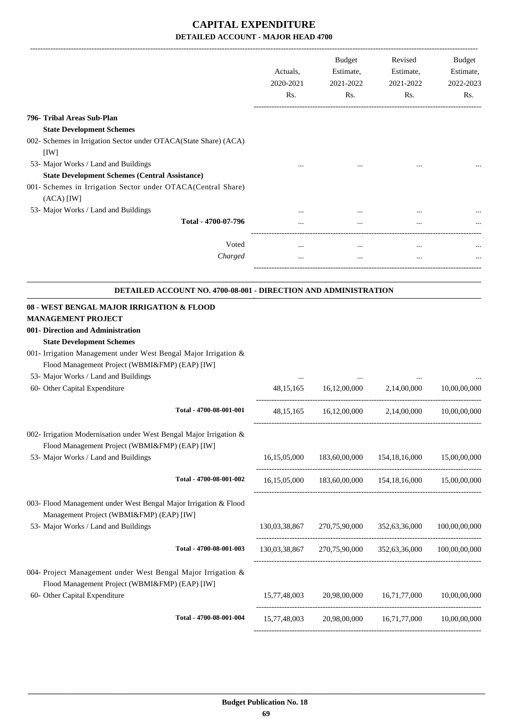|                                                                                               | Actuals,<br>2020-2021<br>Rs. | Budget<br>Estimate,<br>2021-2022<br>Rs. | Revised<br>Estimate,<br>2021-2022<br>Rs.                | Budget<br>Estimate,<br>2022-2023<br>Rs. |
|-----------------------------------------------------------------------------------------------|------------------------------|-----------------------------------------|---------------------------------------------------------|-----------------------------------------|
| 796- Tribal Areas Sub-Plan                                                                    |                              |                                         |                                                         |                                         |
| <b>State Development Schemes</b>                                                              |                              |                                         |                                                         |                                         |
| 002- Schemes in Irrigation Sector under OTACA(State Share) (ACA)                              |                              |                                         |                                                         |                                         |
| [IW]                                                                                          |                              |                                         |                                                         |                                         |
| 53- Major Works / Land and Buildings<br><b>State Development Schemes (Central Assistance)</b> |                              |                                         |                                                         |                                         |
| 001- Schemes in Irrigation Sector under OTACA(Central Share)                                  |                              |                                         |                                                         |                                         |
| $(ACA)$ [IW]                                                                                  |                              |                                         |                                                         |                                         |
| 53- Major Works / Land and Buildings                                                          |                              |                                         |                                                         |                                         |
| Total - 4700-07-796                                                                           |                              |                                         |                                                         |                                         |
|                                                                                               |                              |                                         |                                                         |                                         |
| Voted                                                                                         | $\cdots$                     |                                         |                                                         |                                         |
| Charged                                                                                       |                              | $\cdots$                                |                                                         |                                         |
|                                                                                               |                              |                                         |                                                         |                                         |
| DETAILED ACCOUNT NO. 4700-08-001 - DIRECTION AND ADMINISTRATION                               |                              |                                         |                                                         |                                         |
| 08 - WEST BENGAL MAJOR IRRIGATION & FLOOD                                                     |                              |                                         |                                                         |                                         |
| <b>MANAGEMENT PROJECT</b>                                                                     |                              |                                         |                                                         |                                         |
| 001- Direction and Administration<br><b>State Development Schemes</b>                         |                              |                                         |                                                         |                                         |
| 001- Irrigation Management under West Bengal Major Irrigation &                               |                              |                                         |                                                         |                                         |
| Flood Management Project (WBMI&FMP) (EAP) [IW]                                                |                              |                                         |                                                         |                                         |
| 53- Major Works / Land and Buildings                                                          |                              |                                         |                                                         |                                         |
| 60- Other Capital Expenditure                                                                 | 48, 15, 165                  | 16,12,00,000                            | 2,14,00,000                                             | 10.00.00.000                            |
|                                                                                               |                              |                                         |                                                         |                                         |
| Total - 4700-08-001-001                                                                       |                              | 48,15,165 16,12,00,000                  | 2,14,00,000                                             | 10,00,00,000                            |
| 002- Irrigation Modernisation under West Bengal Major Irrigation &                            |                              |                                         |                                                         |                                         |
| Flood Management Project (WBMI&FMP) (EAP) [IW]                                                |                              |                                         |                                                         |                                         |
| 53- Major Works / Land and Buildings                                                          | 16,15,05,000                 | 183,60,00,000                           |                                                         | 154,18,16,000 15,00,00,000              |
| Total - 4700-08-001-002                                                                       |                              |                                         | 16,15,05,000 183,60,00,000 154,18,16,000                | 15,00,00,000                            |
| 003- Flood Management under West Bengal Major Irrigation & Flood                              |                              |                                         |                                                         |                                         |
| Management Project (WBMI&FMP) (EAP) [IW]                                                      |                              |                                         |                                                         |                                         |
| 53- Major Works / Land and Buildings                                                          |                              | 130,03,38,867 270,75,90,000             | 352,63,36,000                                           | 100,00,00,000                           |
|                                                                                               |                              |                                         |                                                         |                                         |
| Total - 4700-08-001-003                                                                       |                              |                                         | 130,03,38,867 270,75,90,000 352,63,36,000 100,00,00,000 |                                         |
| 004- Project Management under West Bengal Major Irrigation &                                  |                              |                                         |                                                         |                                         |
| Flood Management Project (WBMI&FMP) (EAP) [IW]                                                |                              |                                         |                                                         |                                         |
| 60- Other Capital Expenditure                                                                 |                              |                                         | 15,77,48,003 20,98,00,000 16,71,77,000                  | 10,00,00,000                            |
|                                                                                               |                              |                                         |                                                         |                                         |
| Total - 4700-08-001-004                                                                       | 15,77,48,003                 |                                         | 20,98,00,000 16,71,77,000 10,00,00,000                  |                                         |
|                                                                                               |                              |                                         |                                                         |                                         |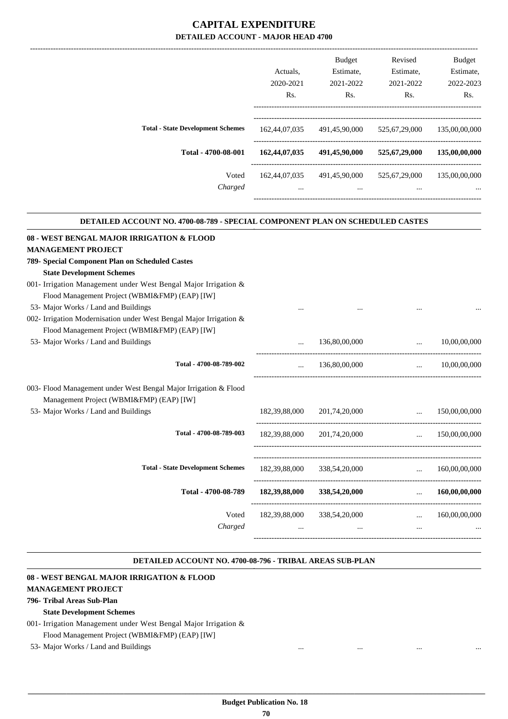|                                          | Actuals.         | <b>Budget</b><br>Estimate, | Revised<br>Estimate, | <b>Budget</b><br>Estimate, |
|------------------------------------------|------------------|----------------------------|----------------------|----------------------------|
|                                          | 2020-2021        | 2021-2022                  | 2021-2022            | 2022-2023                  |
|                                          |                  |                            |                      |                            |
|                                          | R <sub>s</sub> . | Rs.                        | Rs.                  | Rs.                        |
|                                          |                  |                            |                      |                            |
| <b>Total - State Development Schemes</b> | 162,44,07,035    | 491,45,90,000              | 525,67,29,000        | 135,00,00,000              |
| Total - 4700-08-001                      | 162,44,07,035    | 491,45,90,000              | 525,67,29,000        | 135,00,00,000              |
| Voted                                    | 162.44.07.035    | 491,45,90,000              | 525,67,29,000        | 135,00,00,000              |
| Charged                                  |                  | $\cdots$                   | $\cdots$             | $\cdots$                   |
|                                          |                  |                            |                      |                            |

.

.

| DETAILED ACCOUNT NO. 4700-08-789 - SPECIAL COMPONENT PLAN ON SCHEDULED CASTES |               |                                 |                                            |  |  |  |  |
|-------------------------------------------------------------------------------|---------------|---------------------------------|--------------------------------------------|--|--|--|--|
| 08 - WEST BENGAL MAJOR IRRIGATION & FLOOD                                     |               |                                 |                                            |  |  |  |  |
| <b>MANAGEMENT PROJECT</b>                                                     |               |                                 |                                            |  |  |  |  |
| 789- Special Component Plan on Scheduled Castes                               |               |                                 |                                            |  |  |  |  |
| <b>State Development Schemes</b>                                              |               |                                 |                                            |  |  |  |  |
| 001- Irrigation Management under West Bengal Major Irrigation &               |               |                                 |                                            |  |  |  |  |
| Flood Management Project (WBMI&FMP) (EAP) [IW]                                |               |                                 |                                            |  |  |  |  |
| 53- Major Works / Land and Buildings                                          |               |                                 |                                            |  |  |  |  |
| 002- Irrigation Modernisation under West Bengal Major Irrigation &            |               |                                 |                                            |  |  |  |  |
| Flood Management Project (WBMI&FMP) (EAP) [IW]                                |               |                                 |                                            |  |  |  |  |
| 53- Major Works / Land and Buildings                                          |               | 136,80,00,000                   | 10,00,00,000<br>$\mathbf{1}$               |  |  |  |  |
| Total - 4700-08-789-002                                                       |               | 136,80,00,000                   | $\ldots$ 10,00,00,000                      |  |  |  |  |
| 003- Flood Management under West Bengal Major Irrigation & Flood              |               |                                 |                                            |  |  |  |  |
| Management Project (WBMI&FMP) (EAP) [IW]                                      |               |                                 |                                            |  |  |  |  |
| 53- Major Works / Land and Buildings                                          |               | 182,39,88,000 201,74,20,000     | $\ldots$ 150,00,00,000                     |  |  |  |  |
| Total - 4700-08-789-003                                                       |               | 182,39,88,000 201,74,20,000     | $\ldots$ 150.00.00.000                     |  |  |  |  |
| <b>Total - State Development Schemes</b>                                      |               |                                 | 182,39,88,000 338,54,20,000  160,00,00,000 |  |  |  |  |
| Total - 4700-08-789                                                           |               | $182,39,88,000$ $338,54,20,000$ | 160,00,00,000                              |  |  |  |  |
| Voted                                                                         | 182,39,88,000 | 338,54,20,000                   | $\ldots$ 160,00,00,000                     |  |  |  |  |
| Charged                                                                       |               |                                 | $\cdots$                                   |  |  |  |  |
|                                                                               |               |                                 |                                            |  |  |  |  |

#### **DETAILED ACCOUNT NO. 4700-08-796 - TRIBAL AREAS SUB-PLAN .**

#### **08 - WEST BENGAL MAJOR IRRIGATION & FLOOD**

#### **MANAGEMENT PROJECT**

#### **796- Tribal Areas Sub-Plan**

#### **State Development Schemes**

- 001- Irrigation Management under West Bengal Major Irrigation & Flood Management Project (WBMI&FMP) (EAP) [IW]
- 53- Major Works / Land and Buildings ... ... ... ...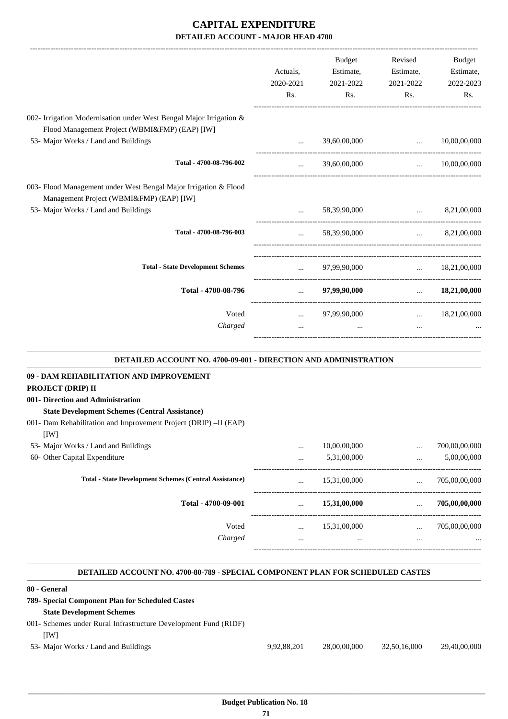|                                                                                                                      | Actuals,<br>2020-2021<br>Rs. | <b>Budget</b><br>Estimate,<br>2021-2022<br>Rs. | Revised<br>Estimate,<br>2021-2022<br>Rs.           | Budget<br>Estimate,<br>2022-2023<br>Rs. |
|----------------------------------------------------------------------------------------------------------------------|------------------------------|------------------------------------------------|----------------------------------------------------|-----------------------------------------|
| 002- Irrigation Modernisation under West Bengal Major Irrigation &<br>Flood Management Project (WBMI&FMP) (EAP) [IW] |                              |                                                |                                                    |                                         |
| 53- Major Works / Land and Buildings                                                                                 |                              | 39,60,00,000                                   | $\ddotsc$                                          | 10,00,00,000                            |
| Total - 4700-08-796-002                                                                                              |                              | 39,60,00,000                                   | -------------------------------------<br>$\ddotsc$ | 10,00,00,000                            |
| 003- Flood Management under West Bengal Major Irrigation & Flood<br>Management Project (WBMI&FMP) (EAP) [IW]         |                              |                                                |                                                    |                                         |
| 53- Major Works / Land and Buildings                                                                                 |                              | 58,39,90,000                                   | and the company of the company of                  | 8,21,00,000                             |
| Total - 4700-08-796-003                                                                                              | $\cdots$                     | 58,39,90,000                                   | $\mathbf{r}$ and $\mathbf{r}$                      | 8,21,00,000                             |
| <b>Total - State Development Schemes</b>                                                                             | $\cdots$                     | 97,99,90,000                                   | $\cdots$                                           | 18,21,00,000                            |
| Total - 4700-08-796                                                                                                  | ___________________________  | 97,99,90,000                                   | $\mathbf{1}$                                       | 18,21,00,000                            |
| Voted                                                                                                                | $\cdots$                     | 97,99,90,000                                   | $\mathbf{r}$ and $\mathbf{r}$                      | 18,21,00,000                            |
| Charged                                                                                                              | $\ddotsc$                    | $\cdots$                                       | $\ddotsc$                                          |                                         |
| DETAILED ACCOUNT NO. 4700-09-001 - DIRECTION AND ADMINISTRATION                                                      |                              |                                                |                                                    |                                         |
| 09 - DAM REHABILITATION AND IMPROVEMENT                                                                              |                              |                                                |                                                    |                                         |
| PROJECT (DRIP) II                                                                                                    |                              |                                                |                                                    |                                         |
| 001- Direction and Administration                                                                                    |                              |                                                |                                                    |                                         |
| <b>State Development Schemes (Central Assistance)</b>                                                                |                              |                                                |                                                    |                                         |
| 001- Dam Rehabilitation and Improvement Project (DRIP) -II (EAP)<br>[IW]                                             |                              |                                                |                                                    |                                         |
| 53- Major Works / Land and Buildings                                                                                 |                              | 10.00.00.000                                   | $\ldots$                                           | 700,00,00,000                           |

| 53- Major Works / Land and Buildings                          | $\cdots$ | 10,00,00,000 | $\cdots$ | 700,00,00,000 |
|---------------------------------------------------------------|----------|--------------|----------|---------------|
| 60- Other Capital Expenditure                                 | $\cdots$ | 5,31,00,000  |          | 5,00,00,000   |
| <b>Total - State Development Schemes (Central Assistance)</b> | $\cdots$ | 15,31,00,000 | $\cdots$ | 705,00,00,000 |
| Total - 4700-09-001                                           | $\cdots$ | 15,31,00,000 |          | 705,00,00,000 |
| Voted                                                         | $\cdots$ | 15,31,00,000 | $\cdots$ | 705,00,00,000 |
| Charged                                                       | $\cdots$ |              |          | $\cdots$      |
|                                                               |          |              |          |               |

#### **DETAILED ACCOUNT NO. 4700-80-789 - SPECIAL COMPONENT PLAN FOR SCHEDULED CASTES .**

-----------------------------------------------------------------------------------------

.

#### **80 - General**

| ov - General                                                    |             |              |              |              |
|-----------------------------------------------------------------|-------------|--------------|--------------|--------------|
| 789- Special Component Plan for Scheduled Castes                |             |              |              |              |
| <b>State Development Schemes</b>                                |             |              |              |              |
| 001- Schemes under Rural Infrastructure Development Fund (RIDF) |             |              |              |              |
| <b>IWI</b>                                                      |             |              |              |              |
| 53- Major Works / Land and Buildings                            | 9.92.88.201 | 28,00,00,000 | 32,50,16,000 | 29.40.00.000 |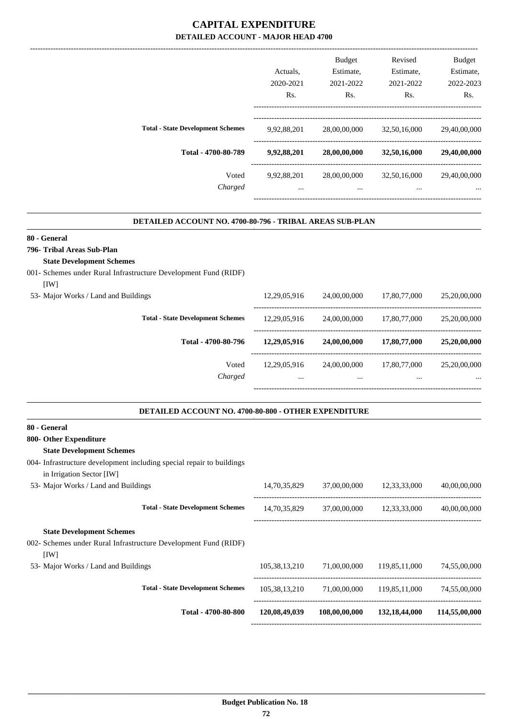|                                          |             | <b>Budget</b> | Revised      | <b>Budget</b> |
|------------------------------------------|-------------|---------------|--------------|---------------|
|                                          | Actuals.    | Estimate,     | Estimate,    | Estimate,     |
|                                          | 2020-2021   | 2021-2022     | 2021-2022    | 2022-2023     |
|                                          | Rs.         | Rs.           | Rs.          | Rs.           |
| <b>Total - State Development Schemes</b> | 9,92,88,201 | 28,00,00,000  | 32,50,16,000 | 29,40,00,000  |
| Total - 4700-80-789                      | 9,92,88,201 | 28,00,00,000  | 32,50,16,000 | 29,40,00,000  |
| Voted                                    | 9,92,88,201 | 28,00,00,000  | 32,50,16,000 | 29,40,00,000  |
| Charged                                  | $\cdots$    | $\cdots$      | $\cdots$     | $\cdots$      |

.

.

#### **DETAILED ACCOUNT NO. 4700-80-796 - TRIBAL AREAS SUB-PLAN .**

#### **80 - General**

**796- Tribal Areas Sub-Plan**

#### **State Development Schemes**

001- Schemes under Rural Infrastructure Development Fund (RIDF)

| [1W]                                     |              |              |              |              |
|------------------------------------------|--------------|--------------|--------------|--------------|
| 53- Major Works / Land and Buildings     | 12,29,05,916 | 24,00,00,000 | 17,80,77,000 | 25,20,00,000 |
| <b>Total - State Development Schemes</b> | 12,29,05,916 | 24,00,00,000 | 17,80,77,000 | 25,20,00,000 |
| Total - 4700-80-796                      | 12,29,05,916 | 24,00,00,000 | 17,80,77,000 | 25,20,00,000 |
| Voted                                    | 12,29,05,916 | 24,00,00,000 | 17,80,77,000 | 25,20,00,000 |
| Charged                                  |              |              |              | $\cdots$     |

#### **DETAILED ACCOUNT NO. 4700-80-800 - OTHER EXPENDITURE**

| 80 - General                                                                                       |                  |               |                  |               |
|----------------------------------------------------------------------------------------------------|------------------|---------------|------------------|---------------|
| 800- Other Expenditure                                                                             |                  |               |                  |               |
| <b>State Development Schemes</b>                                                                   |                  |               |                  |               |
| 004- Infrastructure development including special repair to buildings<br>in Irrigation Sector [IW] |                  |               |                  |               |
| 53- Major Works / Land and Buildings                                                               | 14,70,35,829     | 37,00,00,000  | 12,33,33,000     | 40,00,00,000  |
| <b>Total - State Development Schemes</b>                                                           | 14,70,35,829     | 37,00,00,000  | 12,33,33,000     | 40,00,00,000  |
| <b>State Development Schemes</b>                                                                   |                  |               |                  |               |
| 002- Schemes under Rural Infrastructure Development Fund (RIDF)<br>[1W]                            |                  |               |                  |               |
| 53- Major Works / Land and Buildings                                                               | 105,38,13,210    | 71,00,00,000  | 119,85,11,000    | 74,55,00,000  |
| <b>Total - State Development Schemes</b>                                                           | 105, 38, 13, 210 | 71,00,00,000  | 119,85,11,000    | 74,55,00,000  |
| Total - 4700-80-800                                                                                | 120,08,49,039    | 108,00,00,000 | 132, 18, 44, 000 | 114,55,00,000 |
|                                                                                                    |                  |               |                  |               |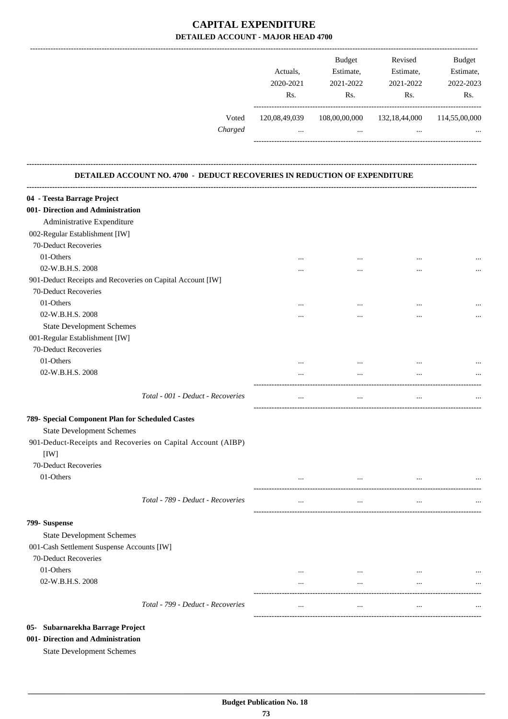|         |               | <b>Budget</b> | Revised          | <b>Budget</b> |
|---------|---------------|---------------|------------------|---------------|
|         | Actuals.      | Estimate,     | Estimate,        | Estimate,     |
|         | 2020-2021     | 2021-2022     | 2021-2022        | 2022-2023     |
|         | Rs.           | Rs.           | Rs.              | Rs.           |
| Voted   | 120,08,49,039 | 108,00,00,000 | 132, 18, 44, 000 | 114,55,00,000 |
| Charged |               |               |                  |               |
|         |               |               |                  |               |

#### **DETAILED ACCOUNT NO. 4700 - DEDUCT RECOVERIES IN REDUCTION OF EXPENDITURE**

**--------------------------------------------------------------------------------------------------------------------------------------------------------------------------------**

| 04 - Teesta Barrage Project                                          |          |          |           |          |
|----------------------------------------------------------------------|----------|----------|-----------|----------|
| 001- Direction and Administration                                    |          |          |           |          |
| Administrative Expenditure                                           |          |          |           |          |
| 002-Regular Establishment [IW]                                       |          |          |           |          |
| 70-Deduct Recoveries                                                 |          |          |           |          |
| 01-Others                                                            | $\cdots$ | $\cdots$ | $\cdots$  |          |
| 02-W.B.H.S. 2008                                                     |          | $\cdots$ | $\cdots$  |          |
| 901-Deduct Receipts and Recoveries on Capital Account [IW]           |          |          |           |          |
| 70-Deduct Recoveries                                                 |          |          |           |          |
| 01-Others                                                            | $\cdots$ | $\cdots$ | $\cdots$  |          |
| 02-W.B.H.S. 2008                                                     |          | $\cdots$ | $\ddotsc$ | $\cdots$ |
| <b>State Development Schemes</b>                                     |          |          |           |          |
| 001-Regular Establishment [IW]                                       |          |          |           |          |
| 70-Deduct Recoveries                                                 |          |          |           |          |
| 01-Others                                                            | $\cdots$ | $\cdots$ | $\cdots$  |          |
| 02-W.B.H.S. 2008                                                     |          | $\cdots$ | $\cdots$  |          |
| Total - 001 - Deduct - Recoveries                                    | $\cdots$ | $\cdots$ | $\cdots$  |          |
| 789- Special Component Plan for Scheduled Castes                     |          |          |           |          |
| <b>State Development Schemes</b>                                     |          |          |           |          |
| 901-Deduct-Receipts and Recoveries on Capital Account (AIBP)<br>[IW] |          |          |           |          |
| 70-Deduct Recoveries                                                 |          |          |           |          |
| 01-Others                                                            |          |          |           |          |
|                                                                      |          |          |           |          |
| Total - 789 - Deduct - Recoveries                                    | $\cdots$ | $\cdots$ | $\ldots$  |          |
| 799- Suspense                                                        |          |          |           |          |
| <b>State Development Schemes</b>                                     |          |          |           |          |
| 001-Cash Settlement Suspense Accounts [IW]                           |          |          |           |          |
| 70-Deduct Recoveries                                                 |          |          |           |          |
| 01-Others                                                            |          |          |           |          |
| 02-W.B.H.S. 2008                                                     | $\cdots$ |          |           |          |
| Total - 799 - Deduct - Recoveries                                    | $\cdots$ |          |           |          |
|                                                                      |          |          |           |          |
| 05- Subarnarekha Barrage Project                                     |          |          |           |          |

#### **001- Direction and Administration**

State Development Schemes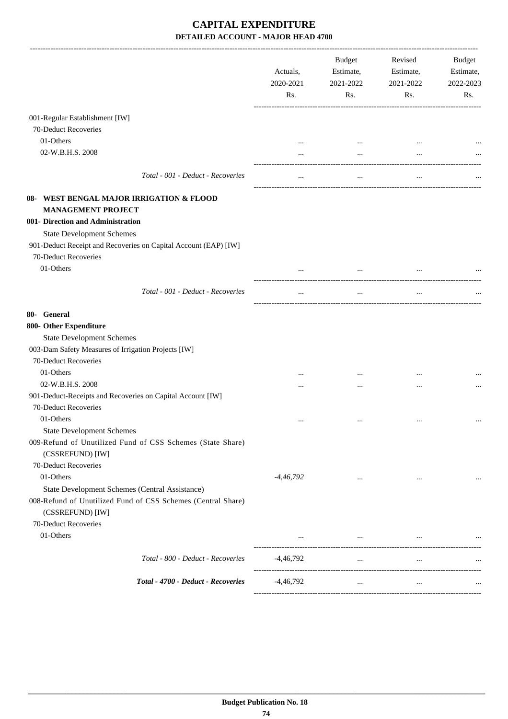|                                                                                  | Actuals,<br>2020-2021<br>Rs. | Budget<br>Estimate,<br>2021-2022<br>Rs. | Revised<br>Estimate,<br>2021-2022<br>Rs.                                                                  | Budget<br>Estimate,<br>2022-2023<br>Rs. |
|----------------------------------------------------------------------------------|------------------------------|-----------------------------------------|-----------------------------------------------------------------------------------------------------------|-----------------------------------------|
| 001-Regular Establishment [IW]                                                   |                              |                                         |                                                                                                           |                                         |
| 70-Deduct Recoveries                                                             |                              |                                         |                                                                                                           |                                         |
| 01-Others                                                                        |                              | $\cdots$                                | $\ddotsc$                                                                                                 |                                         |
| 02-W.B.H.S. 2008                                                                 |                              | $\cdots$                                |                                                                                                           |                                         |
| Total - 001 - Deduct - Recoveries                                                |                              |                                         |                                                                                                           |                                         |
| 08- WEST BENGAL MAJOR IRRIGATION & FLOOD<br><b>MANAGEMENT PROJECT</b>            |                              |                                         |                                                                                                           |                                         |
| 001- Direction and Administration                                                |                              |                                         |                                                                                                           |                                         |
| <b>State Development Schemes</b>                                                 |                              |                                         |                                                                                                           |                                         |
| 901-Deduct Receipt and Recoveries on Capital Account (EAP) [IW]                  |                              |                                         |                                                                                                           |                                         |
| 70-Deduct Recoveries                                                             |                              |                                         |                                                                                                           |                                         |
| 01-Others                                                                        |                              |                                         |                                                                                                           |                                         |
|                                                                                  |                              | $\ddotsc$                               |                                                                                                           |                                         |
| Total - 001 - Deduct - Recoveries                                                | $\cdots$                     | $\cdots$                                | $\cdots$                                                                                                  |                                         |
| 80- General                                                                      |                              |                                         |                                                                                                           |                                         |
| 800- Other Expenditure                                                           |                              |                                         |                                                                                                           |                                         |
| <b>State Development Schemes</b>                                                 |                              |                                         |                                                                                                           |                                         |
| 003-Dam Safety Measures of Irrigation Projects [IW]                              |                              |                                         |                                                                                                           |                                         |
| 70-Deduct Recoveries                                                             |                              |                                         |                                                                                                           |                                         |
| 01-Others                                                                        |                              | $\cdots$                                | $\cdots$                                                                                                  |                                         |
| 02-W.B.H.S. 2008                                                                 | .                            |                                         |                                                                                                           |                                         |
| 901-Deduct-Receipts and Recoveries on Capital Account [IW]                       |                              |                                         |                                                                                                           |                                         |
| 70-Deduct Recoveries                                                             |                              |                                         |                                                                                                           |                                         |
| 01-Others                                                                        |                              |                                         | $\cdots$                                                                                                  |                                         |
| <b>State Development Schemes</b>                                                 |                              |                                         |                                                                                                           |                                         |
| 009-Refund of Unutilized Fund of CSS Schemes (State Share)                       |                              |                                         |                                                                                                           |                                         |
| (CSSREFUND) [IW]                                                                 |                              |                                         |                                                                                                           |                                         |
| 70-Deduct Recoveries                                                             |                              |                                         |                                                                                                           |                                         |
| 01-Others                                                                        | -4,46,792                    | $\cdots$                                | $\cdots$                                                                                                  | $\cdots$                                |
| State Development Schemes (Central Assistance)                                   |                              |                                         |                                                                                                           |                                         |
| 008-Refund of Unutilized Fund of CSS Schemes (Central Share)<br>(CSSREFUND) [IW] |                              |                                         |                                                                                                           |                                         |
| 70-Deduct Recoveries                                                             |                              |                                         |                                                                                                           |                                         |
| 01-Others                                                                        |                              |                                         | $\mathbf{1}$ and $\mathbf{1}$ are all $\mathbf{1}$ and $\mathbf{1}$ and $\mathbf{1}$ are all $\mathbf{1}$ |                                         |
| Total - 800 - Deduct - Recoveries                                                | -4,46,792                    | $\cdots$                                | $\cdots$                                                                                                  |                                         |
| Total - 4700 - Deduct - Recoveries                                               | $-4,46,792$                  | $\cdots$                                | $\cdots$                                                                                                  |                                         |
|                                                                                  |                              |                                         |                                                                                                           |                                         |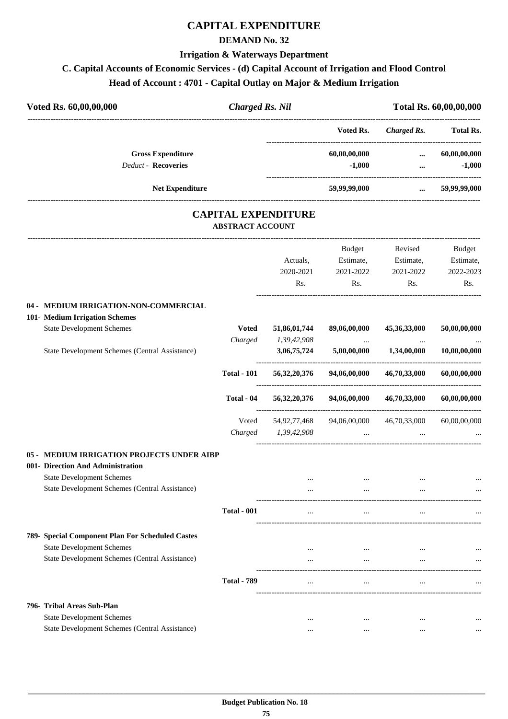#### **CAPITAL EXPENDITURE**

#### **DEMAND No. 32**

#### **Irrigation & Waterways Department**

#### **C. Capital Accounts of Economic Services - (d) Capital Account of Irrigation and Flood Control**

#### **Head of Account : 4701 - Capital Outlay on Major & Medium Irrigation**

| Voted Rs. 60,00,00,000<br><b>Charged Rs. Nil</b>      |                         |                            |               | Total Rs. 60,00,00,000 |                  |
|-------------------------------------------------------|-------------------------|----------------------------|---------------|------------------------|------------------|
|                                                       |                         |                            | Voted Rs.     | <b>Charged Rs.</b>     | <b>Total Rs.</b> |
| <b>Gross Expenditure</b>                              |                         |                            | 60,00,00,000  | $\cdots$               | 60,00,00,000     |
| <b>Deduct - Recoveries</b>                            |                         |                            | $-1,000$      | $\cdots$               | $-1,000$         |
| Net Expenditure                                       |                         |                            | 59,99,99,000  | $\cdots$               | 59,99,99,000     |
|                                                       | <b>ABSTRACT ACCOUNT</b> | <b>CAPITAL EXPENDITURE</b> |               |                        |                  |
|                                                       |                         |                            | <b>Budget</b> | Revised                | <b>Budget</b>    |
|                                                       |                         | Actuals.                   | Estimate,     | Estimate,              | Estimate,        |
|                                                       |                         | 2020-2021                  | 2021-2022     | 2021-2022              | 2022-2023        |
|                                                       |                         | Rs.                        | Rs.           | Rs.                    | Rs.              |
| MEDIUM IRRIGATION-NON-COMMERCIAL<br>$04 -$            |                         |                            |               |                        |                  |
| 101- Medium Irrigation Schemes                        |                         |                            |               |                        |                  |
| <b>State Development Schemes</b>                      | <b>Voted</b>            | 51,86,01,744               | 89,06,00,000  | 45,36,33,000           | 50,00,00,000     |
|                                                       | Charged                 | 1,39,42,908                | $\cdots$      | $\cdots$               |                  |
| <b>State Development Schemes (Central Assistance)</b> |                         | 3,06,75,724                | 5,00,00,000   | 1,34,00,000            | 10,00,00,000     |

| tate Development Schemes (Central Assistance) |                    | 3,06,75,724     | 5,00,00,000  | 1,34,00,000  | 10,00,00,000 |
|-----------------------------------------------|--------------------|-----------------|--------------|--------------|--------------|
|                                               | <b>Total - 101</b> | 56, 32, 20, 376 | 94,06,00,000 | 46,70,33,000 | 60,00,00,000 |
|                                               | Total - 04         | 56, 32, 20, 376 | 94,06,00,000 | 46,70,33,000 | 60,00,00,000 |
|                                               | Voted              | 54,92,77,468    | 94,06,00,000 | 46,70,33,000 | 60,00,00,000 |
|                                               | Charged            | 1,39,42,908     | $\cdots$     |              | $\cdots$     |
|                                               |                    |                 |              |              |              |

#### **05 - MEDIUM IRRIGATION PROJECTS UNDER AIBP 001- Direction And Administration** State Development Schemes ... ... ... ... State Development Schemes (Central Assistance) ... ... ... ... ---------------------------------------------------------------------------------------- **Total - 001** ... ... ... ... ---------------------------------------------------------------------------------------- **789- Special Component Plan For Scheduled Castes** State Development Schemes ... ... ... ... State Development Schemes (Central Assistance) ... ... ... ... ---------------------------------------------------------------------------------------- **Total - 789** ... ... ... ... ---------------------------------------------------------------------------------------- **796- Tribal Areas Sub-Plan** State Development Schemes ... ... ... ... State Development Schemes (Central Assistance) ... ... ... ...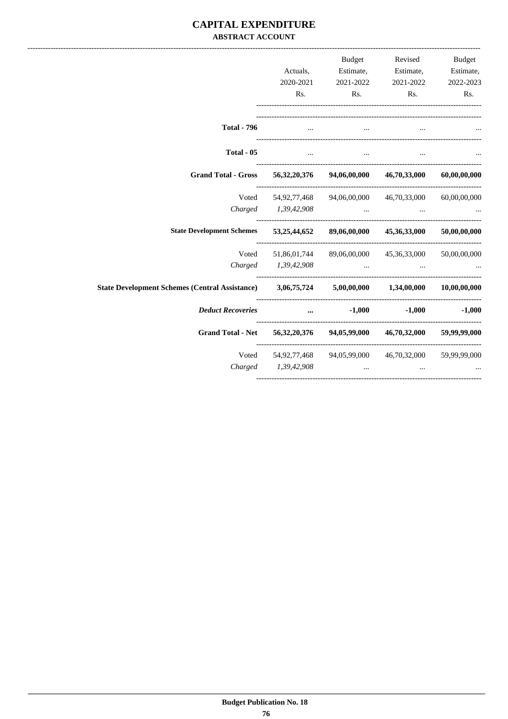#### **CAPITAL EXPENDITURE ABSTRACT ACCOUNT**

|                                                                                                  |                     | Budget                                                    | Revised                   | Budget       |
|--------------------------------------------------------------------------------------------------|---------------------|-----------------------------------------------------------|---------------------------|--------------|
|                                                                                                  | Actuals,            |                                                           | Estimate, Estimate,       | Estimate,    |
|                                                                                                  | 2020-2021           | 2021-2022                                                 | 2021-2022                 | 2022-2023    |
|                                                                                                  | Rs.                 | Rs.                                                       | Rs.                       | Rs.          |
|                                                                                                  |                     |                                                           |                           |              |
| <b>Total - 796</b>                                                                               | $\cdots$            | $\cdots$                                                  |                           |              |
| Total - 05                                                                                       | $\cdots$            | $\cdots$                                                  |                           |              |
| <b>Grand Total - Gross</b>                                                                       |                     | 56,32,20,376 94,06,00,000 46,70,33,000                    |                           | 60,00,00,000 |
| Voted                                                                                            |                     | 54,92,77,468 94,06,00,000 46,70,33,000 60,00,00,000       |                           |              |
| Charged                                                                                          | 1,39,42,908         |                                                           |                           |              |
| <b>State Development Schemes</b>                                                                 |                     | 53,25,44,652 89,06,00,000 45,36,33,000 50,00,00,000       |                           |              |
| Voted                                                                                            | 51,86,01,744        |                                                           | 89,06,00,000 45,36,33,000 | 50,00,00,000 |
|                                                                                                  | Charged 1,39,42,908 |                                                           |                           |              |
| State Development Schemes (Central Assistance) 3,06,75,724 5,00,00,000 1,34,00,000 10,00,000,000 |                     |                                                           |                           |              |
| <b>Deduct Recoveries</b>                                                                         | $\cdots$            | $-1,000$                                                  | $-1,000$                  | $-1,000$     |
| <b>Grand Total - Net</b>                                                                         |                     | 56,32,20,376 94,05,99,000 46,70,32,000                    |                           | 59,99,99,000 |
|                                                                                                  |                     | Voted 54,92,77,468 94,05,99,000 46,70,32,000 59,99,99,000 |                           |              |
|                                                                                                  | Charged 1,39,42,908 |                                                           |                           |              |
|                                                                                                  |                     |                                                           |                           |              |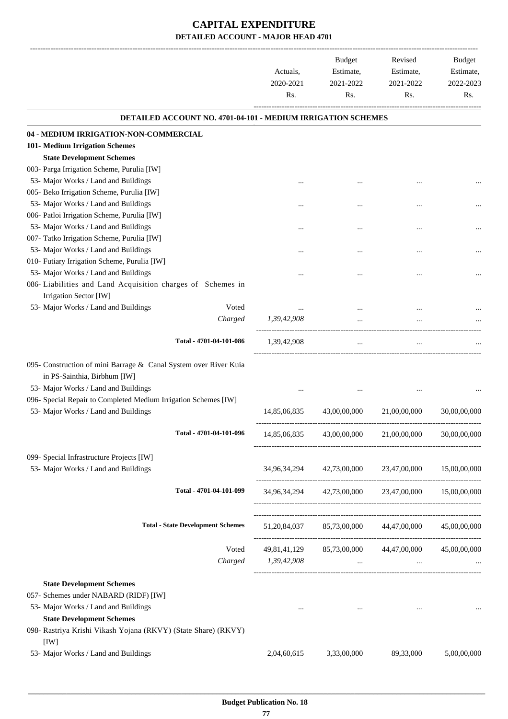|                                                                                                  | Actuals,<br>2020-2021<br>Rs. | <b>Budget</b><br>Estimate,<br>2021-2022<br>Rs. | Revised<br>Estimate,<br>2021-2022<br>Rs.                    | <b>Budget</b><br>Estimate,<br>2022-2023<br>Rs. |
|--------------------------------------------------------------------------------------------------|------------------------------|------------------------------------------------|-------------------------------------------------------------|------------------------------------------------|
| <b>DETAILED ACCOUNT NO. 4701-04-101 - MEDIUM IRRIGATION SCHEMES</b>                              |                              |                                                |                                                             |                                                |
| 04 - MEDIUM IRRIGATION-NON-COMMERCIAL                                                            |                              |                                                |                                                             |                                                |
| 101- Medium Irrigation Schemes                                                                   |                              |                                                |                                                             |                                                |
| <b>State Development Schemes</b>                                                                 |                              |                                                |                                                             |                                                |
| 003- Parga Irrigation Scheme, Purulia [IW]                                                       |                              |                                                |                                                             |                                                |
| 53- Major Works / Land and Buildings                                                             |                              |                                                |                                                             |                                                |
| 005- Beko Irrigation Scheme, Purulia [IW]                                                        |                              |                                                |                                                             |                                                |
| 53- Major Works / Land and Buildings                                                             |                              |                                                |                                                             |                                                |
| 006- Patloi Irrigation Scheme, Purulia [IW]                                                      |                              |                                                |                                                             |                                                |
| 53- Major Works / Land and Buildings                                                             |                              |                                                |                                                             |                                                |
| 007- Tatko Irrigation Scheme, Purulia [IW]                                                       |                              |                                                |                                                             |                                                |
| 53- Major Works / Land and Buildings                                                             |                              |                                                |                                                             |                                                |
| 010- Futiary Irrigation Scheme, Purulia [IW]                                                     |                              |                                                |                                                             |                                                |
| 53- Major Works / Land and Buildings                                                             |                              |                                                |                                                             |                                                |
| 086- Liabilities and Land Acquisition charges of Schemes in                                      |                              |                                                |                                                             |                                                |
| Irrigation Sector [IW]                                                                           |                              |                                                |                                                             |                                                |
| 53- Major Works / Land and Buildings<br>Voted                                                    |                              |                                                |                                                             |                                                |
| Charged                                                                                          | 1,39,42,908                  |                                                |                                                             |                                                |
| Total - 4701-04-101-086                                                                          | 1,39,42,908                  | $\ddotsc$                                      | $\cdots$                                                    |                                                |
| 095- Construction of mini Barrage & Canal System over River Kuia<br>in PS-Sainthia, Birbhum [IW] |                              |                                                |                                                             |                                                |
| 53- Major Works / Land and Buildings                                                             |                              |                                                |                                                             |                                                |
| 096- Special Repair to Completed Medium Irrigation Schemes [IW]                                  |                              |                                                |                                                             |                                                |
| 53- Major Works / Land and Buildings                                                             | 14,85,06,835                 | 43,00,00,000                                   | 21,00,00,000                                                | 30,00,00,000                                   |
| Total - 4701-04-101-096                                                                          |                              |                                                | $14,85,06,835$ $43,00,00,000$ $21,00,00,000$ $30,00,00,000$ |                                                |
| 099- Special Infrastructure Projects [IW]<br>53- Major Works / Land and Buildings                |                              |                                                | 34,96,34,294 42,73,00,000 23,47,00,000 15,00,00,000         |                                                |
| Total - 4701-04-101-099                                                                          |                              |                                                | 34,96,34,294 42,73,00,000 23,47,00,000 15,00,00,000         |                                                |
| <b>Total - State Development Schemes</b>                                                         |                              |                                                | 51,20,84,037 85,73,00,000 44,47,00,000 45,00,00,000         |                                                |
| Voted                                                                                            |                              |                                                | 49,81,41,129 85,73,00,000 44,47,00,000 45,00,00,000         |                                                |
| Charged                                                                                          | 1,39,42,908                  | and the company of the state of                | <b>Contract Contract</b>                                    |                                                |
| <b>State Development Schemes</b>                                                                 |                              |                                                |                                                             |                                                |
| 057- Schemes under NABARD (RIDF) [IW]                                                            |                              |                                                |                                                             |                                                |
| 53- Major Works / Land and Buildings                                                             | $\cdots$                     |                                                |                                                             |                                                |
| <b>State Development Schemes</b>                                                                 |                              |                                                |                                                             |                                                |
| 098- Rastriya Krishi Vikash Yojana (RKVY) (State Share) (RKVY)<br>[IW]                           |                              |                                                |                                                             |                                                |
| 53- Major Works / Land and Buildings                                                             | 2,04,60,615                  | 3,33,00,000                                    | 89,33,000                                                   | 5,00,00,000                                    |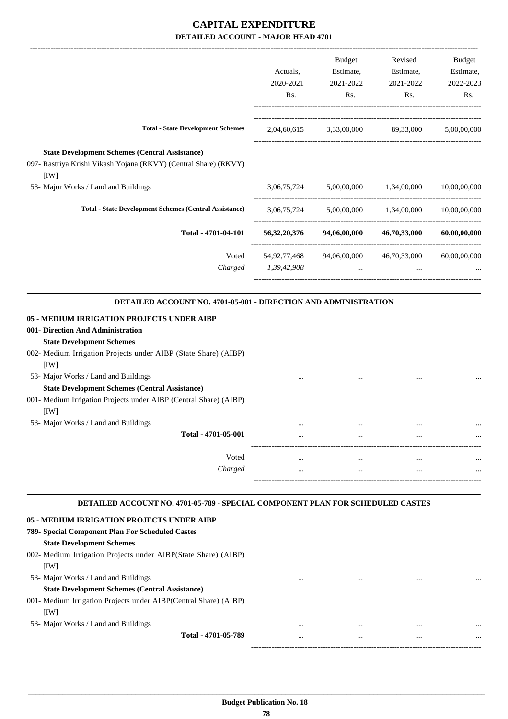|                                                                                                                                                                                        | Actuals,<br>2020-2021<br>Rs.   | <b>Budget</b><br>Estimate,<br>2021-2022<br>Rs. | Revised<br>Estimate,<br>2021-2022<br>Rs. | <b>Budget</b><br>Estimate,<br>2022-2023<br>Rs. |
|----------------------------------------------------------------------------------------------------------------------------------------------------------------------------------------|--------------------------------|------------------------------------------------|------------------------------------------|------------------------------------------------|
| <b>Total - State Development Schemes</b>                                                                                                                                               | 2,04,60,615                    | 3,33,00,000                                    | 89,33,000                                | 5,00,00,000                                    |
| <b>State Development Schemes (Central Assistance)</b><br>097- Rastriya Krishi Vikash Yojana (RKVY) (Central Share) (RKVY)<br>[1W]                                                      |                                |                                                |                                          |                                                |
| 53- Major Works / Land and Buildings                                                                                                                                                   | 3,06,75,724                    | 5,00,00,000                                    | 1,34,00,000                              | 10,00,00,000                                   |
| <b>Total - State Development Schemes (Central Assistance)</b>                                                                                                                          | 3,06,75,724                    | 5,00,00,000                                    | 1,34,00,000                              | 10,00,00,000                                   |
| Total - 4701-04-101                                                                                                                                                                    | 56, 32, 20, 376                | 94,06,00,000                                   | 46,70,33,000                             | 60,00,00,000                                   |
| Voted<br>Charged                                                                                                                                                                       | 54, 92, 77, 468<br>1,39,42,908 | 94,06,00,000                                   | 46,70,33,000                             | 60,00,00,000                                   |
| DETAILED ACCOUNT NO. 4701-05-001 - DIRECTION AND ADMINISTRATION                                                                                                                        |                                |                                                |                                          |                                                |
| 05 - MEDIUM IRRIGATION PROJECTS UNDER AIBP<br>001- Direction And Administration<br><b>State Development Schemes</b><br>002- Medium Irrigation Projects under AIBP (State Share) (AIBP) |                                |                                                |                                          |                                                |
| [IW]<br>53- Major Works / Land and Buildings<br><b>State Development Schemes (Central Assistance)</b><br>001- Medium Irrigation Projects under AIBP (Central Share) (AIBP)<br>[IW]     |                                |                                                |                                          |                                                |
| 53- Major Works / Land and Buildings                                                                                                                                                   |                                | $\cdots$                                       | $\cdots$                                 |                                                |
| Total - 4701-05-001                                                                                                                                                                    |                                |                                                |                                          |                                                |
| Voted<br>Charged                                                                                                                                                                       | <br>                           | <br>                                           | $\ddotsc$<br>                            |                                                |

#### **DETAILED ACCOUNT NO. 4701-05-789 - SPECIAL COMPONENT PLAN FOR SCHEDULED CASTES .**

.

| 05 - MEDIUM IRRIGATION PROJECTS UNDER AIBP                       |          |          |          |          |
|------------------------------------------------------------------|----------|----------|----------|----------|
| 789- Special Component Plan For Scheduled Castes                 |          |          |          |          |
| <b>State Development Schemes</b>                                 |          |          |          |          |
| 002- Medium Irrigation Projects under AIBP(State Share) (AIBP)   |          |          |          |          |
| [1W]                                                             |          |          |          |          |
| 53- Major Works / Land and Buildings                             | $\cdots$ | $\cdots$ |          |          |
| <b>State Development Schemes (Central Assistance)</b>            |          |          |          |          |
| 001- Medium Irrigation Projects under AIBP(Central Share) (AIBP) |          |          |          |          |
| [1W]                                                             |          |          |          |          |
| 53- Major Works / Land and Buildings                             | $\cdots$ | $\cdots$ | $\cdots$ | $\cdots$ |
| Total - 4701-05-789                                              | $\cdots$ |          |          | $\cdots$ |
|                                                                  |          |          |          |          |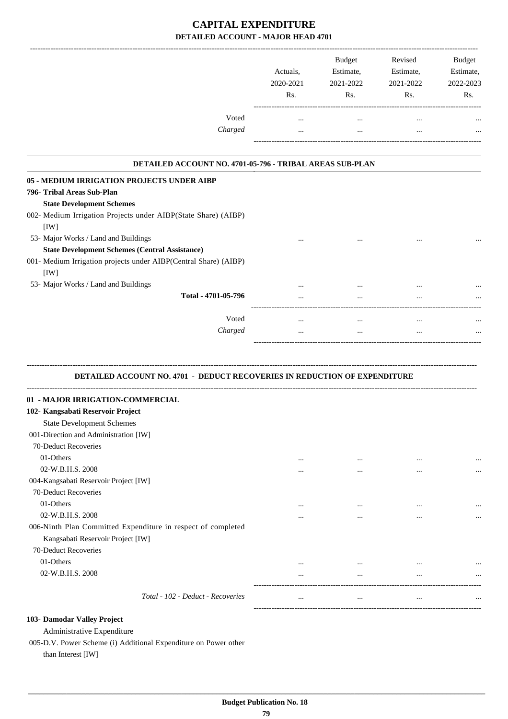|                                                                                  | Actuals,<br>2020-2021<br>Rs. | Budget<br>Estimate,<br>2021-2022<br>Rs. | Revised<br>Estimate,<br>2021-2022<br>Rs. | Budget<br>Estimate,<br>2022-2023<br>Rs. |
|----------------------------------------------------------------------------------|------------------------------|-----------------------------------------|------------------------------------------|-----------------------------------------|
| Voted                                                                            | $\cdots$                     | $\cdots$                                | $\cdots$                                 |                                         |
| Charged                                                                          | $\cdots$                     | $\cdots$                                | $\cdots$                                 |                                         |
| DETAILED ACCOUNT NO. 4701-05-796 - TRIBAL AREAS SUB-PLAN                         |                              |                                         |                                          |                                         |
| 05 - MEDIUM IRRIGATION PROJECTS UNDER AIBP                                       |                              |                                         |                                          |                                         |
| 796- Tribal Areas Sub-Plan                                                       |                              |                                         |                                          |                                         |
| <b>State Development Schemes</b>                                                 |                              |                                         |                                          |                                         |
| 002- Medium Irrigation Projects under AIBP(State Share) (AIBP)<br>[IW]           |                              |                                         |                                          |                                         |
| 53- Major Works / Land and Buildings                                             |                              |                                         |                                          |                                         |
| <b>State Development Schemes (Central Assistance)</b>                            |                              |                                         |                                          |                                         |
| 001- Medium Irrigation projects under AIBP(Central Share) (AIBP)                 |                              |                                         |                                          |                                         |
| [IW]                                                                             |                              |                                         |                                          |                                         |
| 53- Major Works / Land and Buildings                                             | $\cdots$                     | $\cdots$                                |                                          |                                         |
| Total - 4701-05-796                                                              |                              |                                         |                                          |                                         |
|                                                                                  |                              |                                         |                                          |                                         |
| Voted                                                                            | $\ldots$                     | $\cdots$                                | $\cdots$                                 |                                         |
| Charged                                                                          | $\cdots$                     | $\cdots$                                | $\cdots$                                 |                                         |
| <b>DETAILED ACCOUNT NO. 4701 - DEDUCT RECOVERIES IN REDUCTION OF EXPENDITURE</b> |                              |                                         |                                          |                                         |
| 01 - MAJOR IRRIGATION-COMMERCIAL                                                 |                              |                                         |                                          |                                         |
| 102- Kangsabati Reservoir Project                                                |                              |                                         |                                          |                                         |
| <b>State Development Schemes</b>                                                 |                              |                                         |                                          |                                         |
| 001-Direction and Administration [IW]<br>70-Deduct Recoveries                    |                              |                                         |                                          |                                         |
| 01-Others                                                                        |                              |                                         |                                          |                                         |
| 02-W.B.H.S. 2008                                                                 | $\cdots$                     | $\cdots$                                | $\cdots$                                 |                                         |
| 004-Kangsabati Reservoir Project [IW]                                            | $\cdots$                     | $\cdots$                                | $\ddotsc$                                |                                         |
| 70-Deduct Recoveries                                                             |                              |                                         |                                          |                                         |
| 01-Others                                                                        | $\cdots$                     | $\cdots$                                | $\cdots$                                 |                                         |
| 02-W.B.H.S. 2008                                                                 |                              | $\cdots$                                |                                          |                                         |
| 006-Ninth Plan Committed Expenditure in respect of completed                     |                              |                                         |                                          |                                         |
| Kangsabati Reservoir Project [IW]                                                |                              |                                         |                                          |                                         |
| 70-Deduct Recoveries                                                             |                              |                                         |                                          |                                         |
| 01-Others                                                                        |                              | $\ddotsc$                               | $\cdots$                                 |                                         |
| 02-W.B.H.S. 2008                                                                 | $\cdots$                     | $\cdots$                                | $\cdots$                                 |                                         |
|                                                                                  |                              |                                         |                                          |                                         |
| Total - 102 - Deduct - Recoveries                                                | $\cdots$                     | $\cdots$                                | $\cdots$                                 |                                         |
|                                                                                  |                              |                                         |                                          |                                         |
| 103- Damodar Valley Project                                                      |                              |                                         |                                          |                                         |

Administrative Expenditure 005-D.V. Power Scheme (i) Additional Expenditure on Power other

than Interest [IW]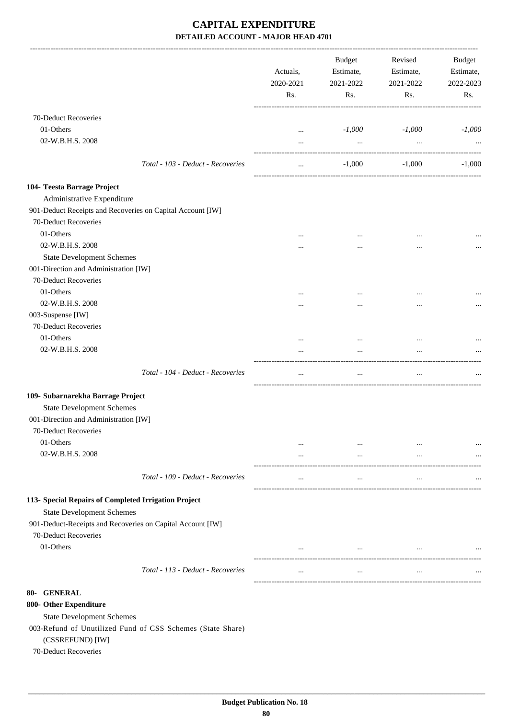|                                                            | Actuals,<br>2020-2021<br>Rs. | <b>Budget</b><br>Estimate,<br>2021-2022<br>Rs. | Revised<br>Estimate,<br>2021-2022<br>Rs. | Budget<br>Estimate,<br>2022-2023<br>Rs. |
|------------------------------------------------------------|------------------------------|------------------------------------------------|------------------------------------------|-----------------------------------------|
| 70-Deduct Recoveries                                       |                              |                                                |                                          |                                         |
| 01-Others                                                  | $\cdots$                     | $-1,000$                                       | $-1,000$                                 | $-1,000$                                |
| 02-W.B.H.S. 2008                                           | $\cdots$                     | $\cdots$                                       | $\cdots$                                 |                                         |
| Total - 103 - Deduct - Recoveries                          | $\cdots$                     | $-1,000$                                       | $-1,000$                                 | $-1,000$                                |
| 104- Teesta Barrage Project                                |                              |                                                |                                          |                                         |
| Administrative Expenditure                                 |                              |                                                |                                          |                                         |
| 901-Deduct Receipts and Recoveries on Capital Account [IW] |                              |                                                |                                          |                                         |
| 70-Deduct Recoveries                                       |                              |                                                |                                          |                                         |
| 01-Others                                                  |                              | $\cdots$                                       |                                          |                                         |
| 02-W.B.H.S. 2008                                           | $\cdots$                     |                                                | $\cdots$                                 |                                         |
| <b>State Development Schemes</b>                           |                              |                                                | $\cdots$                                 |                                         |
| 001-Direction and Administration [IW]                      |                              |                                                |                                          |                                         |
| 70-Deduct Recoveries                                       |                              |                                                |                                          |                                         |
| 01-Others                                                  |                              |                                                |                                          |                                         |
| 02-W.B.H.S. 2008                                           |                              |                                                |                                          |                                         |
| 003-Suspense [IW]                                          |                              |                                                |                                          |                                         |
| 70-Deduct Recoveries                                       |                              |                                                |                                          |                                         |
| 01-Others                                                  |                              |                                                |                                          |                                         |
| 02-W.B.H.S. 2008                                           |                              |                                                |                                          |                                         |
|                                                            |                              |                                                | $\cdots$                                 |                                         |
| Total - 104 - Deduct - Recoveries                          | $\cdots$                     | $\cdots$                                       | $\cdots$                                 |                                         |
| 109- Subarnarekha Barrage Project                          |                              |                                                |                                          |                                         |
| <b>State Development Schemes</b>                           |                              |                                                |                                          |                                         |
| 001-Direction and Administration [IW]                      |                              |                                                |                                          |                                         |
| 70-Deduct Recoveries                                       |                              |                                                |                                          |                                         |
| 01-Others                                                  |                              | $\cdots$                                       |                                          |                                         |
| 02-W.B.H.S. 2008                                           | $\cdots$                     | $\cdots$                                       | $\cdots$                                 |                                         |
|                                                            |                              |                                                |                                          |                                         |
| Total - 109 - Deduct - Recoveries                          | $\cdots$                     | $\cdots$                                       | $\cdots$                                 |                                         |
| 113- Special Repairs of Completed Irrigation Project       |                              |                                                |                                          |                                         |
| <b>State Development Schemes</b>                           |                              |                                                |                                          |                                         |
| 901-Deduct-Receipts and Recoveries on Capital Account [IW] |                              |                                                |                                          |                                         |
| 70-Deduct Recoveries                                       |                              |                                                |                                          |                                         |
| 01-Others                                                  | $\cdots$                     | $\cdots$                                       | $\cdots$                                 |                                         |
|                                                            |                              |                                                |                                          |                                         |
| Total - 113 - Deduct - Recoveries                          | $\cdots$                     | $\cdots$                                       | $\cdots$                                 |                                         |
| 80- GENERAL                                                |                              |                                                |                                          |                                         |
| 800- Other Expenditure                                     |                              |                                                |                                          |                                         |
| <b>State Development Schemes</b>                           |                              |                                                |                                          |                                         |
| 003-Refund of Unutilized Fund of CSS Schemes (State Share) |                              |                                                |                                          |                                         |
| (CSSREFUND) [IW]                                           |                              |                                                |                                          |                                         |
| 70-Deduct Recoveries                                       |                              |                                                |                                          |                                         |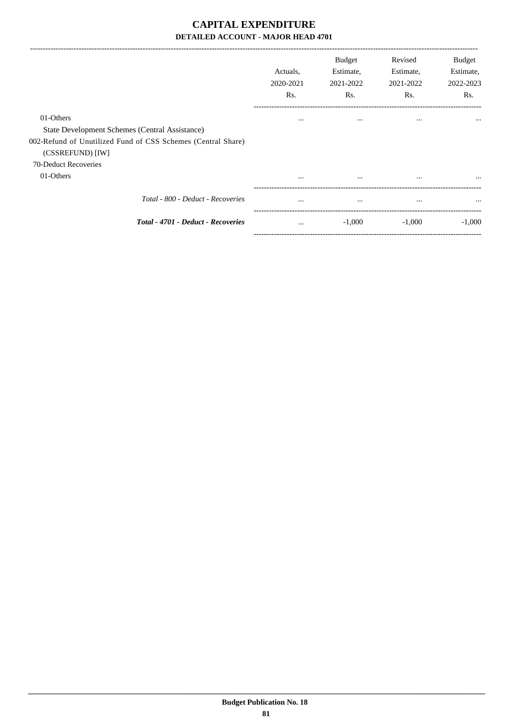|                                                                                                                                                 | Actuals.<br>2020-2021<br>Rs. | <b>Budget</b><br>Estimate,<br>2021-2022<br>Rs. | Revised<br>Estimate,<br>2021-2022<br>Rs. | Budget<br>Estimate,<br>2022-2023<br>Rs. |
|-------------------------------------------------------------------------------------------------------------------------------------------------|------------------------------|------------------------------------------------|------------------------------------------|-----------------------------------------|
| 01-Others<br>State Development Schemes (Central Assistance)<br>002-Refund of Unutilized Fund of CSS Schemes (Central Share)<br>(CSSREFUND) [IW] | $\cdots$                     | $\cdots$                                       | $\cdots$                                 | $\cdots$                                |
| 70-Deduct Recoveries<br>01-Others                                                                                                               |                              | $\cdots$                                       |                                          | $\cdots$                                |
| Total - 800 - Deduct - Recoveries                                                                                                               | $\cdots$                     | $\cdots$                                       | $\cdots$                                 | $\cdots$                                |
| Total - 4701 - Deduct - Recoveries                                                                                                              | $\cdots$                     | $-1,000$                                       | $-1,000$                                 | $-1,000$                                |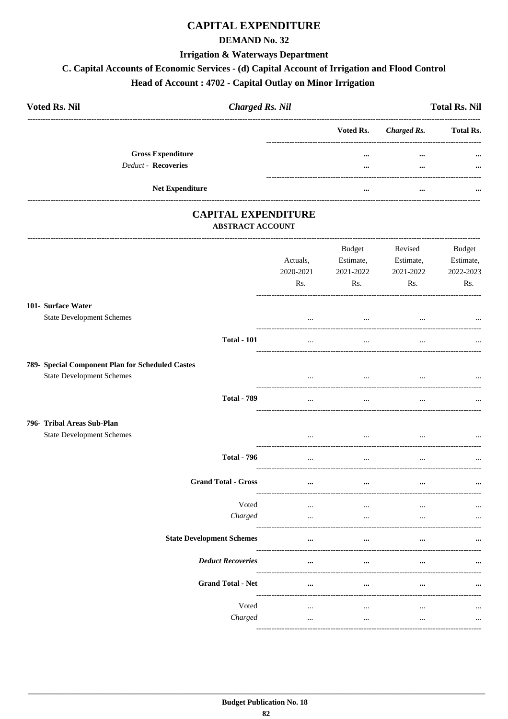## **CAPITAL EXPENDITURE**

#### **DEMAND No. 32**

#### **Irrigation & Waterways Department**

#### C. Capital Accounts of Economic Services - (d) Capital Account of Irrigation and Flood Control

## Head of Account: 4702 - Capital Outlay on Minor Irrigation

| <b>Voted Rs. Nil</b>       | <b>Charged Rs. Nil</b> |           |             | <b>Total Rs. Nil</b> |
|----------------------------|------------------------|-----------|-------------|----------------------|
|                            |                        | Voted Rs. | Charged Rs. | <b>Total Rs.</b>     |
| <b>Gross Expenditure</b>   |                        |           | $\cdots$    | $\cdots$             |
| <b>Deduct - Recoveries</b> |                        | $\cdots$  | $\cdots$    | $\cdots$             |
| <b>Net Expenditure</b>     |                        |           | $\cdots$    |                      |

#### **CAPITAL EXPENDITURE** ABSTRACT ACCOUNT

|                                                                                      |                                  | Actuals,<br>2020-2021<br>Rs. | Budget<br>Estimate,<br>2021-2022<br>Rs. | Revised<br>Estimate,<br>2021-2022<br>Rs. | <b>Budget</b><br>Estimate,<br>2022-2023<br>Rs. |
|--------------------------------------------------------------------------------------|----------------------------------|------------------------------|-----------------------------------------|------------------------------------------|------------------------------------------------|
| 101- Surface Water<br><b>State Development Schemes</b>                               |                                  | $\ddotsc$                    | $\cdots$                                |                                          |                                                |
|                                                                                      | <b>Total - 101</b>               | $\cdots$                     | $\cdots$                                | $\ddotsc$                                |                                                |
| 789- Special Component Plan for Scheduled Castes<br><b>State Development Schemes</b> |                                  | $\cdots$                     | $\cdots$                                | $\cdots$                                 | $\cdots$                                       |
|                                                                                      | <b>Total - 789</b>               | $\ddotsc$                    | $\overline{\phantom{a}}$                |                                          |                                                |
| 796- Tribal Areas Sub-Plan<br><b>State Development Schemes</b>                       |                                  | $\cdots$                     | $\cdots$                                | $\ddotsc$                                |                                                |
|                                                                                      | <b>Total - 796</b>               | $\ddots$                     | $\ddots$                                | $\cdots$                                 |                                                |
|                                                                                      | <b>Grand Total - Gross</b>       | $\cdots$                     | $\cdots$                                | $\cdots$                                 |                                                |
|                                                                                      | Voted<br>Charged                 | $\cdots$<br>$\cdots$         | $\cdots$<br>$\cdots$                    | $\ddotsc$<br>$\cdots$                    |                                                |
|                                                                                      | <b>State Development Schemes</b> | $\cdots$<br>_______________  | $\cdots$                                |                                          |                                                |
|                                                                                      | <b>Deduct Recoveries</b>         | $\cdots$                     | $\cdots$                                | $\ddotsc$                                |                                                |
|                                                                                      | <b>Grand Total - Net</b>         | $\cdots$                     | $\cdots$                                |                                          |                                                |
|                                                                                      | Voted<br>Charged                 | $\ldots$<br>$\ddots$         | $\cdots$<br>$\ddots$                    | $\cdots$<br>$\ddots$                     | $\ldots$                                       |
|                                                                                      |                                  |                              |                                         |                                          |                                                |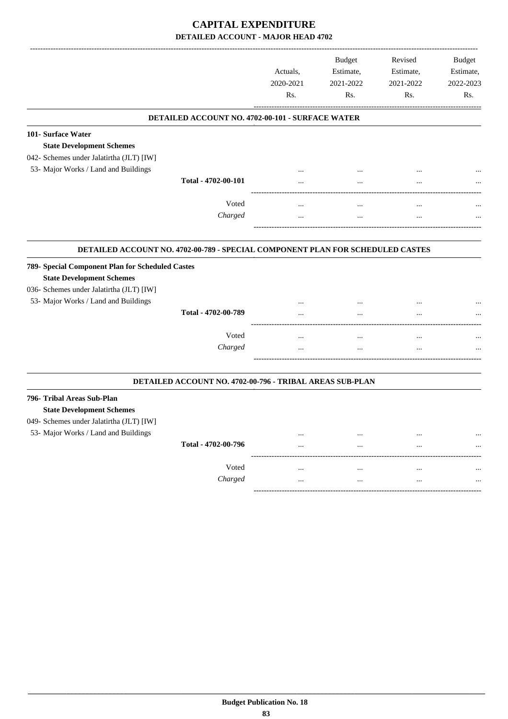|                                                                                                                                                                          |                                                          | Actuals,<br>2020-2021<br>Rs. | <b>Budget</b><br>Estimate,<br>2021-2022<br>Rs. | Revised<br>Estimate,<br>2021-2022<br>Rs. | <b>Budget</b><br>Estimate,<br>2022-2023<br>Rs. |
|--------------------------------------------------------------------------------------------------------------------------------------------------------------------------|----------------------------------------------------------|------------------------------|------------------------------------------------|------------------------------------------|------------------------------------------------|
|                                                                                                                                                                          | DETAILED ACCOUNT NO. 4702-00-101 - SURFACE WATER         |                              |                                                |                                          |                                                |
| 101- Surface Water<br><b>State Development Schemes</b><br>042- Schemes under Jalatirtha (JLT) [IW]                                                                       |                                                          |                              |                                                |                                          |                                                |
| 53- Major Works / Land and Buildings                                                                                                                                     |                                                          |                              |                                                |                                          |                                                |
|                                                                                                                                                                          | Total - 4702-00-101                                      |                              |                                                | $\ddotsc$                                |                                                |
|                                                                                                                                                                          | Voted                                                    | $\ddotsc$                    |                                                | $\ddotsc$                                |                                                |
|                                                                                                                                                                          | Charged                                                  | $\ddotsc$                    | $\ddotsc$                                      | $\ddotsc$                                |                                                |
| 789- Special Component Plan for Scheduled Castes<br><b>State Development Schemes</b><br>036- Schemes under Jalatirtha (JLT) [IW]<br>53- Major Works / Land and Buildings | Total - 4702-00-789<br>Voted<br>Charged                  | $\ddotsc$<br>                | $\ddotsc$<br>$\ddotsc$                         | $\ddotsc$<br>                            |                                                |
|                                                                                                                                                                          | DETAILED ACCOUNT NO. 4702-00-796 - TRIBAL AREAS SUB-PLAN |                              |                                                |                                          |                                                |
| 796- Tribal Areas Sub-Plan<br><b>State Development Schemes</b><br>049- Schemes under Jalatirtha (JLT) [IW]                                                               |                                                          |                              |                                                |                                          |                                                |
| 53- Major Works / Land and Buildings                                                                                                                                     |                                                          | $\ddotsc$                    | $\cdots$                                       | $\cdots$                                 |                                                |
|                                                                                                                                                                          | Total - 4702-00-796                                      |                              |                                                |                                          |                                                |
|                                                                                                                                                                          | Voted                                                    | $\ddotsc$                    | $\ddotsc$                                      | $\ddotsc$                                |                                                |
|                                                                                                                                                                          | Charged                                                  | $\cdots$                     | $\ddotsc$                                      | $\cdots$                                 |                                                |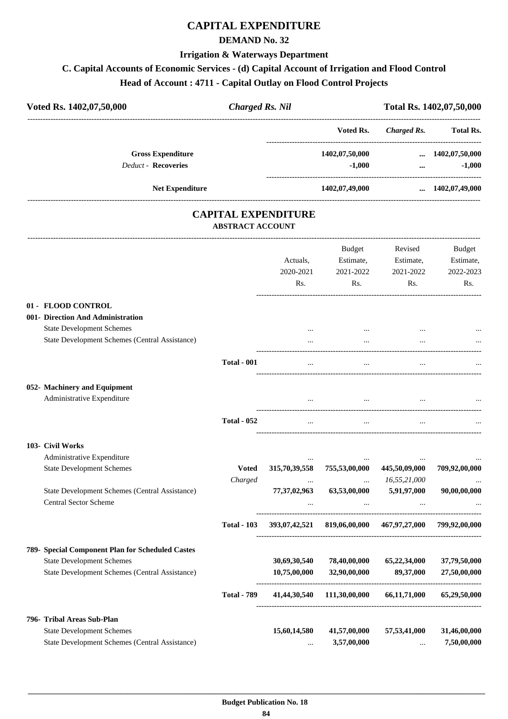## **CAPITAL EXPENDITURE**

#### **DEMAND No. 32**

#### **Irrigation & Waterways Department**

## **C. Capital Accounts of Economic Services - (d) Capital Account of Irrigation and Flood Control**

## **Head of Account : 4711 - Capital Outlay on Flood Control Projects**

| Voted Rs. 1402,07,50,000   | <b>Charged Rs. Nil</b> |                | Total Rs. 1402,07,50,000 |                        |  |
|----------------------------|------------------------|----------------|--------------------------|------------------------|--|
|                            |                        | Voted Rs.      | Charged Rs.              | <b>Total Rs.</b>       |  |
| <b>Gross Expenditure</b>   |                        | 1402,07,50,000 |                          | $\dots$ 1402,07,50,000 |  |
| <b>Deduct - Recoveries</b> |                        | $-1,000$       | $\cdots$                 | $-1,000$               |  |
| <b>Net Expenditure</b>     |                        | 1402,07,49,000 |                          | $\dots$ 1402,07,49,000 |  |

#### **CAPITAL EXPENDITURE ABSTRACT ACCOUNT**

---------------------------------------------------------------------------------------------------------------------------------------------------------------------------------

|                                                                                    |                    | Actuals,<br>2020-2021           | <b>Budget</b><br>Estimate,<br>2021-2022                 | Revised<br>Estimate,<br>2021-2022 | <b>Budget</b><br>Estimate,<br>2022-2023 |
|------------------------------------------------------------------------------------|--------------------|---------------------------------|---------------------------------------------------------|-----------------------------------|-----------------------------------------|
|                                                                                    |                    | Rs.                             | Rs.                                                     | Rs.                               | Rs.                                     |
| 01 - FLOOD CONTROL                                                                 |                    |                                 |                                                         |                                   |                                         |
| 001- Direction And Administration                                                  |                    |                                 |                                                         |                                   |                                         |
| <b>State Development Schemes</b><br>State Development Schemes (Central Assistance) |                    | $\cdots$                        | $\cdots$                                                |                                   |                                         |
|                                                                                    |                    |                                 |                                                         |                                   |                                         |
|                                                                                    | <b>Total - 001</b> | $\cdots$                        | $\cdots$                                                | $\cdots$                          |                                         |
| 052- Machinery and Equipment                                                       |                    |                                 |                                                         |                                   |                                         |
| Administrative Expenditure                                                         |                    | $\mathbf{r}$ , and $\mathbf{r}$ | $\cdots$                                                | $\cdots$                          |                                         |
|                                                                                    | <b>Total - 052</b> | $\cdots$                        | $\overline{\phantom{a}}$                                |                                   |                                         |
| 103- Civil Works                                                                   |                    |                                 |                                                         |                                   |                                         |
| Administrative Expenditure                                                         |                    |                                 |                                                         |                                   |                                         |
| <b>State Development Schemes</b>                                                   | <b>Voted</b>       |                                 | 315,70,39,558 755,53,00,000                             | 445,50,09,000                     | 709,92,00,000                           |
| State Development Schemes (Central Assistance)                                     | Charged            | $\cdots$                        | $\ddotsc$<br>77,37,02,963 63,53,00,000 5,91,97,000      | 16,55,21,000                      | 90,00,00,000                            |
| <b>Central Sector Scheme</b>                                                       |                    |                                 |                                                         |                                   |                                         |
|                                                                                    | <b>Total - 103</b> |                                 | 393,07,42,521 819,06,00,000 467,97,27,000 799,92,00,000 |                                   |                                         |
| 789- Special Component Plan for Scheduled Castes                                   |                    |                                 |                                                         |                                   |                                         |
| <b>State Development Schemes</b>                                                   |                    | 30,69,30,540                    | 78,40,00,000                                            | 65,22,34,000                      | 37,79,50,000                            |
| State Development Schemes (Central Assistance)                                     |                    | 10,75,00,000                    | 32,90,00,000                                            | 89,37,000                         | 27,50,00,000                            |
|                                                                                    | <b>Total - 789</b> |                                 | 41,44,30,540 111,30,00,000 66,11,71,000                 |                                   | 65,29,50,000                            |
| 796- Tribal Areas Sub-Plan                                                         |                    |                                 |                                                         |                                   |                                         |
| <b>State Development Schemes</b>                                                   |                    | 15,60,14,580                    | 41,57,00,000                                            | 57, 53, 41, 000                   | 31,46,00,000                            |
| State Development Schemes (Central Assistance)                                     |                    | $\ddotsc$                       | 3,57,00,000                                             | $\cdots$                          | 7,50,00,000                             |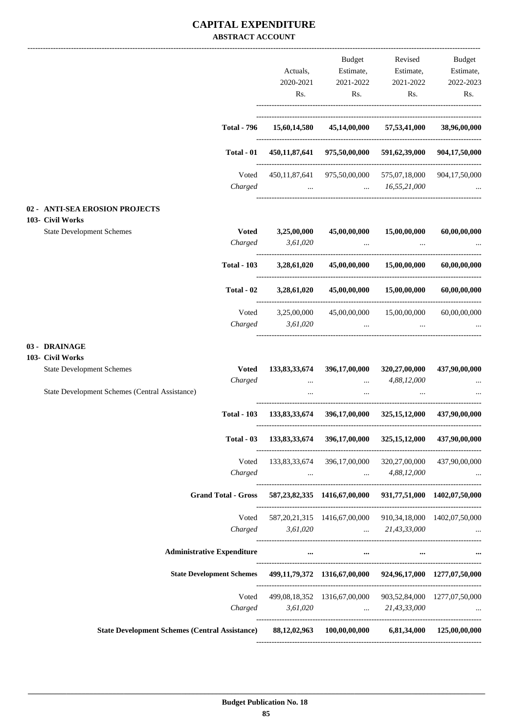#### **CAPITAL EXPENDITURE ABSTRACT ACCOUNT**

|                                                                                                     |                                            | Budget                                                                      | Revised                                                                                              | Budget        |
|-----------------------------------------------------------------------------------------------------|--------------------------------------------|-----------------------------------------------------------------------------|------------------------------------------------------------------------------------------------------|---------------|
|                                                                                                     | Actuals,                                   | Estimate,                                                                   | Estimate,                                                                                            | Estimate,     |
|                                                                                                     | 2020-2021                                  | 2021-2022                                                                   | 2021-2022                                                                                            | 2022-2023     |
|                                                                                                     | Rs.                                        | Rs.                                                                         | Rs.                                                                                                  | Rs.           |
| <b>Total - 796</b>                                                                                  | 15,60,14,580                               |                                                                             | 45,14,00,000 57,53,41,000                                                                            | 38,96,00,000  |
|                                                                                                     |                                            |                                                                             |                                                                                                      |               |
| Total - 01                                                                                          |                                            | 450,11,87,641 975,50,00,000 591,62,39,000 904,17,50,000                     |                                                                                                      |               |
| Voted                                                                                               |                                            | 450,11,87,641 975,50,00,000 575,07,18,000 904,17,50,000                     |                                                                                                      |               |
| Charged                                                                                             |                                            | $\ldots$ $16,55,21,000$                                                     |                                                                                                      |               |
| 02 - ANTI-SEA EROSION PROJECTS                                                                      |                                            |                                                                             |                                                                                                      |               |
| 103- Civil Works<br><b>State Development Schemes</b>                                                | Voted 3,25,00,000                          | 45,00,00,000                                                                | 15,00,00,000                                                                                         | 60,00,00,000  |
| Charged                                                                                             | 3,61,020                                   | <b>Contract Contract State</b>                                              | $\cdots$                                                                                             |               |
|                                                                                                     | Total - 103 3,28,61,020                    |                                                                             | $45,00,00,000$ $15,00,00,000$                                                                        | 60,00,00,000  |
| Total - 02                                                                                          | 3,28,61,020                                |                                                                             | $45,00,00,000$ $15,00,00,000$                                                                        | 60,00,00,000  |
| Voted                                                                                               | 3,25,00,000                                |                                                                             | 45,00,00,000 15,00,00,000                                                                            | 60,00,00,000  |
| Charged                                                                                             | 3,61,020                                   |                                                                             | المساوي المستخدم المساوي المستخدم المستخدم المستخدم المستخدم المستخدم المستخدم المستخدم المستخدم الم |               |
| 03 - DRAINAGE                                                                                       |                                            |                                                                             |                                                                                                      |               |
| 103- Civil Works                                                                                    |                                            |                                                                             |                                                                                                      |               |
| <b>State Development Schemes</b><br><b>Voted</b>                                                    |                                            | 133,83,33,674 396,17,00,000 320,27,00,000                                   |                                                                                                      | 437,90,00,000 |
| Charged<br>State Development Schemes (Central Assistance)                                           | <b><i>Committee States</i></b><br>$\cdots$ | $\cdots$                                                                    | $\ldots$ 4,88,12,000                                                                                 |               |
| <b>Total - 103</b>                                                                                  |                                            | 133,83,33,674 396,17,00,000 325,15,12,000 437,90,00,000                     |                                                                                                      |               |
|                                                                                                     |                                            |                                                                             |                                                                                                      |               |
|                                                                                                     |                                            | Total - 03 133,83,33,674 396,17,00,000 325,15,12,000 437,90,00,000          |                                                                                                      |               |
| Voted                                                                                               |                                            | 133,83,33,674 396,17,00,000 320,27,00,000 437,90,00,000                     |                                                                                                      |               |
| Charged                                                                                             |                                            | $\ldots$ $4,88,12,000$                                                      |                                                                                                      |               |
| Grand Total - Gross 587, 23, 82, 335 1416, 67, 00, 000 931, 77, 51, 000 1402, 07, 50, 000           |                                            |                                                                             |                                                                                                      |               |
|                                                                                                     |                                            | Voted 587, 20, 21, 315 1416, 67, 00, 000 910, 34, 18, 000 1402, 07, 50, 000 |                                                                                                      |               |
|                                                                                                     |                                            | Charged 3,61,020  21,43,33,000                                              |                                                                                                      |               |
| <b>Administrative Expenditure</b>                                                                   |                                            | $\cdots$ and $\cdots$ are the set of $\cdots$                               | $\cdots$                                                                                             |               |
| State Development Schemes 499,11,79,372 1316,67,00,000 924,96,17,000 1277,07,50,000                 |                                            |                                                                             |                                                                                                      |               |
|                                                                                                     |                                            | Voted 499,08,18,352 1316,67,00,000 903,52,84,000 1277,07,50,000             |                                                                                                      |               |
|                                                                                                     |                                            | Charged 3,61,020  21,43,33,000                                              |                                                                                                      | $\ddotsc$     |
| State Development Schemes (Central Assistance) 88,12,02,963 100,00,00,000 6,81,34,000 125,00,00,000 |                                            |                                                                             |                                                                                                      |               |
|                                                                                                     |                                            |                                                                             |                                                                                                      |               |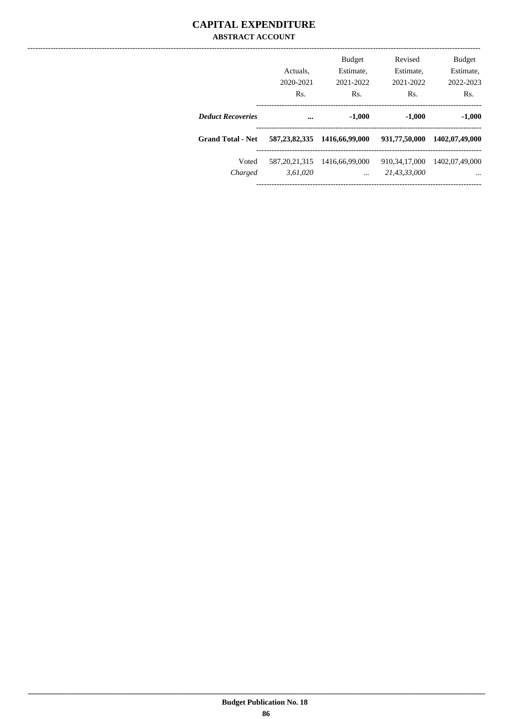#### **CAPITAL EXPENDITURE ABSTRACT ACCOUNT**

|                          | Actuals.<br>2020-2021<br>Rs. | <b>Budget</b><br>Estimate,<br>2021-2022<br>Rs. | Revised<br>Estimate.<br>2021-2022<br>Rs. | <b>Budget</b><br>Estimate,<br>2022-2023<br>Rs. |
|--------------------------|------------------------------|------------------------------------------------|------------------------------------------|------------------------------------------------|
| <b>Deduct Recoveries</b> | $\ddotsc$                    | $-1,000$                                       | $-1,000$                                 | $-1,000$                                       |
| <b>Grand Total - Net</b> | 587, 23, 82, 335             | 1416,66,99,000                                 | 931,77,50,000                            | 1402,07,49,000                                 |
| Voted<br>Charged         | 587, 20, 21, 315<br>3,61,020 | 1416,66,99,000<br>$\ddotsc$                    | 910.34.17.000<br>21,43,33,000            | 1402.07.49.000<br>$\cdots$                     |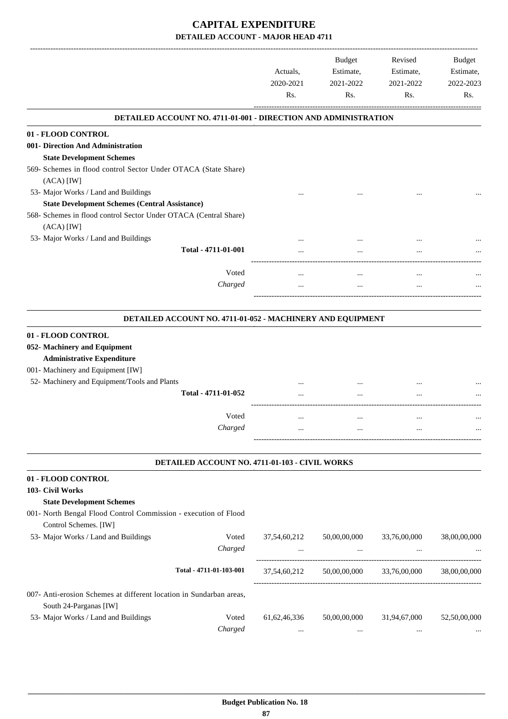|                                                                                               | Actuals.<br>2020-2021<br>Rs. | <b>Budget</b><br>Estimate,<br>2021-2022<br>Rs. | Revised<br>Estimate,<br>2021-2022<br>Rs. | Budget<br>Estimate,<br>2022-2023<br>Rs. |
|-----------------------------------------------------------------------------------------------|------------------------------|------------------------------------------------|------------------------------------------|-----------------------------------------|
| <b>DETAILED ACCOUNT NO. 4711-01-001 - DIRECTION AND ADMINISTRATION</b>                        |                              |                                                |                                          |                                         |
| 01 - FLOOD CONTROL                                                                            |                              |                                                |                                          |                                         |
| 001- Direction And Administration                                                             |                              |                                                |                                          |                                         |
| <b>State Development Schemes</b>                                                              |                              |                                                |                                          |                                         |
| 569- Schemes in flood control Sector Under OTACA (State Share)<br>$(ACA)$ [IW]                |                              |                                                |                                          |                                         |
| 53- Major Works / Land and Buildings                                                          |                              |                                                |                                          |                                         |
| <b>State Development Schemes (Central Assistance)</b>                                         |                              |                                                |                                          |                                         |
| 568- Schemes in flood control Sector Under OTACA (Central Share)<br>$(ACA)$ $[IW]$            |                              |                                                |                                          |                                         |
| 53- Major Works / Land and Buildings                                                          |                              |                                                |                                          |                                         |
| Total - 4711-01-001                                                                           |                              |                                                |                                          |                                         |
| Voted                                                                                         |                              | $\cdots$                                       | $\ddotsc$                                |                                         |
| Charged                                                                                       |                              | $\cdots$                                       | $\cdots$                                 |                                         |
| DETAILED ACCOUNT NO. 4711-01-052 - MACHINERY AND EQUIPMENT                                    |                              |                                                |                                          |                                         |
| 01 - FLOOD CONTROL                                                                            |                              |                                                |                                          |                                         |
| 052- Machinery and Equipment                                                                  |                              |                                                |                                          |                                         |
| <b>Administrative Expenditure</b>                                                             |                              |                                                |                                          |                                         |
| 001- Machinery and Equipment [IW]                                                             |                              |                                                |                                          |                                         |
| 52- Machinery and Equipment/Tools and Plants                                                  |                              |                                                |                                          |                                         |
| Total - 4711-01-052                                                                           |                              |                                                |                                          |                                         |
| Voted                                                                                         |                              | $\cdots$                                       | $\cdots$                                 |                                         |
| Charged                                                                                       |                              |                                                |                                          |                                         |
| DETAILED ACCOUNT NO. 4711-01-103 - CIVIL WORKS                                                |                              |                                                |                                          |                                         |
| 01 - FLOOD CONTROL                                                                            |                              |                                                |                                          |                                         |
| 103- Civil Works                                                                              |                              |                                                |                                          |                                         |
| <b>State Development Schemes</b>                                                              |                              |                                                |                                          |                                         |
| 001- North Bengal Flood Control Commission - execution of Flood<br>Control Schemes. [IW]      |                              |                                                |                                          |                                         |
| 53- Major Works / Land and Buildings<br>Voted                                                 | 37,54,60,212                 | 50,00,00,000                                   | 33,76,00,000                             | 38,00,00,000                            |
| Charged                                                                                       |                              | $\cdots$                                       | --------------------                     |                                         |
| Total - 4711-01-103-001                                                                       | 37,54,60,212                 | 50,00,00,000                                   | 33,76,00,000                             | 38,00,00,000                            |
| 007- Anti-erosion Schemes at different location in Sundarban areas,<br>South 24-Parganas [IW] |                              |                                                |                                          |                                         |
| 53- Major Works / Land and Buildings<br>Voted                                                 | 61, 62, 46, 336              | 50,00,00,000                                   | 31,94,67,000                             | 52,50,00,000                            |
| Charged                                                                                       | $\cdots$                     | $\ldots$                                       | $\ldots$                                 |                                         |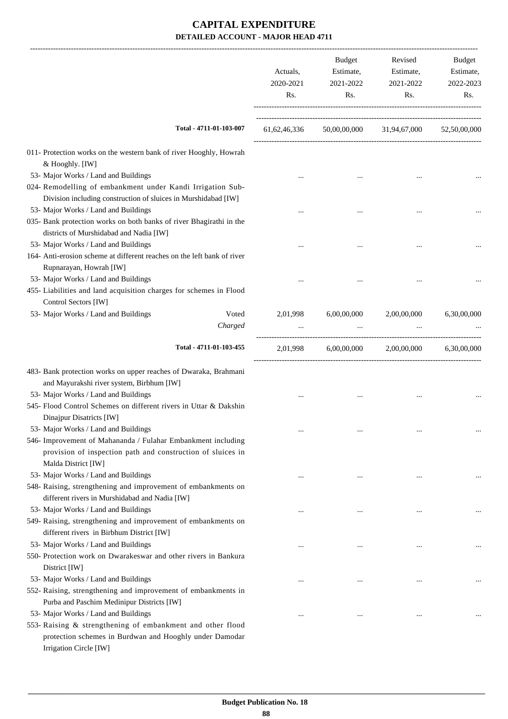|                                                                                                                              | Actuals,<br>2020-2021<br>Rs. | Budget<br>Estimate,<br>2021-2022<br>Rs. | Revised<br>Estimate,<br>2021-2022<br>Rs. | <b>Budget</b><br>Estimate,<br>2022-2023<br>Rs. |
|------------------------------------------------------------------------------------------------------------------------------|------------------------------|-----------------------------------------|------------------------------------------|------------------------------------------------|
| Total - 4711-01-103-007                                                                                                      | 61, 62, 46, 336              |                                         | 50,00,00,000 31,94,67,000                | 52,50,00,000                                   |
| 011- Protection works on the western bank of river Hooghly, Howrah                                                           |                              |                                         |                                          |                                                |
| & Hooghly. [IW]                                                                                                              |                              |                                         |                                          |                                                |
| 53- Major Works / Land and Buildings                                                                                         |                              |                                         |                                          |                                                |
| 024- Remodelling of embankment under Kandi Irrigation Sub-<br>Division including construction of sluices in Murshidabad [IW] |                              |                                         |                                          |                                                |
| 53- Major Works / Land and Buildings                                                                                         |                              |                                         |                                          |                                                |
| 035- Bank protection works on both banks of river Bhagirathi in the                                                          |                              |                                         |                                          |                                                |
| districts of Murshidabad and Nadia [IW]                                                                                      |                              |                                         |                                          |                                                |
| 53- Major Works / Land and Buildings                                                                                         |                              |                                         |                                          |                                                |
| 164- Anti-erosion scheme at different reaches on the left bank of river                                                      |                              |                                         |                                          |                                                |
| Rupnarayan, Howrah [IW]<br>53- Major Works / Land and Buildings                                                              |                              |                                         |                                          |                                                |
| 455- Liabilities and land acquisition charges for schemes in Flood                                                           |                              |                                         |                                          |                                                |
| Control Sectors [IW]                                                                                                         |                              |                                         |                                          |                                                |
| 53- Major Works / Land and Buildings<br>Voted                                                                                | 2,01,998                     | 6,00,00,000                             | 2,00,00,000                              | 6,30,00,000                                    |
| Charged                                                                                                                      |                              |                                         |                                          |                                                |
| Total - 4711-01-103-455                                                                                                      | 2,01,998                     | 6,00,00,000                             | 2,00,00,000                              | 6,30,00,000                                    |
|                                                                                                                              |                              |                                         |                                          |                                                |
| 483- Bank protection works on upper reaches of Dwaraka, Brahmani<br>and Mayurakshi river system, Birbhum [IW]                |                              |                                         |                                          |                                                |
| 53- Major Works / Land and Buildings                                                                                         |                              |                                         |                                          |                                                |
| 545- Flood Control Schemes on different rivers in Uttar & Dakshin                                                            |                              |                                         |                                          |                                                |
| Dinajpur Disatricts [IW]                                                                                                     |                              |                                         |                                          |                                                |
| 53- Major Works / Land and Buildings                                                                                         |                              |                                         |                                          |                                                |
| 546- Improvement of Mahananda / Fulahar Embankment including                                                                 |                              |                                         |                                          |                                                |
| provision of inspection path and construction of sluices in<br>Malda District [IW]                                           |                              |                                         |                                          |                                                |
| 53- Major Works / Land and Buildings                                                                                         |                              | $\cdots$                                |                                          |                                                |
| 548- Raising, strengthening and improvement of embankments on                                                                |                              |                                         |                                          |                                                |
| different rivers in Murshidabad and Nadia [IW]                                                                               |                              |                                         |                                          |                                                |
| 53- Major Works / Land and Buildings                                                                                         |                              |                                         |                                          |                                                |
| 549- Raising, strengthening and improvement of embankments on                                                                |                              |                                         |                                          |                                                |
| different rivers in Birbhum District [IW]                                                                                    |                              |                                         |                                          |                                                |
| 53- Major Works / Land and Buildings                                                                                         |                              | $\cdots$                                |                                          |                                                |
| 550- Protection work on Dwarakeswar and other rivers in Bankura                                                              |                              |                                         |                                          |                                                |
| District [IW]                                                                                                                |                              |                                         |                                          |                                                |
| 53- Major Works / Land and Buildings                                                                                         |                              | $\cdots$                                |                                          | $\ddotsc$                                      |
| 552- Raising, strengthening and improvement of embankments in                                                                |                              |                                         |                                          |                                                |
| Purba and Paschim Medinipur Districts [IW]                                                                                   |                              |                                         |                                          |                                                |
| 53- Major Works / Land and Buildings                                                                                         |                              |                                         |                                          |                                                |
| 553- Raising & strengthening of embankment and other flood                                                                   |                              |                                         |                                          |                                                |
| protection schemes in Burdwan and Hooghly under Damodar<br>Irrigation Circle [IW]                                            |                              |                                         |                                          |                                                |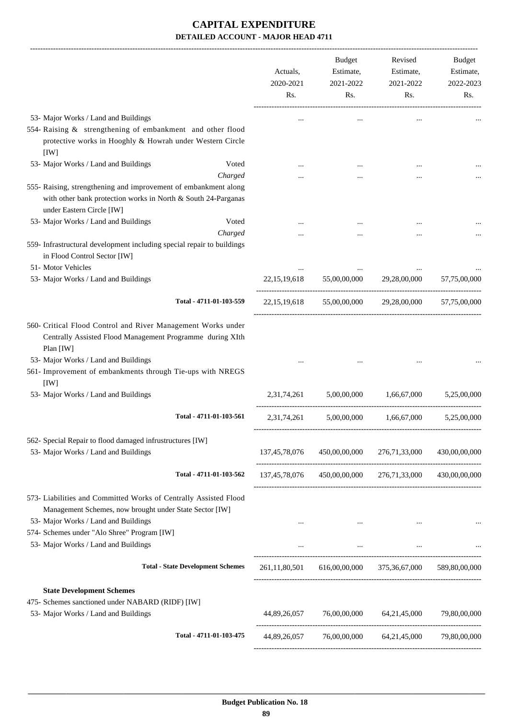|                                                                                                                                                                                                                                                            | Actuals,<br>2020-2021<br>Rs. | Budget<br>Estimate,<br>2021-2022<br>Rs. | Revised<br>Estimate,<br>2021-2022<br>Rs.                | Budget<br>Estimate,<br>2022-2023<br>Rs. |
|------------------------------------------------------------------------------------------------------------------------------------------------------------------------------------------------------------------------------------------------------------|------------------------------|-----------------------------------------|---------------------------------------------------------|-----------------------------------------|
| 53- Major Works / Land and Buildings                                                                                                                                                                                                                       |                              |                                         |                                                         |                                         |
| 554- Raising & strengthening of embankment and other flood<br>protective works in Hooghly & Howrah under Western Circle<br>[IW]                                                                                                                            |                              |                                         |                                                         |                                         |
| 53- Major Works / Land and Buildings<br>Voted                                                                                                                                                                                                              |                              |                                         |                                                         |                                         |
| Charged<br>555- Raising, strengthening and improvement of embankment along<br>with other bank protection works in North & South 24-Parganas<br>under Eastern Circle [IW]                                                                                   |                              |                                         |                                                         |                                         |
| 53- Major Works / Land and Buildings<br>Voted                                                                                                                                                                                                              |                              |                                         |                                                         |                                         |
| Charged<br>559- Infrastructural development including special repair to buildings<br>in Flood Control Sector [IW]                                                                                                                                          |                              |                                         |                                                         |                                         |
| 51- Motor Vehicles<br>53- Major Works / Land and Buildings                                                                                                                                                                                                 | 22, 15, 19, 618              | 55,00,00,000                            | 29,28,00,000                                            | 57,75,00,000                            |
| Total - 4711-01-103-559                                                                                                                                                                                                                                    | 22, 15, 19, 618              | 55,00,00,000                            | 29,28,00,000                                            | 57,75,00,000                            |
| 560- Critical Flood Control and River Management Works under<br>Centrally Assisted Flood Management Programme during XIth<br>Plan [IW]<br>53- Major Works / Land and Buildings<br>561- Improvement of embankments through Tie-ups with NREGS<br>[IW]       |                              |                                         |                                                         |                                         |
| 53- Major Works / Land and Buildings                                                                                                                                                                                                                       | 2,31,74,261                  | 5,00,00,000                             | 1,66,67,000                                             | 5,25,00,000                             |
| Total - 4711-01-103-561                                                                                                                                                                                                                                    | 2,31,74,261                  | 5,00,00,000                             | 1,66,67,000                                             | 5,25,00,000                             |
| 562- Special Repair to flood damaged infrustructures [IW]<br>53- Major Works / Land and Buildings                                                                                                                                                          |                              | 137,45,78,076 450,00,00,000             | 276,71,33,000                                           | 430,00,00,000                           |
| Total - 4711-01-103-562                                                                                                                                                                                                                                    |                              |                                         | 137,45,78,076 450,00,00,000 276,71,33,000 430,00,00,000 |                                         |
| 573- Liabilities and Committed Works of Centrally Assisted Flood<br>Management Schemes, now brought under State Sector [IW]<br>53- Major Works / Land and Buildings<br>574- Schemes under "Alo Shree" Program [IW]<br>53- Major Works / Land and Buildings | $\cdots$                     | $\cdots$                                | $\cdots$                                                |                                         |
| <b>Total - State Development Schemes</b>                                                                                                                                                                                                                   |                              |                                         | 261,11,80,501 616,00,00,000 375,36,67,000 589,80,00,000 |                                         |
| <b>State Development Schemes</b><br>475- Schemes sanctioned under NABARD (RIDF) [IW]<br>53- Major Works / Land and Buildings                                                                                                                               | 44,89,26,057                 |                                         | 76,00,00,000 64,21,45,000                               | 79,80,00,000                            |
| Total - 4711-01-103-475                                                                                                                                                                                                                                    |                              |                                         | 44,89,26,057 76,00,00,000 64,21,45,000 79,80,00,000     |                                         |
|                                                                                                                                                                                                                                                            |                              |                                         |                                                         |                                         |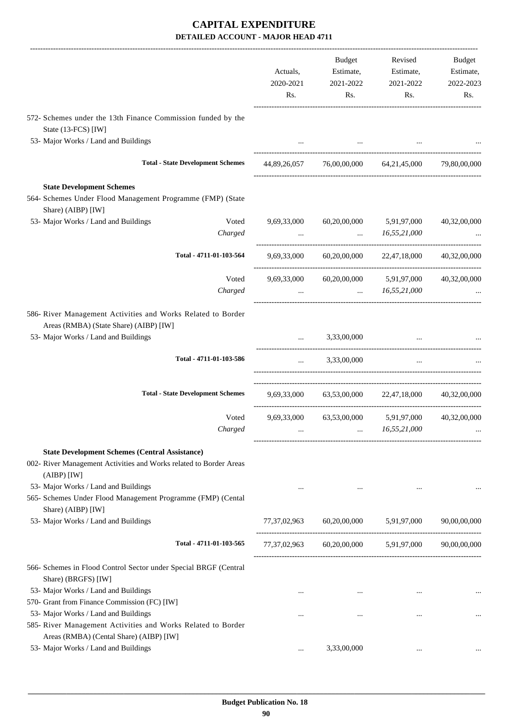|                                                                                                                      | Actuals,<br>2020-2021<br>Rs. | Budget<br>Estimate,<br>2021-2022<br>Rs. | Revised<br>Estimate,<br>2021-2022<br>Rs.                                                       | Budget<br>Estimate,<br>2022-2023<br>Rs. |
|----------------------------------------------------------------------------------------------------------------------|------------------------------|-----------------------------------------|------------------------------------------------------------------------------------------------|-----------------------------------------|
| 572- Schemes under the 13th Finance Commission funded by the<br>State (13-FCS) [IW]                                  |                              |                                         |                                                                                                |                                         |
| 53- Major Works / Land and Buildings                                                                                 |                              |                                         |                                                                                                |                                         |
| <b>Total - State Development Schemes</b>                                                                             |                              |                                         | 44,89,26,057 76,00,00,000 64,21,45,000                                                         | 79,80,00,000                            |
| <b>State Development Schemes</b><br>564- Schemes Under Flood Management Programme (FMP) (State<br>Share) (AIBP) [IW] |                              |                                         |                                                                                                |                                         |
| 53- Major Works / Land and Buildings<br>Voted                                                                        | 9,69,33,000                  | 60,20,00,000                            | 5,91,97,000                                                                                    | 40,32,00,000                            |
| Charged                                                                                                              | $\cdots$                     |                                         | 16,55,21,000                                                                                   |                                         |
| Total - 4711-01-103-564                                                                                              | 9,69,33,000                  |                                         | 60,20,00,000 22,47,18,000                                                                      | 40,32,00,000                            |
| Voted                                                                                                                | 9,69,33,000                  |                                         | 60,20,00,000 5,91,97,000                                                                       | 40,32,00,000                            |
| Charged                                                                                                              | $\cdots$                     |                                         | 16,55,21,000                                                                                   |                                         |
| 586- River Management Activities and Works Related to Border<br>Areas (RMBA) (State Share) (AIBP) [IW]               |                              |                                         |                                                                                                |                                         |
| 53- Major Works / Land and Buildings                                                                                 |                              | 3,33,00,000                             |                                                                                                |                                         |
| Total - 4711-01-103-586                                                                                              | $\cdots$                     | 3,33,00,000                             | $\ddotsc$                                                                                      |                                         |
| <b>Total - State Development Schemes</b>                                                                             |                              |                                         | 9,69,33,000 63,53,00,000 22,47,18,000 40,32,00,000                                             |                                         |
| Voted                                                                                                                |                              | 9,69,33,000 63,53,00,000                | 5,91,97,000                                                                                    | 40,32,00,000                            |
| Charged                                                                                                              |                              |                                         | 16,55,21,000                                                                                   |                                         |
| <b>State Development Schemes (Central Assistance)</b>                                                                |                              |                                         |                                                                                                |                                         |
| 002- River Management Activities and Works related to Border Areas<br>$(AIBP)$ [IW]                                  |                              |                                         |                                                                                                |                                         |
| 53- Major Works / Land and Buildings                                                                                 | $\cdots$                     | $\cdots$                                | $\cdots$                                                                                       |                                         |
| 565- Schemes Under Flood Management Programme (FMP) (Cental                                                          |                              |                                         |                                                                                                |                                         |
| Share) (AIBP) [IW]                                                                                                   |                              |                                         |                                                                                                |                                         |
| 53- Major Works / Land and Buildings                                                                                 |                              |                                         | $77,37,02,963 \qquad \qquad 60,20,00,000 \qquad \qquad 5,91,97,000 \qquad \qquad 90,00,00,000$ |                                         |
| Total - 4711-01-103-565                                                                                              |                              |                                         |                                                                                                |                                         |
| 566- Schemes in Flood Control Sector under Special BRGF (Central<br>Share) (BRGFS) [IW]                              |                              |                                         |                                                                                                |                                         |
| 53- Major Works / Land and Buildings                                                                                 | $\cdots$                     | $\cdots$                                | $\ldots$                                                                                       |                                         |
| 570- Grant from Finance Commission (FC) [IW]                                                                         |                              |                                         |                                                                                                |                                         |
| 53- Major Works / Land and Buildings                                                                                 | $\cdots$                     | $\cdots$                                | $\cdots$                                                                                       |                                         |
| 585- River Management Activities and Works Related to Border<br>Areas (RMBA) (Cental Share) (AIBP) [IW]              |                              |                                         |                                                                                                |                                         |
| 53- Major Works / Land and Buildings                                                                                 | $\cdots$                     | 3,33,00,000                             | $\cdots$                                                                                       |                                         |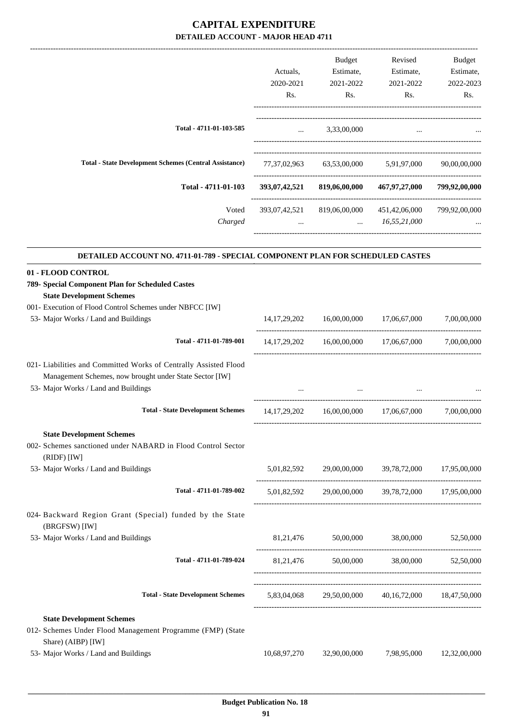|                                                                                  |              | Budget                  | Revised                                                    | Budget        |
|----------------------------------------------------------------------------------|--------------|-------------------------|------------------------------------------------------------|---------------|
|                                                                                  | Actuals,     | Estimate,               | Estimate,                                                  | Estimate,     |
|                                                                                  | 2020-2021    | 2021-2022               | 2021-2022                                                  | 2022-2023     |
|                                                                                  | Rs.          | Rs.                     | Rs.                                                        | Rs.           |
| Total - 4711-01-103-585                                                          |              | $\ldots$ 3,33,00,000    | $\cdots$                                                   |               |
|                                                                                  |              |                         |                                                            |               |
| <b>Total - State Development Schemes (Central Assistance)</b>                    |              |                         | 77,37,02,963 63,53,00,000 5,91,97,000 90,00,00,000         |               |
| Total - 4711-01-103                                                              |              |                         | 393,07,42,521 819,06,00,000 467,97,27,000                  | 799,92,00,000 |
| Voted<br>Charged                                                                 |              | $\ldots$ $16,55,21,000$ | 393,07,42,521 819,06,00,000 451,42,06,000                  | 799,92,00,000 |
| DETAILED ACCOUNT NO. 4711-01-789 - SPECIAL COMPONENT PLAN FOR SCHEDULED CASTES   |              |                         |                                                            |               |
| 01 - FLOOD CONTROL                                                               |              |                         |                                                            |               |
| 789- Special Component Plan for Scheduled Castes                                 |              |                         |                                                            |               |
| <b>State Development Schemes</b>                                                 |              |                         |                                                            |               |
| 001- Execution of Flood Control Schemes under NBFCC [IW]                         |              |                         |                                                            |               |
| 53- Major Works / Land and Buildings                                             |              |                         | $14,17,29,202$ $16,00,00,000$ $17,06,67,000$ $7,00,00,000$ |               |
| Total - 4711-01-789-001                                                          |              |                         | 14,17,29,202 16,00,00,000 17,06,67,000 7,00,00,000         |               |
| 021- Liabilities and Committed Works of Centrally Assisted Flood                 |              |                         |                                                            |               |
| Management Schemes, now brought under State Sector [IW]                          |              |                         |                                                            |               |
| 53- Major Works / Land and Buildings                                             |              |                         | <b>Contract Contract Contract Contract</b>                 |               |
| <b>Total - State Development Schemes</b>                                         |              |                         | 14,17,29,202 16,00,00,000 17,06,67,000 7,00,00,000         |               |
| <b>State Development Schemes</b>                                                 |              |                         |                                                            |               |
| 002- Schemes sanctioned under NABARD in Flood Control Sector<br>$(RIDF)$ [IW]    |              |                         |                                                            |               |
| 53- Major Works / Land and Buildings                                             |              |                         | 5,01,82,592 29,00,00,000 39,78,72,000 17,95,00,000         |               |
| Total - 4711-01-789-002                                                          |              |                         | 5,01,82,592 29,00,00,000 39,78,72,000 17,95,00,000         |               |
| 024- Backward Region Grant (Special) funded by the State<br>(BRGFSW) [IW]        |              |                         |                                                            |               |
| 53- Major Works / Land and Buildings                                             |              |                         | 81,21,476 50,00,000 38,00,000 52,50,000                    |               |
| Total - 4711-01-789-024                                                          |              |                         | 81,21,476 50,00,000 38,00,000 52,50,000                    |               |
| <b>Total - State Development Schemes</b>                                         |              |                         | 5,83,04,068 29,50,00,000 40,16,72,000 18,47,50,000         |               |
| <b>State Development Schemes</b>                                                 |              |                         |                                                            |               |
| 012- Schemes Under Flood Management Programme (FMP) (State<br>Share) (AIBP) [IW] |              |                         |                                                            |               |
| 53- Major Works / Land and Buildings                                             | 10,68,97,270 | 32,90,00,000            | 7,98,95,000                                                | 12,32,00,000  |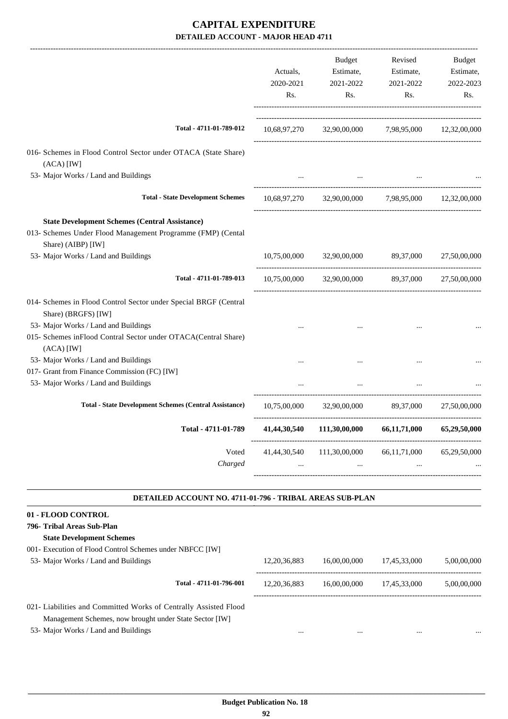|                                                                                                                                                                                                   | Actuals,<br>2020-2021<br>Rs. | Budget<br>Estimate,<br>2021-2022<br>Rs.              | Revised<br>Estimate,<br>2021-2022<br>Rs.                       | Budget<br>Estimate,<br>2022-2023<br>Rs. |
|---------------------------------------------------------------------------------------------------------------------------------------------------------------------------------------------------|------------------------------|------------------------------------------------------|----------------------------------------------------------------|-----------------------------------------|
| Total - 4711-01-789-012                                                                                                                                                                           |                              | 10,68,97,270 32,90,00,000 7,98,95,000 12,32,00,000   |                                                                |                                         |
| 016- Schemes in Flood Control Sector under OTACA (State Share)<br>$(ACA)$ [IW]                                                                                                                    |                              |                                                      |                                                                |                                         |
| 53- Major Works / Land and Buildings                                                                                                                                                              |                              |                                                      |                                                                |                                         |
| <b>Total - State Development Schemes</b>                                                                                                                                                          |                              | 10,68,97,270 32,90,00,000 7,98,95,000 12,32,00,000   |                                                                |                                         |
| <b>State Development Schemes (Central Assistance)</b><br>013- Schemes Under Flood Management Programme (FMP) (Cental<br>Share) (AIBP) [IW]<br>53- Major Works / Land and Buildings                | 10,75,00,000                 |                                                      | 32,90,00,000 89,37,000                                         | 27,50,00,000                            |
| Total - 4711-01-789-013                                                                                                                                                                           |                              | 10,75,00,000 32,90,00,000 89,37,000 27,50,00,000     |                                                                |                                         |
| 014- Schemes in Flood Control Sector under Special BRGF (Central<br>Share) (BRGFS) [IW]<br>53- Major Works / Land and Buildings<br>015- Schemes inFlood Contral Sector under OTACA(Central Share) |                              |                                                      | $\cdots$                                                       |                                         |
| $(ACA)$ [IW]<br>53- Major Works / Land and Buildings                                                                                                                                              |                              |                                                      |                                                                |                                         |
| 017- Grant from Finance Commission (FC) [IW]                                                                                                                                                      |                              |                                                      |                                                                |                                         |
| 53- Major Works / Land and Buildings                                                                                                                                                              |                              |                                                      |                                                                |                                         |
| <b>Total - State Development Schemes (Central Assistance)</b>                                                                                                                                     |                              | 10,75,00,000 32,90,00,000 89,37,000                  |                                                                | 27,50,00,000                            |
| Total - 4711-01-789                                                                                                                                                                               |                              | 41,44,30,540 111,30,00,000 66,11,71,000 65,29,50,000 |                                                                |                                         |
| Voted<br>Charged                                                                                                                                                                                  | 41,44,30,540<br>$\cdots$     |                                                      | 111,30,00,000 66,11,71,000<br>and the state of the<br>$\cdots$ | 65,29,50,000                            |
| DETAILED ACCOUNT NO. 4711-01-796 - TRIBAL AREAS SUB-PLAN                                                                                                                                          |                              |                                                      |                                                                |                                         |
| 01 - FLOOD CONTROL<br>796- Tribal Areas Sub-Plan<br><b>State Development Schemes</b>                                                                                                              |                              |                                                      |                                                                |                                         |
| 001- Execution of Flood Control Schemes under NBFCC [IW]<br>53- Major Works / Land and Buildings                                                                                                  | 12, 20, 36, 883              | 16,00,00,000                                         | 17,45,33,000                                                   | 5,00,00,000                             |
| Total - 4711-01-796-001                                                                                                                                                                           | 12, 20, 36, 883              | 16,00,00,000                                         | 17,45,33,000                                                   | 5,00,00,000                             |
| 021- Liabilities and Committed Works of Centrally Assisted Flood<br>Management Schemes, now brought under State Sector [IW]<br>53- Major Works / Land and Buildings                               | $\cdots$                     | $\cdots$                                             | $\cdots$                                                       |                                         |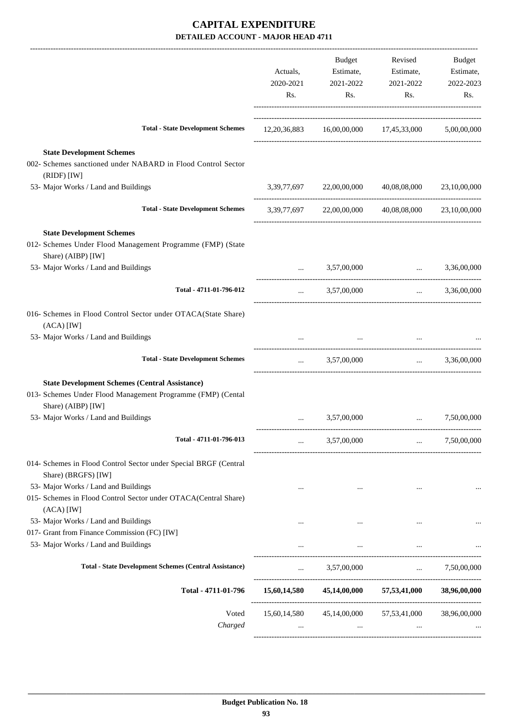|                                                                                                                                            | Actuals,<br>2020-2021<br>Rs. | <b>Budget</b><br>Estimate,<br>2021-2022<br>Rs. | Revised<br>Estimate,<br>2021-2022<br>Rs.            | Budget<br>Estimate,<br>2022-2023<br>Rs. |
|--------------------------------------------------------------------------------------------------------------------------------------------|------------------------------|------------------------------------------------|-----------------------------------------------------|-----------------------------------------|
| <b>Total - State Development Schemes</b>                                                                                                   |                              |                                                | 12,20,36,883 16,00,00,000 17,45,33,000 5,00,00,000  |                                         |
| <b>State Development Schemes</b><br>002- Schemes sanctioned under NABARD in Flood Control Sector<br>(RIDF) [IW]                            |                              |                                                |                                                     |                                         |
| 53- Major Works / Land and Buildings                                                                                                       |                              | 3,39,77,697 22,00,00,000                       | 40,08,08,000                                        | 23,10,00,000                            |
| <b>Total - State Development Schemes</b>                                                                                                   |                              |                                                | 3,39,77,697 22,00,00,000 40,08,08,000 23,10,00,000  |                                         |
| <b>State Development Schemes</b><br>012- Schemes Under Flood Management Programme (FMP) (State<br>Share) (AIBP) [IW]                       |                              |                                                |                                                     |                                         |
| 53- Major Works / Land and Buildings                                                                                                       |                              | 3,57,00,000                                    |                                                     | $\ldots$ 3,36,00,000                    |
| Total - 4711-01-796-012                                                                                                                    | $\cdots$                     | 3,57,00,000                                    | $\mathbf{r}$                                        | 3,36,00,000                             |
| 016- Schemes in Flood Control Sector under OTACA(State Share)<br>$(ACA)$ [IW]                                                              |                              |                                                |                                                     |                                         |
| 53- Major Works / Land and Buildings                                                                                                       |                              | <b>Contract Contract</b>                       |                                                     |                                         |
| <b>Total - State Development Schemes</b>                                                                                                   |                              |                                                | $\ldots$ 3,57,00,000 $\ldots$ 3,36,00,000           |                                         |
| <b>State Development Schemes (Central Assistance)</b><br>013- Schemes Under Flood Management Programme (FMP) (Cental<br>Share) (AIBP) [IW] |                              |                                                |                                                     |                                         |
| 53- Major Works / Land and Buildings                                                                                                       | $\cdots$                     | 3,57,00,000                                    |                                                     | 7,50,00,000                             |
| Total - 4711-01-796-013                                                                                                                    | $\cdots$                     | 3,57,00,000                                    | $\cdots$                                            | 7,50,00,000                             |
| 014- Schemes in Flood Control Sector under Special BRGF (Central<br>Share) (BRGFS) [IW]                                                    |                              |                                                |                                                     |                                         |
| 53- Major Works / Land and Buildings<br>015- Schemes in Flood Control Sector under OTACA(Central Share)<br>$(ACA)$ [IW]                    |                              |                                                |                                                     |                                         |
| 53- Major Works / Land and Buildings                                                                                                       |                              |                                                |                                                     |                                         |
| 017- Grant from Finance Commission (FC) [IW]<br>53- Major Works / Land and Buildings                                                       | $\cdots$                     | $\cdots$                                       |                                                     |                                         |
|                                                                                                                                            |                              |                                                |                                                     |                                         |
| <b>Total - State Development Schemes (Central Assistance)</b>                                                                              | $\cdots$                     | 3,57,00,000                                    | <b>Sales Committee</b>                              | 7,50,00,000                             |
| Total - 4711-01-796                                                                                                                        |                              |                                                | 15,60,14,580 45,14,00,000 57,53,41,000 38,96,00,000 |                                         |
| Voted<br>Charged                                                                                                                           |                              | $\cdots$                                       | 15,60,14,580 45,14,00,000 57,53,41,000              | 38,96,00,000                            |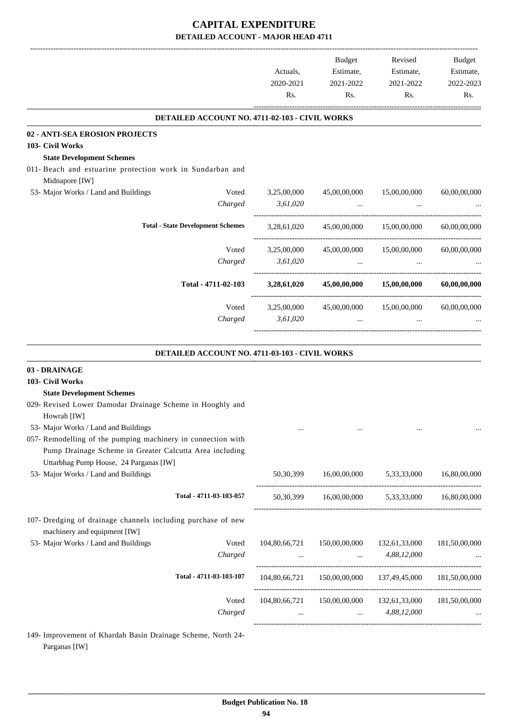|                                                                                              | Actuals,      | Budget<br>Estimate,                                        | Revised<br>Estimate,      | <b>Budget</b><br>Estimate, |
|----------------------------------------------------------------------------------------------|---------------|------------------------------------------------------------|---------------------------|----------------------------|
|                                                                                              | 2020-2021     | 2021-2022                                                  | 2021-2022                 | 2022-2023                  |
|                                                                                              | Rs.           | Rs.                                                        | Rs.                       | Rs.                        |
| DETAILED ACCOUNT NO. 4711-02-103 - CIVIL WORKS                                               |               |                                                            |                           |                            |
| 02 - ANTI-SEA EROSION PROJECTS                                                               |               |                                                            |                           |                            |
| 103- Civil Works                                                                             |               |                                                            |                           |                            |
| <b>State Development Schemes</b>                                                             |               |                                                            |                           |                            |
| 011- Beach and estuarine protection work in Sundarban and                                    |               |                                                            |                           |                            |
| Midnapore [IW]                                                                               |               |                                                            |                           |                            |
| 53- Major Works / Land and Buildings<br>Voted                                                | 3,25,00,000   | 45,00,00,000                                               | 15,00,00,000              | 60,00,00,000               |
| Charged                                                                                      | 3,61,020      |                                                            |                           |                            |
| <b>Total - State Development Schemes</b>                                                     | 3,28,61,020   | 45,00,00,000                                               | 15,00,00,000              | 60,00,00,000               |
| Voted                                                                                        | 3,25,00,000   |                                                            | 45,00,00,000 15,00,00,000 | 60,00,00,000               |
| Charged                                                                                      | 3,61,020      | $\cdots$                                                   | $\cdots$                  |                            |
|                                                                                              |               |                                                            |                           |                            |
| Total - 4711-02-103                                                                          | 3,28,61,020   |                                                            | 45,00,00,000 15,00,00,000 | 60,00,00,000               |
| Voted                                                                                        | 3,25,00,000   | 45,00,00,000                                               | 15,00,00,000              | 60,00,00,000               |
| Charged                                                                                      | 3,61,020      | $\ddotsc$                                                  | $\ddotsc$                 |                            |
|                                                                                              |               |                                                            |                           |                            |
| DETAILED ACCOUNT NO. 4711-03-103 - CIVIL WORKS                                               |               |                                                            |                           |                            |
| 03 - DRAINAGE                                                                                |               |                                                            |                           |                            |
| 103- Civil Works                                                                             |               |                                                            |                           |                            |
| <b>State Development Schemes</b>                                                             |               |                                                            |                           |                            |
| 029- Revised Lower Damodar Drainage Scheme in Hooghly and                                    |               |                                                            |                           |                            |
| Howrah [IW]                                                                                  |               |                                                            |                           |                            |
| 53- Major Works / Land and Buildings                                                         | $\cdots$      |                                                            | $\ldots$                  | $\cdots$                   |
| 057- Remodelling of the pumping machinery in connection with                                 |               |                                                            |                           |                            |
| Pump Drainage Scheme in Greater Calcutta Area including                                      |               |                                                            |                           |                            |
| Uttarbhag Pump House, 24 Parganas [IW]                                                       |               |                                                            |                           |                            |
| 53- Major Works / Land and Buildings                                                         | 50,30,399     | 16,00,00,000                                               | 5,33,33,000               | 16,80,00,000               |
| Total - 4711-03-103-057                                                                      |               | 50,30,399 16,00,00,000 5,33,33,000 16,80,00,000            |                           |                            |
|                                                                                              |               |                                                            |                           |                            |
| 107- Dredging of drainage channels including purchase of new<br>machinery and equipment [IW] |               |                                                            |                           |                            |
| 53- Major Works / Land and Buildings<br>Voted                                                | 104,80,66,721 | 150,00,00,000                                              | 132,61,33,000             | 181,50,00,000              |
| Charged                                                                                      | $\cdots$      |                                                            | $4,88,12,000$             |                            |
| Total - 4711-03-103-107                                                                      |               | 104,80,66,721  150,00,00,000  137,49,45,000  181,50,00,000 |                           |                            |
|                                                                                              |               |                                                            |                           |                            |

149- Improvement of Khardah Basin Drainage Scheme, North 24- Parganas [IW]

Voted 104,80,66,721 150,00,00,000 132,61,33,000 181,50,00,000 *Charged* ... ... 4,88,12,000 ...

-----------------------------------------------------------------------------------------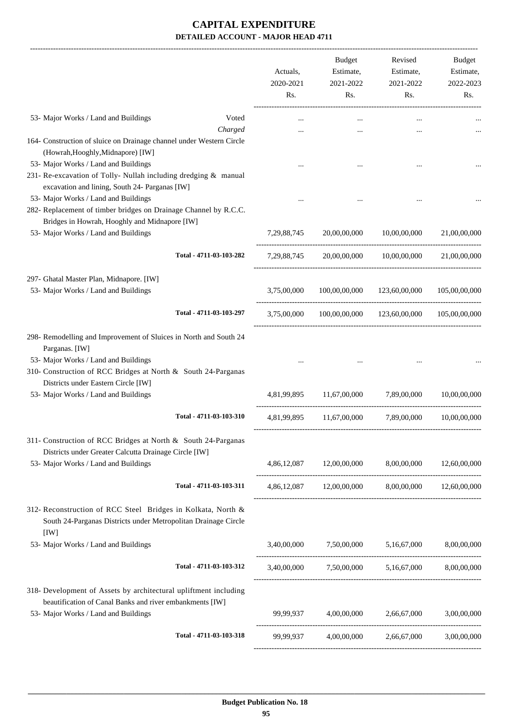|                                                                                                                                                                                                                                     | Actuals,<br>2020-2021<br>Rs. | Budget<br>Estimate,<br>2021-2022<br>Rs.           | Revised<br>Estimate,<br>2021-2022<br>Rs.                                                  | Budget<br>Estimate,<br>2022-2023<br>Rs. |
|-------------------------------------------------------------------------------------------------------------------------------------------------------------------------------------------------------------------------------------|------------------------------|---------------------------------------------------|-------------------------------------------------------------------------------------------|-----------------------------------------|
| 53- Major Works / Land and Buildings                                                                                                                                                                                                | Voted                        |                                                   |                                                                                           |                                         |
| 164- Construction of sluice on Drainage channel under Western Circle<br>(Howrah, Hooghly, Midnapore) [IW]                                                                                                                           | Charged                      |                                                   |                                                                                           |                                         |
| 53- Major Works / Land and Buildings<br>231- Re-excavation of Tolly- Nullah including dredging & manual<br>excavation and lining, South 24- Parganas [IW]                                                                           |                              |                                                   |                                                                                           |                                         |
| 53- Major Works / Land and Buildings<br>282- Replacement of timber bridges on Drainage Channel by R.C.C.                                                                                                                            |                              |                                                   |                                                                                           |                                         |
| Bridges in Howrah, Hooghly and Midnapore [IW]<br>53- Major Works / Land and Buildings                                                                                                                                               | 7, 29, 88, 745               | 20,00,00,000                                      | 10,00,00,000                                                                              | 21.00.00.000                            |
| Total - 4711-03-103-282                                                                                                                                                                                                             | 7,29,88,745                  |                                                   |                                                                                           | 21,00,00,000                            |
| 297- Ghatal Master Plan, Midnapore. [IW]<br>53- Major Works / Land and Buildings                                                                                                                                                    | 3,75,00,000                  | 100,00,00,000                                     |                                                                                           | 105,00,00,000                           |
| Total - 4711-03-103-297                                                                                                                                                                                                             | 3,75,00,000                  | 100,00,00,000                                     |                                                                                           | 105,00,00,000                           |
| 298- Remodelling and Improvement of Sluices in North and South 24<br>Parganas. [IW]<br>53- Major Works / Land and Buildings<br>310- Construction of RCC Bridges at North & South 24-Parganas<br>Districts under Eastern Circle [IW] |                              |                                                   | 20.00.00.000 10.00.00.000<br>123,60,00,000<br>123,60,00,000<br>7,89,00,000<br>7,89,00,000 |                                         |
| 53- Major Works / Land and Buildings                                                                                                                                                                                                | 4,81,99,895                  | 11,67,00,000                                      |                                                                                           | 10,00,00,000                            |
| Total - 4711-03-103-310                                                                                                                                                                                                             | 4,81,99,895                  | 11,67,00,000                                      |                                                                                           | 10,00,00,000                            |
| 311- Construction of RCC Bridges at North & South 24-Parganas<br>Districts under Greater Calcutta Drainage Circle [IW]<br>53- Major Works / Land and Buildings                                                                      |                              | 4,86,12,087 12,00,00,000 8,00,00,000 12,60,00,000 |                                                                                           |                                         |
| Total - 4711-03-103-311                                                                                                                                                                                                             |                              | 4,86,12,087 12,00,00,000 8,00,00,000 12,60,00,000 |                                                                                           |                                         |
| 312- Reconstruction of RCC Steel Bridges in Kolkata, North &<br>South 24-Parganas Districts under Metropolitan Drainage Circle<br>[IW]                                                                                              |                              |                                                   |                                                                                           |                                         |
| 53- Major Works / Land and Buildings                                                                                                                                                                                                |                              | 3,40,00,000 7,50,00,000 5,16,67,000 8,00,00,000   |                                                                                           |                                         |
| Total - 4711-03-103-312                                                                                                                                                                                                             |                              | 3,40,00,000 7,50,00,000 5,16,67,000 8,00,00,000   |                                                                                           |                                         |
| 318- Development of Assets by architectural upliftment including<br>beautification of Canal Banks and river embankments [IW]<br>53- Major Works / Land and Buildings                                                                |                              | 99,99,937 4,00,00,000 2,66,67,000                 |                                                                                           | 3,00,00,000                             |
| Total - 4711-03-103-318                                                                                                                                                                                                             | 99,99,937                    |                                                   | 4,00,00,000 2,66,67,000                                                                   | 3,00,00,000                             |
|                                                                                                                                                                                                                                     |                              |                                                   |                                                                                           |                                         |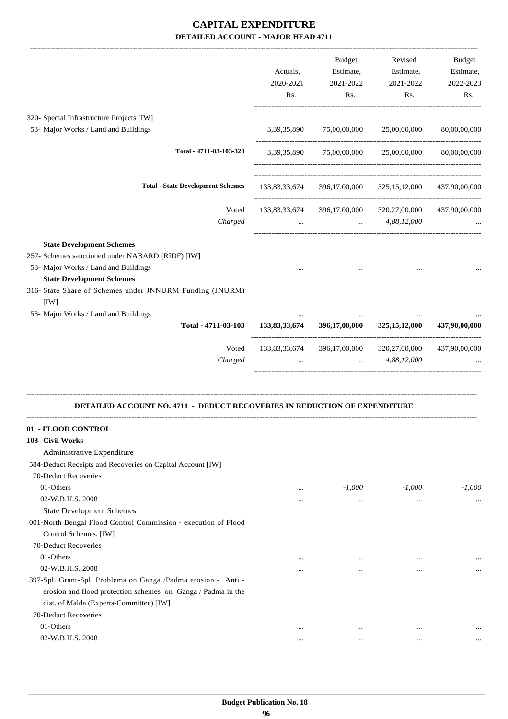|                                                                                                                                                                                                                                      | Actuals,<br>2020-2021<br>Rs. | <b>Budget</b><br>Estimate,<br>2021-2022<br>Rs. | Revised<br>Estimate,<br>2021-2022<br>Rs.                                      | <b>Budget</b><br>Estimate,<br>2022-2023<br>Rs. |
|--------------------------------------------------------------------------------------------------------------------------------------------------------------------------------------------------------------------------------------|------------------------------|------------------------------------------------|-------------------------------------------------------------------------------|------------------------------------------------|
| 320- Special Infrastructure Projects [IW]                                                                                                                                                                                            |                              |                                                |                                                                               |                                                |
| 53- Major Works / Land and Buildings                                                                                                                                                                                                 | 3,39,35,890                  | 75,00,00,000                                   | 25,00,00,000                                                                  | 80,00,00,000                                   |
| Total - 4711-03-103-320                                                                                                                                                                                                              |                              |                                                | ------------------------------------<br>3,39,35,890 75,00,00,000 25,00,00,000 | 80,00,00,000                                   |
| <b>Total - State Development Schemes</b>                                                                                                                                                                                             | 133,83,33,674                | 396,17,00,000                                  | 325, 15, 12, 000                                                              | 437,90,00,000                                  |
| Voted<br>Charged                                                                                                                                                                                                                     | $\cdots$                     | and the control and the con-                   | 133,83,33,674 396,17,00,000 320,27,00,000<br>4,88,12,000                      | 437,90,00,000                                  |
| <b>State Development Schemes</b><br>257- Schemes sanctioned under NABARD (RIDF) [IW]<br>53- Major Works / Land and Buildings<br><b>State Development Schemes</b><br>316- State Share of Schemes under JNNURM Funding (JNURM)<br>[IW] |                              |                                                |                                                                               |                                                |
| 53- Major Works / Land and Buildings<br>Total - 4711-03-103                                                                                                                                                                          | 133,83,33,674                | 396,17,00,000                                  | 325, 15, 12, 000                                                              | 437,90,00,000                                  |
|                                                                                                                                                                                                                                      |                              |                                                |                                                                               |                                                |
| Voted<br>Charged                                                                                                                                                                                                                     |                              | $\cdots$                                       | 133,83,33,674 396,17,00,000 320,27,00,000<br>4,88,12,000                      | 437,90,00,000                                  |
| <b>DETAILED ACCOUNT NO. 4711 - DEDUCT RECOVERIES IN REDUCTION OF EXPENDITURE</b>                                                                                                                                                     |                              |                                                |                                                                               |                                                |
| - FLOOD CONTROL<br>103- Civil Works<br>Administrative Expenditure<br>584-Deduct Receipts and Recoveries on Capital Account [IW]<br>70-Deduct Recoveries                                                                              |                              |                                                |                                                                               |                                                |
| 01-Others                                                                                                                                                                                                                            | $\cdots$                     | $-1,000$                                       | $-1,000$                                                                      | $-1,000$                                       |
| 02-W.B.H.S. 2008<br><b>State Development Schemes</b>                                                                                                                                                                                 | $\cdots$                     | $\ldots$                                       | $\ldots$                                                                      | $\cdots$                                       |
| 001-North Bengal Flood Control Commission - execution of Flood<br>Control Schemes. [IW]<br>70-Deduct Recoveries                                                                                                                      |                              |                                                |                                                                               |                                                |
| 01-Others<br>02-W.B.H.S. 2008                                                                                                                                                                                                        | $\ddotsc$<br>                | $\cdots$<br>$\cdots$                           | $\cdots$<br>$\cdots$                                                          | $\cdots$                                       |
| 397-Spl. Grant-Spl. Problems on Ganga /Padma erosion - Anti -<br>erosion and flood protection schemes on Ganga / Padma in the<br>dist. of Malda (Experts-Committee) [IW]<br>70-Deduct Recoveries                                     |                              |                                                |                                                                               |                                                |
| 01-Others                                                                                                                                                                                                                            | $\cdots$                     | $\ddotsc$                                      | $\cdots$                                                                      |                                                |
| 02-W.B.H.S. 2008                                                                                                                                                                                                                     | $\ddotsc$                    | $\cdots$                                       | $\cdots$                                                                      |                                                |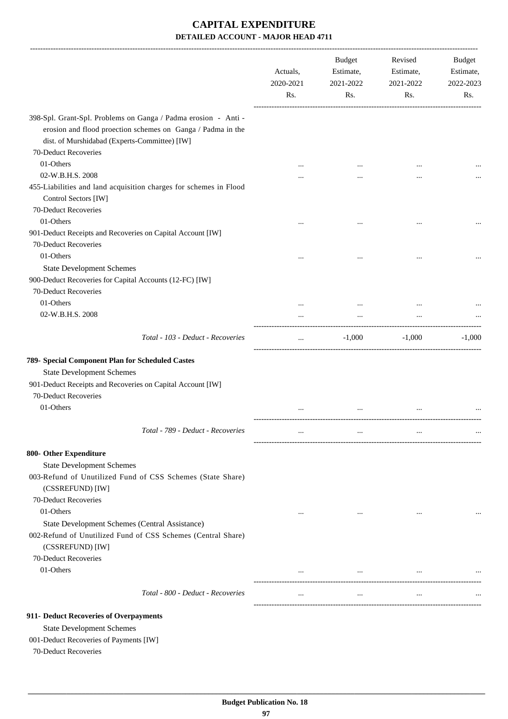|                                                                                                                                                                                | Actuals,<br>2020-2021<br>Rs. | <b>Budget</b><br>Estimate,<br>2021-2022<br>Rs. | Revised<br>Estimate,<br>2021-2022<br>Rs. | Budget<br>Estimate,<br>2022-2023<br>Rs. |
|--------------------------------------------------------------------------------------------------------------------------------------------------------------------------------|------------------------------|------------------------------------------------|------------------------------------------|-----------------------------------------|
| 398-Spl. Grant-Spl. Problems on Ganga / Padma erosion - Anti -<br>erosion and flood proection schemes on Ganga / Padma in the<br>dist. of Murshidabad (Experts-Committee) [IW] |                              |                                                |                                          |                                         |
| 70-Deduct Recoveries                                                                                                                                                           |                              |                                                |                                          |                                         |
| 01-Others                                                                                                                                                                      |                              |                                                |                                          |                                         |
| 02-W.B.H.S. 2008                                                                                                                                                               |                              |                                                | $\cdots$                                 |                                         |
| 455-Liabilities and land acquisition charges for schemes in Flood<br>Control Sectors [IW]                                                                                      |                              |                                                |                                          |                                         |
| 70-Deduct Recoveries                                                                                                                                                           |                              |                                                |                                          |                                         |
| 01-Others                                                                                                                                                                      |                              |                                                | $\cdots$                                 |                                         |
| 901-Deduct Receipts and Recoveries on Capital Account [IW]<br>70-Deduct Recoveries                                                                                             |                              |                                                |                                          |                                         |
| 01-Others                                                                                                                                                                      |                              |                                                |                                          |                                         |
| <b>State Development Schemes</b>                                                                                                                                               |                              |                                                |                                          |                                         |
| 900-Deduct Recoveries for Capital Accounts (12-FC) [IW]                                                                                                                        |                              |                                                |                                          |                                         |
| 70-Deduct Recoveries                                                                                                                                                           |                              |                                                |                                          |                                         |
| 01-Others                                                                                                                                                                      |                              |                                                |                                          |                                         |
| 02-W.B.H.S. 2008                                                                                                                                                               |                              | $\cdots$                                       | $\cdots$                                 |                                         |
| Total - 103 - Deduct - Recoveries                                                                                                                                              | $\cdots$                     | $-1,000$                                       | $-1,000$                                 | $-1.000$                                |
|                                                                                                                                                                                |                              |                                                |                                          |                                         |
| 789- Special Component Plan for Scheduled Castes                                                                                                                               |                              |                                                |                                          |                                         |
| <b>State Development Schemes</b>                                                                                                                                               |                              |                                                |                                          |                                         |
| 901-Deduct Receipts and Recoveries on Capital Account [IW]                                                                                                                     |                              |                                                |                                          |                                         |
| 70-Deduct Recoveries                                                                                                                                                           |                              |                                                |                                          |                                         |
| 01-Others                                                                                                                                                                      |                              |                                                |                                          |                                         |
| Total - 789 - Deduct - Recoveries                                                                                                                                              |                              |                                                | $\cdots$                                 |                                         |
| 800- Other Expenditure                                                                                                                                                         |                              |                                                |                                          |                                         |
| <b>State Development Schemes</b>                                                                                                                                               |                              |                                                |                                          |                                         |
| 003-Refund of Unutilized Fund of CSS Schemes (State Share)<br>(CSSREFUND) [IW]                                                                                                 |                              |                                                |                                          |                                         |
| 70-Deduct Recoveries<br>01-Others                                                                                                                                              | $\cdots$                     | $\cdots$                                       | $\cdots$                                 |                                         |
| State Development Schemes (Central Assistance)<br>002-Refund of Unutilized Fund of CSS Schemes (Central Share)<br>(CSSREFUND) [IW]                                             |                              |                                                |                                          |                                         |
| 70-Deduct Recoveries                                                                                                                                                           |                              |                                                |                                          |                                         |
| 01-Others                                                                                                                                                                      |                              | $\cdots$                                       | $\cdots$                                 |                                         |
| Total - 800 - Deduct - Recoveries                                                                                                                                              | $\cdots$                     | $\cdots$                                       | $\cdots$                                 |                                         |
| 911- Deduct Recoveries of Overpayments<br><b>State Development Schemes</b>                                                                                                     |                              |                                                |                                          |                                         |

001-Deduct Recoveries of Payments [IW]

70-Deduct Recoveries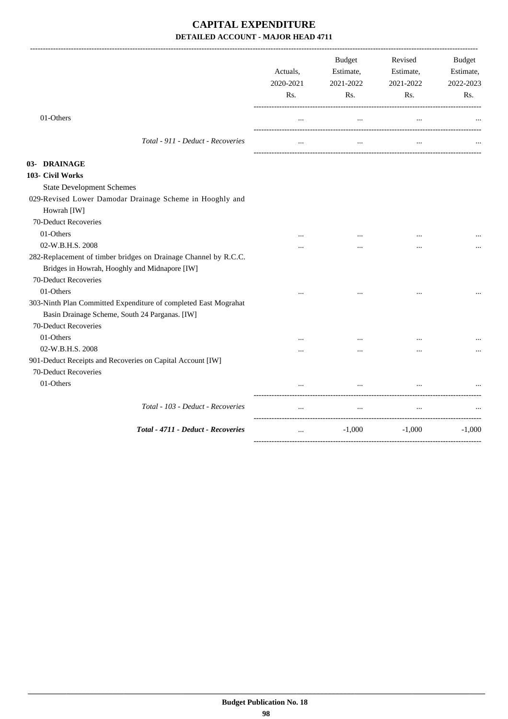|                                                                 | Actuals,<br>2020-2021<br>Rs. | <b>Budget</b><br>Estimate,<br>2021-2022<br>Rs. | Revised<br>Estimate,<br>2021-2022<br>Rs. | <b>Budget</b><br>Estimate,<br>2022-2023<br>Rs. |
|-----------------------------------------------------------------|------------------------------|------------------------------------------------|------------------------------------------|------------------------------------------------|
| 01-Others                                                       | $\cdots$                     | $\cdots$                                       | $\cdots$                                 |                                                |
| Total - 911 - Deduct - Recoveries                               | $\cdots$                     | $\cdots$                                       | $\cdots$                                 |                                                |
| 03- DRAINAGE                                                    |                              |                                                |                                          |                                                |
| 103- Civil Works                                                |                              |                                                |                                          |                                                |
| <b>State Development Schemes</b>                                |                              |                                                |                                          |                                                |
| 029-Revised Lower Damodar Drainage Scheme in Hooghly and        |                              |                                                |                                          |                                                |
| Howrah [IW]                                                     |                              |                                                |                                          |                                                |
| 70-Deduct Recoveries                                            |                              |                                                |                                          |                                                |
| 01-Others                                                       |                              |                                                |                                          |                                                |
| 02-W.B.H.S. 2008                                                |                              | $\cdots$                                       | $\cdots$                                 |                                                |
| 282-Replacement of timber bridges on Drainage Channel by R.C.C. |                              |                                                |                                          |                                                |
| Bridges in Howrah, Hooghly and Midnapore [IW]                   |                              |                                                |                                          |                                                |
| 70-Deduct Recoveries                                            |                              |                                                |                                          |                                                |
| 01-Others                                                       |                              |                                                |                                          |                                                |
| 303-Ninth Plan Committed Expenditure of completed East Mograhat |                              |                                                |                                          |                                                |
| Basin Drainage Scheme, South 24 Parganas. [IW]                  |                              |                                                |                                          |                                                |
| 70-Deduct Recoveries                                            |                              |                                                |                                          |                                                |
| 01-Others                                                       | $\cdots$                     | $\cdots$                                       | $\cdots$                                 |                                                |
| 02-W.B.H.S. 2008                                                |                              | $\cdots$                                       | $\cdots$                                 |                                                |
| 901-Deduct Receipts and Recoveries on Capital Account [IW]      |                              |                                                |                                          |                                                |
| 70-Deduct Recoveries                                            |                              |                                                |                                          |                                                |
| 01-Others                                                       |                              | $\ddotsc$                                      |                                          |                                                |
| Total - 103 - Deduct - Recoveries                               | $\cdots$                     | $\ddots$                                       | $\cdots$                                 |                                                |
| Total - 4711 - Deduct - Recoveries                              | $\ddots$                     | $-1,000$                                       | $-1,000$                                 | $-1,000$                                       |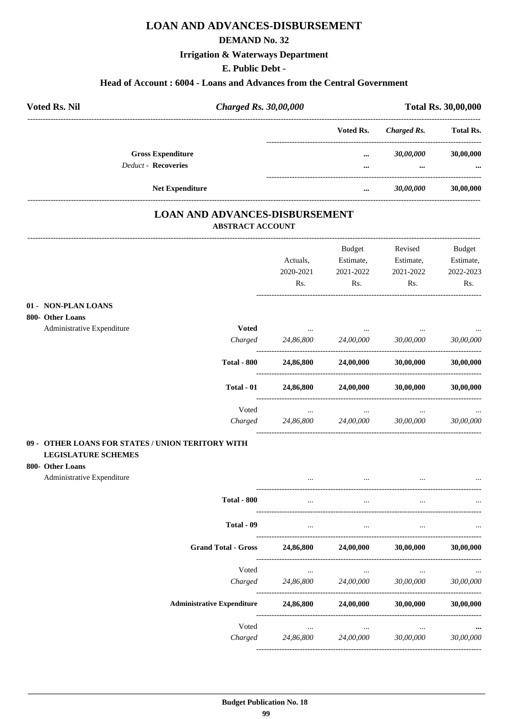## **LOAN AND ADVANCES-DISBURSEMENT**

#### **DEMAND No. 32**

#### **Irrigation & Waterways Department**

#### **E. Public Debt -**

#### **Head of Account : 6004 - Loans and Advances from the Central Government**

| <b>Voted Rs. Nil</b>                                   | <b>Charged Rs. 30,00,000</b> |              | <b>Total Rs. 30,00,000</b> |                       |
|--------------------------------------------------------|------------------------------|--------------|----------------------------|-----------------------|
|                                                        |                              | Voted Rs.    | Charged Rs.                | <b>Total Rs.</b>      |
| <b>Gross Expenditure</b><br><b>Deduct - Recoveries</b> |                              | <br>$\cdots$ | 30,00,000<br>              | 30,00,000<br>$\cdots$ |
| <b>Net Expenditure</b>                                 |                              | $\cdots$     | 30,00,000                  | 30,00,000             |
|                                                        |                              |              |                            |                       |

#### **LOAN AND ADVANCES-DISBURSEMENT ABSTRACT ACCOUNT**

|                                                   |                                   |                  | Budget    | Revised   | <b>Budget</b>    |
|---------------------------------------------------|-----------------------------------|------------------|-----------|-----------|------------------|
|                                                   |                                   | Actuals,         | Estimate, | Estimate, | Estimate,        |
|                                                   |                                   | 2020-2021<br>Rs. | 2021-2022 | 2021-2022 | 2022-2023<br>Rs. |
|                                                   |                                   |                  | Rs.       | Rs.       |                  |
| 01 - NON-PLAN LOANS                               |                                   |                  |           |           |                  |
| 800- Other Loans                                  |                                   |                  |           |           |                  |
| Administrative Expenditure                        | <b>Voted</b>                      |                  |           |           |                  |
|                                                   | Charged                           | 24,86,800        | 24,00,000 | 30,00,000 | 30,00,000        |
|                                                   | <b>Total - 800</b>                | 24,86,800        | 24,00,000 | 30,00,000 | 30,00,000        |
|                                                   | Total - 01                        | 24,86,800        | 24,00,000 | 30,00,000 | 30,00,000        |
|                                                   | Voted                             | $\cdots$         | $\cdots$  |           |                  |
|                                                   | Charged                           | 24,86,800        | 24,00,000 | 30,00,000 | 30,00,000        |
| 09 - OTHER LOANS FOR STATES / UNION TERITORY WITH |                                   |                  |           |           |                  |
| <b>LEGISLATURE SCHEMES</b>                        |                                   |                  |           |           |                  |
| 800- Other Loans                                  |                                   |                  |           |           |                  |
| Administrative Expenditure                        |                                   |                  |           |           |                  |
|                                                   | <b>Total - 800</b>                | $\ddotsc$        | $\ddotsc$ |           |                  |
|                                                   | Total - 09                        | $\cdots$         | $\ddots$  |           |                  |
|                                                   | <b>Grand Total - Gross</b>        | 24,86,800        | 24,00,000 | 30,00,000 | 30,00,000        |
|                                                   | Voted                             | $\ldots$         | $\cdots$  |           |                  |
|                                                   | Charged                           | 24,86,800        | 24,00,000 | 30,00,000 | 30,00,000        |
|                                                   | <b>Administrative Expenditure</b> | 24,86,800        | 24,00,000 | 30,00,000 | 30,00,000        |
|                                                   | Voted                             | $\ddotsc$        |           |           |                  |
|                                                   | Charged                           | 24,86,800        | 24,00,000 | 30,00,000 | 30,00,000        |
|                                                   |                                   |                  |           |           |                  |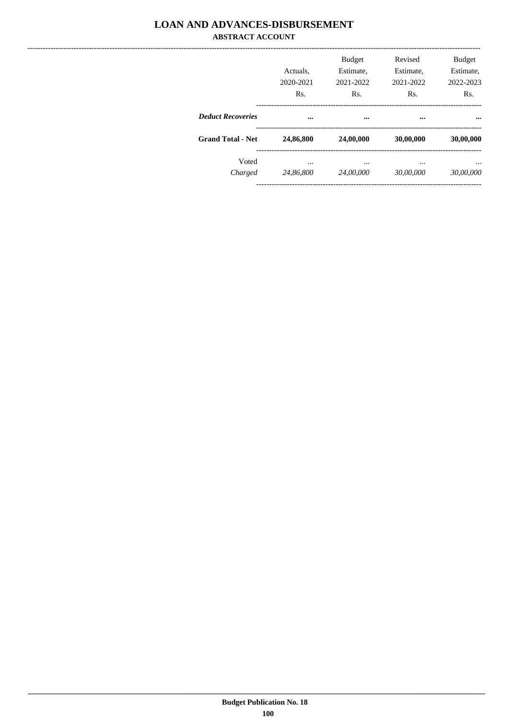#### **LOAN AND ADVANCES-DISBURSEMENT ABSTRACT ACCOUNT**

|                          | Actuals.<br>2020-2021<br>Rs. | <b>Budget</b><br>Estimate,<br>2021-2022<br>Rs. | Revised<br>Estimate,<br>2021-2022<br>Rs. | <b>Budget</b><br>Estimate,<br>2022-2023<br>Rs. |
|--------------------------|------------------------------|------------------------------------------------|------------------------------------------|------------------------------------------------|
| <b>Deduct Recoveries</b> | $\cdots$                     | $\cdots$                                       | $\cdots$                                 |                                                |
| <b>Grand Total - Net</b> | 24,86,800                    | 24,00,000                                      | 30,00,000                                | 30,00,000                                      |
| Voted<br>Charged         | $\cdots$<br>24,86,800        | <br>24,00,000                                  | <br>30,00,000                            | <br>30,00,000                                  |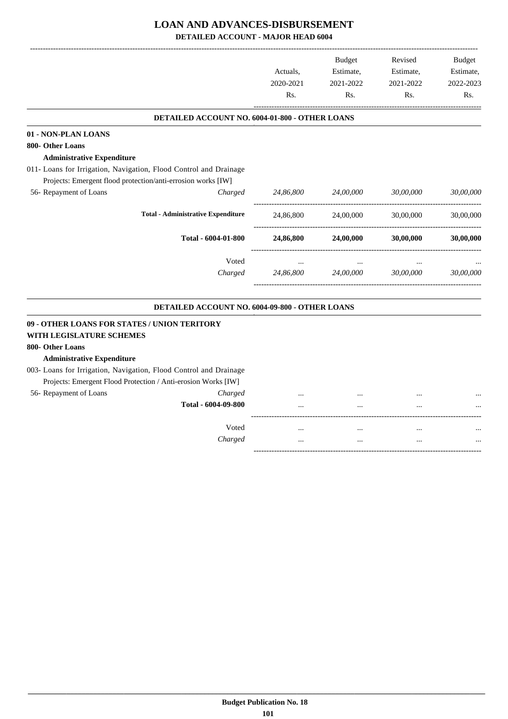# **LOAN AND ADVANCES-DISBURSEMENT**

**DETAILED ACCOUNT - MAJOR HEAD 6004**

|                                                                          |                                                |           | <b>Budget</b> | Revised   | <b>Budget</b> |
|--------------------------------------------------------------------------|------------------------------------------------|-----------|---------------|-----------|---------------|
|                                                                          |                                                | Actuals,  | Estimate,     | Estimate, | Estimate,     |
|                                                                          |                                                | 2020-2021 | 2021-2022     | 2021-2022 | 2022-2023     |
|                                                                          |                                                | Rs.       | Rs.           | Rs.       | Rs.           |
|                                                                          | DETAILED ACCOUNT NO. 6004-01-800 - OTHER LOANS |           |               |           |               |
| 01 - NON-PLAN LOANS                                                      |                                                |           |               |           |               |
| 800- Other Loans                                                         |                                                |           |               |           |               |
| <b>Administrative Expenditure</b>                                        |                                                |           |               |           |               |
| 011- Loans for Irrigation, Navigation, Flood Control and Drainage        |                                                |           |               |           |               |
| Projects: Emergent flood protection/anti-errosion works [IW]             |                                                |           |               |           |               |
| 56- Repayment of Loans                                                   | Charged                                        | 24,86,800 | 24,00,000     | 30,00,000 | 30,00,000     |
|                                                                          | <b>Total - Administrative Expenditure</b>      | 24,86,800 | 24,00,000     | 30,00,000 | 30,00,000     |
|                                                                          | Total - 6004-01-800                            | 24,86,800 | 24,00,000     | 30,00,000 | 30,00,000     |
|                                                                          | Voted                                          |           |               |           |               |
|                                                                          | Charged                                        | 24,86,800 | 24,00,000     | 30,00,000 | 30,00,000     |
|                                                                          | DETAILED ACCOUNT NO. 6004-09-800 - OTHER LOANS |           |               |           |               |
| 09 - OTHER LOANS FOR STATES / UNION TERITORY<br>WITH LEGISLATURE SCHEMES |                                                |           |               |           |               |
| 800- Other Loans                                                         |                                                |           |               |           |               |
| <b>Administrative Expenditure</b>                                        |                                                |           |               |           |               |
| 003- Loans for Irrigation, Navigation, Flood Control and Drainage        |                                                |           |               |           |               |
| Projects: Emergent Flood Protection / Anti-erosion Works [IW]            |                                                |           |               |           |               |
| 56- Repayment of Loans                                                   | Charged                                        |           |               |           |               |
|                                                                          | Total - 6004-09-800                            |           |               |           |               |
|                                                                          | Voted                                          |           |               |           |               |
|                                                                          | Charged                                        | .         | $\ddotsc$     | $\ddotsc$ |               |
|                                                                          |                                                |           |               |           |               |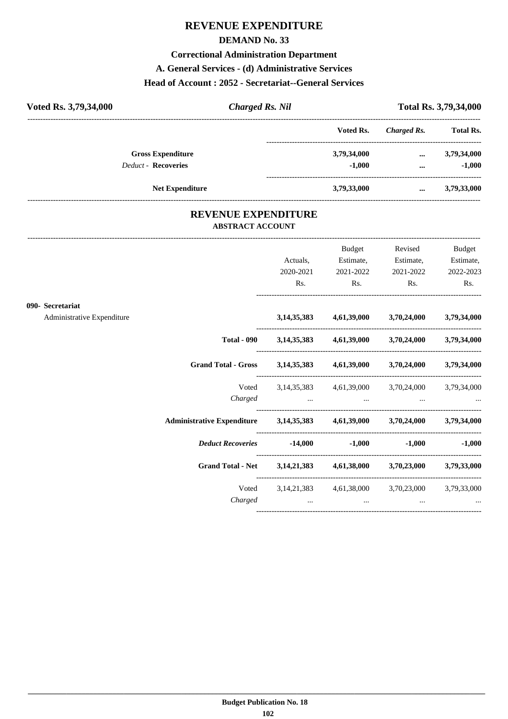## **REVENUE EXPENDITURE**

#### **DEMAND No. 33**

#### **Correctional Administration Department**

#### **A. General Services - (d) Administrative Services**

#### **Head of Account : 2052 - Secretariat--General Services**

| Voted Rs. 3,79,34,000      | <b>Charged Rs. Nil</b> |             |             | Total Rs. 3,79,34,000 |  |  |
|----------------------------|------------------------|-------------|-------------|-----------------------|--|--|
|                            |                        | Voted Rs.   | Charged Rs. | <b>Total Rs.</b>      |  |  |
| <b>Gross Expenditure</b>   |                        | 3,79,34,000 | $\cdots$    | 3,79,34,000           |  |  |
| <b>Deduct - Recoveries</b> |                        | $-1.000$    | $\cdots$    | $-1,000$              |  |  |
| <b>Net Expenditure</b>     |                        | 3,79,33,000 | $\cdots$    | 3,79,33,000           |  |  |

#### **REVENUE EXPENDITURE ABSTRACT ACCOUNT**

---------------------------------------------------------------------------------------------------------------------------------------------------------------------------------

|                                                |                                                                               | Actuals,<br>2020-2021<br>Rs. | <b>Budget</b><br>Estimate,<br>2021-2022<br>$\mathbf{Rs.}$ | Revised<br>Estimate,<br>2021-2022<br>$\mathbf{Rs.}$                                                            | <b>Budget</b><br>Estimate,<br>2022-2023<br>Rs. |
|------------------------------------------------|-------------------------------------------------------------------------------|------------------------------|-----------------------------------------------------------|----------------------------------------------------------------------------------------------------------------|------------------------------------------------|
| 090- Secretariat<br>Administrative Expenditure |                                                                               |                              |                                                           | 3,14,35,383 4,61,39,000 3,70,24,000 3,79,34,000                                                                |                                                |
|                                                |                                                                               |                              |                                                           | Total - 090 3,14,35,383 4,61,39,000 3,70,24,000 3,79,34,000                                                    |                                                |
|                                                | Grand Total - Gross 3,14,35,383 4,61,39,000 3,70,24,000 3,79,34,000           |                              |                                                           |                                                                                                                |                                                |
|                                                |                                                                               |                              |                                                           | Voted 3, 14, 35, 383 4, 61, 39, 000 3, 70, 24, 000 3, 79, 34, 000<br>$Charged$ $\dots$ $\dots$ $\dots$ $\dots$ |                                                |
|                                                | Administrative Expenditure 3,14,35,383 4,61,39,000 3,70,24,000 3,79,34,000    |                              |                                                           |                                                                                                                |                                                |
|                                                | Deduct Recoveries 14,000 -1,000                                               |                              |                                                           |                                                                                                                | $-1,000$ $-1,000$                              |
|                                                | Grand Total - Net 3, 14, 21, 383 4, 61, 38, 000 3, 70, 23, 000 3, 79, 33, 000 |                              |                                                           |                                                                                                                |                                                |
|                                                | Charged                                                                       |                              | $\cdots$                                                  | Voted 3, 14, 21, 383 4, 61, 38, 000 3, 70, 23, 000 3, 79, 33, 000<br>$\cdots$                                  |                                                |
|                                                |                                                                               |                              |                                                           |                                                                                                                |                                                |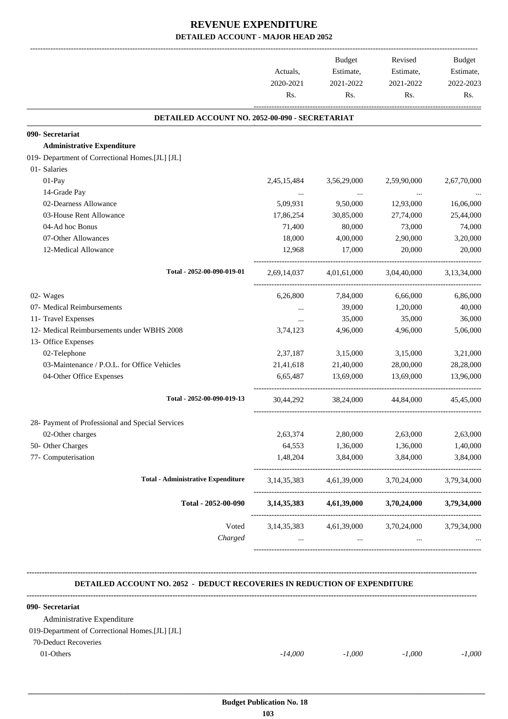## **REVENUE EXPENDITURE DETAILED ACCOUNT - MAJOR HEAD 2052**

| Actuals,<br>Estimate,<br>2020-2021<br>2021-2022<br>2021-2022<br>Rs.<br>Rs.<br>Rs.<br>Rs.<br>DETAILED ACCOUNT NO. 2052-00-090 - SECRETARIAT<br>090- Secretariat<br><b>Administrative Expenditure</b><br>01- Salaries<br>01-Pay<br>2,45,15,484<br>3,56,29,000<br>2,59,90,000<br>14-Grade Pay<br>$\ddots$<br>$\ldots$<br>02-Dearness Allowance<br>5,09,931<br>9,50,000<br>12,93,000<br>03-House Rent Allowance<br>17,86,254<br>30,85,000<br>27,74,000<br>04-Ad hoc Bonus<br>80,000<br>71,400<br>73,000<br>07-Other Allowances<br>18,000<br>4,00,000<br>2,90,000<br>12-Medical Allowance<br>12,968<br>17,000<br>20,000<br>Total - 2052-00-090-019-01<br>4,01,61,000<br>3,04,40,000<br>2,69,14,037<br>02- Wages<br>6,66,000<br>6,26,800<br>7,84,000<br>07- Medical Reimbursements<br>39,000<br>1,20,000<br>$\cdots$<br>11- Travel Expenses<br>35,000<br>35,000<br>$\cdots$<br>12- Medical Reimbursements under WBHS 2008<br>4,96,000<br>4,96,000<br>3,74,123<br>13- Office Expenses<br>02-Telephone<br>2,37,187<br>3,15,000<br>3,15,000<br>03-Maintenance / P.O.L. for Office Vehicles<br>21,41,618<br>21,40,000<br>28,00,000<br>04-Other Office Expenses<br>13,69,000<br>13,69,000<br>6,65,487<br>Total - 2052-00-090-019-13<br>30,44,292<br>38,24,000<br>44,84,000<br>28- Payment of Professional and Special Services<br>02-Other charges<br>2,80,000<br>2,63,000<br>2,63,000<br>2,63,374<br>50- Other Charges<br>64,553<br>1,36,000<br>1,36,000<br>1,40,000<br>77- Computerisation<br>1,48,204<br>3,84,000<br>3,84,000<br><b>Total - Administrative Expenditure</b><br>4,61,39,000<br>3, 14, 35, 383<br>3,70,24,000<br>Total - 2052-00-090<br>4,61,39,000<br>3,70,24,000<br>3, 14, 35, 383<br>Voted<br>3, 14, 35, 383<br>4,61,39,000<br>3,70,24,000<br>Charged<br>$\cdots$ |                                                 | <b>Budget</b> | Revised | Budget      |
|---------------------------------------------------------------------------------------------------------------------------------------------------------------------------------------------------------------------------------------------------------------------------------------------------------------------------------------------------------------------------------------------------------------------------------------------------------------------------------------------------------------------------------------------------------------------------------------------------------------------------------------------------------------------------------------------------------------------------------------------------------------------------------------------------------------------------------------------------------------------------------------------------------------------------------------------------------------------------------------------------------------------------------------------------------------------------------------------------------------------------------------------------------------------------------------------------------------------------------------------------------------------------------------------------------------------------------------------------------------------------------------------------------------------------------------------------------------------------------------------------------------------------------------------------------------------------------------------------------------------------------------------------------------------------------------------------------------------------------------------------------------------------|-------------------------------------------------|---------------|---------|-------------|
|                                                                                                                                                                                                                                                                                                                                                                                                                                                                                                                                                                                                                                                                                                                                                                                                                                                                                                                                                                                                                                                                                                                                                                                                                                                                                                                                                                                                                                                                                                                                                                                                                                                                                                                                                                           |                                                 | Estimate,     |         | Estimate,   |
|                                                                                                                                                                                                                                                                                                                                                                                                                                                                                                                                                                                                                                                                                                                                                                                                                                                                                                                                                                                                                                                                                                                                                                                                                                                                                                                                                                                                                                                                                                                                                                                                                                                                                                                                                                           |                                                 |               |         | 2022-2023   |
|                                                                                                                                                                                                                                                                                                                                                                                                                                                                                                                                                                                                                                                                                                                                                                                                                                                                                                                                                                                                                                                                                                                                                                                                                                                                                                                                                                                                                                                                                                                                                                                                                                                                                                                                                                           |                                                 |               |         |             |
|                                                                                                                                                                                                                                                                                                                                                                                                                                                                                                                                                                                                                                                                                                                                                                                                                                                                                                                                                                                                                                                                                                                                                                                                                                                                                                                                                                                                                                                                                                                                                                                                                                                                                                                                                                           |                                                 |               |         |             |
|                                                                                                                                                                                                                                                                                                                                                                                                                                                                                                                                                                                                                                                                                                                                                                                                                                                                                                                                                                                                                                                                                                                                                                                                                                                                                                                                                                                                                                                                                                                                                                                                                                                                                                                                                                           |                                                 |               |         |             |
|                                                                                                                                                                                                                                                                                                                                                                                                                                                                                                                                                                                                                                                                                                                                                                                                                                                                                                                                                                                                                                                                                                                                                                                                                                                                                                                                                                                                                                                                                                                                                                                                                                                                                                                                                                           |                                                 |               |         |             |
|                                                                                                                                                                                                                                                                                                                                                                                                                                                                                                                                                                                                                                                                                                                                                                                                                                                                                                                                                                                                                                                                                                                                                                                                                                                                                                                                                                                                                                                                                                                                                                                                                                                                                                                                                                           | 019- Department of Correctional Homes.[JL] [JL] |               |         |             |
|                                                                                                                                                                                                                                                                                                                                                                                                                                                                                                                                                                                                                                                                                                                                                                                                                                                                                                                                                                                                                                                                                                                                                                                                                                                                                                                                                                                                                                                                                                                                                                                                                                                                                                                                                                           |                                                 |               |         |             |
|                                                                                                                                                                                                                                                                                                                                                                                                                                                                                                                                                                                                                                                                                                                                                                                                                                                                                                                                                                                                                                                                                                                                                                                                                                                                                                                                                                                                                                                                                                                                                                                                                                                                                                                                                                           |                                                 |               |         | 2,67,70,000 |
|                                                                                                                                                                                                                                                                                                                                                                                                                                                                                                                                                                                                                                                                                                                                                                                                                                                                                                                                                                                                                                                                                                                                                                                                                                                                                                                                                                                                                                                                                                                                                                                                                                                                                                                                                                           |                                                 |               |         |             |
|                                                                                                                                                                                                                                                                                                                                                                                                                                                                                                                                                                                                                                                                                                                                                                                                                                                                                                                                                                                                                                                                                                                                                                                                                                                                                                                                                                                                                                                                                                                                                                                                                                                                                                                                                                           |                                                 |               |         | 16,06,000   |
|                                                                                                                                                                                                                                                                                                                                                                                                                                                                                                                                                                                                                                                                                                                                                                                                                                                                                                                                                                                                                                                                                                                                                                                                                                                                                                                                                                                                                                                                                                                                                                                                                                                                                                                                                                           |                                                 |               |         | 25,44,000   |
|                                                                                                                                                                                                                                                                                                                                                                                                                                                                                                                                                                                                                                                                                                                                                                                                                                                                                                                                                                                                                                                                                                                                                                                                                                                                                                                                                                                                                                                                                                                                                                                                                                                                                                                                                                           |                                                 |               |         | 74,000      |
|                                                                                                                                                                                                                                                                                                                                                                                                                                                                                                                                                                                                                                                                                                                                                                                                                                                                                                                                                                                                                                                                                                                                                                                                                                                                                                                                                                                                                                                                                                                                                                                                                                                                                                                                                                           |                                                 |               |         | 3,20,000    |
|                                                                                                                                                                                                                                                                                                                                                                                                                                                                                                                                                                                                                                                                                                                                                                                                                                                                                                                                                                                                                                                                                                                                                                                                                                                                                                                                                                                                                                                                                                                                                                                                                                                                                                                                                                           |                                                 |               |         | 20,000      |
|                                                                                                                                                                                                                                                                                                                                                                                                                                                                                                                                                                                                                                                                                                                                                                                                                                                                                                                                                                                                                                                                                                                                                                                                                                                                                                                                                                                                                                                                                                                                                                                                                                                                                                                                                                           |                                                 |               |         | 3,13,34,000 |
|                                                                                                                                                                                                                                                                                                                                                                                                                                                                                                                                                                                                                                                                                                                                                                                                                                                                                                                                                                                                                                                                                                                                                                                                                                                                                                                                                                                                                                                                                                                                                                                                                                                                                                                                                                           |                                                 |               |         | 6,86,000    |
|                                                                                                                                                                                                                                                                                                                                                                                                                                                                                                                                                                                                                                                                                                                                                                                                                                                                                                                                                                                                                                                                                                                                                                                                                                                                                                                                                                                                                                                                                                                                                                                                                                                                                                                                                                           |                                                 |               |         | 40,000      |
|                                                                                                                                                                                                                                                                                                                                                                                                                                                                                                                                                                                                                                                                                                                                                                                                                                                                                                                                                                                                                                                                                                                                                                                                                                                                                                                                                                                                                                                                                                                                                                                                                                                                                                                                                                           |                                                 |               |         | 36,000      |
|                                                                                                                                                                                                                                                                                                                                                                                                                                                                                                                                                                                                                                                                                                                                                                                                                                                                                                                                                                                                                                                                                                                                                                                                                                                                                                                                                                                                                                                                                                                                                                                                                                                                                                                                                                           |                                                 |               |         | 5,06,000    |
|                                                                                                                                                                                                                                                                                                                                                                                                                                                                                                                                                                                                                                                                                                                                                                                                                                                                                                                                                                                                                                                                                                                                                                                                                                                                                                                                                                                                                                                                                                                                                                                                                                                                                                                                                                           |                                                 |               |         |             |
|                                                                                                                                                                                                                                                                                                                                                                                                                                                                                                                                                                                                                                                                                                                                                                                                                                                                                                                                                                                                                                                                                                                                                                                                                                                                                                                                                                                                                                                                                                                                                                                                                                                                                                                                                                           |                                                 |               |         | 3,21,000    |
|                                                                                                                                                                                                                                                                                                                                                                                                                                                                                                                                                                                                                                                                                                                                                                                                                                                                                                                                                                                                                                                                                                                                                                                                                                                                                                                                                                                                                                                                                                                                                                                                                                                                                                                                                                           |                                                 |               |         | 28,28,000   |
|                                                                                                                                                                                                                                                                                                                                                                                                                                                                                                                                                                                                                                                                                                                                                                                                                                                                                                                                                                                                                                                                                                                                                                                                                                                                                                                                                                                                                                                                                                                                                                                                                                                                                                                                                                           |                                                 |               |         | 13,96,000   |
|                                                                                                                                                                                                                                                                                                                                                                                                                                                                                                                                                                                                                                                                                                                                                                                                                                                                                                                                                                                                                                                                                                                                                                                                                                                                                                                                                                                                                                                                                                                                                                                                                                                                                                                                                                           |                                                 |               |         | 45,45,000   |
|                                                                                                                                                                                                                                                                                                                                                                                                                                                                                                                                                                                                                                                                                                                                                                                                                                                                                                                                                                                                                                                                                                                                                                                                                                                                                                                                                                                                                                                                                                                                                                                                                                                                                                                                                                           |                                                 |               |         |             |
|                                                                                                                                                                                                                                                                                                                                                                                                                                                                                                                                                                                                                                                                                                                                                                                                                                                                                                                                                                                                                                                                                                                                                                                                                                                                                                                                                                                                                                                                                                                                                                                                                                                                                                                                                                           |                                                 |               |         |             |
|                                                                                                                                                                                                                                                                                                                                                                                                                                                                                                                                                                                                                                                                                                                                                                                                                                                                                                                                                                                                                                                                                                                                                                                                                                                                                                                                                                                                                                                                                                                                                                                                                                                                                                                                                                           |                                                 |               |         |             |
|                                                                                                                                                                                                                                                                                                                                                                                                                                                                                                                                                                                                                                                                                                                                                                                                                                                                                                                                                                                                                                                                                                                                                                                                                                                                                                                                                                                                                                                                                                                                                                                                                                                                                                                                                                           |                                                 |               |         | 3,84,000    |
|                                                                                                                                                                                                                                                                                                                                                                                                                                                                                                                                                                                                                                                                                                                                                                                                                                                                                                                                                                                                                                                                                                                                                                                                                                                                                                                                                                                                                                                                                                                                                                                                                                                                                                                                                                           |                                                 |               |         | 3,79,34,000 |
|                                                                                                                                                                                                                                                                                                                                                                                                                                                                                                                                                                                                                                                                                                                                                                                                                                                                                                                                                                                                                                                                                                                                                                                                                                                                                                                                                                                                                                                                                                                                                                                                                                                                                                                                                                           |                                                 |               |         | 3,79,34,000 |
|                                                                                                                                                                                                                                                                                                                                                                                                                                                                                                                                                                                                                                                                                                                                                                                                                                                                                                                                                                                                                                                                                                                                                                                                                                                                                                                                                                                                                                                                                                                                                                                                                                                                                                                                                                           |                                                 |               |         | 3,79,34,000 |
|                                                                                                                                                                                                                                                                                                                                                                                                                                                                                                                                                                                                                                                                                                                                                                                                                                                                                                                                                                                                                                                                                                                                                                                                                                                                                                                                                                                                                                                                                                                                                                                                                                                                                                                                                                           |                                                 |               |         |             |

 **DETAILED ACCOUNT NO. 2052 - DEDUCT RECOVERIES IN REDUCTION OF EXPENDITURE**

| 090- Secretariat                                |           |          |          |          |
|-------------------------------------------------|-----------|----------|----------|----------|
| Administrative Expenditure                      |           |          |          |          |
| 019-Department of Correctional Homes. [JL] [JL] |           |          |          |          |
| 70-Deduct Recoveries                            |           |          |          |          |
| 01-Others                                       | $-14,000$ | $-1.000$ | $-1.000$ | $-1.000$ |

**--------------------------------------------------------------------------------------------------------------------------------------------------------------------------------**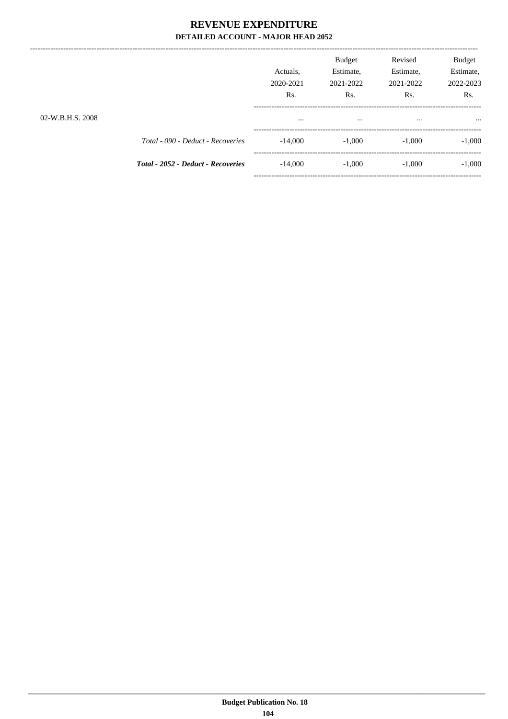## REVENUE EXPENDITURE DETAILED ACCOUNT - MAJOR HEAD 2052

| 02-W.B.H.S. 2008 |                                           | Actuals.<br>2020-2021<br>Rs.<br>$\cdots$ | <b>Budget</b><br>Estimate,<br>2021-2022<br>Rs.<br>$\cdots$ | Revised<br>Estimate,<br>2021-2022<br>Rs.<br> | <b>Budget</b><br>Estimate,<br>2022-2023<br>Rs.<br> |
|------------------|-------------------------------------------|------------------------------------------|------------------------------------------------------------|----------------------------------------------|----------------------------------------------------|
|                  | Total - 090 - Deduct - Recoveries         | $-14,000$                                | $-1,000$                                                   | $-1,000$                                     | $-1,000$                                           |
|                  | <b>Total - 2052 - Deduct - Recoveries</b> | $-14,000$                                | $-1,000$                                                   | $-1.000$                                     | $-1,000$                                           |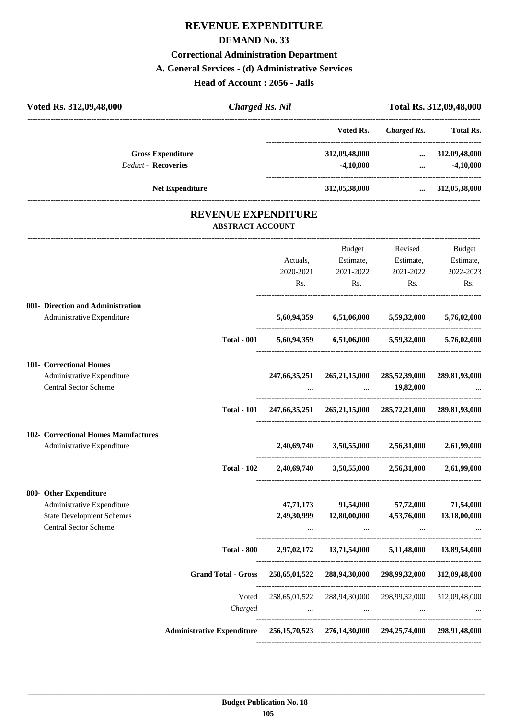# **REVENUE EXPENDITURE**

#### **DEMAND No. 33**

## **Correctional Administration Department**

#### **A. General Services - (d) Administrative Services**

**Head of Account : 2056 - Jails**

| Voted Rs. 312,09,48,000                                                          | <b>Charged Rs. Nil</b>                                                             |                                                                     | Total Rs. 312,09,48,000                                                                                                     |                                     |                              |
|----------------------------------------------------------------------------------|------------------------------------------------------------------------------------|---------------------------------------------------------------------|-----------------------------------------------------------------------------------------------------------------------------|-------------------------------------|------------------------------|
|                                                                                  |                                                                                    |                                                                     | Voted Rs.                                                                                                                   | Charged Rs.                         | <b>Total Rs.</b>             |
| <b>Gross Expenditure</b><br><b>Deduct - Recoveries</b><br><b>Net Expenditure</b> |                                                                                    |                                                                     | 312,09,48,000<br>$-4,10,000$                                                                                                | $\cdots$<br>$\cdots$                | 312,09,48,000<br>$-4,10,000$ |
|                                                                                  |                                                                                    |                                                                     |                                                                                                                             | 312,05,38,000  312,05,38,000        |                              |
|                                                                                  | <b>REVENUE EXPENDITURE</b><br><b>ABSTRACT ACCOUNT</b>                              |                                                                     |                                                                                                                             |                                     |                              |
|                                                                                  |                                                                                    |                                                                     | Budget                                                                                                                      | Revised                             | Budget                       |
|                                                                                  |                                                                                    | Actuals,                                                            |                                                                                                                             | Estimate, Estimate,                 | Estimate,                    |
|                                                                                  |                                                                                    | 2020-2021                                                           | 2021-2022                                                                                                                   | 2021-2022                           | 2022-2023                    |
|                                                                                  |                                                                                    | Rs.                                                                 | Rs.                                                                                                                         | Rs.                                 | Rs.                          |
| 001- Direction and Administration                                                |                                                                                    |                                                                     |                                                                                                                             |                                     |                              |
| Administrative Expenditure                                                       |                                                                                    | 5,60,94,359                                                         |                                                                                                                             | 6,51,06,000 5,59,32,000 5,76,02,000 |                              |
|                                                                                  | <b>Total - 001</b>                                                                 |                                                                     | 5,60,94,359 6,51,06,000 5,59,32,000 5,76,02,000                                                                             |                                     |                              |
| 101- Correctional Homes                                                          |                                                                                    |                                                                     |                                                                                                                             |                                     |                              |
| Administrative Expenditure<br>Central Sector Scheme                              |                                                                                    |                                                                     | 247,66,35,251 265,21,15,000 285,52,39,000<br><b>Contract Contract Contract</b>                                              | 19,82,000                           | 289,81,93,000                |
|                                                                                  |                                                                                    |                                                                     |                                                                                                                             |                                     |                              |
|                                                                                  |                                                                                    | Total - 101 247,66,35,251 265,21,15,000 285,72,21,000 289,81,93,000 |                                                                                                                             |                                     |                              |
| <b>102- Correctional Homes Manufactures</b>                                      |                                                                                    |                                                                     |                                                                                                                             |                                     |                              |
| Administrative Expenditure                                                       |                                                                                    | 2.40.69.740                                                         | 3,50,55,000                                                                                                                 | 2,56,31,000                         | 2,61,99,000                  |
|                                                                                  | <b>Total - 102</b>                                                                 | 2,40,69,740                                                         | 3,50,55,000                                                                                                                 | 2,56,31,000                         | 2,61,99,000                  |
| 800- Other Expenditure                                                           |                                                                                    |                                                                     |                                                                                                                             |                                     |                              |
| Administrative Expenditure                                                       |                                                                                    |                                                                     | 47,71,173 91,54,000 57,72,000                                                                                               |                                     | 71,54,000                    |
| <b>State Development Schemes</b>                                                 |                                                                                    |                                                                     | 2,49,30,999 12,80,00,000 4,53,76,000                                                                                        |                                     | 13,18,00,000                 |
| <b>Central Sector Scheme</b>                                                     |                                                                                    |                                                                     | $\mathbf{m}_{\mathrm{eff}}$ and $\mathbf{m}_{\mathrm{eff}}$ and $\mathbf{m}_{\mathrm{eff}}$ and $\mathbf{m}_{\mathrm{eff}}$ | $\sim$ $\sim$ $\sim$                | $\ddotsc$                    |
|                                                                                  | <b>Total - 800</b>                                                                 |                                                                     | 2,97,02,172 13,71,54,000 5,11,48,000 13,89,54,000                                                                           |                                     |                              |
|                                                                                  | Grand Total - Gross 258,65,01,522 288,94,30,000 298,99,32,000 312,09,48,000        |                                                                     |                                                                                                                             |                                     |                              |
|                                                                                  | Voted                                                                              |                                                                     | 258,65,01,522 288,94,30,000 298,99,32,000 312,09,48,000                                                                     |                                     |                              |
|                                                                                  | Charged                                                                            |                                                                     | the company of the company of the company of the company of the company of the company of                                   |                                     |                              |
|                                                                                  | Administrative Expenditure 256,15,70,523 276,14,30,000 294,25,74,000 298,91,48,000 |                                                                     |                                                                                                                             |                                     |                              |
|                                                                                  |                                                                                    |                                                                     |                                                                                                                             |                                     |                              |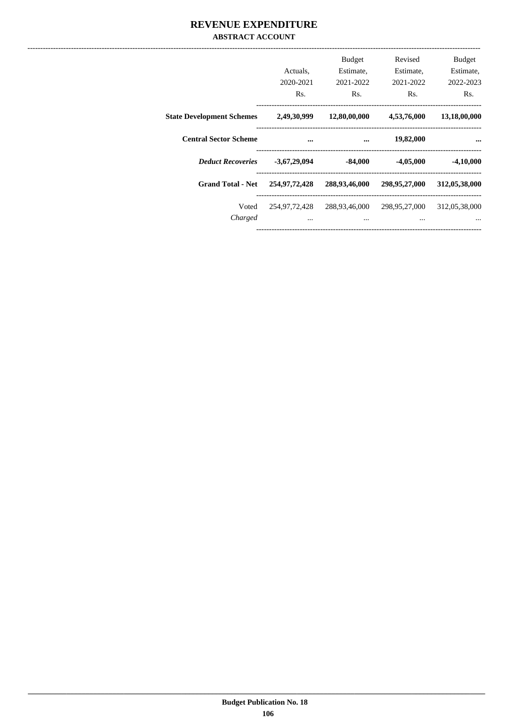## REVENUE EXPENDITURE **ABSTRACT ACCOUNT**

|                                  | Actuals.<br>2020-2021<br>Rs. | <b>Budget</b><br>Estimate,<br>2021-2022<br>Rs. | Revised<br>Estimate,<br>2021-2022<br>Rs. | <b>Budget</b><br>Estimate,<br>2022-2023<br>Rs. |
|----------------------------------|------------------------------|------------------------------------------------|------------------------------------------|------------------------------------------------|
| <b>State Development Schemes</b> | 2,49,30,999                  | 12,80,00,000                                   | 4,53,76,000                              | 13,18,00,000                                   |
| <b>Central Sector Scheme</b>     |                              |                                                | 19,82,000                                |                                                |
| <b>Deduct Recoveries</b>         | $-3,67,29,094$               | $-84,000$                                      | $-4,05,000$                              | $-4,10,000$                                    |
| <b>Grand Total - Net</b>         | 254,97,72,428                | 288,93,46,000                                  | 298,95,27,000                            | 312,05,38,000                                  |
| Voted<br>Charged                 | 254,97,72,428<br>$\cdots$    | 288,93,46,000<br>$\cdots$                      | 298,95,27,000<br>$\cdots$                | 312,05,38,000                                  |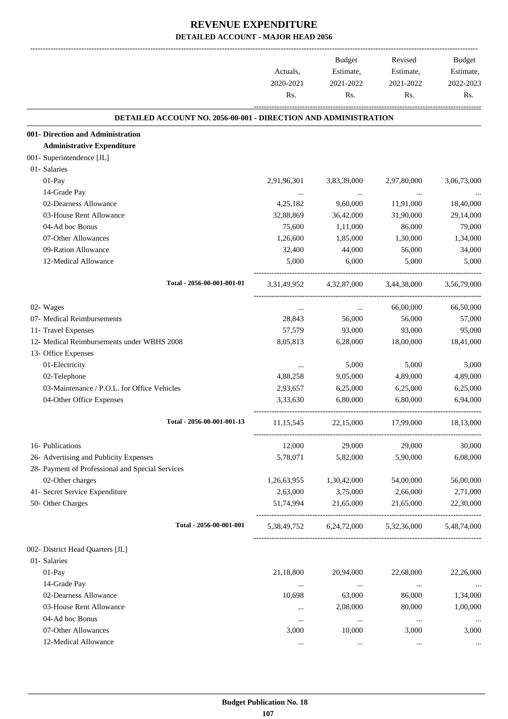|                                                                        | Actuals,<br>2020-2021<br>Rs. | <b>Budget</b><br>Estimate,<br>2021-2022<br>Rs. | Revised<br>Estimate,<br>2021-2022<br>Rs. | Budget<br>Estimate,<br>2022-2023<br>Rs. |
|------------------------------------------------------------------------|------------------------------|------------------------------------------------|------------------------------------------|-----------------------------------------|
| <b>DETAILED ACCOUNT NO. 2056-00-001 - DIRECTION AND ADMINISTRATION</b> |                              |                                                |                                          |                                         |
| 001- Direction and Administration                                      |                              |                                                |                                          |                                         |
| <b>Administrative Expenditure</b>                                      |                              |                                                |                                          |                                         |
| 001- Superintendence [JL]                                              |                              |                                                |                                          |                                         |
| 01- Salaries                                                           |                              |                                                |                                          |                                         |
| 01-Pay                                                                 | 2,91,96,301                  | 3,83,39,000                                    | 2,97,80,000                              | 3,06,73,000                             |
| 14-Grade Pay                                                           |                              | $\cdots$                                       |                                          |                                         |
| 02-Dearness Allowance                                                  | 4,25,182                     | 9,60,000                                       | 11,91,000                                | 18,40,000                               |
| 03-House Rent Allowance                                                | 32,88,869                    | 36,42,000                                      | 31,90,000                                | 29,14,000                               |
| 04-Ad hoc Bonus                                                        | 75,600                       | 1,11,000                                       | 86,000                                   | 79,000                                  |
| 07-Other Allowances                                                    | 1,26,600                     | 1,85,000                                       | 1,30,000                                 | 1,34,000                                |
| 09-Ration Allowance                                                    | 32,400                       | 44,000                                         | 56,000                                   | 34,000                                  |
| 12-Medical Allowance                                                   | 5,000                        | 6,000                                          | 5,000                                    | 5,000                                   |
| Total - 2056-00-001-001-01                                             | 3,31,49,952                  | 4,32,87,000                                    | 3,44,38,000                              | 3.56.79.000                             |
| 02- Wages                                                              | $\cdots$                     | $\cdots$                                       | 66,00,000                                | 66,50,000                               |
| 07- Medical Reimbursements                                             | 28,843                       | 56,000                                         | 56,000                                   | 57,000                                  |
| 11- Travel Expenses                                                    | 57,579                       | 93,000                                         | 93,000                                   | 95,000                                  |
| 12- Medical Reimbursements under WBHS 2008                             | 8,05,813                     | 6,28,000                                       | 18,00,000                                | 18,41,000                               |
| 13- Office Expenses                                                    |                              |                                                |                                          |                                         |
| 01-Electricity                                                         |                              | 5,000                                          | 5,000                                    | 5,000                                   |
| 02-Telephone                                                           | 4,88,258                     | 9,05,000                                       | 4,89,000                                 | 4,89,000                                |
| 03-Maintenance / P.O.L. for Office Vehicles                            | 2,93,657                     | 6,25,000                                       | 6,25,000                                 | 6,25,000                                |
| 04-Other Office Expenses                                               | 3,33,630                     | 6,80,000                                       | 6,80,000                                 | 6,94,000                                |
| Total - 2056-00-001-001-13                                             | 11,15,545                    | 22,15,000                                      | 17,99,000                                | 18,13,000                               |
| 16- Publications                                                       | 12,000                       | 29,000                                         | 29,000                                   | 30,000                                  |
| 26- Advertising and Publicity Expenses                                 | 5,78,071                     | 5,82,000                                       | 5,90,000                                 | 6,08,000                                |
| 28- Payment of Professional and Special Services                       |                              |                                                |                                          |                                         |
| 02-Other charges                                                       |                              | 1,30,42,000                                    | 54,00,000                                | 56,00,000                               |
| 41- Secret Service Expenditure                                         | 1,26,63,955                  |                                                |                                          |                                         |
| 50- Other Charges                                                      | 2,63,000<br>51,74,994        | 3,75,000<br>21,65,000                          | 2,66,000<br>21,65,000                    | 2,71,000<br>22,30,000                   |
| Total - 2056-00-001-001                                                |                              |                                                |                                          |                                         |
|                                                                        | 5,38,49,752                  |                                                | 6,24,72,000 5,32,36,000                  | 5,48,74,000                             |
| 002- District Head Quarters [JL]                                       |                              |                                                |                                          |                                         |
| 01- Salaries                                                           |                              |                                                |                                          |                                         |
| 01-Pay                                                                 | 21,18,800                    | 20,94,000                                      | 22,68,000                                | 22,26,000                               |
| 14-Grade Pay                                                           | $\ddotsc$                    | $\cdots$                                       | $\cdots$                                 | $\cdots$                                |
| 02-Dearness Allowance                                                  | 10,698                       | 63,000                                         | 86,000                                   | 1,34,000                                |
| 03-House Rent Allowance                                                | $\cdots$                     | 2,08,000                                       | 80,000                                   | 1,00,000                                |
| 04-Ad hoc Bonus                                                        | $\ddotsc$                    | $\cdots$                                       | $\cdots$                                 |                                         |
| 07-Other Allowances                                                    | 3,000                        | 10,000                                         | 3,000                                    | 3,000                                   |
| 12-Medical Allowance                                                   | $\cdots$                     | $\ddotsc$                                      | $\cdots$                                 |                                         |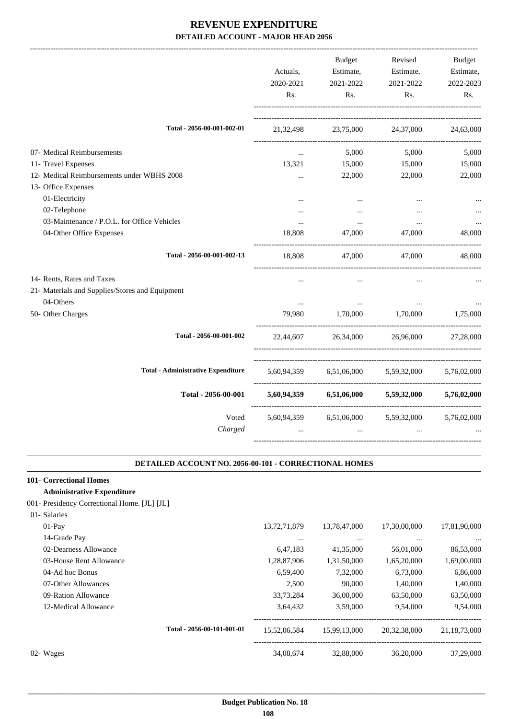|                                                                                                                                  | Actuals,<br>2020-2021<br>Rs.    | <b>Budget</b><br>Estimate,<br>2021-2022<br>Rs. | Revised<br>Estimate,<br>2021-2022<br>Rs.        | <b>Budget</b><br>Estimate,<br>2022-2023<br>Rs. |
|----------------------------------------------------------------------------------------------------------------------------------|---------------------------------|------------------------------------------------|-------------------------------------------------|------------------------------------------------|
| Total - 2056-00-001-002-01                                                                                                       | 21, 32, 498                     | 23,75,000                                      | 24,37,000                                       | 24,63,000                                      |
| 07- Medical Reimbursements<br>11- Travel Expenses<br>12- Medical Reimbursements under WBHS 2008                                  | $\cdots$<br>13,321<br>$\cdots$  | 5,000<br>15,000<br>22,000                      | 5,000<br>15,000<br>22,000                       | 5,000<br>15,000<br>22,000                      |
| 13- Office Expenses<br>01-Electricity<br>02-Telephone<br>03-Maintenance / P.O.L. for Office Vehicles<br>04-Other Office Expenses | $\ddotsc$<br>$\cdots$<br>18,808 | $\cdots$<br>$\cdots$<br>47,000                 | <br>$\ddotsc$<br>47,000                         | 48,000                                         |
| Total - 2056-00-001-002-13                                                                                                       | 18,808                          |                                                | 47,000 47,000                                   | 48,000                                         |
| 14- Rents, Rates and Taxes<br>21- Materials and Supplies/Stores and Equipment<br>04-Others<br>50- Other Charges                  | $\ddotsc$<br>$\cdots$<br>79,980 | $\cdots$<br>$\cdots$<br>1,70,000 1,70,000      | $\cdots$                                        | 1,75,000                                       |
| Total - 2056-00-001-002                                                                                                          | 22,44,607                       |                                                | 26,34,000 26,96,000                             | 27,28,000                                      |
| <b>Total - Administrative Expenditure</b>                                                                                        |                                 |                                                | 5,60,94,359 6,51,06,000 5,59,32,000             | 5,76,02,000                                    |
| Total - 2056-00-001                                                                                                              |                                 |                                                | 5,60,94,359 6,51,06,000 5,59,32,000 5,76,02,000 |                                                |
| Voted<br>Charged                                                                                                                 | $\cdots$                        | $\cdots$                                       | 5,60,94,359 6,51,06,000 5,59,32,000<br>$\cdots$ | 5,76,02,000                                    |

#### **DETAILED ACCOUNT NO. 2056-00-101 - CORRECTIONAL HOMES .**

.

## **101- Correctional Homes**

## **Administrative Expenditure**

| 001- Presidency Correctional Home. [JL] [JL] |  |  |  |  |
|----------------------------------------------|--|--|--|--|
|----------------------------------------------|--|--|--|--|

| 01- Salaries            |                            |                 |              |              |              |
|-------------------------|----------------------------|-----------------|--------------|--------------|--------------|
| $01-Pav$                |                            | 13, 72, 71, 879 | 13,78,47,000 | 17,30,00,000 | 17,81,90,000 |
| 14-Grade Pay            |                            |                 |              |              |              |
| 02-Dearness Allowance   |                            | 6,47,183        | 41,35,000    | 56,01,000    | 86,53,000    |
| 03-House Rent Allowance |                            | 1,28,87,906     | 1,31,50,000  | 1,65,20,000  | 1,69,00,000  |
| 04-Ad hoc Bonus         |                            | 6,59,400        | 7.32,000     | 6,73,000     | 6,86,000     |
| 07-Other Allowances     |                            | 2.500           | 90,000       | 1.40,000     | 1,40,000     |
| 09-Ration Allowance     |                            | 33,73,284       | 36,00,000    | 63,50,000    | 63,50,000    |
| 12-Medical Allowance    |                            | 3,64,432        | 3.59,000     | 9,54,000     | 9,54,000     |
|                         | Total - 2056-00-101-001-01 | 15,52,06,584    | 15,99,13,000 | 20,32,38,000 | 21,18,73,000 |
| 02- Wages               |                            | 34,08,674       | 32,88,000    | 36,20,000    | 37,29,000    |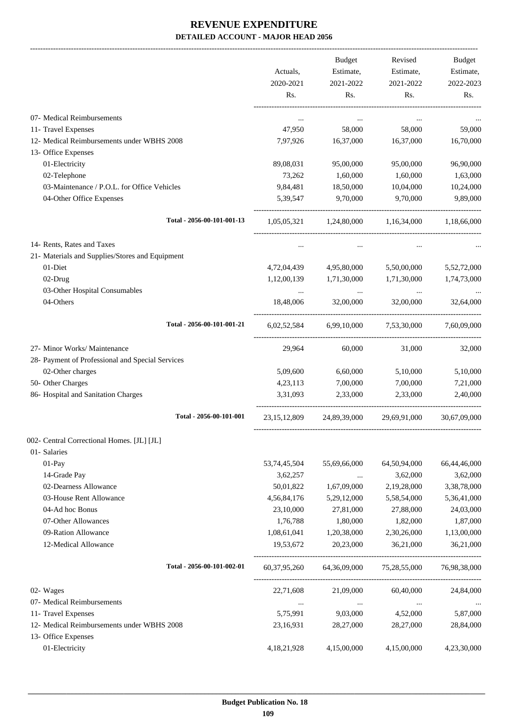-------------------------------------------------------------------------------------------------------------------------------------------------------------------------------

|                                                                   | Actuals,<br>2020-2021<br>Rs. | <b>Budget</b><br>Estimate,<br>2021-2022<br>Rs. | Revised<br>Estimate,<br>2021-2022<br>Rs.        | <b>Budget</b><br>Estimate,<br>2022-2023<br>Rs. |
|-------------------------------------------------------------------|------------------------------|------------------------------------------------|-------------------------------------------------|------------------------------------------------|
| 07- Medical Reimbursements                                        | $\ddotsc$                    | $\cdots$                                       | $\ddotsc$                                       |                                                |
| 11- Travel Expenses                                               | 47,950                       | 58,000                                         | 58,000                                          | 59,000                                         |
| 12- Medical Reimbursements under WBHS 2008                        | 7,97,926                     | 16,37,000                                      | 16,37,000                                       | 16,70,000                                      |
| 13- Office Expenses                                               |                              |                                                |                                                 |                                                |
| 01-Electricity                                                    | 89,08,031                    | 95,00,000                                      | 95,00,000                                       | 96,90,000                                      |
| 02-Telephone                                                      | 73,262                       | 1,60,000                                       | 1,60,000                                        | 1,63,000                                       |
| 03-Maintenance / P.O.L. for Office Vehicles                       | 9,84,481                     | 18,50,000                                      | 10,04,000                                       | 10,24,000                                      |
| 04-Other Office Expenses                                          | 5,39,547                     | 9,70,000                                       | 9,70,000                                        | 9,89,000                                       |
| Total - 2056-00-101-001-13                                        |                              |                                                | $1,05,05,321$ $1,24,80,000$ $1,16,34,000$       | 1,18,66,000                                    |
| 14- Rents, Rates and Taxes                                        | $\cdots$                     | $\cdots$                                       | $\cdots$                                        |                                                |
| 21- Materials and Supplies/Stores and Equipment                   |                              |                                                |                                                 |                                                |
| 01-Diet                                                           | 4,72,04,439                  | 4,95,80,000                                    | 5,50,00,000                                     | 5,52,72,000                                    |
| 02-Drug                                                           | 1,12,00,139                  | 1,71,30,000                                    | 1,71,30,000                                     | 1,74,73,000                                    |
| 03-Other Hospital Consumables                                     | $\cdots$                     | $\ldots$                                       | $\ddots$                                        |                                                |
| 04-Others                                                         | 18,48,006                    | 32,00,000                                      | 32,00,000                                       | 32,64,000                                      |
| Total - 2056-00-101-001-21                                        |                              |                                                | 6,02,52,584 6,99,10,000 7,53,30,000 7,60,09,000 |                                                |
| 27- Minor Works/ Maintenance                                      | 29,964                       | 60,000                                         | 31,000                                          | 32,000                                         |
| 28- Payment of Professional and Special Services                  |                              |                                                |                                                 |                                                |
| 02-Other charges                                                  | 5,09,600                     | 6,60,000                                       | 5,10,000                                        | 5,10,000                                       |
| 50- Other Charges                                                 | 4,23,113                     | 7,00,000                                       | 7,00,000                                        | 7,21,000                                       |
| 86- Hospital and Sanitation Charges                               | 3.31.093                     | 2,33,000                                       | 2,33,000                                        | 2,40,000                                       |
| Total - 2056-00-101-001                                           | 23, 15, 12, 809              | 24,89,39,000                                   | 29,69,91,000                                    | 30,67,09,000                                   |
| 002- Central Correctional Homes. [JL] [JL]                        |                              |                                                |                                                 |                                                |
| 01- Salaries                                                      |                              |                                                |                                                 |                                                |
| $01-Pay$                                                          | 53,74,45,504                 | 55,69,66,000                                   | 64,50,94,000                                    | 66,44,46,000                                   |
| 14-Grade Pay                                                      | 3,62,257                     | $\ldots$                                       | 3,62,000                                        | 3,62,000                                       |
| 02-Dearness Allowance                                             | 50,01,822                    | 1,67,09,000                                    | 2,19,28,000                                     | 3,38,78,000                                    |
| 03-House Rent Allowance                                           | 4,56,84,176                  | 5,29,12,000                                    | 5,58,54,000                                     | 5,36,41,000                                    |
| 04-Ad hoc Bonus                                                   | 23,10,000                    | 27,81,000                                      | 27,88,000                                       | 24,03,000                                      |
| 07-Other Allowances                                               | 1,76,788                     | 1,80,000                                       | 1,82,000                                        | 1,87,000                                       |
| 09-Ration Allowance                                               | 1,08,61,041                  | 1,20,38,000                                    | 2,30,26,000                                     | 1,13,00,000                                    |
| 12-Medical Allowance                                              | 19,53,672                    | 20,23,000                                      | 36,21,000                                       | 36,21,000                                      |
| Total - 2056-00-101-002-01                                        | 60, 37, 95, 260              | 64,36,09,000                                   | 75,28,55,000                                    | 76,98,38,000                                   |
| 02- Wages                                                         | 22,71,608                    | 21,09,000                                      | 60,40,000                                       | 24,84,000                                      |
| 07- Medical Reimbursements                                        | $\cdots$                     | $\ldots$                                       |                                                 |                                                |
| 11- Travel Expenses                                               | 5,75,991                     | 9,03,000                                       | 4,52,000                                        | 5,87,000                                       |
| 12- Medical Reimbursements under WBHS 2008<br>13- Office Expenses | 23,16,931                    | 28,27,000                                      | 28,27,000                                       | 28,84,000                                      |
| 01-Electricity                                                    | 4, 18, 21, 928               | 4,15,00,000                                    | 4,15,00,000                                     | 4,23,30,000                                    |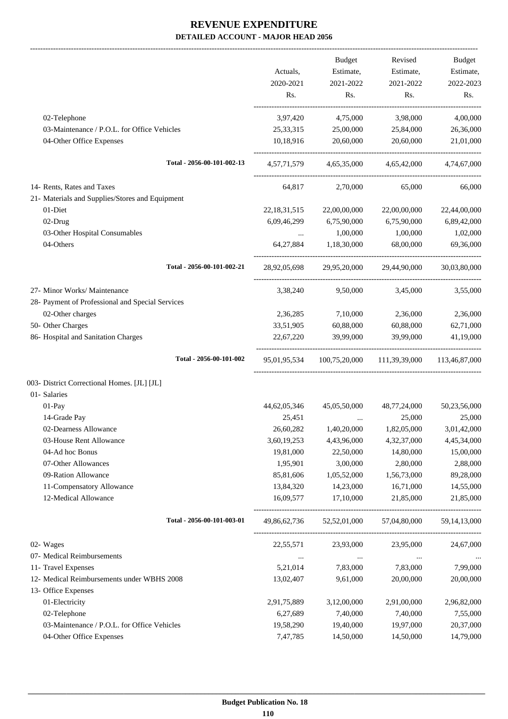-------------------------------------------------------------------------------------------------------------------------------------------------------------------------------

|                                                  | Actuals,<br>2020-2021<br>Rs.                   | Budget<br>Estimate,<br>2021-2022<br>Rs. | Revised<br>Estimate,<br>2021-2022<br>Rs.               | <b>Budget</b><br>Estimate,<br>2022-2023<br>Rs. |
|--------------------------------------------------|------------------------------------------------|-----------------------------------------|--------------------------------------------------------|------------------------------------------------|
| 02-Telephone                                     | 3,97,420                                       |                                         | 4,75,000 3,98,000                                      | 4,00,000                                       |
| 03-Maintenance / P.O.L. for Office Vehicles      | 25, 33, 315                                    | 25,00,000                               | 25,84,000                                              | 26,36,000                                      |
| 04-Other Office Expenses                         |                                                | 10,18,916 20,60,000                     | 20,60,000                                              | 21,01,000                                      |
| Total - 2056-00-101-002-13                       |                                                |                                         | 4,57,71,579 4,65,35,000 4,65,42,000 4,74,67,000        |                                                |
| 14- Rents, Rates and Taxes                       |                                                | 64,817 2,70,000                         | 65,000                                                 | 66,000                                         |
| 21- Materials and Supplies/Stores and Equipment  |                                                |                                         |                                                        |                                                |
| $01-Diet$                                        | 22, 18, 31, 515                                | 22,00,00,000                            | 22,00,00,000                                           | 22,44,00,000                                   |
| 02-Drug                                          | 6,09,46,299                                    | 6,75,90,000                             | 6,75,90,000                                            | 6,89,42,000                                    |
| 03-Other Hospital Consumables                    | $\mathbf{1}$ and $\mathbf{1}$ and $\mathbf{1}$ | 1,00,000                                | 1,00,000                                               | 1,02,000                                       |
| 04-Others                                        |                                                | 64,27,884 1,18,30,000                   | 68,00,000                                              | 69,36,000                                      |
| Total - 2056-00-101-002-21                       |                                                |                                         | 28,92,05,698 29,95,20,000 29,44,90,000 30,03,80,000    |                                                |
| 27- Minor Works/ Maintenance                     | 3,38,240                                       | 9,50,000                                | 3,45,000                                               | 3,55,000                                       |
| 28- Payment of Professional and Special Services |                                                |                                         |                                                        |                                                |
| 02-Other charges                                 |                                                | 2,36,285 7,10,000                       | 2,36,000                                               | 2,36,000                                       |
| 50- Other Charges                                | 33,51,905                                      | 60,88,000                               | 60,88,000                                              | 62,71,000                                      |
| 86- Hospital and Sanitation Charges              | 22,67,220                                      | 39,99,000                               | 39,99,000                                              | 41,19,000                                      |
| Total - 2056-00-101-002                          |                                                |                                         | 95,01,95,534 100,75,20,000 111,39,39,000 113,46,87,000 |                                                |
| 003- District Correctional Homes. [JL] [JL]      |                                                |                                         |                                                        |                                                |
| 01- Salaries                                     |                                                |                                         |                                                        |                                                |
| 01-Pay                                           | 44,62,05,346                                   | 45,05,50,000                            | 48,77,24,000                                           | 50,23,56,000                                   |
| 14-Grade Pay                                     | 25,451                                         | $\cdots$                                | 25,000                                                 | 25,000                                         |
| 02-Dearness Allowance                            | 26,60,282                                      | 1,40,20,000                             | 1,82,05,000                                            | 3,01,42,000                                    |
| 03-House Rent Allowance                          | 3,60,19,253                                    | 4,43,96,000                             | 4,32,37,000                                            | 4,45,34,000                                    |
| 04-Ad hoc Bonus                                  | 19,81,000                                      | 22,50,000                               | 14,80,000                                              | 15,00,000                                      |
| 07-Other Allowances                              | 1,95,901                                       | 3,00,000                                | 2,80,000                                               | 2,88,000                                       |
| 09-Ration Allowance                              | 85,81,606                                      | 1,05,52,000                             | 1,56,73,000                                            | 89,28,000                                      |
| 11-Compensatory Allowance                        | 13,84,320                                      | 14,23,000                               | 16,71,000                                              | 14,55,000                                      |
| 12-Medical Allowance                             | 16,09,577                                      | 17,10,000                               | 21,85,000                                              | 21,85,000                                      |
| Total - 2056-00-101-003-01                       |                                                | 49,86,62,736 52,52,01,000               | 57,04,80,000                                           | 59, 14, 13, 000                                |
| 02- Wages                                        | 22,55,571                                      | 23,93,000                               | 23,95,000                                              | 24,67,000                                      |
| 07- Medical Reimbursements                       | $\ldots$                                       | $\ldots$                                | $\ldots$                                               |                                                |
| 11- Travel Expenses                              | 5,21,014                                       | 7,83,000                                | 7,83,000                                               | 7,99,000                                       |
| 12- Medical Reimbursements under WBHS 2008       | 13,02,407                                      | 9,61,000                                | 20,00,000                                              | 20,00,000                                      |
| 13- Office Expenses                              |                                                |                                         |                                                        |                                                |
| 01-Electricity                                   | 2,91,75,889                                    | 3,12,00,000                             | 2,91,00,000                                            | 2,96,82,000                                    |
| 02-Telephone                                     | 6,27,689                                       | 7,40,000                                | 7,40,000                                               | 7,55,000                                       |
| 03-Maintenance / P.O.L. for Office Vehicles      | 19,58,290                                      | 19,40,000                               | 19,97,000                                              | 20,37,000                                      |
| 04-Other Office Expenses                         | 7,47,785                                       | 14,50,000                               | 14,50,000                                              | 14,79,000                                      |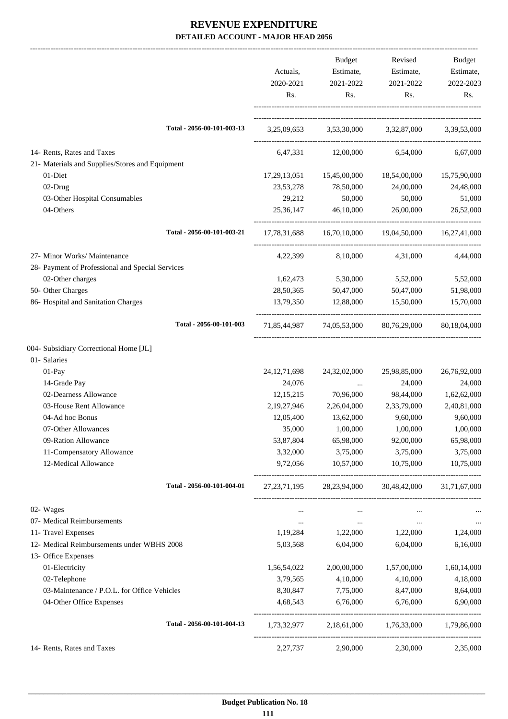|                                                                         | Actuals,<br>2020-2021<br>Rs. | Budget<br>Estimate,<br>2021-2022<br>Rs. | Revised<br>Estimate,<br>2021-2022<br>Rs.            | Budget<br>Estimate,<br>2022-2023<br>Rs. |
|-------------------------------------------------------------------------|------------------------------|-----------------------------------------|-----------------------------------------------------|-----------------------------------------|
| Total - 2056-00-101-003-13                                              |                              |                                         | 3,25,09,653 3,53,30,000 3,32,87,000 3,39,53,000     |                                         |
| 14- Rents, Rates and Taxes                                              |                              | 6,47,331 12,00,000                      | 6,54,000                                            | 6,67,000                                |
| 21- Materials and Supplies/Stores and Equipment                         |                              |                                         |                                                     |                                         |
| 01-Diet                                                                 | 17, 29, 13, 051              | 15,45,00,000                            | 18,54,00,000                                        | 15,75,90,000                            |
| 02-Drug                                                                 | 23,53,278                    | 78,50,000                               | 24,00,000                                           | 24,48,000                               |
| 03-Other Hospital Consumables                                           | 29,212                       | 50,000                                  | 50,000                                              | 51,000                                  |
| 04-Others                                                               | 25,36,147                    | 46,10,000                               | 26,00,000                                           | 26,52,000                               |
| Total - 2056-00-101-003-21                                              |                              |                                         | 17,78,31,688 16,70,10,000 19,04,50,000 16,27,41,000 |                                         |
| 27- Minor Works/ Maintenance                                            | 4,22,399                     | 8,10,000                                | 4,31,000                                            | 4,44,000                                |
| 28- Payment of Professional and Special Services                        |                              |                                         |                                                     |                                         |
| 02-Other charges                                                        | 1,62,473                     | 5,30,000                                | 5,52,000                                            | 5,52,000                                |
| 50- Other Charges                                                       | 28,50,365                    | 50,47,000                               | 50,47,000                                           | 51,98,000                               |
| 86- Hospital and Sanitation Charges                                     | 13,79,350                    | 12,88,000                               | 15,50,000                                           | 15,70,000                               |
| Total - 2056-00-101-003                                                 |                              |                                         | 71,85,44,987 74,05,53,000 80,76,29,000              | 80,18,04,000                            |
| 004- Subsidiary Correctional Home [JL]                                  |                              |                                         |                                                     |                                         |
| 01- Salaries                                                            |                              |                                         |                                                     |                                         |
| 01-Pay                                                                  | 24, 12, 71, 698              | 24, 32, 02, 000                         | 25,98,85,000                                        | 26,76,92,000                            |
| 14-Grade Pay                                                            | 24,076                       | $\cdots$                                | 24,000                                              | 24,000                                  |
| 02-Dearness Allowance                                                   | 12, 15, 215                  | 70,96,000                               | 98,44,000                                           | 1,62,62,000                             |
| 03-House Rent Allowance                                                 | 2, 19, 27, 946               | 2,26,04,000                             | 2,33,79,000                                         | 2,40,81,000                             |
| 04-Ad hoc Bonus                                                         | 12,05,400                    | 13,62,000                               | 9,60,000                                            | 9,60,000                                |
| 07-Other Allowances                                                     | 35,000                       | 1,00,000                                | 1,00,000                                            | 1,00,000                                |
| 09-Ration Allowance                                                     | 53,87,804                    | 65,98,000                               | 92,00,000                                           | 65,98,000                               |
| 11-Compensatory Allowance                                               | 3,32,000                     | 3,75,000                                | 3,75,000                                            | 3,75,000                                |
| 12-Medical Allowance                                                    | 9,72,056                     | 10,57,000                               | 10,75,000                                           | 10,75,000                               |
| Total - 2056-00-101-004-01                                              | 27, 23, 71, 195              | 28,23,94,000                            | 30,48,42,000                                        | 31,71,67,000                            |
| 02- Wages                                                               | $\cdots$                     |                                         | $\cdots$                                            |                                         |
| 07- Medical Reimbursements                                              | $\cdots$                     | $\cdots$                                | $\cdots$                                            |                                         |
| 11- Travel Expenses                                                     | 1,19,284                     | 1,22,000                                | 1,22,000                                            | 1,24,000                                |
| 12- Medical Reimbursements under WBHS 2008                              | 5,03,568                     | 6,04,000                                | 6,04,000                                            | 6,16,000                                |
| 13- Office Expenses                                                     |                              |                                         |                                                     |                                         |
| 01-Electricity                                                          | 1,56,54,022                  | 2,00,00,000                             | 1,57,00,000                                         | 1,60,14,000                             |
| 02-Telephone                                                            | 3,79,565                     | 4,10,000                                | 4,10,000                                            | 4,18,000                                |
| 03-Maintenance / P.O.L. for Office Vehicles<br>04-Other Office Expenses | 8,30,847                     | 7,75,000                                | 8,47,000                                            | 8,64,000                                |
|                                                                         | 4,68,543                     | 6,76,000                                | 6,76,000                                            | 6,90,000                                |
| Total - 2056-00-101-004-13                                              | 1,73,32,977                  | 2,18,61,000                             | 1,76,33,000                                         | 1,79,86,000                             |
| 14- Rents, Rates and Taxes                                              | 2,27,737                     | 2,90,000                                | 2,30,000                                            | 2,35,000                                |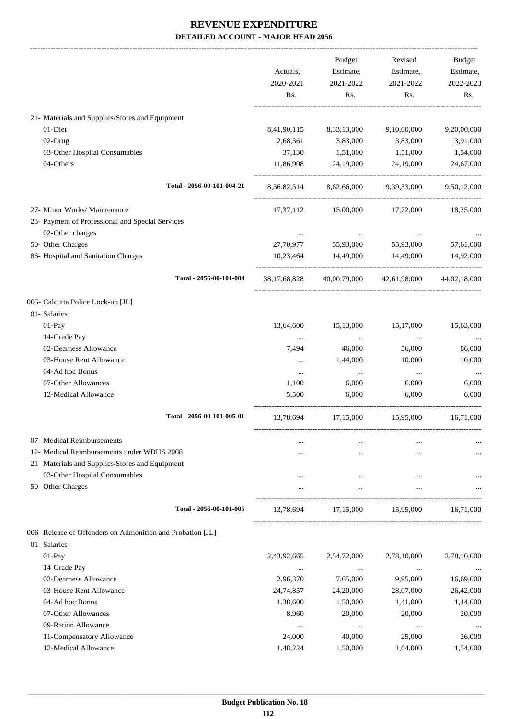|                                                            |              | Budget                              | Revised                   | Budget       |
|------------------------------------------------------------|--------------|-------------------------------------|---------------------------|--------------|
|                                                            | Actuals,     | Estimate,                           | Estimate,                 | Estimate,    |
|                                                            | 2020-2021    | 2021-2022                           | 2021-2022                 | 2022-2023    |
|                                                            | Rs.          | Rs.                                 | Rs.                       | Rs.          |
| 21- Materials and Supplies/Stores and Equipment            |              |                                     |                           |              |
| 01-Diet                                                    | 8,41,90,115  | 8,33,13,000                         | 9,10,00,000               | 9,20,00,000  |
| 02-Drug                                                    | 2,68,361     | 3,83,000                            | 3,83,000                  | 3,91,000     |
| 03-Other Hospital Consumables                              | 37,130       | 1,51,000                            | 1,51,000                  | 1,54,000     |
| 04-Others                                                  | 11,86,908    | 24,19,000                           | 24,19,000                 | 24,67,000    |
| Total - 2056-00-101-004-21                                 |              | 8,56,82,514 8,62,66,000 9,39,53,000 |                           | 9,50,12,000  |
| 27- Minor Works/ Maintenance                               | 17,37,112    | 15,00,000                           | 17,72,000                 | 18,25,000    |
| 28- Payment of Professional and Special Services           |              |                                     |                           |              |
| 02-Other charges                                           |              |                                     |                           |              |
| 50- Other Charges                                          | 27,70,977    | $\sim$ 0.000 $\mu$<br>55,93,000     | 55,93,000                 | 57,61,000    |
| 86- Hospital and Sanitation Charges                        | 10,23,464    | 14,49,000                           | 14,49,000                 | 14,92,000    |
| Total - 2056-00-101-004                                    | 38,17,68,828 |                                     | 40,00,79,000 42,61,98,000 | 44,02,18,000 |
| 005- Calcutta Police Lock-up [JL]                          |              |                                     |                           |              |
| 01- Salaries                                               |              |                                     |                           |              |
| 01-Pay                                                     | 13,64,600    | 15,13,000                           | 15,17,000                 | 15,63,000    |
| 14-Grade Pay                                               | $\cdots$     | $\cdots$                            | $\cdots$                  |              |
| 02-Dearness Allowance                                      | 7,494        | 46,000                              | 56,000                    | 86,000       |
| 03-House Rent Allowance                                    | $\cdots$     | 1,44,000                            | 10,000                    | 10,000       |
| 04-Ad hoc Bonus                                            | $\ldots$     | $\ldots$                            | $\cdots$                  | $\cdots$     |
| 07-Other Allowances                                        | 1,100        | 6,000                               | 6,000                     | 6,000        |
| 12-Medical Allowance                                       | 5,500        | 6,000                               | 6,000                     | 6,000        |
| Total - 2056-00-101-005-01                                 | 13,78,694    | 17,15,000                           | 15,95,000                 | 16,71,000    |
| 07- Medical Reimbursements                                 |              |                                     |                           |              |
| 12- Medical Reimbursements under WBHS 2008                 | $\cdots$     |                                     |                           |              |
| 21- Materials and Supplies/Stores and Equipment            |              |                                     |                           |              |
| 03-Other Hospital Consumables                              |              | $\cdots$                            |                           |              |
| 50- Other Charges                                          |              |                                     |                           |              |
| Total - 2056-00-101-005                                    | 13,78,694    | 17,15,000                           | 15,95,000                 | 16,71,000    |
| 006- Release of Offenders on Admonition and Probation [JL] |              |                                     |                           |              |
| 01- Salaries                                               |              |                                     |                           |              |
| $01-Pay$                                                   | 2,43,92,665  | 2,54,72,000                         | 2,78,10,000               | 2,78,10,000  |
| 14-Grade Pay                                               | $\cdots$     | $\cdots$                            | $\cdots$                  |              |
| 02-Dearness Allowance                                      | 2,96,370     | 7,65,000                            | 9,95,000                  | 16,69,000    |
| 03-House Rent Allowance                                    | 24,74,857    | 24,20,000                           | 28,07,000                 | 26,42,000    |
| 04-Ad hoc Bonus                                            | 1,38,600     | 1,50,000                            | 1,41,000                  | 1,44,000     |
| 07-Other Allowances                                        | 8,960        | 20,000                              | 20,000                    | 20,000       |
| 09-Ration Allowance                                        | $\cdots$     | $\cdots$                            | $\cdots$                  |              |
| 11-Compensatory Allowance                                  | 24,000       | 40,000                              | 25,000                    | 26,000       |
| 12-Medical Allowance                                       | 1,48,224     | 1,50,000                            | 1,64,000                  | 1,54,000     |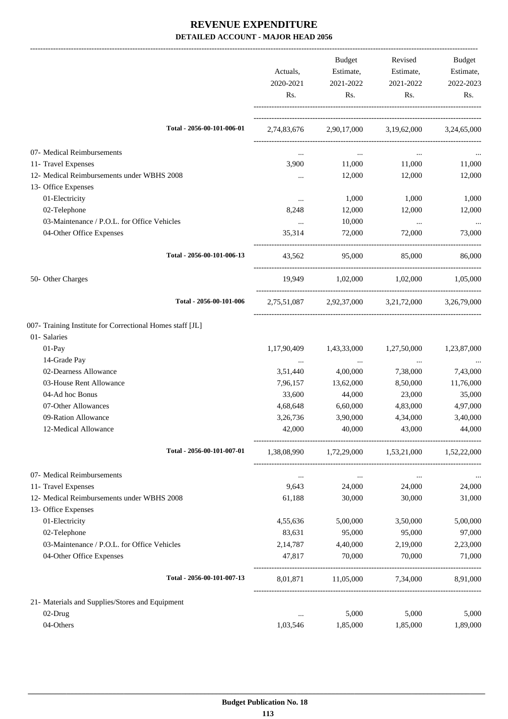|                                                           |             | <b>Budget</b> | Revised                                         | Budget      |
|-----------------------------------------------------------|-------------|---------------|-------------------------------------------------|-------------|
|                                                           | Actuals,    | Estimate,     | Estimate,                                       | Estimate,   |
|                                                           | 2020-2021   | 2021-2022     | 2021-2022                                       | 2022-2023   |
|                                                           | Rs.         | Rs.           | Rs.                                             | Rs.         |
| Total - 2056-00-101-006-01                                |             |               | 2,74,83,676 2,90,17,000 3,19,62,000 3,24,65,000 |             |
|                                                           |             |               |                                                 |             |
| 07- Medical Reimbursements                                | $\ddotsc$   | $\ldots$      | $\cdots$                                        |             |
| 11- Travel Expenses                                       | 3,900       | 11,000        | 11,000                                          | 11,000      |
| 12- Medical Reimbursements under WBHS 2008                | $\cdots$    | 12,000        | 12,000                                          | 12,000      |
| 13- Office Expenses                                       |             |               |                                                 |             |
| 01-Electricity                                            | $\cdots$    | 1,000         | 1,000                                           | 1,000       |
| 02-Telephone                                              | 8,248       | 12,000        | 12,000                                          | 12,000      |
| 03-Maintenance / P.O.L. for Office Vehicles               | $\ddots$    | 10,000        | $\ddots$                                        | $\ldots$    |
| 04-Other Office Expenses                                  | 35,314      | 72,000        | 72,000                                          | 73,000      |
| Total - 2056-00-101-006-13                                | 43.562      | 95,000        | 85,000                                          | 86,000      |
| 50- Other Charges                                         |             |               | 19,949 1,02,000 1,02,000 1,05,000               |             |
| Total - 2056-00-101-006                                   |             |               | 2,75,51,087 2,92,37,000 3,21,72,000 3,26,79,000 |             |
| 007- Training Institute for Correctional Homes staff [JL] |             |               |                                                 |             |
| 01- Salaries                                              |             |               |                                                 |             |
| 01-Pay                                                    | 1,17,90,409 | 1,43,33,000   | 1,27,50,000                                     | 1,23,87,000 |
| 14-Grade Pay                                              | $\ldots$    | $\ldots$      | $\cdots$                                        |             |
| 02-Dearness Allowance                                     | 3,51,440    | 4,00,000      | 7,38,000                                        | 7,43,000    |
| 03-House Rent Allowance                                   | 7,96,157    | 13,62,000     | 8,50,000                                        | 11,76,000   |
| 04-Ad hoc Bonus                                           | 33,600      | 44,000        | 23,000                                          | 35,000      |
| 07-Other Allowances                                       | 4,68,648    | 6,60,000      | 4,83,000                                        | 4,97,000    |
| 09-Ration Allowance                                       | 3,26,736    | 3,90,000      | 4,34,000                                        | 3,40,000    |
| 12-Medical Allowance                                      | 42,000      | 40,000        | 43,000                                          | 44,000      |
| Total - 2056-00-101-007-01                                | 1,38,08,990 |               | 1,72,29,000 1,53,21,000 1,52,22,000             |             |
| 07- Medical Reimbursements                                | $\ldots$    | $\cdots$      | $\cdots$                                        |             |
| 11- Travel Expenses                                       | 9,643       | 24,000        | 24,000                                          | 24,000      |
| 12- Medical Reimbursements under WBHS 2008                | 61,188      | 30,000        | 30,000                                          | 31,000      |
| 13- Office Expenses                                       |             |               |                                                 |             |
| 01-Electricity                                            | 4,55,636    | 5,00,000      | 3,50,000                                        | 5,00,000    |
| 02-Telephone                                              | 83,631      | 95,000        | 95,000                                          | 97,000      |
| 03-Maintenance / P.O.L. for Office Vehicles               | 2, 14, 787  | 4,40,000      | 2,19,000                                        | 2,23,000    |
| 04-Other Office Expenses                                  | 47,817      | 70,000        | 70,000                                          | 71,000      |
| Total - 2056-00-101-007-13                                | 8,01,871    |               | 11,05,000 7,34,000                              | 8,91,000    |
| 21- Materials and Supplies/Stores and Equipment           |             |               |                                                 |             |
| 02-Drug                                                   | $\cdots$    | 5,000         | 5,000                                           | 5,000       |
| 04-Others                                                 | 1,03,546    | 1,85,000      | 1,85,000                                        | 1,89,000    |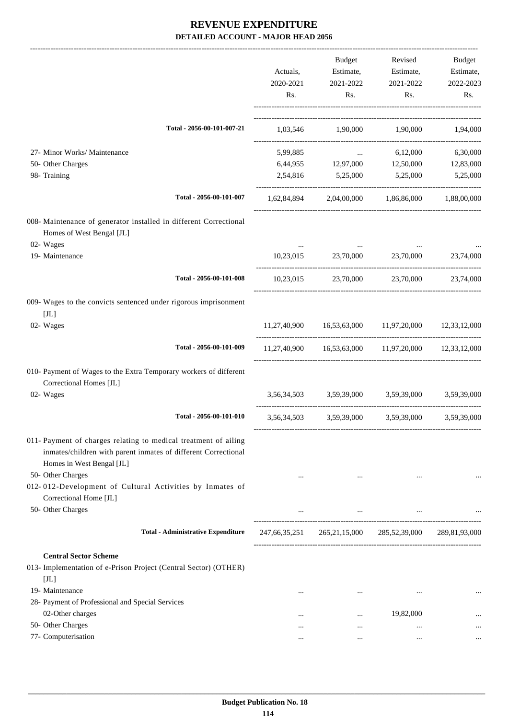|                                                                                                                                                                |                  | Budget                                                 | Revised                             | Budget           |
|----------------------------------------------------------------------------------------------------------------------------------------------------------------|------------------|--------------------------------------------------------|-------------------------------------|------------------|
|                                                                                                                                                                | Actuals,         | Estimate,                                              | Estimate,                           | Estimate,        |
|                                                                                                                                                                | 2020-2021<br>Rs. | 2021-2022<br>Rs.                                       | 2021-2022<br>Rs.                    | 2022-2023<br>Rs. |
|                                                                                                                                                                |                  |                                                        |                                     |                  |
| Total - 2056-00-101-007-21                                                                                                                                     |                  | 1,03,546 1,90,000 1,90,000 1,94,000                    |                                     |                  |
| 27- Minor Works/ Maintenance                                                                                                                                   | 5,99,885         | $\Delta\Delta\omega$ and                               | 6,12,000                            | 6,30,000         |
| 50- Other Charges                                                                                                                                              |                  | 6,44,955 12,97,000 12,50,000 12,83,000                 |                                     |                  |
| 98- Training                                                                                                                                                   |                  | 2,54,816 5,25,000 5,25,000                             |                                     | 5,25,000         |
| Total - 2056-00-101-007                                                                                                                                        | 1,62,84,894      |                                                        | 2,04,00,000 1,86,86,000 1,88,00,000 |                  |
| 008- Maintenance of generator installed in different Correctional<br>Homes of West Bengal [JL]<br>02- Wages                                                    |                  |                                                        |                                     |                  |
| 19- Maintenance                                                                                                                                                | 10,23,015        | 23,70,000                                              | 23,70,000                           | 23,74,000        |
| Total - 2056-00-101-008                                                                                                                                        |                  | 10,23,015 23,70,000 23,70,000                          |                                     | 23,74,000        |
| 009- Wages to the convicts sentenced under rigorous imprisonment                                                                                               |                  |                                                        |                                     |                  |
| $[\mathrm{J} \mathrm{L}]$<br>02- Wages                                                                                                                         |                  | 11,27,40,900 16,53,63,000 11,97,20,000 12,33,12,000    |                                     |                  |
| Total - 2056-00-101-009                                                                                                                                        |                  | 11,27,40,900  16,53,63,000  11,97,20,000  12,33,12,000 |                                     |                  |
| 010- Payment of Wages to the Extra Temporary workers of different<br>Correctional Homes [JL]                                                                   |                  |                                                        |                                     |                  |
| 02- Wages                                                                                                                                                      |                  | 3,56,34,503 3,59,39,000 3,59,39,000                    |                                     | 3,59,39,000      |
| Total - 2056-00-101-010                                                                                                                                        |                  | 3,56,34,503 3,59,39,000 3,59,39,000                    |                                     | 3,59,39,000      |
| 011- Payment of charges relating to medical treatment of ailing<br>inmates/children with parent inmates of different Correctional<br>Homes in West Bengal [JL] |                  |                                                        |                                     |                  |
| 50- Other Charges<br>012-012-Development of Cultural Activities by Inmates of<br>Correctional Home [JL]                                                        |                  | $\cdots$                                               |                                     |                  |
| 50- Other Charges                                                                                                                                              | $\cdots$         | $\cdots$                                               | $\cdots$                            |                  |
| <b>Total - Administrative Expenditure</b>                                                                                                                      | 247,66,35,251    | 265, 21, 15, 000                                       | 285,52,39,000                       | 289,81,93,000    |
| <b>Central Sector Scheme</b>                                                                                                                                   |                  |                                                        |                                     |                  |
| 013- Implementation of e-Prison Project (Central Sector) (OTHER)<br>[JL]                                                                                       |                  |                                                        |                                     |                  |
| 19- Maintenance                                                                                                                                                |                  | $\cdots$                                               | $\cdots$                            | $\cdots$         |
| 28- Payment of Professional and Special Services                                                                                                               |                  |                                                        |                                     |                  |
| 02-Other charges                                                                                                                                               | $\cdots$         | $\cdots$                                               | 19,82,000                           |                  |
| 50- Other Charges                                                                                                                                              | $\cdots$         | $\cdots$                                               | $\cdots$                            | $\cdots$         |
| 77- Computerisation                                                                                                                                            |                  | $\cdots$                                               |                                     |                  |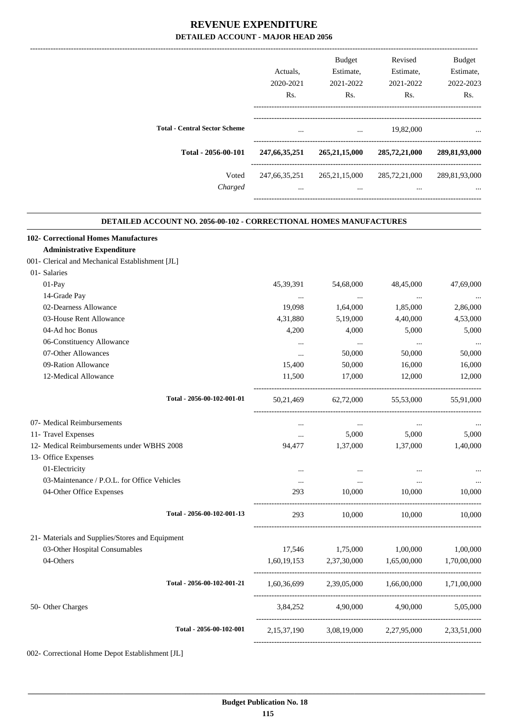|                                      |                  | <b>Budget</b>    | Revised       | <b>Budget</b> |
|--------------------------------------|------------------|------------------|---------------|---------------|
|                                      | Actuals.         | Estimate,        | Estimate,     | Estimate,     |
|                                      | 2020-2021        | 2021-2022        | 2021-2022     | 2022-2023     |
|                                      | Rs.              | Rs.              | Rs.           | Rs.           |
| <b>Total - Central Sector Scheme</b> | $\cdots$         | $\cdots$         | 19,82,000     | $\cdots$      |
| Total - 2056-00-101                  | 247, 66, 35, 251 | 265, 21, 15, 000 | 285,72,21,000 | 289,81,93,000 |
| Voted                                | 247,66,35,251    | 265, 21, 15, 000 | 285,72,21,000 | 289,81,93,000 |
| Charged                              | $\cdots$         | $\cdots$         | $\cdots$      | $\cdots$      |
|                                      |                  |                  |               |               |

.

#### **DETAILED ACCOUNT NO. 2056-00-102 - CORRECTIONAL HOMES MANUFACTURES**

| 102- Correctional Homes Manufactures            |                            |             |                                     |                                                         |             |
|-------------------------------------------------|----------------------------|-------------|-------------------------------------|---------------------------------------------------------|-------------|
| <b>Administrative Expenditure</b>               |                            |             |                                     |                                                         |             |
| 001- Clerical and Mechanical Establishment [JL] |                            |             |                                     |                                                         |             |
| 01- Salaries                                    |                            |             |                                     |                                                         |             |
| 01-Pay                                          |                            | 45, 39, 391 | 54,68,000                           | 48,45,000                                               | 47,69,000   |
| 14-Grade Pay                                    |                            | $\cdots$    | $\cdots$                            | $\cdots$                                                |             |
| 02-Dearness Allowance                           |                            | 19,098      | 1,64,000                            | 1,85,000                                                | 2,86,000    |
| 03-House Rent Allowance                         |                            | 4,31,880    | 5,19,000                            | 4,40,000                                                | 4,53,000    |
| 04-Ad hoc Bonus                                 |                            | 4,200       | 4,000                               | 5,000                                                   | 5,000       |
| 06-Constituency Allowance                       |                            | $\cdots$    | $\cdots$                            | $\cdots$                                                |             |
| 07-Other Allowances                             |                            | $\cdots$    | 50,000                              | 50,000                                                  | 50,000      |
| 09-Ration Allowance                             |                            | 15,400      | 50,000                              | 16,000                                                  | 16,000      |
| 12-Medical Allowance                            |                            | 11,500      | 17,000                              | 12,000                                                  | 12,000      |
|                                                 | Total - 2056-00-102-001-01 |             |                                     | 50,21,469 62,72,000 55,53,000                           | 55,91,000   |
| 07- Medical Reimbursements                      |                            | $\cdots$    | $\ldots$                            | $\cdots$                                                |             |
| 11- Travel Expenses                             |                            | $\cdots$    | 5,000                               | 5,000                                                   | 5,000       |
| 12- Medical Reimbursements under WBHS 2008      |                            | 94,477      | 1,37,000                            | 1,37,000                                                | 1,40,000    |
| 13- Office Expenses                             |                            |             |                                     |                                                         |             |
| 01-Electricity                                  |                            | $\cdots$    | $\cdots$                            | $\cdots$                                                |             |
| 03-Maintenance / P.O.L. for Office Vehicles     |                            | $\cdots$    | $\cdots$                            | $\cdots$                                                |             |
| 04-Other Office Expenses                        |                            | 293         | 10,000                              | 10,000                                                  | 10.000      |
|                                                 | Total - 2056-00-102-001-13 | 293         | 10,000                              | 10.000                                                  | 10,000      |
| 21- Materials and Supplies/Stores and Equipment |                            |             |                                     |                                                         |             |
| 03-Other Hospital Consumables                   |                            | 17,546      | 1,75,000                            | 1,00,000                                                | 1,00,000    |
| 04-Others                                       |                            |             | 1,60,19,153 2,37,30,000 1,65,00,000 |                                                         | 1,70,00,000 |
|                                                 | Total - 2056-00-102-001-21 |             |                                     | $1,60,36,699$ $2,39,05,000$ $1,66,00,000$ $1,71,00,000$ |             |
| 50- Other Charges                               |                            |             |                                     | 3,84,252 4,90,000 4,90,000                              | 5.05.000    |
|                                                 | Total - 2056-00-102-001    |             |                                     | 2,15,37,190 3,08,19,000 2,27,95,000 2,33,51,000         |             |
|                                                 |                            |             |                                     |                                                         |             |

002- Correctional Home Depot Establishment [JL]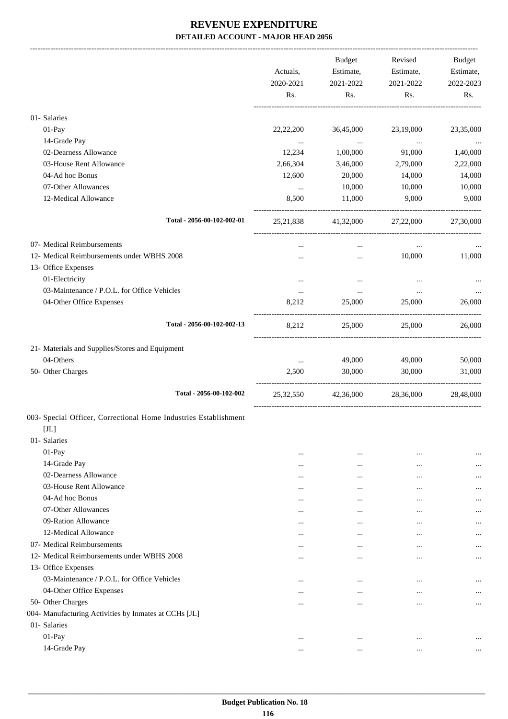|                                                                  | Actuals,<br>2020-2021<br>Rs. | Budget<br>Estimate,<br>2021-2022<br>Rs. | Revised<br>Estimate,<br>2021-2022<br>Rs. | Budget<br>Estimate,<br>2022-2023<br>Rs. |
|------------------------------------------------------------------|------------------------------|-----------------------------------------|------------------------------------------|-----------------------------------------|
| 01- Salaries                                                     |                              |                                         |                                          |                                         |
| 01-Pay                                                           | 22,22,200                    | 36,45,000                               | 23,19,000                                | 23,35,000                               |
| 14-Grade Pay                                                     | $\cdots$                     | $\sim$ $\sim$ $\sim$                    | <b>Contract Contract</b>                 | $\ldots$                                |
| 02-Dearness Allowance                                            | 12,234                       | 1,00,000                                | 91,000                                   | 1,40,000                                |
| 03-House Rent Allowance                                          | 2,66,304                     | 3,46,000                                | 2,79,000                                 | 2,22,000                                |
| 04-Ad hoc Bonus                                                  | 12,600                       | 20,000                                  | 14,000                                   | 14,000                                  |
| 07-Other Allowances                                              | $\cdots$                     | 10,000                                  | 10,000                                   | 10,000                                  |
| 12-Medical Allowance                                             | 8,500                        | 11,000                                  | 9,000                                    | 9,000                                   |
| Total - 2056-00-102-002-01                                       |                              | 25,21,838 41,32,000 27,22,000 27,30,000 |                                          |                                         |
| 07- Medical Reimbursements                                       |                              | $\cdots$                                | $\cdots$                                 |                                         |
| 12- Medical Reimbursements under WBHS 2008                       |                              | $\cdots$                                | 10,000                                   | 11,000                                  |
| 13- Office Expenses                                              |                              |                                         |                                          |                                         |
| 01-Electricity                                                   | $\cdots$                     | $\cdots$                                | $\cdots$                                 |                                         |
| 03-Maintenance / P.O.L. for Office Vehicles                      | $\cdots$                     | $\cdots$                                | $\cdots$                                 |                                         |
| 04-Other Office Expenses                                         | 8,212                        | 25,000                                  | 25,000                                   | 26,000                                  |
| Total - 2056-00-102-002-13                                       | 8,212                        | 25,000                                  | 25,000                                   | 26,000                                  |
| 21- Materials and Supplies/Stores and Equipment                  |                              |                                         |                                          |                                         |
| 04-Others                                                        | $\cdots$                     | 49,000                                  | 49,000                                   | 50,000                                  |
| 50- Other Charges                                                | 2,500                        | 30,000                                  | 30,000                                   | 31,000                                  |
| Total - 2056-00-102-002                                          | 25,32,550                    | 42,36,000                               | 28,36,000                                | 28,48,000                               |
| 003- Special Officer, Correctional Home Industries Establishment |                              |                                         |                                          |                                         |
| $[JL]$                                                           |                              |                                         |                                          |                                         |
| 01- Salaries                                                     |                              |                                         |                                          |                                         |
| 01-Pay                                                           | $\cdots$                     | $\cdots$                                | $\cdots$                                 | $\ddotsc$                               |
| 14-Grade Pay<br>02-Dearness Allowance                            | $\cdots$                     | $\cdots$                                |                                          |                                         |
| 03-House Rent Allowance                                          | $\cdots$                     | $\cdots$                                | $\cdots$                                 |                                         |
| 04-Ad hoc Bonus                                                  | $\cdots$                     | $\cdots$                                |                                          | $\cdots$                                |
| 07-Other Allowances                                              | $\cdots$                     | $\cdots$                                |                                          | $\cdots$                                |
| 09-Ration Allowance                                              | $\ddotsc$                    | $\cdots$                                |                                          |                                         |
| 12-Medical Allowance                                             | $\cdots$<br>$\cdots$         | $\cdots$<br>$\cdots$                    | <br>$\cdots$                             | $\cdots$<br>                            |
| 07- Medical Reimbursements                                       |                              | $\cdots$                                | $\cdots$                                 |                                         |
| 12- Medical Reimbursements under WBHS 2008                       | $\cdots$                     | $\cdots$                                | $\cdots$                                 |                                         |
| 13- Office Expenses                                              |                              |                                         |                                          |                                         |
| 03-Maintenance / P.O.L. for Office Vehicles                      | $\cdots$                     | $\cdots$                                | $\cdots$                                 |                                         |
| 04-Other Office Expenses                                         | $\cdots$                     | $\cdots$                                | $\cdots$                                 |                                         |
| 50- Other Charges                                                | $\cdots$                     | $\cdots$                                | $\cdots$                                 | $\cdots$                                |
| 004- Manufacturing Activities by Inmates at CCHs [JL]            |                              |                                         |                                          |                                         |
| 01- Salaries                                                     |                              |                                         |                                          |                                         |
| 01-Pay                                                           | $\cdots$                     | $\cdots$                                | $\cdots$                                 | $\ddotsc$                               |
| 14-Grade Pay                                                     | $\cdots$                     | $\cdots$                                | $\cdots$                                 | $\cdots$                                |
|                                                                  |                              |                                         |                                          |                                         |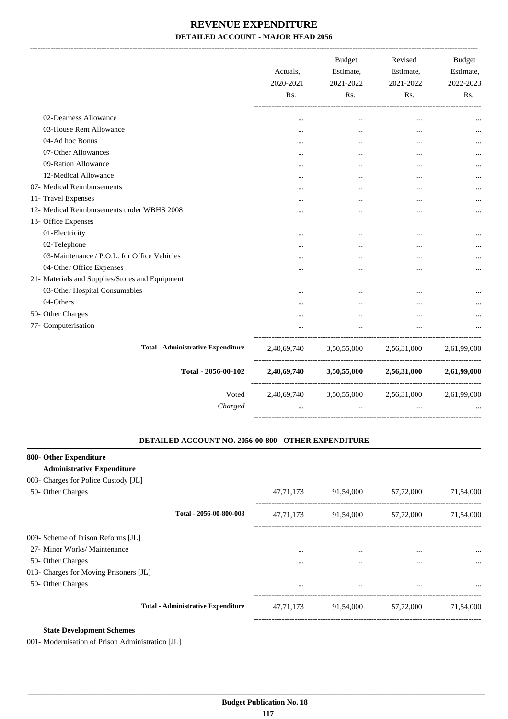|                                                 | Actuals,<br>2020-2021<br>Rs. | <b>Budget</b><br>Estimate,<br>2021-2022<br>Rs. | Revised<br>Estimate,<br>2021-2022<br>Rs. | Budget<br>Estimate,<br>2022-2023<br>Rs. |
|-------------------------------------------------|------------------------------|------------------------------------------------|------------------------------------------|-----------------------------------------|
| 02-Dearness Allowance                           | $\ddotsc$                    |                                                |                                          |                                         |
| 03-House Rent Allowance                         | $\cdots$                     | $\cdots$                                       | $\cdots$                                 |                                         |
| 04-Ad hoc Bonus                                 |                              | $\cdots$                                       | $\cdots$                                 |                                         |
| 07-Other Allowances                             |                              |                                                |                                          |                                         |
| 09-Ration Allowance                             |                              |                                                | $\cdots$                                 |                                         |
| 12-Medical Allowance                            |                              | $\cdots$                                       | $\cdots$                                 |                                         |
| 07- Medical Reimbursements                      | $\ddotsc$                    | $\cdots$                                       | $\cdots$                                 |                                         |
| 11- Travel Expenses                             |                              |                                                | $\cdots$                                 |                                         |
| 12- Medical Reimbursements under WBHS 2008      | .                            | $\cdots$                                       | $\ddotsc$                                |                                         |
| 13- Office Expenses                             |                              |                                                |                                          |                                         |
| 01-Electricity                                  | $\cdots$                     |                                                |                                          |                                         |
| 02-Telephone                                    |                              |                                                |                                          |                                         |
| 03-Maintenance / P.O.L. for Office Vehicles     | $\ddotsc$                    |                                                | $\cdots$                                 |                                         |
| 04-Other Office Expenses                        |                              |                                                |                                          |                                         |
| 21- Materials and Supplies/Stores and Equipment |                              |                                                |                                          |                                         |
| 03-Other Hospital Consumables                   | $\ddotsc$                    | $\ddotsc$                                      | $\ddotsc$                                |                                         |
| 04-Others                                       |                              |                                                |                                          |                                         |
| 50- Other Charges                               |                              |                                                | $\ddotsc$                                |                                         |
| 77- Computerisation                             | $\cdots$                     | $\cdots$                                       | $\cdots$                                 |                                         |
| <b>Total - Administrative Expenditure</b>       | 2,40,69,740                  | 3,50,55,000                                    | 2,56,31,000                              | 2,61,99,000                             |
| Total - 2056-00-102                             | 2,40,69,740                  | 3,50,55,000                                    | 2,56,31,000                              | 2,61,99,000                             |
| Voted                                           |                              | 2,40,69,740 3,50,55,000 2,56,31,000            |                                          | 2,61,99,000                             |
| Charged                                         | $\cdots$                     | $\cdots$                                       | $\cdots$                                 |                                         |
|                                                 |                              |                                                |                                          |                                         |

#### **DETAILED ACCOUNT NO. 2056-00-800 - OTHER EXPENDITURE .**

.

#### **800- Other Expenditure**

#### **Administrative Expenditure**

| 003- Charges for Police Custody [JL]   |                                           |             |           |           |           |
|----------------------------------------|-------------------------------------------|-------------|-----------|-----------|-----------|
| 50- Other Charges                      |                                           | 47, 71, 173 | 91,54,000 | 57,72,000 | 71,54,000 |
|                                        | Total - 2056-00-800-003                   | 47, 71, 173 | 91,54,000 | 57,72,000 | 71,54,000 |
| 009- Scheme of Prison Reforms [JL]     |                                           |             |           |           |           |
| 27- Minor Works/ Maintenance           |                                           | $\cdots$    |           | $\cdots$  | $\cdots$  |
| 50- Other Charges                      |                                           |             |           |           | $\cdots$  |
| 013- Charges for Moving Prisoners [JL] |                                           |             |           |           |           |
| 50- Other Charges                      |                                           | $\cdots$    | $\cdots$  | $\cdots$  | $\cdots$  |
|                                        | <b>Total - Administrative Expenditure</b> | 47.71.173   | 91,54,000 | 57,72,000 | 71,54,000 |
|                                        |                                           |             |           |           |           |

#### **State Development Schemes**

001- Modernisation of Prison Administration [JL]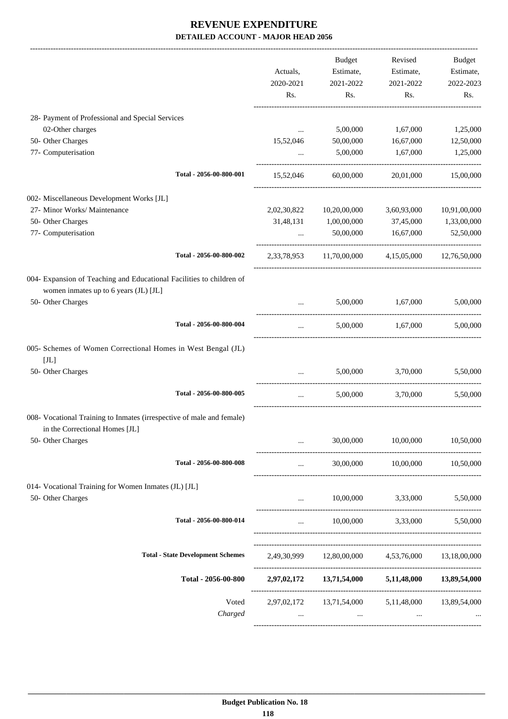|                                                                                                         |             | <b>Budget</b>                        | Revised                                           | <b>Budget</b> |
|---------------------------------------------------------------------------------------------------------|-------------|--------------------------------------|---------------------------------------------------|---------------|
|                                                                                                         | Actuals,    | Estimate,                            | Estimate,                                         | Estimate,     |
|                                                                                                         | 2020-2021   | 2021-2022                            | 2021-2022                                         | 2022-2023     |
|                                                                                                         | Rs.         | Rs.                                  | Rs.                                               | Rs.           |
| 28- Payment of Professional and Special Services                                                        |             |                                      |                                                   |               |
| 02-Other charges                                                                                        | $\cdots$    | 5,00,000                             | 1,67,000                                          | 1,25,000      |
| 50- Other Charges                                                                                       | 15,52,046   | 50,00,000                            | 16,67,000                                         | 12,50,000     |
| 77- Computerisation                                                                                     | $\cdots$    | 5,00,000                             | 1,67,000                                          | 1,25,000      |
| Total - 2056-00-800-001                                                                                 | 15,52,046   | 60,00,000                            | 20,01,000                                         | 15,00,000     |
| 002- Miscellaneous Development Works [JL]                                                               |             |                                      |                                                   |               |
| 27- Minor Works/ Maintenance                                                                            | 2,02,30,822 | 10,20,00,000                         | 3,60,93,000                                       | 10,91,00,000  |
| 50- Other Charges                                                                                       | 31,48,131   | 1,00,00,000                          | 37,45,000                                         | 1,33,00,000   |
| 77- Computerisation                                                                                     | $\cdots$    | 50,00,000                            | 16,67,000                                         | 52,50,000     |
| Total - 2056-00-800-002                                                                                 |             | 2,33,78,953 11,70,00,000             | 4,15,05,000                                       | 12,76,50,000  |
| 004- Expansion of Teaching and Educational Facilities to children of                                    |             |                                      |                                                   |               |
| women inmates up to 6 years (JL) [JL]                                                                   |             |                                      |                                                   |               |
| 50- Other Charges                                                                                       | $\ddots$    | 5,00,000                             | 1,67,000                                          | 5,00,000      |
| Total - 2056-00-800-004                                                                                 | $\cdots$    | 5,00,000                             | 1,67,000                                          | 5,00,000      |
| 005- Schemes of Women Correctional Homes in West Bengal (JL)<br>[JL]                                    |             |                                      |                                                   |               |
| 50- Other Charges                                                                                       | $\cdots$    | 5,00,000                             | 3,70,000                                          | 5,50,000      |
| Total - 2056-00-800-005                                                                                 | $\cdots$    | 5,00,000                             | 3,70,000                                          | 5,50,000      |
| 008- Vocational Training to Inmates (irrespective of male and female)<br>in the Correctional Homes [JL] |             |                                      |                                                   |               |
| 50- Other Charges                                                                                       |             | 30,00,000                            | 10,00,000                                         | 10,50,000     |
| Total - 2056-00-800-008                                                                                 | $\cdots$    |                                      | 30,00,000   10,00,000   10,50,000                 |               |
| 014- Vocational Training for Women Inmates (JL) [JL]                                                    |             |                                      |                                                   |               |
| 50- Other Charges                                                                                       |             | 10,00,000                            | 3,33,000                                          | 5,50,000      |
| Total - 2056-00-800-014                                                                                 | $\cdots$    | 10,00,000                            | 3,33,000                                          | 5,50,000      |
| <b>Total - State Development Schemes</b>                                                                |             |                                      | 2,49,30,999 12,80,00,000 4,53,76,000 13,18,00,000 |               |
|                                                                                                         |             |                                      |                                                   |               |
| Total - 2056-00-800                                                                                     |             |                                      | 2,97,02,172 13,71,54,000 5,11,48,000 13,89,54,000 |               |
| Voted                                                                                                   |             | 2,97,02,172 13,71,54,000 5,11,48,000 |                                                   | 13,89,54,000  |
| Charged                                                                                                 | $\cdots$    | $\cdots$                             |                                                   |               |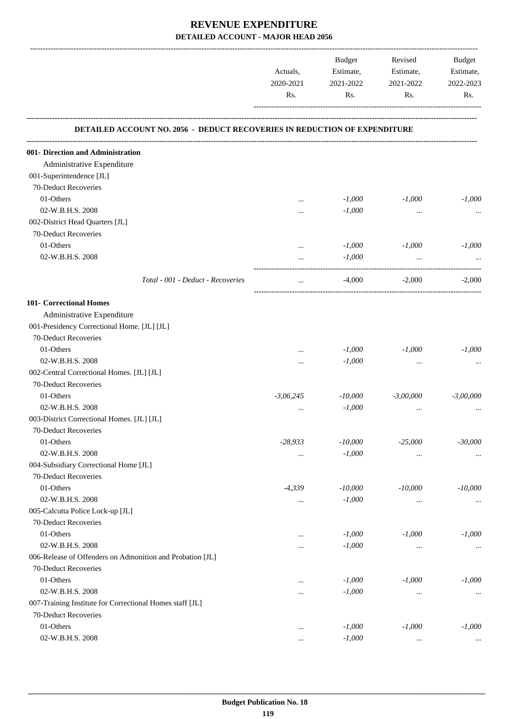|                                                                                  |             | Budget    | Revised     | Budget      |
|----------------------------------------------------------------------------------|-------------|-----------|-------------|-------------|
|                                                                                  | Actuals,    | Estimate, | Estimate,   | Estimate,   |
|                                                                                  | 2020-2021   | 2021-2022 | 2021-2022   | 2022-2023   |
|                                                                                  | Rs.         | Rs.       | Rs.         | Rs.         |
| <b>DETAILED ACCOUNT NO. 2056 - DEDUCT RECOVERIES IN REDUCTION OF EXPENDITURE</b> |             |           |             |             |
| 001- Direction and Administration                                                |             |           |             |             |
| Administrative Expenditure                                                       |             |           |             |             |
| 001-Superintendence [JL]                                                         |             |           |             |             |
| 70-Deduct Recoveries                                                             |             |           |             |             |
| 01-Others                                                                        |             | $-1,000$  | $-1,000$    | $-1,000$    |
| 02-W.B.H.S. 2008                                                                 |             | $-1,000$  | $\cdots$    |             |
| 002-District Head Quarters [JL]                                                  |             |           |             |             |
| 70-Deduct Recoveries                                                             |             |           |             |             |
| 01-Others                                                                        |             | $-1,000$  | $-1,000$    | $-1,000$    |
| 02-W.B.H.S. 2008                                                                 |             | $-1,000$  | $\ddotsc$   |             |
|                                                                                  |             |           |             |             |
| Total - 001 - Deduct - Recoveries                                                | $\cdots$    | $-4,000$  | $-2,000$    | $-2,000$    |
| 101- Correctional Homes                                                          |             |           |             |             |
| Administrative Expenditure                                                       |             |           |             |             |
| 001-Presidency Correctional Home. [JL] [JL]                                      |             |           |             |             |
| 70-Deduct Recoveries                                                             |             |           |             |             |
| 01-Others                                                                        |             | $-1,000$  | $-1,000$    | $-1,000$    |
| 02-W.B.H.S. 2008                                                                 | $\cdots$    | $-1,000$  | $\cdots$    | $\cdots$    |
| 002-Central Correctional Homes. [JL] [JL]                                        |             |           |             |             |
| 70-Deduct Recoveries                                                             |             |           |             |             |
| 01-Others                                                                        | $-3,06,245$ | $-10,000$ | $-3,00,000$ | $-3,00,000$ |
| 02-W.B.H.S. 2008                                                                 |             | $-1,000$  | $\cdots$    |             |
| 003-District Correctional Homes. [JL] [JL]                                       |             |           |             |             |
| 70-Deduct Recoveries                                                             |             |           |             |             |
| 01-Others                                                                        | $-28,933$   | $-10,000$ | $-25,000$   | $-30,000$   |
| 02-W.B.H.S. 2008                                                                 |             | $-1,000$  | $\cdots$    | $\cdots$    |
| 004-Subsidiary Correctional Home [JL]                                            |             |           |             |             |
| 70-Deduct Recoveries                                                             |             |           |             |             |
| 01-Others                                                                        | $-4,339$    | $-10,000$ | $-10,000$   | $-10,000$   |
| 02-W.B.H.S. 2008                                                                 |             | $-1,000$  | $\cdots$    |             |
| 005-Calcutta Police Lock-up [JL]                                                 |             |           |             |             |
| 70-Deduct Recoveries                                                             |             |           |             |             |
| 01-Others                                                                        | $\cdots$    | $-1,000$  | $-1,000$    | $-1,000$    |
| 02-W.B.H.S. 2008                                                                 |             | $-1,000$  | $\cdots$    | $\cdots$    |
| 006-Release of Offenders on Admonition and Probation [JL]                        |             |           |             |             |
| 70-Deduct Recoveries                                                             |             |           |             |             |
| 01-Others                                                                        |             | $-1,000$  | $-1,000$    | $-1,000$    |
| 02-W.B.H.S. 2008                                                                 |             | $-1,000$  |             | $\cdots$    |
| 007-Training Institute for Correctional Homes staff [JL]                         |             |           |             |             |
| 70-Deduct Recoveries                                                             |             |           |             |             |
| 01-Others                                                                        |             | $-1,000$  | $-1,000$    | $-1,000$    |
| 02-W.B.H.S. 2008                                                                 |             | $-1,000$  | $\cdots$    |             |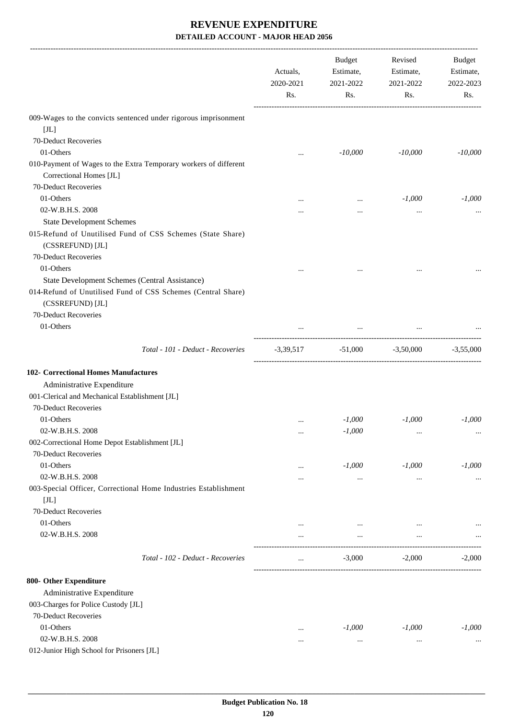|                                                                                                                                    | Actuals,<br>2020-2021<br>Rs. | Budget<br>Estimate,<br>2021-2022<br>Rs. | Revised<br>Estimate,<br>2021-2022<br>Rs. | Budget<br>Estimate,<br>2022-2023<br>Rs. |
|------------------------------------------------------------------------------------------------------------------------------------|------------------------------|-----------------------------------------|------------------------------------------|-----------------------------------------|
| 009-Wages to the convicts sentenced under rigorous imprisonment                                                                    |                              |                                         |                                          |                                         |
| [JL]                                                                                                                               |                              |                                         |                                          |                                         |
| 70-Deduct Recoveries                                                                                                               |                              |                                         |                                          |                                         |
| 01-Others                                                                                                                          |                              | $-10,000$                               | $-10,000$                                | $-10,000$                               |
| 010-Payment of Wages to the Extra Temporary workers of different<br>Correctional Homes [JL]                                        |                              |                                         |                                          |                                         |
| 70-Deduct Recoveries                                                                                                               |                              |                                         |                                          |                                         |
| 01-Others                                                                                                                          |                              | $\ddotsc$                               | $-1,000$                                 | $-1,000$                                |
| 02-W.B.H.S. 2008                                                                                                                   |                              |                                         | $\cdots$                                 |                                         |
| <b>State Development Schemes</b>                                                                                                   |                              |                                         |                                          |                                         |
| 015-Refund of Unutilised Fund of CSS Schemes (State Share)<br>(CSSREFUND) [JL]                                                     |                              |                                         |                                          |                                         |
| 70-Deduct Recoveries                                                                                                               |                              |                                         |                                          |                                         |
| 01-Others                                                                                                                          | $\cdots$                     |                                         |                                          |                                         |
| State Development Schemes (Central Assistance)<br>014-Refund of Unutilised Fund of CSS Schemes (Central Share)<br>(CSSREFUND) [JL] |                              |                                         |                                          |                                         |
| 70-Deduct Recoveries                                                                                                               |                              |                                         |                                          |                                         |
| 01-Others                                                                                                                          |                              | $\cdots$                                |                                          |                                         |
|                                                                                                                                    |                              |                                         |                                          |                                         |
| Total - 101 - Deduct - Recoveries                                                                                                  |                              | $-3,39,517$ $-51,000$ $-3,50,000$       |                                          | $-3,55,000$                             |
| <b>102- Correctional Homes Manufactures</b>                                                                                        |                              |                                         |                                          |                                         |
| Administrative Expenditure                                                                                                         |                              |                                         |                                          |                                         |
| 001-Clerical and Mechanical Establishment [JL]                                                                                     |                              |                                         |                                          |                                         |
| 70-Deduct Recoveries                                                                                                               |                              |                                         |                                          |                                         |
| 01-Others                                                                                                                          | $\cdots$                     | $-1,000$                                | $-1,000$                                 | $-1,000$                                |
| 02-W.B.H.S. 2008                                                                                                                   | $\cdots$                     | $-1,000$                                | $\cdots$                                 | $\cdots$                                |
| 002-Correctional Home Depot Establishment [JL]                                                                                     |                              |                                         |                                          |                                         |
| 70-Deduct Recoveries                                                                                                               |                              |                                         |                                          |                                         |
| 01-Others                                                                                                                          | $\cdots$                     | $-1,000$                                | $-1,000$                                 | $-1,000$                                |
| 02-W.B.H.S. 2008                                                                                                                   |                              | $\cdots$                                | $\cdots$                                 | $\cdots$                                |
| 003-Special Officer, Correctional Home Industries Establishment<br>[JL]                                                            |                              |                                         |                                          |                                         |
| 70-Deduct Recoveries                                                                                                               |                              |                                         |                                          |                                         |
| 01-Others                                                                                                                          |                              | $\cdots$                                |                                          |                                         |
| 02-W.B.H.S. 2008                                                                                                                   | $\cdots$                     | $\cdots$                                | $\cdots$                                 |                                         |
| Total - 102 - Deduct - Recoveries                                                                                                  | $\cdots$                     | $-3,000$                                | $-2,000$                                 | $-2,000$                                |
| 800- Other Expenditure                                                                                                             |                              |                                         |                                          |                                         |
| Administrative Expenditure                                                                                                         |                              |                                         |                                          |                                         |
| 003-Charges for Police Custody [JL]                                                                                                |                              |                                         |                                          |                                         |
| 70-Deduct Recoveries                                                                                                               |                              |                                         |                                          |                                         |
| 01-Others                                                                                                                          | $\cdots$                     | $-1,000$                                | $-1,000$                                 | $-1,000$                                |
| 02-W.B.H.S. 2008                                                                                                                   | $\cdots$                     | $\cdots$                                | $\cdots$                                 |                                         |
| 012-Junior High School for Prisoners [JL]                                                                                          |                              |                                         |                                          |                                         |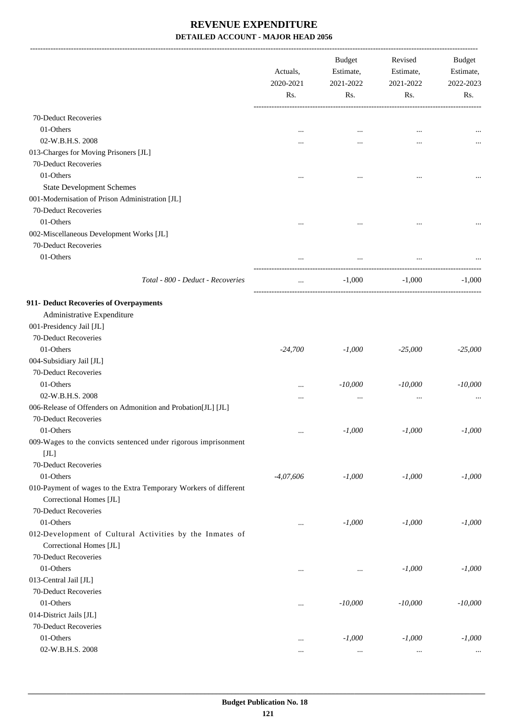|                                                                  | Actuals,<br>2020-2021<br>Rs. | <b>Budget</b><br>Estimate,<br>2021-2022<br>Rs. | Revised<br>Estimate,<br>2021-2022<br>Rs. | Budget<br>Estimate,<br>2022-2023<br>Rs. |
|------------------------------------------------------------------|------------------------------|------------------------------------------------|------------------------------------------|-----------------------------------------|
|                                                                  |                              |                                                |                                          |                                         |
| 70-Deduct Recoveries                                             |                              |                                                |                                          |                                         |
| 01-Others                                                        | $\ddotsc$                    |                                                |                                          |                                         |
| 02-W.B.H.S. 2008                                                 |                              |                                                |                                          |                                         |
| 013-Charges for Moving Prisoners [JL]                            |                              |                                                |                                          |                                         |
| 70-Deduct Recoveries                                             |                              |                                                |                                          |                                         |
| 01-Others                                                        |                              |                                                |                                          |                                         |
| <b>State Development Schemes</b>                                 |                              |                                                |                                          |                                         |
| 001-Modernisation of Prison Administration [JL]                  |                              |                                                |                                          |                                         |
| 70-Deduct Recoveries                                             |                              |                                                |                                          |                                         |
| 01-Others                                                        |                              |                                                |                                          |                                         |
| 002-Miscellaneous Development Works [JL]                         | $\cdots$                     |                                                |                                          |                                         |
| 70-Deduct Recoveries                                             |                              |                                                |                                          |                                         |
| 01-Others                                                        |                              |                                                |                                          |                                         |
|                                                                  |                              |                                                |                                          |                                         |
| Total - 800 - Deduct - Recoveries                                | $\cdots$                     | $-1,000$                                       | $-1,000$                                 | $-1,000$                                |
| 911- Deduct Recoveries of Overpayments                           |                              |                                                |                                          |                                         |
| Administrative Expenditure                                       |                              |                                                |                                          |                                         |
| 001-Presidency Jail [JL]                                         |                              |                                                |                                          |                                         |
| 70-Deduct Recoveries                                             |                              |                                                |                                          |                                         |
| 01-Others                                                        | $-24,700$                    | $-1,000$                                       | $-25,000$                                | $-25,000$                               |
| 004-Subsidiary Jail [JL]                                         |                              |                                                |                                          |                                         |
| 70-Deduct Recoveries                                             |                              |                                                |                                          |                                         |
| 01-Others                                                        |                              | $-10,000$                                      | $-10,000$                                | $-10,000$                               |
| 02-W.B.H.S. 2008                                                 |                              | $\cdots$                                       |                                          |                                         |
| 006-Release of Offenders on Admonition and Probation[JL] [JL]    |                              |                                                |                                          |                                         |
| 70-Deduct Recoveries                                             |                              |                                                |                                          |                                         |
| 01-Others                                                        |                              | $-1,000$                                       | $-1,000$                                 | $-1,000$                                |
| 009-Wages to the convicts sentenced under rigorous imprisonment  | $\cdots$                     |                                                |                                          |                                         |
| $[\mathrm{JL}]$                                                  |                              |                                                |                                          |                                         |
| 70-Deduct Recoveries                                             |                              |                                                |                                          |                                         |
| 01-Others                                                        | $-4,07,606$                  | $-1,000$                                       | $-1,000$                                 | $-1,000$                                |
| 010-Payment of wages to the Extra Temporary Workers of different |                              |                                                |                                          |                                         |
| Correctional Homes [JL]                                          |                              |                                                |                                          |                                         |
| 70-Deduct Recoveries                                             |                              |                                                |                                          |                                         |
| 01-Others                                                        |                              | $-1,000$                                       | $-1,000$                                 | $-1,000$                                |
| 012-Development of Cultural Activities by the Inmates of         | $\cdots$                     |                                                |                                          |                                         |
| Correctional Homes [JL]                                          |                              |                                                |                                          |                                         |
| 70-Deduct Recoveries                                             |                              |                                                |                                          |                                         |
| 01-Others                                                        |                              |                                                |                                          |                                         |
|                                                                  | $\cdots$                     |                                                | $-1,000$                                 | $-1,000$                                |
| 013-Central Jail [JL]                                            |                              |                                                |                                          |                                         |
| 70-Deduct Recoveries                                             |                              |                                                |                                          |                                         |
| 01-Others                                                        | $\ldots$                     | $-10,000$                                      | $-10,000$                                | $-10,000$                               |
| 014-District Jails [JL]                                          |                              |                                                |                                          |                                         |
| 70-Deduct Recoveries                                             |                              |                                                |                                          |                                         |
| 01-Others                                                        | $\cdots$                     | $-1,000$                                       | $-1,000$                                 | $-1,000$                                |
| 02-W.B.H.S. 2008                                                 | $\cdots$                     |                                                | $\cdots$                                 |                                         |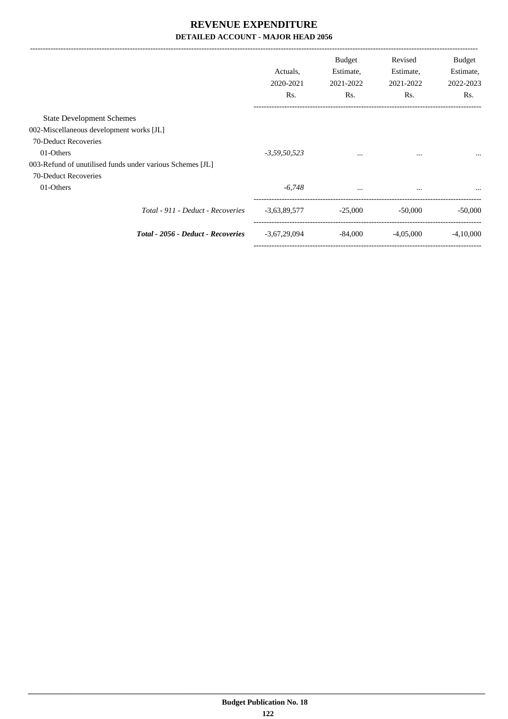|                                                           | Actuals.<br>2020-2021<br>Rs. | Budget<br>Estimate,<br>2021-2022<br>Rs. | Revised<br>Estimate,<br>2021-2022<br>Rs. | <b>Budget</b><br>Estimate,<br>2022-2023<br>Rs. |
|-----------------------------------------------------------|------------------------------|-----------------------------------------|------------------------------------------|------------------------------------------------|
| <b>State Development Schemes</b>                          |                              |                                         |                                          |                                                |
| 002-Miscellaneous development works [JL]                  |                              |                                         |                                          |                                                |
| 70-Deduct Recoveries                                      |                              |                                         |                                          |                                                |
| 01-Others                                                 | $-3,59,50,523$               | $\cdots$                                | $\cdots$                                 | $\cdots$                                       |
| 003-Refund of unutilised funds under various Schemes [JL] |                              |                                         |                                          |                                                |
| 70-Deduct Recoveries                                      |                              |                                         |                                          |                                                |
| 01-Others                                                 | $-6,748$                     | $\cdots$                                | $\cdots$                                 |                                                |
| Total - 911 - Deduct - Recoveries                         | $-3,63,89,577$               | $-25,000$                               | $-50,000$                                | $-50,000$                                      |
| Total - 2056 - Deduct - Recoveries                        | $-3,67,29,094$               | $-84,000$                               | $-4,05,000$                              | $-4.10,000$                                    |
|                                                           |                              |                                         |                                          |                                                |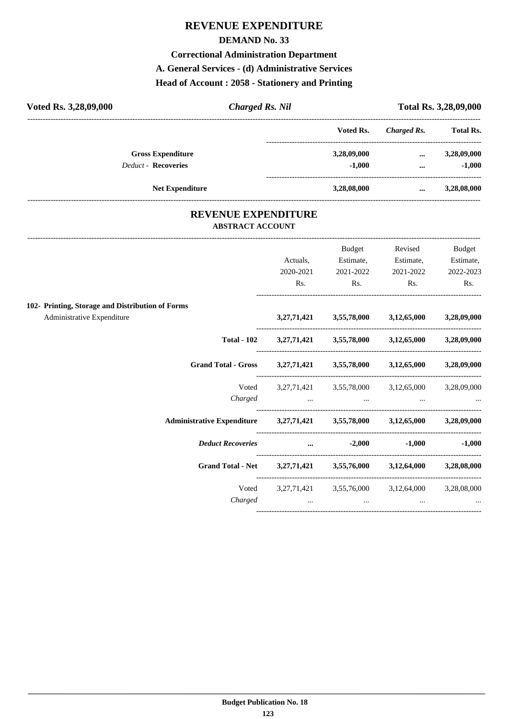# **REVENUE EXPENDITURE**

#### **DEMAND No. 33**

#### **Correctional Administration Department**

#### **A. General Services - (d) Administrative Services**

## **Head of Account : 2058 - Stationery and Printing**

| Voted Rs. 3,28,09,000      | <b>Charged Rs. Nil</b> |             |             | Total Rs. 3,28,09,000 |
|----------------------------|------------------------|-------------|-------------|-----------------------|
|                            |                        | Voted Rs.   | Charged Rs. | <b>Total Rs.</b>      |
| <b>Gross Expenditure</b>   |                        | 3,28,09,000 | $\cdots$    | 3,28,09,000           |
| <b>Deduct - Recoveries</b> |                        | $-1,000$    | $\cdots$    | $-1,000$              |
|                            | <b>Net Expenditure</b> | 3,28,08,000 | $\cdots$    | 3,28,08,000           |

## **REVENUE EXPENDITURE ABSTRACT ACCOUNT**

---------------------------------------------------------------------------------------------------------------------------------------------------------------------------------

|                                                                            | Actuals,<br>2020-2021<br>Rs. | Budget<br>Estimate,<br>2021-2022<br>$\mathbf{Rs.}$ | Revised<br>Estimate,<br>2021-2022<br>$\mathbf{Rs.}$                            | <b>Budget</b><br>Estimate,<br>2022-2023<br>Rs. |
|----------------------------------------------------------------------------|------------------------------|----------------------------------------------------|--------------------------------------------------------------------------------|------------------------------------------------|
|                                                                            |                              |                                                    |                                                                                |                                                |
| 102- Printing, Storage and Distribution of Forms                           |                              |                                                    |                                                                                |                                                |
| Administrative Expenditure                                                 |                              |                                                    | $3,27,71,421$ $3,55,78,000$ $3,12,65,000$ $3,28,09,000$                        |                                                |
|                                                                            |                              |                                                    | Total - 102 3,27,71,421 3,55,78,000 3,12,65,000 3,28,09,000                    |                                                |
| Grand Total - Gross 3,27,71,421 3,55,78,000 3,12,65,000 3,28,09,000        |                              |                                                    |                                                                                |                                                |
|                                                                            |                              |                                                    | Voted 3,27,71,421 3,55,78,000 3,12,65,000 3,28,09,000<br>Charged               |                                                |
| Administrative Expenditure 3,27,71,421 3,55,78,000 3,12,65,000 3,28,09,000 |                              |                                                    |                                                                                |                                                |
| <i>Deduct Recoveries</i> 2,000 -1,000 -1,000                               |                              |                                                    |                                                                                |                                                |
| Grand Total - Net 3,27,71,421 3,55,76,000 3,12,64,000 3,28,08,000          |                              |                                                    |                                                                                |                                                |
|                                                                            |                              |                                                    | Voted 3,27,71,421 3,55,76,000 3,12,64,000 3,28,08,000<br>$Charged$ $$ $$ $$ $$ |                                                |
|                                                                            |                              |                                                    |                                                                                |                                                |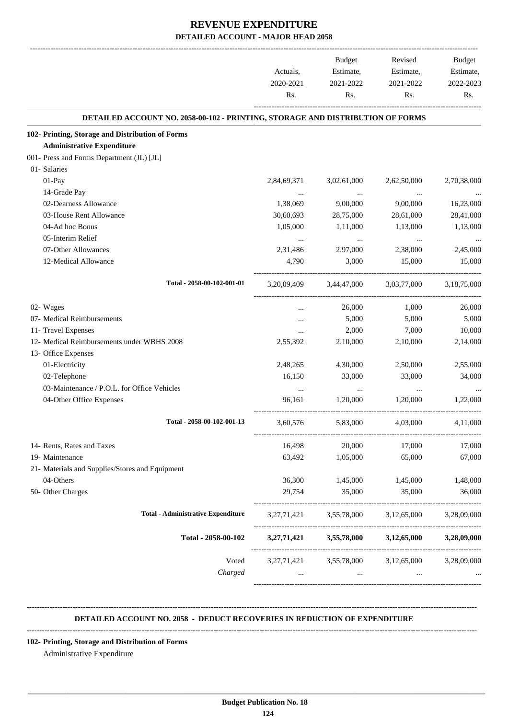| 2,84,69,371<br>1,38,069<br>30,60,693<br>1,05,000<br>$\cdots$<br>2,31,486<br>4,790<br>3, 20, 09, 409 | DETAILED ACCOUNT NO. 2058-00-102 - PRINTING, STORAGE AND DISTRIBUTION OF FORMS<br>3,02,61,000<br>$\ldots$<br>9,00,000<br>28,75,000<br>1,11,000<br>$\cdots$<br>2,97,000<br>3,000<br>3,44,47,000 | 2,62,50,000<br>$\cdots$<br>9,00,000<br>28,61,000<br>1,13,000<br>$\ldots$<br>2,38,000<br>15,000<br>3,03,77,000 |                                                                                                                         |
|-----------------------------------------------------------------------------------------------------|------------------------------------------------------------------------------------------------------------------------------------------------------------------------------------------------|---------------------------------------------------------------------------------------------------------------|-------------------------------------------------------------------------------------------------------------------------|
|                                                                                                     |                                                                                                                                                                                                |                                                                                                               |                                                                                                                         |
|                                                                                                     |                                                                                                                                                                                                |                                                                                                               |                                                                                                                         |
|                                                                                                     |                                                                                                                                                                                                |                                                                                                               | 2,70,38,000<br>16,23,000<br>28,41,000<br>1,13,000<br>2,45,000<br>15,000<br>3,18,75,000                                  |
|                                                                                                     |                                                                                                                                                                                                |                                                                                                               |                                                                                                                         |
|                                                                                                     |                                                                                                                                                                                                |                                                                                                               |                                                                                                                         |
|                                                                                                     |                                                                                                                                                                                                |                                                                                                               |                                                                                                                         |
|                                                                                                     |                                                                                                                                                                                                |                                                                                                               |                                                                                                                         |
|                                                                                                     |                                                                                                                                                                                                |                                                                                                               |                                                                                                                         |
|                                                                                                     |                                                                                                                                                                                                |                                                                                                               |                                                                                                                         |
|                                                                                                     |                                                                                                                                                                                                |                                                                                                               |                                                                                                                         |
|                                                                                                     |                                                                                                                                                                                                |                                                                                                               |                                                                                                                         |
|                                                                                                     |                                                                                                                                                                                                |                                                                                                               |                                                                                                                         |
|                                                                                                     |                                                                                                                                                                                                |                                                                                                               |                                                                                                                         |
|                                                                                                     |                                                                                                                                                                                                |                                                                                                               |                                                                                                                         |
|                                                                                                     | 26,000                                                                                                                                                                                         | 1,000                                                                                                         | 26,000                                                                                                                  |
|                                                                                                     | 5,000                                                                                                                                                                                          | 5,000                                                                                                         | 5,000                                                                                                                   |
|                                                                                                     | 2,000                                                                                                                                                                                          | 7,000                                                                                                         | 10,000                                                                                                                  |
| 2,55,392                                                                                            | 2,10,000                                                                                                                                                                                       | 2,10,000                                                                                                      | 2,14,000                                                                                                                |
|                                                                                                     |                                                                                                                                                                                                |                                                                                                               |                                                                                                                         |
| 2,48,265                                                                                            | 4,30,000                                                                                                                                                                                       | 2,50,000                                                                                                      | 2,55,000                                                                                                                |
| 16,150                                                                                              | 33,000                                                                                                                                                                                         | 33,000                                                                                                        | 34,000                                                                                                                  |
| $\ldots$                                                                                            | $\cdots$                                                                                                                                                                                       | $\cdots$                                                                                                      |                                                                                                                         |
| 96,161                                                                                              | 1,20,000                                                                                                                                                                                       | 1,20,000                                                                                                      | 1,22,000                                                                                                                |
| 3,60,576                                                                                            | 5,83,000                                                                                                                                                                                       | 4,03,000                                                                                                      | 4,11,000                                                                                                                |
| 16,498                                                                                              | 20,000                                                                                                                                                                                         | 17,000                                                                                                        | 17,000                                                                                                                  |
| 63,492                                                                                              | 1,05,000                                                                                                                                                                                       | 65,000                                                                                                        | 67,000                                                                                                                  |
|                                                                                                     |                                                                                                                                                                                                |                                                                                                               |                                                                                                                         |
| 36,300                                                                                              | 1,45,000                                                                                                                                                                                       | 1,45,000                                                                                                      | 1,48,000                                                                                                                |
| 29,754                                                                                              | 35,000                                                                                                                                                                                         | 35,000                                                                                                        | 36,000                                                                                                                  |
|                                                                                                     |                                                                                                                                                                                                |                                                                                                               | 3,28,09,000                                                                                                             |
|                                                                                                     |                                                                                                                                                                                                |                                                                                                               | 3,28,09,000                                                                                                             |
|                                                                                                     |                                                                                                                                                                                                |                                                                                                               | 3,28,09,000                                                                                                             |
|                                                                                                     | $\cdots$                                                                                                                                                                                       |                                                                                                               |                                                                                                                         |
|                                                                                                     |                                                                                                                                                                                                |                                                                                                               | 3,27,71,421 3,55,78,000 3,12,65,000<br>$3,27,71,421$ $3,55,78,000$ $3,12,65,000$<br>3,27,71,421 3,55,78,000 3,12,65,000 |

#### **-------------------------------------------------------------------------------------------------------------------------------------------------------------------------------- DETAILED ACCOUNT NO. 2058 - DEDUCT RECOVERIES IN REDUCTION OF EXPENDITURE**

 **\_\_\_\_\_\_\_\_\_\_\_\_\_\_\_\_\_\_\_\_\_\_\_\_\_\_\_\_\_\_\_\_\_\_\_\_\_\_\_\_\_\_\_\_\_\_\_\_\_\_\_\_\_\_\_\_\_\_\_\_\_\_\_\_\_\_\_\_\_\_\_\_\_\_\_\_\_\_\_\_\_\_\_\_\_\_\_\_\_\_\_\_\_\_\_\_\_\_\_\_\_\_\_\_\_\_\_\_\_\_\_\_\_\_\_\_\_\_\_**

#### **--------------------------------------------------------------------------------------------------------------------------------------------------------------------------------**

**102- Printing, Storage and Distribution of Forms**

Administrative Expenditure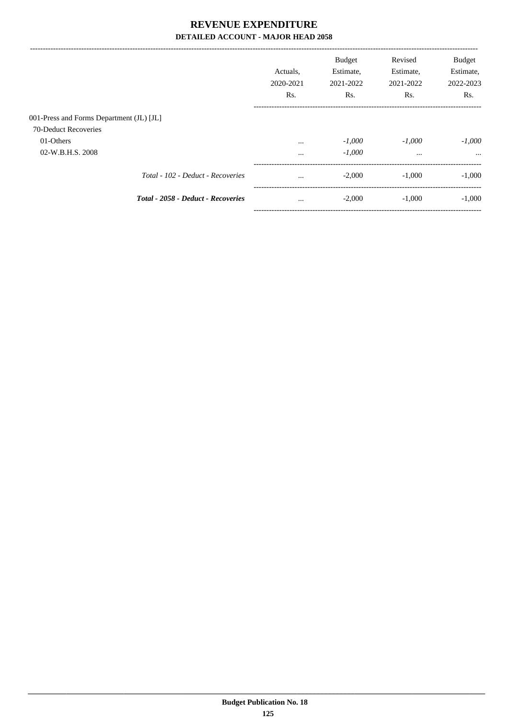|                                          |                                    | Actuals.<br>2020-2021<br>Rs. | <b>Budget</b><br>Estimate,<br>2021-2022<br>Rs. | Revised<br>Estimate,<br>2021-2022<br>Rs. | <b>Budget</b><br>Estimate,<br>2022-2023<br>Rs. |
|------------------------------------------|------------------------------------|------------------------------|------------------------------------------------|------------------------------------------|------------------------------------------------|
| 001-Press and Forms Department (JL) [JL] |                                    |                              |                                                |                                          |                                                |
| 70-Deduct Recoveries                     |                                    |                              |                                                |                                          |                                                |
| 01-Others                                |                                    | $\cdots$                     | $-1,000$                                       | $-1,000$                                 | $-1,000$                                       |
| 02-W.B.H.S. 2008                         |                                    | $\cdots$                     | $-1,000$                                       | $\cdots$                                 |                                                |
|                                          | Total - 102 - Deduct - Recoveries  | $\cdots$                     | $-2,000$                                       | $-1.000$                                 | $-1,000$                                       |
|                                          | Total - 2058 - Deduct - Recoveries | $\cdots$                     | $-2,000$                                       | $-1,000$                                 | $-1,000$                                       |
|                                          |                                    |                              |                                                |                                          |                                                |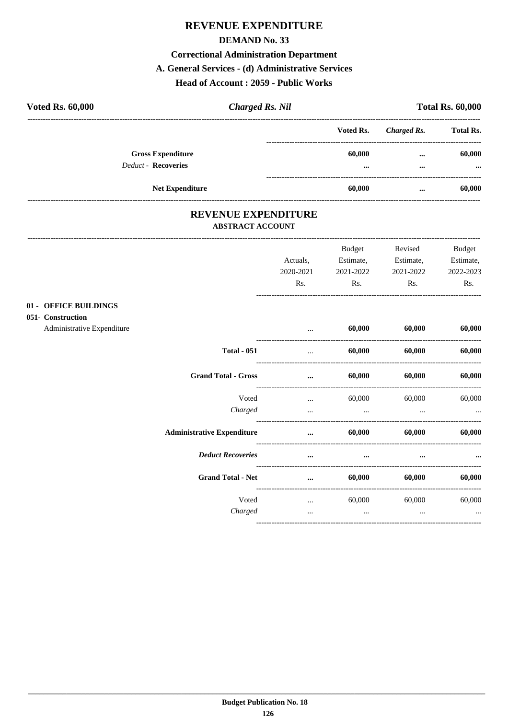# REVENUE EXPENDITURE

#### **DEMAND No. 33**

#### **Correctional Administration Department**

#### A. General Services - (d) Administrative Services

## Head of Account: 2059 - Public Works

| <b>Voted Rs. 60,000</b>                                | <b>Charged Rs. Nil</b> |                                   | <b>Total Rs. 60,000</b> |                    |  |
|--------------------------------------------------------|------------------------|-----------------------------------|-------------------------|--------------------|--|
|                                                        |                        | Voted Rs.                         | Charged Rs.             | <b>Total Rs.</b>   |  |
| <b>Gross Expenditure</b><br><b>Deduct - Recoveries</b> |                        | 60,000<br>$\bullet\bullet\bullet$ | $\cdots$<br>$\cdots$    | 60,000<br>$\cdots$ |  |
| <b>Net Expenditure</b>                                 |                        | 60,000                            | $\cdots$                | 60,000             |  |

## REVENUE EXPENDITURE **ABSTRACT ACCOUNT**

|                                                                          |                                   | Actuals,<br>2020-2021<br>Rs. | Budget<br>2021-2022<br>Rs. | Revised<br>Estimate, Estimate,<br>2021-2022<br>Rs. | <b>Budget</b><br>Estimate,<br>2022-2023<br>Rs. |
|--------------------------------------------------------------------------|-----------------------------------|------------------------------|----------------------------|----------------------------------------------------|------------------------------------------------|
| 01 - OFFICE BUILDINGS<br>051- Construction<br>Administrative Expenditure |                                   | $\cdots$                     | 60,000                     | 60,000                                             | 60,000                                         |
|                                                                          | <b>Total - 051</b>                | $\cdots$                     | 60,000                     | 60,000                                             | 60,000                                         |
|                                                                          | <b>Grand Total - Gross</b>        | $\cdots$                     | 60,000                     | 60,000                                             | 60,000                                         |
|                                                                          | Voted<br>Charged                  | $\ddotsc$<br>$\cdots$        | 60,000<br>$\cdots$         | 60,000<br>$\cdots$                                 | 60,000                                         |
|                                                                          | <b>Administrative Expenditure</b> | $\cdots$                     | 60,000                     | 60,000                                             | 60,000                                         |
|                                                                          | <b>Deduct Recoveries</b>          | $\cdots$                     | $\cdots$                   | $\cdots$                                           |                                                |
|                                                                          | <b>Grand Total - Net</b>          | $\cdots$                     | 60,000                     | 60,000                                             | 60,000                                         |
|                                                                          | Voted<br>Charged                  | $\cdots$<br>$\cdots$         | 60,000<br>$\cdots$         | 60,000<br>$\cdots$                                 | 60,000<br>$\cdots$                             |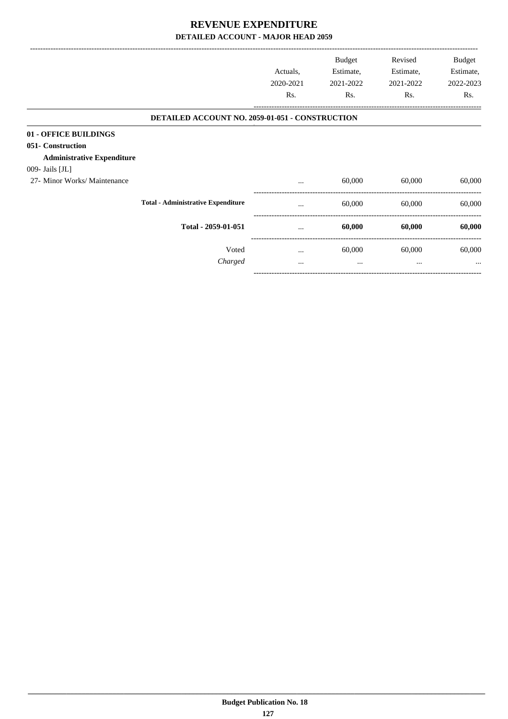|                                                                                 |                                                 | Actuals,<br>2020-2021<br>Rs. | <b>Budget</b><br>Estimate,<br>2021-2022<br>Rs. | Revised<br>Estimate,<br>2021-2022<br>Rs. | Budget<br>Estimate,<br>2022-2023<br>Rs. |
|---------------------------------------------------------------------------------|-------------------------------------------------|------------------------------|------------------------------------------------|------------------------------------------|-----------------------------------------|
|                                                                                 |                                                 |                              |                                                |                                          |                                         |
|                                                                                 | DETAILED ACCOUNT NO. 2059-01-051 - CONSTRUCTION |                              |                                                |                                          |                                         |
| 01 - OFFICE BUILDINGS<br>051- Construction<br><b>Administrative Expenditure</b> |                                                 |                              |                                                |                                          |                                         |
| 009- Jails [JL]                                                                 |                                                 |                              |                                                |                                          |                                         |
| 27- Minor Works/ Maintenance                                                    |                                                 | $\cdots$                     | 60,000                                         | 60,000                                   | 60,000                                  |
|                                                                                 | <b>Total - Administrative Expenditure</b>       | $\cdots$                     | 60,000                                         | 60,000                                   | 60,000                                  |
|                                                                                 | Total - 2059-01-051                             |                              | 60,000                                         | 60,000                                   | 60,000                                  |
|                                                                                 | Voted                                           | $\cdots$                     | 60,000                                         | 60,000                                   | 60,000                                  |
|                                                                                 | Charged                                         |                              | $\cdots$                                       | $\cdots$                                 |                                         |
|                                                                                 |                                                 |                              |                                                |                                          |                                         |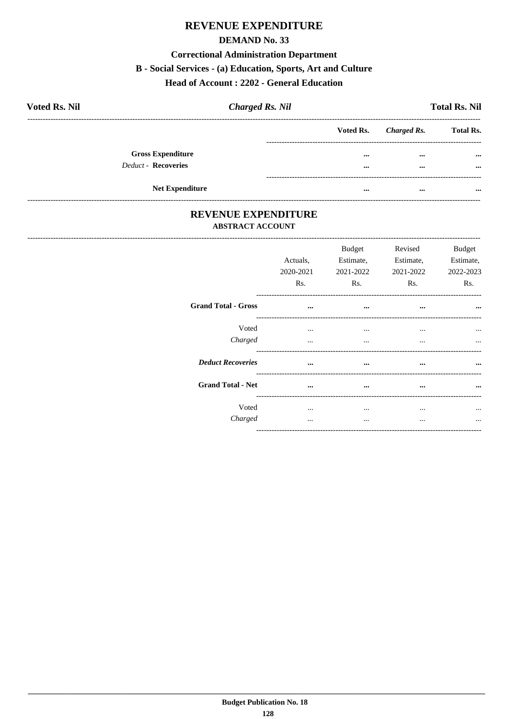# REVENUE EXPENDITURE

#### **DEMAND No. 33**

#### **Correctional Administration Department**

#### B - Social Services - (a) Education, Sports, Art and Culture

#### Head of Account: 2202 - General Education

| <b>Voted Rs. Nil</b>       | <b>Charged Rs. Nil</b> |          |                       | <b>Total Rs. Nil</b>    |
|----------------------------|------------------------|----------|-----------------------|-------------------------|
|                            |                        |          | Voted Rs. Charged Rs. | <b>Total Rs.</b>        |
| <b>Gross Expenditure</b>   |                        |          | $\cdots$              | $\bullet\bullet\bullet$ |
| <b>Deduct - Recoveries</b> |                        | $\cdots$ | $\cdots$              | $\cdots$                |
| <b>Net Expenditure</b>     |                        | $\cdots$ | $\cdots$              | $\cdots$                |

## REVENUE EXPENDITURE **ABSTRACT ACCOUNT**

|                            | Actuals,<br>2020-2021<br>Rs. | <b>Budget</b><br>Estimate,<br>2021-2022<br>Rs. | Revised<br>Estimate,<br>2021-2022<br>Rs. | <b>Budget</b><br>Estimate.<br>2022-2023<br>Rs. |
|----------------------------|------------------------------|------------------------------------------------|------------------------------------------|------------------------------------------------|
| <b>Grand Total - Gross</b> | $\cdots$                     | $\cdots$                                       | $\cdots$                                 | $\cdots$                                       |
| Voted                      | $\cdots$                     | $\cdots$                                       | $\cdots$                                 |                                                |
| Charged                    | $\cdots$                     | $\cdots$                                       | $\cdots$                                 | $\cdots$                                       |
| <b>Deduct Recoveries</b>   | $\ddotsc$                    | $\cdots$                                       | $\cdots$                                 |                                                |
| <b>Grand Total - Net</b>   | $\cdots$                     | $\cdots$                                       | $\cdots$                                 |                                                |
| Voted                      | $\cdots$                     | $\cdots$                                       | $\cdots$                                 |                                                |
| Charged                    |                              | $\cdots$                                       | $\cdots$                                 |                                                |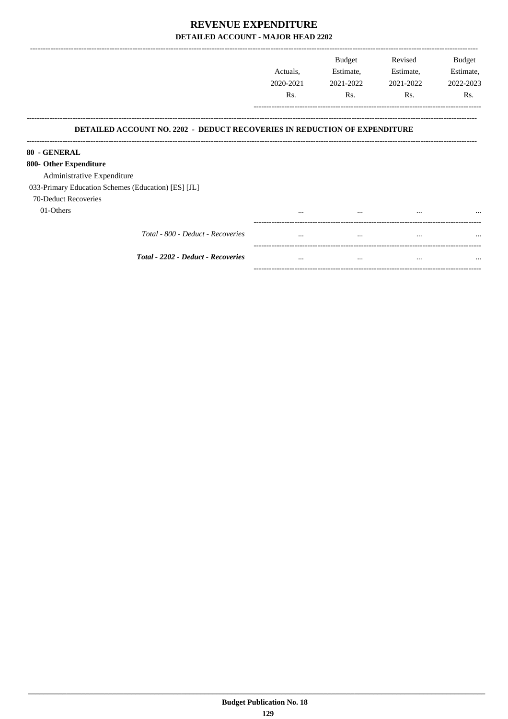|                                                                                  | Actuals,<br>2020-2021<br>Rs. | <b>Budget</b><br>Estimate,<br>2021-2022<br>Rs. | Revised<br>Estimate,<br>2021-2022<br>Rs. | <b>Budget</b><br>Estimate,<br>2022-2023<br>Rs. |
|----------------------------------------------------------------------------------|------------------------------|------------------------------------------------|------------------------------------------|------------------------------------------------|
| <b>DETAILED ACCOUNT NO. 2202 - DEDUCT RECOVERIES IN REDUCTION OF EXPENDITURE</b> |                              |                                                |                                          |                                                |
| 80 - GENERAL                                                                     |                              |                                                |                                          |                                                |
| 800- Other Expenditure                                                           |                              |                                                |                                          |                                                |
| Administrative Expenditure                                                       |                              |                                                |                                          |                                                |
| 033-Primary Education Schemes (Education) [ES] [JL]                              |                              |                                                |                                          |                                                |
| 70-Deduct Recoveries                                                             |                              |                                                |                                          |                                                |
| 01-Others                                                                        | $\cdots$                     | $\cdots$                                       | $\cdots$                                 | $\cdots$                                       |
| Total - 800 - Deduct - Recoveries                                                | $\cdots$                     | $\cdots$                                       | $\cdots$                                 | $\cdots$                                       |
| <b>Total - 2202 - Deduct - Recoveries</b>                                        | $\cdots$                     | $\cdots$                                       | $\cdots$                                 | $\cdots$                                       |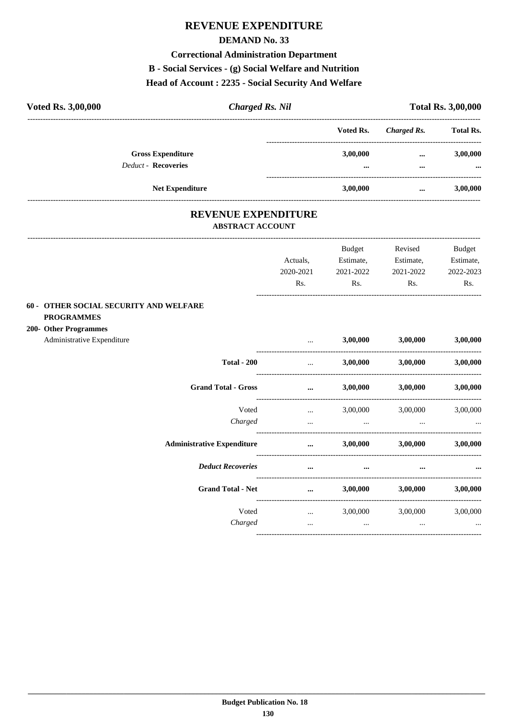# **REVENUE EXPENDITURE**

#### **DEMAND No. 33**

#### **Correctional Administration Department**

## B - Social Services - (g) Social Welfare and Nutrition

## Head of Account: 2235 - Social Security And Welfare

| <b>Voted Rs. 3,00,000</b>                              | <b>Charged Rs. Nil</b> |                      | <b>Total Rs. 3,00,000</b> |                      |
|--------------------------------------------------------|------------------------|----------------------|---------------------------|----------------------|
|                                                        |                        | Voted Rs.            | Charged Rs.               | <b>Total Rs.</b>     |
| <b>Gross Expenditure</b><br><b>Deduct - Recoveries</b> |                        | 3,00,000<br>$\cdots$ | <br>                      | 3,00,000<br>$\cdots$ |
| <b>Net Expenditure</b>                                 |                        | 3.00.000             | $\cdots$                  | 3,00,000             |

# REVENUE EXPENDITURE

#### **ABSTRACT ACCOUNT**

|                                                                    |                                   |                                                                                                                                                          | Budget         | Revised                    | <b>Budget</b> |
|--------------------------------------------------------------------|-----------------------------------|----------------------------------------------------------------------------------------------------------------------------------------------------------|----------------|----------------------------|---------------|
|                                                                    |                                   | Actuals,                                                                                                                                                 | Estimate,      | Estimate,                  | Estimate,     |
|                                                                    |                                   | 2020-2021                                                                                                                                                | 2021-2022      | 2021-2022                  | 2022-2023     |
|                                                                    |                                   | Rs.                                                                                                                                                      | $\mathbf{Rs.}$ | Rs.                        | Rs.           |
| <b>60 - OTHER SOCIAL SECURITY AND WELFARE</b><br><b>PROGRAMMES</b> |                                   |                                                                                                                                                          |                |                            |               |
| 200- Other Programmes                                              |                                   |                                                                                                                                                          |                |                            |               |
| Administrative Expenditure                                         |                                   | $\mathbf{r}$ and $\mathbf{r}$ and $\mathbf{r}$                                                                                                           |                | 3,00,000 3,00,000 3,00,000 |               |
|                                                                    | <b>Total - 200</b>                | $\cdots$ . The same of $\cdots$                                                                                                                          | 3,00,000       | 3,00,000                   | 3,00,000      |
|                                                                    | <b>Grand Total - Gross</b>        | $\cdots$                                                                                                                                                 |                | 3,00,000 3,00,000 3,00,000 |               |
|                                                                    | Voted                             | $\mathbf{1}_{\mathbf{1}_{\mathbf{2}}\mathbf{1}_{\mathbf{3}}\mathbf{2}_{\mathbf{4}}\mathbf{3}_{\mathbf{5}}\mathbf{4}_{\mathbf{6}}\mathbf{4}_{\mathbf{7}}$ |                | 3,00,000 3,00,000 3,00,000 |               |
|                                                                    | Charged                           | $\ddots$                                                                                                                                                 | $\cdots$       | $\cdots$                   |               |
|                                                                    | <b>Administrative Expenditure</b> | $\cdots$                                                                                                                                                 |                | $3,00,000$ $3,00,000$      | 3,00,000      |
|                                                                    | <b>Deduct Recoveries</b>          | $\cdots$                                                                                                                                                 | $\cdots$       |                            |               |
|                                                                    | <b>Grand Total - Net</b>          | $\cdots$                                                                                                                                                 |                | $3,00,000$ $3,00,000$      | 3,00,000      |
|                                                                    | Voted                             | $\mathbf{m}$ and $\mathbf{m}$ and $\mathbf{m}$                                                                                                           |                | 3,00,000 3,00,000 3,00,000 |               |
|                                                                    | Charged                           | $\cdots$                                                                                                                                                 | $\cdots$       | $\cdots$                   | $\cdots$      |
|                                                                    |                                   |                                                                                                                                                          |                |                            |               |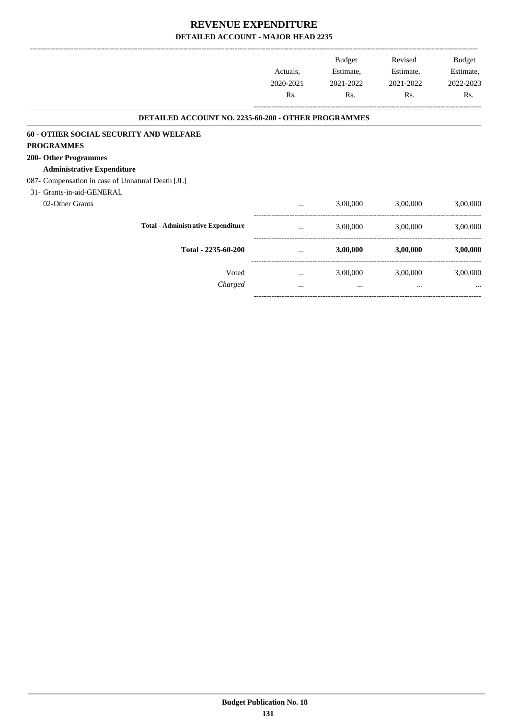-------------------------------------------------------------------------------------------------------------------------------------------------------------------------------

-----------------------------------------------------------------------------------------

|                                                     | Actuals,<br>2020-2021<br>Rs. | <b>Budget</b><br>Estimate,<br>2021-2022<br>Rs. | Revised<br>Estimate,<br>2021-2022<br>Rs. | Budget<br>Estimate,<br>2022-2023<br>Rs. |
|-----------------------------------------------------|------------------------------|------------------------------------------------|------------------------------------------|-----------------------------------------|
| DETAILED ACCOUNT NO. 2235-60-200 - OTHER PROGRAMMES |                              |                                                |                                          |                                         |
| 60 - OTHER SOCIAL SECURITY AND WELFARE              |                              |                                                |                                          |                                         |
| <b>PROGRAMMES</b>                                   |                              |                                                |                                          |                                         |
| 200- Other Programmes                               |                              |                                                |                                          |                                         |
| <b>Administrative Expenditure</b>                   |                              |                                                |                                          |                                         |
| 087- Compensation in case of Unnatural Death [JL]   |                              |                                                |                                          |                                         |
| 31- Grants-in-aid-GENERAL                           |                              |                                                |                                          |                                         |
| 02-Other Grants                                     | $\cdots$                     | 3,00,000                                       | 3,00,000                                 | 3,00,000                                |
| <b>Total - Administrative Expenditure</b>           | $\cdots$                     | 3,00,000                                       | 3,00,000                                 | 3,00,000                                |
| Total - 2235-60-200                                 | $\cdots$                     | 3,00,000                                       | 3,00,000                                 | 3,00,000                                |
| Voted                                               | $\cdots$                     | 3,00,000                                       | 3,00,000                                 | 3,00,000                                |
| Charged                                             | $\cdots$                     | $\cdots$                                       | $\cdots$                                 | $\cdots$                                |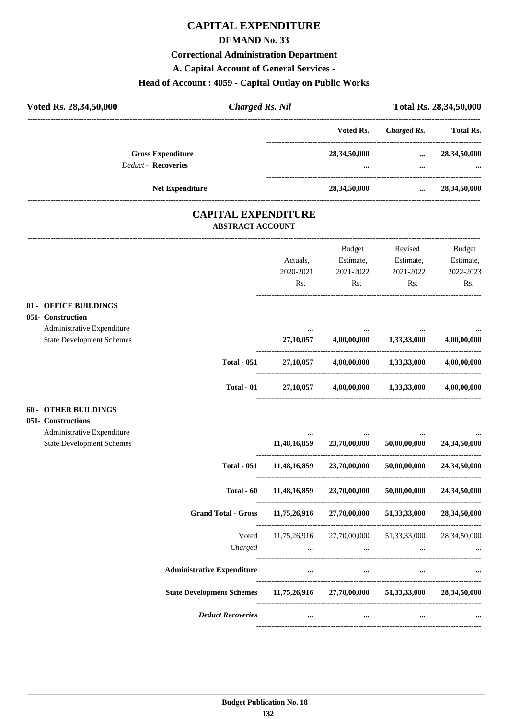# **CAPITAL EXPENDITURE**

#### **DEMAND No. 33**

#### **Correctional Administration Department**

**A. Capital Account of General Services -**

# **Head of Account : 4059 - Capital Outlay on Public Works**

| Voted Rs. 28,34,50,000                     | <b>Charged Rs. Nil</b>                                |          |                                                           |                                 | Total Rs. 28,34,50,000 |
|--------------------------------------------|-------------------------------------------------------|----------|-----------------------------------------------------------|---------------------------------|------------------------|
|                                            |                                                       |          |                                                           | Voted Rs. Charged Rs. Total Rs. |                        |
| <b>Gross Expenditure</b>                   |                                                       |          | 28,34,50,000                                              |                                 | $\ldots$ 28,34,50,000  |
| <b>Deduct - Recoveries</b>                 |                                                       |          | $\cdots$                                                  |                                 |                        |
| <b>Net Expenditure</b>                     |                                                       |          | 28,34,50,000                                              |                                 | $\ldots$ 28,34,50,000  |
|                                            | <b>CAPITAL EXPENDITURE</b><br><b>ABSTRACT ACCOUNT</b> |          |                                                           |                                 |                        |
|                                            |                                                       |          | <b>Budget</b>                                             | Revised                         | Budget                 |
|                                            |                                                       | Actuals, | Estimate, Estimate,                                       |                                 | Estimate,              |
|                                            |                                                       |          | 2020-2021 2021-2022 2021-2022                             |                                 | 2022-2023              |
|                                            |                                                       | Rs.      | $\mathbf{Rs.}$                                            | Rs.                             | Rs.                    |
| 01 - OFFICE BUILDINGS<br>051- Construction |                                                       |          |                                                           |                                 |                        |
| Administrative Expenditure                 |                                                       |          |                                                           | and the contract of the state   |                        |
| <b>State Development Schemes</b>           |                                                       |          | 27,10,057 4,00,00,000 1,33,33,000                         |                                 | 4,00,00,000            |
|                                            |                                                       |          | Total - 051 27,10,057 4,00,00,000 1,33,33,000 4,00,00,000 |                                 |                        |
|                                            |                                                       |          | Total - 01 $27,10,057$ $4,00,00,000$ $1,33,33,000$        |                                 | 4,00,00,000            |

#### **60 - OTHER BUILDINGS**

| 051- Constructions               |                                   |              |              |                 |                 |
|----------------------------------|-----------------------------------|--------------|--------------|-----------------|-----------------|
| Administrative Expenditure       |                                   | $\cdots$     | $\cdots$     | $\cdots$        | $\cdots$        |
| <b>State Development Schemes</b> |                                   | 11,48,16,859 | 23,70,00,000 | 50,00,00,000    | 24,34,50,000    |
|                                  | <b>Total - 051</b>                | 11,48,16,859 | 23,70,00,000 | 50,00,00,000    | 24,34,50,000    |
|                                  | Total - 60                        | 11,48,16,859 | 23,70,00,000 | 50,00,00,000    | 24,34,50,000    |
|                                  | <b>Grand Total - Gross</b>        | 11,75,26,916 | 27,70,00,000 | 51, 33, 33, 000 | 28,34,50,000    |
|                                  | Voted                             | 11,75,26,916 | 27,70,00,000 | 51,33,33,000    | 28, 34, 50, 000 |
|                                  | Charged                           | $\cdots$     | $\cdots$     | $\cdots$        | $\cdots$        |
|                                  | <b>Administrative Expenditure</b> | $\cdots$     | $\cdots$     | $\cdots$        |                 |
|                                  | <b>State Development Schemes</b>  | 11,75,26,916 | 27,70,00,000 | 51, 33, 33, 000 | 28,34,50,000    |
|                                  | <b>Deduct Recoveries</b>          | $\cdots$     | $\cdots$     | $\cdots$        | $\cdots$        |
|                                  |                                   |              |              |                 |                 |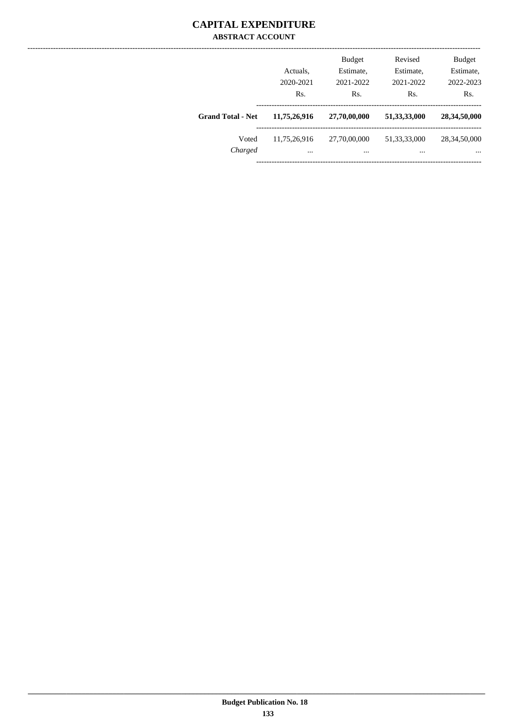## **CAPITAL EXPENDITURE ABSTRACT ACCOUNT**

|                          | Actuals,<br>2020-2021<br>Rs. | <b>Budget</b><br>Estimate,<br>2021-2022<br>Rs. | Revised<br>Estimate,<br>2021-2022<br>Rs. | <b>Budget</b><br>Estimate,<br>2022-2023<br>Rs. |
|--------------------------|------------------------------|------------------------------------------------|------------------------------------------|------------------------------------------------|
| <b>Grand Total - Net</b> | 11,75,26,916                 | 27,70,00,000                                   | 51, 33, 33, 000                          | 28,34,50,000                                   |
| Voted<br>Charged         | 11,75,26,916<br>$\cdots$     | 27,70,00,000<br>                               | 51, 33, 33, 000<br>$\cdots$              | 28, 34, 50, 000<br>$\cdots$                    |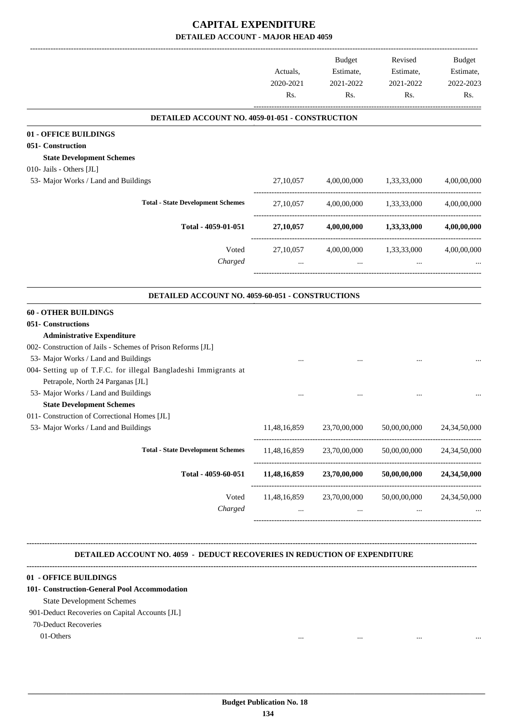# **CAPITAL EXPENDITURE DETAILED ACCOUNT - MAJOR HEAD 4059**

| DETAILED ACCOUNT NO. 4059-01-051 - CONSTRUCTION<br>27,10,057<br>27, 10, 057 | 4,00,00,000  | 4,00,00,000 1,33,33,000<br>1,33,33,000                                            |                                                                                      |
|-----------------------------------------------------------------------------|--------------|-----------------------------------------------------------------------------------|--------------------------------------------------------------------------------------|
|                                                                             |              |                                                                                   |                                                                                      |
|                                                                             |              |                                                                                   | 4,00,00,000                                                                          |
|                                                                             |              |                                                                                   |                                                                                      |
|                                                                             |              |                                                                                   |                                                                                      |
|                                                                             |              |                                                                                   |                                                                                      |
|                                                                             |              |                                                                                   |                                                                                      |
|                                                                             |              |                                                                                   | 4,00,00,000                                                                          |
|                                                                             |              |                                                                                   | 4,00,00,000                                                                          |
| 27,10,057                                                                   |              | 1,33,33,000                                                                       | 4,00,00,000                                                                          |
|                                                                             | $\cdots$     |                                                                                   |                                                                                      |
|                                                                             |              |                                                                                   |                                                                                      |
|                                                                             |              |                                                                                   |                                                                                      |
|                                                                             |              |                                                                                   |                                                                                      |
|                                                                             |              |                                                                                   |                                                                                      |
|                                                                             |              |                                                                                   |                                                                                      |
|                                                                             |              |                                                                                   |                                                                                      |
|                                                                             |              |                                                                                   |                                                                                      |
|                                                                             |              |                                                                                   |                                                                                      |
|                                                                             |              |                                                                                   |                                                                                      |
|                                                                             |              |                                                                                   |                                                                                      |
| 11,48,16,859                                                                | 23,70,00,000 | 50,00,00,000                                                                      | 24, 34, 50, 000                                                                      |
| 11,48,16,859                                                                | 23,70,00,000 | 50,00,00,000                                                                      | 24,34,50,000                                                                         |
| 11,48,16,859                                                                | 23,70,00,000 | 50,00,00,000                                                                      | 24,34,50,000                                                                         |
|                                                                             |              |                                                                                   | 24, 34, 50, 000                                                                      |
| $\cdots$                                                                    | $\cdots$     | $\cdots$                                                                          |                                                                                      |
|                                                                             |              | 27,10,057<br>DETAILED ACCOUNT NO. 4059-60-051 - CONSTRUCTIONS<br>---------------- | $4,00,00,000$ $1,33,33,000$<br>4,00,00,000<br>11,48,16,859 23,70,00,000 50,00,00,000 |

 **DETAILED ACCOUNT NO. 4059 - DEDUCT RECOVERIES IN REDUCTION OF EXPENDITURE**

**--------------------------------------------------------------------------------------------------------------------------------------------------------------------------------**

#### **01 - OFFICE BUILDINGS**

#### **101- Construction-General Pool Accommodation**

**--------------------------------------------------------------------------------------------------------------------------------------------------------------------------------**

State Development Schemes

#### 901-Deduct Recoveries on Capital Accounts [JL]

70-Deduct Recoveries

01-Others ... ... ... ...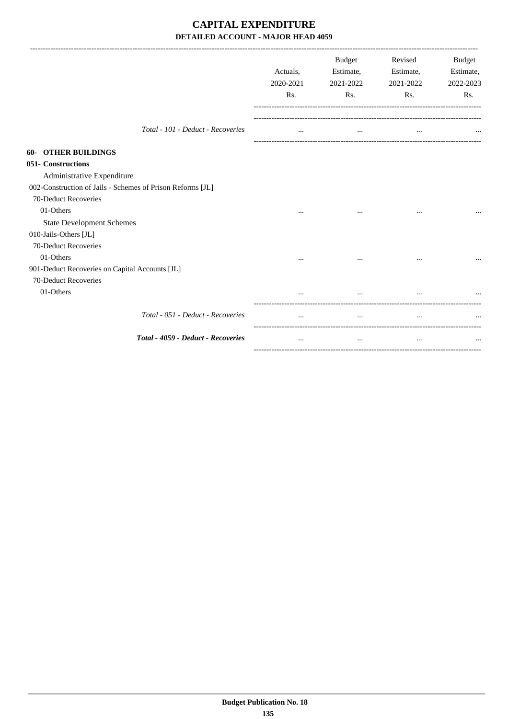# **CAPITAL EXPENDITURE DETAILED ACCOUNT - MAJOR HEAD 4059**

|                                                            | Actuals,<br>2020-2021<br>Rs. | <b>Budget</b><br>Estimate,<br>2021-2022<br>Rs. | Revised<br>Estimate,<br>2021-2022<br>Rs. | <b>Budget</b><br>Estimate,<br>2022-2023<br>Rs. |
|------------------------------------------------------------|------------------------------|------------------------------------------------|------------------------------------------|------------------------------------------------|
| Total - 101 - Deduct - Recoveries                          | $\cdots$                     | $\cdots$                                       | $\cdots$                                 |                                                |
| <b>60- OTHER BUILDINGS</b>                                 |                              |                                                |                                          |                                                |
| 051- Constructions                                         |                              |                                                |                                          |                                                |
| Administrative Expenditure                                 |                              |                                                |                                          |                                                |
| 002-Construction of Jails - Schemes of Prison Reforms [JL] |                              |                                                |                                          |                                                |
| 70-Deduct Recoveries                                       |                              |                                                |                                          |                                                |
| 01-Others                                                  |                              |                                                | $\ddotsc$                                |                                                |
| <b>State Development Schemes</b>                           |                              |                                                |                                          |                                                |
| 010-Jails-Others [JL]                                      |                              |                                                |                                          |                                                |
| 70-Deduct Recoveries                                       |                              |                                                |                                          |                                                |
| 01-Others                                                  | $\cdots$                     | $\cdots$                                       |                                          |                                                |
| 901-Deduct Recoveries on Capital Accounts [JL]             |                              |                                                |                                          |                                                |
| 70-Deduct Recoveries                                       |                              |                                                |                                          |                                                |
| 01-Others                                                  |                              |                                                |                                          |                                                |
| Total - 051 - Deduct - Recoveries                          |                              | $\ddotsc$                                      | $\ddotsc$                                |                                                |
| Total - 4059 - Deduct - Recoveries                         |                              | $\cdots$                                       | $\ddotsc$                                |                                                |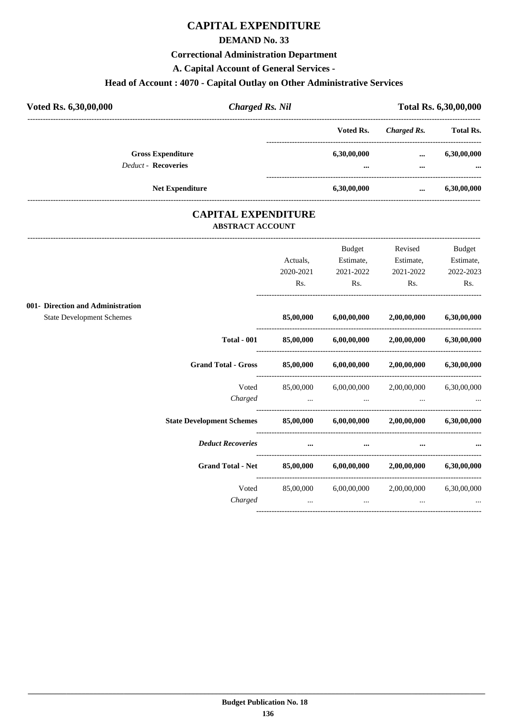# **CAPITAL EXPENDITURE**

#### **DEMAND No. 33**

#### **Correctional Administration Department**

**A. Capital Account of General Services -**

# **Head of Account : 4070 - Capital Outlay on Other Administrative Services**

| Voted Rs. 6,30,00,000 |                                                        | <b>Charged Rs. Nil</b> |                         |                      | Total Rs. 6,30,00,000   |
|-----------------------|--------------------------------------------------------|------------------------|-------------------------|----------------------|-------------------------|
|                       |                                                        |                        | Voted Rs.               | Charged Rs.          | <b>Total Rs.</b>        |
|                       | <b>Gross Expenditure</b><br><b>Deduct - Recoveries</b> |                        | 6,30,00,000<br>$\cdots$ | $\cdots$<br>$\cdots$ | 6,30,00,000<br>$\cdots$ |
|                       | <b>Net Expenditure</b>                                 |                        | 6,30,00,000             | $\cdots$             | 6,30,00,000             |

## **CAPITAL EXPENDITURE ABSTRACT ACCOUNT**

|                                                                       |           | Budget      | Revised                     | <b>Budget</b> |
|-----------------------------------------------------------------------|-----------|-------------|-----------------------------|---------------|
|                                                                       | Actuals.  | Estimate,   | Estimate,                   | Estimate,     |
|                                                                       | 2020-2021 | 2021-2022   | 2021-2022                   | 2022-2023     |
|                                                                       | Rs.       | Rs.         | Rs.                         | Rs.           |
|                                                                       |           |             |                             |               |
| 001- Direction and Administration<br><b>State Development Schemes</b> | 85,00,000 | 6,00,00,000 | 2,00,00,000                 | 6,30,00,000   |
|                                                                       |           |             |                             |               |
| <b>Total - 001</b>                                                    | 85,00,000 | 6,00,00,000 | 2,00,00,000                 | 6,30,00,000   |
| <b>Grand Total - Gross</b>                                            | 85,00,000 | 6,00,00,000 | 2,00,00,000                 | 6,30,00,000   |
| Voted                                                                 | 85,00,000 |             | $6,00,00,000$ $2,00,00,000$ | 6,30,00,000   |
| Charged                                                               | $\cdots$  | $\cdots$    |                             |               |
| <b>State Development Schemes</b>                                      | 85,00,000 | 6,00,00,000 | 2,00,00,000                 | 6,30,00,000   |
| <b>Deduct Recoveries</b>                                              | $\cdots$  | $\cdots$    |                             |               |
| <b>Grand Total - Net</b>                                              | 85,00,000 | 6,00,00,000 | 2,00,00,000                 | 6,30,00,000   |
| Voted                                                                 | 85,00,000 | 6,00,00,000 | 2,00,00,000                 | 6,30,00,000   |
| Charged                                                               | $\cdots$  | $\cdots$    | $\cdots$                    | $\cdots$      |
|                                                                       |           |             |                             |               |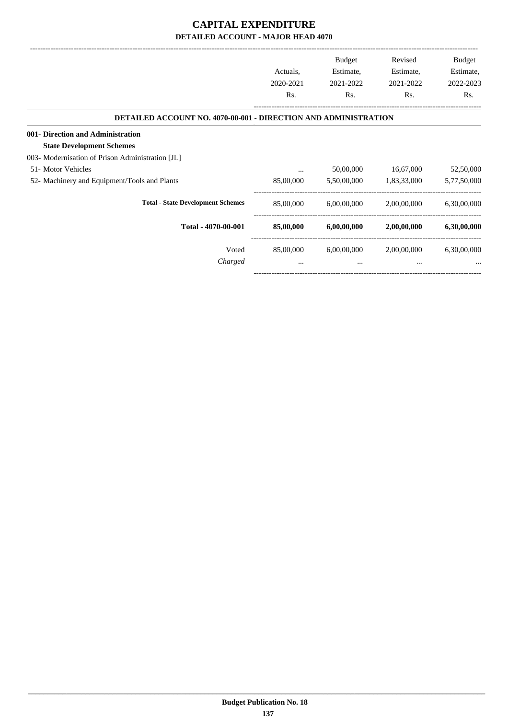# **CAPITAL EXPENDITURE DETAILED ACCOUNT - MAJOR HEAD 4070**

|                                                                        |           | <b>Budget</b> | Revised     | Budget      |
|------------------------------------------------------------------------|-----------|---------------|-------------|-------------|
|                                                                        | Actuals,  | Estimate,     | Estimate,   | Estimate,   |
|                                                                        | 2020-2021 | 2021-2022     | 2021-2022   | 2022-2023   |
|                                                                        | Rs.       | Rs.           | Rs.         | Rs.         |
| <b>DETAILED ACCOUNT NO. 4070-00-001 - DIRECTION AND ADMINISTRATION</b> |           |               |             |             |
| 001- Direction and Administration                                      |           |               |             |             |
| <b>State Development Schemes</b>                                       |           |               |             |             |
| 003- Modernisation of Prison Administration [JL]                       |           |               |             |             |
| 51- Motor Vehicles                                                     | $\cdots$  | 50,00,000     | 16,67,000   | 52,50,000   |
| 52- Machinery and Equipment/Tools and Plants                           | 85,00,000 | 5,50,00,000   | 1,83,33,000 | 5,77,50,000 |
| <b>Total - State Development Schemes</b>                               | 85,00,000 | 6,00,00,000   | 2,00,00,000 | 6,30,00,000 |
| Total - 4070-00-001                                                    | 85,00,000 | 6,00,00,000   | 2,00,00,000 | 6,30,00,000 |
| Voted                                                                  | 85,00,000 | 6,00,00,000   | 2,00,00,000 | 6,30,00,000 |
| Charged                                                                | $\cdots$  | $\cdots$      | $\cdots$    |             |
|                                                                        |           |               |             |             |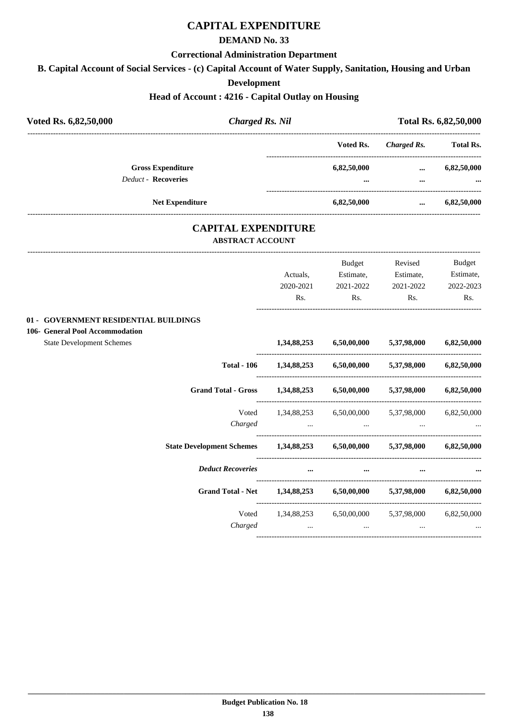# **CAPITAL EXPENDITURE**

## **DEMAND No. 33**

#### **Correctional Administration Department**

**B. Capital Account of Social Services - (c) Capital Account of Water Supply, Sanitation, Housing and Urban**

#### **Development**

## **Head of Account : 4216 - Capital Outlay on Housing**

| Voted Rs.<br><b>Charged Rs.</b><br><b>Gross Expenditure</b><br>6,82,50,000<br>$\ddotsc$<br><b>Deduct - Recoveries</b><br>$\cdots$ | <b>Total Rs.</b><br>6,82,50,000<br>6,82,50,000 |
|-----------------------------------------------------------------------------------------------------------------------------------|------------------------------------------------|
|                                                                                                                                   |                                                |
|                                                                                                                                   |                                                |
|                                                                                                                                   |                                                |
| <b>Net Expenditure</b><br>6,82,50,000<br>$\ddotsc$                                                                                |                                                |
| <b>CAPITAL EXPENDITURE</b><br><b>ABSTRACT ACCOUNT</b>                                                                             |                                                |
| Budget<br>Revised                                                                                                                 | Budget                                         |
| Estimate,<br>Actuals,<br>Estimate,                                                                                                | Estimate,                                      |
| 2020-2021<br>2021-2022<br>2021-2022                                                                                               | 2022-2023                                      |
| Rs.<br>Rs.<br>Rs.                                                                                                                 | Rs.                                            |
| 01 - GOVERNMENT RESIDENTIAL BUILDINGS<br>106- General Pool Accommodation                                                          |                                                |
| <b>State Development Schemes</b><br>6,50,00,000<br>5,37,98,000<br>1,34,88,253                                                     | 6,82,50,000                                    |
| $1,34,88,253$ $6,50,00,000$<br><b>Total - 106</b><br>5,37,98,000                                                                  | 6,82,50,000                                    |
| <b>Grand Total - Gross</b><br>$1,34,88,253$ $6,50,00,000$ $5,37,98,000$                                                           | 6,82,50,000                                    |
| Voted 1,34,88,253 6,50,00,000 5,37,98,000                                                                                         | 6,82,50,000                                    |
| Charged<br>and the company of the company<br><b><i>Contractor Contractor</i></b>                                                  |                                                |
| State Development Schemes 1,34,88,253 6,50,00,000 5,37,98,000                                                                     | 6,82,50,000                                    |
| <b>Deduct Recoveries</b><br>$\cdots$                                                                                              |                                                |
| Grand Total - Net 1,34,88,253 6,50,00,000<br>5,37,98,000                                                                          | 6,82,50,000                                    |
| Voted<br>1,34,88,253 6,50,00,000 5,37,98,000                                                                                      | 6,82,50,000                                    |
| Charged<br>$\cdots$                                                                                                               |                                                |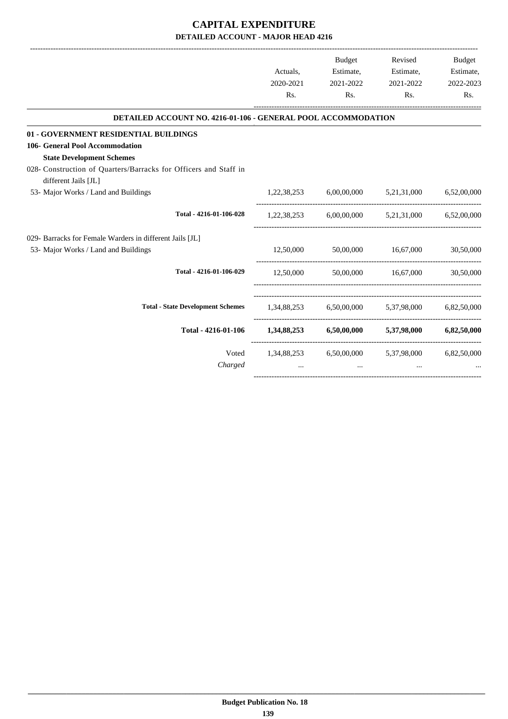# **CAPITAL EXPENDITURE DETAILED ACCOUNT - MAJOR HEAD 4216**

-------------------------------------------------------------------------------------------------------------------------------------------------------------------------------

|                                                                                          |           | <b>Budget</b> | Revised                                                     | <b>Budget</b> |
|------------------------------------------------------------------------------------------|-----------|---------------|-------------------------------------------------------------|---------------|
|                                                                                          | Actuals.  | Estimate,     | Estimate,                                                   | Estimate,     |
|                                                                                          | 2020-2021 | 2021-2022     | 2021-2022                                                   | 2022-2023     |
|                                                                                          | Rs.       | Rs.           | Rs.                                                         | Rs.           |
| <b>DETAILED ACCOUNT NO. 4216-01-106 - GENERAL POOL ACCOMMODATION</b>                     |           |               |                                                             |               |
| 01 - GOVERNMENT RESIDENTIAL BUILDINGS                                                    |           |               |                                                             |               |
| 106- General Pool Accommodation                                                          |           |               |                                                             |               |
| <b>State Development Schemes</b>                                                         |           |               |                                                             |               |
| 028- Construction of Quarters/Barracks for Officers and Staff in<br>different Jails [JL] |           |               |                                                             |               |
| 53- Major Works / Land and Buildings                                                     |           |               | 1,22,38,253 6,00,00,000 5,21,31,000 6,52,00,000             |               |
| Total - 4216-01-106-028                                                                  |           |               | 1,22,38,253 6,00,00,000 5,21,31,000 6,52,00,000             |               |
| 029- Barracks for Female Warders in different Jails [JL]                                 |           |               |                                                             |               |
| 53- Major Works / Land and Buildings                                                     |           |               | 12,50,000 50,00,000 16,67,000 30,50,000                     |               |
| Total - 4216-01-106-029                                                                  | 12.50.000 |               | 50,00,000 16,67,000                                         | 30,50,000     |
| <b>Total - State Development Schemes</b>                                                 |           |               | 1,34,88,253 6,50,00,000 5,37,98,000 6,82,50,000             |               |
| Total - 4216-01-106                                                                      |           |               | 1,34,88,253 6,50,00,000 5,37,98,000 6,82,50,000             |               |
| Voted<br>Charged                                                                         | $\cdots$  | $\cdots$      | 1,34,88,253 6,50,00,000 5,37,98,000 6,82,50,000<br>$\cdots$ |               |
|                                                                                          |           |               |                                                             |               |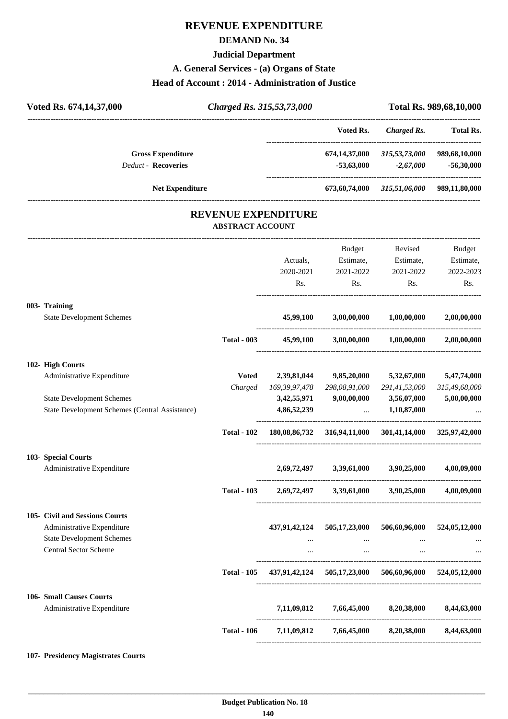# **REVENUE EXPENDITURE**

## **DEMAND No. 34**

#### **Judicial Department**

#### **A. General Services - (a) Organs of State**

#### **Head of Account : 2014 - Administration of Justice**

| Voted Rs. 674,14,37,000 |                                                | Charged Rs. 315,53,73,000                             |                                                                     |                  |                                                 | Total Rs. 989,68,10,000 |
|-------------------------|------------------------------------------------|-------------------------------------------------------|---------------------------------------------------------------------|------------------|-------------------------------------------------|-------------------------|
|                         |                                                |                                                       |                                                                     | Voted Rs.        | -------------------<br>Charged Rs.              | <b>Total Rs.</b>        |
|                         | <b>Gross Expenditure</b>                       |                                                       |                                                                     | 674,14,37,000    | 315,53,73,000                                   | 989,68,10,000           |
|                         | <b>Deduct - Recoveries</b>                     |                                                       |                                                                     | $-53,63,000$     | $-2,67,000$                                     | $-56,30,000$            |
|                         | <b>Net Expenditure</b>                         |                                                       |                                                                     |                  | 673,60,74,000 315,51,06,000 989,11,80,000       |                         |
|                         |                                                | <b>REVENUE EXPENDITURE</b><br><b>ABSTRACT ACCOUNT</b> |                                                                     |                  |                                                 |                         |
|                         |                                                |                                                       |                                                                     |                  |                                                 |                         |
|                         |                                                |                                                       |                                                                     | Budget           | Revised                                         | Budget                  |
|                         |                                                |                                                       | Actuals,                                                            | Estimate,        | Estimate,                                       | Estimate,               |
|                         |                                                |                                                       | 2020-2021<br>Rs.                                                    | 2021-2022<br>Rs. | 2021-2022<br>Rs.                                | 2022-2023<br>Rs.        |
|                         | 003- Training                                  |                                                       |                                                                     |                  |                                                 |                         |
|                         | <b>State Development Schemes</b>               |                                                       | 45,99,100                                                           | 3,00,00,000      | 1,00,00,000                                     | 2,00,00,000             |
|                         |                                                | <b>Total - 003</b>                                    | 45,99,100                                                           | 3,00,00,000      | 1,00,00,000                                     | 2,00,00,000             |
|                         | 102- High Courts                               |                                                       |                                                                     |                  |                                                 |                         |
|                         | Administrative Expenditure                     | <b>Voted</b>                                          | 2,39,81,044                                                         | 9,85,20,000      | 5,32,67,000                                     | 5,47,74,000             |
|                         |                                                | Charged                                               | 169,39,97,478                                                       | 298,08,91,000    | 291,41,53,000                                   | 315,49,68,000           |
|                         | <b>State Development Schemes</b>               |                                                       | 3,42,55,971                                                         | 9,00,00,000      | 3,56,07,000                                     | 5,00,00,000             |
|                         | State Development Schemes (Central Assistance) |                                                       | 4,86,52,239                                                         | $\cdots$         | 1,10,87,000                                     |                         |
|                         |                                                | <b>Total - 102</b>                                    | 180,08,86,732                                                       | 316,94,11,000    | 301,41,14,000                                   | 325,97,42,000           |
|                         | 103- Special Courts                            |                                                       |                                                                     |                  |                                                 |                         |
|                         | Administrative Expenditure                     |                                                       | 2,69,72,497                                                         | 3,39,61,000      | 3,90,25,000                                     | 4,00,09,000             |
|                         |                                                | <b>Total - 103</b>                                    |                                                                     |                  | 2,69,72,497 3,39,61,000 3,90,25,000 4,00,09,000 |                         |
|                         | 105- Civil and Sessions Courts                 |                                                       |                                                                     |                  |                                                 |                         |
|                         | Administrative Expenditure                     |                                                       | 437,91,42,124                                                       | 505,17,23,000    | 506,60,96,000                                   | 524,05,12,000           |
|                         | <b>State Development Schemes</b>               |                                                       | $\cdots$                                                            | $\sim$ $\sim$    | <b>Contractor</b>                               |                         |
|                         | <b>Central Sector Scheme</b>                   |                                                       | $\cdots$                                                            | $\cdots$         | $\cdots$                                        |                         |
|                         |                                                |                                                       | Total - 105 437,91,42,124 505,17,23,000 506,60,96,000 524,05,12,000 |                  |                                                 |                         |
|                         | 106- Small Causes Courts                       |                                                       |                                                                     |                  |                                                 |                         |
|                         | Administrative Expenditure                     |                                                       | 7,11,09,812                                                         | 7,66,45,000      | 8,20,38,000                                     | 8,44,63,000             |
|                         |                                                | <b>Total - 106</b>                                    |                                                                     |                  | 7,11,09,812 7,66,45,000 8,20,38,000 8,44,63,000 |                         |
|                         |                                                |                                                       |                                                                     |                  |                                                 |                         |

#### **107- Presidency Magistrates Courts**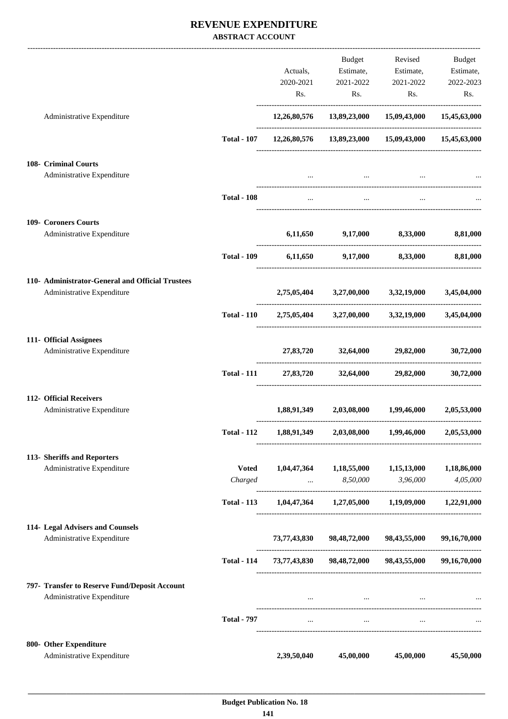## **REVENUE EXPENDITURE ABSTRACT ACCOUNT**

|                                                           |                    |             |                                                             | Budget Revised                | Budget       |
|-----------------------------------------------------------|--------------------|-------------|-------------------------------------------------------------|-------------------------------|--------------|
|                                                           |                    | Actuals,    |                                                             | Estimate, Estimate, Estimate, |              |
|                                                           |                    |             | 2020-2021 2021-2022 2021-2022                               |                               | 2022-2023    |
|                                                           |                    |             | Rs.                                                         | Rs.<br>Rs.                    | Rs.          |
| Administrative Expenditure                                |                    |             | 12,26,80,576 13,89,23,000 15,09,43,000 15,45,63,000         |                               |              |
|                                                           | <b>Total - 107</b> |             | 12,26,80,576  13,89,23,000  15,09,43,000  15,45,63,000      |                               |              |
| 108- Criminal Courts                                      |                    |             |                                                             |                               |              |
| Administrative Expenditure                                |                    |             |                                                             |                               |              |
|                                                           | <b>Total - 108</b> | $\cdots$    | $\cdots$                                                    |                               |              |
| 109- Coroners Courts                                      |                    |             |                                                             |                               |              |
| Administrative Expenditure                                |                    |             | 6,11,650 9,17,000 8,33,000 8,81,000                         |                               |              |
|                                                           | <b>Total - 109</b> |             | 6,11,650 9,17,000 8,33,000 8,81,000                         |                               |              |
| 110- Administrator-General and Official Trustees          |                    |             |                                                             |                               |              |
| Administrative Expenditure                                |                    |             | 2,75,05,404 3,27,00,000 3,32,19,000 3,45,04,000             |                               |              |
|                                                           |                    |             | Total - 110 2,75,05,404 3,27,00,000 3,32,19,000 3,45,04,000 |                               |              |
| 111- Official Assignees                                   |                    |             |                                                             |                               |              |
| Administrative Expenditure                                |                    |             | 27,83,720 32,64,000 29,82,000                               |                               | 30,72,000    |
|                                                           | <b>Total - 111</b> |             | 27,83,720 32,64,000 29,82,000                               |                               | 30,72,000    |
| 112- Official Receivers                                   |                    |             |                                                             |                               |              |
| Administrative Expenditure                                |                    |             | $1,88,91,349$ $2,03,08,000$ $1,99,46,000$ $2,05,53,000$     |                               |              |
|                                                           | <b>Total - 112</b> |             | 1,88,91,349 2,03,08,000                                     | 1,99,46,000                   | 2,05,53,000  |
| 113- Sheriffs and Reporters<br>Administrative Expenditure | <b>Voted</b>       |             | $1,04,47,364$ $1,18,55,000$ $1,15,13,000$                   |                               | 1,18,86,000  |
|                                                           | Charged            |             | $8,50,000$                                                  | 3,96,000                      | 4,05,000     |
|                                                           | <b>Total - 113</b> |             | $1,04,47,364$ $1,27,05,000$ $1,19,09,000$ $1,22,91,000$     |                               |              |
| 114- Legal Advisers and Counsels                          |                    |             |                                                             |                               |              |
| Administrative Expenditure                                |                    |             | 73,77,43,830 98,48,72,000 98,43,55,000                      |                               | 99,16,70,000 |
|                                                           | <b>Total - 114</b> |             | 73,77,43,830 98,48,72,000 98,43,55,000                      |                               | 99,16,70,000 |
| 797- Transfer to Reserve Fund/Deposit Account             |                    |             |                                                             |                               |              |
| Administrative Expenditure                                |                    |             | and the state of the state of the state of the state of the |                               |              |
|                                                           | <b>Total - 797</b> |             | $\cdots$<br>$\mathbf{1}$                                    |                               |              |
| 800- Other Expenditure                                    |                    |             |                                                             |                               |              |
| Administrative Expenditure                                |                    | 2,39,50,040 | 45,00,000                                                   | 45,00,000                     | 45,50,000    |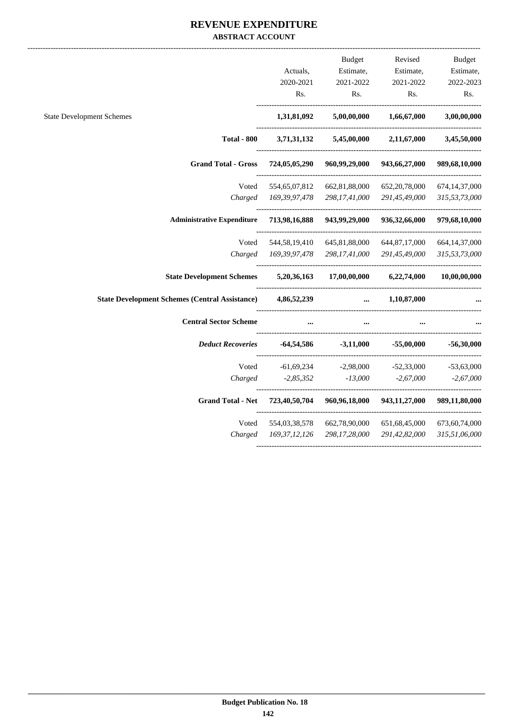#### **REVENUE EXPENDITURE ABSTRACT ACCOUNT**

|                                                       |                  | <b>Budget</b> | Revised          | <b>Budget</b>    |
|-------------------------------------------------------|------------------|---------------|------------------|------------------|
|                                                       | Actuals,         | Estimate,     | Estimate,        | Estimate,        |
|                                                       | 2020-2021        | 2021-2022     | 2021-2022        | 2022-2023        |
|                                                       | Rs.              | Rs.           | Rs.              | Rs.              |
| <b>State Development Schemes</b>                      | 1,31,81,092      | 5,00,00,000   | 1,66,67,000      | 3,00,00,000      |
| <b>Total - 800</b>                                    | 3,71,31,132      | 5,45,00,000   | 2,11,67,000      | 3,45,50,000      |
| <b>Grand Total - Gross</b>                            | 724,05,05,290    | 960,99,29,000 | 943,66,27,000    | 989,68,10,000    |
| Voted                                                 | 554, 65, 07, 812 | 662,81,88,000 | 652, 20, 78, 000 | 674,14,37,000    |
| Charged                                               | 169, 39, 97, 478 | 298,17,41,000 | 291,45,49,000    | 315,53,73,000    |
| <b>Administrative Expenditure</b>                     | 713,98,16,888    | 943,99,29,000 | 936, 32, 66, 000 | 979,68,10,000    |
| Voted                                                 | 544,58,19,410    | 645,81,88,000 | 644, 87, 17, 000 | 664, 14, 37, 000 |
| Charged                                               | 169, 39, 97, 478 | 298,17,41,000 | 291,45,49,000    | 315,53,73,000    |
| <b>State Development Schemes</b>                      | 5,20,36,163      | 17,00,00,000  | 6,22,74,000      | 10,00,00,000     |
| <b>State Development Schemes (Central Assistance)</b> | 4,86,52,239      |               | 1,10,87,000      |                  |
| <b>Central Sector Scheme</b>                          |                  |               |                  |                  |
| <b>Deduct Recoveries</b>                              | -64,54,586       | $-3,11,000$   | $-55,00,000$     | $-56,30,000$     |
| Voted                                                 | $-61,69,234$     | $-2,98,000$   | $-52,33,000$     | $-53,63,000$     |
| Charged                                               | $-2,85,352$      | $-13,000$     | $-2,67,000$      | $-2,67,000$      |
| <b>Grand Total - Net</b>                              | 723,40,50,704    | 960,96,18,000 | 943, 11, 27, 000 | 989,11,80,000    |
| Voted                                                 | 554,03,38,578    | 662,78,90,000 | 651, 68, 45, 000 | 673,60,74,000    |
| Charged                                               | 169, 37, 12, 126 | 298,17,28,000 | 291,42,82,000    | 315,51,06,000    |
|                                                       |                  |               |                  |                  |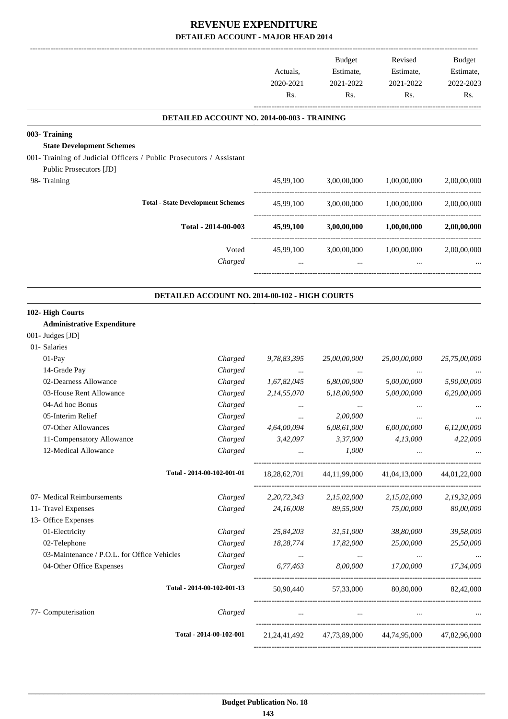|                                                                     |                                                | Actuals,<br>2020-2021<br>Rs. | Budget<br>Estimate,<br>2021-2022<br>Rs. | Revised<br>Estimate,<br>2021-2022<br>Rs.                        | Budget<br>Estimate,<br>2022-2023<br>Rs. |
|---------------------------------------------------------------------|------------------------------------------------|------------------------------|-----------------------------------------|-----------------------------------------------------------------|-----------------------------------------|
|                                                                     | DETAILED ACCOUNT NO. 2014-00-003 - TRAINING    |                              |                                         |                                                                 |                                         |
| 003- Training                                                       |                                                |                              |                                         |                                                                 |                                         |
| <b>State Development Schemes</b>                                    |                                                |                              |                                         |                                                                 |                                         |
| 001- Training of Judicial Officers / Public Prosecutors / Assistant |                                                |                              |                                         |                                                                 |                                         |
| Public Prosecutors [JD]                                             |                                                |                              |                                         |                                                                 |                                         |
| 98- Training                                                        |                                                | 45,99,100                    | 3,00,00,000                             | 1,00,00,000                                                     | 2,00,00,000                             |
|                                                                     | <b>Total - State Development Schemes</b>       | 45,99,100                    | 3,00,00,000                             | 1,00,00,000                                                     | 2,00,00,000                             |
|                                                                     | Total - 2014-00-003                            | 45,99,100                    | 3,00,00,000                             | 1,00,00,000                                                     | 2,00,00,000                             |
|                                                                     | Voted                                          | 45,99,100                    | 3,00,00,000                             | 1,00,00,000                                                     | 2,00,00,000                             |
|                                                                     | Charged                                        | $\cdots$                     | $\ldots$                                |                                                                 |                                         |
|                                                                     | DETAILED ACCOUNT NO. 2014-00-102 - HIGH COURTS |                              |                                         |                                                                 |                                         |
| 102- High Courts                                                    |                                                |                              |                                         |                                                                 |                                         |
| <b>Administrative Expenditure</b>                                   |                                                |                              |                                         |                                                                 |                                         |
| 001- Judges [JD]                                                    |                                                |                              |                                         |                                                                 |                                         |
| 01- Salaries                                                        |                                                |                              |                                         |                                                                 |                                         |
| 01-Pay                                                              | Charged                                        | 9,78,83,395                  | 25,00,00,000                            | 25,00,00,000                                                    | 25,75,00,000                            |
| 14-Grade Pay                                                        | Charged                                        | $\cdots$                     |                                         |                                                                 |                                         |
| 02-Dearness Allowance                                               | Charged                                        | 1,67,82,045                  | 6,80,00,000                             | 5,00,00,000                                                     | 5,90,00,000                             |
| 03-House Rent Allowance                                             | Charged                                        | 2,14,55,070                  | 6,18,00,000                             | 5,00,00,000                                                     | 6,20,00,000                             |
| 04-Ad hoc Bonus                                                     | Charged                                        | $\cdots$                     |                                         |                                                                 |                                         |
| 05-Interim Relief                                                   | Charged                                        |                              | 2,00,000                                |                                                                 |                                         |
| 07-Other Allowances                                                 | Charged                                        | 4,64,00,094                  | 6,08,61,000                             | 6,00,00,000                                                     | 6,12,00,000                             |
| 11-Compensatory Allowance                                           | Charged                                        | 3,42,097                     | 3,37,000                                | 4,13,000                                                        | 4,22,000                                |
| 12-Medical Allowance                                                | Charged                                        |                              | 1,000<br><b>ALCOHOL:</b> The Contractor | $\cdots$                                                        | $\ldots$                                |
|                                                                     | Total - 2014-00-102-001-01                     |                              |                                         | 18,28,62,701 44,11,99,000 41,04,13,000                          | 44,01,22,000                            |
| 07- Medical Reimbursements                                          | Charged                                        | 2, 20, 72, 343               | 2,15,02,000                             | 2,15,02,000                                                     | 2,19,32,000                             |
| 11- Travel Expenses                                                 | Charged                                        | 24,16,008                    | 89,55,000                               | 75,00,000                                                       | 80,00,000                               |
| 13- Office Expenses                                                 |                                                |                              |                                         |                                                                 |                                         |
| 01-Electricity                                                      | Charged                                        | 25,84,203                    | 31,51,000                               | 38,80,000                                                       | 39,58,000                               |
| 02-Telephone                                                        | Charged                                        | 18,28,774                    | 17,82,000                               | 25,00,000                                                       | 25,50,000                               |
| 03-Maintenance / P.O.L. for Office Vehicles                         | Charged                                        | $\cdots$                     | $\sim 100$ and $\sim 100$               | $\cdots$                                                        | $\cdots$                                |
| 04-Other Office Expenses                                            | Charged                                        | 6,77,463                     | 8,00,000                                | 17,00,000                                                       | 17,34,000                               |
|                                                                     | Total - 2014-00-102-001-13                     |                              |                                         | 50,90,440 57,33,000 80,80,000 82,42,000                         |                                         |
| 77- Computerisation                                                 | Charged                                        |                              | <b>The Committee Committee</b>          | and the company of the<br>$\cdots$                              |                                         |
|                                                                     | Total - 2014-00-102-001                        |                              |                                         | 21, 24, 41, 492 47, 73, 89, 000 44, 74, 95, 000 47, 82, 96, 000 |                                         |
|                                                                     |                                                |                              |                                         |                                                                 |                                         |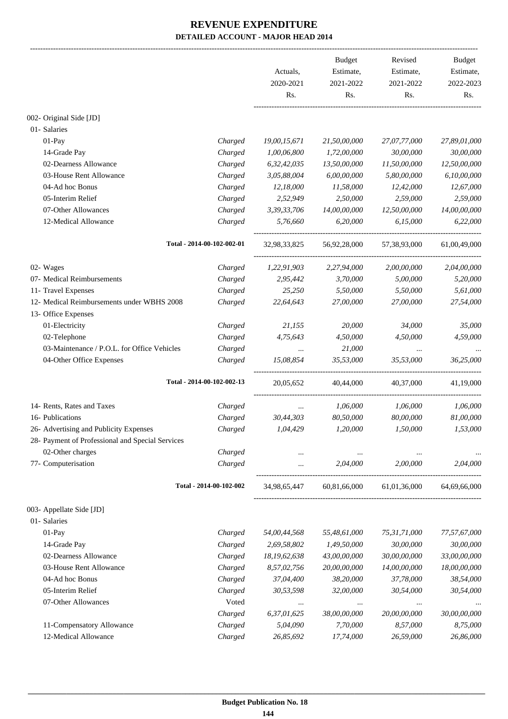|                                                  |                            | Actuals,<br>2020-2021<br>Rs. | <b>Budget</b><br>Estimate,<br>2021-2022<br>Rs. | Revised<br>Estimate,<br>2021-2022<br>Rs. | Budget<br>Estimate,<br>2022-2023<br>Rs. |
|--------------------------------------------------|----------------------------|------------------------------|------------------------------------------------|------------------------------------------|-----------------------------------------|
| 002- Original Side [JD]                          |                            |                              |                                                |                                          |                                         |
| 01- Salaries                                     |                            |                              |                                                |                                          |                                         |
| 01-Pay                                           | Charged                    | 19,00,15,671                 | 21,50,00,000                                   | 27,07,77,000                             | 27,89,01,000                            |
| 14-Grade Pay                                     | Charged                    | 1,00,06,800                  | 1,72,00,000                                    | 30,00,000                                | 30,00,000                               |
| 02-Dearness Allowance                            | Charged                    | 6,32,42,035                  | 13,50,00,000                                   | 11,50,00,000                             | 12,50,00,000                            |
| 03-House Rent Allowance                          | Charged                    | 3,05,88,004                  | 6,00,00,000                                    | 5,80,00,000                              | 6,10,00,000                             |
| 04-Ad hoc Bonus                                  | Charged                    | 12,18,000                    | 11,58,000                                      | 12,42,000                                | 12,67,000                               |
| 05-Interim Relief                                | Charged                    | 2,52,949                     | 2,50,000                                       | 2,59,000                                 | 2,59,000                                |
| 07-Other Allowances                              | Charged                    | 3,39,33,706                  | 14,00,00,000                                   | 12,50,00,000                             | 14,00,00,000                            |
| 12-Medical Allowance                             | Charged                    | 5,76,660                     | 6,20,000                                       | 6,15,000                                 | 6,22,000                                |
|                                                  | Total - 2014-00-102-002-01 | 32,98,33,825                 | 56,92,28,000                                   | 57,38,93,000                             | 61,00,49,000                            |
| 02- Wages                                        | Charged                    | 1,22,91,903                  | 2,27,94,000                                    | 2,00,00,000                              | 2,04,00,000                             |
| 07- Medical Reimbursements                       | Charged                    | 2,95,442                     | 3,70,000                                       | 5,00,000                                 | 5,20,000                                |
| 11- Travel Expenses                              | Charged                    | 25,250                       | 5,50,000                                       | 5,50,000                                 | 5,61,000                                |
| 12- Medical Reimbursements under WBHS 2008       | Charged                    | 22,64,643                    | 27,00,000                                      | 27,00,000                                | 27,54,000                               |
| 13- Office Expenses                              |                            |                              |                                                |                                          |                                         |
| 01-Electricity                                   | Charged                    | 21,155                       | 20,000                                         | 34,000                                   | 35,000                                  |
| 02-Telephone                                     | Charged                    | 4,75,643                     | 4,50,000                                       | 4,50,000                                 | 4,59,000                                |
| 03-Maintenance / P.O.L. for Office Vehicles      | Charged                    | $\cdots$                     | 21,000                                         |                                          |                                         |
| 04-Other Office Expenses                         | Charged                    | 15,08,854                    | 35,53,000                                      | 35,53,000                                | 36,25,000                               |
|                                                  | Total - 2014-00-102-002-13 | 20,05,652                    | 40,44,000                                      | 40,37,000                                | 41,19,000                               |
| 14- Rents, Rates and Taxes                       | Charged                    | $\cdots$                     | 1,06,000                                       | 1,06,000                                 | 1,06,000                                |
| 16- Publications                                 | Charged                    | 30,44,303                    | 80,50,000                                      | 80,00,000                                | 81,00,000                               |
| 26- Advertising and Publicity Expenses           | Charged                    | 1,04,429                     | 1,20,000                                       | 1,50,000                                 | 1,53,000                                |
| 28- Payment of Professional and Special Services |                            |                              |                                                |                                          |                                         |
| 02-Other charges                                 | Charged                    | $\cdots$                     |                                                |                                          |                                         |
| 77- Computerisation                              | Charged                    | $\cdots$                     | 2,04,000                                       | 2,00,000                                 | 2,04,000                                |
|                                                  | Total - 2014-00-102-002    | 34,98,65,447                 | 60,81,66,000                                   | 61,01,36,000                             | 64,69,66,000                            |
| 003- Appellate Side [JD]                         |                            |                              |                                                |                                          |                                         |
| 01- Salaries                                     |                            |                              |                                                |                                          |                                         |
| 01-Pay                                           | Charged                    | 54,00,44,568                 | 55,48,61,000                                   | 75,31,71,000                             | 77,57,67,000                            |
| 14-Grade Pay                                     | Charged                    | 2,69,58,802                  | 1,49,50,000                                    | 30,00,000                                | 30,00,000                               |
| 02-Dearness Allowance                            | Charged                    | 18,19,62,638                 | 43,00,00,000                                   | 30,00,00,000                             | 33,00,00,000                            |
| 03-House Rent Allowance                          | Charged                    | 8,57,02,756                  | 20,00,00,000                                   | 14,00,00,000                             | 18,00,00,000                            |
| 04-Ad hoc Bonus                                  | Charged                    | 37,04,400                    | 38,20,000                                      | 37,78,000                                | 38,54,000                               |
| 05-Interim Relief                                | Charged                    | 30,53,598                    | 32,00,000                                      | 30,54,000                                | 30,54,000                               |
| 07-Other Allowances                              | Voted                      | $\cdots$                     | $\cdots$                                       | $\cdots$                                 |                                         |
|                                                  | Charged                    | 6,37,01,625                  | 38,00,00,000                                   | 20,00,00,000                             | 30,00,00,000                            |
| 11-Compensatory Allowance                        | Charged                    | 5,04,090                     | 7,70,000                                       | 8,57,000                                 | 8,75,000                                |
| 12-Medical Allowance                             | Charged                    | 26,85,692                    | 17,74,000                                      | 26,59,000                                | 26,86,000                               |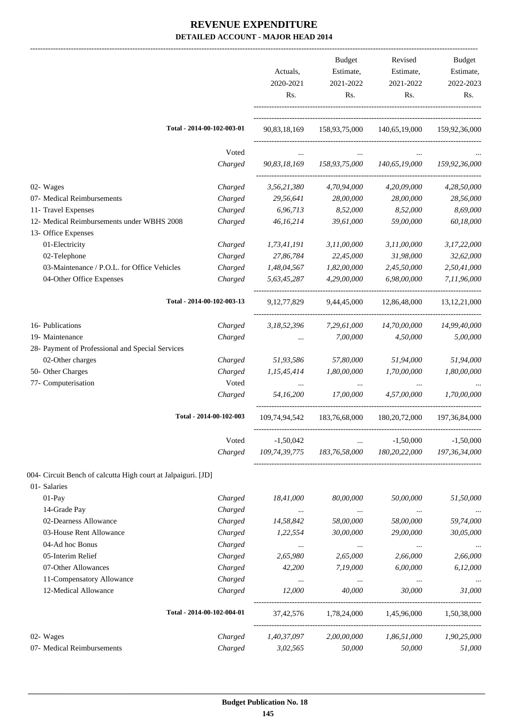|                                                               |                            | Actuals,<br>2020-2021<br>Rs. | <b>Budget</b><br>Estimate,<br>2021-2022<br>Rs. | Revised<br>Estimate,<br>2021-2022<br>Rs. | <b>Budget</b><br>Estimate,<br>2022-2023<br>Rs. |
|---------------------------------------------------------------|----------------------------|------------------------------|------------------------------------------------|------------------------------------------|------------------------------------------------|
|                                                               | Total - 2014-00-102-003-01 | 90,83,18,169                 | 158,93,75,000                                  | 140,65,19,000                            | 159,92,36,000                                  |
|                                                               | Voted                      |                              |                                                |                                          |                                                |
|                                                               | Charged                    | 90,83,18,169                 | 158,93,75,000                                  | 140,65,19,000                            | 159,92,36,000                                  |
| 02- Wages                                                     | Charged                    | 3,56,21,380                  | 4,70,94,000                                    | 4,20,09,000                              | 4,28,50,000                                    |
| 07- Medical Reimbursements                                    | Charged                    | 29,56,641                    | 28,00,000                                      | 28,00,000                                | 28,56,000                                      |
| 11- Travel Expenses                                           | Charged                    | 6,96,713                     | 8,52,000                                       | 8,52,000                                 | 8,69,000                                       |
| 12- Medical Reimbursements under WBHS 2008                    | Charged                    | 46,16,214                    | 39,61,000                                      | 59,00,000                                | 60,18,000                                      |
| 13- Office Expenses                                           |                            |                              |                                                |                                          |                                                |
| 01-Electricity                                                | Charged                    | 1,73,41,191                  | 3,11,00,000                                    | 3,11,00,000                              | 3,17,22,000                                    |
| 02-Telephone                                                  | Charged                    | 27,86,784                    | 22,45,000                                      | 31,98,000                                | 32,62,000                                      |
| 03-Maintenance / P.O.L. for Office Vehicles                   | Charged                    | 1,48,04,567                  | 1,82,00,000                                    | 2,45,50,000                              | 2,50,41,000                                    |
| 04-Other Office Expenses                                      | Charged                    | 5,63,45,287                  | 4,29,00,000                                    | 6,98,00,000                              | 7,11,96,000                                    |
|                                                               | Total - 2014-00-102-003-13 | 9, 12, 77, 829               | 9,44,45,000                                    | 12,86,48,000                             | 13, 12, 21, 000                                |
|                                                               |                            |                              |                                                |                                          |                                                |
| 16- Publications                                              | Charged                    | 3,18,52,396                  | 7,29,61,000                                    | 14,70,00,000                             | 14,99,40,000                                   |
| 19- Maintenance                                               | Charged                    |                              | 7,00,000                                       | 4,50,000                                 | 5,00,000                                       |
| 28- Payment of Professional and Special Services              |                            |                              |                                                |                                          |                                                |
| 02-Other charges                                              | Charged                    | 51,93,586                    | 57,80,000                                      | 51,94,000                                | 51,94,000                                      |
| 50- Other Charges                                             | Charged                    | 1,15,45,414                  | 1,80,00,000                                    | 1,70,00,000                              | 1,80,00,000                                    |
| 77- Computerisation                                           | Voted                      |                              |                                                |                                          |                                                |
|                                                               | Charged                    | 54,16,200                    | 17,00,000                                      | 4,57,00,000                              | 1,70,00,000                                    |
|                                                               | Total - 2014-00-102-003    | 109,74,94,542                | 183,76,68,000                                  | 180, 20, 72, 000                         | 197, 36, 84, 000                               |
|                                                               | Voted                      | $-1,50,042$                  | $\cdots$                                       | $-1,50,000$                              | $-1,50,000$                                    |
|                                                               | Charged                    |                              | 109,74,39,775 183,76,58,000                    | 180,20,22,000                            | 197,36,34,000                                  |
| 004- Circuit Bench of calcutta High court at Jalpaiguri. [JD] |                            |                              |                                                |                                          |                                                |
| 01- Salaries                                                  |                            |                              |                                                |                                          |                                                |
| $01-Pay$                                                      | Charged                    | 18,41,000                    | 80,00,000                                      | 50,00,000                                | 51,50,000                                      |
| 14-Grade Pay                                                  | Charged                    | $\ldots$                     | $\cdots$                                       | $\ldots$                                 | $\cdots$                                       |
| 02-Dearness Allowance                                         | Charged                    | 14,58,842                    | 58,00,000                                      | 58,00,000                                | 59,74,000                                      |
| 03-House Rent Allowance                                       | Charged                    | 1,22,554                     | 30,00,000                                      | 29,00,000                                | 30,05,000                                      |
| 04-Ad hoc Bonus                                               | Charged                    | $\cdots$                     | $\cdots$                                       |                                          |                                                |
| 05-Interim Relief                                             | Charged                    | 2,65,980                     | 2,65,000                                       | 2,66,000                                 | 2,66,000                                       |
| 07-Other Allowances                                           | Charged                    | 42,200                       | 7,19,000                                       | 6,00,000                                 | 6,12,000                                       |
| 11-Compensatory Allowance                                     | Charged                    | $\cdots$                     | $\cdots$                                       | $\cdots$                                 |                                                |
| 12-Medical Allowance                                          | Charged                    | 12,000                       | 40,000                                         | 30,000                                   | 31,000                                         |
|                                                               | Total - 2014-00-102-004-01 | 37,42,576                    | 1,78,24,000                                    | 1,45,96,000                              | 1,50,38,000                                    |
| 02- Wages                                                     | Charged                    | 1,40,37,097                  | 2,00,00,000                                    | 1,86,51,000                              | 1,90,25,000                                    |
| 07- Medical Reimbursements                                    | Charged                    | 3,02,565                     | 50,000                                         | 50,000                                   | 51,000                                         |
|                                                               |                            |                              |                                                |                                          |                                                |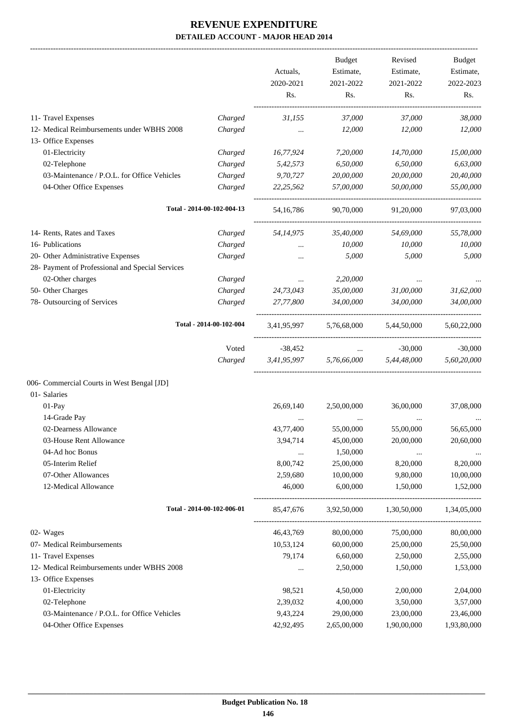-------------------------------------------------------------------------------------------------------------------------------------------------------------------------------

|                                                                   |                            | Actuals,<br>2020-2021 | <b>Budget</b><br>Estimate,<br>2021-2022 | Revised<br>Estimate,<br>2021-2022 | <b>Budget</b><br>Estimate,<br>2022-2023 |
|-------------------------------------------------------------------|----------------------------|-----------------------|-----------------------------------------|-----------------------------------|-----------------------------------------|
|                                                                   |                            | Rs.                   | Rs.                                     | Rs.                               | Rs.                                     |
| 11- Travel Expenses                                               | Charged                    | 31,155                | 37,000                                  | 37,000                            | 38,000                                  |
| 12- Medical Reimbursements under WBHS 2008<br>13- Office Expenses | Charged                    | $\cdots$              | 12,000                                  | 12,000                            | 12,000                                  |
| 01-Electricity                                                    | Charged                    | 16,77,924             | 7,20,000                                | 14,70,000                         | 15,00,000                               |
| 02-Telephone                                                      | Charged                    | 5,42,573              | 6,50,000                                | 6,50,000                          | 6,63,000                                |
| 03-Maintenance / P.O.L. for Office Vehicles                       | Charged                    | 9,70,727              | 20,00,000                               | 20,00,000                         | 20,40,000                               |
| 04-Other Office Expenses                                          | Charged                    | 22, 25, 562           | 57,00,000                               | 50,00,000                         | 55,00,000                               |
|                                                                   | Total - 2014-00-102-004-13 | 54, 16, 786           | 90,70,000                               | 91,20,000                         | 97,03,000                               |
| 14- Rents, Rates and Taxes                                        | Charged                    | 54,14,975             | 35,40,000                               | 54,69,000                         | 55,78,000                               |
| 16- Publications                                                  | Charged                    | $\cdots$              | 10,000                                  | 10,000                            | 10,000                                  |
| 20- Other Administrative Expenses                                 | Charged                    | $\cdots$              | 5,000                                   | 5,000                             | 5,000                                   |
| 28- Payment of Professional and Special Services                  |                            |                       |                                         |                                   |                                         |
| 02-Other charges                                                  | Charged                    | $\cdots$              | 2,20,000                                |                                   |                                         |
| 50- Other Charges                                                 | Charged                    | 24,73,043             | 35,00,000                               | 31,00,000                         | 31,62,000                               |
| 78- Outsourcing of Services                                       | Charged                    | 27,77,800             | 34,00,000                               | 34,00,000                         | 34,00,000                               |
|                                                                   | Total - 2014-00-102-004    | 3,41,95,997           | 5,76,68,000                             | 5,44,50,000                       | 5,60,22,000                             |
|                                                                   | Voted                      | $-38,452$             | $\ddots$                                | $-30,000$                         | $-30,000$                               |
|                                                                   | Charged                    | 3,41,95,997           | 5,76,66,000                             | 5,44,48,000                       | 5,60,20,000                             |
| 006- Commercial Courts in West Bengal [JD]                        |                            |                       |                                         |                                   |                                         |
| 01- Salaries                                                      |                            |                       |                                         |                                   |                                         |
| $01-Pav$                                                          |                            | 26,69,140             | 2,50,00,000                             | 36,00,000                         | 37,08,000                               |
| 14-Grade Pay                                                      |                            | $\cdots$              | $\cdots$                                |                                   |                                         |
| 02-Dearness Allowance                                             |                            | 43,77,400             | 55,00,000                               | 55,00,000                         | 56,65,000                               |
| 03-House Rent Allowance                                           |                            | 3,94,714              | 45,00,000                               | 20,00,000                         | 20,60,000                               |
| 04-Ad hoc Bonus                                                   |                            | $\ldots$              | 1,50,000                                | $\cdots$                          |                                         |
| 05-Interim Relief                                                 |                            | 8,00,742              | 25,00,000                               | 8,20,000                          | 8,20,000                                |
| 07-Other Allowances                                               |                            | 2,59,680              | 10,00,000                               | 9,80,000                          | 10,00,000                               |
| 12-Medical Allowance                                              |                            | 46,000                | 6,00,000                                | 1,50,000                          | 1,52,000                                |
|                                                                   | Total - 2014-00-102-006-01 | 85,47,676             | 3,92,50,000                             | 1,30,50,000                       | 1,34,05,000                             |
| 02- Wages                                                         |                            | 46, 43, 769           | 80,00,000                               | 75,00,000                         | 80,00,000                               |
| 07- Medical Reimbursements                                        |                            | 10,53,124             | 60,00,000                               | 25,00,000                         | 25,50,000                               |
| 11- Travel Expenses                                               |                            | 79,174                | 6,60,000                                | 2,50,000                          | 2,55,000                                |
| 12- Medical Reimbursements under WBHS 2008                        |                            | $\cdots$              | 2,50,000                                | 1,50,000                          | 1,53,000                                |
| 13- Office Expenses                                               |                            |                       |                                         |                                   |                                         |
| 01-Electricity                                                    |                            | 98,521                | 4,50,000                                | 2,00,000                          | 2,04,000                                |
| 02-Telephone                                                      |                            | 2,39,032              | 4,00,000                                | 3,50,000                          | 3,57,000                                |
| 03-Maintenance / P.O.L. for Office Vehicles                       |                            | 9,43,224              | 29,00,000                               | 23,00,000                         | 23,46,000                               |
| 04-Other Office Expenses                                          |                            | 42,92,495             | 2,65,00,000                             | 1,90,00,000                       | 1,93,80,000                             |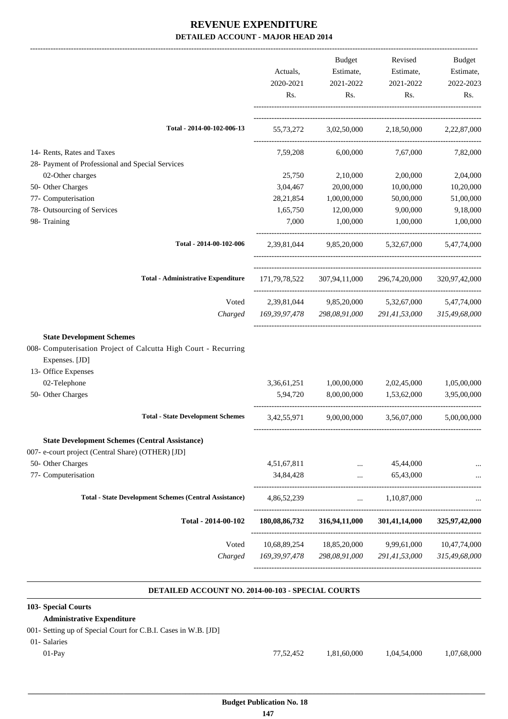|                                                                                   |               | Budget                                                  | Revised                                        | Budget                   |
|-----------------------------------------------------------------------------------|---------------|---------------------------------------------------------|------------------------------------------------|--------------------------|
|                                                                                   | Actuals,      | Estimate,                                               | Estimate,                                      | Estimate,                |
|                                                                                   | 2020-2021     | 2021-2022                                               | 2021-2022                                      | 2022-2023                |
|                                                                                   | Rs.           | Rs.                                                     | Rs.                                            | Rs.                      |
| Total - 2014-00-102-006-13                                                        |               | 55,73,272 3,02,50,000 2,18,50,000 2,22,87,000           |                                                |                          |
| 14- Rents, Rates and Taxes                                                        | 7,59,208      | 6,00,000                                                | 7,67,000                                       | 7,82,000                 |
| 28- Payment of Professional and Special Services                                  |               |                                                         |                                                |                          |
| 02-Other charges                                                                  | 25,750        | 2,10,000                                                | 2,00,000                                       | 2,04,000                 |
| 50- Other Charges                                                                 | 3,04,467      | 20,00,000                                               | 10,00,000                                      | 10,20,000                |
| 77- Computerisation                                                               | 28, 21, 854   | 1,00,00,000                                             | 50,00,000                                      | 51,00,000                |
| 78- Outsourcing of Services                                                       | 1,65,750      | 12,00,000                                               | 9,00,000                                       | 9,18,000                 |
| 98- Training                                                                      | 7,000         | 1,00,000                                                | 1,00,000                                       | 1,00,000                 |
| Total - 2014-00-102-006                                                           |               | 2,39,81,044 9,85,20,000 5,32,67,000                     |                                                | 5,47,74,000              |
| <b>Total - Administrative Expenditure</b>                                         |               | 171,79,78,522 307,94,11,000 296,74,20,000 320,97,42,000 |                                                |                          |
| Voted                                                                             | 2,39,81,044   |                                                         | 9,85,20,000 5,32,67,000                        | 5,47,74,000              |
| Charged                                                                           |               | 169,39,97,478 298,08,91,000 291,41,53,000 315,49,68,000 |                                                |                          |
| <b>State Development Schemes</b>                                                  |               |                                                         |                                                |                          |
| 008- Computerisation Project of Calcutta High Court - Recurring<br>Expenses. [JD] |               |                                                         |                                                |                          |
| 13- Office Expenses                                                               |               |                                                         |                                                |                          |
| 02-Telephone                                                                      | 3,36,61,251   | 1,00,00,000                                             | 2,02,45,000                                    | 1,05,00,000              |
| 50- Other Charges                                                                 | 5,94,720      | 8,00,00,000                                             | 1,53,62,000                                    | 3,95,00,000              |
| <b>Total - State Development Schemes</b>                                          | 3,42,55,971   | 9,00,00,000                                             | 3,56,07,000                                    | 5,00,00,000              |
| <b>State Development Schemes (Central Assistance)</b>                             |               |                                                         |                                                |                          |
| 007- e-court project (Central Share) (OTHER) [JD]                                 |               |                                                         |                                                |                          |
| 50- Other Charges                                                                 | 4,51,67,811   | $\ddots$                                                | 45,44,000                                      |                          |
| 77- Computerisation                                                               | 34,84,428     | $\cdots$<br>---------------------------------           | 65,43,000<br>--------------------------------- |                          |
| <b>Total - State Development Schemes (Central Assistance)</b>                     | 4,86,52,239   | <b>Second Contract</b>                                  | 1,10,87,000                                    |                          |
| Total - 2014-00-102                                                               | 180,08,86,732 | 316,94,11,000                                           | 301,41,14,000                                  | 325,97,42,000            |
|                                                                                   |               |                                                         |                                                |                          |
| Voted                                                                             |               | 10,68,89,254 18,85,20,000                               |                                                | 9,99,61,000 10,47,74,000 |

#### **DETAILED ACCOUNT NO. 2014-00-103 - SPECIAL COURTS .**

| 103- Special Courts                                            |           |             |             |             |
|----------------------------------------------------------------|-----------|-------------|-------------|-------------|
| <b>Administrative Expenditure</b>                              |           |             |             |             |
| 001- Setting up of Special Court for C.B.I. Cases in W.B. [JD] |           |             |             |             |
| 01- Salaries                                                   |           |             |             |             |
| $01-Pav$                                                       | 77.52.452 | 1.81.60.000 | 1,04,54,000 | 1,07,68,000 |
|                                                                |           |             |             |             |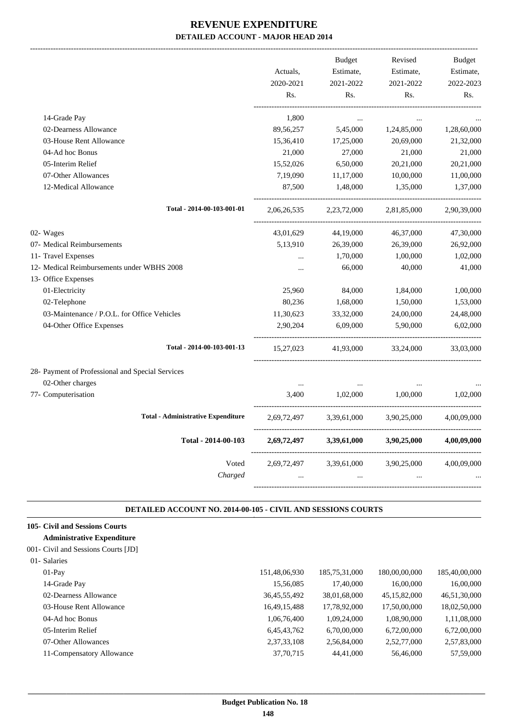|                                                  |             | <b>Budget</b> | Revised     | <b>Budget</b> |
|--------------------------------------------------|-------------|---------------|-------------|---------------|
|                                                  | Actuals.    | Estimate,     | Estimate,   | Estimate,     |
|                                                  | 2020-2021   | 2021-2022     | 2021-2022   | 2022-2023     |
|                                                  | Rs.         | Rs.           | Rs.         | Rs.           |
| 14-Grade Pay                                     | 1,800       | $\cdots$      |             |               |
| 02-Dearness Allowance                            | 89, 56, 257 | 5,45,000      | 1,24,85,000 | 1,28,60,000   |
| 03-House Rent Allowance                          | 15,36,410   | 17,25,000     | 20,69,000   | 21,32,000     |
| 04-Ad hoc Bonus                                  | 21,000      | 27,000        | 21,000      | 21,000        |
| 05-Interim Relief                                | 15,52,026   | 6,50,000      | 20,21,000   | 20,21,000     |
| 07-Other Allowances                              | 7,19,090    | 11,17,000     | 10,00,000   | 11,00,000     |
| 12-Medical Allowance                             | 87,500      | 1,48,000      | 1,35,000    | 1,37,000      |
| Total - 2014-00-103-001-01                       | 2,06,26,535 | 2,23,72,000   | 2,81,85,000 | 2,90,39,000   |
| 02- Wages                                        | 43,01,629   | 44,19,000     | 46,37,000   | 47,30,000     |
| 07- Medical Reimbursements                       | 5,13,910    | 26,39,000     | 26,39,000   | 26,92,000     |
| 11- Travel Expenses                              | $\ddotsc$   | 1,70,000      | 1,00,000    | 1,02,000      |
| 12- Medical Reimbursements under WBHS 2008       | $\cdots$    | 66,000        | 40,000      | 41,000        |
| 13- Office Expenses                              |             |               |             |               |
| 01-Electricity                                   | 25,960      | 84,000        | 1,84,000    | 1,00,000      |
| 02-Telephone                                     | 80,236      | 1,68,000      | 1,50,000    | 1,53,000      |
| 03-Maintenance / P.O.L. for Office Vehicles      | 11,30,623   | 33,32,000     | 24,00,000   | 24,48,000     |
| 04-Other Office Expenses                         | 2,90,204    | 6,09,000      | 5,90,000    | 6,02,000      |
| Total - 2014-00-103-001-13                       | 15,27,023   | 41,93,000     | 33,24,000   | 33,03,000     |
| 28- Payment of Professional and Special Services |             |               |             |               |
| 02-Other charges                                 | $\ldots$    |               |             |               |
| 77- Computerisation                              | 3,400       | 1,02,000      | 1,00,000    | 1,02,000      |
| <b>Total - Administrative Expenditure</b>        | 2,69,72,497 | 3,39,61,000   | 3,90,25,000 | 4,00,09,000   |
| Total - 2014-00-103                              | 2,69,72,497 | 3,39,61,000   | 3,90,25,000 | 4,00,09,000   |
| Voted                                            | 2,69,72,497 | 3,39,61,000   | 3,90,25,000 | 4,00,09,000   |
| Charged                                          |             |               |             |               |
|                                                  |             |               |             |               |

#### **DETAILED ACCOUNT NO. 2014-00-105 - CIVIL AND SESSIONS COURTS .**

.

### **105- Civil and Sessions Courts**

#### **Administrative Expenditure** 001- Civil and Sessions Courts [JD]

| 01- Salaries              |                 |               |                 |               |
|---------------------------|-----------------|---------------|-----------------|---------------|
| $01-Pav$                  | 151,48,06,930   | 185,75,31,000 | 180,00,00,000   | 185,40,00,000 |
| 14-Grade Pay              | 15,56,085       | 17,40,000     | 16,00,000       | 16,00,000     |
| 02-Dearness Allowance     | 36, 45, 55, 492 | 38,01,68,000  | 45, 15, 82, 000 | 46,51,30,000  |
| 03-House Rent Allowance   | 16,49,15,488    | 17,78,92,000  | 17,50,00,000    | 18,02,50,000  |
| 04-Ad hoc Bonus           | 1,06,76,400     | 1,09,24,000   | 1,08,90,000     | 1,11,08,000   |
| 05-Interim Relief         | 6,45,43,762     | 6,70,00,000   | 6,72,00,000     | 6,72,00,000   |
| 07-Other Allowances       | 2,37,33,108     | 2,56,84,000   | 2,52,77,000     | 2,57,83,000   |
| 11-Compensatory Allowance | 37, 70, 715     | 44,41,000     | 56,46,000       | 57,59,000     |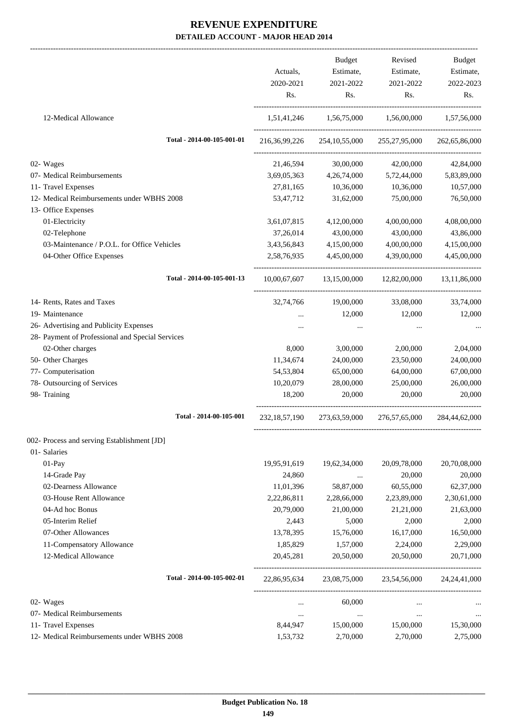|                                                  |                  | Budget                              | Revised                                | Budget           |
|--------------------------------------------------|------------------|-------------------------------------|----------------------------------------|------------------|
|                                                  | Actuals,         | Estimate,                           | Estimate,                              | Estimate,        |
|                                                  | 2020-2021        | 2021-2022                           | 2021-2022                              | 2022-2023        |
|                                                  | Rs.              | Rs.                                 | Rs.                                    | Rs.              |
| 12-Medical Allowance                             |                  | 1,51,41,246 1,56,75,000 1,56,00,000 |                                        | 1,57,56,000      |
| Total - 2014-00-105-001-01                       | 216,36,99,226    | 254, 10, 55, 000                    | 255, 27, 95, 000                       | 262, 65, 86, 000 |
| 02- Wages                                        | 21,46,594        | 30,00,000                           | 42,00,000                              | 42,84,000        |
| 07- Medical Reimbursements                       | 3,69,05,363      | 4,26,74,000                         | 5,72,44,000                            | 5,83,89,000      |
| 11- Travel Expenses                              | 27,81,165        | 10,36,000                           | 10,36,000                              | 10,57,000        |
| 12- Medical Reimbursements under WBHS 2008       | 53,47,712        | 31,62,000                           | 75,00,000                              | 76,50,000        |
| 13- Office Expenses                              |                  |                                     |                                        |                  |
| 01-Electricity                                   | 3,61,07,815      | 4,12,00,000                         | 4,00,00,000                            | 4,08,00,000      |
| 02-Telephone                                     | 37,26,014        | 43,00,000                           | 43,00,000                              | 43,86,000        |
| 03-Maintenance / P.O.L. for Office Vehicles      | 3,43,56,843      | 4,15,00,000                         | 4,00,00,000                            | 4,15,00,000      |
| 04-Other Office Expenses                         | 2,58,76,935      | 4,45,00,000                         | 4,39,00,000                            | 4,45,00,000      |
| Total - 2014-00-105-001-13                       |                  |                                     | 10,00,67,607 13,15,00,000 12,82,00,000 | 13,11,86,000     |
|                                                  |                  |                                     |                                        |                  |
| 14- Rents, Rates and Taxes                       | 32,74,766        | 19,00,000                           | 33,08,000                              | 33,74,000        |
| 19- Maintenance                                  |                  | 12,000                              | 12,000                                 | 12,000           |
| 26- Advertising and Publicity Expenses           | $\cdots$         | $\cdots$                            | $\cdots$                               |                  |
| 28- Payment of Professional and Special Services |                  |                                     |                                        |                  |
| 02-Other charges                                 | 8,000            | 3,00,000                            | 2,00,000                               | 2,04,000         |
| 50- Other Charges                                | 11,34,674        | 24,00,000                           | 23,50,000                              | 24,00,000        |
| 77- Computerisation                              | 54, 53, 804      | 65,00,000                           | 64,00,000                              | 67,00,000        |
| 78- Outsourcing of Services                      | 10,20,079        | 28,00,000                           | 25,00,000                              | 26,00,000        |
| 98- Training                                     | 18,200           | 20,000                              | 20,000                                 | 20,000           |
| Total - 2014-00-105-001                          | 232, 18, 57, 190 | 273,63,59,000                       | 276,57,65,000                          | 284,44,62,000    |
| 002- Process and serving Establishment [JD]      |                  |                                     |                                        |                  |
| 01- Salaries                                     |                  |                                     |                                        |                  |
| 01-Pay                                           | 19,95,91,619     | 19,62,34,000                        | 20,09,78,000                           | 20,70,08,000     |
| 14-Grade Pay                                     | 24,860           |                                     | 20,000                                 | 20,000           |
| 02-Dearness Allowance                            | 11,01,396        | 58,87,000                           | 60,55,000                              | 62,37,000        |
| 03-House Rent Allowance                          | 2,22,86,811      | 2,28,66,000                         | 2,23,89,000                            | 2,30,61,000      |
| 04-Ad hoc Bonus                                  | 20,79,000        | 21,00,000                           | 21,21,000                              | 21,63,000        |
| 05-Interim Relief                                | 2,443            | 5,000                               | 2,000                                  | 2,000            |
| 07-Other Allowances                              | 13,78,395        | 15,76,000                           | 16,17,000                              | 16,50,000        |
| 11-Compensatory Allowance                        | 1,85,829         | 1,57,000                            | 2,24,000                               | 2,29,000         |
| 12-Medical Allowance                             | 20,45,281        | 20,50,000                           | 20,50,000                              | 20,71,000        |
| Total - 2014-00-105-002-01                       | 22,86,95,634     | 23,08,75,000                        | 23,54,56,000                           | 24, 24, 41, 000  |
| 02- Wages                                        | $\cdots$         | 60,000                              |                                        |                  |
| 07- Medical Reimbursements                       | $\cdots$         | $\cdots$                            | $\cdots$                               |                  |
| 11- Travel Expenses                              | 8,44,947         | 15,00,000                           | 15,00,000                              | 15,30,000        |
| 12- Medical Reimbursements under WBHS 2008       | 1,53,732         | 2,70,000                            | 2,70,000                               | 2,75,000         |
|                                                  |                  |                                     |                                        |                  |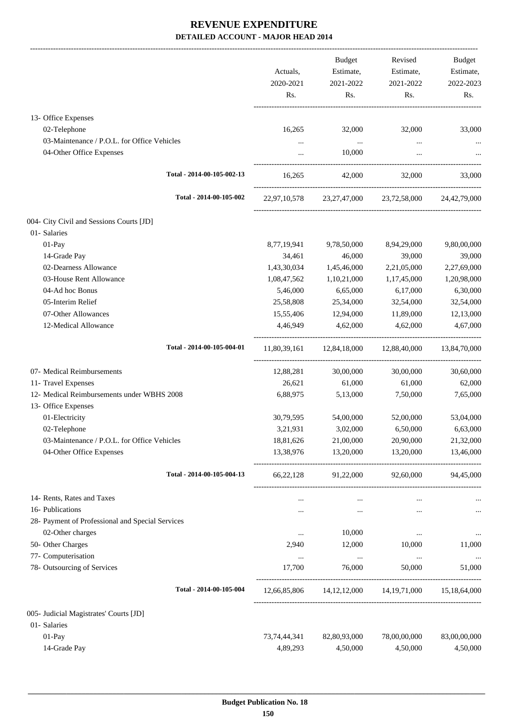-------------------------------------------------------------------------------------------------------------------------------------------------------------------------------

|                                                  | Actuals,<br>2020-2021<br>Rs. | <b>Budget</b><br>Estimate,<br>2021-2022<br>Rs. | Revised<br>Estimate,<br>2021-2022<br>Rs.               | <b>Budget</b><br>Estimate,<br>2022-2023<br>Rs. |
|--------------------------------------------------|------------------------------|------------------------------------------------|--------------------------------------------------------|------------------------------------------------|
| 13- Office Expenses                              |                              |                                                |                                                        |                                                |
| 02-Telephone                                     | 16,265                       | 32,000                                         | 32,000                                                 | 33,000                                         |
| 03-Maintenance / P.O.L. for Office Vehicles      | $\cdots$                     | $\sim 100$ and $\sim 100$                      | $\ldots$                                               |                                                |
| 04-Other Office Expenses                         | $\cdots$                     | 10,000                                         | $\cdots$                                               |                                                |
| Total - 2014-00-105-002-13                       | 16,265                       | 42,000                                         | 32,000                                                 | 33,000                                         |
| Total - 2014-00-105-002                          |                              |                                                | 22,97,10,578 23,27,47,000 23,72,58,000 24,42,79,000    |                                                |
| 004- City Civil and Sessions Courts [JD]         |                              |                                                |                                                        |                                                |
| 01- Salaries                                     |                              |                                                |                                                        |                                                |
| 01-Pay                                           | 8,77,19,941                  | 9,78,50,000                                    | 8,94,29,000                                            | 9,80,00,000                                    |
| 14-Grade Pay                                     | 34,461                       | 46,000                                         | 39,000                                                 | 39,000                                         |
| 02-Dearness Allowance                            | 1,43,30,034                  | 1,45,46,000                                    | 2,21,05,000                                            | 2,27,69,000                                    |
| 03-House Rent Allowance                          | 1,08,47,562                  | 1,10,21,000                                    | 1,17,45,000                                            | 1,20,98,000                                    |
| 04-Ad hoc Bonus                                  | 5,46,000                     | 6,65,000                                       | 6,17,000                                               | 6,30,000                                       |
| 05-Interim Relief                                | 25,58,808                    | 25,34,000                                      | 32,54,000                                              | 32,54,000                                      |
| 07-Other Allowances                              | 15,55,406                    | 12,94,000                                      | 11,89,000                                              | 12,13,000                                      |
| 12-Medical Allowance                             | 4,46,949                     | 4,62,000                                       | 4,62,000                                               | 4,67,000                                       |
| Total - 2014-00-105-004-01                       |                              | 11,80,39,161  12,84,18,000  12,88,40,000       |                                                        | 13,84,70,000                                   |
| 07- Medical Reimbursements                       | 12,88,281                    | 30,00,000                                      | 30,00,000                                              | 30,60,000                                      |
| 11- Travel Expenses                              | 26,621                       | 61,000                                         | 61,000                                                 | 62,000                                         |
| 12- Medical Reimbursements under WBHS 2008       | 6,88,975                     | 5,13,000                                       | 7,50,000                                               | 7,65,000                                       |
| 13- Office Expenses                              |                              |                                                |                                                        |                                                |
| 01-Electricity                                   | 30,79,595                    | 54,00,000                                      | 52,00,000                                              | 53,04,000                                      |
| 02-Telephone                                     | 3,21,931                     | 3,02,000                                       | 6,50,000                                               | 6,63,000                                       |
| 03-Maintenance / P.O.L. for Office Vehicles      | 18,81,626                    | 21,00,000                                      | 20,90,000                                              | 21,32,000                                      |
| 04-Other Office Expenses                         | 13,38,976                    | 13,20,000                                      | 13,20,000                                              | 13,46,000                                      |
| Total - 2014-00-105-004-13                       | 66,22,128                    | 91,22,000                                      | 92,60,000                                              | 94,45,000                                      |
| 14- Rents, Rates and Taxes                       | $\cdots$                     | $\cdots$                                       | $\cdots$                                               |                                                |
| 16- Publications                                 | $\cdots$                     | $\ldots$                                       | $\cdots$                                               | $\cdots$                                       |
| 28- Payment of Professional and Special Services |                              |                                                |                                                        |                                                |
| 02-Other charges                                 | $\ldots$                     | 10,000                                         | $\cdots$                                               |                                                |
| 50- Other Charges                                | 2,940                        | 12,000                                         | 10,000                                                 | 11,000                                         |
| 77- Computerisation                              | $\cdots$                     | $\ldots$                                       | $\cdots$                                               | $\ldots$                                       |
| 78- Outsourcing of Services                      | 17,700                       | 76,000                                         | 50,000                                                 | 51,000                                         |
| Total - 2014-00-105-004                          |                              |                                                | 12,66,85,806  14,12,12,000  14,19,71,000  15,18,64,000 |                                                |
| 005- Judicial Magistrates' Courts [JD]           |                              |                                                |                                                        |                                                |
| 01- Salaries                                     |                              |                                                |                                                        |                                                |
| $01-Pay$                                         | 73, 74, 44, 341              | 82,80,93,000                                   | 78,00,00,000                                           | 83,00,00,000                                   |
| 14-Grade Pay                                     | 4,89,293                     | 4,50,000                                       | 4,50,000                                               | 4,50,000                                       |
|                                                  |                              |                                                |                                                        |                                                |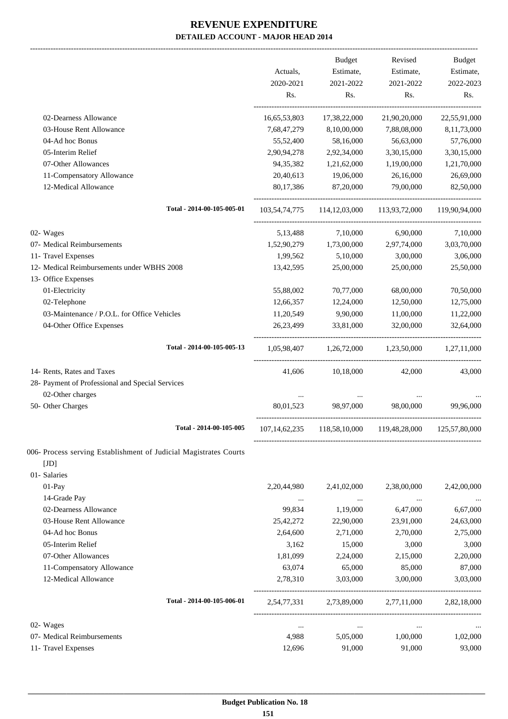|                                                                   |                  | Budget           | Revised                     | Budget           |
|-------------------------------------------------------------------|------------------|------------------|-----------------------------|------------------|
|                                                                   | Actuals,         | Estimate,        | Estimate,                   | Estimate,        |
|                                                                   | 2020-2021<br>Rs. | 2021-2022<br>Rs. | 2021-2022<br>Rs.            | 2022-2023<br>Rs. |
| 02-Dearness Allowance                                             | 16,65,53,803     | 17,38,22,000     | 21,90,20,000                | 22,55,91,000     |
| 03-House Rent Allowance                                           | 7,68,47,279      | 8,10,00,000      | 7,88,08,000                 | 8,11,73,000      |
| 04-Ad hoc Bonus                                                   | 55,52,400        | 58,16,000        | 56,63,000                   | 57,76,000        |
| 05-Interim Relief                                                 | 2,90,94,278      | 2,92,34,000      | 3,30,15,000                 | 3,30,15,000      |
| 07-Other Allowances                                               | 94, 35, 382      | 1,21,62,000      | 1,19,00,000                 | 1,21,70,000      |
| 11-Compensatory Allowance                                         | 20,40,613        | 19,06,000        | 26,16,000                   | 26,69,000        |
| 12-Medical Allowance                                              | 80,17,386        | 87,20,000        | 79,00,000                   | 82,50,000        |
| Total - 2014-00-105-005-01                                        | 103, 54, 74, 775 | 114, 12, 03, 000 | 113,93,72,000               | 119,90,94,000    |
| 02- Wages                                                         | 5,13,488         | 7,10,000         | 6,90,000                    | 7,10,000         |
| 07- Medical Reimbursements                                        | 1,52,90,279      | 1,73,00,000      | 2,97,74,000                 | 3,03,70,000      |
| 11- Travel Expenses                                               | 1,99,562         | 5,10,000         | 3,00,000                    | 3,06,000         |
| 12- Medical Reimbursements under WBHS 2008                        | 13,42,595        | 25,00,000        | 25,00,000                   | 25,50,000        |
| 13- Office Expenses                                               |                  |                  |                             |                  |
| 01-Electricity                                                    | 55,88,002        | 70,77,000        | 68,00,000                   | 70,50,000        |
| 02-Telephone                                                      | 12,66,357        | 12,24,000        | 12,50,000                   | 12,75,000        |
| 03-Maintenance / P.O.L. for Office Vehicles                       | 11,20,549        | 9,90,000         | 11,00,000                   | 11,22,000        |
| 04-Other Office Expenses                                          | 26,23,499        | 33,81,000        | 32,00,000                   | 32,64,000        |
| Total - 2014-00-105-005-13                                        | 1,05,98,407      | 1,26,72,000      | 1,23,50,000                 | 1,27,11,000      |
| 14- Rents, Rates and Taxes                                        | 41,606           | 10,18,000        | 42,000                      | 43,000           |
| 28- Payment of Professional and Special Services                  |                  |                  |                             |                  |
| 02-Other charges                                                  |                  |                  |                             |                  |
| 50- Other Charges                                                 | 80,01,523        | 98,97,000        | 98,00,000                   | 99.96.000        |
| Total - 2014-00-105-005                                           | 107, 14, 62, 235 |                  | 118,58,10,000 119,48,28,000 | 125,57,80,000    |
| 006- Process serving Establishment of Judicial Magistrates Courts |                  |                  |                             |                  |
| [JD]                                                              |                  |                  |                             |                  |
| 01- Salaries                                                      |                  |                  |                             |                  |
| $01-Pay$                                                          | 2,20,44,980      | 2,41,02,000      | 2,38,00,000                 | 2,42,00,000      |
| 14-Grade Pay                                                      | $\ldots$         | $\cdots$         | $\ddotsc$                   |                  |
| 02-Dearness Allowance                                             | 99,834           | 1,19,000         | 6,47,000                    | 6,67,000         |
| 03-House Rent Allowance                                           | 25,42,272        | 22,90,000        | 23,91,000                   | 24,63,000        |
| 04-Ad hoc Bonus                                                   | 2,64,600         | 2,71,000         | 2,70,000                    | 2,75,000         |
| 05-Interim Relief                                                 | 3,162            | 15,000           | 3,000                       | 3,000            |
| 07-Other Allowances                                               | 1,81,099         | 2,24,000         | 2,15,000                    | 2,20,000         |
| 11-Compensatory Allowance                                         | 63,074           | 65,000           | 85,000                      | 87,000           |
| 12-Medical Allowance                                              | 2,78,310         | 3,03,000         | 3,00,000                    | 3,03,000         |
| Total - 2014-00-105-006-01                                        | 2,54,77,331      | 2,73,89,000      | 2,77,11,000                 | 2,82,18,000      |
| 02- Wages                                                         | $\cdots$         | $\ldots$         | $\cdots$                    |                  |
| 07- Medical Reimbursements                                        | 4,988            | 5,05,000         | 1,00,000                    | 1,02,000         |
| 11- Travel Expenses                                               | 12,696           | 91,000           | 91,000                      | 93,000           |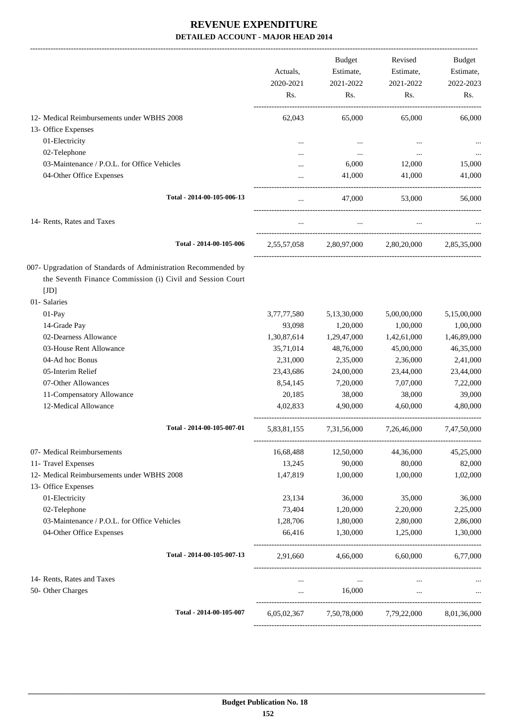|                                                                                                                                      | Actuals.<br>2020-2021<br>Rs. | <b>Budget</b><br>Estimate,<br>2021-2022<br>Rs. | Revised<br>Estimate,<br>2021-2022<br>Rs. | <b>Budget</b><br>Estimate,<br>2022-2023<br>Rs. |
|--------------------------------------------------------------------------------------------------------------------------------------|------------------------------|------------------------------------------------|------------------------------------------|------------------------------------------------|
| 12- Medical Reimbursements under WBHS 2008                                                                                           | 62,043                       | 65,000                                         | 65,000                                   | 66,000                                         |
| 13- Office Expenses                                                                                                                  |                              |                                                |                                          |                                                |
| 01-Electricity                                                                                                                       |                              | $\ddotsc$                                      |                                          |                                                |
| 02-Telephone                                                                                                                         |                              | $\ddotsc$                                      | $\ddotsc$                                |                                                |
| 03-Maintenance / P.O.L. for Office Vehicles                                                                                          |                              | 6,000                                          | 12,000                                   | 15,000                                         |
| 04-Other Office Expenses                                                                                                             |                              | 41,000                                         | 41,000                                   | 41,000                                         |
| Total - 2014-00-105-006-13                                                                                                           | $\ddotsc$                    | 47,000                                         | 53,000                                   | 56,000                                         |
| 14- Rents, Rates and Taxes                                                                                                           | $\cdots$                     | $\cdots$                                       | $\cdots$                                 |                                                |
| Total - 2014-00-105-006                                                                                                              | 2.55.57.058                  | 2.80,97,000                                    | 2,80,20,000                              | 2,85,35,000                                    |
| 007- Upgradation of Standards of Administration Recommended by<br>the Seventh Finance Commission (i) Civil and Session Court<br>[JD] |                              |                                                |                                          |                                                |
| 01- Salaries                                                                                                                         |                              |                                                |                                          |                                                |
| 01-Pay                                                                                                                               | 3,77,77,580                  | 5,13,30,000                                    | 5,00,00,000                              | 5,15,00,000                                    |
| 14-Grade Pay                                                                                                                         | 93,098                       | 1,20,000                                       | 1,00,000                                 | 1,00,000                                       |
| 02-Dearness Allowance                                                                                                                | 1,30,87,614                  | 1,29,47,000                                    | 1,42,61,000                              | 1,46,89,000                                    |
| 03-House Rent Allowance                                                                                                              | 35,71,014                    | 48,76,000                                      | 45,00,000                                | 46,35,000                                      |
| 04-Ad hoc Bonus                                                                                                                      | 2,31,000                     | 2,35,000                                       | 2,36,000                                 | 2,41,000                                       |
| 05-Interim Relief                                                                                                                    | 23,43,686                    | 24,00,000                                      | 23,44,000                                | 23,44,000                                      |
| 07-Other Allowances                                                                                                                  | 8,54,145                     | 7,20,000                                       | 7,07,000                                 | 7,22,000                                       |
| 11-Compensatory Allowance                                                                                                            | 20,185                       | 38,000                                         | 38,000                                   | 39,000                                         |
| 12-Medical Allowance                                                                                                                 | 4,02,833                     | 4,90,000                                       | 4,60,000                                 | 4,80,000                                       |
| Total - 2014-00-105-007-01                                                                                                           | 5,83,81,155                  | 7,31,56,000                                    | 7,26,46,000                              | 7,47,50,000                                    |
| 07- Medical Reimbursements                                                                                                           | 16,68,488                    | 12,50,000                                      | 44,36,000                                | 45,25,000                                      |
| 11- Travel Expenses                                                                                                                  | 13,245                       | 90,000                                         | 80,000                                   | 82,000                                         |
| 12- Medical Reimbursements under WBHS 2008<br>13- Office Expenses                                                                    | 1,47,819                     | 1,00,000                                       | 1,00,000                                 | 1,02,000                                       |
| 01-Electricity                                                                                                                       | 23,134                       | 36,000                                         | 35,000                                   | 36,000                                         |
| 02-Telephone                                                                                                                         | 73,404                       | 1,20,000                                       | 2,20,000                                 | 2,25,000                                       |
| 03-Maintenance / P.O.L. for Office Vehicles                                                                                          | 1,28,706                     | 1,80,000                                       | 2,80,000                                 | 2,86,000                                       |
| 04-Other Office Expenses                                                                                                             | 66,416                       | 1,30,000                                       | 1,25,000                                 | 1,30,000                                       |
| Total - 2014-00-105-007-13                                                                                                           | 2,91,660                     | 4,66,000                                       | 6,60,000                                 | 6,77,000                                       |
| 14- Rents, Rates and Taxes                                                                                                           | $\cdots$                     | $\ldots$                                       | $\cdots$                                 |                                                |
| 50- Other Charges                                                                                                                    | $\cdots$                     | 16,000                                         | $\cdots$                                 |                                                |
| Total - 2014-00-105-007                                                                                                              | 6,05,02,367                  |                                                | 7,50,78,000 7,79,22,000                  | 8,01,36,000                                    |
|                                                                                                                                      |                              |                                                |                                          |                                                |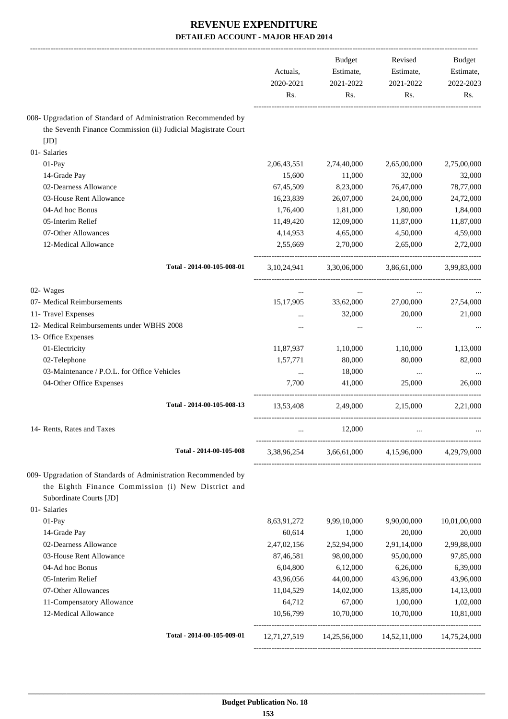|                                                                | Actuals,<br>2020-2021<br>Rs. | <b>Budget</b><br>Estimate,<br>2021-2022<br>Rs. | Revised<br>Estimate,<br>2021-2022<br>Rs. | <b>Budget</b><br>Estimate,<br>2022-2023<br>Rs. |
|----------------------------------------------------------------|------------------------------|------------------------------------------------|------------------------------------------|------------------------------------------------|
| 008- Upgradation of Standard of Administration Recommended by  |                              |                                                |                                          |                                                |
| the Seventh Finance Commission (ii) Judicial Magistrate Court  |                              |                                                |                                          |                                                |
| [JD]                                                           |                              |                                                |                                          |                                                |
| 01- Salaries                                                   |                              |                                                |                                          |                                                |
| $01-Pay$                                                       | 2,06,43,551                  | 2,74,40,000                                    | 2,65,00,000                              | 2,75,00,000                                    |
| 14-Grade Pay                                                   | 15,600                       | 11,000                                         | 32,000                                   | 32,000                                         |
| 02-Dearness Allowance                                          | 67,45,509                    | 8,23,000                                       | 76,47,000                                | 78,77,000                                      |
| 03-House Rent Allowance                                        | 16,23,839                    | 26,07,000                                      | 24,00,000                                | 24,72,000                                      |
| 04-Ad hoc Bonus                                                | 1,76,400                     | 1,81,000                                       | 1,80,000                                 | 1,84,000                                       |
| 05-Interim Relief                                              | 11,49,420                    | 12,09,000                                      | 11,87,000                                | 11,87,000                                      |
| 07-Other Allowances                                            | 4,14,953                     | 4,65,000                                       | 4,50,000                                 | 4,59,000                                       |
| 12-Medical Allowance                                           | 2,55,669                     | 2,70,000                                       | 2,65,000                                 | 2,72,000                                       |
| Total - 2014-00-105-008-01                                     | 3, 10, 24, 941               | 3,30,06,000                                    | 3,86,61,000                              | 3,99,83,000                                    |
| 02- Wages                                                      | $\cdots$                     | $\cdots$                                       | $\cdots$                                 |                                                |
| 07- Medical Reimbursements                                     | 15,17,905                    | 33,62,000                                      | 27,00,000                                | 27,54,000                                      |
| 11- Travel Expenses                                            |                              | 32,000                                         | 20,000                                   | 21,000                                         |
| 12- Medical Reimbursements under WBHS 2008                     | $\cdots$                     | $\cdots$                                       | $\cdots$                                 |                                                |
| 13- Office Expenses                                            |                              |                                                |                                          |                                                |
| 01-Electricity                                                 | 11,87,937                    | 1,10,000                                       | 1,10,000                                 | 1,13,000                                       |
| 02-Telephone                                                   | 1,57,771                     | 80,000                                         | 80,000                                   | 82,000                                         |
| 03-Maintenance / P.O.L. for Office Vehicles                    | $\cdots$                     | 18,000                                         | $\cdots$                                 |                                                |
| 04-Other Office Expenses                                       | 7,700                        | 41,000                                         | 25,000                                   | 26,000                                         |
| Total - 2014-00-105-008-13                                     | 13,53,408                    | 2,49,000                                       | 2,15,000                                 | 2.21.000                                       |
| 14- Rents, Rates and Taxes                                     |                              | 12,000                                         |                                          |                                                |
| Total - 2014-00-105-008                                        | 3,38,96,254                  |                                                | 3,66,61,000 4,15,96,000                  | 4,29,79,000                                    |
| 009- Upgradation of Standards of Administration Recommended by |                              |                                                |                                          |                                                |
| the Eighth Finance Commission (i) New District and             |                              |                                                |                                          |                                                |
| Subordinate Courts [JD]                                        |                              |                                                |                                          |                                                |
| 01- Salaries                                                   |                              |                                                |                                          |                                                |
| 01-Pay                                                         | 8,63,91,272                  | 9,99,10,000                                    | 9,90,00,000                              | 10,01,00,000                                   |
| 14-Grade Pay                                                   | 60,614                       | 1,000                                          | 20,000                                   | 20,000                                         |
| 02-Dearness Allowance                                          | 2,47,02,156                  | 2,52,94,000                                    | 2,91,14,000                              | 2,99,88,000                                    |
| 03-House Rent Allowance                                        | 87,46,581                    | 98,00,000                                      | 95,00,000                                | 97,85,000                                      |
| 04-Ad hoc Bonus                                                | 6,04,800                     | 6,12,000                                       | 6,26,000                                 | 6,39,000                                       |
| 05-Interim Relief                                              | 43,96,056                    | 44,00,000                                      | 43,96,000                                | 43,96,000                                      |
| 07-Other Allowances                                            | 11,04,529                    | 14,02,000                                      | 13,85,000                                | 14,13,000                                      |
| 11-Compensatory Allowance                                      | 64,712                       | 67,000                                         | 1,00,000                                 | 1,02,000                                       |
| 12-Medical Allowance                                           | 10,56,799                    | 10,70,000                                      | 10,70,000                                | 10,81,000                                      |
| Total - 2014-00-105-009-01                                     | 12,71,27,519                 | 14,25,56,000                                   | 14,52,11,000                             | 14,75,24,000                                   |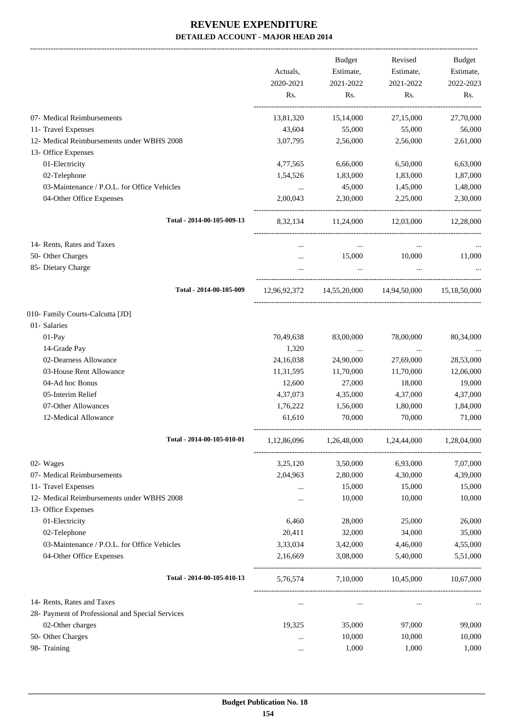-------------------------------------------------------------------------------------------------------------------------------------------------------------------------------

|                                                  | Actuals,<br>2020-2021<br>Rs. | <b>Budget</b><br>Estimate,<br>2021-2022<br>Rs. | Revised<br>Estimate,<br>2021-2022<br>Rs. | <b>Budget</b><br>Estimate,<br>2022-2023<br>Rs. |
|--------------------------------------------------|------------------------------|------------------------------------------------|------------------------------------------|------------------------------------------------|
|                                                  |                              |                                                |                                          |                                                |
| 07- Medical Reimbursements                       | 13,81,320                    | 15,14,000                                      | 27,15,000                                | 27,70,000                                      |
| 11- Travel Expenses                              | 43,604                       | 55,000                                         | 55,000                                   | 56,000                                         |
| 12- Medical Reimbursements under WBHS 2008       | 3,07,795                     | 2,56,000                                       | 2,56,000                                 | 2,61,000                                       |
| 13- Office Expenses                              |                              |                                                |                                          |                                                |
| 01-Electricity                                   | 4,77,565                     | 6,66,000                                       | 6,50,000                                 | 6,63,000                                       |
| 02-Telephone                                     | 1,54,526                     | 1,83,000                                       | 1,83,000                                 | 1,87,000                                       |
| 03-Maintenance / P.O.L. for Office Vehicles      | $\cdots$                     | 45,000                                         | 1,45,000                                 | 1,48,000                                       |
| 04-Other Office Expenses                         | 2,00,043                     | 2,30,000                                       | 2,25,000                                 | 2,30,000                                       |
| Total - 2014-00-105-009-13                       | 8, 32, 134                   | 11,24,000                                      | 12,03,000                                | 12,28,000                                      |
| 14- Rents, Rates and Taxes                       | $\cdots$                     | $\cdots$                                       | $\ddotsc$                                |                                                |
| 50- Other Charges                                | $\cdots$                     | 15,000                                         | 10,000                                   | 11,000                                         |
| 85- Dietary Charge                               | $\cdots$                     | $\ldots$                                       | $\cdots$                                 |                                                |
|                                                  |                              |                                                |                                          |                                                |
| Total - 2014-00-105-009                          |                              | 12,96,92,372 14,55,20,000 14,94,50,000         |                                          | 15,18,50,000                                   |
| 010- Family Courts-Calcutta [JD]                 |                              |                                                |                                          |                                                |
| 01- Salaries                                     |                              |                                                |                                          |                                                |
| 01-Pay                                           | 70,49,638                    | 83,00,000                                      | 78,00,000                                | 80,34,000                                      |
| 14-Grade Pay                                     | 1,320                        | $\cdots$                                       | $\ddotsc$                                | $\cdots$                                       |
| 02-Dearness Allowance                            | 24,16,038                    | 24,90,000                                      | 27,69,000                                | 28,53,000                                      |
| 03-House Rent Allowance                          | 11,31,595                    | 11,70,000                                      | 11,70,000                                | 12,06,000                                      |
| 04-Ad hoc Bonus                                  | 12,600                       | 27,000                                         | 18,000                                   | 19,000                                         |
| 05-Interim Relief                                | 4,37,073                     | 4,35,000                                       | 4,37,000                                 | 4,37,000                                       |
| 07-Other Allowances                              | 1,76,222                     | 1,56,000                                       | 1,80,000                                 | 1,84,000                                       |
| 12-Medical Allowance                             | 61,610                       | 70,000                                         | 70,000                                   | 71,000                                         |
| Total - 2014-00-105-010-01                       | 1,12,86,096                  | 1,26,48,000                                    | 1,24,44,000                              | 1,28,04,000                                    |
| 02- Wages                                        | 3,25,120                     | 3,50,000                                       | 6,93,000                                 | 7,07,000                                       |
| 07- Medical Reimbursements                       | 2,04,963                     | 2,80,000                                       | 4,30,000                                 | 4,39,000                                       |
| 11- Travel Expenses                              |                              | 15,000                                         | 15,000                                   | 15,000                                         |
| 12- Medical Reimbursements under WBHS 2008       |                              | 10,000                                         | 10,000                                   | 10,000                                         |
| 13- Office Expenses                              |                              |                                                |                                          |                                                |
| 01-Electricity                                   | 6,460                        | 28,000                                         | 25,000                                   | 26,000                                         |
| 02-Telephone                                     | 20,411                       | 32,000                                         | 34,000                                   | 35,000                                         |
| 03-Maintenance / P.O.L. for Office Vehicles      | 3,33,034                     | 3,42,000                                       | 4,46,000                                 | 4,55,000                                       |
| 04-Other Office Expenses                         | 2,16,669                     | 3,08,000                                       | 5,40,000                                 | 5,51,000                                       |
| Total - 2014-00-105-010-13                       | 5,76,574                     | 7,10,000                                       | 10,45,000                                | 10,67,000                                      |
| 14- Rents, Rates and Taxes                       | $\cdots$                     | $\cdots$                                       |                                          |                                                |
| 28- Payment of Professional and Special Services |                              |                                                |                                          |                                                |
| 02-Other charges                                 | 19,325                       | 35,000                                         | 97,000                                   | 99,000                                         |
| 50- Other Charges                                |                              | 10,000                                         | 10,000                                   | 10,000                                         |
| 98- Training                                     |                              | 1,000                                          | 1,000                                    | 1,000                                          |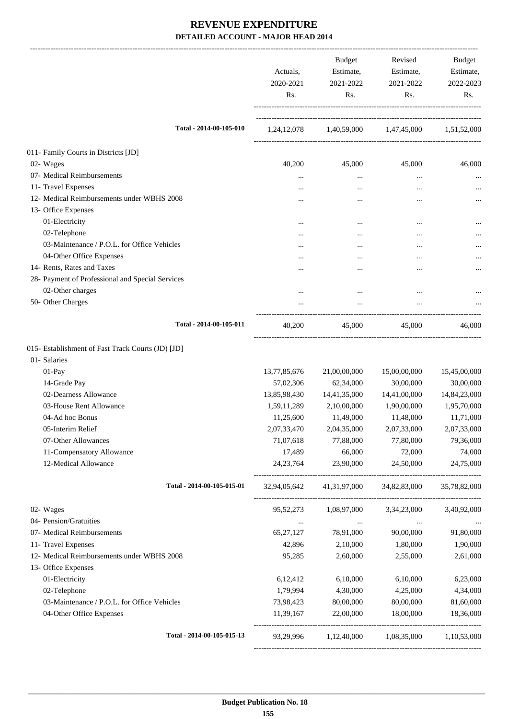|                                                   | Actuals,<br>2020-2021<br>Rs. | Budget<br>Estimate,<br>2021-2022<br>Rs.         | Revised<br>Estimate,<br>2021-2022<br>Rs. | Budget<br>Estimate,<br>2022-2023<br>Rs. |
|---------------------------------------------------|------------------------------|-------------------------------------------------|------------------------------------------|-----------------------------------------|
| Total - 2014-00-105-010                           |                              | 1,24,12,078 1,40,59,000 1,47,45,000 1,51,52,000 |                                          |                                         |
| 011- Family Courts in Districts [JD]              |                              |                                                 |                                          |                                         |
| 02- Wages                                         | 40,200                       | 45,000                                          | 45,000                                   | 46,000                                  |
| 07- Medical Reimbursements                        | $\cdots$                     | $\cdots$                                        |                                          | $\cdots$                                |
| 11- Travel Expenses                               |                              | $\cdots$                                        | $\cdots$                                 | $\cdots$                                |
| 12- Medical Reimbursements under WBHS 2008        |                              |                                                 |                                          |                                         |
| 13- Office Expenses                               |                              |                                                 |                                          |                                         |
| 01-Electricity                                    | $\cdots$                     |                                                 |                                          |                                         |
| 02-Telephone                                      |                              |                                                 |                                          | $\cdots$                                |
| 03-Maintenance / P.O.L. for Office Vehicles       | $\cdots$                     | $\cdots$                                        |                                          |                                         |
| 04-Other Office Expenses                          |                              |                                                 |                                          |                                         |
| 14- Rents, Rates and Taxes                        |                              |                                                 |                                          |                                         |
| 28- Payment of Professional and Special Services  |                              |                                                 |                                          |                                         |
| 02-Other charges                                  |                              |                                                 | $\ddotsc$                                |                                         |
| 50- Other Charges                                 |                              |                                                 |                                          |                                         |
| Total - 2014-00-105-011                           | 40,200                       | 45,000                                          | 45,000                                   | 46,000                                  |
| 015- Establishment of Fast Track Courts (JD) [JD] |                              |                                                 |                                          |                                         |
| 01-Salaries                                       |                              |                                                 |                                          |                                         |
| 01-Pay                                            | 13,77,85,676                 | 21,00,00,000                                    | 15,00,00,000                             | 15,45,00,000                            |
| 14-Grade Pay                                      | 57,02,306                    | 62,34,000                                       | 30,00,000                                | 30,00,000                               |
| 02-Dearness Allowance                             | 13,85,98,430                 | 14,41,35,000                                    | 14,41,00,000                             | 14,84,23,000                            |
| 03-House Rent Allowance                           | 1,59,11,289                  | 2,10,00,000                                     | 1,90,00,000                              | 1,95,70,000                             |
| 04-Ad hoc Bonus                                   | 11,25,600                    | 11,49,000                                       | 11,48,000                                | 11,71,000                               |
| 05-Interim Relief                                 | 2,07,33,470                  | 2,04,35,000                                     | 2,07,33,000                              | 2,07,33,000                             |
| 07-Other Allowances                               | 71,07,618                    | 77,88,000                                       | 77,80,000                                | 79,36,000                               |
| 11-Compensatory Allowance                         | 17,489                       | 66,000                                          | 72,000                                   | 74,000                                  |
| 12-Medical Allowance                              | 24, 23, 764                  | 23,90,000                                       | 24,50,000                                | 24,75,000                               |
| Total - 2014-00-105-015-01                        | 32,94,05,642                 | 41,31,97,000                                    | 34,82,83,000                             | 35,78,82,000                            |
| 02- Wages                                         | 95,52,273                    | 1,08,97,000                                     | 3,34,23,000                              | 3,40,92,000                             |
| 04- Pension/Gratuities                            | $\cdots$                     | $\ldots$                                        | $\cdots$                                 |                                         |
| 07- Medical Reimbursements                        | 65, 27, 127                  | 78,91,000                                       | 90,00,000                                | 91,80,000                               |
| 11- Travel Expenses                               | 42,896                       | 2,10,000                                        | 1,80,000                                 | 1,90,000                                |
| 12- Medical Reimbursements under WBHS 2008        | 95,285                       | 2,60,000                                        | 2,55,000                                 | 2,61,000                                |
| 13- Office Expenses                               |                              |                                                 |                                          |                                         |
| 01-Electricity                                    | 6,12,412                     | 6,10,000                                        | 6,10,000                                 | 6,23,000                                |
| 02-Telephone                                      | 1,79,994                     | 4,30,000                                        | 4,25,000                                 | 4,34,000                                |
| 03-Maintenance / P.O.L. for Office Vehicles       | 73,98,423                    | 80,00,000                                       | 80,00,000                                | 81,60,000                               |
| 04-Other Office Expenses                          | 11,39,167                    | 22,00,000                                       | 18,00,000                                | 18,36,000                               |
| Total - 2014-00-105-015-13                        |                              | 93,29,996 1,12,40,000                           | 1,08,35,000                              | 1,10,53,000                             |
|                                                   |                              |                                                 |                                          |                                         |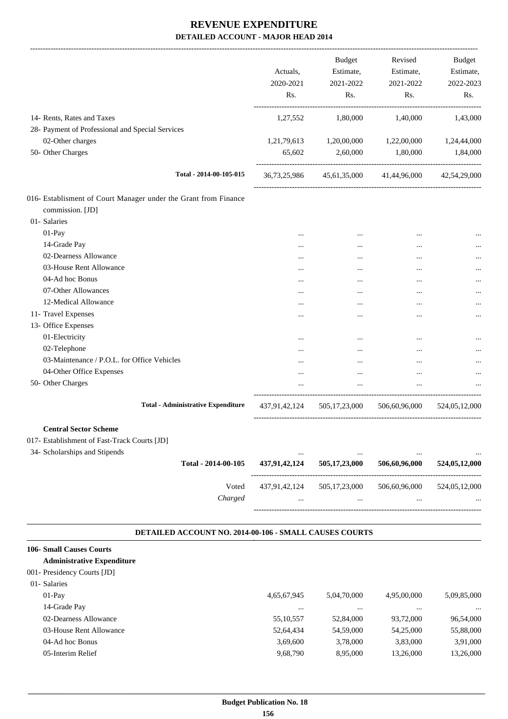|                                                                                                                                      | Actuals,<br>2020-2021<br>Rs. | Budget<br>Estimate,<br>2021-2022<br>Rs. | Revised<br>Estimate,<br>2021-2022<br>Rs.            | <b>Budget</b><br>Estimate,<br>2022-2023<br>Rs. |
|--------------------------------------------------------------------------------------------------------------------------------------|------------------------------|-----------------------------------------|-----------------------------------------------------|------------------------------------------------|
| 14- Rents, Rates and Taxes                                                                                                           | 1,27,552                     | 1,80,000                                | 1,40,000                                            | 1,43,000                                       |
| 28- Payment of Professional and Special Services                                                                                     |                              |                                         |                                                     |                                                |
| 02-Other charges                                                                                                                     |                              | 1,21,79,613 1,20,00,000                 | 1,22,00,000                                         | 1,24,44,000                                    |
| 50- Other Charges                                                                                                                    | 65,602                       | 2,60,000                                | 1,80,000                                            | 1,84,000                                       |
| Total - 2014-00-105-015                                                                                                              |                              |                                         | 36,73,25,986 45,61,35,000 41,44,96,000 42,54,29,000 |                                                |
| 016- Establisment of Court Manager under the Grant from Finance<br>commission. [JD]                                                  |                              |                                         |                                                     |                                                |
| 01- Salaries                                                                                                                         |                              |                                         |                                                     |                                                |
| 01-Pay                                                                                                                               | $\cdots$                     | $\cdots$                                |                                                     |                                                |
| 14-Grade Pay                                                                                                                         |                              | $\cdots$                                |                                                     |                                                |
| 02-Dearness Allowance                                                                                                                |                              |                                         |                                                     |                                                |
| 03-House Rent Allowance                                                                                                              |                              |                                         |                                                     |                                                |
| 04-Ad hoc Bonus                                                                                                                      |                              | $\cdots$                                | $\ddotsc$                                           | $\cdots$                                       |
| 07-Other Allowances                                                                                                                  |                              |                                         |                                                     | $\cdots$                                       |
| 12-Medical Allowance                                                                                                                 | $\cdots$                     | $\cdots$                                | $\cdots$                                            | $\cdots$                                       |
| 11- Travel Expenses                                                                                                                  | $\cdots$                     |                                         | $\cdots$                                            |                                                |
| 13- Office Expenses                                                                                                                  |                              |                                         |                                                     |                                                |
| 01-Electricity                                                                                                                       |                              | $\cdots$                                |                                                     |                                                |
| 02-Telephone                                                                                                                         |                              | $\cdots$                                |                                                     |                                                |
| 03-Maintenance / P.O.L. for Office Vehicles                                                                                          |                              |                                         |                                                     |                                                |
| 04-Other Office Expenses                                                                                                             | $\cdots$                     | $\cdots$                                | $\cdots$                                            | $\cdots$                                       |
| 50- Other Charges                                                                                                                    | $\cdots$                     | $\cdots$                                | $\cdots$                                            |                                                |
| <b>Total - Administrative Expenditure</b>                                                                                            | 437,91,42,124                | 505,17,23,000                           | 506,60,96,000                                       | 524,05,12,000                                  |
| <b>Central Sector Scheme</b><br>017- Establishment of Fast-Track Courts [JD]<br>34- Scholarships and Stipends<br>Total - 2014-00-105 | 437,91,42,124                | 505,17,23,000                           | 506,60,96,000                                       | 524,05,12,000                                  |
| Voted                                                                                                                                | 437,91,42,124                | 505, 17, 23, 000                        | 506,60,96,000                                       | 524,05,12,000                                  |
| Charged<br>DETAILED ACCOUNT NO. 2014-00-106 - SMALL CAUSES COURTS                                                                    | $\cdots$                     | $\cdots$                                |                                                     |                                                |
| <b>106- Small Causes Courts</b>                                                                                                      |                              |                                         |                                                     |                                                |
| <b>Administrative Expenditure</b>                                                                                                    |                              |                                         |                                                     |                                                |
| 001- Presidency Courts [JD]                                                                                                          |                              |                                         |                                                     |                                                |
| 01- Salaries                                                                                                                         |                              |                                         |                                                     |                                                |
| 01-Pay                                                                                                                               | 4,65,67,945                  | 5,04,70,000                             | 4,95,00,000                                         | 5,09,85,000                                    |
| 14-Grade Pay                                                                                                                         | $\ldots$                     | $\ldots$                                | $\ldots$                                            |                                                |
| 02-Dearness Allowance                                                                                                                | 55,10,557                    | 52,84,000                               | 93,72,000                                           | 96,54,000                                      |
| 03-House Rent Allowance                                                                                                              | 52,64,434                    | 54,59,000                               | 54,25,000                                           | 55,88,000                                      |
| 04-Ad hoc Bonus                                                                                                                      | 3,69,600                     | 3,78,000                                | 3,83,000                                            | 3,91,000                                       |

05-Interim Relief 9,68,790 8,95,000 13,26,000 13,26,000 13,26,000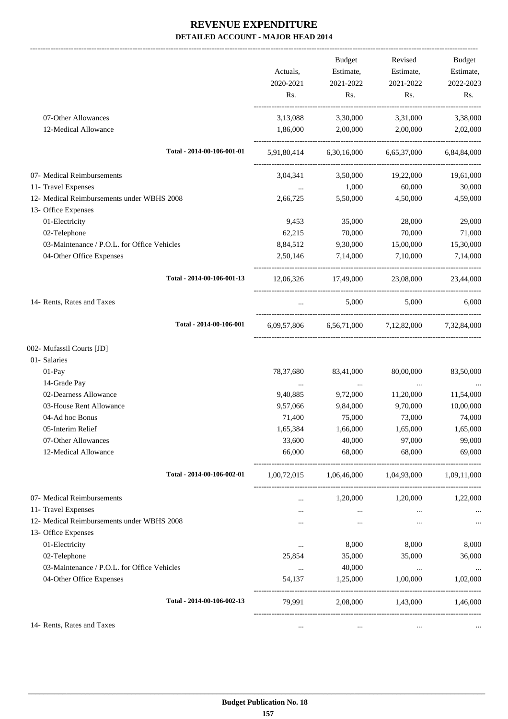|                                             |           | Budget            | Revised                                                 | Budget    |
|---------------------------------------------|-----------|-------------------|---------------------------------------------------------|-----------|
|                                             | Actuals,  | Estimate,         | Estimate,                                               | Estimate, |
|                                             | 2020-2021 | 2021-2022         | 2021-2022                                               | 2022-2023 |
|                                             | Rs.       | Rs.               | Rs.                                                     | Rs.       |
| 07-Other Allowances                         | 3,13,088  | 3,30,000          | 3,31,000                                                | 3,38,000  |
| 12-Medical Allowance                        | 1,86,000  |                   | 2,00,000 2,00,000                                       | 2,02,000  |
| Total - 2014-00-106-001-01                  |           |                   | 5,91,80,414 6,30,16,000 6,65,37,000 6,84,84,000         |           |
| 07- Medical Reimbursements                  |           | 3,04,341 3,50,000 | 19,22,000                                               | 19,61,000 |
| 11- Travel Expenses                         | $\cdots$  | 1,000             | 60,000                                                  | 30,000    |
| 12- Medical Reimbursements under WBHS 2008  | 2,66,725  | 5,50,000          | 4,50,000                                                | 4,59,000  |
| 13- Office Expenses                         |           |                   |                                                         |           |
| 01-Electricity                              | 9,453     | 35,000            | 28,000                                                  | 29,000    |
| 02-Telephone                                | 62,215    | 70,000            | 70,000                                                  | 71,000    |
| 03-Maintenance / P.O.L. for Office Vehicles | 8,84,512  | 9,30,000          | 15,00,000                                               | 15,30,000 |
| 04-Other Office Expenses                    | 2,50,146  | 7,14,000          | 7,10,000                                                | 7,14,000  |
| Total - 2014-00-106-001-13                  |           |                   | 12,06,326 17,49,000 23,08,000 23,44,000                 |           |
| 14- Rents, Rates and Taxes                  | $\cdots$  | 5,000             | 5,000                                                   | 6,000     |
| Total - 2014-00-106-001                     |           |                   | 6,09,57,806 6,56,71,000 7,12,82,000 7,32,84,000         |           |
| 002- Mufassil Courts [JD]                   |           |                   |                                                         |           |
| 01- Salaries                                |           |                   |                                                         |           |
| 01-Pay                                      | 78,37,680 | 83,41,000         | 80,00,000                                               | 83,50,000 |
| 14-Grade Pay                                | $\ldots$  | $\cdots$          | $\cdots$                                                | $\ldots$  |
| 02-Dearness Allowance                       | 9,40,885  | 9,72,000          | 11,20,000                                               | 11,54,000 |
| 03-House Rent Allowance                     | 9,57,066  | 9,84,000          | 9,70,000                                                | 10,00,000 |
| 04-Ad hoc Bonus                             | 71,400    | 75,000            | 73,000                                                  | 74,000    |
| 05-Interim Relief                           | 1,65,384  | 1,66,000          | 1,65,000                                                | 1,65,000  |
| 07-Other Allowances                         | 33,600    | 40,000            | 97,000                                                  | 99,000    |
| 12-Medical Allowance                        | 66,000    | 68,000            | 68,000                                                  | 69,000    |
| Total - 2014-00-106-002-01                  |           |                   | $1,00,72,015$ $1,06,46,000$ $1,04,93,000$ $1,09,11,000$ |           |
| 07- Medical Reimbursements                  |           | 1,20,000          | 1,20,000                                                | 1,22,000  |
| 11- Travel Expenses                         |           | $\cdots$          | $\cdots$                                                | $\cdots$  |
| 12- Medical Reimbursements under WBHS 2008  |           | $\cdots$          | $\cdots$                                                | $\cdots$  |
| 13- Office Expenses                         |           |                   |                                                         |           |
| 01-Electricity                              | $\cdots$  | 8,000             | 8,000                                                   | 8,000     |
| 02-Telephone                                | 25,854    | 35,000            | 35,000                                                  | 36,000    |
| 03-Maintenance / P.O.L. for Office Vehicles | $\cdots$  | 40,000            | $\cdots$                                                | $\cdots$  |
| 04-Other Office Expenses                    | 54,137    | 1,25,000          | 1,00,000                                                | 1,02,000  |
| Total - 2014-00-106-002-13                  | 79,991    | 2,08,000          | 1,43,000                                                | 1,46,000  |
| 14- Rents, Rates and Taxes                  | $\cdots$  | $\ldots$          | $\ldots$                                                |           |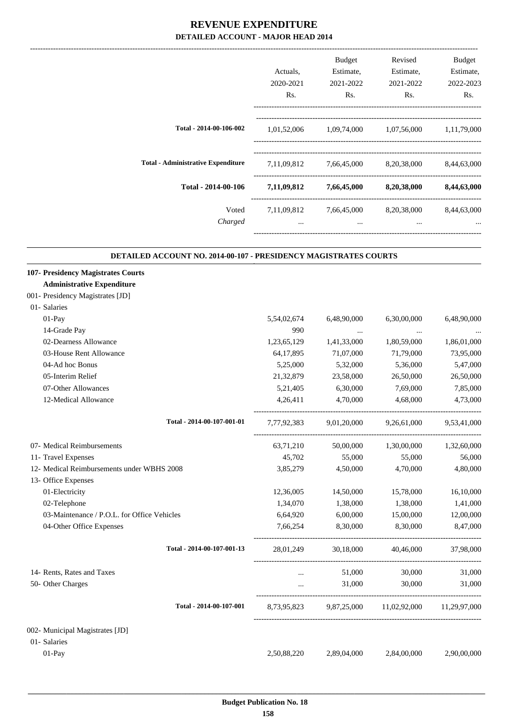|                                                                                                                                             | Actuals,<br>2020-2021<br>Rs. | Budget<br>Estimate,<br>2021-2022<br>Rs. | Revised<br>Estimate,<br>2021-2022<br>Rs.          | Budget<br>Estimate,<br>2022-2023<br>Rs. |
|---------------------------------------------------------------------------------------------------------------------------------------------|------------------------------|-----------------------------------------|---------------------------------------------------|-----------------------------------------|
| Total - 2014-00-106-002                                                                                                                     |                              |                                         | 1,01,52,006 1,09,74,000 1,07,56,000 1,11,79,000   |                                         |
| <b>Total - Administrative Expenditure</b>                                                                                                   |                              |                                         | 7,11,09,812 7,66,45,000 8,20,38,000               | 8,44,63,000                             |
| Total - 2014-00-106                                                                                                                         |                              | $7,11,09,812$ $7,66,45,000$             | 8,20,38,000                                       | 8,44,63,000                             |
| Voted<br>Charged                                                                                                                            | 7,11,09,812                  | 7,66,45,000<br>$\ddots$                 | 8,20,38,000<br>$\ddotsc$                          | 8,44,63,000                             |
| DETAILED ACCOUNT NO. 2014-00-107 - PRESIDENCY MAGISTRATES COURTS<br>107- Presidency Magistrates Courts<br><b>Administrative Expenditure</b> |                              |                                         |                                                   |                                         |
| 001- Presidency Magistrates [JD]                                                                                                            |                              |                                         |                                                   |                                         |
| 01- Salaries                                                                                                                                |                              |                                         |                                                   |                                         |
| 01-Pay                                                                                                                                      | 5,54,02,674                  | 6,48,90,000                             | 6,30,00,000                                       | 6,48,90,000                             |
| 14-Grade Pay                                                                                                                                | 990                          | $\cdots$                                | $\cdots$                                          |                                         |
| 02-Dearness Allowance                                                                                                                       | 1,23,65,129                  | 1,41,33,000                             | 1,80,59,000                                       | 1,86,01,000                             |
| 03-House Rent Allowance                                                                                                                     | 64,17,895                    | 71,07,000                               | 71,79,000                                         | 73,95,000                               |
| 04-Ad hoc Bonus                                                                                                                             | 5,25,000                     | 5,32,000                                | 5,36,000                                          | 5,47,000                                |
| 05-Interim Relief                                                                                                                           | 21, 32, 879                  | 23,58,000                               | 26,50,000                                         | 26,50,000                               |
| 07-Other Allowances<br>12-Medical Allowance                                                                                                 | 5,21,405<br>4,26,411         | 6,30,000<br>4,70,000                    | 7,69,000<br>4,68,000                              | 7,85,000<br>4,73,000                    |
|                                                                                                                                             |                              |                                         |                                                   |                                         |
| Total - 2014-00-107-001-01                                                                                                                  | 7,77,92,383                  | 9,01,20,000                             | 9,26,61,000                                       | 9,53,41,000                             |
| 07- Medical Reimbursements                                                                                                                  | 63,71,210                    | 50,00,000                               | 1,30,00,000                                       | 1,32,60,000                             |
| 11- Travel Expenses                                                                                                                         | 45,702                       | 55,000                                  | 55,000                                            | 56,000                                  |
| 12- Medical Reimbursements under WBHS 2008                                                                                                  | 3,85,279                     | 4,50,000                                | 4,70,000                                          | 4,80,000                                |
| 13- Office Expenses                                                                                                                         |                              |                                         |                                                   |                                         |
| 01-Electricity                                                                                                                              | 12,36,005                    | 14,50,000                               | 15,78,000                                         | 16,10,000                               |
| 02-Telephone                                                                                                                                | 1,34,070                     | 1,38,000                                | 1,38,000                                          | 1,41,000                                |
| 03-Maintenance / P.O.L. for Office Vehicles                                                                                                 | 6,64,920                     | 6,00,000                                | 15,00,000                                         | 12,00,000                               |
| 04-Other Office Expenses                                                                                                                    | 7,66,254                     | 8,30,000                                | 8,30,000                                          | 8,47,000                                |
| Total - 2014-00-107-001-13                                                                                                                  |                              |                                         | 28,01,249 30,18,000 40,46,000                     | 37,98,000                               |
| 14- Rents, Rates and Taxes                                                                                                                  | $\cdots$                     | 51,000                                  | 30,000                                            | 31,000                                  |
| 50- Other Charges                                                                                                                           | $\cdots$                     | 31,000                                  | 30,000                                            | 31,000                                  |
| Total - 2014-00-107-001                                                                                                                     |                              |                                         | 8,73,95,823 9,87,25,000 11,02,92,000 11,29,97,000 |                                         |
| 002- Municipal Magistrates [JD]                                                                                                             |                              |                                         |                                                   |                                         |
| 01- Salaries                                                                                                                                |                              |                                         |                                                   |                                         |
| 01-Pay                                                                                                                                      | 2,50,88,220                  | 2,89,04,000                             | 2,84,00,000                                       | 2,90,00,000                             |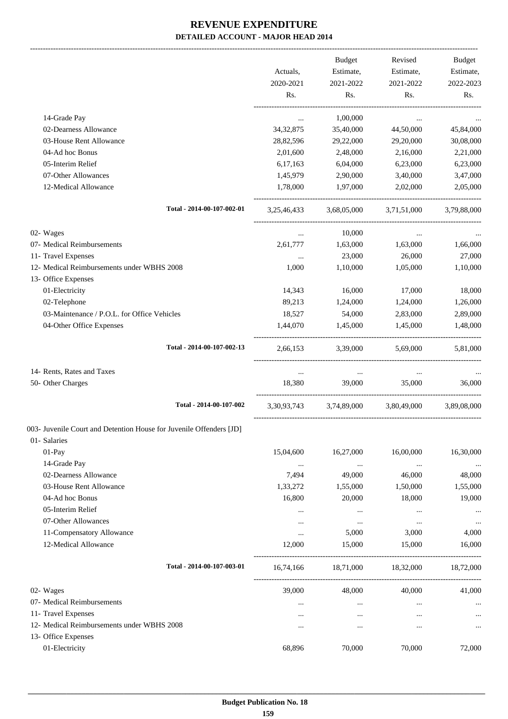|                                                                     |                | Budget            | Revised                 | Budget      |
|---------------------------------------------------------------------|----------------|-------------------|-------------------------|-------------|
|                                                                     | Actuals,       | Estimate,         | Estimate,               | Estimate,   |
|                                                                     | 2020-2021      | 2021-2022         | 2021-2022               | 2022-2023   |
|                                                                     | Rs.            | Rs.               | Rs.                     | Rs.         |
| 14-Grade Pay                                                        | $\ddotsc$      | 1,00,000          | $\cdots$                |             |
| 02-Dearness Allowance                                               | 34, 32, 875    | 35,40,000         | 44,50,000               | 45,84,000   |
| 03-House Rent Allowance                                             | 28,82,596      | 29,22,000         | 29,20,000               | 30,08,000   |
| 04-Ad hoc Bonus                                                     | 2,01,600       | 2,48,000          | 2,16,000                | 2,21,000    |
| 05-Interim Relief                                                   | 6,17,163       | 6,04,000          | 6,23,000                | 6,23,000    |
| 07-Other Allowances                                                 | 1,45,979       | 2,90,000          | 3,40,000                | 3,47,000    |
| 12-Medical Allowance                                                | 1,78,000       | 1,97,000          | 2,02,000                | 2,05,000    |
| Total - 2014-00-107-002-01                                          | 3, 25, 46, 433 | 3,68,05,000       | 3,71,51,000             | 3,79,88,000 |
| 02- Wages                                                           | $\cdots$       | 10,000            | $\cdots$                |             |
| 07- Medical Reimbursements                                          | 2,61,777       | 1,63,000          | 1,63,000                | 1,66,000    |
| 11- Travel Expenses                                                 | $\cdots$       | 23,000            | 26,000                  | 27,000      |
| 12- Medical Reimbursements under WBHS 2008                          | 1,000          | 1,10,000          | 1,05,000                | 1,10,000    |
| 13- Office Expenses                                                 |                |                   |                         |             |
| 01-Electricity                                                      | 14,343         | 16,000            | 17,000                  | 18,000      |
| 02-Telephone                                                        | 89,213         | 1,24,000          | 1,24,000                | 1,26,000    |
| 03-Maintenance / P.O.L. for Office Vehicles                         | 18,527         | 54,000            | 2,83,000                | 2,89,000    |
| 04-Other Office Expenses                                            | 1,44,070       | 1,45,000          | 1,45,000                | 1,48,000    |
| Total - 2014-00-107-002-13                                          | 2,66,153       | 3,39,000 5,69,000 |                         | 5,81,000    |
| 14- Rents, Rates and Taxes                                          | $\ddotsc$      | $\cdots$          | $\cdots$                |             |
| 50- Other Charges                                                   | 18,380         | 39,000            | 35,000                  | 36,000      |
| Total - 2014-00-107-002                                             | 3,30,93,743    |                   | 3,74,89,000 3,80,49,000 | 3.89.08.000 |
| 003- Juvenile Court and Detention House for Juvenile Offenders [JD] |                |                   |                         |             |
| 01- Salaries                                                        |                |                   |                         |             |
| 01-Pay                                                              | 15,04,600      | 16,27,000         | 16,00,000               | 16,30,000   |
| 14-Grade Pay                                                        | $\ldots$       | $\cdots$          | $\cdots$                | $\cdots$    |
| 02-Dearness Allowance                                               | 7,494          | 49,000            | 46,000                  | 48,000      |
| 03-House Rent Allowance                                             | 1,33,272       | 1,55,000          | 1,50,000                | 1,55,000    |
| 04-Ad hoc Bonus                                                     | 16,800         | 20,000            | 18,000                  | 19,000      |
| 05-Interim Relief                                                   |                | $\cdots$          | $\cdots$                |             |
| 07-Other Allowances                                                 | $\cdots$       | $\cdots$          | $\ldots$                | $\cdots$    |
| 11-Compensatory Allowance                                           | $\cdots$       | 5,000             | 3,000                   | 4,000       |
| 12-Medical Allowance                                                | 12,000         | 15,000            | 15,000                  | 16,000      |
| Total - 2014-00-107-003-01                                          | 16,74,166      |                   | 18,71,000 18,32,000     | 18,72,000   |
| 02- Wages                                                           | 39,000         | 48,000            | 40,000                  | 41,000      |
| 07- Medical Reimbursements                                          | $\cdots$       | $\cdots$          | $\ldots$                |             |
| 11- Travel Expenses                                                 | $\cdots$       | $\cdots$          |                         |             |
| 12- Medical Reimbursements under WBHS 2008                          | $\cdots$       | $\cdots$          |                         | $\cdots$    |
| 13- Office Expenses                                                 |                |                   |                         |             |
| 01-Electricity                                                      | 68,896         | 70,000            | 70,000                  | 72,000      |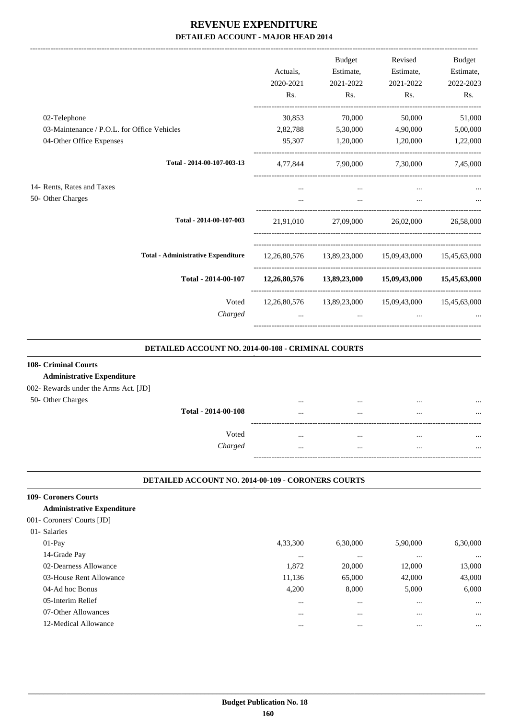|                                             |                                           |           | <b>Budget</b> | Revised                                             | Budget    |
|---------------------------------------------|-------------------------------------------|-----------|---------------|-----------------------------------------------------|-----------|
|                                             |                                           | Actuals.  | Estimate,     | Estimate,                                           | Estimate, |
|                                             |                                           | 2020-2021 | 2021-2022     | 2021-2022                                           | 2022-2023 |
|                                             |                                           | Rs.       | Rs.           | Rs.                                                 | Rs.       |
| 02-Telephone                                |                                           | 30,853    | 70,000        | 50,000                                              | 51,000    |
| 03-Maintenance / P.O.L. for Office Vehicles |                                           | 2,82,788  | 5,30,000      | 4,90,000                                            | 5,00,000  |
| 04-Other Office Expenses                    |                                           | 95,307    | 1,20,000      | 1,20,000                                            | 1,22,000  |
|                                             | Total - 2014-00-107-003-13                | 4,77,844  |               | 7,90,000 7,30,000                                   | 7,45,000  |
| 14- Rents, Rates and Taxes                  |                                           |           | $\cdots$      | $\cdots$                                            |           |
| 50- Other Charges                           |                                           |           | $\cdots$      | $\cdots$                                            |           |
|                                             | Total - 2014-00-107-003                   | 21,91,010 | 27,09,000     | 26,02,000                                           | 26,58,000 |
|                                             | <b>Total - Administrative Expenditure</b> |           |               | 12,26,80,576 13,89,23,000 15,09,43,000 15,45,63,000 |           |
|                                             | Total - 2014-00-107                       |           |               | 12,26,80,576 13,89,23,000 15,09,43,000 15,45,63,000 |           |
|                                             | Voted                                     |           |               | 12,26,80,576 13,89,23,000 15,09,43,000 15,45,63,000 |           |
|                                             | Charged                                   | $\cdots$  | $\cdots$      | $\cdots$                                            |           |
|                                             |                                           |           |               |                                                     |           |

#### **DETAILED ACCOUNT NO. 2014-00-108 - CRIMINAL COURTS .**

.

# **108- Criminal Courts**

#### **Administrative Expenditure**

#### 002- Rewards under the Arms Act. [JD]

| 50- Other Charges |                     | <br>         | <br> |
|-------------------|---------------------|--------------|------|
|                   | Total - 2014-00-108 | <br>         | <br> |
|                   |                     |              |      |
|                   | Voted               | <br>$\cdots$ | <br> |
|                   | Charged             | <br>         | <br> |
|                   |                     |              |      |
|                   |                     |              |      |

#### **DETAILED ACCOUNT NO. 2014-00-109 - CORONERS COURTS .**

#### **109- Coroners Courts**

#### **Administrative Expenditure**

| 001- Coroners' Courts [JD] |  |  |
|----------------------------|--|--|
|----------------------------|--|--|

| 01- Salaries            |          |          |          |          |
|-------------------------|----------|----------|----------|----------|
| $01-Pav$                | 4,33,300 | 6,30,000 | 5,90,000 | 6,30,000 |
| 14-Grade Pay            | $\cdots$ | $\cdots$ |          | $\cdots$ |
| 02-Dearness Allowance   | 1,872    | 20,000   | 12,000   | 13,000   |
| 03-House Rent Allowance | 11,136   | 65,000   | 42,000   | 43,000   |
| 04-Ad hoc Bonus         | 4,200    | 8.000    | 5,000    | 6,000    |
| 05-Interim Relief       | $\cdots$ | $\cdots$ |          | $\cdots$ |
| 07-Other Allowances     | $\cdots$ | $\cdots$ |          | $\cdots$ |
| 12-Medical Allowance    | $\cdots$ | $\cdots$ |          | $\cdots$ |
|                         |          |          |          |          |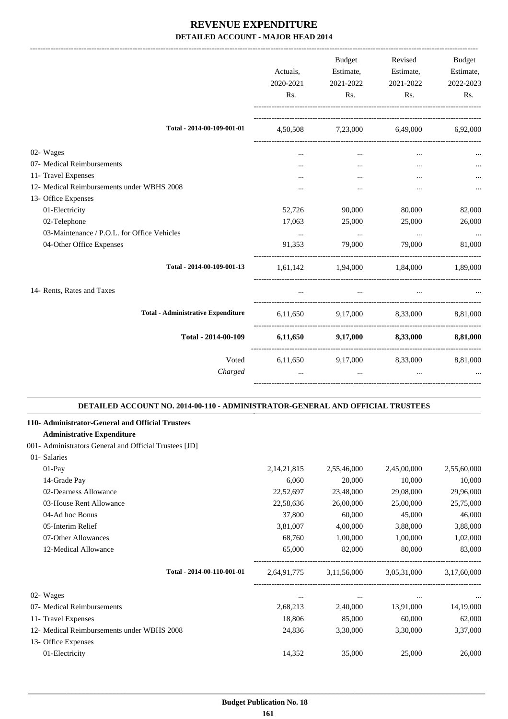|                                                                                                                                                 | Actuals,<br>2020-2021<br>Rs. | <b>Budget</b><br>Estimate,<br>2021-2022<br>Rs. | Revised<br>Estimate,<br>2021-2022<br>Rs. | <b>Budget</b><br>Estimate,<br>2022-2023<br>Rs. |
|-------------------------------------------------------------------------------------------------------------------------------------------------|------------------------------|------------------------------------------------|------------------------------------------|------------------------------------------------|
| Total - 2014-00-109-001-01                                                                                                                      | 4,50,508                     | 7,23,000                                       | 6,49,000                                 | 6,92,000                                       |
| 02- Wages                                                                                                                                       | $\cdots$                     | $\cdots$                                       | $\cdots$                                 |                                                |
| 07- Medical Reimbursements                                                                                                                      |                              | $\cdots$                                       | $\ddotsc$                                |                                                |
| 11- Travel Expenses                                                                                                                             | $\cdots$                     | $\cdots$                                       |                                          |                                                |
| 12- Medical Reimbursements under WBHS 2008                                                                                                      |                              |                                                |                                          |                                                |
| 13- Office Expenses                                                                                                                             |                              |                                                |                                          |                                                |
| 01-Electricity                                                                                                                                  | 52,726                       | 90,000                                         | 80,000                                   | 82,000                                         |
| 02-Telephone                                                                                                                                    | 17,063                       | 25,000                                         | 25,000                                   | 26,000                                         |
| 03-Maintenance / P.O.L. for Office Vehicles                                                                                                     | $\cdots$                     | $\ldots$                                       | $\ldots$                                 |                                                |
| 04-Other Office Expenses                                                                                                                        | 91,353                       | 79,000                                         | 79,000                                   | 81,000                                         |
| Total - 2014-00-109-001-13                                                                                                                      | 1,61,142                     | 1,94,000                                       | 1,84,000                                 | 1.89.000                                       |
| 14- Rents, Rates and Taxes                                                                                                                      | $\cdots$                     | $\cdots$                                       |                                          |                                                |
| <b>Total - Administrative Expenditure</b>                                                                                                       | 6,11,650                     | 9,17,000                                       | 8,33,000                                 | 8,81,000                                       |
| Total - 2014-00-109                                                                                                                             | 6,11,650                     | 9,17,000                                       | 8,33,000                                 | 8,81,000                                       |
| Voted<br>Charged                                                                                                                                | 6,11,650                     | 9,17,000<br>$\cdots$                           | 8,33,000<br>$\ddotsc$                    | 8,81,000                                       |
| DETAILED ACCOUNT NO. 2014-00-110 - ADMINISTRATOR-GENERAL AND OFFICIAL TRUSTEES                                                                  |                              |                                                |                                          |                                                |
| 110- Administrator-General and Official Trustees<br><b>Administrative Expenditure</b><br>001- Administrators General and Official Trustees [JD] |                              |                                                |                                          |                                                |
| 01- Salaries<br>01-Pay                                                                                                                          | 2, 14, 21, 815               | 2,55,46,000                                    | 2,45,00,000                              | 2,55,60,000                                    |
| 14-Grade Pay                                                                                                                                    | 6,060                        | 20,000                                         | 10,000                                   | 10,000                                         |
| 02-Dearness Allowance                                                                                                                           | 22,52,697                    | 23,48,000                                      | 29,08,000                                | 29,96,000                                      |
| 03-House Rent Allowance                                                                                                                         | 22,58,636                    | 26,00,000                                      | 25,00,000                                | 25,75,000                                      |
| 04-Ad hoc Bonus                                                                                                                                 | 37,800                       | 60,000                                         | 45,000                                   | 46,000                                         |
| 05-Interim Relief                                                                                                                               | 3,81,007                     | 4,00,000                                       | 3,88,000                                 | 3,88,000                                       |
| 07-Other Allowances                                                                                                                             | 68,760                       | 1,00,000                                       | 1,00,000                                 | 1,02,000                                       |
| 12-Medical Allowance                                                                                                                            | 65,000                       | 82,000                                         | 80,000                                   | 83,000                                         |
| Total - 2014-00-110-001-01                                                                                                                      | 2,64,91,775                  | 3,11,56,000                                    | 3,05,31,000                              | 3,17,60,000                                    |
| 02- Wages                                                                                                                                       | $\cdots$                     | $\ldots$                                       | $\ldots$                                 |                                                |
| 07- Medical Reimbursements                                                                                                                      | 2,68,213                     | 2,40,000                                       | 13,91,000                                | 14,19,000                                      |
| 11- Travel Expenses                                                                                                                             | 18,806                       | 85,000                                         | 60,000                                   | 62,000                                         |
| 12- Medical Reimbursements under WBHS 2008                                                                                                      | 24,836                       | 3,30,000                                       | 3,30,000                                 | 3,37,000                                       |
| 13- Office Expenses                                                                                                                             |                              |                                                |                                          |                                                |
| 01-Electricity                                                                                                                                  | 14,352                       | 35,000                                         | 25,000                                   | 26,000                                         |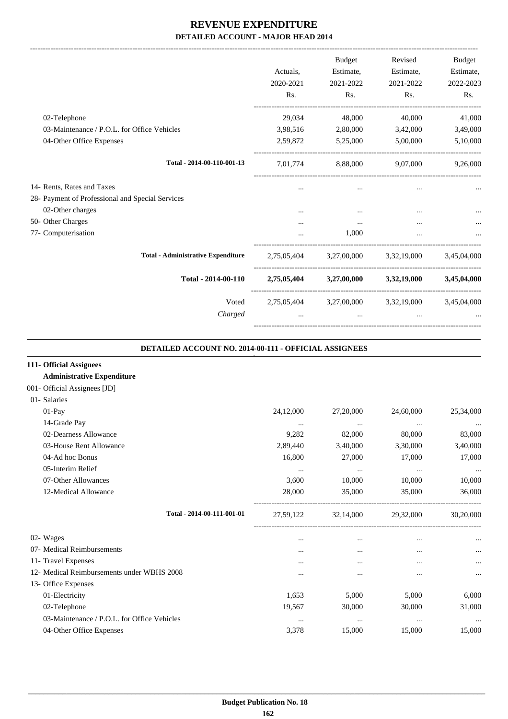-------------------------------------------------------------------------------------------------------------------------------------------------------------------------------

|                                                  |             | <b>Budget</b> | Revised                                         | <b>Budget</b> |
|--------------------------------------------------|-------------|---------------|-------------------------------------------------|---------------|
|                                                  | Actuals,    | Estimate,     | Estimate,                                       | Estimate,     |
|                                                  | 2020-2021   | 2021-2022     | 2021-2022                                       | 2022-2023     |
|                                                  | Rs.         | Rs.           | Rs.                                             | Rs.           |
| 02-Telephone                                     | 29,034      | 48,000        | 40,000                                          | 41,000        |
| 03-Maintenance / P.O.L. for Office Vehicles      | 3,98,516    | 2,80,000      | 3,42,000                                        | 3,49,000      |
| 04-Other Office Expenses                         | 2,59,872    | 5,25,000      | 5,00,000                                        | 5,10,000      |
| Total - 2014-00-110-001-13                       | 7,01,774    | 8,88,000      | 9,07,000                                        | 9,26,000      |
| 14- Rents, Rates and Taxes                       | $\cdots$    | $\cdots$      | $\cdots$                                        |               |
| 28- Payment of Professional and Special Services |             |               |                                                 |               |
| 02-Other charges                                 |             |               | $\cdots$                                        |               |
| 50- Other Charges                                | $\cdots$    | $\cdots$      | $\cdots$                                        |               |
| 77- Computerisation                              |             | 1,000         | $\cdots$                                        |               |
| <b>Total - Administrative Expenditure</b>        | 2,75,05,404 |               | 3,27,00,000 3,32,19,000                         | 3,45,04,000   |
| Total - 2014-00-110                              |             |               | 2,75,05,404 3,27,00,000 3,32,19,000 3,45,04,000 |               |
| Voted                                            |             |               | 2,75,05,404 3,27,00,000 3,32,19,000 3,45,04,000 |               |
| Charged                                          | $\cdots$    | $\cdots$      | $\cdots$                                        |               |
|                                                  |             |               |                                                 |               |

#### **DETAILED ACCOUNT NO. 2014-00-111 - OFFICIAL ASSIGNEES**

.

| 111- Official Assignees                     |           |           |           |           |
|---------------------------------------------|-----------|-----------|-----------|-----------|
| <b>Administrative Expenditure</b>           |           |           |           |           |
| 001- Official Assignees [JD]                |           |           |           |           |
| 01- Salaries                                |           |           |           |           |
| $01-Pay$                                    | 24,12,000 | 27,20,000 | 24,60,000 | 25,34,000 |
| 14-Grade Pay                                | $\cdots$  | $\cdots$  | $\cdots$  |           |
| 02-Dearness Allowance                       | 9,282     | 82,000    | 80,000    | 83,000    |
| 03-House Rent Allowance                     | 2,89,440  | 3,40,000  | 3,30,000  | 3,40,000  |
| 04-Ad hoc Bonus                             | 16,800    | 27,000    | 17,000    | 17,000    |
| 05-Interim Relief                           | $\cdots$  | $\cdots$  | $\cdots$  | $\cdots$  |
| 07-Other Allowances                         | 3,600     | 10,000    | 10,000    | 10,000    |
| 12-Medical Allowance                        | 28,000    | 35,000    | 35,000    | 36,000    |
| Total - 2014-00-111-001-01                  | 27,59,122 | 32,14,000 | 29,32,000 | 30,20,000 |
| 02- Wages                                   | $\cdots$  | $\cdots$  | $\cdots$  | $\cdots$  |
| 07- Medical Reimbursements                  | $\cdots$  | $\cdots$  | $\cdots$  | $\cdots$  |
| 11- Travel Expenses                         |           |           | $\cdots$  | $\cdots$  |
| 12- Medical Reimbursements under WBHS 2008  | $\cdots$  |           |           | $\cdots$  |
| 13- Office Expenses                         |           |           |           |           |
| 01-Electricity                              | 1,653     | 5,000     | 5,000     | 6,000     |
| 02-Telephone                                | 19,567    | 30,000    | 30,000    | 31,000    |
| 03-Maintenance / P.O.L. for Office Vehicles | $\cdots$  | $\cdots$  | $\cdots$  | $\cdots$  |
| 04-Other Office Expenses                    | 3,378     | 15,000    | 15,000    | 15,000    |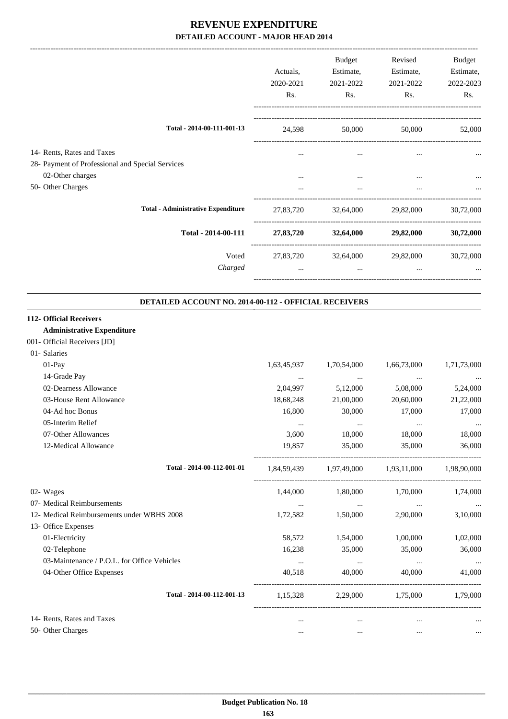|                                                       |             | Budget      | Revised                                 | Budget        |
|-------------------------------------------------------|-------------|-------------|-----------------------------------------|---------------|
|                                                       | Actuals,    | Estimate,   | Estimate,                               | Estimate,     |
|                                                       | 2020-2021   | 2021-2022   | 2021-2022                               | 2022-2023     |
|                                                       | Rs.         | Rs.         | Rs.                                     | Rs.           |
|                                                       |             |             |                                         |               |
| Total - 2014-00-111-001-13                            | 24,598      | 50,000      |                                         | 50,000 52,000 |
| 14- Rents, Rates and Taxes                            |             |             |                                         |               |
| 28- Payment of Professional and Special Services      |             |             |                                         |               |
| 02-Other charges                                      |             |             |                                         |               |
| 50- Other Charges                                     | $\cdots$    | $\ddots$    | $\cdots$                                |               |
| <b>Total - Administrative Expenditure</b>             |             |             | 27,83,720 32,64,000 29,82,000           | 30,72,000     |
| Total - 2014-00-111                                   |             |             | 27,83,720 32,64,000 29,82,000           | 30,72,000     |
| Voted                                                 |             |             | 27,83,720 32,64,000 29,82,000 30,72,000 |               |
| Charged                                               | $\cdots$    | $\ddotsc$   | $\ddotsc$                               |               |
|                                                       |             |             |                                         |               |
| DETAILED ACCOUNT NO. 2014-00-112 - OFFICIAL RECEIVERS |             |             |                                         |               |
| 112- Official Receivers                               |             |             |                                         |               |
| <b>Administrative Expenditure</b>                     |             |             |                                         |               |
| 001- Official Receivers [JD]                          |             |             |                                         |               |
| 01- Salaries                                          |             |             |                                         |               |
| 01-Pay                                                | 1,63,45,937 | 1,70,54,000 | 1,66,73,000                             | 1,71,73,000   |
| 14-Grade Pay                                          | $\cdots$    | $\ldots$    | $\ldots$                                |               |
| 02-Dearness Allowance                                 | 2,04,997    | 5,12,000    | 5,08,000                                | 5,24,000      |
| 03-House Rent Allowance                               | 18,68,248   | 21,00,000   | 20,60,000                               | 21,22,000     |
| 04-Ad hoc Bonus                                       | 16,800      | 30,000      | 17,000                                  | 17,000        |
| 05-Interim Relief                                     |             |             | $\cdots$                                |               |
| 07-Other Allowances                                   | 3,600       | 18,000      | 18,000                                  | 18,000        |
| 12-Medical Allowance                                  | 19,857      | 35,000      | 35,000                                  | 36,000        |
| Total - 2014-00-112-001-01                            |             |             | 1,84,59,439 1,97,49,000 1,93,11,000     | 1,98,90,000   |
| 02- Wages                                             | 1,44,000    | 1,80,000    | 1,70,000                                | 1,74,000      |
| 07- Medical Reimbursements                            | $\ldots$    | $\ldots$    | $\cdots$                                | $\cdots$      |
| 12- Medical Reimbursements under WBHS 2008            | 1,72,582    | 1,50,000    | 2,90,000                                | 3,10,000      |
| 13- Office Expenses                                   |             |             |                                         |               |
| 01-Electricity                                        | 58,572      | 1,54,000    | 1,00,000                                | 1,02,000      |
| 02-Telephone                                          | 16,238      | 35,000      | 35,000                                  | 36,000        |
| 03-Maintenance / P.O.L. for Office Vehicles           | $\cdots$    | $\ldots$    | $\cdots$                                | $\cdots$      |
| 04-Other Office Expenses                              | 40,518      | 40,000      | 40,000                                  | 41,000        |
| Total - 2014-00-112-001-13                            | 1,15,328    |             | 2,29,000 1,75,000 1,79,000              |               |
| 14- Rents, Rates and Taxes                            | $\cdots$    | $\cdots$    | $\cdots$                                |               |
| 50- Other Charges                                     | $\cdots$    | $\cdots$    | $\cdots$                                |               |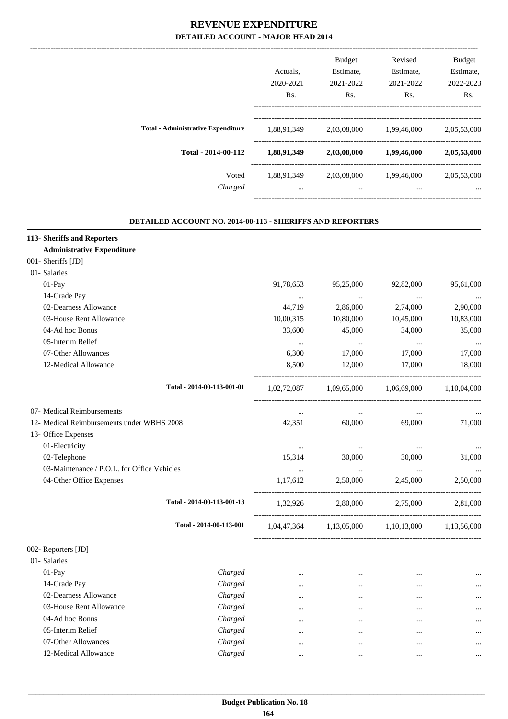|                                           |             | <b>Budget</b>    | Revised     | <b>Budget</b>    |
|-------------------------------------------|-------------|------------------|-------------|------------------|
|                                           | Actuals.    | Estimate,        | Estimate,   | Estimate,        |
|                                           | 2020-2021   | 2021-2022        | 2021-2022   | 2022-2023        |
|                                           | Rs.         | R <sub>s</sub> . | Rs.         | R <sub>s</sub> . |
| <b>Total - Administrative Expenditure</b> | 1,88,91,349 | 2,03,08,000      | 1,99,46,000 | 2,05,53,000      |
| Total - 2014-00-112                       | 1,88,91,349 | 2,03,08,000      | 1,99,46,000 | 2,05,53,000      |
| Voted                                     | 1,88,91,349 | 2,03,08,000      | 1,99,46,000 | 2,05,53,000      |
| Charged                                   | $\cdots$    | $\cdots$         | $\cdots$    | $\cdots$         |

.

#### **DETAILED ACCOUNT NO. 2014-00-113 - SHERIFFS AND REPORTERS**

| 113- Sheriffs and Reporters                 |                            |             |                                     |             |             |
|---------------------------------------------|----------------------------|-------------|-------------------------------------|-------------|-------------|
| <b>Administrative Expenditure</b>           |                            |             |                                     |             |             |
| 001- Sheriffs [JD]                          |                            |             |                                     |             |             |
| 01- Salaries                                |                            |             |                                     |             |             |
| 01-Pay                                      |                            | 91,78,653   | 95,25,000                           | 92,82,000   | 95,61,000   |
| 14-Grade Pay                                |                            | $\cdots$    | $\cdots$                            | $\cdots$    |             |
| 02-Dearness Allowance                       |                            | 44,719      | 2,86,000                            | 2,74,000    | 2,90,000    |
| 03-House Rent Allowance                     |                            | 10,00,315   | 10,80,000                           | 10,45,000   | 10,83,000   |
| 04-Ad hoc Bonus                             |                            | 33,600      | 45,000                              | 34,000      | 35,000      |
| 05-Interim Relief                           |                            | $\cdots$    | $\ddots$                            | $\cdots$    |             |
| 07-Other Allowances                         |                            | 6,300       | 17,000                              | 17,000      | 17,000      |
| 12-Medical Allowance                        |                            | 8,500       | 12,000                              | 17,000      | 18,000      |
|                                             | Total - 2014-00-113-001-01 | 1,02,72,087 | 1,09,65,000                         | 1,06,69,000 | 1,10,04,000 |
| 07- Medical Reimbursements                  |                            | $\cdots$    | $\cdots$                            | $\cdots$    |             |
| 12- Medical Reimbursements under WBHS 2008  |                            | 42,351      | 60,000                              | 69,000      | 71,000      |
| 13- Office Expenses                         |                            |             |                                     |             |             |
| 01-Electricity                              |                            | $\ldots$    | $\cdots$                            | $\ldots$    |             |
| 02-Telephone                                |                            | 15,314      | 30,000                              | 30,000      | 31,000      |
| 03-Maintenance / P.O.L. for Office Vehicles |                            | $\cdots$    | $\ddots$                            | $\ddots$    |             |
| 04-Other Office Expenses                    |                            | 1,17,612    | 2,50,000                            | 2,45,000    | 2,50,000    |
|                                             | Total - 2014-00-113-001-13 | 1,32,926    | 2,80,000                            | 2,75,000    | 2,81,000    |
|                                             | Total - 2014-00-113-001    |             | 1,04,47,364 1,13,05,000 1,10,13,000 |             | 1,13,56,000 |
| 002- Reporters [JD]                         |                            |             |                                     |             |             |
| 01- Salaries                                |                            |             |                                     |             |             |
| 01-Pay                                      | Charged                    | $\cdots$    | $\cdots$                            | $\cdots$    |             |
| 14-Grade Pay                                | Charged                    | $\cdots$    | $\ddotsc$                           |             | $\cdots$    |
| 02-Dearness Allowance                       | Charged                    | $\cdots$    | $\ddotsc$                           | $\cdots$    | $\cdots$    |
| 03-House Rent Allowance                     | Charged                    | $\cdots$    | $\cdots$                            |             | $\cdots$    |
| 04-Ad hoc Bonus                             | Charged                    | $\cdots$    | $\cdots$                            |             | $\cdots$    |
| 05-Interim Relief                           | Charged                    | $\cdots$    | $\cdots$                            |             | $\cdots$    |
| 07-Other Allowances                         | Charged                    | $\cdots$    |                                     |             | $\ldots$    |
| 12-Medical Allowance                        | Charged                    | $\cdots$    |                                     | $\ldots$    | $\cdots$    |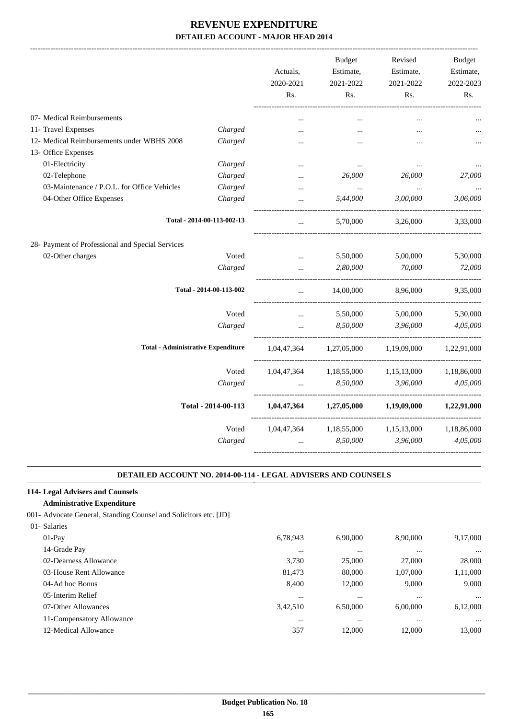|                                                  |                            | Actuals,<br>2020-2021<br>Rs. | <b>Budget</b><br>Estimate,<br>2021-2022<br>Rs. | Revised<br>Estimate,<br>2021-2022<br>Rs. | <b>Budget</b><br>Estimate,<br>2022-2023<br>Rs. |
|--------------------------------------------------|----------------------------|------------------------------|------------------------------------------------|------------------------------------------|------------------------------------------------|
| 07- Medical Reimbursements                       |                            |                              |                                                |                                          |                                                |
| 11- Travel Expenses                              | Charged                    | $\ddotsc$                    | $\ddotsc$                                      | $\cdots$                                 |                                                |
| 12- Medical Reimbursements under WBHS 2008       | Charged                    |                              |                                                |                                          |                                                |
| 13- Office Expenses                              |                            |                              |                                                |                                          |                                                |
| 01-Electricity                                   | Charged                    |                              | $\ddotsc$                                      |                                          |                                                |
| 02-Telephone                                     | Charged                    |                              | 26,000                                         | 26,000                                   | 27,000                                         |
| 03-Maintenance / P.O.L. for Office Vehicles      | Charged                    | $\ddotsc$                    | $\ldots$                                       | $\ldots$                                 |                                                |
| 04-Other Office Expenses                         | Charged                    | $\ddotsc$                    | 5,44,000                                       | 3,00,000                                 | 3,06,000                                       |
|                                                  | Total - 2014-00-113-002-13 | $\ldots$                     | 5,70,000                                       | 3,26,000                                 | 3,33,000                                       |
| 28- Payment of Professional and Special Services |                            |                              |                                                |                                          |                                                |
| 02-Other charges                                 | Voted                      | $\ldots$                     | 5,50,000                                       | 5,00,000                                 | 5,30,000                                       |
|                                                  | Charged                    |                              | 2,80,000                                       | 70,000                                   | 72,000                                         |
|                                                  | Total - 2014-00-113-002    |                              | 14,00,000                                      | 8,96,000                                 | 9,35,000                                       |
|                                                  | Voted                      |                              | 5,50,000                                       | 5,00,000                                 | 5,30,000                                       |
|                                                  | Charged                    |                              | 8,50,000                                       | 3,96,000                                 | 4,05,000                                       |
| <b>Total - Administrative Expenditure</b>        |                            | 1,04,47,364                  | 1,27,05,000                                    | 1,19,09,000                              | 1,22,91,000                                    |
|                                                  | Voted                      | 1,04,47,364                  | 1,18,55,000                                    | 1,15,13,000                              | 1,18,86,000                                    |
|                                                  | Charged                    |                              | 8,50,000                                       | 3,96,000                                 | 4,05,000                                       |
|                                                  | Total - 2014-00-113        | 1,04,47,364                  | 1,27,05,000                                    | 1,19,09,000                              | 1,22,91,000                                    |
|                                                  | Voted                      | 1,04,47,364                  | 1,18,55,000                                    | 1,15,13,000                              | 1,18,86,000                                    |
|                                                  | Charged                    |                              | 8,50,000                                       | 3,96,000                                 | 4,05,000                                       |
|                                                  |                            |                              |                                                |                                          |                                                |

#### **DETAILED ACCOUNT NO. 2014-00-114 - LEGAL ADVISERS AND COUNSELS .**

.

# **114- Legal Advisers and Counsels**

- **Administrative Expenditure**
- 001- Advocate General, Standing Counsel and Solicitors etc. [JD]

| 01- Salaries              |          |          |          |          |
|---------------------------|----------|----------|----------|----------|
| $01-Pav$                  | 6,78,943 | 6,90,000 | 8,90,000 | 9,17,000 |
| 14-Grade Pay              |          |          |          | $\cdots$ |
| 02-Dearness Allowance     | 3,730    | 25,000   | 27,000   | 28,000   |
| 03-House Rent Allowance   | 81,473   | 80,000   | 1,07,000 | 1,11,000 |
| 04-Ad hoc Bonus           | 8.400    | 12,000   | 9.000    | 9,000    |
| 05-Interim Relief         | $\cdots$ |          |          | $\cdots$ |
| 07-Other Allowances       | 3,42,510 | 6.50,000 | 6,00,000 | 6,12,000 |
| 11-Compensatory Allowance |          | $\cdots$ |          | $\cdots$ |
| 12-Medical Allowance      | 357      | 12,000   | 12,000   | 13,000   |
|                           |          |          |          |          |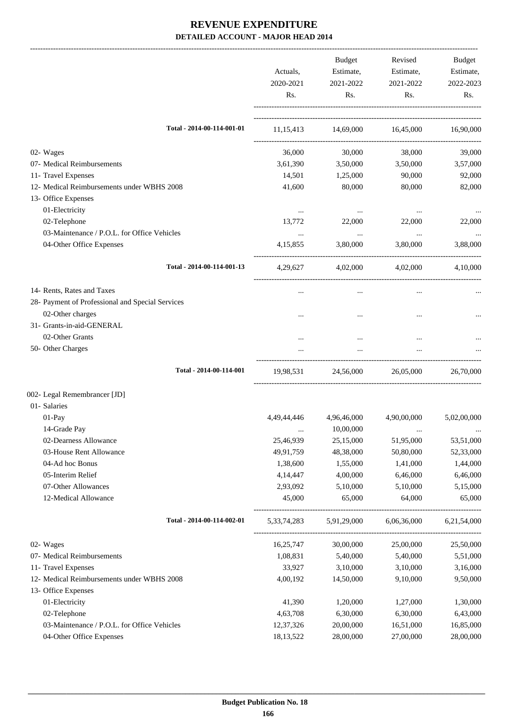|                                                  | Actuals,<br>2020-2021<br>Rs. | Budget<br>Estimate,<br>2021-2022<br>Rs. | Revised<br>Estimate,<br>2021-2022<br>Rs. | Budget<br>Estimate,<br>2022-2023<br>Rs. |
|--------------------------------------------------|------------------------------|-----------------------------------------|------------------------------------------|-----------------------------------------|
| Total - 2014-00-114-001-01                       |                              | 11,15,413 14,69,000 16,45,000 16,90,000 |                                          |                                         |
| 02- Wages                                        | 36,000                       | 30,000                                  | 38,000                                   | 39,000                                  |
| 07- Medical Reimbursements                       | 3,61,390                     | 3,50,000                                | 3,50,000                                 | 3,57,000                                |
| 11- Travel Expenses                              | 14,501                       | 1,25,000                                | 90,000                                   | 92,000                                  |
| 12- Medical Reimbursements under WBHS 2008       | 41,600                       | 80,000                                  | 80,000                                   | 82,000                                  |
| 13- Office Expenses                              |                              |                                         |                                          |                                         |
| 01-Electricity                                   | $\cdots$                     | $\cdots$                                | $\cdots$                                 |                                         |
| 02-Telephone                                     | 13,772                       | 22,000                                  | 22,000                                   | 22,000                                  |
| 03-Maintenance / P.O.L. for Office Vehicles      | $\ddots$                     | $\sim$ $\sim$                           | $\ldots$                                 | $\cdots$                                |
| 04-Other Office Expenses                         | 4, 15, 855                   | 3,80,000                                | 3,80,000                                 | 3,88,000                                |
| Total - 2014-00-114-001-13                       |                              | 4,29,627 4,02,000 4,02,000 4,10,000     |                                          |                                         |
| 14- Rents, Rates and Taxes                       |                              | $\cdots$                                | $\cdots$                                 |                                         |
| 28- Payment of Professional and Special Services |                              |                                         |                                          |                                         |
| 02-Other charges                                 |                              |                                         |                                          |                                         |
| 31- Grants-in-aid-GENERAL                        |                              |                                         |                                          |                                         |
| 02-Other Grants                                  |                              |                                         |                                          |                                         |
| 50- Other Charges                                |                              |                                         |                                          |                                         |
| Total - 2014-00-114-001                          | 19,98,531                    |                                         | 24,56,000 26,05,000                      | 26,70,000                               |
| 002- Legal Remembrancer [JD]                     |                              |                                         |                                          |                                         |
| 01- Salaries                                     |                              |                                         |                                          |                                         |
| 01-Pay                                           | 4,49,44,446                  | 4,96,46,000                             | 4,90,00,000                              | 5,02,00,000                             |
| 14-Grade Pay                                     |                              | 10,00,000                               |                                          | $\cdots$                                |
| 02-Dearness Allowance                            | 25,46,939                    | 25,15,000                               | 51,95,000                                | 53,51,000                               |
| 03-House Rent Allowance                          | 49,91,759                    | 48,38,000                               | 50,80,000                                | 52,33,000                               |
| 04-Ad hoc Bonus                                  | 1,38,600                     | 1,55,000                                | 1,41,000                                 | 1,44,000                                |
| 05-Interim Relief                                | 4,14,447                     | 4,00,000                                | 6,46,000                                 | 6,46,000                                |
| 07-Other Allowances                              | 2,93,092                     | 5,10,000                                | 5,10,000                                 | 5,15,000                                |
| 12-Medical Allowance                             | 45,000                       | 65,000                                  | 64,000                                   | 65,000                                  |
| Total - 2014-00-114-002-01                       | 5, 33, 74, 283               | 5,91,29,000                             | 6,06,36,000                              | 6,21,54,000                             |
| 02- Wages                                        | 16,25,747                    | 30,00,000                               | 25,00,000                                | 25,50,000                               |
| 07- Medical Reimbursements                       | 1,08,831                     | 5,40,000                                | 5,40,000                                 | 5,51,000                                |
| 11- Travel Expenses                              | 33,927                       | 3,10,000                                | 3,10,000                                 | 3,16,000                                |
| 12- Medical Reimbursements under WBHS 2008       | 4,00,192                     | 14,50,000                               | 9,10,000                                 | 9,50,000                                |
| 13- Office Expenses                              |                              |                                         |                                          |                                         |
| 01-Electricity                                   | 41,390                       | 1,20,000                                | 1,27,000                                 | 1,30,000                                |
| 02-Telephone                                     | 4,63,708                     | 6,30,000                                | 6,30,000                                 | 6,43,000                                |
| 03-Maintenance / P.O.L. for Office Vehicles      | 12,37,326                    | 20,00,000                               | 16,51,000                                | 16,85,000                               |
| 04-Other Office Expenses                         | 18,13,522                    | 28,00,000                               | 27,00,000                                | 28,00,000                               |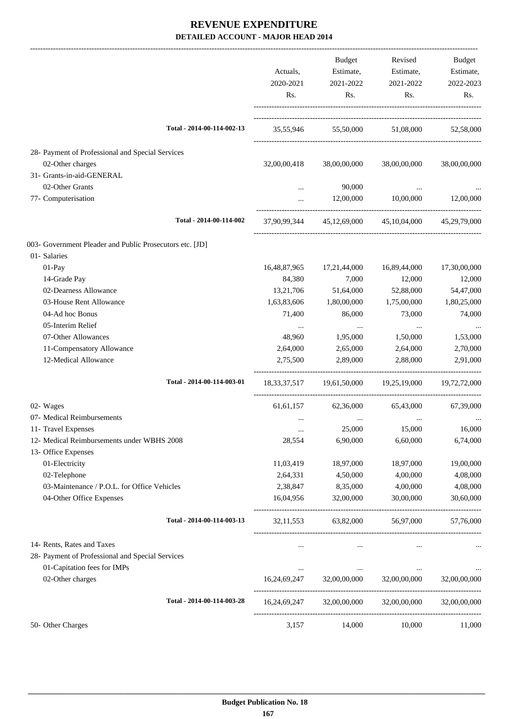|                                                          | Actuals,         | <b>Budget</b><br>Estimate, | Revised<br>Estimate,                                            | Budget<br>Estimate, |
|----------------------------------------------------------|------------------|----------------------------|-----------------------------------------------------------------|---------------------|
|                                                          | 2020-2021<br>Rs. | 2021-2022<br>Rs.           | 2021-2022<br>Rs.                                                | 2022-2023<br>Rs.    |
|                                                          |                  |                            |                                                                 |                     |
| Total - 2014-00-114-002-13                               |                  |                            | 35,55,946 55,50,000 51,08,000 52,58,000                         |                     |
| 28- Payment of Professional and Special Services         |                  |                            |                                                                 |                     |
| 02-Other charges                                         | 32,00,00,418     | 38,00,00,000               | 38,00,00,000                                                    | 38,00,00,000        |
| 31- Grants-in-aid-GENERAL                                |                  |                            |                                                                 |                     |
| 02-Other Grants                                          |                  | 90,000                     |                                                                 |                     |
| 77- Computerisation                                      | $\cdots$         | 12,00,000                  | 10,00,000                                                       | 12,00,000           |
| Total - 2014-00-114-002                                  |                  |                            | 37,90,99,344 45,12,69,000 45,10,04,000 45,29,79,000             |                     |
| 003- Government Pleader and Public Prosecutors etc. [JD] |                  |                            |                                                                 |                     |
| 01- Salaries                                             |                  |                            |                                                                 |                     |
| 01-Pay                                                   | 16,48,87,965     | 17,21,44,000               | 16,89,44,000                                                    | 17,30,00,000        |
| 14-Grade Pay                                             | 84,380           | 7,000                      | 12,000                                                          | 12,000              |
| 02-Dearness Allowance                                    | 13,21,706        | 51,64,000                  | 52,88,000                                                       | 54,47,000           |
| 03-House Rent Allowance                                  | 1,63,83,606      | 1,80,00,000                | 1,75,00,000                                                     | 1,80,25,000         |
| 04-Ad hoc Bonus                                          | 71,400           | 86,000                     | 73,000                                                          | 74,000              |
| 05-Interim Relief                                        | $\cdots$         | $\ldots$                   | $\cdots$                                                        |                     |
| 07-Other Allowances                                      | 48,960           | 1,95,000                   | 1,50,000                                                        | 1,53,000            |
| 11-Compensatory Allowance                                | 2,64,000         | 2,65,000                   | 2,64,000                                                        | 2,70,000            |
| 12-Medical Allowance                                     | 2,75,500         | 2,89,000                   | 2,88,000                                                        | 2,91,000            |
| Total - 2014-00-114-003-01                               |                  |                            | 18, 33, 37, 517 19, 61, 50, 000 19, 25, 19, 000 19, 72, 72, 000 |                     |
| 02- Wages                                                | 61, 61, 157      | 62,36,000                  | 65,43,000                                                       | 67,39,000           |
| 07- Medical Reimbursements                               | $\cdots$         |                            | $\ldots$                                                        |                     |
| 11- Travel Expenses                                      | $\cdots$         | 25,000                     | 15,000                                                          | 16,000              |
| 12- Medical Reimbursements under WBHS 2008               | 28,554           | 6,90,000                   | 6,60,000                                                        | 6,74,000            |
| 13- Office Expenses                                      |                  |                            |                                                                 |                     |
| 01-Electricity                                           | 11,03,419        | 18,97,000                  | 18,97,000                                                       | 19,00,000           |
| 02-Telephone                                             | 2,64,331         | 4,50,000                   | 4,00,000                                                        | 4,08,000            |
| 03-Maintenance / P.O.L. for Office Vehicles              | 2,38,847         | 8,35,000                   | 4,00,000                                                        | 4,08,000            |
| 04-Other Office Expenses                                 | 16,04,956        | 32,00,000                  | 30,00,000                                                       | 30,60,000           |
| Total - 2014-00-114-003-13                               | 32, 11, 553      | 63,82,000                  | 56,97,000                                                       | 57,76,000           |
| 14- Rents, Rates and Taxes                               |                  | $\cdots$                   | $\cdots$                                                        |                     |
| 28- Payment of Professional and Special Services         |                  |                            |                                                                 |                     |
| 01-Capitation fees for IMPs                              | $\cdots$         | $\cdots$                   | $\cdots$                                                        |                     |
| 02-Other charges                                         | 16,24,69,247     | 32,00,00,000               | 32,00,00,000                                                    | 32,00,00,000        |
| Total - 2014-00-114-003-28                               |                  |                            | 16,24,69,247 32,00,00,000 32,00,00,000                          | 32,00,00,000        |
| 50- Other Charges                                        | 3,157            | 14,000                     | 10,000                                                          | 11,000              |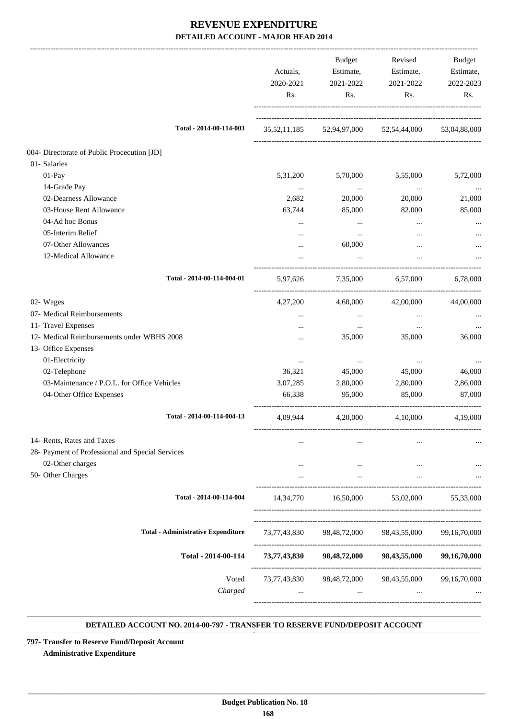|                                                  | Actuals,<br>2020-2021<br>Rs. | Budget<br>Estimate,<br>2021-2022<br>Rs. | Revised<br>Estimate,<br>2021-2022<br>Rs.            | Budget<br>Estimate,<br>2022-2023<br>Rs. |
|--------------------------------------------------|------------------------------|-----------------------------------------|-----------------------------------------------------|-----------------------------------------|
| Total - 2014-00-114-003                          |                              |                                         | 35,52,11,185 52,94,97,000 52,54,44,000 53,04,88,000 |                                         |
| 004- Directorate of Public Procecution [JD]      |                              |                                         |                                                     |                                         |
| 01- Salaries                                     |                              |                                         |                                                     |                                         |
| $01-Pay$                                         | 5,31,200                     | 5,70,000                                | 5,55,000                                            | 5,72,000                                |
| 14-Grade Pay                                     | $\ldots$                     | $\cdots$                                | $\cdots$                                            | $\cdots$                                |
| 02-Dearness Allowance                            | 2,682                        | 20,000                                  | 20,000                                              | 21,000                                  |
| 03-House Rent Allowance                          | 63,744                       | 85,000                                  | 82,000                                              | 85,000                                  |
| 04-Ad hoc Bonus                                  | $\cdots$                     | $\cdots$                                | $\cdots$                                            |                                         |
| 05-Interim Relief                                |                              | $\cdots$                                | $\cdots$                                            |                                         |
| 07-Other Allowances                              |                              | 60,000                                  |                                                     |                                         |
| 12-Medical Allowance                             |                              | $\cdots$                                |                                                     |                                         |
| Total - 2014-00-114-004-01                       | 5,97,626                     |                                         | 7,35,000 6,57,000                                   | 6,78,000                                |
| 02- Wages                                        | 4,27,200                     | 4,60,000                                | 42,00,000                                           | 44,00,000                               |
| 07- Medical Reimbursements                       |                              | $\cdots$                                | $\cdots$                                            |                                         |
| 11- Travel Expenses                              | $\cdots$                     | $\cdots$                                | $\ldots$                                            |                                         |
| 12- Medical Reimbursements under WBHS 2008       |                              | 35,000                                  | 35,000                                              | 36,000                                  |
| 13- Office Expenses                              |                              |                                         |                                                     |                                         |
| 01-Electricity                                   | $\cdots$                     | $\cdots$                                | $\cdots$                                            |                                         |
| 02-Telephone                                     | 36,321                       | 45,000                                  | 45,000                                              | 46,000                                  |
| 03-Maintenance / P.O.L. for Office Vehicles      | 3,07,285                     | 2,80,000                                | 2,80,000                                            | 2,86,000                                |
| 04-Other Office Expenses                         | 66,338                       | 95,000                                  | 85,000                                              | 87,000                                  |
| Total - 2014-00-114-004-13                       | 4,09,944                     | 4,20,000                                | 4,10,000                                            | 4,19,000                                |
| 14- Rents, Rates and Taxes                       |                              |                                         |                                                     |                                         |
| 28- Payment of Professional and Special Services |                              |                                         |                                                     |                                         |
| 02-Other charges                                 |                              | $\cdots$                                | $\cdots$                                            |                                         |
| 50- Other Charges                                |                              | $\cdots$                                | $\cdots$                                            |                                         |
| Total - 2014-00-114-004                          | 14,34,770                    | 16,50,000                               | 53,02,000                                           | 55,33,000                               |
|                                                  |                              |                                         |                                                     |                                         |
| <b>Total - Administrative Expenditure</b>        | 73,77,43,830                 |                                         | 98,48,72,000 98,43,55,000                           | 99, 16, 70, 000                         |
| Total - 2014-00-114                              |                              |                                         | 73,77,43,830 98,48,72,000 98,43,55,000              | 99,16,70,000                            |
| Voted<br>Charged                                 |                              | $\cdots$                                | 73,77,43,830 98,48,72,000 98,43,55,000              | 99,16,70,000                            |
|                                                  |                              |                                         |                                                     |                                         |

#### **DETAILED ACCOUNT NO. 2014-00-797 - TRANSFER TO RESERVE FUND/DEPOSIT ACCOUNT .**

**797- Transfer to Reserve Fund/Deposit Account Administrative Expenditure**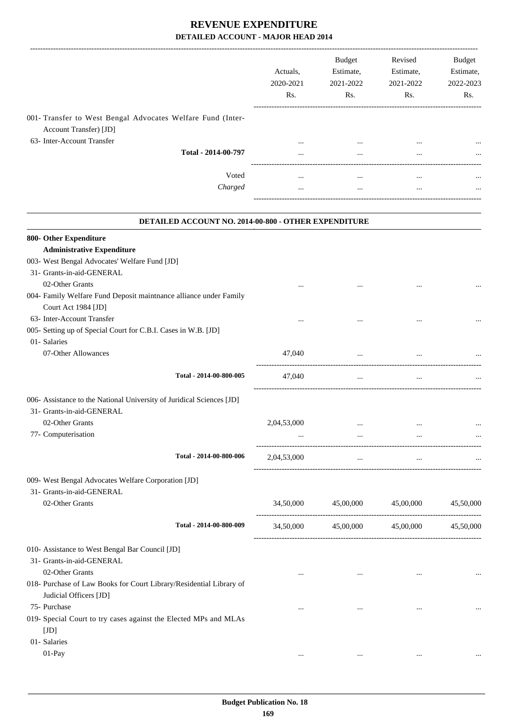|                                                                                                                     | Actuals,<br>2020-2021<br>Rs. | Budget<br>Estimate,<br>2021-2022<br>Rs. | Revised<br>Estimate,<br>2021-2022<br>Rs. | Budget<br>Estimate,<br>2022-2023<br>Rs. |
|---------------------------------------------------------------------------------------------------------------------|------------------------------|-----------------------------------------|------------------------------------------|-----------------------------------------|
| 001- Transfer to West Bengal Advocates Welfare Fund (Inter-<br>Account Transfer) [JD]<br>63- Inter-Account Transfer |                              |                                         |                                          |                                         |
| Total - 2014-00-797                                                                                                 | $\cdots$<br>$\cdots$         | $\cdots$<br>$\cdots$                    |                                          |                                         |
| Voted                                                                                                               |                              |                                         |                                          |                                         |
| Charged                                                                                                             | $\ddots$                     | $\ddots$                                | $\cdots$                                 |                                         |
| DETAILED ACCOUNT NO. 2014-00-800 - OTHER EXPENDITURE                                                                |                              |                                         |                                          |                                         |
| 800- Other Expenditure                                                                                              |                              |                                         |                                          |                                         |
| <b>Administrative Expenditure</b><br>003- West Bengal Advocates' Welfare Fund [JD]                                  |                              |                                         |                                          |                                         |
| 31- Grants-in-aid-GENERAL                                                                                           |                              |                                         |                                          |                                         |
| 02-Other Grants                                                                                                     |                              |                                         |                                          |                                         |
| 004- Family Welfare Fund Deposit maintnance alliance under Family                                                   |                              |                                         |                                          |                                         |
| Court Act 1984 [JD]                                                                                                 |                              |                                         |                                          |                                         |
| 63- Inter-Account Transfer                                                                                          |                              |                                         |                                          |                                         |
| 005- Setting up of Special Court for C.B.I. Cases in W.B. [JD]                                                      |                              |                                         |                                          |                                         |
| 01- Salaries<br>07-Other Allowances                                                                                 | 47,040                       | $\ddotsc$                               |                                          |                                         |
| Total - 2014-00-800-005                                                                                             | 47,040                       |                                         |                                          |                                         |
|                                                                                                                     |                              | $\cdots$                                | $\cdots$                                 |                                         |
| 006- Assistance to the National University of Juridical Sciences [JD]                                               |                              |                                         |                                          |                                         |
| 31- Grants-in-aid-GENERAL                                                                                           |                              |                                         |                                          |                                         |
| 02-Other Grants                                                                                                     | 2,04,53,000                  |                                         | $\ddotsc$                                |                                         |
| 77- Computerisation                                                                                                 |                              | $\cdots$                                |                                          |                                         |
| Total - 2014-00-800-006                                                                                             | 2,04,53,000                  | $\cdots$                                | $\cdots$                                 |                                         |
| 009- West Bengal Advocates Welfare Corporation [JD]                                                                 |                              |                                         |                                          |                                         |
| 31- Grants-in-aid-GENERAL                                                                                           |                              |                                         |                                          |                                         |
| 02-Other Grants                                                                                                     |                              | 34,50,000 45,00,000 45,00,000 45,50,000 |                                          |                                         |
| Total - 2014-00-800-009                                                                                             |                              | 34,50,000 45,00,000 45,00,000 45,50,000 |                                          |                                         |
| 010- Assistance to West Bengal Bar Council [JD]                                                                     |                              |                                         |                                          |                                         |
| 31- Grants-in-aid-GENERAL                                                                                           |                              |                                         |                                          |                                         |
| 02-Other Grants                                                                                                     | $\cdots$                     | $\cdots$                                | $\cdots$                                 |                                         |
| 018- Purchase of Law Books for Court Library/Residential Library of                                                 |                              |                                         |                                          |                                         |
| Judicial Officers [JD]                                                                                              |                              |                                         |                                          |                                         |
| 75- Purchase                                                                                                        | $\cdots$                     | $\cdots$                                | $\cdots$                                 | $\cdots$                                |
| 019- Special Court to try cases against the Elected MPs and MLAs<br>[JD]                                            |                              |                                         |                                          |                                         |
| 01- Salaries                                                                                                        |                              |                                         |                                          |                                         |
| 01-Pay                                                                                                              | $\cdots$                     | $\cdots$                                | $\cdots$                                 |                                         |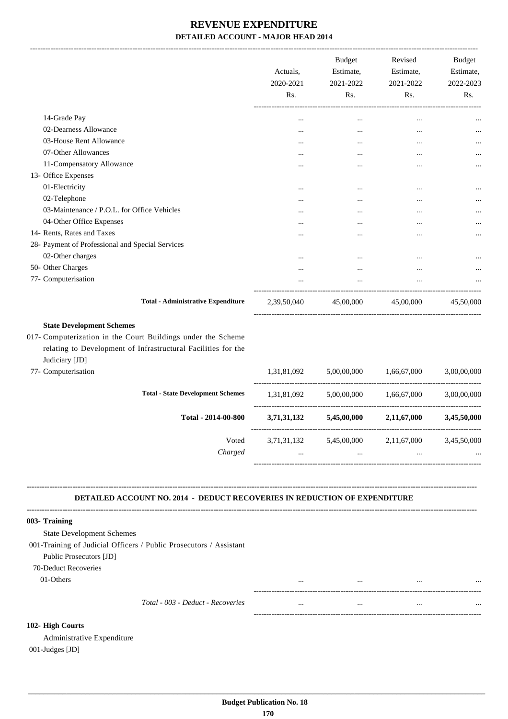|                                                  | Actuals,<br>2020-2021<br>R <sub>s</sub> . | <b>Budget</b><br>Estimate,<br>2021-2022<br>Rs. | Revised<br>Estimate,<br>2021-2022<br>Rs. | <b>Budget</b><br>Estimate,<br>2022-2023<br>Rs. |
|--------------------------------------------------|-------------------------------------------|------------------------------------------------|------------------------------------------|------------------------------------------------|
| 14-Grade Pay                                     | $\cdots$                                  | $\cdots$                                       | $\cdots$                                 |                                                |
| 02-Dearness Allowance                            | $\cdots$                                  | $\cdots$                                       | $\cdots$                                 |                                                |
| 03-House Rent Allowance                          | $\cdots$                                  | $\cdots$                                       | $\cdots$                                 | $\cdots$                                       |
| 07-Other Allowances                              | $\cdots$                                  | $\cdots$                                       | $\cdots$                                 |                                                |
| 11-Compensatory Allowance                        | $\cdots$                                  | $\cdots$                                       | $\cdots$                                 | $\cdots$                                       |
| 13- Office Expenses                              |                                           |                                                |                                          |                                                |
| 01-Electricity                                   | $\cdots$                                  | $\cdots$                                       | $\cdots$                                 |                                                |
| 02-Telephone                                     | $\cdots$                                  | $\cdots$                                       | $\cdots$                                 |                                                |
| 03-Maintenance / P.O.L. for Office Vehicles      | $\cdots$                                  | $\cdots$                                       | $\cdots$                                 |                                                |
| 04-Other Office Expenses                         | $\cdots$                                  | $\cdots$                                       | $\cdots$                                 | $\cdots$                                       |
| 14- Rents, Rates and Taxes                       | $\ddotsc$                                 | $\cdots$                                       | $\cdots$                                 |                                                |
| 28- Payment of Professional and Special Services |                                           |                                                |                                          |                                                |
| 02-Other charges                                 | $\cdots$                                  |                                                | $\cdots$                                 | $\cdots$                                       |
| 50- Other Charges                                | $\cdots$                                  | $\cdots$                                       | $\cdots$                                 |                                                |
| 77- Computerisation                              |                                           |                                                |                                          |                                                |
| <b>Total - Administrative Expenditure</b>        | 2,39,50,040                               | 45,00,000                                      | 45,00,000                                | 45,50,000                                      |

#### **State Development Schemes**

017- Computerization in the Court Buildings under the Scheme relating to Development of Infrastructural Facilities for the Judiciary [JD]

|                     | Charged                                  | $\cdots$    | $\cdots$    |             | $\cdots$    |
|---------------------|------------------------------------------|-------------|-------------|-------------|-------------|
|                     | Voted                                    | 3,71,31,132 | 5,45,00,000 | 2,11,67,000 | 3,45,50,000 |
|                     | Total - 2014-00-800                      | 3,71,31,132 | 5,45,00,000 | 2,11,67,000 | 3,45,50,000 |
|                     | <b>Total - State Development Schemes</b> | 1,31,81,092 | 5,00,00,000 | 1,66,67,000 | 3,00,00,000 |
| 77- Computerisation |                                          | 1,31,81,092 | 5,00,00,000 | 1.66.67.000 | 3,00,00,000 |

#### **DETAILED ACCOUNT NO. 2014 - DEDUCT RECOVERIES IN REDUCTION OF EXPENDITURE**

**--------------------------------------------------------------------------------------------------------------------------------------------------------------------------------**

| 003- Training                    |                                                                    |          |          |          |          |
|----------------------------------|--------------------------------------------------------------------|----------|----------|----------|----------|
| <b>State Development Schemes</b> |                                                                    |          |          |          |          |
|                                  | 001-Training of Judicial Officers / Public Prosecutors / Assistant |          |          |          |          |
| Public Prosecutors [JD]          |                                                                    |          |          |          |          |
| 70-Deduct Recoveries             |                                                                    |          |          |          |          |
| 01-Others                        |                                                                    | $\cdots$ | $\cdots$ |          | $\cdots$ |
|                                  |                                                                    |          |          |          |          |
|                                  | Total - 003 - Deduct - Recoveries                                  | $\cdots$ | $\cdots$ | $\cdots$ | $\cdots$ |
|                                  |                                                                    |          |          |          |          |
| 102- High Courts                 |                                                                    |          |          |          |          |

Administrative Expenditure 001-Judges [JD]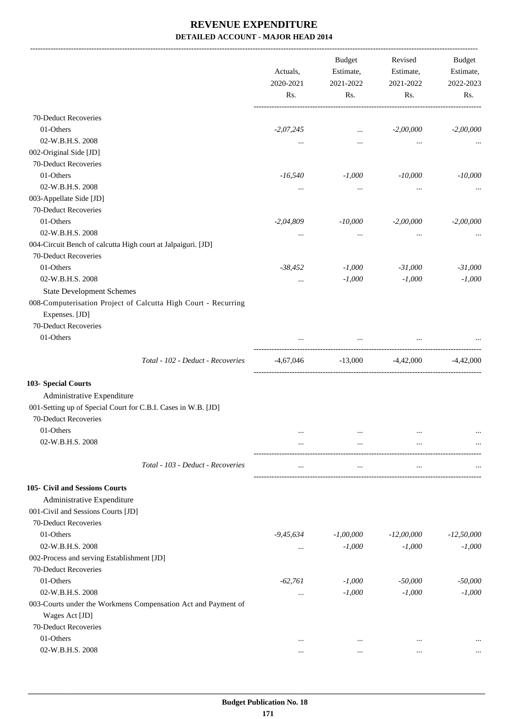|                                                                                                                                                                             | Actuals,<br>2020-2021<br>Rs. | Budget<br>Estimate,<br>2021-2022<br>Rs. | Revised<br>Estimate,<br>2021-2022<br>Rs. | Budget<br>Estimate,<br>2022-2023<br>Rs. |
|-----------------------------------------------------------------------------------------------------------------------------------------------------------------------------|------------------------------|-----------------------------------------|------------------------------------------|-----------------------------------------|
| 70-Deduct Recoveries                                                                                                                                                        |                              |                                         |                                          |                                         |
| 01-Others                                                                                                                                                                   | $-2,07,245$                  | $\cdots$                                | $-2,00,000$                              | $-2,00,000$                             |
| 02-W.B.H.S. 2008                                                                                                                                                            | $\cdots$                     | $\cdots$                                | $\cdots$                                 |                                         |
| 002-Original Side [JD]                                                                                                                                                      |                              |                                         |                                          |                                         |
| 70-Deduct Recoveries                                                                                                                                                        |                              |                                         |                                          |                                         |
| 01-Others                                                                                                                                                                   | $-16,540$                    | $-1,000$                                | $-10,000$                                | $-10,000$                               |
| 02-W.B.H.S. 2008                                                                                                                                                            | $\cdots$                     | $\cdots$                                | $\cdots$                                 |                                         |
| 003-Appellate Side [JD]                                                                                                                                                     |                              |                                         |                                          |                                         |
| 70-Deduct Recoveries                                                                                                                                                        |                              |                                         |                                          |                                         |
| 01-Others                                                                                                                                                                   | $-2,04,809$                  | $-10,000$                               | $-2,00,000$                              | $-2,00,000$                             |
| 02-W.B.H.S. 2008                                                                                                                                                            | $\cdots$                     | $\cdots$                                | $\cdots$                                 |                                         |
| 004-Circuit Bench of calcutta High court at Jalpaiguri. [JD]                                                                                                                |                              |                                         |                                          |                                         |
| 70-Deduct Recoveries                                                                                                                                                        |                              |                                         |                                          |                                         |
| 01-Others                                                                                                                                                                   | $-38,452$                    | $-1,000$                                | $-31,000$                                | $-31,000$                               |
| 02-W.B.H.S. 2008                                                                                                                                                            | $\ldots$                     | $-1,000$                                | $-1,000$                                 | $-1,000$                                |
| <b>State Development Schemes</b>                                                                                                                                            |                              |                                         |                                          |                                         |
| 008-Computerisation Project of Calcutta High Court - Recurring<br>Expenses. [JD]<br>70-Deduct Recoveries<br>01-Others                                                       |                              |                                         |                                          |                                         |
|                                                                                                                                                                             |                              | ----------------------                  |                                          |                                         |
| Total - 102 - Deduct - Recoveries                                                                                                                                           | -4,67,046                    | $-13,000$ $-4,42,000$ $-4,42,000$       |                                          |                                         |
| 103- Special Courts<br>Administrative Expenditure<br>001-Setting up of Special Court for C.B.I. Cases in W.B. [JD]<br>70-Deduct Recoveries<br>01-Others<br>02-W.B.H.S. 2008 | $\ldots$<br>                 | $\cdots$<br>                            | $\cdots$<br>$\cdots$                     | $\cdots$                                |
| Total - 103 - Deduct - Recoveries                                                                                                                                           | $\cdots$                     | $\cdots$                                | $\cdots$                                 |                                         |
| 105- Civil and Sessions Courts<br>Administrative Expenditure<br>001-Civil and Sessions Courts [JD]<br>70-Deduct Recoveries                                                  |                              |                                         |                                          |                                         |
| 01-Others                                                                                                                                                                   | $-9,45,634$                  | $-1,00,000$                             | $-12,00,000$                             | $-12,50,000$                            |
| 02-W.B.H.S. 2008                                                                                                                                                            | $\cdots$                     | $-1,000$                                | $-1,000$                                 | $-1,000$                                |
| 002-Process and serving Establishment [JD]                                                                                                                                  |                              |                                         |                                          |                                         |
| 70-Deduct Recoveries                                                                                                                                                        |                              |                                         |                                          |                                         |
| 01-Others                                                                                                                                                                   | $-62,761$                    | $-1,000$                                | $-50,000$                                | $-50,000$                               |
| 02-W.B.H.S. 2008                                                                                                                                                            | $\cdots$                     | $-1,000$                                | $-1,000$                                 | $-1,000$                                |
| 003-Courts under the Workmens Compensation Act and Payment of<br>Wages Act [JD]<br>70-Deduct Recoveries                                                                     |                              |                                         |                                          |                                         |
| 01-Others                                                                                                                                                                   | $\ddotsc$                    | $\ddotsc$                               | $\ddotsc$                                |                                         |
| 02-W.B.H.S. 2008                                                                                                                                                            | $\cdots$                     | $\ddotsc$                               | $\cdots$                                 |                                         |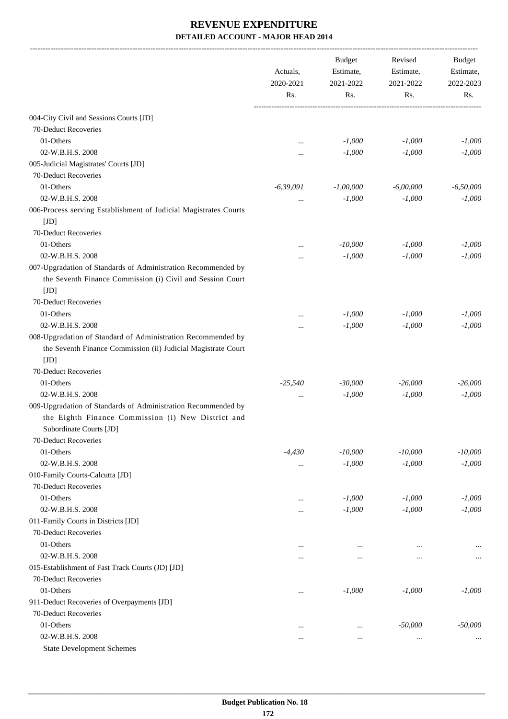|                                                                                                                                                               | Actuals,         | <b>Budget</b><br>Estimate, | Revised<br>Estimate, | Budget<br>Estimate, |
|---------------------------------------------------------------------------------------------------------------------------------------------------------------|------------------|----------------------------|----------------------|---------------------|
|                                                                                                                                                               | 2020-2021<br>Rs. | 2021-2022<br>Rs.           | 2021-2022<br>Rs.     | 2022-2023<br>Rs.    |
|                                                                                                                                                               |                  |                            |                      |                     |
| 004-City Civil and Sessions Courts [JD]                                                                                                                       |                  |                            |                      |                     |
| 70-Deduct Recoveries                                                                                                                                          |                  |                            |                      |                     |
| 01-Others                                                                                                                                                     |                  | $-1,000$                   | $-1,000$             | $-1,000$            |
| 02-W.B.H.S. 2008                                                                                                                                              |                  | $-1,000$                   | $-1,000$             | $-1,000$            |
| 005-Judicial Magistrates' Courts [JD]                                                                                                                         |                  |                            |                      |                     |
| 70-Deduct Recoveries                                                                                                                                          |                  |                            |                      |                     |
| 01-Others                                                                                                                                                     | $-6,39,091$      | $-1,00,000$                | $-6,00,000$          | $-6,50,000$         |
| 02-W.B.H.S. 2008                                                                                                                                              |                  | $-1,000$                   | $-1,000$             | $-1,000$            |
| 006-Process serving Establishment of Judicial Magistrates Courts<br>[JD]                                                                                      |                  |                            |                      |                     |
| 70-Deduct Recoveries                                                                                                                                          |                  |                            |                      |                     |
| 01-Others                                                                                                                                                     |                  | $-10,000$                  | $-1,000$             | $-1,000$            |
| 02-W.B.H.S. 2008                                                                                                                                              |                  | $-1,000$                   | $-1,000$             | $-1,000$            |
| 007-Upgradation of Standards of Administration Recommended by<br>the Seventh Finance Commission (i) Civil and Session Court<br>[JD]                           |                  |                            |                      |                     |
| 70-Deduct Recoveries                                                                                                                                          |                  |                            |                      |                     |
| 01-Others                                                                                                                                                     |                  | $-1,000$                   | $-1,000$             | $-1,000$            |
| 02-W.B.H.S. 2008                                                                                                                                              |                  | $-1,000$                   | $-1,000$             | $-1,000$            |
| 008-Upgradation of Standard of Administration Recommended by<br>the Seventh Finance Commission (ii) Judicial Magistrate Court<br>[JD]<br>70-Deduct Recoveries |                  |                            |                      |                     |
| 01-Others                                                                                                                                                     | $-25,540$        | $-30,000$                  | $-26,000$            | $-26,000$           |
| 02-W.B.H.S. 2008                                                                                                                                              |                  | $-1,000$                   | $-1,000$             | $-1,000$            |
| 009-Upgradation of Standards of Administration Recommended by                                                                                                 |                  |                            |                      |                     |
| the Eighth Finance Commission (i) New District and<br>Subordinate Courts [JD]                                                                                 |                  |                            |                      |                     |
| 70-Deduct Recoveries                                                                                                                                          |                  |                            |                      |                     |
| 01-Others                                                                                                                                                     | $-4,430$         | $-10,000$                  | $-10,000$            | $-10,000$           |
| 02-W.B.H.S. 2008                                                                                                                                              | $\cdots$         | $-1,000$                   | $-1,000$             | $-1,000$            |
| 010-Family Courts-Calcutta [JD]                                                                                                                               |                  |                            |                      |                     |
| 70-Deduct Recoveries                                                                                                                                          |                  |                            |                      |                     |
| 01-Others                                                                                                                                                     | $\ddotsc$        | $-1,000$                   | $-1,000$             | $-1,000$            |
| 02-W.B.H.S. 2008                                                                                                                                              |                  | $-1,000$                   | $-1,000$             | $-1,000$            |
| 011-Family Courts in Districts [JD]                                                                                                                           |                  |                            |                      |                     |
| 70-Deduct Recoveries                                                                                                                                          |                  |                            |                      |                     |
| 01-Others                                                                                                                                                     | $\cdots$         | $\ddotsc$                  |                      |                     |
| 02-W.B.H.S. 2008                                                                                                                                              | $\cdots$         | $\cdots$                   |                      | $\cdots$            |
| 015-Establishment of Fast Track Courts (JD) [JD]                                                                                                              |                  |                            |                      |                     |
| 70-Deduct Recoveries                                                                                                                                          |                  |                            |                      |                     |
| 01-Others                                                                                                                                                     | $\ddotsc$        | $-1,000$                   | $-1,000$             | $-1,000$            |
| 911-Deduct Recoveries of Overpayments [JD]                                                                                                                    |                  |                            |                      |                     |
| 70-Deduct Recoveries                                                                                                                                          |                  |                            |                      |                     |
| 01-Others                                                                                                                                                     | $\cdots$         | $\ddotsc$                  | $-50,000$            | $-50,000$           |
| 02-W.B.H.S. 2008                                                                                                                                              | $\cdots$         | $\ddotsc$                  | $\cdots$             |                     |
| <b>State Development Schemes</b>                                                                                                                              |                  |                            |                      |                     |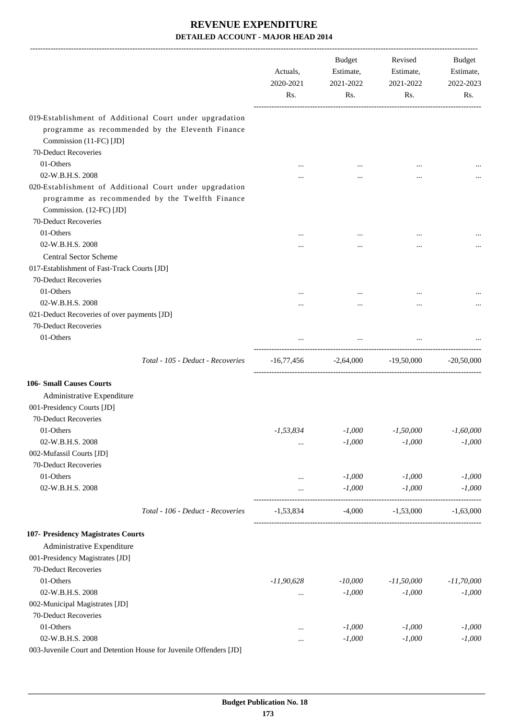|                                                                                                                                        | Actuals,<br>2020-2021<br>Rs. | Budget<br>Estimate,<br>2021-2022<br>Rs. | Revised<br>Estimate,<br>2021-2022<br>Rs. | Budget<br>Estimate,<br>2022-2023<br>Rs. |
|----------------------------------------------------------------------------------------------------------------------------------------|------------------------------|-----------------------------------------|------------------------------------------|-----------------------------------------|
|                                                                                                                                        |                              |                                         |                                          |                                         |
| 019-Establishment of Additional Court under upgradation<br>programme as recommended by the Eleventh Finance<br>Commission (11-FC) [JD] |                              |                                         |                                          |                                         |
| 70-Deduct Recoveries                                                                                                                   |                              |                                         |                                          |                                         |
| 01-Others                                                                                                                              |                              |                                         |                                          |                                         |
| 02-W.B.H.S. 2008                                                                                                                       |                              |                                         | $\ddotsc$                                |                                         |
| 020-Establishment of Additional Court under upgradation<br>programme as recommended by the Twelfth Finance<br>Commission. (12-FC) [JD] |                              |                                         |                                          |                                         |
| 70-Deduct Recoveries                                                                                                                   |                              |                                         |                                          |                                         |
| 01-Others                                                                                                                              |                              |                                         |                                          |                                         |
| 02-W.B.H.S. 2008                                                                                                                       |                              |                                         |                                          |                                         |
| <b>Central Sector Scheme</b>                                                                                                           |                              |                                         |                                          |                                         |
| 017-Establishment of Fast-Track Courts [JD]                                                                                            |                              |                                         |                                          |                                         |
| 70-Deduct Recoveries                                                                                                                   |                              |                                         |                                          |                                         |
| 01-Others                                                                                                                              |                              |                                         |                                          |                                         |
| 02-W.B.H.S. 2008                                                                                                                       |                              |                                         |                                          |                                         |
| 021-Deduct Recoveries of over payments [JD]                                                                                            |                              |                                         |                                          |                                         |
| 70-Deduct Recoveries                                                                                                                   |                              |                                         |                                          |                                         |
| 01-Others                                                                                                                              |                              | $\cdots$                                | $\cdots$                                 |                                         |
| Total - 105 - Deduct - Recoveries                                                                                                      |                              | $-16,77,456$ $-2,64,000$ $-19,50,000$   |                                          | $-20,50,000$                            |
| <b>106- Small Causes Courts</b>                                                                                                        |                              |                                         |                                          |                                         |
| Administrative Expenditure                                                                                                             |                              |                                         |                                          |                                         |
| 001-Presidency Courts [JD]                                                                                                             |                              |                                         |                                          |                                         |
| 70-Deduct Recoveries                                                                                                                   |                              |                                         |                                          |                                         |
| 01-Others                                                                                                                              | $-1, 53, 834$                | $-1,000$                                | $-1,50,000$                              | $-1,60,000$                             |
| 02-W.B.H.S. 2008                                                                                                                       | $\cdots$                     | $-1,000$                                | $-1,000$                                 | $-1,000$                                |
| 002-Mufassil Courts [JD]                                                                                                               |                              |                                         |                                          |                                         |
| 70-Deduct Recoveries                                                                                                                   |                              |                                         |                                          |                                         |
| 01-Others                                                                                                                              |                              | $-1,000$                                | $-1,000$                                 | $-1,000$                                |
| 02-W.B.H.S. 2008                                                                                                                       |                              | $-1,000$                                | $-1,000$                                 | $-1,000$                                |
| Total - 106 - Deduct - Recoveries                                                                                                      | $-1,53,834$                  | $-4,000$                                | $-1,53,000$                              | $-1,63,000$                             |
| 107- Presidency Magistrates Courts                                                                                                     |                              |                                         |                                          |                                         |
| Administrative Expenditure                                                                                                             |                              |                                         |                                          |                                         |
| 001-Presidency Magistrates [JD]<br>70-Deduct Recoveries                                                                                |                              |                                         |                                          |                                         |
| 01-Others                                                                                                                              | $-11,90,628$                 | $-10,000$                               | $-11,50,000$                             | $-11,70,000$                            |
| 02-W.B.H.S. 2008                                                                                                                       |                              | $-1,000$                                | $-1,000$                                 | $-1,000$                                |
| 002-Municipal Magistrates [JD]                                                                                                         |                              |                                         |                                          |                                         |
| 70-Deduct Recoveries                                                                                                                   |                              |                                         |                                          |                                         |
| 01-Others                                                                                                                              |                              | $-1,000$                                | $-1,000$                                 | $-1,000$                                |
| 02-W.B.H.S. 2008                                                                                                                       | $\cdots$                     | $-1,000$                                | $-1,000$                                 | $-1,000$                                |
| 003-Juvenile Court and Detention House for Juvenile Offenders [JD]                                                                     |                              |                                         |                                          |                                         |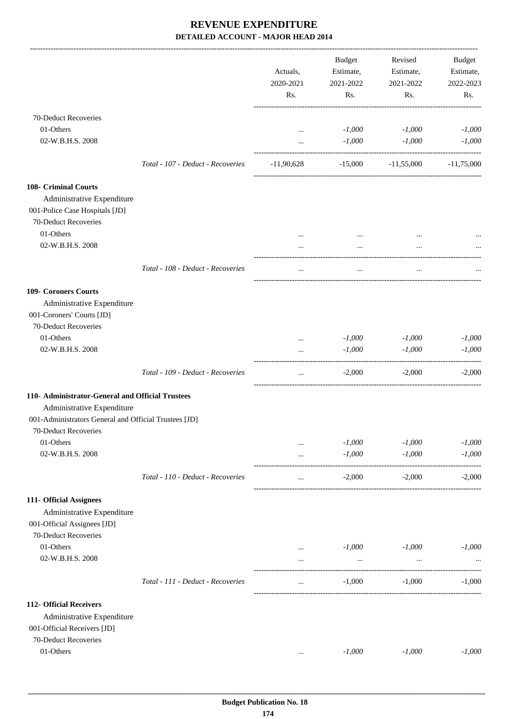|                                                                                                                                                                 |                                   | Actuals,<br>2020-2021<br>Rs. | Budget<br>Estimate,<br>2021-2022<br>Rs. | Revised<br>Estimate,<br>2021-2022<br>Rs. | Budget<br>Estimate,<br>2022-2023<br>Rs. |
|-----------------------------------------------------------------------------------------------------------------------------------------------------------------|-----------------------------------|------------------------------|-----------------------------------------|------------------------------------------|-----------------------------------------|
| 70-Deduct Recoveries<br>01-Others<br>02-W.B.H.S. 2008                                                                                                           |                                   | $\cdots$<br>$\cdots$         | $-1,000$<br>$-1,000$                    | $-1,000$<br>$-1,000$                     | $-1,000$<br>$-1,000$                    |
|                                                                                                                                                                 | Total - 107 - Deduct - Recoveries | $-11,90,628$                 |                                         | $-15,000$ $-11,55,000$                   | $-11,75,000$                            |
| 108- Criminal Courts<br>Administrative Expenditure<br>001-Police Case Hospitals [JD]<br>70-Deduct Recoveries<br>01-Others                                       |                                   |                              |                                         |                                          |                                         |
| 02-W.B.H.S. 2008                                                                                                                                                |                                   | $\cdots$                     | $\cdots$<br>$\cdots$                    | $\cdots$                                 |                                         |
|                                                                                                                                                                 | Total - 108 - Deduct - Recoveries | $\cdots$                     | $\ldots$                                | $\ldots$                                 |                                         |
| 109- Coroners Courts<br>Administrative Expenditure<br>001-Coroners' Courts [JD]<br>70-Deduct Recoveries                                                         |                                   |                              |                                         |                                          |                                         |
| 01-Others                                                                                                                                                       |                                   | $\cdots$                     | $-1,000$                                | $-1,000$                                 | $-1,000$                                |
| 02-W.B.H.S. 2008                                                                                                                                                |                                   |                              | $-1,000$                                | $-1,000$                                 | $-1,000$                                |
|                                                                                                                                                                 | Total - 109 - Deduct - Recoveries | $\cdots$                     | $-2,000$                                | $-2,000$                                 | $-2,000$                                |
| 110- Administrator-General and Official Trustees<br>Administrative Expenditure<br>001-Administrators General and Official Trustees [JD]<br>70-Deduct Recoveries |                                   |                              |                                         |                                          |                                         |
| 01-Others                                                                                                                                                       |                                   | $\cdots$                     | $-1,000$                                | $-1,000$                                 | $-1,000$                                |
| 02-W.B.H.S. 2008                                                                                                                                                |                                   | $\cdots$                     | $-1,000$                                | $-1,000$                                 | $-1,000$                                |
|                                                                                                                                                                 | Total - 110 - Deduct - Recoveries | $\ddotsc$                    | $-2,000$                                | $-2,000$                                 | $-2,000$                                |
| 111- Official Assignees<br>Administrative Expenditure<br>001-Official Assignees [JD]<br>70-Deduct Recoveries                                                    |                                   |                              |                                         |                                          |                                         |
| 01-Others                                                                                                                                                       |                                   | $\cdots$                     | $-1,000$                                | $-1,000$                                 | $-1,000$                                |
| 02-W.B.H.S. 2008                                                                                                                                                |                                   |                              | $\cdots$                                |                                          |                                         |
|                                                                                                                                                                 | Total - 111 - Deduct - Recoveries | $\cdots$                     | $-1,000$                                | $-1,000$                                 | $-1,000$                                |
| 112- Official Receivers<br>Administrative Expenditure<br>001-Official Receivers [JD]<br>70-Deduct Recoveries                                                    |                                   |                              |                                         |                                          |                                         |
| 01-Others                                                                                                                                                       |                                   | $\cdots$                     | $-1,000$                                | $-1,000$                                 | $-1,000$                                |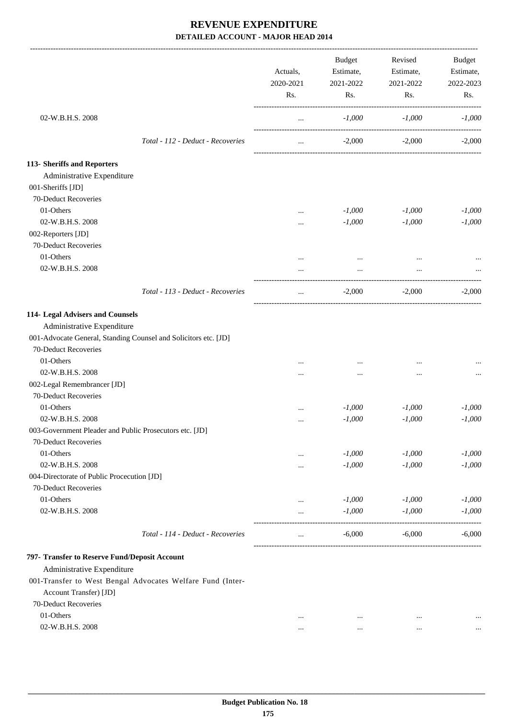|                                                                 |                                   | Actuals,<br>2020-2021<br>Rs. | <b>Budget</b><br>Estimate,<br>2021-2022<br>Rs. | Revised<br>Estimate,<br>2021-2022<br>Rs. | Budget<br>Estimate,<br>2022-2023<br>Rs. |
|-----------------------------------------------------------------|-----------------------------------|------------------------------|------------------------------------------------|------------------------------------------|-----------------------------------------|
| 02-W.B.H.S. 2008                                                |                                   | $\cdots$                     | $-1,000$                                       | $-1,000$                                 | $-1,000$                                |
|                                                                 | Total - 112 - Deduct - Recoveries | $\cdots$                     | $-2,000$                                       | $-2,000$                                 | $-2,000$                                |
| 113- Sheriffs and Reporters                                     |                                   |                              |                                                |                                          |                                         |
| Administrative Expenditure<br>001-Sheriffs [JD]                 |                                   |                              |                                                |                                          |                                         |
| 70-Deduct Recoveries                                            |                                   |                              |                                                |                                          |                                         |
| 01-Others                                                       |                                   | $\cdots$                     | $-1,000$                                       | $-1,000$                                 | $-1,000$                                |
| 02-W.B.H.S. 2008                                                |                                   | $\cdots$                     | $-1,000$                                       | $-1,000$                                 | $-1,000$                                |
| 002-Reporters [JD]                                              |                                   |                              |                                                |                                          |                                         |
| 70-Deduct Recoveries                                            |                                   |                              |                                                |                                          |                                         |
| 01-Others                                                       |                                   | $\cdots$                     |                                                |                                          |                                         |
| 02-W.B.H.S. 2008                                                |                                   | $\cdots$                     | $\ddots$                                       | $\cdots$                                 |                                         |
|                                                                 | Total - 113 - Deduct - Recoveries | $\cdots$                     | $-2,000$                                       | $-2,000$                                 | $-2.000$                                |
| 114- Legal Advisers and Counsels                                |                                   |                              |                                                |                                          |                                         |
| Administrative Expenditure                                      |                                   |                              |                                                |                                          |                                         |
| 001-Advocate General, Standing Counsel and Solicitors etc. [JD] |                                   |                              |                                                |                                          |                                         |
| 70-Deduct Recoveries                                            |                                   |                              |                                                |                                          |                                         |
| 01-Others                                                       |                                   |                              |                                                |                                          |                                         |
| 02-W.B.H.S. 2008                                                |                                   |                              |                                                |                                          |                                         |
| 002-Legal Remembrancer [JD]                                     |                                   |                              |                                                |                                          |                                         |
| 70-Deduct Recoveries                                            |                                   |                              |                                                |                                          |                                         |
| 01-Others                                                       |                                   |                              | $-1,000$                                       | $-1,000$                                 | $-1,000$                                |
| 02-W.B.H.S. 2008                                                |                                   |                              | $-1,000$                                       | $-1,000$                                 | $-1,000$                                |
| 003-Government Pleader and Public Prosecutors etc. [JD]         |                                   |                              |                                                |                                          |                                         |
| 70-Deduct Recoveries                                            |                                   |                              |                                                |                                          |                                         |
| 01-Others                                                       |                                   | $\cdots$                     | $-1,000$                                       | $-1,000$                                 | $-1,000$                                |
| 02-W.B.H.S. 2008                                                |                                   |                              | $-1,000$                                       | $-1,000$                                 | $-1,000$                                |
| 004-Directorate of Public Procecution [JD]                      |                                   |                              |                                                |                                          |                                         |
| 70-Deduct Recoveries                                            |                                   |                              |                                                |                                          |                                         |
| 01-Others                                                       |                                   | $\cdots$                     | $-1,000$                                       | $-1,000$                                 | $-1,000$                                |
| 02-W.B.H.S. 2008                                                |                                   |                              | $-1,000$                                       | $-1,000$                                 | $-1,000$                                |
|                                                                 | Total - 114 - Deduct - Recoveries | $\cdots$                     | $-6,000$                                       | $-6,000$                                 | $-6,000$                                |
| 797- Transfer to Reserve Fund/Deposit Account                   |                                   |                              |                                                |                                          |                                         |
| Administrative Expenditure                                      |                                   |                              |                                                |                                          |                                         |
| 001-Transfer to West Bengal Advocates Welfare Fund (Inter-      |                                   |                              |                                                |                                          |                                         |
| Account Transfer) [JD]                                          |                                   |                              |                                                |                                          |                                         |
| 70-Deduct Recoveries                                            |                                   |                              |                                                |                                          |                                         |
| 01-Others                                                       |                                   | $\ddotsc$                    | $\cdots$                                       | $\ddotsc$                                |                                         |
|                                                                 |                                   |                              |                                                |                                          |                                         |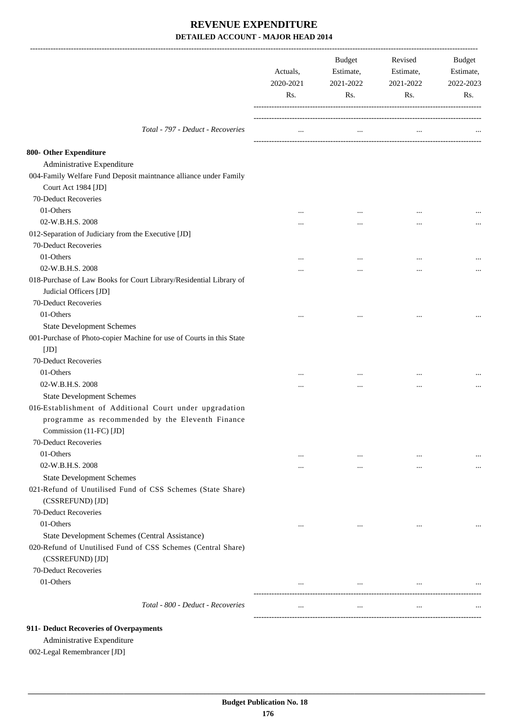|                                                                                  | Actuals,<br>2020-2021<br>Rs. | Estimate,<br>2021-2022<br>Rs. | Estimate,<br>2021-2022<br>Rs. | Budget<br>Estimate,<br>2022-2023<br>Rs. |
|----------------------------------------------------------------------------------|------------------------------|-------------------------------|-------------------------------|-----------------------------------------|
| Total - 797 - Deduct - Recoveries                                                | $\cdots$                     | $\cdots$                      | $\cdots$                      |                                         |
| 800- Other Expenditure                                                           |                              |                               |                               |                                         |
| Administrative Expenditure                                                       |                              |                               |                               |                                         |
| 004-Family Welfare Fund Deposit maintnance alliance under Family                 |                              |                               |                               |                                         |
| Court Act 1984 [JD]                                                              |                              |                               |                               |                                         |
| 70-Deduct Recoveries                                                             |                              |                               |                               |                                         |
| 01-Others                                                                        | $\cdots$                     | $\cdots$                      |                               |                                         |
| 02-W.B.H.S. 2008                                                                 |                              |                               |                               |                                         |
| 012-Separation of Judiciary from the Executive [JD]                              |                              |                               |                               |                                         |
| 70-Deduct Recoveries                                                             |                              |                               |                               |                                         |
| 01-Others                                                                        | $\cdots$                     |                               |                               |                                         |
| 02-W.B.H.S. 2008                                                                 |                              |                               |                               |                                         |
| 018-Purchase of Law Books for Court Library/Residential Library of               |                              |                               |                               |                                         |
| Judicial Officers [JD]                                                           |                              |                               |                               |                                         |
| 70-Deduct Recoveries                                                             |                              |                               |                               |                                         |
| 01-Others                                                                        |                              | $\ddotsc$                     |                               |                                         |
| <b>State Development Schemes</b>                                                 |                              |                               |                               |                                         |
| 001-Purchase of Photo-copier Machine for use of Courts in this State             |                              |                               |                               |                                         |
| [JD]                                                                             |                              |                               |                               |                                         |
| 70-Deduct Recoveries                                                             |                              |                               |                               |                                         |
| 01-Others                                                                        |                              |                               |                               |                                         |
| 02-W.B.H.S. 2008                                                                 |                              | $\ddotsc$                     |                               |                                         |
| <b>State Development Schemes</b>                                                 |                              |                               | $\cdots$                      |                                         |
| 016-Establishment of Additional Court under upgradation                          |                              |                               |                               |                                         |
| programme as recommended by the Eleventh Finance                                 |                              |                               |                               |                                         |
| Commission (11-FC) [JD]                                                          |                              |                               |                               |                                         |
| 70-Deduct Recoveries                                                             |                              |                               |                               |                                         |
| 01-Others                                                                        | $\cdots$                     | $\cdots$                      | $\cdots$                      | $\cdots$                                |
| 02-W.B.H.S. 2008                                                                 | $\cdots$                     | $\cdots$                      | $\cdots$                      | $\cdots$                                |
| <b>State Development Schemes</b>                                                 |                              |                               |                               |                                         |
| 021-Refund of Unutilised Fund of CSS Schemes (State Share)<br>(CSSREFUND) [JD]   |                              |                               |                               |                                         |
| 70-Deduct Recoveries                                                             |                              |                               |                               |                                         |
| 01-Others                                                                        | $\cdots$                     | $\ldots$                      | $\cdots$                      |                                         |
| State Development Schemes (Central Assistance)                                   |                              |                               |                               |                                         |
| 020-Refund of Unutilised Fund of CSS Schemes (Central Share)<br>(CSSREFUND) [JD] |                              |                               |                               |                                         |
| 70-Deduct Recoveries                                                             |                              |                               |                               |                                         |
| 01-Others                                                                        | $\cdots$                     | $\cdots$                      | $\ddotsc$                     |                                         |
|                                                                                  |                              |                               |                               |                                         |
| Total - 800 - Deduct - Recoveries                                                | $\cdots$                     | $\cdots$                      | $\cdots$                      |                                         |

#### **911- Deduct Recoveries of Overpayments**

Administrative Expenditure

002-Legal Remembrancer [JD]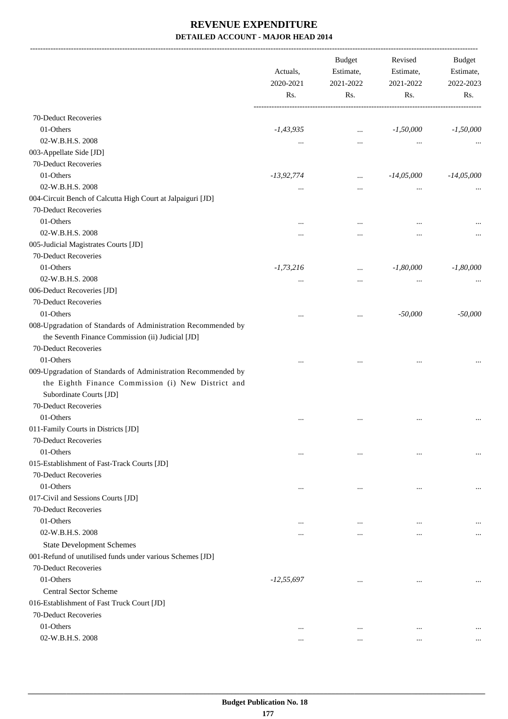-------------------------------------------------------------------------------------------------------------------------------------------------------------------------------

|                                                                                                                    | Actuals,<br>2020-2021<br>Rs. | <b>Budget</b><br>Estimate,<br>2021-2022<br>Rs. | Revised<br>Estimate,<br>2021-2022<br>Rs. | <b>Budget</b><br>Estimate,<br>2022-2023<br>Rs. |
|--------------------------------------------------------------------------------------------------------------------|------------------------------|------------------------------------------------|------------------------------------------|------------------------------------------------|
| 70-Deduct Recoveries                                                                                               |                              |                                                |                                          |                                                |
| 01-Others                                                                                                          | $-1,43,935$                  | $\cdots$                                       | $-1,50,000$                              | $-1,50,000$                                    |
| 02-W.B.H.S. 2008                                                                                                   | $\cdots$                     | $\cdots$                                       |                                          |                                                |
| 003-Appellate Side [JD]                                                                                            |                              |                                                |                                          |                                                |
| 70-Deduct Recoveries                                                                                               |                              |                                                |                                          |                                                |
| 01-Others                                                                                                          | $-13,92,774$                 | $\cdots$                                       | $-14,05,000$                             | $-14,05,000$                                   |
| 02-W.B.H.S. 2008                                                                                                   | $\cdots$                     | $\ddotsc$                                      |                                          |                                                |
| 004-Circuit Bench of Calcutta High Court at Jalpaiguri [JD]                                                        |                              |                                                |                                          |                                                |
| 70-Deduct Recoveries                                                                                               |                              |                                                |                                          |                                                |
| 01-Others                                                                                                          | $\ddotsc$                    | $\ddotsc$                                      |                                          |                                                |
| 02-W.B.H.S. 2008                                                                                                   |                              |                                                |                                          | $\cdots$                                       |
| 005-Judicial Magistrates Courts [JD]                                                                               |                              |                                                |                                          |                                                |
| 70-Deduct Recoveries                                                                                               |                              |                                                |                                          |                                                |
| 01-Others                                                                                                          | $-1,73,216$                  | $\cdots$                                       | $-1,80,000$                              | $-1,80,000$                                    |
| 02-W.B.H.S. 2008                                                                                                   |                              |                                                |                                          |                                                |
| 006-Deduct Recoveries [JD]                                                                                         | $\cdots$                     | $\ddotsc$                                      | $\cdots$                                 |                                                |
| 70-Deduct Recoveries                                                                                               |                              |                                                |                                          |                                                |
| 01-Others                                                                                                          |                              |                                                | $-50,000$                                | $-50,000$                                      |
| 008-Upgradation of Standards of Administration Recommended by<br>the Seventh Finance Commission (ii) Judicial [JD] | $\ddotsc$                    | $\ddotsc$                                      |                                          |                                                |
| 70-Deduct Recoveries                                                                                               |                              |                                                |                                          |                                                |
| 01-Others                                                                                                          |                              |                                                |                                          |                                                |
| 009-Upgradation of Standards of Administration Recommended by                                                      |                              |                                                |                                          |                                                |
| the Eighth Finance Commission (i) New District and<br>Subordinate Courts [JD]                                      |                              |                                                |                                          |                                                |
| 70-Deduct Recoveries                                                                                               |                              |                                                |                                          |                                                |
| 01-Others                                                                                                          | $\ddotsc$                    | $\ddotsc$                                      |                                          |                                                |
| 011-Family Courts in Districts [JD]                                                                                |                              |                                                |                                          |                                                |
| 70-Deduct Recoveries                                                                                               |                              |                                                |                                          |                                                |
| 01-Others                                                                                                          | $\cdots$                     | $\ddotsc$                                      | $\cdots$                                 |                                                |
| 015-Establishment of Fast-Track Courts [JD]                                                                        |                              |                                                |                                          |                                                |
| 70-Deduct Recoveries                                                                                               |                              |                                                |                                          |                                                |
| 01-Others                                                                                                          | $\ddotsc$                    | $\ddotsc$                                      |                                          |                                                |
| 017-Civil and Sessions Courts [JD]                                                                                 |                              |                                                |                                          |                                                |
| 70-Deduct Recoveries                                                                                               |                              |                                                |                                          |                                                |
| 01-Others                                                                                                          | $\ddotsc$                    | $\ddotsc$                                      |                                          | $\ddotsc$                                      |
| 02-W.B.H.S. 2008                                                                                                   |                              |                                                |                                          | $\cdots$                                       |
| <b>State Development Schemes</b>                                                                                   |                              |                                                |                                          |                                                |
| 001-Refund of unutilised funds under various Schemes [JD]                                                          |                              |                                                |                                          |                                                |
| 70-Deduct Recoveries                                                                                               |                              |                                                |                                          |                                                |
| 01-Others                                                                                                          | $-12, 55, 697$               | $\ddotsc$                                      | $\cdots$                                 |                                                |
| <b>Central Sector Scheme</b>                                                                                       |                              |                                                |                                          |                                                |
| 016-Establishment of Fast Truck Court [JD]                                                                         |                              |                                                |                                          |                                                |
| 70-Deduct Recoveries                                                                                               |                              |                                                |                                          |                                                |
| 01-Others                                                                                                          | $\cdots$                     | $\ddotsc$                                      | $\cdots$                                 |                                                |
| 02-W.B.H.S. 2008                                                                                                   | $\cdots$                     | $\cdots$                                       | $\cdots$                                 | $\cdots$                                       |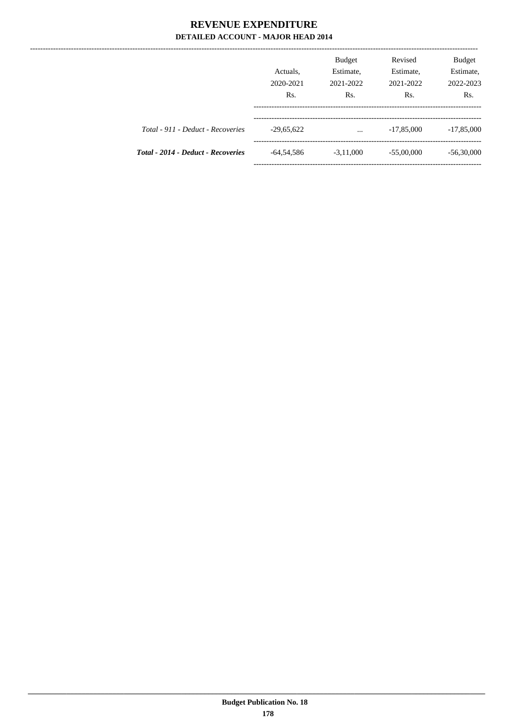|                                           | Actuals,<br>2020-2021<br>Rs. | <b>Budget</b><br>Estimate,<br>2021-2022<br>Rs. | Revised<br>Estimate,<br>2021-2022<br>Rs. | Budget<br>Estimate,<br>2022-2023<br>Rs. |
|-------------------------------------------|------------------------------|------------------------------------------------|------------------------------------------|-----------------------------------------|
| Total - 911 - Deduct - Recoveries         | $-29,65,622$                 | $\cdots$                                       | $-17,85,000$                             | $-17,85,000$                            |
| <b>Total - 2014 - Deduct - Recoveries</b> | $-64,54,586$                 | $-3,11,000$                                    | $-55,00,000$                             | $-56,30,000$                            |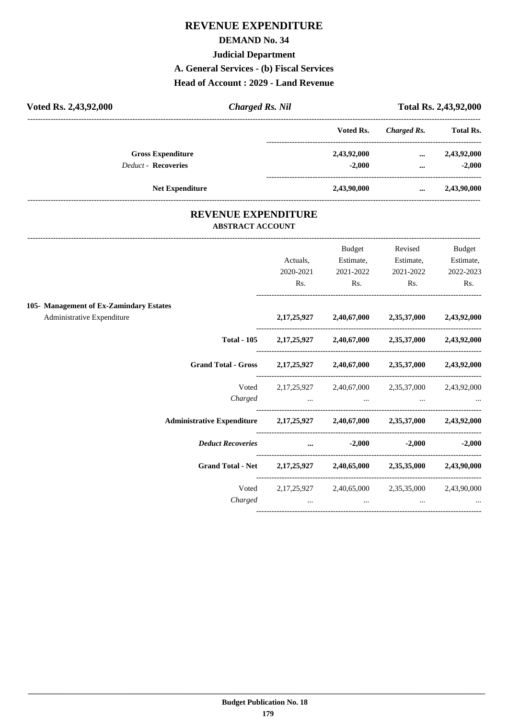### **DEMAND No. 34**

#### **Judicial Department**

**A. General Services - (b) Fiscal Services**

**Head of Account : 2029 - Land Revenue**

| Voted Rs. 2,43,92,000      | Charged Rs. Nil        |             | Total Rs. 2,43,92,000 |                  |  |
|----------------------------|------------------------|-------------|-----------------------|------------------|--|
|                            |                        | Voted Rs.   | Charged Rs.           | <b>Total Rs.</b> |  |
| <b>Gross Expenditure</b>   |                        | 2,43,92,000 | $\cdots$              | 2,43,92,000      |  |
| <b>Deduct - Recoveries</b> |                        | $-2.000$    | $\cdots$              | $-2.000$         |  |
|                            | <b>Net Expenditure</b> | 2,43,90,000 | $\cdots$              | 2,43,90,000      |  |

### **REVENUE EXPENDITURE ABSTRACT ACCOUNT**

---------------------------------------------------------------------------------------------------------------------------------------------------------------------------------

|                                                                            |           | <b>Budget</b>                                                                                                   | Revised   | <b>Budget</b> |
|----------------------------------------------------------------------------|-----------|-----------------------------------------------------------------------------------------------------------------|-----------|---------------|
|                                                                            | Actuals,  | Estimate,                                                                                                       | Estimate, | Estimate,     |
|                                                                            | 2020-2021 | 2021-2022                                                                                                       | 2021-2022 | 2022-2023     |
|                                                                            | Rs.       | Rs.                                                                                                             | Rs.       | Rs.           |
| 105- Management of Ex-Zamindary Estates                                    |           |                                                                                                                 |           |               |
| Administrative Expenditure                                                 |           | 2,17,25,927 2,40,67,000 2,35,37,000 2,43,92,000                                                                 |           |               |
|                                                                            |           | Total - 105 2, 17, 25, 927 2, 40, 67, 000 2, 35, 37, 000 2, 43, 92, 000                                         |           |               |
| Grand Total - Gross 2,17,25,927 2,40,67,000 2,35,37,000 2,43,92,000        |           |                                                                                                                 |           |               |
|                                                                            |           | Voted 2,17,25,927 2,40,67,000 2,35,37,000 2,43,92,000                                                           |           |               |
|                                                                            |           |                                                                                                                 |           |               |
| Administrative Expenditure 2,17,25,927 2,40,67,000 2,35,37,000 2,43,92,000 |           |                                                                                                                 |           |               |
| <i>Deduct Recoveries</i> 2,000 -2,000 -2,000 -2,000                        |           |                                                                                                                 |           |               |
| Grand Total - Net 2,17,25,927 2,40,65,000 2,35,35,000 2,43,90,000          |           |                                                                                                                 |           |               |
|                                                                            |           | Voted 2,17,25,927 2,40,65,000 2,35,35,000 2,43,90,000                                                           |           |               |
| Charged                                                                    |           | the contract of the contract of the contract of the contract of the contract of the contract of the contract of |           |               |
|                                                                            |           |                                                                                                                 |           |               |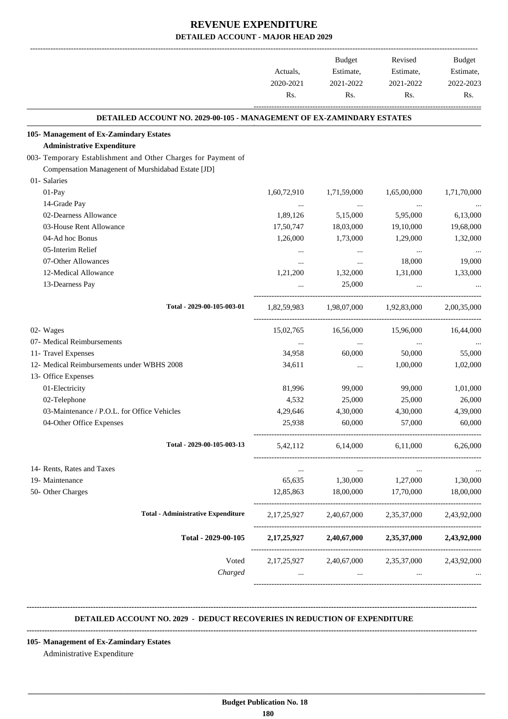|                                                                       | Actuals,<br>2020-2021<br>Rs. | Budget<br>Estimate,<br>2021-2022<br>Rs. | Revised<br>Estimate,<br>2021-2022<br>Rs. | Budget<br>Estimate,<br>2022-2023<br>Rs. |
|-----------------------------------------------------------------------|------------------------------|-----------------------------------------|------------------------------------------|-----------------------------------------|
| DETAILED ACCOUNT NO. 2029-00-105 - MANAGEMENT OF EX-ZAMINDARY ESTATES |                              |                                         |                                          |                                         |
| 105- Management of Ex-Zamindary Estates                               |                              |                                         |                                          |                                         |
| <b>Administrative Expenditure</b>                                     |                              |                                         |                                          |                                         |
| 003- Temporary Establishment and Other Charges for Payment of         |                              |                                         |                                          |                                         |
| Compensation Managenent of Murshidabad Estate [JD]                    |                              |                                         |                                          |                                         |
| 01- Salaries                                                          |                              |                                         |                                          |                                         |
| 01-Pay                                                                | 1,60,72,910                  | 1,71,59,000                             | 1,65,00,000                              | 1,71,70,000                             |
| 14-Grade Pay                                                          | $\ldots$                     | $\ldots$                                | $\cdots$                                 |                                         |
| 02-Dearness Allowance                                                 | 1,89,126                     | 5,15,000                                | 5,95,000                                 | 6,13,000                                |
| 03-House Rent Allowance                                               | 17,50,747                    | 18,03,000                               | 19,10,000                                | 19,68,000                               |
| 04-Ad hoc Bonus                                                       | 1,26,000                     | 1,73,000                                | 1,29,000                                 | 1,32,000                                |
| 05-Interim Relief                                                     | $\cdots$                     | $\cdots$                                | $\ldots$                                 |                                         |
| 07-Other Allowances                                                   | $\cdots$                     | $\cdots$                                | 18,000                                   | 19,000                                  |
| 12-Medical Allowance                                                  | 1,21,200                     | 1,32,000                                | 1,31,000                                 | 1,33,000                                |
| 13-Dearness Pay                                                       |                              | 25,000                                  | $\cdots$                                 |                                         |
| Total - 2029-00-105-003-01                                            | 1,82,59,983                  | 1,98,07,000                             | 1,92,83,000                              | 2,00,35,000                             |
| 02- Wages                                                             | 15,02,765                    | 16,56,000                               | 15,96,000                                | 16,44,000                               |
| 07- Medical Reimbursements                                            | $\cdots$                     | $\ldots$                                | $\ldots$                                 |                                         |
| 11- Travel Expenses                                                   | 34,958                       | 60,000                                  | 50,000                                   | 55,000                                  |
| 12- Medical Reimbursements under WBHS 2008                            | 34,611                       | $\cdots$                                | 1,00,000                                 | 1,02,000                                |
| 13- Office Expenses                                                   |                              |                                         |                                          |                                         |
| 01-Electricity                                                        | 81,996                       | 99,000                                  | 99,000                                   | 1,01,000                                |
| 02-Telephone                                                          | 4,532                        | 25,000                                  | 25,000                                   | 26,000                                  |
| 03-Maintenance / P.O.L. for Office Vehicles                           | 4,29,646                     | 4,30,000                                | 4,30,000                                 | 4,39,000                                |
| 04-Other Office Expenses                                              | 25,938                       | 60,000                                  | 57,000                                   | 60,000                                  |
| Total - 2029-00-105-003-13                                            | 5,42,112                     | 6,14,000                                | 6,11,000                                 | 6,26,000                                |
| 14- Rents, Rates and Taxes                                            | $\cdots$                     |                                         | $\cdots$                                 |                                         |
| 19- Maintenance                                                       | 65,635                       | 1,30,000                                | 1,27,000                                 | 1,30,000                                |
| 50- Other Charges                                                     | 12,85,863                    | 18,00,000                               | 17,70,000                                | 18,00,000                               |
| <b>Total - Administrative Expenditure</b>                             | 2, 17, 25, 927               | 2,40,67,000                             | 2,35,37,000                              | 2,43,92,000                             |
| Total - 2029-00-105                                                   |                              | 2,17,25,927 2,40,67,000                 | 2,35,37,000                              | 2,43,92,000                             |
| Voted                                                                 | 2, 17, 25, 927               | 2,40,67,000                             | 2,35,37,000                              | 2,43,92,000                             |
| Charged                                                               |                              | $\cdots$                                | $\cdots$                                 |                                         |
|                                                                       |                              |                                         |                                          |                                         |

#### **-------------------------------------------------------------------------------------------------------------------------------------------------------------------------------- DETAILED ACCOUNT NO. 2029 - DEDUCT RECOVERIES IN REDUCTION OF EXPENDITURE**

 **\_\_\_\_\_\_\_\_\_\_\_\_\_\_\_\_\_\_\_\_\_\_\_\_\_\_\_\_\_\_\_\_\_\_\_\_\_\_\_\_\_\_\_\_\_\_\_\_\_\_\_\_\_\_\_\_\_\_\_\_\_\_\_\_\_\_\_\_\_\_\_\_\_\_\_\_\_\_\_\_\_\_\_\_\_\_\_\_\_\_\_\_\_\_\_\_\_\_\_\_\_\_\_\_\_\_\_\_\_\_\_\_\_\_\_\_\_\_\_**

**--------------------------------------------------------------------------------------------------------------------------------------------------------------------------------**

**105- Management of Ex-Zamindary Estates**

Administrative Expenditure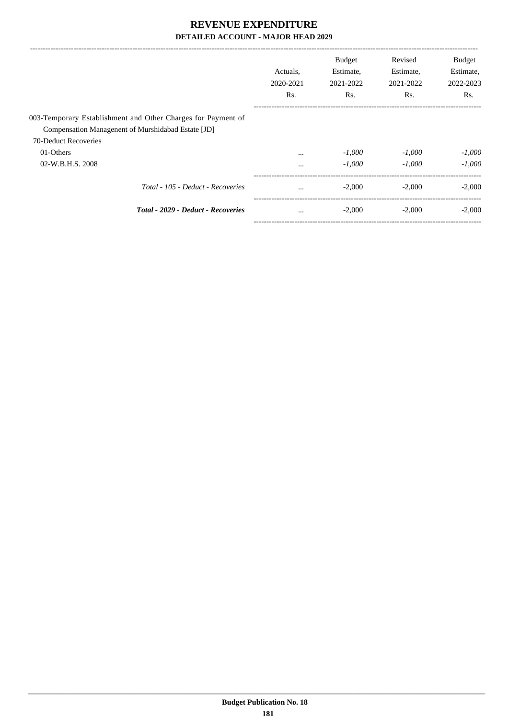|                                                              | Actuals,<br>2020-2021<br>Rs. | <b>Budget</b><br>Estimate,<br>2021-2022<br>Rs. | Revised<br>Estimate,<br>2021-2022<br>Rs. | <b>Budget</b><br>Estimate,<br>2022-2023<br>Rs. |
|--------------------------------------------------------------|------------------------------|------------------------------------------------|------------------------------------------|------------------------------------------------|
| 003-Temporary Establishment and Other Charges for Payment of |                              |                                                |                                          |                                                |
| Compensation Managenent of Murshidabad Estate [JD]           |                              |                                                |                                          |                                                |
| 70-Deduct Recoveries                                         |                              |                                                |                                          |                                                |
| 01-Others                                                    | $\cdots$                     | $-1,000$                                       | $-1.000$                                 | $-1,000$                                       |
| 02-W.B.H.S. 2008                                             | $\cdots$                     | $-1,000$                                       | $-1,000$                                 | $-1,000$                                       |
| Total - 105 - Deduct - Recoveries                            | $\cdots$                     | $-2.000$                                       | $-2,000$                                 | $-2,000$                                       |
| Total - 2029 - Deduct - Recoveries                           | $\cdots$                     | $-2,000$                                       | $-2,000$                                 | $-2,000$                                       |
|                                                              |                              |                                                |                                          |                                                |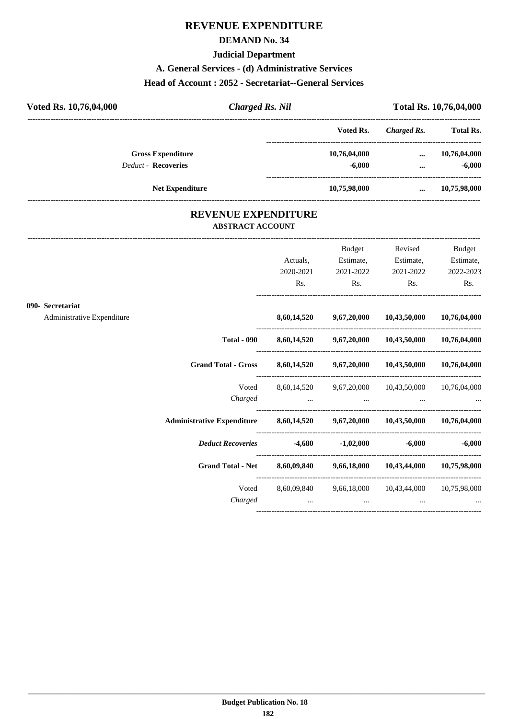#### **DEMAND No. 34**

#### **Judicial Department**

#### **A. General Services - (d) Administrative Services**

#### **Head of Account : 2052 - Secretariat--General Services**

| Voted Rs. 10,76,04,000     | <b>Charged Rs. Nil</b> |              | Total Rs. 10,76,04,000 |                  |  |
|----------------------------|------------------------|--------------|------------------------|------------------|--|
|                            |                        | Voted Rs.    | Charged Rs.            | <b>Total Rs.</b> |  |
| <b>Gross Expenditure</b>   |                        | 10,76,04,000 | $\cdots$               | 10,76,04,000     |  |
| <b>Deduct - Recoveries</b> |                        | $-6,000$     | $\cdots$               | $-6,000$         |  |
|                            | <b>Net Expenditure</b> | 10,75,98,000 | $\cdots$               | 10,75,98,000     |  |

### **REVENUE EXPENDITURE ABSTRACT ACCOUNT**

---------------------------------------------------------------------------------------------------------------------------------------------------------------------------------

|                            |                                                                              | Actuals,<br>2020-2021 | <b>Budget</b><br>Estimate,<br>2021-2022 | Revised<br>Estimate,<br>2021-2022                                   | <b>Budget</b><br>Estimate,<br>2022-2023 |
|----------------------------|------------------------------------------------------------------------------|-----------------------|-----------------------------------------|---------------------------------------------------------------------|-----------------------------------------|
|                            |                                                                              | Rs.                   | $\mathbf{Rs.}$                          | $\mathbf{Rs.}$                                                      | Rs.                                     |
| 090- Secretariat           |                                                                              |                       |                                         |                                                                     |                                         |
| Administrative Expenditure |                                                                              |                       |                                         | 8,60,14,520 9,67,20,000 10,43,50,000 10,76,04,000                   |                                         |
|                            |                                                                              |                       |                                         | Total - 090 8,60,14,520 9,67,20,000 10,43,50,000 10,76,04,000       |                                         |
|                            | Grand Total - Gross 8,60,14,520 9,67,20,000 10,43,50,000 10,76,04,000        |                       |                                         |                                                                     |                                         |
|                            | Voted                                                                        |                       |                                         | 8,60,14,520 9,67,20,000 10,43,50,000 10,76,04,000<br>Charged        |                                         |
|                            | Administrative Expenditure 8,60,14,520 9,67,20,000 10,43,50,000 10,76,04,000 |                       |                                         |                                                                     |                                         |
|                            | <i>Deduct Recoveries</i> 4,680 -1,02,000 -6,000 -6,000 -6,000                |                       |                                         |                                                                     |                                         |
|                            | Grand Total - Net 8,60,09,840 9,66,18,000 10,43,44,000 10,75,98,000          |                       |                                         |                                                                     |                                         |
|                            | Charged                                                                      |                       | $\cdots$                                | Voted 8,60,09,840 9,66,18,000 10,43,44,000 10,75,98,000<br>$\cdots$ |                                         |
|                            |                                                                              |                       |                                         |                                                                     |                                         |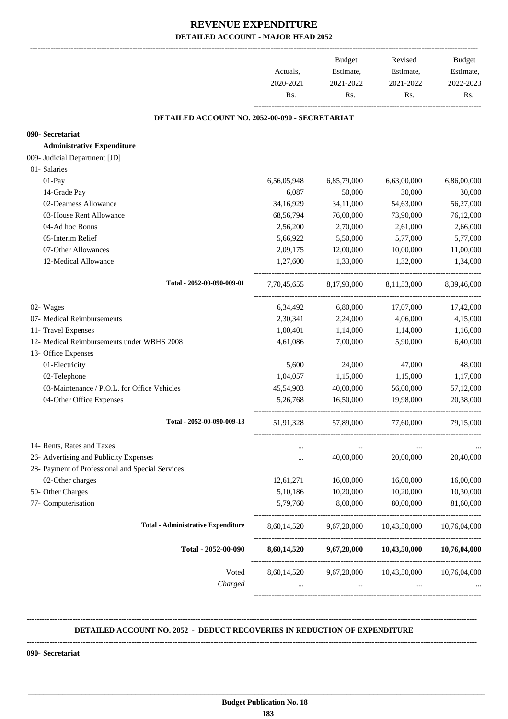|                                                  | Actuals,<br>2020-2021<br>Rs. | <b>Budget</b><br>Estimate,<br>2021-2022<br>Rs. | Revised<br>Estimate,<br>2021-2022<br>Rs. | Budget<br>Estimate,<br>2022-2023<br>Rs. |
|--------------------------------------------------|------------------------------|------------------------------------------------|------------------------------------------|-----------------------------------------|
| DETAILED ACCOUNT NO. 2052-00-090 - SECRETARIAT   |                              |                                                |                                          |                                         |
| 090- Secretariat                                 |                              |                                                |                                          |                                         |
| <b>Administrative Expenditure</b>                |                              |                                                |                                          |                                         |
| 009- Judicial Department [JD]                    |                              |                                                |                                          |                                         |
| 01- Salaries                                     |                              |                                                |                                          |                                         |
| 01-Pay                                           | 6,56,05,948                  | 6,85,79,000                                    | 6,63,00,000                              | 6,86,00,000                             |
| 14-Grade Pay                                     | 6,087                        | 50,000                                         | 30,000                                   | 30,000                                  |
| 02-Dearness Allowance                            | 34,16,929                    | 34,11,000                                      | 54,63,000                                | 56,27,000                               |
| 03-House Rent Allowance                          | 68,56,794                    | 76,00,000                                      | 73,90,000                                | 76,12,000                               |
| 04-Ad hoc Bonus                                  | 2,56,200                     | 2,70,000                                       | 2,61,000                                 | 2,66,000                                |
| 05-Interim Relief                                | 5,66,922                     | 5,50,000                                       | 5,77,000                                 | 5,77,000                                |
| 07-Other Allowances                              | 2,09,175                     | 12,00,000                                      | 10,00,000                                | 11,00,000                               |
| 12-Medical Allowance                             | 1,27,600                     | 1,33,000                                       | 1,32,000                                 | 1,34,000                                |
| Total - 2052-00-090-009-01                       | 7,70,45,655                  | 8,17,93,000                                    | 8,11,53,000                              | 8,39,46,000                             |
| 02- Wages                                        | 6,34,492                     | 6,80,000                                       | 17,07,000                                | 17,42,000                               |
| 07- Medical Reimbursements                       | 2,30,341                     | 2,24,000                                       | 4,06,000                                 | 4,15,000                                |
| 11- Travel Expenses                              | 1,00,401                     | 1,14,000                                       | 1,14,000                                 | 1,16,000                                |
| 12- Medical Reimbursements under WBHS 2008       | 4,61,086                     | 7,00,000                                       | 5,90,000                                 | 6,40,000                                |
| 13- Office Expenses                              |                              |                                                |                                          |                                         |
| 01-Electricity                                   | 5,600                        | 24,000                                         | 47,000                                   | 48,000                                  |
| 02-Telephone                                     | 1,04,057                     | 1,15,000                                       | 1,15,000                                 | 1,17,000                                |
| 03-Maintenance / P.O.L. for Office Vehicles      | 45,54,903                    | 40,00,000                                      | 56,00,000                                | 57,12,000                               |
| 04-Other Office Expenses                         | 5,26,768                     | 16,50,000                                      | 19,98,000                                | 20,38,000                               |
| Total - 2052-00-090-009-13                       | 51,91,328                    | 57,89,000                                      | 77,60,000                                | 79,15,000                               |
| 14- Rents, Rates and Taxes                       |                              |                                                |                                          |                                         |
| 26- Advertising and Publicity Expenses           | $\cdots$                     | 40,00,000                                      | 20,00,000                                | 20,40,000                               |
| 28- Payment of Professional and Special Services |                              |                                                |                                          |                                         |
| 02-Other charges                                 | 12,61,271                    | 16,00,000                                      | 16,00,000                                | 16,00,000                               |
| 50- Other Charges                                | 5,10,186                     | 10,20,000                                      | 10,20,000                                | 10,30,000                               |
| 77- Computerisation                              | 5,79,760                     | 8,00,000                                       | 80,00,000                                | 81,60,000                               |
| <b>Total - Administrative Expenditure</b>        | 8,60,14,520                  | 9,67,20,000                                    | 10,43,50,000                             | 10,76,04,000                            |
| Total - 2052-00-090                              | 8,60,14,520                  | 9,67,20,000                                    | 10,43,50,000                             | 10,76,04,000                            |
| Voted<br>Charged                                 | 8,60,14,520<br>$\cdots$      | 9,67,20,000<br>$\cdots$                        | 10,43,50,000<br>$\cdots$                 | 10,76,04,000                            |

#### **DETAILED ACCOUNT NO. 2052 - DEDUCT RECOVERIES IN REDUCTION OF EXPENDITURE**

**--------------------------------------------------------------------------------------------------------------------------------------------------------------------------------**

 **\_\_\_\_\_\_\_\_\_\_\_\_\_\_\_\_\_\_\_\_\_\_\_\_\_\_\_\_\_\_\_\_\_\_\_\_\_\_\_\_\_\_\_\_\_\_\_\_\_\_\_\_\_\_\_\_\_\_\_\_\_\_\_\_\_\_\_\_\_\_\_\_\_\_\_\_\_\_\_\_\_\_\_\_\_\_\_\_\_\_\_\_\_\_\_\_\_\_\_\_\_\_\_\_\_\_\_\_\_\_\_\_\_\_\_\_\_\_\_**

**--------------------------------------------------------------------------------------------------------------------------------------------------------------------------------**

**090- Secretariat**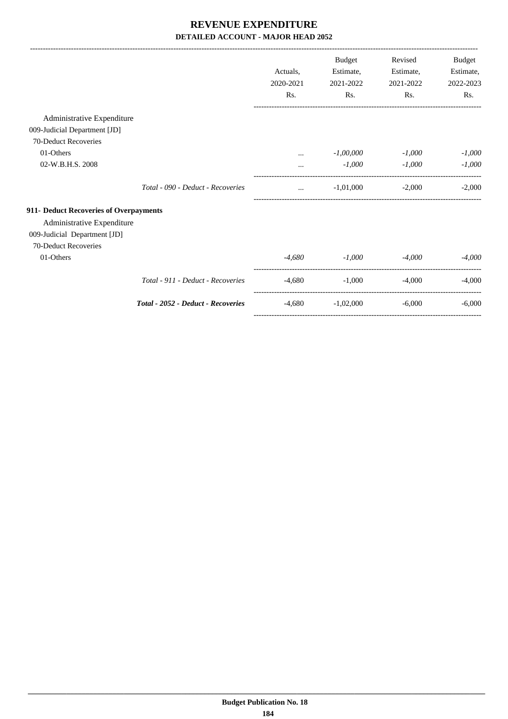|                                        |                                    |           | <b>Budget</b> | Revised   | Budget    |
|----------------------------------------|------------------------------------|-----------|---------------|-----------|-----------|
|                                        |                                    | Actuals,  | Estimate,     | Estimate, | Estimate, |
|                                        |                                    | 2020-2021 | 2021-2022     | 2021-2022 | 2022-2023 |
|                                        |                                    | Rs.       | Rs.           | Rs.       | Rs.       |
| Administrative Expenditure             |                                    |           |               |           |           |
| 009-Judicial Department [JD]           |                                    |           |               |           |           |
| 70-Deduct Recoveries                   |                                    |           |               |           |           |
| 01-Others                              |                                    |           | $-1,00,000$   | $-1,000$  | $-1,000$  |
| 02-W.B.H.S. 2008                       |                                    | $\cdots$  | $-1,000$      | $-1,000$  | $-1,000$  |
|                                        | Total - 090 - Deduct - Recoveries  | $\cdots$  | $-1,01,000$   | $-2,000$  | $-2.000$  |
| 911- Deduct Recoveries of Overpayments |                                    |           |               |           |           |
| Administrative Expenditure             |                                    |           |               |           |           |
| 009-Judicial Department [JD]           |                                    |           |               |           |           |
| 70-Deduct Recoveries                   |                                    |           |               |           |           |
| 01-Others                              |                                    | -4,680    | $-1,000$      | $-4,000$  | $-4,000$  |
|                                        | Total - 911 - Deduct - Recoveries  | $-4,680$  | $-1,000$      | $-4,000$  | $-4,000$  |
|                                        | Total - 2052 - Deduct - Recoveries | $-4,680$  | $-1,02,000$   | $-6,000$  | $-6,000$  |

-----------------------------------------------------------------------------------------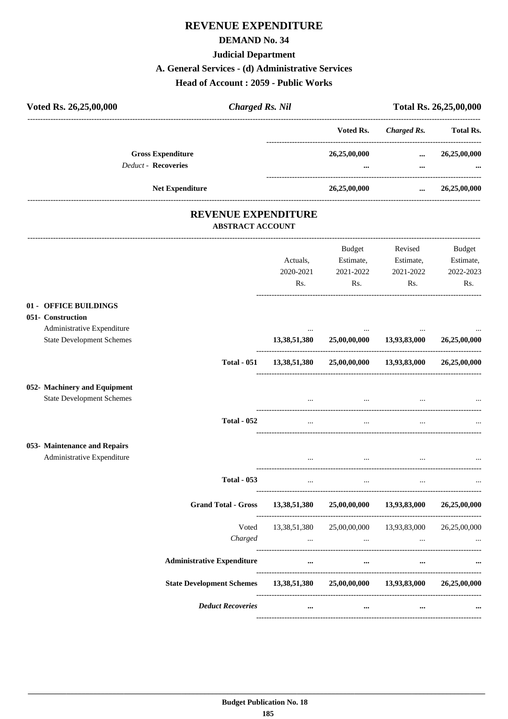# **DEMAND No. 34**

# **Judicial Department**

#### A. General Services - (d) Administrative Services

Head of Account: 2059 - Public Works

| Voted Rs. 26,25,00,000                                           | <b>Charged Rs. Nil</b>                                |                                                                                                                                                                                                                                |              |                                                                                                                                                                                                                                               | Total Rs. 26,25,00,000 |
|------------------------------------------------------------------|-------------------------------------------------------|--------------------------------------------------------------------------------------------------------------------------------------------------------------------------------------------------------------------------------|--------------|-----------------------------------------------------------------------------------------------------------------------------------------------------------------------------------------------------------------------------------------------|------------------------|
|                                                                  |                                                       |                                                                                                                                                                                                                                | Voted Rs.    | <b>Charged Rs.</b>                                                                                                                                                                                                                            | <b>Total Rs.</b>       |
| <b>Gross Expenditure</b>                                         |                                                       |                                                                                                                                                                                                                                | 26,25,00,000 | $\cdots$                                                                                                                                                                                                                                      | 26,25,00,000           |
| <b>Deduct - Recoveries</b>                                       |                                                       |                                                                                                                                                                                                                                | $\cdots$     | $\cdots$                                                                                                                                                                                                                                      |                        |
| Net Expenditure                                                  |                                                       |                                                                                                                                                                                                                                | 26,25,00,000 |                                                                                                                                                                                                                                               | $\ldots$ 26,25,00,000  |
|                                                                  | <b>REVENUE EXPENDITURE</b><br><b>ABSTRACT ACCOUNT</b> |                                                                                                                                                                                                                                |              |                                                                                                                                                                                                                                               |                        |
|                                                                  |                                                       |                                                                                                                                                                                                                                | Budget       | Revised                                                                                                                                                                                                                                       | Budget                 |
|                                                                  |                                                       | Actuals,                                                                                                                                                                                                                       |              | Estimate, Estimate,                                                                                                                                                                                                                           | Estimate,              |
|                                                                  |                                                       | 2020-2021                                                                                                                                                                                                                      | 2021-2022    | 2021-2022                                                                                                                                                                                                                                     | 2022-2023              |
|                                                                  |                                                       | Rs.                                                                                                                                                                                                                            |              | $\mathsf{Rs.}$<br>Rs.                                                                                                                                                                                                                         | Rs.                    |
| 01 - OFFICE BUILDINGS<br>051- Construction                       |                                                       |                                                                                                                                                                                                                                |              |                                                                                                                                                                                                                                               |                        |
| Administrative Expenditure<br><b>State Development Schemes</b>   |                                                       | 13,38,51,380                                                                                                                                                                                                                   | $\sim$       | 25,00,00,000 13,93,83,000 26,25,00,000                                                                                                                                                                                                        |                        |
|                                                                  | <b>Total - 051</b>                                    | 13,38,51,380                                                                                                                                                                                                                   |              | 25,00,00,000 13,93,83,000 26,25,00,000                                                                                                                                                                                                        |                        |
| 052- Machinery and Equipment<br><b>State Development Schemes</b> |                                                       |                                                                                                                                                                                                                                | $\cdots$     |                                                                                                                                                                                                                                               |                        |
|                                                                  | <b>Total - 052</b>                                    | $\cdots$                                                                                                                                                                                                                       | $\ldots$     | $\cdots$                                                                                                                                                                                                                                      |                        |
| 053- Maintenance and Repairs<br>Administrative Expenditure       |                                                       | $\cdots$                                                                                                                                                                                                                       | $\cdots$     | $\cdots$                                                                                                                                                                                                                                      |                        |
|                                                                  | <b>Total - 053</b>                                    | $\ldots$                                                                                                                                                                                                                       | $\cdots$     | $\cdots$                                                                                                                                                                                                                                      |                        |
|                                                                  | Grand Total - Gross 13,38,51,380                      |                                                                                                                                                                                                                                |              | 25,00,00,000 13,93,83,000 26,25,00,000                                                                                                                                                                                                        |                        |
|                                                                  | Voted                                                 | 13,38,51,380  25,00,00,000  13,93,83,000  26,25,00,000                                                                                                                                                                         |              |                                                                                                                                                                                                                                               |                        |
|                                                                  | Charged                                               | $\sim 10^{-10}$ and $\sim 10^{-10}$                                                                                                                                                                                            |              | $\mathbf{r}$ , and the contract of the contract of the contract of the contract of the contract of the contract of the contract of the contract of the contract of the contract of the contract of the contract of the contract o<br>$\cdots$ |                        |
|                                                                  | <b>Administrative Expenditure</b>                     | $\cdots$                                                                                                                                                                                                                       | $\cdots$     | $\cdots$                                                                                                                                                                                                                                      |                        |
|                                                                  | <b>State Development Schemes</b>                      | 13,38,51,380 25,00,00,000 13,93,83,000                                                                                                                                                                                         |              |                                                                                                                                                                                                                                               | 26,25,00,000           |
|                                                                  | <b>Deduct Recoveries</b>                              | and the contract of the contract of the contract of the contract of the contract of the contract of the contract of the contract of the contract of the contract of the contract of the contract of the contract of the contra |              |                                                                                                                                                                                                                                               |                        |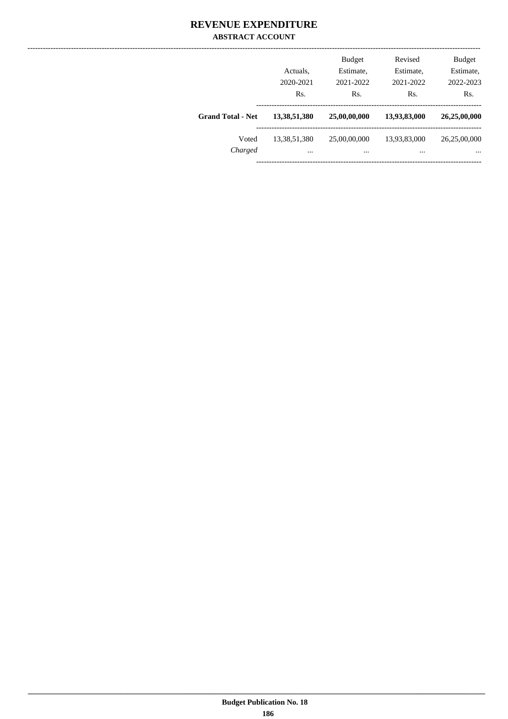### **REVENUE EXPENDITURE ABSTRACT ACCOUNT**

|                          | Actuals,<br>2020-2021<br>Rs. | <b>Budget</b><br>Estimate,<br>2021-2022<br>Rs. | Revised<br>Estimate,<br>2021-2022<br>Rs. | <b>Budget</b><br>Estimate,<br>2022-2023<br>Rs. |
|--------------------------|------------------------------|------------------------------------------------|------------------------------------------|------------------------------------------------|
| <b>Grand Total - Net</b> | 13,38,51,380                 | 25,00,00,000                                   | 13,93,83,000                             | 26,25,00,000                                   |
| Voted<br>Charged         | 13,38,51,380<br>$\cdots$     | 25,00,00,000<br>                               | 13,93,83,000<br>                         | 26,25,00,000<br>$\cdots$                       |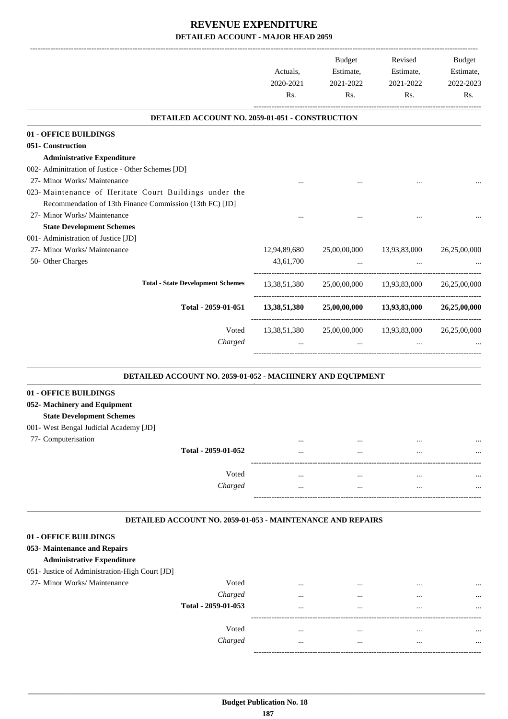|                                                            |                     | Actuals,<br>2020-2021<br>Rs.                    | <b>Budget</b><br>Estimate,<br>2021-2022<br>Rs. | Revised<br>Estimate,<br>2021-2022<br>Rs. | <b>Budget</b><br>Estimate,<br>2022-2023<br>Rs. |
|------------------------------------------------------------|---------------------|-------------------------------------------------|------------------------------------------------|------------------------------------------|------------------------------------------------|
|                                                            |                     | DETAILED ACCOUNT NO. 2059-01-051 - CONSTRUCTION |                                                |                                          |                                                |
| 01 - OFFICE BUILDINGS                                      |                     |                                                 |                                                |                                          |                                                |
| 051- Construction                                          |                     |                                                 |                                                |                                          |                                                |
| <b>Administrative Expenditure</b>                          |                     |                                                 |                                                |                                          |                                                |
| 002- Adminitration of Justice - Other Schemes [JD]         |                     |                                                 |                                                |                                          |                                                |
| 27- Minor Works/ Maintenance                               |                     |                                                 |                                                |                                          |                                                |
| 023- Maintenance of Heritate Court Buildings under the     |                     |                                                 |                                                |                                          |                                                |
| Recommendation of 13th Finance Commission (13th FC) [JD]   |                     |                                                 |                                                |                                          |                                                |
| 27- Minor Works/ Maintenance                               |                     |                                                 |                                                |                                          |                                                |
| <b>State Development Schemes</b>                           |                     |                                                 |                                                |                                          |                                                |
| 001- Administration of Justice [JD]                        |                     |                                                 |                                                |                                          |                                                |
| 27- Minor Works/ Maintenance                               |                     | 12,94,89,680                                    | 25,00,00,000                                   | 13,93,83,000                             | 26,25,00,000                                   |
| 50- Other Charges                                          |                     | 43,61,700                                       | $\cdots$                                       |                                          |                                                |
|                                                            |                     |                                                 |                                                |                                          |                                                |
| <b>Total - State Development Schemes</b>                   |                     | 13,38,51,380                                    |                                                | 25,00,00,000 13,93,83,000                | 26,25,00,000                                   |
|                                                            | Total - 2059-01-051 | 13,38,51,380                                    |                                                | 25,00,00,000 13,93,83,000                | 26,25,00,000                                   |
|                                                            | Voted               | 13, 38, 51, 380                                 | 25,00,00,000                                   | 13,93,83,000                             | 26,25,00,000                                   |
|                                                            | Charged             |                                                 |                                                |                                          |                                                |
|                                                            |                     |                                                 |                                                |                                          |                                                |
| DETAILED ACCOUNT NO. 2059-01-052 - MACHINERY AND EQUIPMENT |                     |                                                 |                                                |                                          |                                                |
| 01 - OFFICE BUILDINGS                                      |                     |                                                 |                                                |                                          |                                                |
| 052- Machinery and Equipment                               |                     |                                                 |                                                |                                          |                                                |
|                                                            |                     |                                                 |                                                |                                          |                                                |
| <b>State Development Schemes</b>                           |                     |                                                 |                                                |                                          |                                                |
| 001- West Bengal Judicial Academy [JD]                     |                     |                                                 |                                                |                                          |                                                |
| 77- Computerisation                                        |                     | $\cdots$                                        |                                                |                                          |                                                |
|                                                            | Total - 2059-01-052 |                                                 |                                                |                                          |                                                |
|                                                            |                     |                                                 |                                                |                                          |                                                |
|                                                            | Voted               | $\cdots$                                        | $\ddotsc$                                      | $\ddotsc$                                |                                                |
|                                                            | Charged             |                                                 | $\cdots$                                       | $\ddotsc$                                |                                                |
| DETAILED ACCOUNT NO. 2059-01-053 - MAINTENANCE AND REPAIRS |                     |                                                 |                                                |                                          |                                                |
|                                                            |                     |                                                 |                                                |                                          |                                                |
| 01 - OFFICE BUILDINGS                                      |                     |                                                 |                                                |                                          |                                                |
| 053- Maintenance and Repairs                               |                     |                                                 |                                                |                                          |                                                |
| <b>Administrative Expenditure</b>                          |                     |                                                 |                                                |                                          |                                                |
| 051- Justice of Administration-High Court [JD]             |                     |                                                 |                                                |                                          |                                                |
| 27- Minor Works/ Maintenance                               | Voted               |                                                 |                                                |                                          |                                                |
|                                                            | Charged             |                                                 |                                                |                                          |                                                |
|                                                            | Total - 2059-01-053 | $\cdots$                                        |                                                | $\ddotsc$                                |                                                |
|                                                            | Voted               | $\cdots$                                        | $\cdots$                                       |                                          |                                                |
|                                                            | Charged             |                                                 | $\ddots$                                       | $\cdots$                                 |                                                |
|                                                            |                     |                                                 |                                                |                                          |                                                |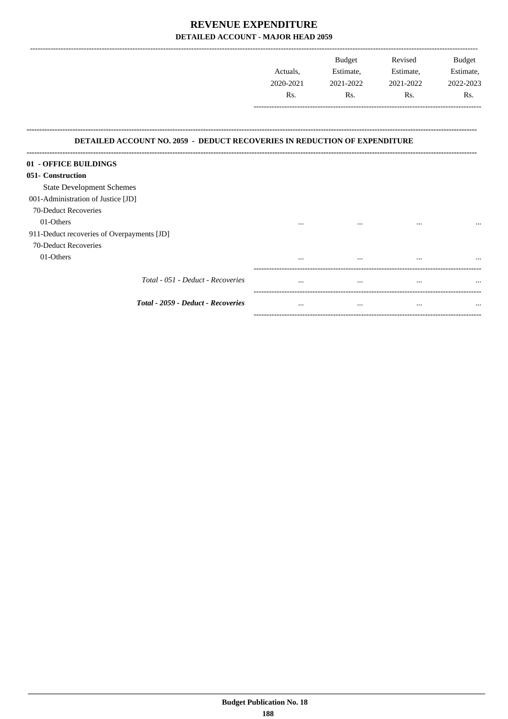|                                                                                  | <b>Budget</b> | Revised   | <b>Budget</b> |
|----------------------------------------------------------------------------------|---------------|-----------|---------------|
| Actuals.                                                                         | Estimate,     | Estimate, | Estimate,     |
| 2020-2021                                                                        | 2021-2022     | 2021-2022 | 2022-2023     |
| Rs.                                                                              | Rs.           | Rs.       | Rs.           |
|                                                                                  |               |           |               |
|                                                                                  |               |           |               |
|                                                                                  |               |           |               |
| <b>DETAILED ACCOUNT NO. 2059 - DEDUCT RECOVERIES IN REDUCTION OF EXPENDITURE</b> |               |           |               |

-------------------------

| 01 - OFFICE BUILDINGS<br>051- Construction |                                  |          |          |           |
|--------------------------------------------|----------------------------------|----------|----------|-----------|
| <b>State Development Schemes</b>           |                                  |          |          |           |
| 001-Administration of Justice [JD]         |                                  |          |          |           |
| 70-Deduct Recoveries                       |                                  |          |          |           |
| 01-Others                                  | $\cdots$                         | $\cdots$ | $\cdots$ | $\ddotsc$ |
| 911-Deduct recoveries of Overpayments [JD] |                                  |          |          |           |
| 70-Deduct Recoveries                       |                                  |          |          |           |
| 01-Others                                  | $\cdots$                         |          | $\cdots$ | $\ddotsc$ |
| Total - 051 - Deduct - Recoveries          | $\cdots$                         |          | $\cdots$ | $\ddotsc$ |
| <b>Total - 2059 - Deduct - Recoveries</b>  | $\cdots$<br>-------------------- | $\cdots$ | $\cdots$ | $\cdots$  |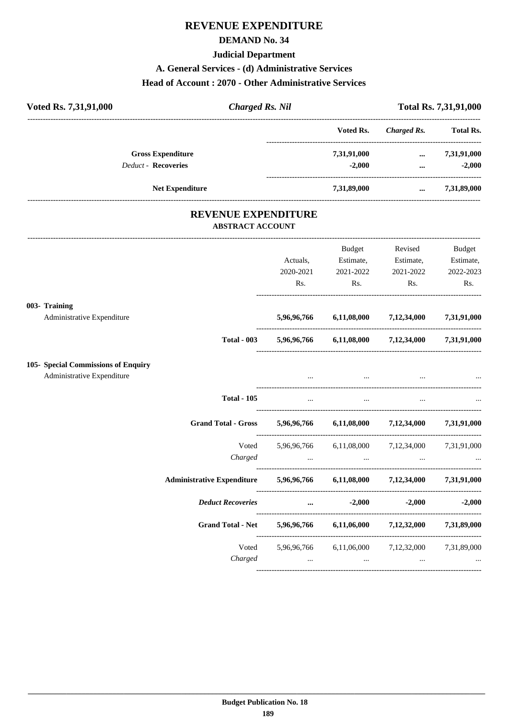### **DEMAND No. 34**

#### **Judicial Department**

#### **A. General Services - (d) Administrative Services**

#### **Head of Account : 2070 - Other Administrative Services**

| Voted Rs. 7,31,91,000<br><b>Charged Rs. Nil</b>                   |             |                                     |                                                 | Total Rs. 7,31,91,000 |
|-------------------------------------------------------------------|-------------|-------------------------------------|-------------------------------------------------|-----------------------|
|                                                                   |             | Voted Rs.                           | <b>Charged Rs.</b>                              | <b>Total Rs.</b>      |
| <b>Gross Expenditure</b>                                          |             | 7,31,91,000                         |                                                 | $\ldots$ 7,31,91,000  |
| <b>Deduct - Recoveries</b>                                        |             | $-2,000$                            | $\cdots$                                        | $-2,000$              |
| Net Expenditure                                                   |             | 7,31,89,000                         | $\cdots$                                        | 7,31,89,000           |
| <b>REVENUE EXPENDITURE</b><br><b>ABSTRACT ACCOUNT</b>             |             |                                     |                                                 |                       |
|                                                                   |             | Budget                              | Revised                                         | <b>Budget</b>         |
|                                                                   | Actuals,    | Estimate,                           | Estimate,                                       | Estimate,             |
|                                                                   | 2020-2021   | 2021-2022                           | 2021-2022                                       | 2022-2023             |
|                                                                   | Rs.         | Rs.                                 | Rs.                                             | Rs.                   |
| 003- Training                                                     |             |                                     |                                                 |                       |
| Administrative Expenditure                                        |             | 5,96,96,766 6,11,08,000 7,12,34,000 |                                                 | 7,31,91,000           |
| <b>Total - 003</b>                                                |             |                                     | 5,96,96,766 6,11,08,000 7,12,34,000 7,31,91,000 |                       |
| 105- Special Commissions of Enquiry<br>Administrative Expenditure |             |                                     |                                                 |                       |
|                                                                   |             |                                     |                                                 |                       |
| <b>Total - 105</b>                                                |             |                                     |                                                 |                       |
| <b>Grand Total - Gross</b>                                        |             |                                     | 5,96,96,766 6,11,08,000 7,12,34,000 7,31,91,000 |                       |
| Voted                                                             |             |                                     | 5,96,96,766 6,11,08,000 7,12,34,000 7,31,91,000 |                       |
| Charged                                                           | $\cdots$    | $\cdots$                            |                                                 |                       |
| <b>Administrative Expenditure</b>                                 |             | 5,96,96,766 6,11,08,000<br>.        | 7,12,34,000                                     | 7,31,91,000           |
| <b>Deduct Recoveries</b>                                          | $\cdots$    | $-2,000$                            | $-2,000$                                        | $-2,000$              |
| <b>Grand Total - Net</b>                                          | 5,96,96,766 | 6,11,06,000                         | 7,12,32,000                                     | 7,31,89,000           |
| Voted                                                             | 5,96,96,766 | 6,11,06,000                         | 7,12,32,000                                     | 7,31,89,000           |

*Charged ... ... ... ...*

----------------------------------------------------------------------------------------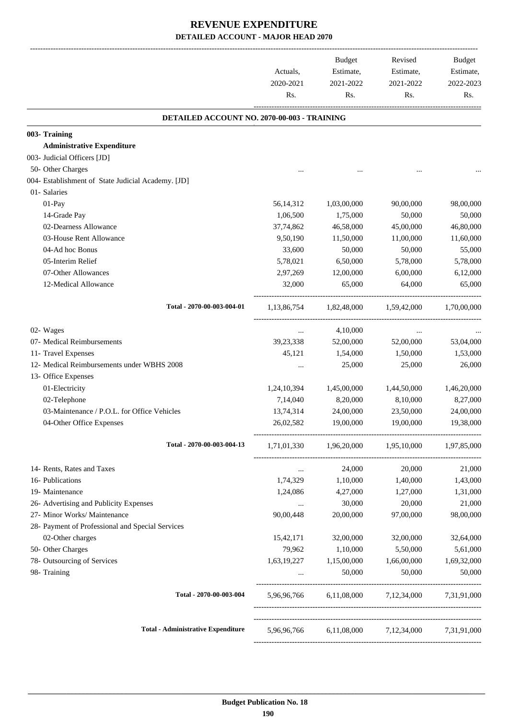| DETAILED ACCOUNT NO. 2070-00-003 - TRAINING<br><b>Administrative Expenditure</b><br>50- Other Charges<br>01- Salaries<br>01-Pay<br>56,14,312<br>1,03,00,000<br>90,00,000<br>14-Grade Pay<br>1,06,500<br>1,75,000<br>50,000<br>02-Dearness Allowance<br>37,74,862<br>46,58,000<br>45,00,000<br>03-House Rent Allowance<br>9,50,190<br>11,50,000<br>11,00,000<br>33,600<br>04-Ad hoc Bonus<br>50,000<br>50,000<br>05-Interim Relief<br>5,78,021<br>6,50,000<br>5,78,000<br>07-Other Allowances<br>2,97,269<br>12,00,000<br>6,00,000<br>12-Medical Allowance<br>32,000<br>65,000<br>64,000<br>Total - 2070-00-003-004-01<br>1,82,48,000<br>1,59,42,000<br>1,13,86,754<br>02- Wages<br>4,10,000<br>$\cdots$<br>$\cdots$<br>07- Medical Reimbursements<br>39,23,338<br>52,00,000<br>52,00,000 |             |
|------------------------------------------------------------------------------------------------------------------------------------------------------------------------------------------------------------------------------------------------------------------------------------------------------------------------------------------------------------------------------------------------------------------------------------------------------------------------------------------------------------------------------------------------------------------------------------------------------------------------------------------------------------------------------------------------------------------------------------------------------------------------------------------|-------------|
| 003- Training                                                                                                                                                                                                                                                                                                                                                                                                                                                                                                                                                                                                                                                                                                                                                                            |             |
| 003- Judicial Officers [JD]<br>004- Establishment of State Judicial Academy. [JD]                                                                                                                                                                                                                                                                                                                                                                                                                                                                                                                                                                                                                                                                                                        |             |
|                                                                                                                                                                                                                                                                                                                                                                                                                                                                                                                                                                                                                                                                                                                                                                                          |             |
|                                                                                                                                                                                                                                                                                                                                                                                                                                                                                                                                                                                                                                                                                                                                                                                          |             |
|                                                                                                                                                                                                                                                                                                                                                                                                                                                                                                                                                                                                                                                                                                                                                                                          |             |
|                                                                                                                                                                                                                                                                                                                                                                                                                                                                                                                                                                                                                                                                                                                                                                                          |             |
|                                                                                                                                                                                                                                                                                                                                                                                                                                                                                                                                                                                                                                                                                                                                                                                          |             |
|                                                                                                                                                                                                                                                                                                                                                                                                                                                                                                                                                                                                                                                                                                                                                                                          | 98,00,000   |
|                                                                                                                                                                                                                                                                                                                                                                                                                                                                                                                                                                                                                                                                                                                                                                                          | 50,000      |
|                                                                                                                                                                                                                                                                                                                                                                                                                                                                                                                                                                                                                                                                                                                                                                                          | 46,80,000   |
|                                                                                                                                                                                                                                                                                                                                                                                                                                                                                                                                                                                                                                                                                                                                                                                          | 11,60,000   |
|                                                                                                                                                                                                                                                                                                                                                                                                                                                                                                                                                                                                                                                                                                                                                                                          | 55,000      |
|                                                                                                                                                                                                                                                                                                                                                                                                                                                                                                                                                                                                                                                                                                                                                                                          | 5,78,000    |
|                                                                                                                                                                                                                                                                                                                                                                                                                                                                                                                                                                                                                                                                                                                                                                                          | 6,12,000    |
|                                                                                                                                                                                                                                                                                                                                                                                                                                                                                                                                                                                                                                                                                                                                                                                          | 65,000      |
|                                                                                                                                                                                                                                                                                                                                                                                                                                                                                                                                                                                                                                                                                                                                                                                          | 1,70,00,000 |
|                                                                                                                                                                                                                                                                                                                                                                                                                                                                                                                                                                                                                                                                                                                                                                                          |             |
|                                                                                                                                                                                                                                                                                                                                                                                                                                                                                                                                                                                                                                                                                                                                                                                          | 53,04,000   |
| 11- Travel Expenses<br>45,121<br>1,54,000<br>1,50,000                                                                                                                                                                                                                                                                                                                                                                                                                                                                                                                                                                                                                                                                                                                                    | 1,53,000    |
| 12- Medical Reimbursements under WBHS 2008<br>25,000<br>25,000                                                                                                                                                                                                                                                                                                                                                                                                                                                                                                                                                                                                                                                                                                                           | 26,000      |
| 13- Office Expenses                                                                                                                                                                                                                                                                                                                                                                                                                                                                                                                                                                                                                                                                                                                                                                      |             |
| 01-Electricity<br>1,24,10,394<br>1,45,00,000<br>1,44,50,000                                                                                                                                                                                                                                                                                                                                                                                                                                                                                                                                                                                                                                                                                                                              | 1,46,20,000 |
| 02-Telephone<br>7,14,040<br>8,20,000<br>8,10,000                                                                                                                                                                                                                                                                                                                                                                                                                                                                                                                                                                                                                                                                                                                                         | 8,27,000    |
| 03-Maintenance / P.O.L. for Office Vehicles<br>13,74,314<br>24,00,000<br>23,50,000                                                                                                                                                                                                                                                                                                                                                                                                                                                                                                                                                                                                                                                                                                       | 24,00,000   |
| 04-Other Office Expenses<br>26,02,582<br>19,00,000<br>19,00,000                                                                                                                                                                                                                                                                                                                                                                                                                                                                                                                                                                                                                                                                                                                          | 19,38,000   |
| Total - 2070-00-003-004-13<br>1,71,01,330 1,96,20,000 1,95,10,000 1,97,85,000                                                                                                                                                                                                                                                                                                                                                                                                                                                                                                                                                                                                                                                                                                            |             |
|                                                                                                                                                                                                                                                                                                                                                                                                                                                                                                                                                                                                                                                                                                                                                                                          |             |
| 14- Rents, Rates and Taxes<br>24,000<br>20,000<br>$\cdots$                                                                                                                                                                                                                                                                                                                                                                                                                                                                                                                                                                                                                                                                                                                               | 21,000      |
| 16- Publications<br>1,74,329<br>1,10,000<br>1,40,000                                                                                                                                                                                                                                                                                                                                                                                                                                                                                                                                                                                                                                                                                                                                     | 1,43,000    |
| 19- Maintenance<br>1,24,086<br>4,27,000<br>1,27,000                                                                                                                                                                                                                                                                                                                                                                                                                                                                                                                                                                                                                                                                                                                                      | 1,31,000    |
| 26- Advertising and Publicity Expenses<br>30,000<br>20,000<br>$\cdots$                                                                                                                                                                                                                                                                                                                                                                                                                                                                                                                                                                                                                                                                                                                   | 21,000      |
| 27- Minor Works/ Maintenance<br>90,00,448<br>20,00,000<br>97,00,000                                                                                                                                                                                                                                                                                                                                                                                                                                                                                                                                                                                                                                                                                                                      | 98,00,000   |
| 28- Payment of Professional and Special Services                                                                                                                                                                                                                                                                                                                                                                                                                                                                                                                                                                                                                                                                                                                                         |             |
| 02-Other charges<br>32,00,000<br>15,42,171<br>32,00,000                                                                                                                                                                                                                                                                                                                                                                                                                                                                                                                                                                                                                                                                                                                                  | 32,64,000   |
| 50- Other Charges<br>79,962<br>1,10,000<br>5,50,000                                                                                                                                                                                                                                                                                                                                                                                                                                                                                                                                                                                                                                                                                                                                      | 5,61,000    |
| 78- Outsourcing of Services<br>1,66,00,000<br>1,63,19,227<br>1,15,00,000                                                                                                                                                                                                                                                                                                                                                                                                                                                                                                                                                                                                                                                                                                                 | 1,69,32,000 |
| 98- Training<br>50,000<br>50,000                                                                                                                                                                                                                                                                                                                                                                                                                                                                                                                                                                                                                                                                                                                                                         | 50,000      |
| Total - 2070-00-003-004<br>6,11,08,000 7,12,34,000 7,31,91,000<br>5,96,96,766                                                                                                                                                                                                                                                                                                                                                                                                                                                                                                                                                                                                                                                                                                            |             |
| <b>Total - Administrative Expenditure</b><br>5,96,96,766 6,11,08,000 7,12,34,000 7,31,91,000                                                                                                                                                                                                                                                                                                                                                                                                                                                                                                                                                                                                                                                                                             |             |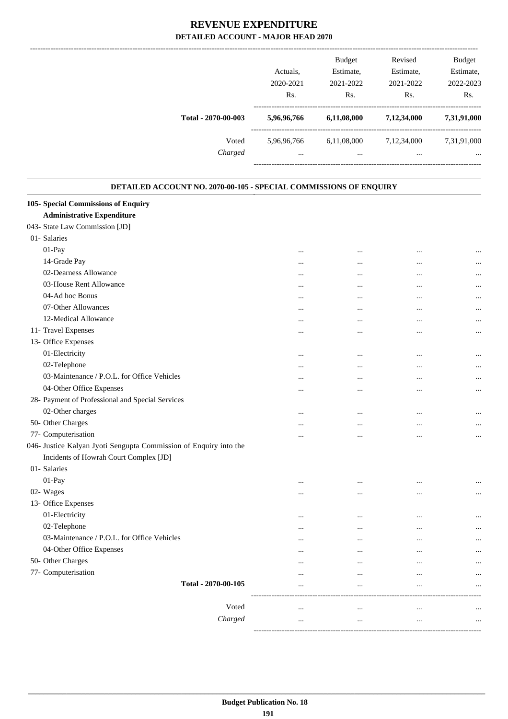|                                                                   | Actuals,<br>2020-2021<br>Rs. | <b>Budget</b><br>Estimate,<br>2021-2022<br>Rs. | Revised<br>Estimate,<br>2021-2022<br>Rs. | <b>Budget</b><br>Estimate,<br>2022-2023<br>Rs. |
|-------------------------------------------------------------------|------------------------------|------------------------------------------------|------------------------------------------|------------------------------------------------|
| Total - 2070-00-003                                               | 5,96,96,766                  | 6,11,08,000                                    | 7,12,34,000                              | 7,31,91,000                                    |
| Voted                                                             | 5,96,96,766                  | 6,11,08,000                                    | 7,12,34,000                              | 7,31,91,000                                    |
| Charged                                                           | $\cdots$                     | $\cdots$                                       | $\cdots$                                 |                                                |
|                                                                   |                              |                                                | ---------------------                    |                                                |
| DETAILED ACCOUNT NO. 2070-00-105 - SPECIAL COMMISSIONS OF ENQUIRY |                              |                                                |                                          |                                                |
| 105- Special Commissions of Enquiry                               |                              |                                                |                                          |                                                |
| <b>Administrative Expenditure</b>                                 |                              |                                                |                                          |                                                |
| 043- State Law Commission [JD]                                    |                              |                                                |                                          |                                                |
| 01- Salaries                                                      |                              |                                                |                                          |                                                |
| 01-Pay                                                            |                              |                                                |                                          |                                                |
| 14-Grade Pay                                                      |                              |                                                |                                          |                                                |
| 02-Dearness Allowance                                             |                              |                                                |                                          |                                                |
| 03-House Rent Allowance                                           |                              |                                                |                                          |                                                |
| 04-Ad hoc Bonus                                                   |                              |                                                |                                          |                                                |
| 07-Other Allowances                                               |                              |                                                |                                          |                                                |
| 12-Medical Allowance                                              |                              |                                                |                                          |                                                |
| 11- Travel Expenses                                               |                              |                                                |                                          | $\cdots$                                       |
| 13- Office Expenses                                               |                              |                                                |                                          |                                                |
| 01-Electricity                                                    |                              |                                                |                                          |                                                |
| 02-Telephone                                                      |                              |                                                |                                          | $\cdots$                                       |
| 03-Maintenance / P.O.L. for Office Vehicles                       |                              |                                                |                                          | $\cdots$                                       |
| 04-Other Office Expenses                                          |                              |                                                |                                          |                                                |
| 28- Payment of Professional and Special Services                  |                              |                                                |                                          |                                                |
| 02-Other charges                                                  |                              |                                                |                                          |                                                |
| 50- Other Charges                                                 | $\cdots$                     | $\cdots$                                       | $\cdots$                                 | $\ldots$                                       |
| 77- Computerisation                                               |                              |                                                |                                          |                                                |
| 046- Justice Kalyan Jyoti Sengupta Commission of Enquiry into the |                              |                                                |                                          |                                                |
| Incidents of Howrah Court Complex [JD]                            |                              |                                                |                                          |                                                |
| 01- Salaries                                                      |                              |                                                |                                          |                                                |
| 01-Pay                                                            |                              | $\cdots$                                       | $\cdots$                                 |                                                |
| 02- Wages                                                         |                              |                                                |                                          | $\cdots$                                       |
| 13- Office Expenses                                               |                              |                                                |                                          |                                                |
| 01-Electricity                                                    |                              | $\cdots$                                       | $\cdots$                                 |                                                |
| 02-Telephone                                                      |                              |                                                |                                          | $\cdots$                                       |
| 03-Maintenance / P.O.L. for Office Vehicles                       |                              | $\cdots$                                       | $\cdots$                                 | $\cdots$                                       |
| 04-Other Office Expenses                                          |                              |                                                |                                          |                                                |
| 50- Other Charges                                                 | $\cdots$                     |                                                |                                          |                                                |
| 77- Computerisation                                               | $\cdots$                     |                                                | $\cdots$                                 | $\cdots$                                       |
| Total - 2070-00-105                                               | $\cdots$                     | $\cdots$                                       | $\cdots$                                 | $\cdots$                                       |
|                                                                   | $\cdots$                     | $\cdots$                                       | $\ddotsc$                                | $\cdots$                                       |

------------------------------------------------------------------------------------------ Voted ... ... ... ... *Charged* ... ... ... ...

-----------------------------------------------------------------------------------------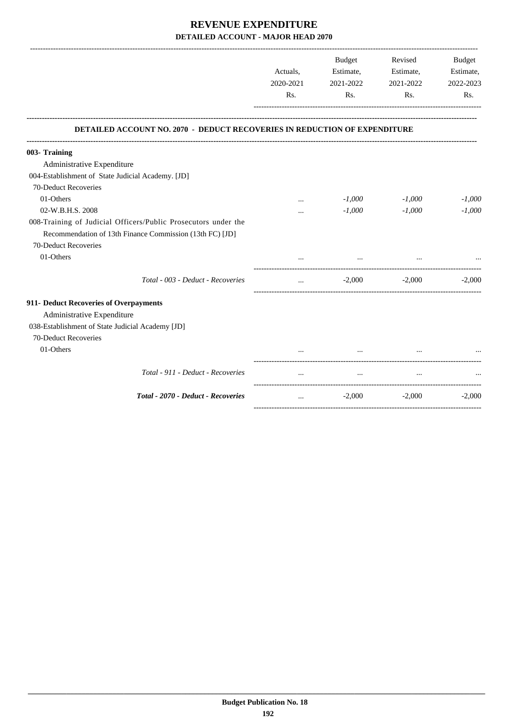|                                                                                                                                                    | Actuals,<br>2020-2021<br>Rs. | Budget<br>Estimate,<br>2021-2022<br>Rs. | Revised<br>Estimate,<br>2021-2022<br>Rs. | Budget<br>Estimate,<br>2022-2023<br>Rs. |
|----------------------------------------------------------------------------------------------------------------------------------------------------|------------------------------|-----------------------------------------|------------------------------------------|-----------------------------------------|
| <b>DETAILED ACCOUNT NO. 2070 - DEDUCT RECOVERIES IN REDUCTION OF EXPENDITURE</b>                                                                   |                              |                                         |                                          |                                         |
| 003- Training                                                                                                                                      |                              |                                         |                                          |                                         |
| Administrative Expenditure                                                                                                                         |                              |                                         |                                          |                                         |
| 004-Establishment of State Judicial Academy. [JD]                                                                                                  |                              |                                         |                                          |                                         |
| 70-Deduct Recoveries                                                                                                                               |                              |                                         |                                          |                                         |
| 01-Others                                                                                                                                          |                              | $-1,000$                                | $-1,000$                                 | $-1,000$                                |
| 02-W.B.H.S. 2008                                                                                                                                   | $\cdots$                     | $-1,000$                                | $-1,000$                                 | $-1,000$                                |
| 008-Training of Judicial Officers/Public Prosecutors under the<br>Recommendation of 13th Finance Commission (13th FC) [JD]<br>70-Deduct Recoveries |                              |                                         |                                          |                                         |
| 01-Others                                                                                                                                          |                              |                                         |                                          |                                         |
| Total - 003 - Deduct - Recoveries                                                                                                                  | $\cdots$                     | $-2,000$                                | $-2,000$                                 | $-2,000$                                |
| 911- Deduct Recoveries of Overpayments                                                                                                             |                              |                                         |                                          |                                         |
| Administrative Expenditure                                                                                                                         |                              |                                         |                                          |                                         |
| 038-Establishment of State Judicial Academy [JD]                                                                                                   |                              |                                         |                                          |                                         |
| 70-Deduct Recoveries                                                                                                                               |                              |                                         |                                          |                                         |
| 01-Others                                                                                                                                          |                              |                                         |                                          |                                         |
| Total - 911 - Deduct - Recoveries                                                                                                                  |                              |                                         |                                          |                                         |
| Total - 2070 - Deduct - Recoveries                                                                                                                 | $\cdots$                     | $-2,000$                                | $-2,000$                                 | $-2.000$                                |
|                                                                                                                                                    |                              |                                         |                                          |                                         |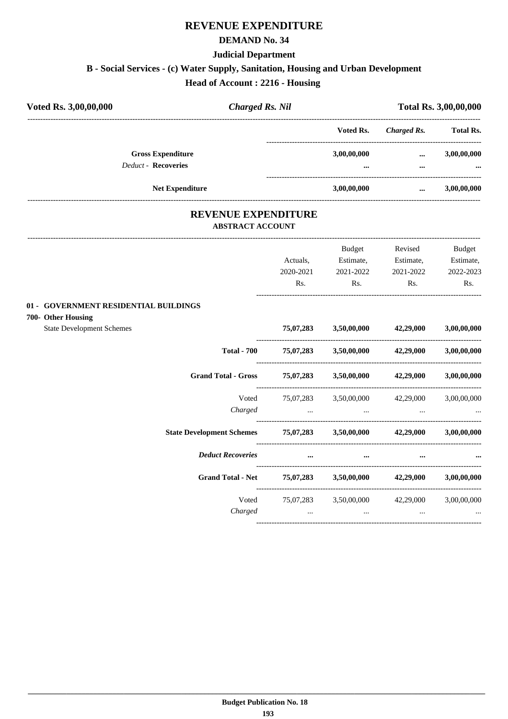#### **DEMAND No. 34**

#### **Judicial Department**

# **B - Social Services - (c) Water Supply, Sanitation, Housing and Urban Development**

**Head of Account : 2216 - Housing** 

| Voted Rs. 3,00,00,000                                  | <b>Charged Rs. Nil</b> |                         |                      | <b>Total Rs. 3,00,00,000</b> |
|--------------------------------------------------------|------------------------|-------------------------|----------------------|------------------------------|
|                                                        |                        | Voted Rs.               | Charged Rs.          | <b>Total Rs.</b>             |
| <b>Gross Expenditure</b><br><b>Deduct - Recoveries</b> |                        | 3,00,00,000<br>$\cdots$ | $\cdots$<br>$\cdots$ | 3,00,00,000<br>$\cdots$      |
| <b>Net Expenditure</b>                                 |                        | 3,00,00,000             |                      | 3,00,00,000                  |

# **REVENUE EXPENDITURE**

---------------------------------------------------------------------------------------------------------------------------------------------------------------------------------

### **ABSTRACT ACCOUNT**

|                                                                       |                                                                                                                                                                                                                                      | Budget                                                                                                          | Revised   | <b>Budget</b> |
|-----------------------------------------------------------------------|--------------------------------------------------------------------------------------------------------------------------------------------------------------------------------------------------------------------------------------|-----------------------------------------------------------------------------------------------------------------|-----------|---------------|
|                                                                       | Actuals,                                                                                                                                                                                                                             | Estimate,                                                                                                       | Estimate, | Estimate,     |
|                                                                       | 2020-2021                                                                                                                                                                                                                            | 2021-2022                                                                                                       | 2021-2022 | 2022-2023     |
|                                                                       | Rs.                                                                                                                                                                                                                                  | Rs.                                                                                                             | Rs.       | Rs.           |
| 01 - GOVERNMENT RESIDENTIAL BUILDINGS                                 |                                                                                                                                                                                                                                      |                                                                                                                 |           |               |
| 700- Other Housing                                                    |                                                                                                                                                                                                                                      |                                                                                                                 |           |               |
| <b>State Development Schemes</b>                                      |                                                                                                                                                                                                                                      | 75,07,283 3,50,00,000 42,29,000 3,00,00,000                                                                     |           |               |
|                                                                       |                                                                                                                                                                                                                                      | Total - 700 $75,07,283$ $3,50,00,000$ $42,29,000$ $3,00,00,000$                                                 |           |               |
| <b>Grand Total - Gross</b>                                            |                                                                                                                                                                                                                                      | $75,07,283$ $3,50,00,000$ $42,29,000$ $3,00,00,000$                                                             |           |               |
|                                                                       |                                                                                                                                                                                                                                      | Voted 75,07,283 3,50,00,000 42,29,000 3,00,00,000                                                               |           |               |
| Charged                                                               | <u>and the company of the company of the company of the company of the company of the company of the company of the company of the company of the company of the company of the company of the company of the company of the com</u> | the contract of the contract of the contract of the contract of the contract of the contract of the             |           |               |
| State Development Schemes 75,07,283 3,50,00,000 42,29,000 3,00,00,000 |                                                                                                                                                                                                                                      |                                                                                                                 |           |               |
| <b>Deduct Recoveries</b>                                              | $\cdots$                                                                                                                                                                                                                             |                                                                                                                 |           |               |
| <b>Grand Total - Net</b>                                              |                                                                                                                                                                                                                                      | 75,07,283 3,50,00,000 42,29,000 3,00,00,000                                                                     |           |               |
| Voted                                                                 |                                                                                                                                                                                                                                      | 75,07,283 3,50,00,000 42,29,000 3,00,00,000                                                                     |           |               |
| Charged                                                               |                                                                                                                                                                                                                                      | the contract of the contract of the contract of the contract of the contract of the contract of the contract of |           |               |
|                                                                       |                                                                                                                                                                                                                                      |                                                                                                                 |           |               |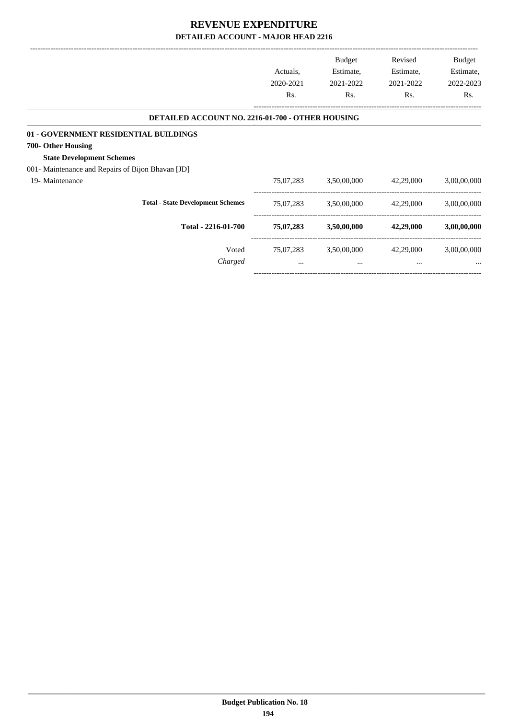|                                                   | Actuals,<br>2020-2021 | <b>Budget</b><br>Estimate,<br>2021-2022 | Revised<br>Estimate,<br>2021-2022 | Budget<br>Estimate,<br>2022-2023 |
|---------------------------------------------------|-----------------------|-----------------------------------------|-----------------------------------|----------------------------------|
|                                                   | Rs.                   | Rs.                                     | Rs.                               | Rs.                              |
| DETAILED ACCOUNT NO. 2216-01-700 - OTHER HOUSING  |                       |                                         |                                   |                                  |
| 01 - GOVERNMENT RESIDENTIAL BUILDINGS             |                       |                                         |                                   |                                  |
| 700- Other Housing                                |                       |                                         |                                   |                                  |
| <b>State Development Schemes</b>                  |                       |                                         |                                   |                                  |
| 001- Maintenance and Repairs of Bijon Bhavan [JD] |                       |                                         |                                   |                                  |
| 19- Maintenance                                   | 75,07,283             | 3,50,00,000                             | 42,29,000                         | 3,00,00,000                      |
| <b>Total - State Development Schemes</b>          | 75,07,283             | 3,50,00,000                             | 42,29,000                         | 3,00,00,000                      |
| Total - 2216-01-700                               | 75,07,283             | 3,50,00,000                             | 42,29,000                         | 3,00,00,000                      |
| Voted                                             | 75,07,283             | 3,50,00,000                             | 42,29,000                         | 3,00,00,000                      |
| Charged                                           | $\cdots$              | $\cdots$                                | $\cdots$                          |                                  |
|                                                   |                       |                                         |                                   |                                  |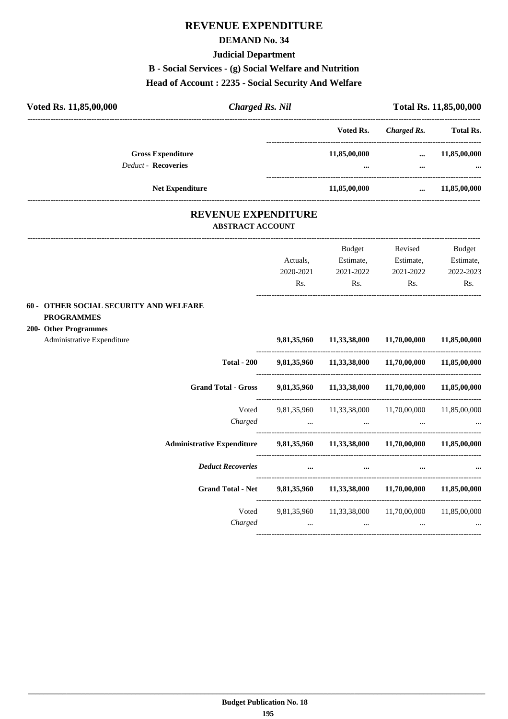### **DEMAND No. 34**

#### **Judicial Department**

### **B - Social Services - (g) Social Welfare and Nutrition**

#### **Head of Account : 2235 - Social Security And Welfare**

| Voted Rs. 11,85,00,000                                                        | <b>Charged Rs. Nil</b>            |                                                       |                       | Total Rs. 11,85,00,000 |
|-------------------------------------------------------------------------------|-----------------------------------|-------------------------------------------------------|-----------------------|------------------------|
|                                                                               |                                   | Voted Rs.                                             | <b>Charged Rs.</b>    | <b>Total Rs.</b>       |
| <b>Gross Expenditure</b>                                                      |                                   | 11,85,00,000                                          |                       | $\dots$ 11,85,00,000   |
| <b>Deduct - Recoveries</b>                                                    |                                   |                                                       | $\cdots$              |                        |
| <b>Net Expenditure</b>                                                        |                                   | 11,85,00,000                                          | $\ldots$ 11,85,00,000 |                        |
| <b>REVENUE EXPENDITURE</b><br><b>ABSTRACT ACCOUNT</b>                         |                                   |                                                       |                       |                        |
|                                                                               |                                   |                                                       | Budget Revised        | Budget                 |
|                                                                               | Actuals,                          | Estimate, Estimate, Estimate,                         |                       |                        |
|                                                                               |                                   | 2020-2021 2021-2022 2021-2022                         |                       | 2022-2023              |
|                                                                               | Rs.                               |                                                       | Rs.<br>Rs.            | Rs.                    |
| 60 - OTHER SOCIAL SECURITY AND WELFARE                                        |                                   |                                                       |                       |                        |
| <b>PROGRAMMES</b>                                                             |                                   |                                                       |                       |                        |
| 200- Other Programmes<br>Administrative Expenditure                           |                                   | 9,81,35,960 11,33,38,000 11,70,00,000 11,85,00,000    |                       |                        |
| <b>Total - 200</b>                                                            |                                   | 9,81,35,960  11,33,38,000  11,70,00,000  11,85,00,000 |                       |                        |
| <b>Grand Total - Gross</b>                                                    |                                   | 9,81,35,960 11,33,38,000 11,70,00,000 11,85,00,000    |                       |                        |
| Voted                                                                         |                                   | 9,81,35,960 11,33,38,000 11,70,00,000 11,85,00,000    |                       |                        |
| Charged                                                                       | <b>Contract Contract Contract</b> | $\cdots$                                              |                       |                        |
| Administrative Expenditure 9,81,35,960 11,33,38,000 11,70,00,000 11,85,00,000 |                                   |                                                       |                       |                        |
| <b>Deduct Recoveries</b>                                                      |                                   | $\cdots$<br>$\cdots$                                  |                       |                        |

Voted 9,81,35,960 11,33,38,000 11,70,00,000 11,85,00,000 *Charged ... ... ... ...*

----------------------------------------------------------------------------------------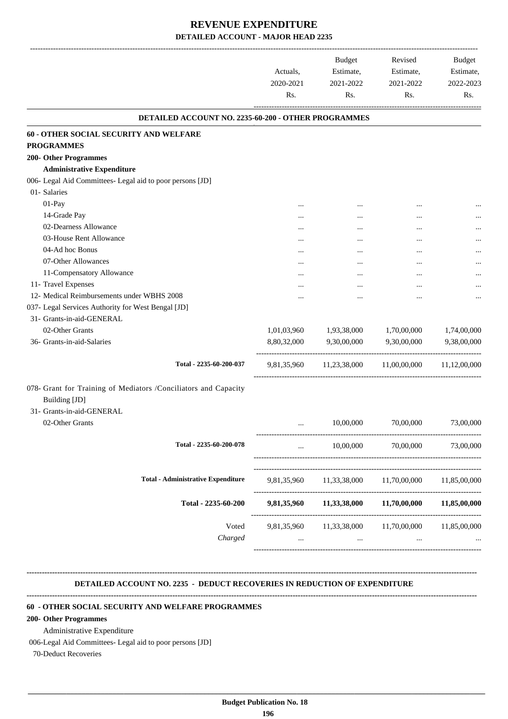|                                                                                  | Actuals,<br>2020-2021<br>Rs. | Budget<br>Estimate,<br>2021-2022<br>Rs. | Revised<br>Estimate,<br>2021-2022<br>Rs.          | Budget<br>Estimate,<br>2022-2023<br>Rs. |
|----------------------------------------------------------------------------------|------------------------------|-----------------------------------------|---------------------------------------------------|-----------------------------------------|
|                                                                                  |                              |                                         |                                                   |                                         |
| DETAILED ACCOUNT NO. 2235-60-200 - OTHER PROGRAMMES                              |                              |                                         |                                                   |                                         |
| <b>60 - OTHER SOCIAL SECURITY AND WELFARE</b>                                    |                              |                                         |                                                   |                                         |
| <b>PROGRAMMES</b>                                                                |                              |                                         |                                                   |                                         |
| <b>200- Other Programmes</b>                                                     |                              |                                         |                                                   |                                         |
| <b>Administrative Expenditure</b>                                                |                              |                                         |                                                   |                                         |
| 006- Legal Aid Committees- Legal aid to poor persons [JD]                        |                              |                                         |                                                   |                                         |
| 01- Salaries                                                                     |                              |                                         |                                                   |                                         |
| 01-Pay                                                                           |                              |                                         |                                                   |                                         |
| 14-Grade Pay                                                                     |                              | $\cdots$                                | $\cdots$                                          |                                         |
| 02-Dearness Allowance                                                            |                              | $\ddotsc$                               |                                                   |                                         |
| 03-House Rent Allowance                                                          |                              | $\cdots$                                | $\cdots$                                          |                                         |
| 04-Ad hoc Bonus                                                                  | $\cdots$                     |                                         | $\ddotsc$                                         |                                         |
| 07-Other Allowances                                                              | $\cdots$                     |                                         |                                                   | $\cdots$                                |
| 11-Compensatory Allowance                                                        | $\cdots$                     | $\ddotsc$                               | $\cdots$                                          |                                         |
| 11- Travel Expenses                                                              | $\cdots$                     | $\ddotsc$                               | $\cdots$                                          |                                         |
| 12- Medical Reimbursements under WBHS 2008                                       |                              | $\cdots$                                | $\cdots$                                          |                                         |
| 037- Legal Services Authority for West Bengal [JD]                               |                              |                                         |                                                   |                                         |
| 31- Grants-in-aid-GENERAL                                                        |                              |                                         |                                                   |                                         |
| 02-Other Grants                                                                  | 1,01,03,960                  | 1,93,38,000                             | 1,70,00,000                                       | 1,74,00,000                             |
| 36- Grants-in-aid-Salaries                                                       | 8,80,32,000                  | 9,30,00,000                             | 9,30,00,000                                       | 9,38,00,000                             |
| Total - 2235-60-200-037                                                          |                              |                                         | 9,81,35,960 11,23,38,000 11,00,00,000             | 11,12,00,000                            |
| 078- Grant for Training of Mediators /Conciliators and Capacity<br>Building [JD] |                              |                                         |                                                   |                                         |
| 31- Grants-in-aid-GENERAL                                                        |                              |                                         |                                                   |                                         |
| 02-Other Grants                                                                  | $\ddotsc$                    | 10,00,000                               | 70,00,000                                         | 73,00,000                               |
| Total - 2235-60-200-078                                                          | $\cdots$                     | 10,00,000                               | 70,00,000                                         | 73,00,000                               |
| <b>Total - Administrative Expenditure</b>                                        | 9,81,35,960                  | 11,33,38,000                            | 11,70,00,000                                      | 11,85,00,000                            |
|                                                                                  |                              |                                         |                                                   |                                         |
| Total - 2235-60-200                                                              | 9,81,35,960                  | 11,33,38,000                            | 11,70,00,000                                      | 11,85,00,000                            |
| Voted<br>Charged                                                                 |                              | $\cdots$                                | 9,81,35,960 11,33,38,000 11,70,00,000<br>$\cdots$ | 11,85,00,000                            |

#### **DETAILED ACCOUNT NO. 2235 - DEDUCT RECOVERIES IN REDUCTION OF EXPENDITURE**

**--------------------------------------------------------------------------------------------------------------------------------------------------------------------------------**

**--------------------------------------------------------------------------------------------------------------------------------------------------------------------------------**

### **60 - OTHER SOCIAL SECURITY AND WELFARE PROGRAMMES**

#### **200- Other Programmes**

Administrative Expenditure

006-Legal Aid Committees- Legal aid to poor persons [JD]

70-Deduct Recoveries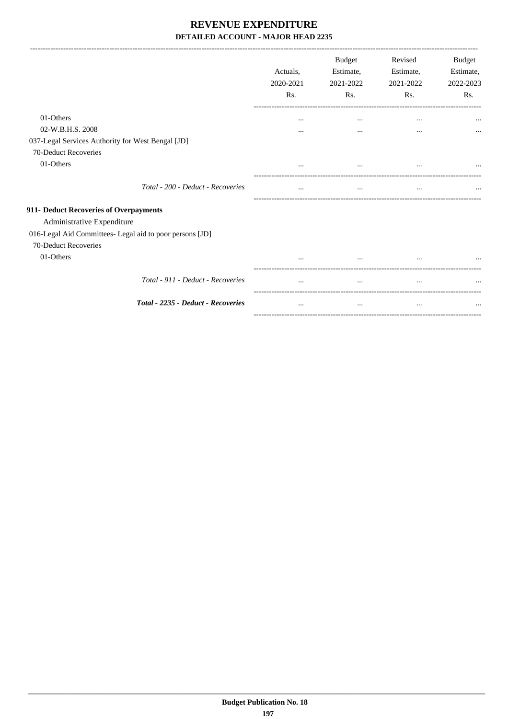-------------------------------------------------------------------------------------------------------------------------------------------------------------------------------

|                                                          | Actuals,<br>2020-2021<br>Rs. | <b>Budget</b><br>Estimate,<br>2021-2022<br>Rs. | Revised<br>Estimate,<br>2021-2022<br>Rs. | <b>Budget</b><br>Estimate,<br>2022-2023<br>Rs. |
|----------------------------------------------------------|------------------------------|------------------------------------------------|------------------------------------------|------------------------------------------------|
| 01-Others                                                | $\cdots$                     | $\cdots$                                       | $\cdots$                                 |                                                |
| 02-W.B.H.S. 2008                                         | $\cdots$                     | $\cdots$                                       | $\cdots$                                 | $\cdots$                                       |
| 037-Legal Services Authority for West Bengal [JD]        |                              |                                                |                                          |                                                |
| 70-Deduct Recoveries                                     |                              |                                                |                                          |                                                |
| 01-Others                                                | $\cdots$                     | $\cdots$                                       | $\cdots$                                 |                                                |
| Total - 200 - Deduct - Recoveries                        | $\cdots$                     | $\cdots$                                       | $\cdots$                                 |                                                |
| 911- Deduct Recoveries of Overpayments                   |                              |                                                |                                          |                                                |
| Administrative Expenditure                               |                              |                                                |                                          |                                                |
| 016-Legal Aid Committees- Legal aid to poor persons [JD] |                              |                                                |                                          |                                                |
| 70-Deduct Recoveries                                     |                              |                                                |                                          |                                                |
| 01-Others                                                |                              | $\cdots$                                       | $\cdots$                                 |                                                |
| Total - 911 - Deduct - Recoveries                        |                              |                                                | $\cdots$                                 |                                                |
| Total - 2235 - Deduct - Recoveries                       | $\cdots$                     | $\cdots$                                       | $\cdots$                                 |                                                |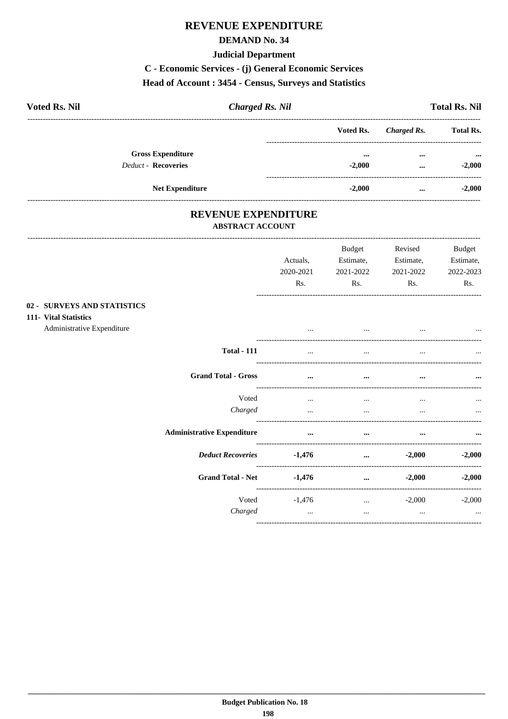#### **DEMAND No. 34**

#### **Judicial Department**

# C - Economic Services - (j) General Economic Services

#### Head of Account: 3454 - Census, Surveys and Statistics

| <b>Voted Rs. Nil</b>                                   | <b>Charged Rs. Nil</b> |                      | <b>Total Rs. Nil</b>                  |
|--------------------------------------------------------|------------------------|----------------------|---------------------------------------|
|                                                        | Voted Rs.              | Charged Rs.          | <b>Total Rs.</b>                      |
| <b>Gross Expenditure</b><br><b>Deduct - Recoveries</b> | $\cdots$<br>$-2,000$   | $\cdots$<br>$\cdots$ | $\bullet \bullet \bullet$<br>$-2,000$ |
| <b>Net Expenditure</b>                                 | $-2,000$               | $\cdots$             | $-2,000$                              |

### REVENUE EXPENDITURE **ABSTRACT ACCOUNT**

 $02 111-$ 

|                                                                                        |                                   | Actuals,<br>2020-2021<br>Rs. | Budget<br>Estimate,<br>2021-2022<br>Rs. | Revised<br>Estimate,<br>2021-2022<br>Rs. | Budget<br>Estimate,<br>2022-2023<br>Rs. |
|----------------------------------------------------------------------------------------|-----------------------------------|------------------------------|-----------------------------------------|------------------------------------------|-----------------------------------------|
| <b>SURVEYS AND STATISTICS</b><br><b>Vital Statistics</b><br>Administrative Expenditure |                                   | $\cdots$                     | $\cdots$                                | the contract of the contract of the      |                                         |
|                                                                                        | <b>Total - 111</b>                | $\cdots$                     | $\cdots$                                | $\cdots$                                 |                                         |
|                                                                                        | <b>Grand Total - Gross</b>        | $\cdots$                     | $\cdots$                                | $\cdots$                                 |                                         |
|                                                                                        | Voted<br>Charged                  | $\cdots$<br>$\cdots$         | $\cdots$<br>$\cdots$                    | $\cdots$<br>$\cdots$                     |                                         |
|                                                                                        | <b>Administrative Expenditure</b> | $\cdots$                     | $\cdots$                                | $\cdots$                                 |                                         |
|                                                                                        | <b>Deduct Recoveries</b>          | $-1,476$                     | $\cdots$                                | $-2,000$                                 | $-2,000$                                |
|                                                                                        | <b>Grand Total - Net</b>          | $-1,476$                     | $\cdots$                                | $-2,000$                                 | $-2,000$                                |
|                                                                                        | Voted<br>Charged                  | $-1,476$<br>$\cdots$         | $\cdots$<br>$\cdots$                    | $-2,000$<br>$\cdots$                     | $-2,000$<br>$\cdots$                    |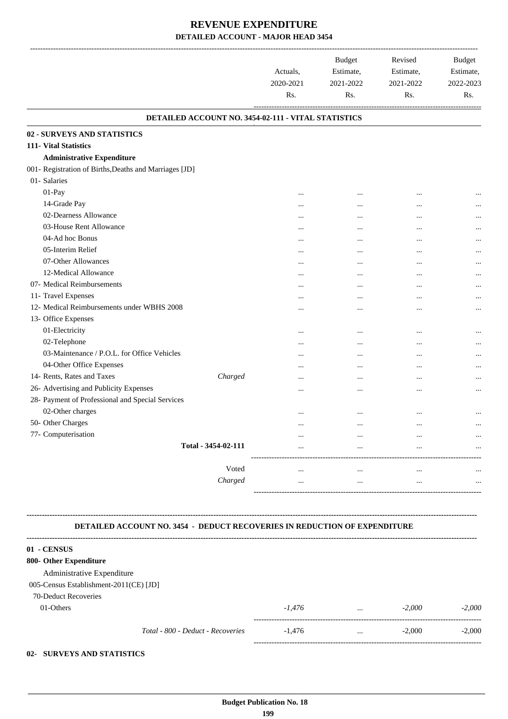|                                                                                  | Actuals,<br>2020-2021<br>Rs.                        | <b>Budget</b><br>Estimate,<br>2021-2022<br>Rs. | Revised<br>Estimate,<br>2021-2022<br>Rs. | Budget<br>Estimate,<br>2022-2023<br>Rs. |
|----------------------------------------------------------------------------------|-----------------------------------------------------|------------------------------------------------|------------------------------------------|-----------------------------------------|
|                                                                                  | DETAILED ACCOUNT NO. 3454-02-111 - VITAL STATISTICS |                                                |                                          |                                         |
| 02 - SURVEYS AND STATISTICS                                                      |                                                     |                                                |                                          |                                         |
| 111- Vital Statistics                                                            |                                                     |                                                |                                          |                                         |
| <b>Administrative Expenditure</b>                                                |                                                     |                                                |                                          |                                         |
| 001- Registration of Births, Deaths and Marriages [JD]                           |                                                     |                                                |                                          |                                         |
| 01- Salaries                                                                     |                                                     |                                                |                                          |                                         |
| 01-Pay                                                                           |                                                     |                                                | $\cdots$                                 | $\cdots$                                |
| 14-Grade Pay                                                                     |                                                     | $\cdots$                                       |                                          |                                         |
| 02-Dearness Allowance                                                            |                                                     | $\cdots$                                       | $\cdots$                                 |                                         |
| 03-House Rent Allowance                                                          |                                                     | $\cdots$                                       |                                          |                                         |
| 04-Ad hoc Bonus                                                                  |                                                     | $\cdots$                                       |                                          |                                         |
| 05-Interim Relief                                                                | $\cdots$                                            | $\cdots$                                       |                                          |                                         |
| 07-Other Allowances                                                              | $\cdots$                                            | $\cdots$                                       | $\cdots$                                 |                                         |
| 12-Medical Allowance                                                             |                                                     | $\cdots$                                       |                                          |                                         |
| 07- Medical Reimbursements                                                       | $\cdots$                                            | $\cdots$                                       | $\cdots$                                 |                                         |
| 11- Travel Expenses                                                              |                                                     | $\cdots$                                       |                                          |                                         |
| 12- Medical Reimbursements under WBHS 2008                                       |                                                     | $\cdots$                                       | $\cdots$                                 |                                         |
| 13- Office Expenses                                                              |                                                     |                                                |                                          |                                         |
| 01-Electricity<br>02-Telephone                                                   | $\cdots$                                            | $\cdots$                                       |                                          | $\cdots$                                |
| 03-Maintenance / P.O.L. for Office Vehicles                                      |                                                     |                                                |                                          |                                         |
| 04-Other Office Expenses                                                         | $\cdots$                                            | $\cdots$                                       |                                          |                                         |
| 14- Rents, Rates and Taxes                                                       | <br>Charged                                         | $\cdots$                                       |                                          |                                         |
| 26- Advertising and Publicity Expenses                                           |                                                     | $\cdots$                                       | $\cdots$                                 |                                         |
| 28- Payment of Professional and Special Services                                 |                                                     | $\cdots$                                       |                                          |                                         |
| 02-Other charges                                                                 |                                                     |                                                |                                          |                                         |
| 50- Other Charges                                                                |                                                     |                                                |                                          |                                         |
| 77- Computerisation                                                              |                                                     |                                                |                                          | $\cdots$                                |
| Total - 3454-02-111                                                              |                                                     |                                                |                                          |                                         |
|                                                                                  |                                                     |                                                |                                          |                                         |
|                                                                                  | Voted<br>$\cdots$                                   | $\cdots$                                       | $\cdots$                                 |                                         |
|                                                                                  | Charged<br>$\cdots$                                 | $\cdots$                                       | $\ldots$                                 |                                         |
|                                                                                  |                                                     |                                                |                                          |                                         |
|                                                                                  |                                                     |                                                |                                          |                                         |
|                                                                                  |                                                     |                                                |                                          |                                         |
| <b>DETAILED ACCOUNT NO. 3454 - DEDUCT RECOVERIES IN REDUCTION OF EXPENDITURE</b> |                                                     |                                                |                                          |                                         |
|                                                                                  |                                                     |                                                |                                          |                                         |
| 01 - CENSUS<br>800- Other Expenditure                                            |                                                     |                                                |                                          |                                         |
|                                                                                  |                                                     |                                                |                                          |                                         |
| Administrative Expenditure                                                       |                                                     |                                                |                                          |                                         |
| 005-Census Establishment-2011(CE) [JD]<br>70-Deduct Recoveries                   |                                                     |                                                |                                          |                                         |
| 01-Others                                                                        | $-1,476$                                            |                                                | $-2,000$                                 | $-2,000$                                |
|                                                                                  |                                                     | $\cdots$                                       |                                          |                                         |

*Total - 800 - Deduct - Recoveries* -1,476 ... -2,000 -2,000 -----------------------------------------------------------------------------------------

#### **02- SURVEYS AND STATISTICS**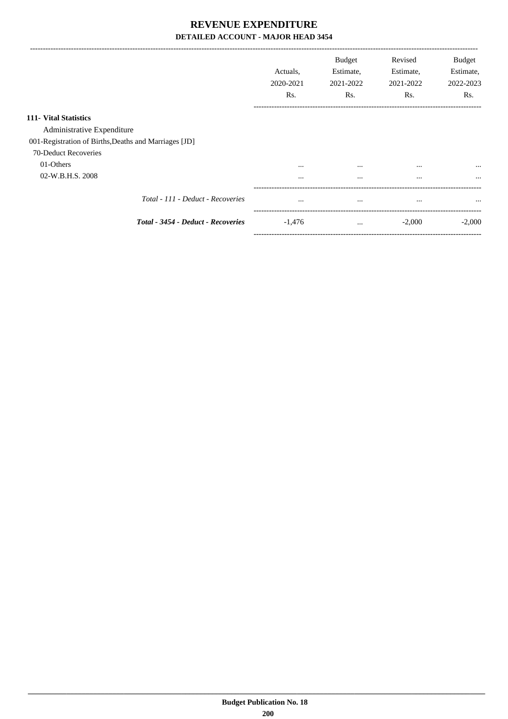|                                                       | Actuals.<br>2020-2021<br>Rs. | <b>Budget</b><br>Estimate,<br>2021-2022<br>Rs. | Revised<br>Estimate,<br>2021-2022<br>Rs. | <b>Budget</b><br>Estimate,<br>2022-2023<br>Rs. |
|-------------------------------------------------------|------------------------------|------------------------------------------------|------------------------------------------|------------------------------------------------|
| 111 Vital Statistics                                  |                              |                                                |                                          |                                                |
| Administrative Expenditure                            |                              |                                                |                                          |                                                |
| 001-Registration of Births, Deaths and Marriages [JD] |                              |                                                |                                          |                                                |
| 70-Deduct Recoveries                                  |                              |                                                |                                          |                                                |
| 01-Others                                             | $\cdots$                     | $\cdots$                                       | $\cdots$                                 | $\cdots$                                       |
| 02-W.B.H.S. 2008                                      | $\cdots$                     | $\cdots$                                       | $\cdots$                                 | $\cdots$                                       |
| Total - 111 - Deduct - Recoveries                     | $\cdots$                     | $\cdots$                                       | $\cdots$                                 | $\cdots$                                       |
| Total - 3454 - Deduct - Recoveries                    | $-1,476$                     | $\cdots$                                       | $-2,000$                                 | $-2,000$                                       |

-----------------------------------------------------------------------------------------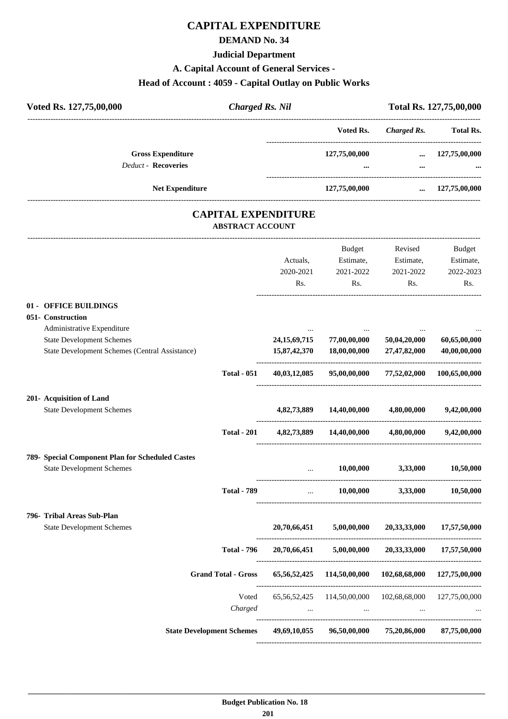# **CAPITAL EXPENDITURE**

### **DEMAND No. 34**

#### **Judicial Department**

#### **A. Capital Account of General Services -**

# **Head of Account : 4059 - Capital Outlay on Public Works**

| Voted Rs. 127,75,00,000                                    | <b>Charged Rs. Nil</b>                                |               |                    | Total Rs. 127,75,00,000 |
|------------------------------------------------------------|-------------------------------------------------------|---------------|--------------------|-------------------------|
|                                                            |                                                       | Voted Rs.     | <b>Charged Rs.</b> | <b>Total Rs.</b>        |
| <b>Gross Expenditure</b>                                   |                                                       | 127,75,00,000 | $\cdots$           | 127,75,00,000           |
| <b>Deduct - Recoveries</b>                                 |                                                       | $\cdots$      |                    |                         |
|                                                            | <b>Net Expenditure</b>                                | 127,75,00,000 | $\cdots$           | 127,75,00,000           |
|                                                            | <b>CAPITAL EXPENDITURE</b><br><b>ABSTRACT ACCOUNT</b> |               |                    |                         |
|                                                            |                                                       | <b>Budget</b> | Revised            | Budget                  |
|                                                            | Actuals,                                              | Estimate,     | Estimate,          | Estimate,               |
|                                                            | 2020-2021                                             | 2021-2022     | 2021-2022          | 2022-2023               |
|                                                            | Rs.                                                   | Rs.           | Rs.                | Rs.                     |
| 01 - OFFICE BUILDINGS                                      |                                                       |               |                    |                         |
| $0.51$ $C_{2}$ $\rightarrow$ $C_{3}$ $\rightarrow$ $C_{4}$ |                                                       |               |                    |                         |

|                                                  |                    | Actuals,<br>2020-2021<br>Rs. | <b>Budget</b><br>Estimate,<br>2021-2022<br>Rs.                                                                                    | Revised<br>Estimate,<br>2021-2022<br>Rs. | <b>Budget</b><br>Estimate,<br>2022-2023<br>Rs. |
|--------------------------------------------------|--------------------|------------------------------|-----------------------------------------------------------------------------------------------------------------------------------|------------------------------------------|------------------------------------------------|
| 01 - OFFICE BUILDINGS                            |                    |                              |                                                                                                                                   |                                          |                                                |
| 051- Construction                                |                    |                              |                                                                                                                                   |                                          |                                                |
| Administrative Expenditure                       |                    |                              |                                                                                                                                   |                                          |                                                |
| <b>State Development Schemes</b>                 |                    | 24, 15, 69, 715              | 77,00,00,000                                                                                                                      | 50,04,20,000                             | 60,65,00,000                                   |
| State Development Schemes (Central Assistance)   |                    | 15,87,42,370                 | 18,00,00,000                                                                                                                      | 27,47,82,000                             | 40,00,00,000                                   |
|                                                  | <b>Total - 051</b> | 40,03,12,085                 |                                                                                                                                   | 95,00,00,000 77,52,02,000                | 100,65,00,000                                  |
| 201- Acquisition of Land                         |                    |                              |                                                                                                                                   |                                          |                                                |
| <b>State Development Schemes</b>                 |                    | 4,82,73,889                  | 14,40,00,000                                                                                                                      | 4,80,00,000                              | 9,42,00,000                                    |
|                                                  | <b>Total - 201</b> |                              | 4,82,73,889 14,40,00,000                                                                                                          | 4,80,00,000                              | 9,42,00,000                                    |
| 789- Special Component Plan for Scheduled Castes |                    |                              |                                                                                                                                   |                                          |                                                |
| <b>State Development Schemes</b>                 |                    | $\mathbf{r}$                 | 10,00,000                                                                                                                         | 3,33,000                                 | 10,50,000                                      |
|                                                  | <b>Total - 789</b> |                              | $\mathbf{1}_{\mathbf{1}_{\mathbf{2}}\mathbf{1}_{\mathbf{3}}\mathbf{2}_{\mathbf{4}}\mathbf{3}_{\mathbf{5}}\mathbf{4}_{\mathbf{6}}$ | $10,00,000$ $3,33,000$                   | 10,50,000                                      |
| 796- Tribal Areas Sub-Plan                       |                    |                              |                                                                                                                                   |                                          |                                                |
| <b>State Development Schemes</b>                 |                    |                              | $20,70,66,451$ $5,00,00,000$                                                                                                      | 20,33,33,000                             | 17,57,50,000                                   |
|                                                  | <b>Total - 796</b> |                              | 20,70,66,451 5,00,00,000                                                                                                          | 20,33,33,000                             | 17,57,50,000                                   |
| <b>Grand Total - Gross</b>                       |                    |                              | 65,56,52,425 114,50,00,000 102,68,68,000 127,75,00,000                                                                            |                                          |                                                |
|                                                  | Voted              |                              | 65,56,52,425 114,50,00,000 102,68,68,000 127,75,00,000                                                                            |                                          |                                                |
|                                                  | Charged            |                              | $\ddots$                                                                                                                          |                                          |                                                |
| <b>State Development Schemes</b>                 |                    |                              | 49,69,10,055 96,50,00,000 75,20,86,000 87,75,00,000                                                                               |                                          |                                                |
|                                                  |                    |                              |                                                                                                                                   |                                          |                                                |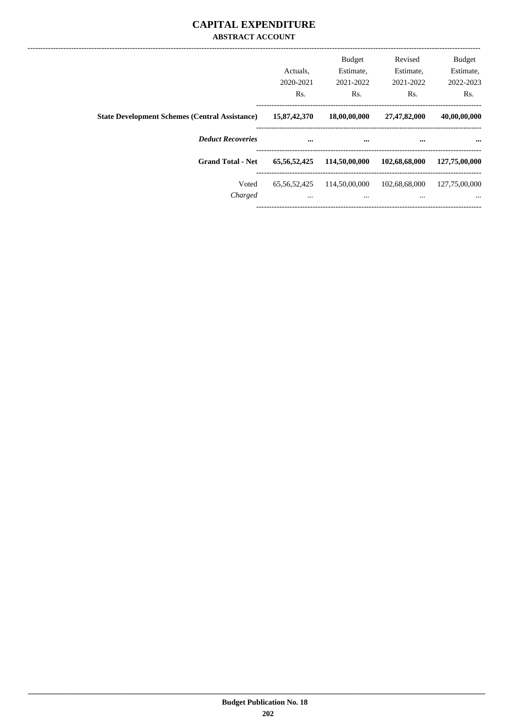### **CAPITAL EXPENDITURE ABSTRACT ACCOUNT**

|                                                       | Actuals.<br>2020-2021<br>Rs. | <b>Budget</b><br>Estimate,<br>2021-2022<br>Rs. | Revised<br>Estimate,<br>2021-2022<br>Rs. | <b>Budget</b><br>Estimate,<br>2022-2023<br>Rs. |
|-------------------------------------------------------|------------------------------|------------------------------------------------|------------------------------------------|------------------------------------------------|
| <b>State Development Schemes (Central Assistance)</b> | 15,87,42,370                 | 18,00,00,000                                   | 27,47,82,000                             | 40,00,00,000                                   |
| <b>Deduct Recoveries</b>                              | $\cdots$                     | $\cdots$                                       | $\cdots$                                 | $\cdots$                                       |
| <b>Grand Total - Net</b>                              | 65, 56, 52, 425              | 114,50,00,000                                  | 102,68,68,000                            | 127,75,00,000                                  |
| Voted<br>Charged                                      | 65, 56, 52, 425<br>$\cdots$  | 114,50,00,000<br>$\cdots$                      | 102,68,68,000<br>$\cdots$                | 127,75,00,000<br>$\cdots$                      |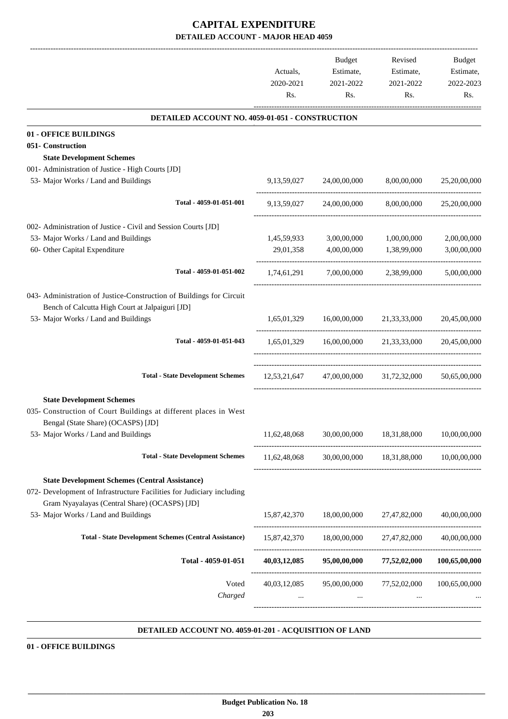|                                                                                                                                | Actuals,       | Budget<br>Estimate,                          | Revised<br>Estimate,    | <b>Budget</b><br>Estimate, |
|--------------------------------------------------------------------------------------------------------------------------------|----------------|----------------------------------------------|-------------------------|----------------------------|
|                                                                                                                                | 2020-2021      | 2021-2022                                    | 2021-2022               | 2022-2023                  |
|                                                                                                                                | Rs.            | Rs.                                          | Rs.                     | Rs.                        |
| DETAILED ACCOUNT NO. 4059-01-051 - CONSTRUCTION                                                                                |                |                                              |                         |                            |
| 01 - OFFICE BUILDINGS                                                                                                          |                |                                              |                         |                            |
| 051- Construction                                                                                                              |                |                                              |                         |                            |
| <b>State Development Schemes</b>                                                                                               |                |                                              |                         |                            |
| 001- Administration of Justice - High Courts [JD]                                                                              |                |                                              |                         |                            |
| 53- Major Works / Land and Buildings                                                                                           | 9, 13, 59, 027 | 24,00,00,000                                 | 8,00,00,000             | 25,20,00,000               |
| Total - 4059-01-051-001                                                                                                        | 9,13,59,027    | 24,00,00,000                                 | 8,00,00,000             | 25,20,00,000               |
| 002- Administration of Justice - Civil and Session Courts [JD]                                                                 |                |                                              |                         |                            |
| 53- Major Works / Land and Buildings                                                                                           | 1,45,59,933    | 3,00,00,000                                  | 1,00,00,000             | 2,00,00,000                |
| 60- Other Capital Expenditure                                                                                                  | 29,01,358      | 4,00,00,000                                  | 1,38,99,000             | 3,00,00,000                |
| Total - 4059-01-051-002                                                                                                        | 1,74,61,291    |                                              | 7.00.00.000 2.38.99.000 | 5,00,00,000                |
| 043- Administration of Justice-Construction of Buildings for Circuit                                                           |                |                                              |                         |                            |
| Bench of Calcutta High Court at Jalpaiguri [JD]                                                                                |                |                                              |                         |                            |
| 53- Major Works / Land and Buildings                                                                                           |                | 1,65,01,329 16,00,00,000 21,33,33,000        |                         | 20,45,00,000               |
| Total - 4059-01-051-043                                                                                                        |                | 1,65,01,329 16,00,00,000 21,33,33,000        |                         | 20,45,00,000               |
| <b>Total - State Development Schemes</b>                                                                                       |                | $12,53,21,647$ $47,00,00,000$ $31,72,32,000$ |                         | 50.65.00.000               |
|                                                                                                                                |                |                                              |                         |                            |
| <b>State Development Schemes</b><br>035- Construction of Court Buildings at different places in West                           |                |                                              |                         |                            |
| Bengal (State Share) (OCASPS) [JD]                                                                                             |                |                                              |                         |                            |
| 53- Major Works / Land and Buildings                                                                                           | 11,62,48,068   | 30,00,00,000                                 | 18,31,88,000            | 10,00,00,000               |
| <b>Total - State Development Schemes</b>                                                                                       | 11,62,48,068   | 30,00,00,000                                 | 18,31,88,000            | 10.00.00.000               |
| <b>State Development Schemes (Central Assistance)</b><br>072- Development of Infrastructure Facilities for Judiciary including |                |                                              |                         |                            |
| Gram Nyayalayas (Central Share) (OCASPS) [JD]<br>53- Major Works / Land and Buildings                                          | 15,87,42,370   | 18,00,00,000                                 | 27,47,82,000            | 40,00,00,000               |
| <b>Total - State Development Schemes (Central Assistance)</b>                                                                  | 15,87,42,370   | 18,00,00,000                                 | 27,47,82,000            | 40,00,00,000               |
| Total - 4059-01-051                                                                                                            | 40,03,12,085   | 95,00,00,000                                 | 77,52,02,000            | 100,65,00,000              |
| Voted<br>Charged                                                                                                               | 40,03,12,085   | 95,00,00,000                                 | 77,52,02,000            | 100,65,00,000              |
|                                                                                                                                |                |                                              |                         |                            |

#### **DETAILED ACCOUNT NO. 4059-01-201 - ACQUISITION OF LAND .**

#### **01 - OFFICE BUILDINGS**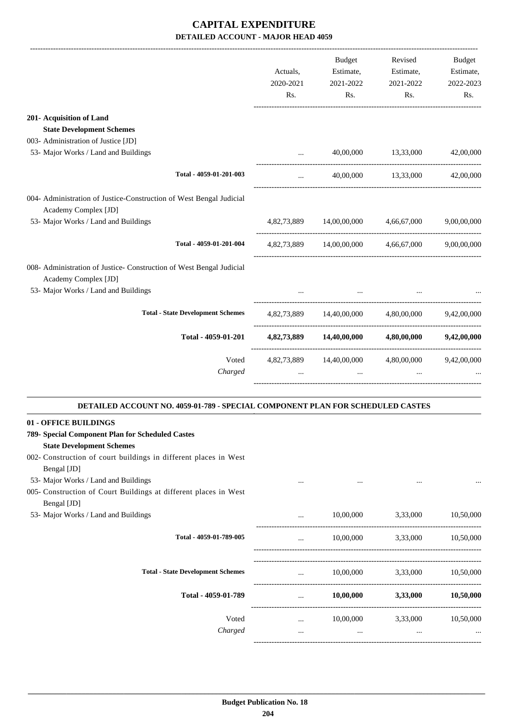|                                                                                                                                                                                                  | Actuals,<br>2020-2021<br>Rs. | Budget<br>Estimate,<br>2021-2022<br>Rs. | Revised<br>Estimate,<br>2021-2022<br>Rs. | <b>Budget</b><br>Estimate,<br>2022-2023<br>Rs. |
|--------------------------------------------------------------------------------------------------------------------------------------------------------------------------------------------------|------------------------------|-----------------------------------------|------------------------------------------|------------------------------------------------|
| 201- Acquisition of Land                                                                                                                                                                         |                              |                                         |                                          |                                                |
| <b>State Development Schemes</b>                                                                                                                                                                 |                              |                                         |                                          |                                                |
| 003- Administration of Justice [JD]<br>53- Major Works / Land and Buildings                                                                                                                      |                              | 40,00,000                               | 13,33,000                                | 42,00,000                                      |
|                                                                                                                                                                                                  |                              |                                         |                                          |                                                |
| Total - 4059-01-201-003                                                                                                                                                                          | $\cdots$                     | 40,00,000                               | 13,33,000                                | 42,00,000                                      |
| 004- Administration of Justice-Construction of West Bengal Judicial<br>Academy Complex [JD]                                                                                                      |                              |                                         |                                          |                                                |
| 53- Major Works / Land and Buildings                                                                                                                                                             | 4,82,73,889                  | 14,00,00,000                            | 4.66.67.000                              | 9,00,00,000                                    |
| Total - 4059-01-201-004                                                                                                                                                                          |                              | 4,82,73,889 14,00,00,000                | 4,66,67,000                              | 9,00,00,000                                    |
| 008- Administration of Justice- Construction of West Bengal Judicial<br>Academy Complex [JD]                                                                                                     |                              |                                         |                                          |                                                |
| 53- Major Works / Land and Buildings                                                                                                                                                             |                              |                                         |                                          |                                                |
| <b>Total - State Development Schemes</b>                                                                                                                                                         | 4,82,73,889                  | 14,40,00,000                            | 4,80,00,000                              | 9,42,00,000                                    |
| Total - 4059-01-201                                                                                                                                                                              | 4,82,73,889                  | 14,40,00,000                            | 4,80,00,000                              | 9,42,00,000                                    |
| Voted<br>Charged                                                                                                                                                                                 | 4,82,73,889                  | 14,40,00,000                            | 4,80,00,000                              | 9,42,00,000                                    |
| DETAILED ACCOUNT NO. 4059-01-789 - SPECIAL COMPONENT PLAN FOR SCHEDULED CASTES                                                                                                                   |                              |                                         |                                          |                                                |
| 01 - OFFICE BUILDINGS<br>789- Special Component Plan for Scheduled Castes<br><b>State Development Schemes</b><br>002- Construction of court buildings in different places in West<br>Bengal [JD] |                              |                                         |                                          |                                                |
| 53- Major Works / Land and Buildings<br>005- Construction of Court Buildings at different places in West<br>Bengal [JD]                                                                          | $\cdots$                     | $\cdots$                                | $\cdots$                                 |                                                |
| 53- Major Works / Land and Buildings                                                                                                                                                             |                              | 10,00,000                               | 3,33,000                                 | 10,50,000                                      |
| Total - 4059-01-789-005                                                                                                                                                                          | $\cdots$                     | 10,00,000                               | 3,33,000                                 | 10,50,000                                      |
| <b>Total - State Development Schemes</b>                                                                                                                                                         | $\cdots$                     | 10,00,000                               | 3,33,000                                 | 10,50,000                                      |
| Total - 4059-01-789                                                                                                                                                                              | $\cdots$                     | 10,00,000                               | 3,33,000                                 | 10,50,000                                      |
| Voted                                                                                                                                                                                            | $\cdots$                     | 10,00,000                               | 3,33,000                                 | 10,50,000                                      |

*Charged* ... ... ... ...

-----------------------------------------------------------------------------------------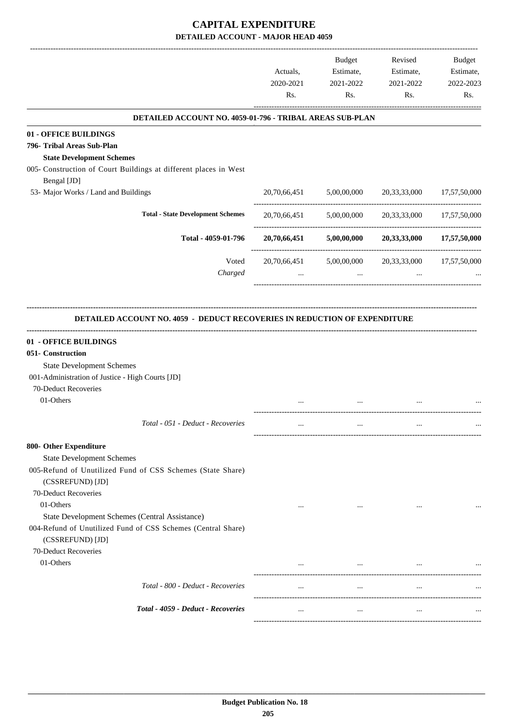|                                                                                                                                                                                   | Actuals,<br>2020-2021<br>Rs. | Budget<br>Estimate,<br>2021-2022<br>Rs. | Revised<br>Estimate,<br>2021-2022<br>Rs. | <b>Budget</b><br>Estimate,<br>2022-2023<br>Rs. |
|-----------------------------------------------------------------------------------------------------------------------------------------------------------------------------------|------------------------------|-----------------------------------------|------------------------------------------|------------------------------------------------|
| DETAILED ACCOUNT NO. 4059-01-796 - TRIBAL AREAS SUB-PLAN                                                                                                                          |                              |                                         |                                          |                                                |
| 01 - OFFICE BUILDINGS                                                                                                                                                             |                              |                                         |                                          |                                                |
| 796- Tribal Areas Sub-Plan                                                                                                                                                        |                              |                                         |                                          |                                                |
| <b>State Development Schemes</b>                                                                                                                                                  |                              |                                         |                                          |                                                |
| 005- Construction of Court Buildings at different places in West                                                                                                                  |                              |                                         |                                          |                                                |
| Bengal [JD]                                                                                                                                                                       |                              |                                         |                                          |                                                |
| 53- Major Works / Land and Buildings                                                                                                                                              | 20,70,66,451                 | 5,00,00,000                             | 20,33,33,000                             | 17,57,50,000                                   |
| <b>Total - State Development Schemes</b>                                                                                                                                          |                              | 20,70,66,451 5,00,00,000                | 20,33,33,000                             | 17,57,50,000                                   |
| Total - 4059-01-796                                                                                                                                                               | 20,70,66,451                 | 5,00,00,000                             | 20,33,33,000                             | 17,57,50,000                                   |
| Voted<br>Charged                                                                                                                                                                  | 20,70,66,451<br>$\cdots$     | 5,00,00,000<br>$\cdots$                 | 20,33,33,000<br>$\cdots$                 | 17,57,50,000                                   |
| <b>DETAILED ACCOUNT NO. 4059 - DEDUCT RECOVERIES IN REDUCTION OF EXPENDITURE</b>                                                                                                  |                              |                                         |                                          |                                                |
| 01 - OFFICE BUILDINGS<br>051- Construction<br><b>State Development Schemes</b><br>001-Administration of Justice - High Courts [JD]<br>70-Deduct Recoveries<br>01-Others           |                              |                                         |                                          |                                                |
| Total - 051 - Deduct - Recoveries                                                                                                                                                 | $\cdots$                     | $\cdots$                                | $\cdots$                                 |                                                |
| 800- Other Expenditure<br><b>State Development Schemes</b><br>005-Refund of Unutilized Fund of CSS Schemes (State Share)<br>(CSSREFUND) [JD]<br>70-Deduct Recoveries<br>01-Others | $\cdots$                     | $\cdots$                                | $\cdots$                                 |                                                |
| State Development Schemes (Central Assistance)<br>004-Refund of Unutilized Fund of CSS Schemes (Central Share)<br>(CSSREFUND) [JD]<br>70-Deduct Recoveries<br>01-Others           | $\cdots$                     | $\cdots$                                | $\cdots$                                 |                                                |
| Total - 800 - Deduct - Recoveries                                                                                                                                                 | $\cdots$                     | $\cdots$                                | $\cdots$                                 |                                                |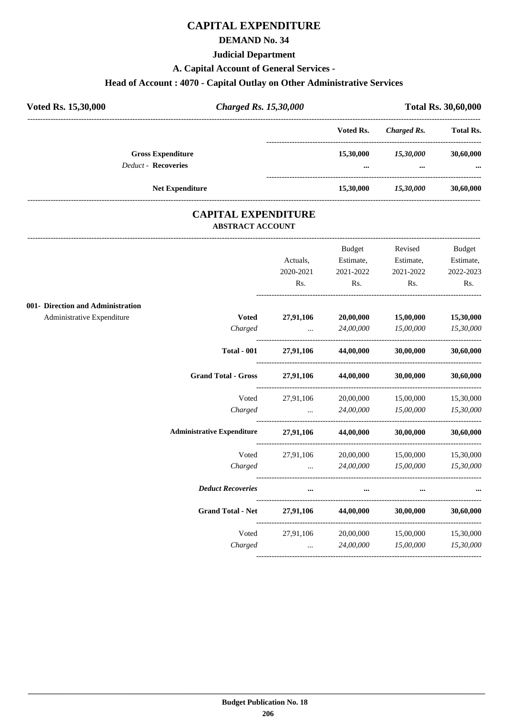# **CAPITAL EXPENDITURE**

### **DEMAND No. 34**

#### **Judicial Department**

#### **A. Capital Account of General Services -**

# **Head of Account : 4070 - Capital Outlay on Other Administrative Services**

| Voted Rs. 15,30,000 | <b>Charged Rs. 15,30,000</b>                           |  |                       | <b>Total Rs. 30,60,000</b> |                       |
|---------------------|--------------------------------------------------------|--|-----------------------|----------------------------|-----------------------|
|                     |                                                        |  | Voted Rs.             | Charged Rs.                | <b>Total Rs.</b>      |
|                     | <b>Gross Expenditure</b><br><b>Deduct - Recoveries</b> |  | 15,30,000<br>$\cdots$ | 15,30,000<br>$\cdots$      | 30,60,000<br>$\cdots$ |
|                     | <b>Net Expenditure</b>                                 |  | 15,30,000             | 15,30,000                  | 30,60,000             |

### **CAPITAL EXPENDITURE ABSTRACT ACCOUNT**

---------------------------------------------------------------------------------------------------------------------------------------------------------------------------------

|                                   |                                                          |           | Budget                                        | Revised   | Budget    |
|-----------------------------------|----------------------------------------------------------|-----------|-----------------------------------------------|-----------|-----------|
|                                   |                                                          | Actuals,  | Estimate,                                     | Estimate, | Estimate, |
|                                   |                                                          | 2020-2021 | 2021-2022                                     | 2021-2022 | 2022-2023 |
|                                   |                                                          | Rs.       | Rs.                                           | Rs.       | Rs.       |
| 001- Direction and Administration |                                                          |           |                                               |           |           |
| Administrative Expenditure        | <b>Voted</b>                                             |           | 27,91,106 20,00,000                           | 15,00,000 | 15,30,000 |
|                                   | Charged                                                  |           | $\ldots$ 24,00,000                            | 15,00,000 | 15,30,000 |
|                                   | <b>Total - 001</b>                                       |           | 27,91,106 44,00,000 30,00,000                 |           | 30,60,000 |
|                                   | Grand Total - Gross 27,91,106 44,00,000 30,00,000        |           |                                               |           | 30,60,000 |
|                                   |                                                          |           | Voted 27,91,106 20,00,000 15,00,000           |           | 15,30,000 |
|                                   |                                                          |           | Charged  24,00,000 15,00,000 15,30,000        |           |           |
|                                   | Administrative Expenditure 27,91,106 44,00,000 30,00,000 |           |                                               |           | 30,60,000 |
|                                   | Voted                                                    |           | 27,91,106 20,00,000 15,00,000 15,30,000       |           |           |
|                                   | Charged                                                  |           | $24,00,000$ $15,00,000$ $15,30,000$           |           |           |
|                                   | <b>Deduct Recoveries</b>                                 | $\cdots$  | $\cdots$                                      |           |           |
|                                   | <b>Grand Total - Net</b>                                 |           | 27,91,106 44,00,000 30,00,000                 |           | 30,60,000 |
|                                   |                                                          |           | Voted 27,91,106 20,00,000 15,00,000 15,30,000 |           |           |
|                                   | Charged                                                  |           | $\ldots$ 24,00,000                            | 15,00,000 | 15,30,000 |
|                                   |                                                          |           |                                               |           |           |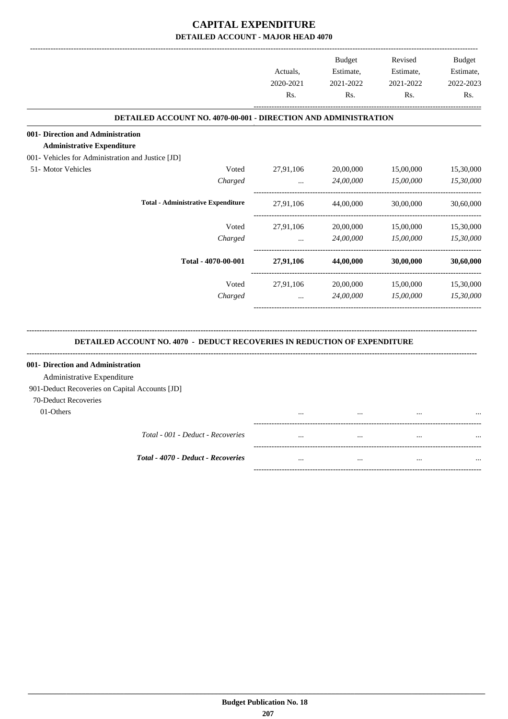|                                                                        |         |                  | <b>Budget</b>    | Revised          | Budget           |
|------------------------------------------------------------------------|---------|------------------|------------------|------------------|------------------|
|                                                                        |         | Actuals.         | Estimate,        | Estimate,        | Estimate,        |
|                                                                        |         | 2020-2021<br>Rs. | 2021-2022<br>Rs. | 2021-2022<br>Rs. | 2022-2023<br>Rs. |
|                                                                        |         |                  |                  |                  |                  |
| <b>DETAILED ACCOUNT NO. 4070-00-001 - DIRECTION AND ADMINISTRATION</b> |         |                  |                  |                  |                  |
| 001- Direction and Administration                                      |         |                  |                  |                  |                  |
| <b>Administrative Expenditure</b>                                      |         |                  |                  |                  |                  |
| 001- Vehicles for Administration and Justice [JD]                      |         |                  |                  |                  |                  |
| 51- Motor Vehicles                                                     | Voted   | 27,91,106        | 20,00,000        | 15,00,000        | 15,30,000        |
|                                                                        | Charged | $\ddotsc$        | 24,00,000        | 15,00,000        | 15,30,000        |
| <b>Total - Administrative Expenditure</b>                              |         | 27,91,106        | 44,00,000        | 30,00,000        | 30,60,000        |
|                                                                        | Voted   | 27,91,106        | 20,00,000        | 15,00,000        | 15,30,000        |
|                                                                        | Charged | $\cdots$         | 24,00,000        | 15,00,000        | 15,30,000        |
| Total - 4070-00-001                                                    |         | 27,91,106        | 44,00,000        | 30,00,000        | 30,60,000        |
|                                                                        | Voted   | 27,91,106        | 20,00,000        | 15,00,000        | 15,30,000        |
|                                                                        | Charged | $\cdots$         | 24,00,000        | 15,00,000        | 15,30,000        |
|                                                                        |         |                  |                  |                  |                  |

#### **DETAILED ACCOUNT NO. 4070 - DEDUCT RECOVERIES IN REDUCTION OF EXPENDITURE**

**--------------------------------------------------------------------------------------------------------------------------------------------------------------------------------**

| 001- Direction and Administration              |          |          |          |  |
|------------------------------------------------|----------|----------|----------|--|
| Administrative Expenditure                     |          |          |          |  |
| 901-Deduct Recoveries on Capital Accounts [JD] |          |          |          |  |
| 70-Deduct Recoveries                           |          |          |          |  |
| 01-Others                                      |          | $\cdots$ |          |  |
|                                                |          |          |          |  |
| Total - 001 - Deduct - Recoveries              | $\cdots$ |          | $\cdots$ |  |
|                                                |          |          |          |  |
| <b>Total - 4070 - Deduct - Recoveries</b>      | $\cdots$ | $\cdots$ |          |  |
|                                                |          |          |          |  |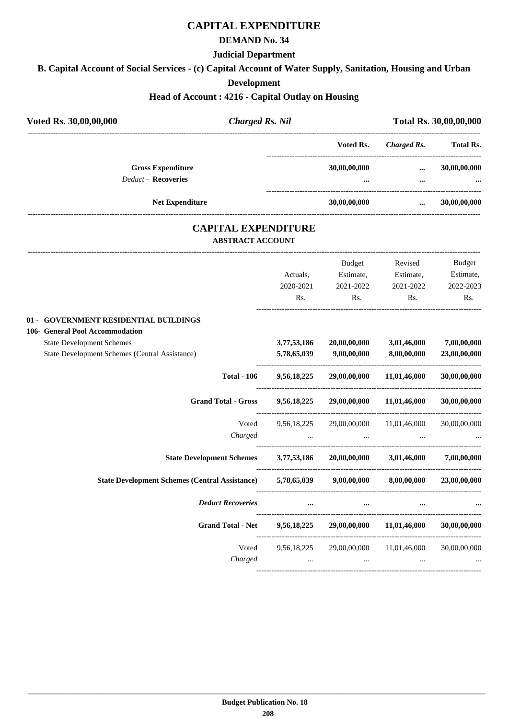# **CAPITAL EXPENDITURE**

#### **DEMAND No. 34**

#### **Judicial Department**

**B. Capital Account of Social Services - (c) Capital Account of Water Supply, Sanitation, Housing and Urban**

#### **Development**

#### **Head of Account : 4216 - Capital Outlay on Housing**

| Voted Rs. 30,00,00,000                                                     | <b>Charged Rs. Nil</b>   |                            |                                                                     | $\cdots$<br>Estimate, Estimate,<br>2021-2022<br>Rs.<br>3,01,46,000<br>8,00,00,000<br>29,00,00,000 11,01,46,000<br>Voted 9,56,18,225 29,00,00,000 11,01,46,000 30,00,00,000 | Total Rs. 30,00,00,000   |
|----------------------------------------------------------------------------|--------------------------|----------------------------|---------------------------------------------------------------------|----------------------------------------------------------------------------------------------------------------------------------------------------------------------------|--------------------------|
|                                                                            |                          |                            | Voted Rs.                                                           | Charged Rs. Total Rs.                                                                                                                                                      |                          |
| <b>Gross Expenditure</b>                                                   |                          |                            | 30,00,00,000                                                        |                                                                                                                                                                            | 30,00,00,000             |
| Deduct - Recoveries                                                        |                          |                            |                                                                     |                                                                                                                                                                            |                          |
| Net Expenditure                                                            |                          |                            | 30,00,00,000                                                        |                                                                                                                                                                            | 30,00,00,000             |
|                                                                            | <b>ABSTRACT ACCOUNT</b>  | <b>CAPITAL EXPENDITURE</b> |                                                                     |                                                                                                                                                                            |                          |
|                                                                            |                          |                            | <b>Budget</b>                                                       | Revised                                                                                                                                                                    | Budget                   |
|                                                                            |                          | Actuals,                   |                                                                     |                                                                                                                                                                            | Estimate,                |
|                                                                            |                          | 2020-2021                  | 2021-2022                                                           |                                                                                                                                                                            | 2022-2023                |
|                                                                            |                          | Rs.                        | Rs.                                                                 |                                                                                                                                                                            | Rs.                      |
| 01 - GOVERNMENT RESIDENTIAL BUILDINGS<br>106- General Pool Accommodation   |                          |                            |                                                                     |                                                                                                                                                                            |                          |
| <b>State Development Schemes</b>                                           |                          | 3,77,53,186                | 20,00,00,000                                                        |                                                                                                                                                                            | 7,00,00,000              |
| <b>State Development Schemes (Central Assistance)</b>                      |                          | 5,78,65,039                | 9,00,00,000                                                         |                                                                                                                                                                            | 23,00,00,000             |
|                                                                            | <b>Total - 106</b>       | 9,56,18,225                |                                                                     |                                                                                                                                                                            | 30,00,00,000             |
| <b>Grand Total - Gross</b>                                                 |                          | 9,56,18,225                | 29,00,00,000                                                        | 11,01,46,000                                                                                                                                                               | 30,00,00,000             |
|                                                                            |                          |                            |                                                                     |                                                                                                                                                                            |                          |
|                                                                            | Charged                  |                            | the contract of the contract of the contract of the contract of the |                                                                                                                                                                            |                          |
| State Development Schemes 3,77,53,186 20,00,00,000 3,01,46,000 7,00,00,000 |                          |                            |                                                                     |                                                                                                                                                                            |                          |
| State Development Schemes (Central Assistance) 5,78,65,039 9,00,00,000     |                          |                            |                                                                     |                                                                                                                                                                            | 8,00,00,000 23,00,00,000 |
|                                                                            | <b>Deduct Recoveries</b> |                            |                                                                     |                                                                                                                                                                            |                          |
|                                                                            | <b>Grand Total - Net</b> | 9,56,18,225                | 29,00,00,000                                                        | 11,01,46,000                                                                                                                                                               | 30,00,00,000             |
|                                                                            | Voted                    | 9,56,18,225                | 29,00,00,000                                                        | 11,01,46,000                                                                                                                                                               | 30,00,00,000             |
|                                                                            | Charged                  | $\cdots$                   | $\cdots$                                                            | $\cdots$                                                                                                                                                                   |                          |
|                                                                            |                          |                            |                                                                     |                                                                                                                                                                            |                          |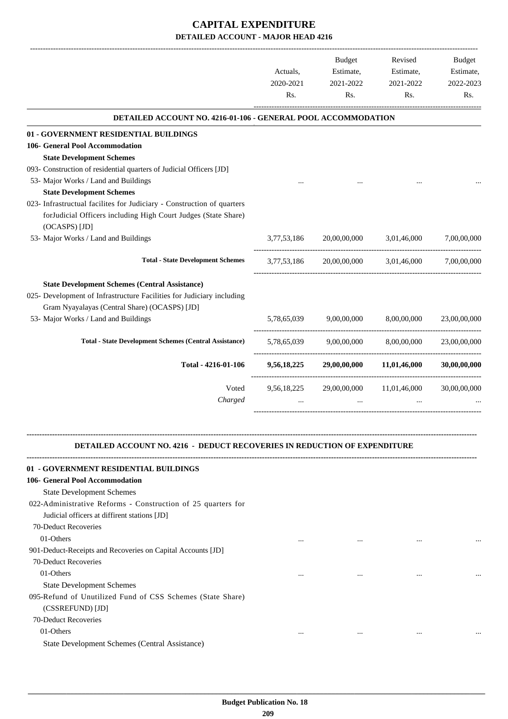|                                                                                                                                                                                                                                                           | Actuals,<br>2020-2021<br>Rs. | Budget<br>Estimate,<br>2021-2022<br>Rs. | Revised<br>Estimate,<br>2021-2022<br>Rs. | <b>Budget</b><br>Estimate,<br>2022-2023<br>Rs. |
|-----------------------------------------------------------------------------------------------------------------------------------------------------------------------------------------------------------------------------------------------------------|------------------------------|-----------------------------------------|------------------------------------------|------------------------------------------------|
| DETAILED ACCOUNT NO. 4216-01-106 - GENERAL POOL ACCOMMODATION                                                                                                                                                                                             |                              |                                         |                                          |                                                |
| 01 - GOVERNMENT RESIDENTIAL BUILDINGS                                                                                                                                                                                                                     |                              |                                         |                                          |                                                |
| 106- General Pool Accommodation                                                                                                                                                                                                                           |                              |                                         |                                          |                                                |
| <b>State Development Schemes</b>                                                                                                                                                                                                                          |                              |                                         |                                          |                                                |
| 093- Construction of residential quarters of Judicial Officers [JD]                                                                                                                                                                                       |                              |                                         |                                          |                                                |
| 53- Major Works / Land and Buildings                                                                                                                                                                                                                      |                              |                                         |                                          |                                                |
| <b>State Development Schemes</b>                                                                                                                                                                                                                          |                              |                                         |                                          |                                                |
| 023- Infrastructual facilites for Judiciary - Construction of quarters<br>forJudicial Officers including High Court Judges (State Share)<br>(OCASPS) [JD]                                                                                                 |                              |                                         |                                          |                                                |
| 53- Major Works / Land and Buildings                                                                                                                                                                                                                      | 3,77,53,186                  | 20,00,00,000                            | 3,01,46,000                              | 7,00,00,000                                    |
| <b>Total - State Development Schemes</b>                                                                                                                                                                                                                  | 3,77,53,186                  | 20,00,00,000                            |                                          | 3,01,46,000 7,00,00,000                        |
| <b>State Development Schemes (Central Assistance)</b>                                                                                                                                                                                                     |                              |                                         |                                          |                                                |
| 025- Development of Infrastructure Facilities for Judiciary including                                                                                                                                                                                     |                              |                                         |                                          |                                                |
| Gram Nyayalayas (Central Share) (OCASPS) [JD]                                                                                                                                                                                                             |                              |                                         |                                          |                                                |
| 53- Major Works / Land and Buildings                                                                                                                                                                                                                      | 5,78,65,039                  | 9,00,00,000                             | 8,00,00,000                              | 23,00,00,000                                   |
| <b>Total - State Development Schemes (Central Assistance)</b>                                                                                                                                                                                             | 5,78,65,039                  | 9,00,00,000                             | 8,00,00,000                              | 23,00,00,000                                   |
| Total - 4216-01-106                                                                                                                                                                                                                                       | 9,56,18,225                  | 29,00,00,000                            | 11,01,46,000                             | 30,00,00,000                                   |
| Voted<br>Charged                                                                                                                                                                                                                                          |                              | 9,56,18,225 29,00,00,000 11,01,46,000   |                                          | 30,00,00,000                                   |
| DETAILED ACCOUNT NO. 4216 - DEDUCT RECOVERIES IN REDUCTION OF EXPENDITURE<br>01 - GOVERNMENT RESIDENTIAL BUILDINGS<br>106- General Pool Accommodation<br><b>State Development Schemes</b><br>022-Administrative Reforms - Construction of 25 quarters for |                              |                                         |                                          |                                                |
| Judicial officers at diffirent stations [JD]                                                                                                                                                                                                              |                              |                                         |                                          |                                                |
| 70-Deduct Recoveries                                                                                                                                                                                                                                      |                              |                                         |                                          |                                                |
| 01-Others                                                                                                                                                                                                                                                 |                              |                                         | $\ddotsc$                                |                                                |
|                                                                                                                                                                                                                                                           |                              |                                         |                                          |                                                |

901-Deduct-Receipts and Recoveries on Capital Accounts [JD] 70-Deduct Recoveries 01-Others ... ... ... ... State Development Schemes 095-Refund of Unutilized Fund of CSS Schemes (State Share) (CSSREFUND) [JD]

70-Deduct Recoveries

01-Others ... ... ... ...

State Development Schemes (Central Assistance)